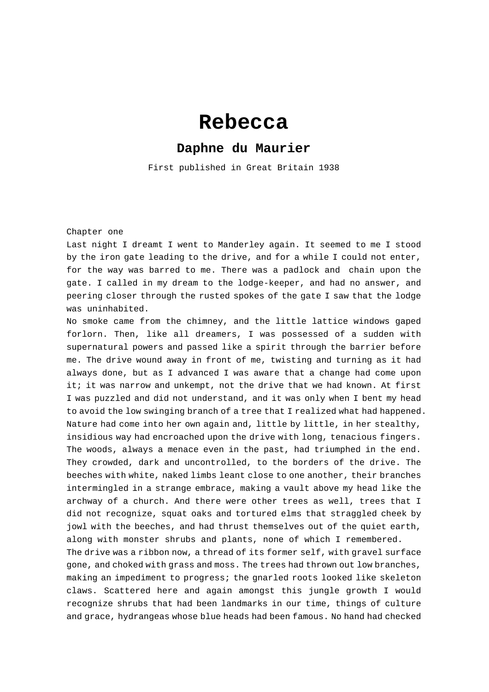## **Rebecca**

## **Daphne du Maurier**

First published in Great Britain 1938

## Chapter one

Last night I dreamt I went to Manderley again. It seemed to me I stood by the iron gate leading to the drive, and for a while I could not enter, for the way was barred to me. There was a padlock and chain upon the gate. I called in my dream to the lodge-keeper, and had no answer, and peering closer through the rusted spokes of the gate I saw that the lodge was uninhabited.

No smoke came from the chimney, and the little lattice windows gaped forlorn. Then, like all dreamers, I was possessed of a sudden with supernatural powers and passed like a spirit through the barrier before me. The drive wound away in front of me, twisting and turning as it had always done, but as I advanced I was aware that a change had come upon it; it was narrow and unkempt, not the drive that we had known. At first I was puzzled and did not understand, and it was only when I bent my head to avoid the low swinging branch of a tree that I realized what had happened. Nature had come into her own again and, little by little, in her stealthy, insidious way had encroached upon the drive with long, tenacious fingers. The woods, always a menace even in the past, had triumphed in the end. They crowded, dark and uncontrolled, to the borders of the drive. The beeches with white, naked limbs leant close to one another, their branches intermingled in a strange embrace, making a vault above my head like the archway of a church. And there were other trees as well, trees that I did not recognize, squat oaks and tortured elms that straggled cheek by jowl with the beeches, and had thrust themselves out of the quiet earth, along with monster shrubs and plants, none of which I remembered. The drive was a ribbon now, a thread of its former self, with gravel surface gone, and choked with grass and moss. The trees had thrown out low branches, making an impediment to progress; the gnarled roots looked like skeleton

claws. Scattered here and again amongst this jungle growth I would recognize shrubs that had been landmarks in our time, things of culture and grace, hydrangeas whose blue heads had been famous. No hand had checked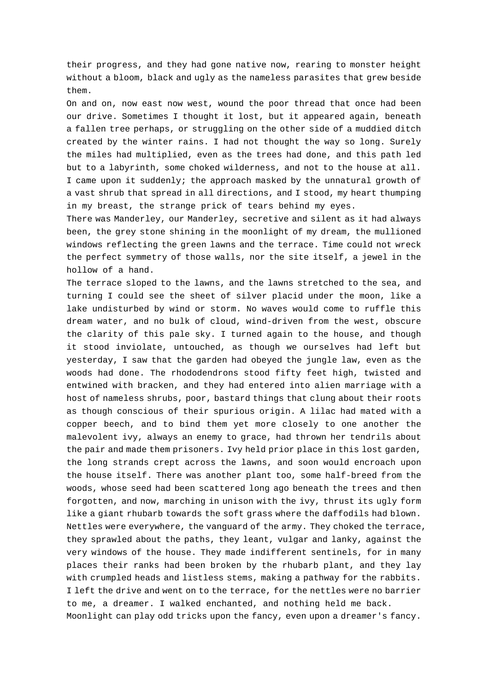their progress, and they had gone native now, rearing to monster height without a bloom, black and ugly as the nameless parasites that grew beside them.

On and on, now east now west, wound the poor thread that once had been our drive. Sometimes I thought it lost, but it appeared again, beneath a fallen tree perhaps, or struggling on the other side of a muddied ditch created by the winter rains. I had not thought the way so long. Surely the miles had multiplied, even as the trees had done, and this path led but to a labyrinth, some choked wilderness, and not to the house at all. I came upon it suddenly; the approach masked by the unnatural growth of a vast shrub that spread in all directions, and I stood, my heart thumping in my breast, the strange prick of tears behind my eyes.

There was Manderley, our Manderley, secretive and silent as it had always been, the grey stone shining in the moonlight of my dream, the mullioned windows reflecting the green lawns and the terrace. Time could not wreck the perfect symmetry of those walls, nor the site itself, a jewel in the hollow of a hand.

The terrace sloped to the lawns, and the lawns stretched to the sea, and turning I could see the sheet of silver placid under the moon, like a lake undisturbed by wind or storm. No waves would come to ruffle this dream water, and no bulk of cloud, wind-driven from the west, obscure the clarity of this pale sky. I turned again to the house, and though it stood inviolate, untouched, as though we ourselves had left but yesterday, I saw that the garden had obeyed the jungle law, even as the woods had done. The rhododendrons stood fifty feet high, twisted and entwined with bracken, and they had entered into alien marriage with a host of nameless shrubs, poor, bastard things that clung about their roots as though conscious of their spurious origin. A lilac had mated with a copper beech, and to bind them yet more closely to one another the malevolent ivy, always an enemy to grace, had thrown her tendrils about the pair and made them prisoners. Ivy held prior place in this lost garden, the long strands crept across the lawns, and soon would encroach upon the house itself. There was another plant too, some half-breed from the woods, whose seed had been scattered long ago beneath the trees and then forgotten, and now, marching in unison with the ivy, thrust its ugly form like a giant rhubarb towards the soft grass where the daffodils had blown. Nettles were everywhere, the vanguard of the army. They choked the terrace, they sprawled about the paths, they leant, vulgar and lanky, against the very windows of the house. They made indifferent sentinels, for in many places their ranks had been broken by the rhubarb plant, and they lay with crumpled heads and listless stems, making a pathway for the rabbits. I left the drive and went on to the terrace, for the nettles were no barrier to me, a dreamer. I walked enchanted, and nothing held me back. Moonlight can play odd tricks upon the fancy, even upon a dreamer's fancy.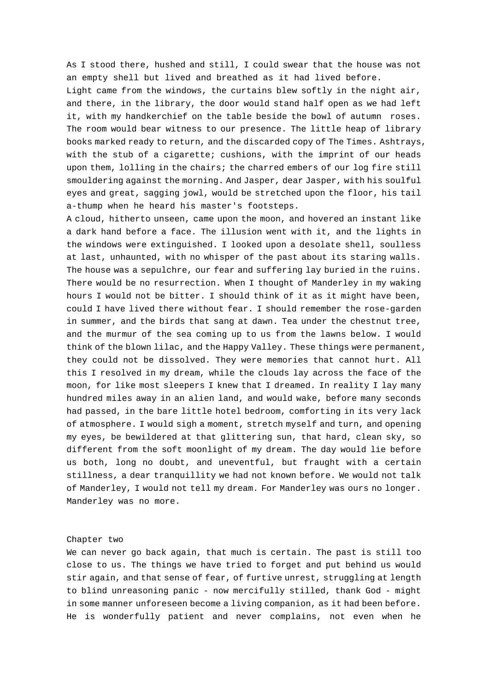As I stood there, hushed and still, I could swear that the house was not an empty shell but lived and breathed as it had lived before.

Light came from the windows, the curtains blew softly in the night air, and there, in the library, the door would stand half open as we had left it, with my handkerchief on the table beside the bowl of autumn roses. The room would bear witness to our presence. The little heap of library books marked ready to return, and the discarded copy of The Times. Ashtrays, with the stub of a cigarette; cushions, with the imprint of our heads upon them, lolling in the chairs; the charred embers of our log fire still smouldering against the morning. And Jasper, dear Jasper, with his soulful eyes and great, sagging jowl, would be stretched upon the floor, his tail a-thump when he heard his master's footsteps.

A cloud, hitherto unseen, came upon the moon, and hovered an instant like a dark hand before a face. The illusion went with it, and the lights in the windows were extinguished. I looked upon a desolate shell, soulless at last, unhaunted, with no whisper of the past about its staring walls. The house was a sepulchre, our fear and suffering lay buried in the ruins. There would be no resurrection. When I thought of Manderley in my waking hours I would not be bitter. I should think of it as it might have been, could I have lived there without fear. I should remember the rose-garden in summer, and the birds that sang at dawn. Tea under the chestnut tree, and the murmur of the sea coming up to us from the lawns below. I would think of the blown lilac, and the Happy Valley. These things were permanent, they could not be dissolved. They were memories that cannot hurt. All this I resolved in my dream, while the clouds lay across the face of the moon, for like most sleepers I knew that I dreamed. In reality I lay many hundred miles away in an alien land, and would wake, before many seconds had passed, in the bare little hotel bedroom, comforting in its very lack of atmosphere. I would sigh a moment, stretch myself and turn, and opening my eyes, be bewildered at that glittering sun, that hard, clean sky, so different from the soft moonlight of my dream. The day would lie before us both, long no doubt, and uneventful, but fraught with a certain stillness, a dear tranquillity we had not known before. We would not talk of Manderley, I would not tell my dream. For Manderley was ours no longer. Manderley was no more.

## Chapter two

We can never go back again, that much is certain. The past is still too close to us. The things we have tried to forget and put behind us would stir again, and that sense of fear, of furtive unrest, struggling at length to blind unreasoning panic - now mercifully stilled, thank God - might in some manner unforeseen become a living companion, as it had been before. He is wonderfully patient and never complains, not even when he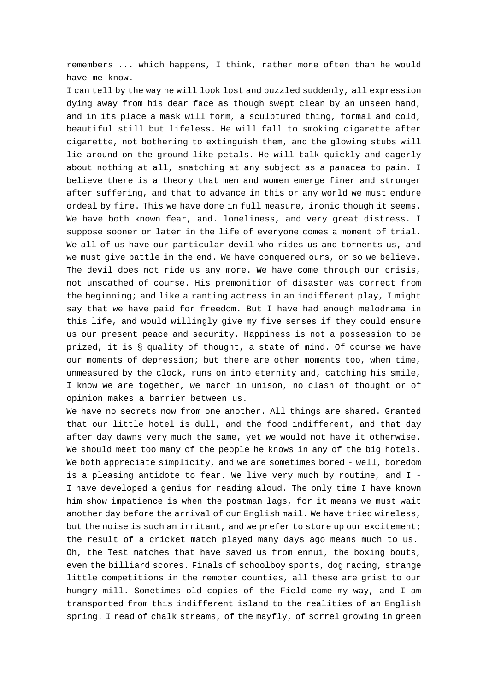remembers ... which happens, I think, rather more often than he would have me know.

I can tell by the way he will look lost and puzzled suddenly, all expression dying away from his dear face as though swept clean by an unseen hand, and in its place a mask will form, a sculptured thing, formal and cold, beautiful still but lifeless. He will fall to smoking cigarette after cigarette, not bothering to extinguish them, and the glowing stubs will lie around on the ground like petals. He will talk quickly and eagerly about nothing at all, snatching at any subject as a panacea to pain. I believe there is a theory that men and women emerge finer and stronger after suffering, and that to advance in this or any world we must endure ordeal by fire. This we have done in full measure, ironic though it seems. We have both known fear, and. loneliness, and very great distress. I suppose sooner or later in the life of everyone comes a moment of trial. We all of us have our particular devil who rides us and torments us, and we must give battle in the end. We have conquered ours, or so we believe. The devil does not ride us any more. We have come through our crisis, not unscathed of course. His premonition of disaster was correct from the beginning; and like a ranting actress in an indifferent play, I might say that we have paid for freedom. But I have had enough melodrama in this life, and would willingly give my five senses if they could ensure us our present peace and security. Happiness is not a possession to be prized, it is § quality of thought, a state of mind. Of course we have our moments of depression; but there are other moments too, when time, unmeasured by the clock, runs on into eternity and, catching his smile, I know we are together, we march in unison, no clash of thought or of opinion makes a barrier between us.

We have no secrets now from one another. All things are shared. Granted that our little hotel is dull, and the food indifferent, and that day after day dawns very much the same, yet we would not have it otherwise. We should meet too many of the people he knows in any of the big hotels. We both appreciate simplicity, and we are sometimes bored - well, boredom is a pleasing antidote to fear. We live very much by routine, and I - I have developed a genius for reading aloud. The only time I have known him show impatience is when the postman lags, for it means we must wait another day before the arrival of our English mail. We have tried wireless, but the noise is such an irritant, and we prefer to store up our excitement; the result of a cricket match played many days ago means much to us. Oh, the Test matches that have saved us from ennui, the boxing bouts, even the billiard scores. Finals of schoolboy sports, dog racing, strange little competitions in the remoter counties, all these are grist to our hungry mill. Sometimes old copies of the Field come my way, and I am transported from this indifferent island to the realities of an English spring. I read of chalk streams, of the mayfly, of sorrel growing in green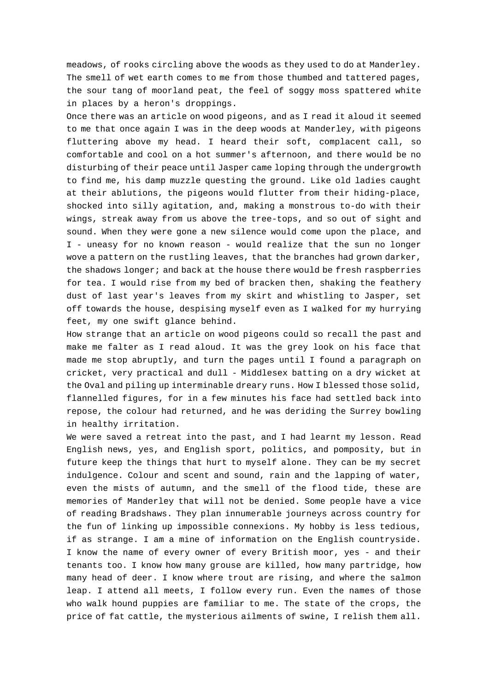meadows, of rooks circling above the woods as they used to do at Manderley. The smell of wet earth comes to me from those thumbed and tattered pages, the sour tang of moorland peat, the feel of soggy moss spattered white in places by a heron's droppings.

Once there was an article on wood pigeons, and as I read it aloud it seemed to me that once again I was in the deep woods at Manderley, with pigeons fluttering above my head. I heard their soft, complacent call, so comfortable and cool on a hot summer's afternoon, and there would be no disturbing of their peace until Jasper came loping through the undergrowth to find me, his damp muzzle questing the ground. Like old ladies caught at their ablutions, the pigeons would flutter from their hiding-place, shocked into silly agitation, and, making a monstrous to-do with their wings, streak away from us above the tree-tops, and so out of sight and sound. When they were gone a new silence would come upon the place, and I - uneasy for no known reason - would realize that the sun no longer wove a pattern on the rustling leaves, that the branches had grown darker, the shadows longer; and back at the house there would be fresh raspberries for tea. I would rise from my bed of bracken then, shaking the feathery dust of last year's leaves from my skirt and whistling to Jasper, set off towards the house, despising myself even as I walked for my hurrying feet, my one swift glance behind.

How strange that an article on wood pigeons could so recall the past and make me falter as I read aloud. It was the grey look on his face that made me stop abruptly, and turn the pages until I found a paragraph on cricket, very practical and dull - Middlesex batting on a dry wicket at the Oval and piling up interminable dreary runs. How I blessed those solid, flannelled figures, for in a few minutes his face had settled back into repose, the colour had returned, and he was deriding the Surrey bowling in healthy irritation.

We were saved a retreat into the past, and I had learnt my lesson. Read English news, yes, and English sport, politics, and pomposity, but in future keep the things that hurt to myself alone. They can be my secret indulgence. Colour and scent and sound, rain and the lapping of water, even the mists of autumn, and the smell of the flood tide, these are memories of Manderley that will not be denied. Some people have a vice of reading Bradshaws. They plan innumerable journeys across country for the fun of linking up impossible connexions. My hobby is less tedious, if as strange. I am a mine of information on the English countryside. I know the name of every owner of every British moor, yes - and their tenants too. I know how many grouse are killed, how many partridge, how many head of deer. I know where trout are rising, and where the salmon leap. I attend all meets, I follow every run. Even the names of those who walk hound puppies are familiar to me. The state of the crops, the price of fat cattle, the mysterious ailments of swine, I relish them all.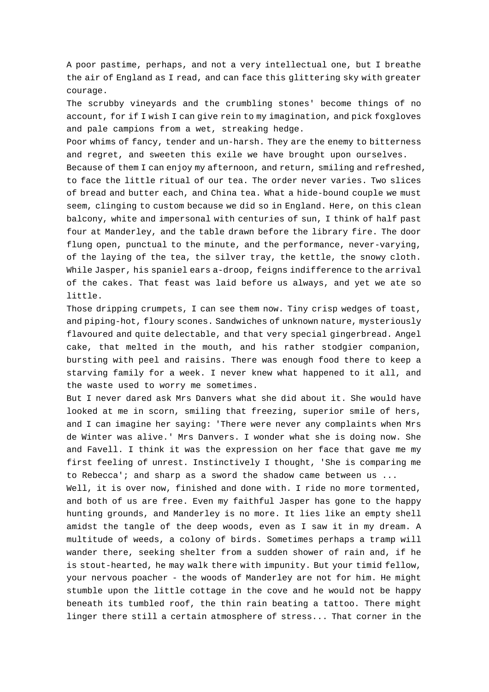A poor pastime, perhaps, and not a very intellectual one, but I breathe the air of England as I read, and can face this glittering sky with greater courage.

The scrubby vineyards and the crumbling stones' become things of no account, for if I wish I can give rein to my imagination, and pick foxgloves and pale campions from a wet, streaking hedge.

Poor whims of fancy, tender and un-harsh. They are the enemy to bitterness and regret, and sweeten this exile we have brought upon ourselves.

Because of them I can enjoy my afternoon, and return, smiling and refreshed, to face the little ritual of our tea. The order never varies. Two slices of bread and butter each, and China tea. What a hide-bound couple we must seem, clinging to custom because we did so in England. Here, on this clean balcony, white and impersonal with centuries of sun, I think of half past four at Manderley, and the table drawn before the library fire. The door flung open, punctual to the minute, and the performance, never-varying, of the laying of the tea, the silver tray, the kettle, the snowy cloth. While Jasper, his spaniel ears a-droop, feigns indifference to the arrival of the cakes. That feast was laid before us always, and yet we ate so little.

Those dripping crumpets, I can see them now. Tiny crisp wedges of toast, and piping-hot, floury scones. Sandwiches of unknown nature, mysteriously flavoured and quite delectable, and that very special gingerbread. Angel cake, that melted in the mouth, and his rather stodgier companion, bursting with peel and raisins. There was enough food there to keep a starving family for a week. I never knew what happened to it all, and the waste used to worry me sometimes.

But I never dared ask Mrs Danvers what she did about it. She would have looked at me in scorn, smiling that freezing, superior smile of hers, and I can imagine her saying: 'There were never any complaints when Mrs de Winter was alive.' Mrs Danvers. I wonder what she is doing now. She and Favell. I think it was the expression on her face that gave me my first feeling of unrest. Instinctively I thought, 'She is comparing me to Rebecca'; and sharp as a sword the shadow came between us ...

Well, it is over now, finished and done with. I ride no more tormented, and both of us are free. Even my faithful Jasper has gone to the happy hunting grounds, and Manderley is no more. It lies like an empty shell amidst the tangle of the deep woods, even as I saw it in my dream. A multitude of weeds, a colony of birds. Sometimes perhaps a tramp will wander there, seeking shelter from a sudden shower of rain and, if he is stout-hearted, he may walk there with impunity. But your timid fellow, your nervous poacher - the woods of Manderley are not for him. He might stumble upon the little cottage in the cove and he would not be happy beneath its tumbled roof, the thin rain beating a tattoo. There might linger there still a certain atmosphere of stress... That corner in the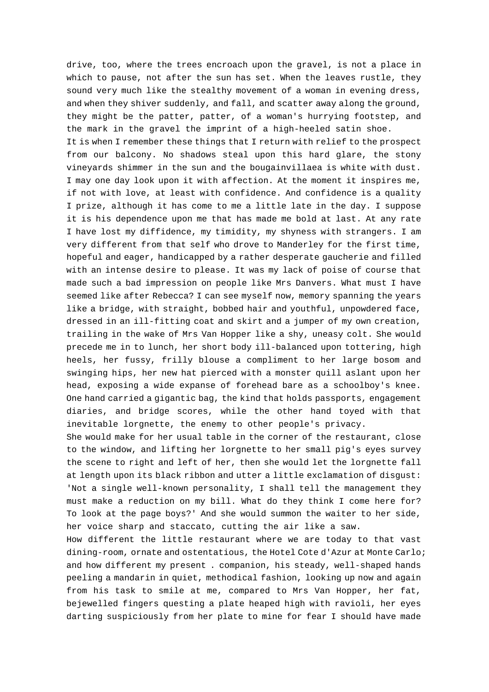drive, too, where the trees encroach upon the gravel, is not a place in which to pause, not after the sun has set. When the leaves rustle, they sound very much like the stealthy movement of a woman in evening dress, and when they shiver suddenly, and fall, and scatter away along the ground, they might be the patter, patter, of a woman's hurrying footstep, and the mark in the gravel the imprint of a high-heeled satin shoe.

It is when I remember these things that I return with relief to the prospect from our balcony. No shadows steal upon this hard glare, the stony vineyards shimmer in the sun and the bougainvillaea is white with dust. I may one day look upon it with affection. At the moment it inspires me, if not with love, at least with confidence. And confidence is a quality I prize, although it has come to me a little late in the day. I suppose it is his dependence upon me that has made me bold at last. At any rate I have lost my diffidence, my timidity, my shyness with strangers. I am very different from that self who drove to Manderley for the first time, hopeful and eager, handicapped by a rather desperate gaucherie and filled with an intense desire to please. It was my lack of poise of course that made such a bad impression on people like Mrs Danvers. What must I have seemed like after Rebecca? I can see myself now, memory spanning the years like a bridge, with straight, bobbed hair and youthful, unpowdered face, dressed in an ill-fitting coat and skirt and a jumper of my own creation, trailing in the wake of Mrs Van Hopper like a shy, uneasy colt. She would precede me in to lunch, her short body ill-balanced upon tottering, high heels, her fussy, frilly blouse a compliment to her large bosom and swinging hips, her new hat pierced with a monster quill aslant upon her head, exposing a wide expanse of forehead bare as a schoolboy's knee. One hand carried a gigantic bag, the kind that holds passports, engagement diaries, and bridge scores, while the other hand toyed with that inevitable lorgnette, the enemy to other people's privacy.

She would make for her usual table in the corner of the restaurant, close to the window, and lifting her lorgnette to her small pig's eyes survey the scene to right and left of her, then she would let the lorgnette fall at length upon its black ribbon and utter a little exclamation of disgust: 'Not a single well-known personality, I shall tell the management they must make a reduction on my bill. What do they think I come here for? To look at the page boys?' And she would summon the waiter to her side, her voice sharp and staccato, cutting the air like a saw.

How different the little restaurant where we are today to that vast dining-room, ornate and ostentatious, the Hotel Cote d'Azur at Monte Carlo; and how different my present . companion, his steady, well-shaped hands peeling a mandarin in quiet, methodical fashion, looking up now and again from his task to smile at me, compared to Mrs Van Hopper, her fat, bejewelled fingers questing a plate heaped high with ravioli, her eyes darting suspiciously from her plate to mine for fear I should have made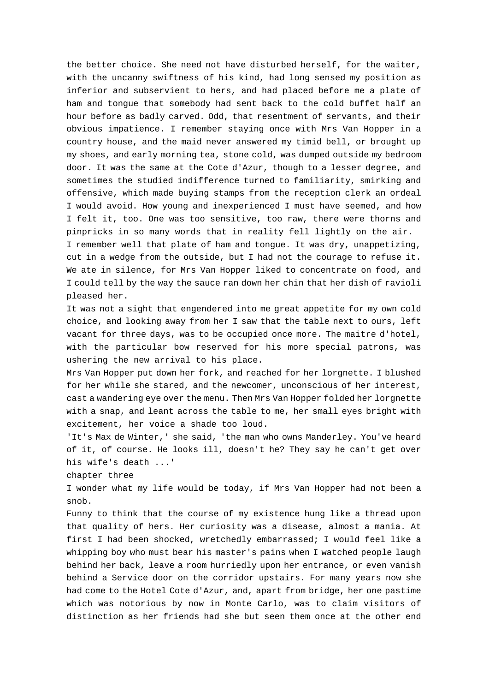the better choice. She need not have disturbed herself, for the waiter, with the uncanny swiftness of his kind, had long sensed my position as inferior and subservient to hers, and had placed before me a plate of ham and tongue that somebody had sent back to the cold buffet half an hour before as badly carved. Odd, that resentment of servants, and their obvious impatience. I remember staying once with Mrs Van Hopper in a country house, and the maid never answered my timid bell, or brought up my shoes, and early morning tea, stone cold, was dumped outside my bedroom door. It was the same at the Cote d'Azur, though to a lesser degree, and sometimes the studied indifference turned to familiarity, smirking and offensive, which made buying stamps from the reception clerk an ordeal I would avoid. How young and inexperienced I must have seemed, and how I felt it, too. One was too sensitive, too raw, there were thorns and pinpricks in so many words that in reality fell lightly on the air. I remember well that plate of ham and tongue. It was dry, unappetizing, cut in a wedge from the outside, but I had not the courage to refuse it.

We ate in silence, for Mrs Van Hopper liked to concentrate on food, and I could tell by the way the sauce ran down her chin that her dish of ravioli pleased her.

It was not a sight that engendered into me great appetite for my own cold choice, and looking away from her I saw that the table next to ours, left vacant for three days, was to be occupied once more. The maitre d'hotel, with the particular bow reserved for his more special patrons, was ushering the new arrival to his place.

Mrs Van Hopper put down her fork, and reached for her lorgnette. I blushed for her while she stared, and the newcomer, unconscious of her interest, cast a wandering eye over the menu. Then Mrs Van Hopper folded her lorgnette with a snap, and leant across the table to me, her small eyes bright with excitement, her voice a shade too loud.

'It's Max de Winter, ' she said, 'the man who owns Manderley. You've heard of it, of course. He looks ill, doesn't he? They say he can't get over his wife's death ...'

chapter three

I wonder what my life would be today, if Mrs Van Hopper had not been a snob.

Funny to think that the course of my existence hung like a thread upon that quality of hers. Her curiosity was a disease, almost a mania. At first I had been shocked, wretchedly embarrassed; I would feel like a whipping boy who must bear his master's pains when I watched people laugh behind her back, leave a room hurriedly upon her entrance, or even vanish behind a Service door on the corridor upstairs. For many years now she had come to the Hotel Cote d'Azur, and, apart from bridge, her one pastime which was notorious by now in Monte Carlo, was to claim visitors of distinction as her friends had she but seen them once at the other end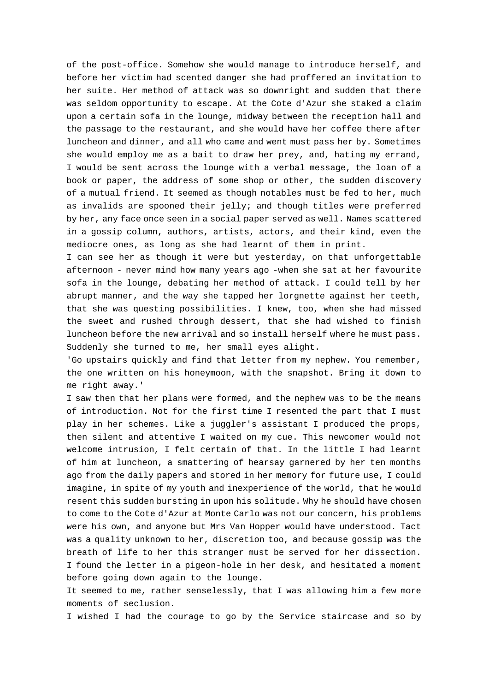of the post-office. Somehow she would manage to introduce herself, and before her victim had scented danger she had proffered an invitation to her suite. Her method of attack was so downright and sudden that there was seldom opportunity to escape. At the Cote d'Azur she staked a claim upon a certain sofa in the lounge, midway between the reception hall and the passage to the restaurant, and she would have her coffee there after luncheon and dinner, and all who came and went must pass her by. Sometimes she would employ me as a bait to draw her prey, and, hating my errand, I would be sent across the lounge with a verbal message, the loan of a book or paper, the address of some shop or other, the sudden discovery of a mutual friend. It seemed as though notables must be fed to her, much as invalids are spooned their jelly; and though titles were preferred by her, any face once seen in a social paper served as well. Names scattered in a gossip column, authors, artists, actors, and their kind, even the mediocre ones, as long as she had learnt of them in print.

I can see her as though it were but yesterday, on that unforgettable afternoon - never mind how many years ago -when she sat at her favourite sofa in the lounge, debating her method of attack. I could tell by her abrupt manner, and the way she tapped her lorgnette against her teeth, that she was questing possibilities. I knew, too, when she had missed the sweet and rushed through dessert, that she had wished to finish luncheon before the new arrival and so install herself where he must pass. Suddenly she turned to me, her small eyes alight.

'Go upstairs quickly and find that letter from my nephew. You remember, the one written on his honeymoon, with the snapshot. Bring it down to me right away.'

I saw then that her plans were formed, and the nephew was to be the means of introduction. Not for the first time I resented the part that I must play in her schemes. Like a juggler's assistant I produced the props, then silent and attentive I waited on my cue. This newcomer would not welcome intrusion, I felt certain of that. In the little I had learnt of him at luncheon, a smattering of hearsay garnered by her ten months ago from the daily papers and stored in her memory for future use, I could imagine, in spite of my youth and inexperience of the world, that he would resent this sudden bursting in upon his solitude. Why he should have chosen to come to the Cote d'Azur at Monte Carlo was not our concern, his problems were his own, and anyone but Mrs Van Hopper would have understood. Tact was a quality unknown to her, discretion too, and because gossip was the breath of life to her this stranger must be served for her dissection. I found the letter in a pigeon-hole in her desk, and hesitated a moment before going down again to the lounge.

It seemed to me, rather senselessly, that I was allowing him a few more moments of seclusion.

I wished I had the courage to go by the Service staircase and so by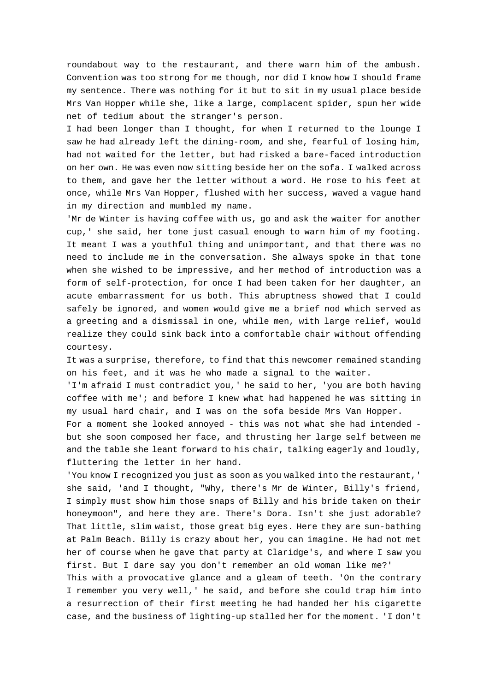roundabout way to the restaurant, and there warn him of the ambush. Convention was too strong for me though, nor did I know how I should frame my sentence. There was nothing for it but to sit in my usual place beside Mrs Van Hopper while she, like a large, complacent spider, spun her wide net of tedium about the stranger's person.

I had been longer than I thought, for when I returned to the lounge I saw he had already left the dining-room, and she, fearful of losing him, had not waited for the letter, but had risked a bare-faced introduction on her own. He was even now sitting beside her on the sofa. I walked across to them, and gave her the letter without a word. He rose to his feet at once, while Mrs Van Hopper, flushed with her success, waved a vague hand in my direction and mumbled my name.

'Mr de Winter is having coffee with us, go and ask the waiter for another cup,' she said, her tone just casual enough to warn him of my footing. It meant I was a youthful thing and unimportant, and that there was no need to include me in the conversation. She always spoke in that tone when she wished to be impressive, and her method of introduction was a form of self-protection, for once I had been taken for her daughter, an acute embarrassment for us both. This abruptness showed that I could safely be ignored, and women would give me a brief nod which served as a greeting and a dismissal in one, while men, with large relief, would realize they could sink back into a comfortable chair without offending courtesy.

It was a surprise, therefore, to find that this newcomer remained standing on his feet, and it was he who made a signal to the waiter.

'I'm afraid I must contradict you,' he said to her, 'you are both having coffee with me'; and before I knew what had happened he was sitting in my usual hard chair, and I was on the sofa beside Mrs Van Hopper.

For a moment she looked annoyed - this was not what she had intended but she soon composed her face, and thrusting her large self between me and the table she leant forward to his chair, talking eagerly and loudly, fluttering the letter in her hand.

'You know I recognized you just as soon as you walked into the restaurant,' she said, 'and I thought, "Why, there's Mr de Winter, Billy's friend, I simply must show him those snaps of Billy and his bride taken on their honeymoon", and here they are. There's Dora. Isn't she just adorable? That little, slim waist, those great big eyes. Here they are sun-bathing at Palm Beach. Billy is crazy about her, you can imagine. He had not met her of course when he gave that party at Claridge's, and where I saw you first. But I dare say you don't remember an old woman like me?'

This with a provocative glance and a gleam of teeth. 'On the contrary I remember you very well,' he said, and before she could trap him into a resurrection of their first meeting he had handed her his cigarette case, and the business of lighting-up stalled her for the moment. 'I don't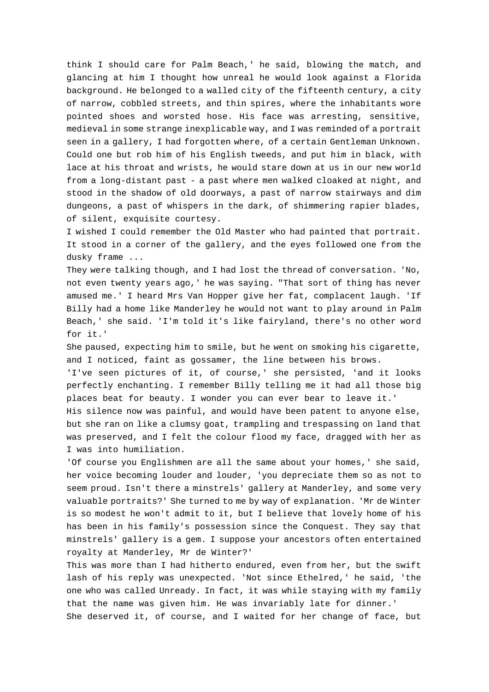think I should care for Palm Beach,' he said, blowing the match, and glancing at him I thought how unreal he would look against a Florida background. He belonged to a walled city of the fifteenth century, a city of narrow, cobbled streets, and thin spires, where the inhabitants wore pointed shoes and worsted hose. His face was arresting, sensitive, medieval in some strange inexplicable way, and I was reminded of a portrait seen in a gallery, I had forgotten where, of a certain Gentleman Unknown. Could one but rob him of his English tweeds, and put him in black, with lace at his throat and wrists, he would stare down at us in our new world from a long-distant past - a past where men walked cloaked at night, and stood in the shadow of old doorways, a past of narrow stairways and dim dungeons, a past of whispers in the dark, of shimmering rapier blades, of silent, exquisite courtesy.

I wished I could remember the Old Master who had painted that portrait. It stood in a corner of the gallery, and the eyes followed one from the dusky frame ...

They were talking though, and I had lost the thread of conversation. 'No, not even twenty years ago,' he was saying. "That sort of thing has never amused me.' I heard Mrs Van Hopper give her fat, complacent laugh. 'If Billy had a home like Manderley he would not want to play around in Palm Beach,' she said. 'I'm told it's like fairyland, there's no other word for it.'

She paused, expecting him to smile, but he went on smoking his cigarette, and I noticed, faint as gossamer, the line between his brows.

'I've seen pictures of it, of course,' she persisted, 'and it looks perfectly enchanting. I remember Billy telling me it had all those big places beat for beauty. I wonder you can ever bear to leave it.'

His silence now was painful, and would have been patent to anyone else, but she ran on like a clumsy goat, trampling and trespassing on land that was preserved, and I felt the colour flood my face, dragged with her as I was into humiliation.

'Of course you Englishmen are all the same about your homes,' she said, her voice becoming louder and louder, 'you depreciate them so as not to seem proud. Isn't there a minstrels' gallery at Manderley, and some very valuable portraits?' She turned to me by way of explanation. 'Mr de Winter is so modest he won't admit to it, but I believe that lovely home of his has been in his family's possession since the Conquest. They say that minstrels' gallery is a gem. I suppose your ancestors often entertained royalty at Manderley, Mr de Winter?'

This was more than I had hitherto endured, even from her, but the swift lash of his reply was unexpected. 'Not since Ethelred,' he said, 'the one who was called Unready. In fact, it was while staying with my family that the name was given him. He was invariably late for dinner.' She deserved it, of course, and I waited for her change of face, but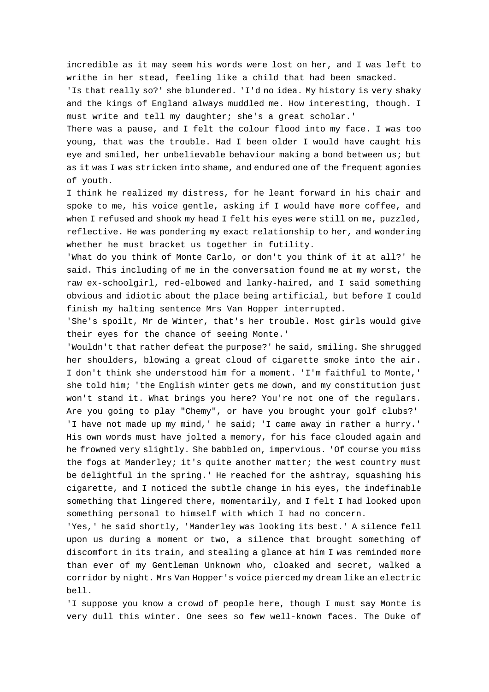incredible as it may seem his words were lost on her, and I was left to writhe in her stead, feeling like a child that had been smacked.

'Is that really so?' she blundered. 'I'd no idea. My history is very shaky and the kings of England always muddled me. How interesting, though. I must write and tell my daughter; she's a great scholar.'

There was a pause, and I felt the colour flood into my face. I was too young, that was the trouble. Had I been older I would have caught his eye and smiled, her unbelievable behaviour making a bond between us; but as it was I was stricken into shame, and endured one of the frequent agonies of youth.

I think he realized my distress, for he leant forward in his chair and spoke to me, his voice gentle, asking if I would have more coffee, and when I refused and shook my head I felt his eyes were still on me, puzzled, reflective. He was pondering my exact relationship to her, and wondering whether he must bracket us together in futility.

'What do you think of Monte Carlo, or don't you think of it at all?' he said. This including of me in the conversation found me at my worst, the raw ex-schoolgirl, red-elbowed and lanky-haired, and I said something obvious and idiotic about the place being artificial, but before I could finish my halting sentence Mrs Van Hopper interrupted.

'She's spoilt, Mr de Winter, that's her trouble. Most girls would give their eyes for the chance of seeing Monte.'

'Wouldn't that rather defeat the purpose?' he said, smiling. She shrugged her shoulders, blowing a great cloud of cigarette smoke into the air. I don't think she understood him for a moment. 'I'm faithful to Monte,' she told him; 'the English winter gets me down, and my constitution just won't stand it. What brings you here? You're not one of the regulars. Are you going to play "Chemy", or have you brought your golf clubs?' 'I have not made up my mind, ' he said; 'I came away in rather a hurry.' His own words must have jolted a memory, for his face clouded again and he frowned very slightly. She babbled on, impervious. 'Of course you miss the fogs at Manderley; it's quite another matter; the west country must be delightful in the spring.' He reached for the ashtray, squashing his cigarette, and I noticed the subtle change in his eyes, the indefinable something that lingered there, momentarily, and I felt I had looked upon something personal to himself with which I had no concern.

'Yes,' he said shortly, 'Manderley was looking its best.' A silence fell upon us during a moment or two, a silence that brought something of discomfort in its train, and stealing a glance at him I was reminded more than ever of my Gentleman Unknown who, cloaked and secret, walked a corridor by night. Mrs Van Hopper's voice pierced my dream like an electric bell.

'I suppose you know a crowd of people here, though I must say Monte is very dull this winter. One sees so few well-known faces. The Duke of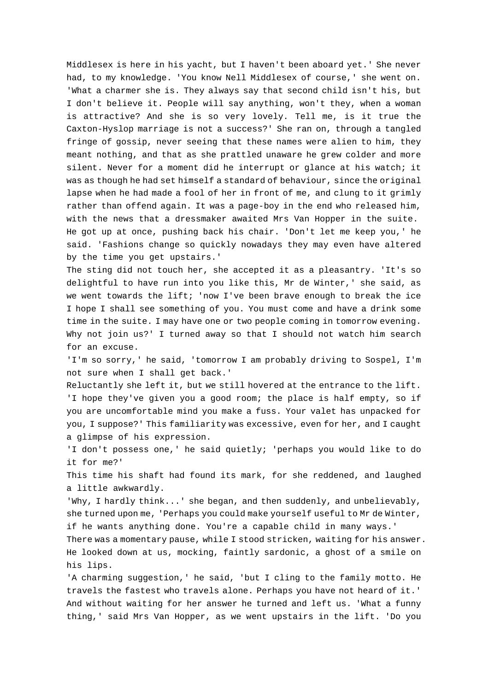Middlesex is here in his yacht, but I haven't been aboard yet.' She never had, to my knowledge. 'You know Nell Middlesex of course,' she went on. 'What a charmer she is. They always say that second child isn't his, but I don't believe it. People will say anything, won't they, when a woman is attractive? And she is so very lovely. Tell me, is it true the Caxton-Hyslop marriage is not a success?' She ran on, through a tangled fringe of gossip, never seeing that these names were alien to him, they meant nothing, and that as she prattled unaware he grew colder and more silent. Never for a moment did he interrupt or glance at his watch; it was as though he had set himself a standard of behaviour, since the original lapse when he had made a fool of her in front of me, and clung to it grimly rather than offend again. It was a page-boy in the end who released him, with the news that a dressmaker awaited Mrs Van Hopper in the suite. He got up at once, pushing back his chair. 'Don't let me keep you,' he said. 'Fashions change so quickly nowadays they may even have altered by the time you get upstairs.'

The sting did not touch her, she accepted it as a pleasantry. 'It's so delightful to have run into you like this, Mr de Winter,' she said, as we went towards the lift; 'now I've been brave enough to break the ice I hope I shall see something of you. You must come and have a drink some time in the suite. I may have one or two people coming in tomorrow evening. Why not join us?' I turned away so that I should not watch him search for an excuse.

'I'm so sorry,' he said, 'tomorrow I am probably driving to Sospel, I'm not sure when I shall get back.'

Reluctantly she left it, but we still hovered at the entrance to the lift. 'I hope they've given you a good room; the place is half empty, so if you are uncomfortable mind you make a fuss. Your valet has unpacked for you, I suppose?' This familiarity was excessive, even for her, and I caught a glimpse of his expression.

'I don't possess one,' he said quietly; 'perhaps you would like to do it for me?'

This time his shaft had found its mark, for she reddened, and laughed a little awkwardly.

'Why, I hardly think...' she began, and then suddenly, and unbelievably, she turned upon me, 'Perhaps you could make yourself useful to Mr de Winter, if he wants anything done. You're a capable child in many ways.'

There was a momentary pause, while I stood stricken, waiting for his answer. He looked down at us, mocking, faintly sardonic, a ghost of a smile on his lips.

'A charming suggestion,' he said, 'but I cling to the family motto. He travels the fastest who travels alone. Perhaps you have not heard of it.' And without waiting for her answer he turned and left us. 'What a funny thing,' said Mrs Van Hopper, as we went upstairs in the lift. 'Do you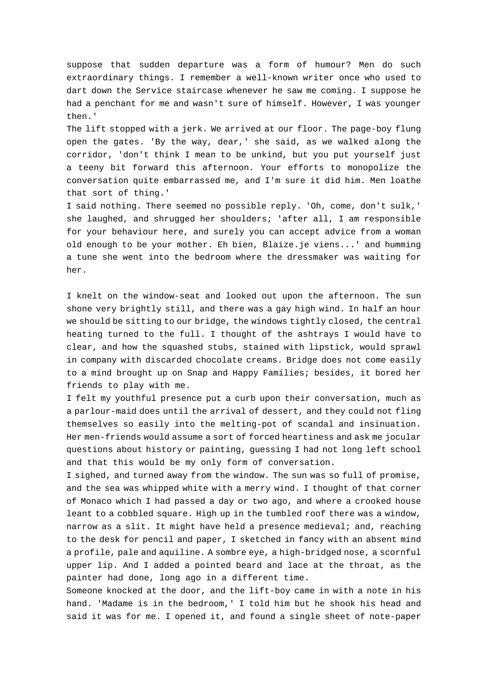suppose that sudden departure was a form of humour? Men do such extraordinary things. I remember a well-known writer once who used to dart down the Service staircase whenever he saw me coming. I suppose he had a penchant for me and wasn't sure of himself. However, I was younger then.'

The lift stopped with a jerk. We arrived at our floor. The page-boy flung open the gates. 'By the way, dear,' she said, as we walked along the corridor, 'don't think I mean to be unkind, but you put yourself just a teeny bit forward this afternoon. Your efforts to monopolize the conversation quite embarrassed me, and I'm sure it did him. Men loathe that sort of thing.'

I said nothing. There seemed no possible reply. 'Oh, come, don't sulk,' she laughed, and shrugged her shoulders; 'after all, I am responsible for your behaviour here, and surely you can accept advice from a woman old enough to be your mother. Eh bien, Blaize.je viens...' and humming a tune she went into the bedroom where the dressmaker was waiting for her.

I knelt on the window-seat and looked out upon the afternoon. The sun shone very brightly still, and there was a gay high wind. In half an hour we should be sitting to our bridge, the windows tightly closed, the central heating turned to the full. I thought of the ashtrays I would have to clear, and how the squashed stubs, stained with lipstick, would sprawl in company with discarded chocolate creams. Bridge does not come easily to a mind brought up on Snap and Happy Families; besides, it bored her friends to play with me.

I felt my youthful presence put a curb upon their conversation, much as a parlour-maid does until the arrival of dessert, and they could not fling themselves so easily into the melting-pot of scandal and insinuation. Her men-friends would assume a sort of forced heartiness and ask me jocular questions about history or painting, guessing I had not long left school and that this would be my only form of conversation.

I sighed, and turned away from the window. The sun was so full of promise, and the sea was whipped white with a merry wind. I thought of that corner of Monaco which I had passed a day or two ago, and where a crooked house leant to a cobbled square. High up in the tumbled roof there was a window, narrow as a slit. It might have held a presence medieval; and, reaching to the desk for pencil and paper, I sketched in fancy with an absent mind a profile, pale and aquiline. A sombre eye, a high-bridged nose, a scornful upper lip. And I added a pointed beard and lace at the throat, as the painter had done, long ago in a different time.

Someone knocked at the door, and the lift-boy came in with a note in his hand. 'Madame is in the bedroom,' I told him but he shook his head and said it was for me. I opened it, and found a single sheet of note-paper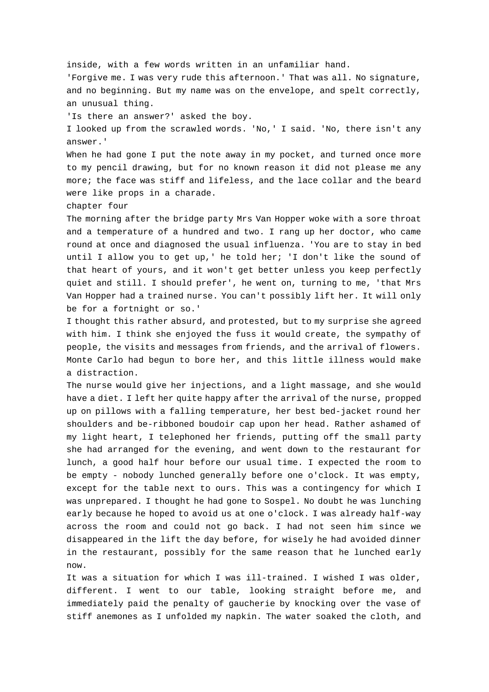inside, with a few words written in an unfamiliar hand.

'Forgive me. I was very rude this afternoon.' That was all. No signature, and no beginning. But my name was on the envelope, and spelt correctly, an unusual thing.

'Is there an answer?' asked the boy.

I looked up from the scrawled words. 'No,' I said. 'No, there isn't any answer.'

When he had gone I put the note away in my pocket, and turned once more to my pencil drawing, but for no known reason it did not please me any more; the face was stiff and lifeless, and the lace collar and the beard were like props in a charade.

chapter four

The morning after the bridge party Mrs Van Hopper woke with a sore throat and a temperature of a hundred and two. I rang up her doctor, who came round at once and diagnosed the usual influenza. 'You are to stay in bed until I allow you to get up,' he told her; 'I don't like the sound of that heart of yours, and it won't get better unless you keep perfectly quiet and still. I should prefer', he went on, turning to me, 'that Mrs Van Hopper had a trained nurse. You can't possibly lift her. It will only be for a fortnight or so.'

I thought this rather absurd, and protested, but to my surprise she agreed with him. I think she enjoyed the fuss it would create, the sympathy of people, the visits and messages from friends, and the arrival of flowers. Monte Carlo had begun to bore her, and this little illness would make a distraction.

The nurse would give her injections, and a light massage, and she would have a diet. I left her quite happy after the arrival of the nurse, propped up on pillows with a falling temperature, her best bed-jacket round her shoulders and be-ribboned boudoir cap upon her head. Rather ashamed of my light heart, I telephoned her friends, putting off the small party she had arranged for the evening, and went down to the restaurant for lunch, a good half hour before our usual time. I expected the room to be empty - nobody lunched generally before one o'clock. It was empty, except for the table next to ours. This was a contingency for which I was unprepared. I thought he had gone to Sospel. No doubt he was lunching early because he hoped to avoid us at one o'clock. I was already half-way across the room and could not go back. I had not seen him since we disappeared in the lift the day before, for wisely he had avoided dinner in the restaurant, possibly for the same reason that he lunched early now.

It was a situation for which I was ill-trained. I wished I was older, different. I went to our table, looking straight before me, and immediately paid the penalty of gaucherie by knocking over the vase of stiff anemones as I unfolded my napkin. The water soaked the cloth, and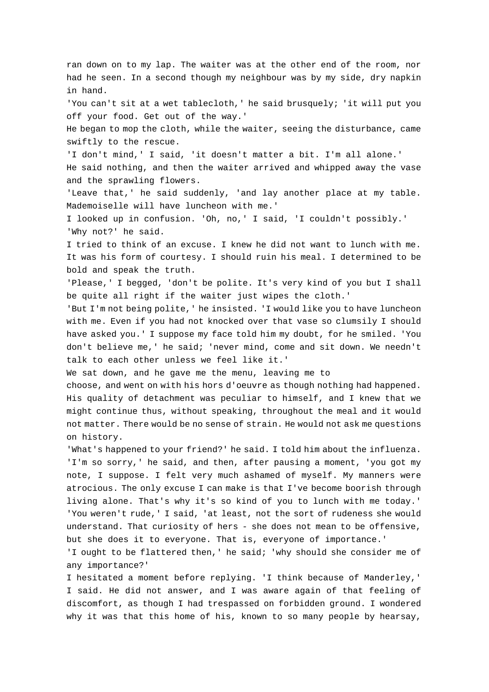ran down on to my lap. The waiter was at the other end of the room, nor had he seen. In a second though my neighbour was by my side, dry napkin in hand. 'You can't sit at a wet tablecloth,' he said brusquely; 'it will put you off your food. Get out of the way.' He began to mop the cloth, while the waiter, seeing the disturbance, came swiftly to the rescue. 'I don't mind,' I said, 'it doesn't matter a bit. I'm all alone.' He said nothing, and then the waiter arrived and whipped away the vase and the sprawling flowers. 'Leave that,' he said suddenly, 'and lay another place at my table. Mademoiselle will have luncheon with me.' I looked up in confusion. 'Oh, no,' I said, 'I couldn't possibly.' 'Why not?' he said. I tried to think of an excuse. I knew he did not want to lunch with me. It was his form of courtesy. I should ruin his meal. I determined to be

bold and speak the truth.

'Please,' I begged, 'don't be polite. It's very kind of you but I shall be quite all right if the waiter just wipes the cloth.'

'But I'm not being polite,' he insisted. 'I would like you to have luncheon with me. Even if you had not knocked over that vase so clumsily I should have asked you.' I suppose my face told him my doubt, for he smiled. 'You don't believe me,' he said; 'never mind, come and sit down. We needn't talk to each other unless we feel like it.'

We sat down, and he gave me the menu, leaving me to

choose, and went on with his hors d'oeuvre as though nothing had happened. His quality of detachment was peculiar to himself, and I knew that we might continue thus, without speaking, throughout the meal and it would not matter. There would be no sense of strain. He would not ask me questions on history.

'What's happened to your friend?' he said. I told him about the influenza. 'I'm so sorry, ' he said, and then, after pausing a moment, 'you got my note, I suppose. I felt very much ashamed of myself. My manners were atrocious. The only excuse I can make is that I've become boorish through living alone. That's why it's so kind of you to lunch with me today.' 'You weren't rude,' I said, 'at least, not the sort of rudeness she would understand. That curiosity of hers - she does not mean to be offensive, but she does it to everyone. That is, everyone of importance.'

'I ought to be flattered then,' he said; 'why should she consider me of any importance?'

I hesitated a moment before replying. 'I think because of Manderley,' I said. He did not answer, and I was aware again of that feeling of discomfort, as though I had trespassed on forbidden ground. I wondered why it was that this home of his, known to so many people by hearsay,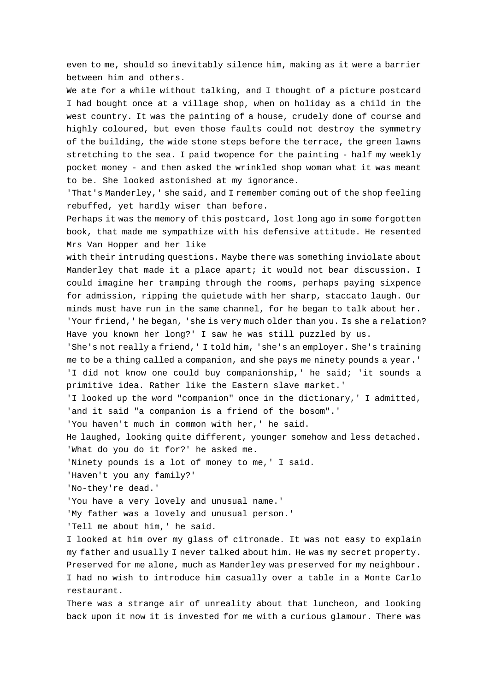even to me, should so inevitably silence him, making as it were a barrier between him and others.

We ate for a while without talking, and I thought of a picture postcard I had bought once at a village shop, when on holiday as a child in the west country. It was the painting of a house, crudely done of course and highly coloured, but even those faults could not destroy the symmetry of the building, the wide stone steps before the terrace, the green lawns stretching to the sea. I paid twopence for the painting - half my weekly pocket money - and then asked the wrinkled shop woman what it was meant to be. She looked astonished at my ignorance.

'That's Manderley,' she said, and I remember coming out of the shop feeling rebuffed, yet hardly wiser than before.

Perhaps it was the memory of this postcard, lost long ago in some forgotten book, that made me sympathize with his defensive attitude. He resented Mrs Van Hopper and her like

with their intruding questions. Maybe there was something inviolate about Manderley that made it a place apart; it would not bear discussion. I could imagine her tramping through the rooms, perhaps paying sixpence for admission, ripping the quietude with her sharp, staccato laugh. Our minds must have run in the same channel, for he began to talk about her. 'Your friend,' he began, 'she is very much older than you. Is she a relation? Have you known her long?' I saw he was still puzzled by us.

'She's not really a friend,' I told him, 'she's an employer. She's training me to be a thing called a companion, and she pays me ninety pounds a year.' 'I did not know one could buy companionship,' he said; 'it sounds a primitive idea. Rather like the Eastern slave market.'

'I looked up the word "companion" once in the dictionary,' I admitted, 'and it said "a companion is a friend of the bosom".'

'You haven't much in common with her,' he said.

He laughed, looking quite different, younger somehow and less detached.

'What do you do it for?' he asked me.

'Ninety pounds is a lot of money to me,' I said.

'Haven't you any family?'

'No-they're dead.'

'You have a very lovely and unusual name.'

'My father was a lovely and unusual person.'

'Tell me about him,' he said.

I looked at him over my glass of citronade. It was not easy to explain my father and usually I never talked about him. He was my secret property. Preserved for me alone, much as Manderley was preserved for my neighbour. I had no wish to introduce him casually over a table in a Monte Carlo restaurant.

There was a strange air of unreality about that luncheon, and looking back upon it now it is invested for me with a curious glamour. There was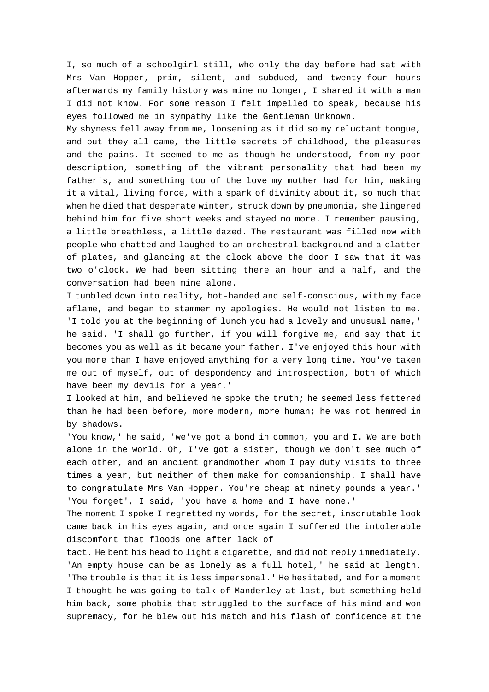I, so much of a schoolgirl still, who only the day before had sat with Mrs Van Hopper, prim, silent, and subdued, and twenty-four hours afterwards my family history was mine no longer, I shared it with a man I did not know. For some reason I felt impelled to speak, because his eyes followed me in sympathy like the Gentleman Unknown.

My shyness fell away from me, loosening as it did so my reluctant tongue, and out they all came, the little secrets of childhood, the pleasures and the pains. It seemed to me as though he understood, from my poor description, something of the vibrant personality that had been my father's, and something too of the love my mother had for him, making it a vital, living force, with a spark of divinity about it, so much that when he died that desperate winter, struck down by pneumonia, she lingered behind him for five short weeks and stayed no more. I remember pausing, a little breathless, a little dazed. The restaurant was filled now with people who chatted and laughed to an orchestral background and a clatter of plates, and glancing at the clock above the door I saw that it was two o'clock. We had been sitting there an hour and a half, and the conversation had been mine alone.

I tumbled down into reality, hot-handed and self-conscious, with my face aflame, and began to stammer my apologies. He would not listen to me. 'I told you at the beginning of lunch you had a lovely and unusual name,' he said. 'I shall go further, if you will forgive me, and say that it becomes you as well as it became your father. I've enjoyed this hour with you more than I have enjoyed anything for a very long time. You've taken me out of myself, out of despondency and introspection, both of which have been my devils for a year.'

I looked at him, and believed he spoke the truth; he seemed less fettered than he had been before, more modern, more human; he was not hemmed in by shadows.

'You know,' he said, 'we've got a bond in common, you and I. We are both alone in the world. Oh, I've got a sister, though we don't see much of each other, and an ancient grandmother whom I pay duty visits to three times a year, but neither of them make for companionship. I shall have to congratulate Mrs Van Hopper. You're cheap at ninety pounds a year.' 'You forget', I said, 'you have a home and I have none.'

The moment I spoke I regretted my words, for the secret, inscrutable look came back in his eyes again, and once again I suffered the intolerable discomfort that floods one after lack of

tact. He bent his head to light a cigarette, and did not reply immediately. 'An empty house can be as lonely as a full hotel,' he said at length. 'The trouble is that it is less impersonal.' He hesitated, and for a moment I thought he was going to talk of Manderley at last, but something held him back, some phobia that struggled to the surface of his mind and won supremacy, for he blew out his match and his flash of confidence at the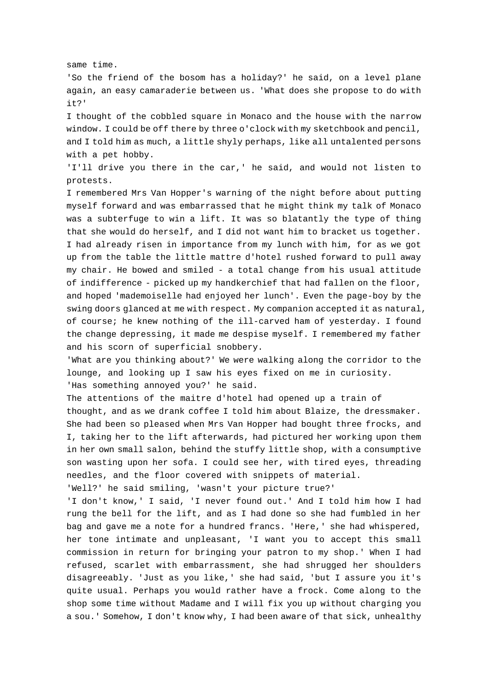same time.

'So the friend of the bosom has a holiday?' he said, on a level plane again, an easy camaraderie between us. 'What does she propose to do with it?'

I thought of the cobbled square in Monaco and the house with the narrow window. I could be off there by three o'clock with my sketchbook and pencil, and I told him as much, a little shyly perhaps, like all untalented persons with a pet hobby.

'I'll drive you there in the car,' he said, and would not listen to protests.

I remembered Mrs Van Hopper's warning of the night before about putting myself forward and was embarrassed that he might think my talk of Monaco was a subterfuge to win a lift. It was so blatantly the type of thing that she would do herself, and I did not want him to bracket us together. I had already risen in importance from my lunch with him, for as we got up from the table the little mattre d'hotel rushed forward to pull away my chair. He bowed and smiled - a total change from his usual attitude of indifference - picked up my handkerchief that had fallen on the floor, and hoped 'mademoiselle had enjoyed her lunch'. Even the page-boy by the swing doors glanced at me with respect. My companion accepted it as natural, of course; he knew nothing of the ill-carved ham of yesterday. I found the change depressing, it made me despise myself. I remembered my father and his scorn of superficial snobbery.

'What are you thinking about?' We were walking along the corridor to the lounge, and looking up I saw his eyes fixed on me in curiosity. 'Has something annoyed you?' he said.

The attentions of the maitre d'hotel had opened up a train of thought, and as we drank coffee I told him about Blaize, the dressmaker. She had been so pleased when Mrs Van Hopper had bought three frocks, and I, taking her to the lift afterwards, had pictured her working upon them in her own small salon, behind the stuffy little shop, with a consumptive son wasting upon her sofa. I could see her, with tired eyes, threading needles, and the floor covered with snippets of material.

'Well?' he said smiling, 'wasn't your picture true?'

'I don't know,' I said, 'I never found out.' And I told him how I had rung the bell for the lift, and as I had done so she had fumbled in her bag and gave me a note for a hundred francs. 'Here,' she had whispered, her tone intimate and unpleasant, 'I want you to accept this small commission in return for bringing your patron to my shop.' When I had refused, scarlet with embarrassment, she had shrugged her shoulders disagreeably. 'Just as you like,' she had said, 'but I assure you it's quite usual. Perhaps you would rather have a frock. Come along to the shop some time without Madame and I will fix you up without charging you a sou.' Somehow, I don't know why, I had been aware of that sick, unhealthy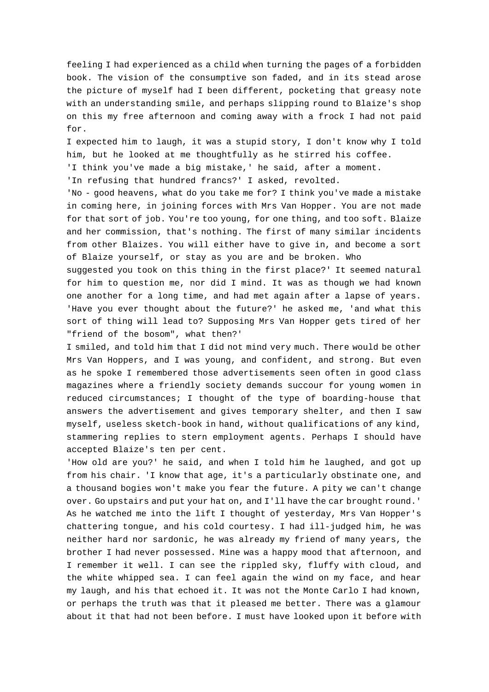feeling I had experienced as a child when turning the pages of a forbidden book. The vision of the consumptive son faded, and in its stead arose the picture of myself had I been different, pocketing that greasy note with an understanding smile, and perhaps slipping round to Blaize's shop on this my free afternoon and coming away with a frock I had not paid for.

I expected him to laugh, it was a stupid story, I don't know why I told him, but he looked at me thoughtfully as he stirred his coffee.

'I think you've made a big mistake,' he said, after a moment.

'In refusing that hundred francs?' I asked, revolted.

'No - good heavens, what do you take me for? I think you've made a mistake in coming here, in joining forces with Mrs Van Hopper. You are not made for that sort of job. You're too young, for one thing, and too soft. Blaize and her commission, that's nothing. The first of many similar incidents from other Blaizes. You will either have to give in, and become a sort of Blaize yourself, or stay as you are and be broken. Who

suggested you took on this thing in the first place?' It seemed natural for him to question me, nor did I mind. It was as though we had known one another for a long time, and had met again after a lapse of years. 'Have you ever thought about the future?' he asked me, 'and what this sort of thing will lead to? Supposing Mrs Van Hopper gets tired of her "friend of the bosom", what then?'

I smiled, and told him that I did not mind very much. There would be other Mrs Van Hoppers, and I was young, and confident, and strong. But even as he spoke I remembered those advertisements seen often in good class magazines where a friendly society demands succour for young women in reduced circumstances; I thought of the type of boarding-house that answers the advertisement and gives temporary shelter, and then I saw myself, useless sketch-book in hand, without qualifications of any kind, stammering replies to stern employment agents. Perhaps I should have accepted Blaize's ten per cent.

'How old are you?' he said, and when I told him he laughed, and got up from his chair. 'I know that age, it's a particularly obstinate one, and a thousand bogies won't make you fear the future. A pity we can't change over. Go upstairs and put your hat on, and I'll have the car brought round.' As he watched me into the lift I thought of yesterday, Mrs Van Hopper's chattering tongue, and his cold courtesy. I had ill-judged him, he was neither hard nor sardonic, he was already my friend of many years, the brother I had never possessed. Mine was a happy mood that afternoon, and I remember it well. I can see the rippled sky, fluffy with cloud, and the white whipped sea. I can feel again the wind on my face, and hear my laugh, and his that echoed it. It was not the Monte Carlo I had known, or perhaps the truth was that it pleased me better. There was a glamour about it that had not been before. I must have looked upon it before with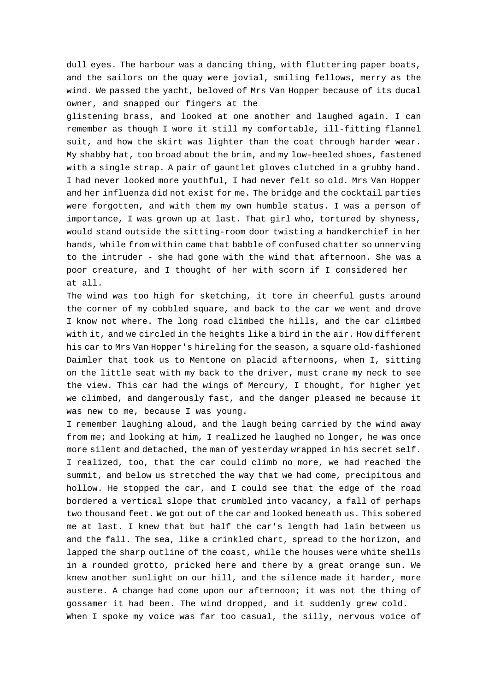dull eyes. The harbour was a dancing thing, with fluttering paper boats, and the sailors on the quay were jovial, smiling fellows, merry as the wind. We passed the yacht, beloved of Mrs Van Hopper because of its ducal owner, and snapped our fingers at the

glistening brass, and looked at one another and laughed again. I can remember as though I wore it still my comfortable, ill-fitting flannel suit, and how the skirt was lighter than the coat through harder wear. My shabby hat, too broad about the brim, and my low-heeled shoes, fastened with a single strap. A pair of gauntlet gloves clutched in a grubby hand. I had never looked more youthful, I had never felt so old. Mrs Van Hopper and her influenza did not exist for me. The bridge and the cocktail parties were forgotten, and with them my own humble status. I was a person of importance, I was grown up at last. That girl who, tortured by shyness, would stand outside the sitting-room door twisting a handkerchief in her hands, while from within came that babble of confused chatter so unnerving to the intruder - she had gone with the wind that afternoon. She was a poor creature, and I thought of her with scorn if I considered her at all.

The wind was too high for sketching, it tore in cheerful gusts around the corner of my cobbled square, and back to the car we went and drove I know not where. The long road climbed the hills, and the car climbed with it, and we circled in the heights like a bird in the air. How different his car to Mrs Van Hopper's hireling for the season, a square old-fashioned Daimler that took us to Mentone on placid afternoons, when I, sitting on the little seat with my back to the driver, must crane my neck to see the view. This car had the wings of Mercury, I thought, for higher yet we climbed, and dangerously fast, and the danger pleased me because it was new to me, because I was young.

I remember laughing aloud, and the laugh being carried by the wind away from me; and looking at him, I realized he laughed no longer, he was once more silent and detached, the man of yesterday wrapped in his secret self. I realized, too, that the car could climb no more, we had reached the summit, and below us stretched the way that we had come, precipitous and hollow. He stopped the car, and I could see that the edge of the road bordered a vertical slope that crumbled into vacancy, a fall of perhaps two thousand feet. We got out of the car and looked beneath us. This sobered me at last. I knew that but half the car's length had lain between us and the fall. The sea, like a crinkled chart, spread to the horizon, and lapped the sharp outline of the coast, while the houses were white shells in a rounded grotto, pricked here and there by a great orange sun. We knew another sunlight on our hill, and the silence made it harder, more austere. A change had come upon our afternoon; it was not the thing of gossamer it had been. The wind dropped, and it suddenly grew cold. When I spoke my voice was far too casual, the silly, nervous voice of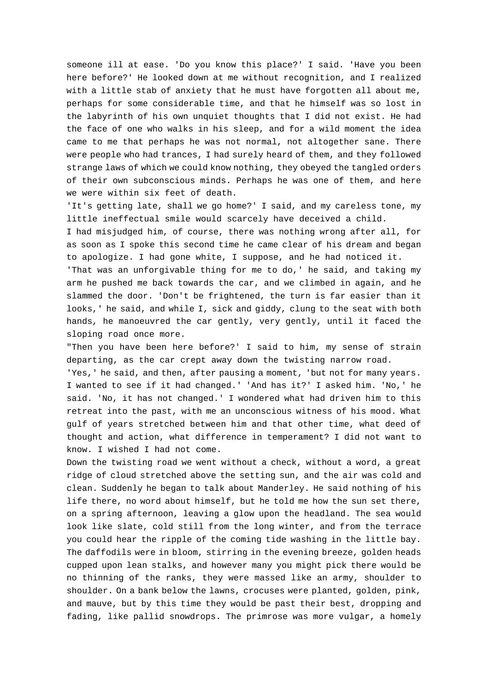someone ill at ease. 'Do you know this place?' I said. 'Have you been here before?' He looked down at me without recognition, and I realized with a little stab of anxiety that he must have forgotten all about me, perhaps for some considerable time, and that he himself was so lost in the labyrinth of his own unquiet thoughts that I did not exist. He had the face of one who walks in his sleep, and for a wild moment the idea came to me that perhaps he was not normal, not altogether sane. There were people who had trances, I had surely heard of them, and they followed strange laws of which we could know nothing, they obeyed the tangled orders of their own subconscious minds. Perhaps he was one of them, and here we were within six feet of death.

'It's getting late, shall we go home?' I said, and my careless tone, my little ineffectual smile would scarcely have deceived a child.

I had misjudged him, of course, there was nothing wrong after all, for as soon as I spoke this second time he came clear of his dream and began to apologize. I had gone white, I suppose, and he had noticed it.

'That was an unforgivable thing for me to do,' he said, and taking my arm he pushed me back towards the car, and we climbed in again, and he slammed the door. 'Don't be frightened, the turn is far easier than it looks,' he said, and while I, sick and giddy, clung to the seat with both hands, he manoeuvred the car gently, very gently, until it faced the sloping road once more.

"Then you have been here before?' I said to him, my sense of strain departing, as the car crept away down the twisting narrow road.

'Yes,' he said, and then, after pausing a moment, 'but not for many years. I wanted to see if it had changed.' 'And has it?' I asked him. 'No,' he said. 'No, it has not changed.' I wondered what had driven him to this retreat into the past, with me an unconscious witness of his mood. What gulf of years stretched between him and that other time, what deed of thought and action, what difference in temperament? I did not want to know. I wished I had not come.

Down the twisting road we went without a check, without a word, a great ridge of cloud stretched above the setting sun, and the air was cold and clean. Suddenly he began to talk about Manderley. He said nothing of his life there, no word about himself, but he told me how the sun set there, on a spring afternoon, leaving a glow upon the headland. The sea would look like slate, cold still from the long winter, and from the terrace you could hear the ripple of the coming tide washing in the little bay. The daffodils were in bloom, stirring in the evening breeze, golden heads cupped upon lean stalks, and however many you might pick there would be no thinning of the ranks, they were massed like an army, shoulder to shoulder. On a bank below the lawns, crocuses were planted, golden, pink, and mauve, but by this time they would be past their best, dropping and fading, like pallid snowdrops. The primrose was more vulgar, a homely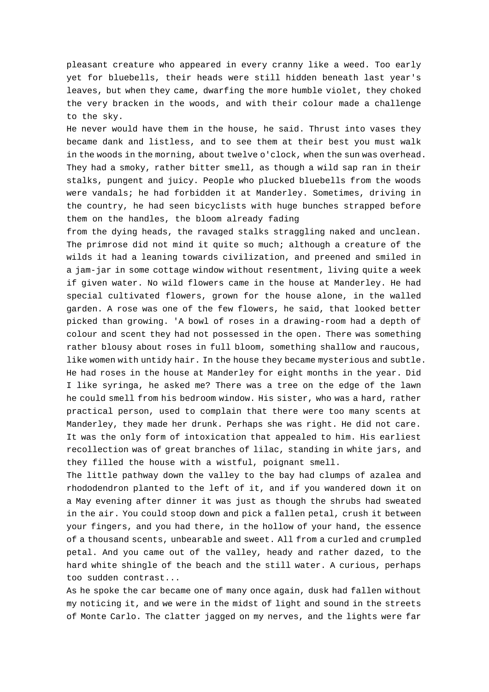pleasant creature who appeared in every cranny like a weed. Too early yet for bluebells, their heads were still hidden beneath last year's leaves, but when they came, dwarfing the more humble violet, they choked the very bracken in the woods, and with their colour made a challenge to the sky.

He never would have them in the house, he said. Thrust into vases they became dank and listless, and to see them at their best you must walk in the woods in the morning, about twelve o'clock, when the sun was overhead. They had a smoky, rather bitter smell, as though a wild sap ran in their stalks, pungent and juicy. People who plucked bluebells from the woods were vandals; he had forbidden it at Manderley. Sometimes, driving in the country, he had seen bicyclists with huge bunches strapped before them on the handles, the bloom already fading

from the dying heads, the ravaged stalks straggling naked and unclean. The primrose did not mind it quite so much; although a creature of the wilds it had a leaning towards civilization, and preened and smiled in a jam-jar in some cottage window without resentment, living quite a week if given water. No wild flowers came in the house at Manderley. He had special cultivated flowers, grown for the house alone, in the walled garden. A rose was one of the few flowers, he said, that looked better picked than growing. 'A bowl of roses in a drawing-room had a depth of colour and scent they had not possessed in the open. There was something rather blousy about roses in full bloom, something shallow and raucous, like women with untidy hair. In the house they became mysterious and subtle. He had roses in the house at Manderley for eight months in the year. Did I like syringa, he asked me? There was a tree on the edge of the lawn he could smell from his bedroom window. His sister, who was a hard, rather practical person, used to complain that there were too many scents at Manderley, they made her drunk. Perhaps she was right. He did not care. It was the only form of intoxication that appealed to him. His earliest recollection was of great branches of lilac, standing in white jars, and they filled the house with a wistful, poignant smell.

The little pathway down the valley to the bay had clumps of azalea and rhododendron planted to the left of it, and if you wandered down it on a May evening after dinner it was just as though the shrubs had sweated in the air. You could stoop down and pick a fallen petal, crush it between your fingers, and you had there, in the hollow of your hand, the essence of a thousand scents, unbearable and sweet. All from a curled and crumpled petal. And you came out of the valley, heady and rather dazed, to the hard white shingle of the beach and the still water. A curious, perhaps too sudden contrast...

As he spoke the car became one of many once again, dusk had fallen without my noticing it, and we were in the midst of light and sound in the streets of Monte Carlo. The clatter jagged on my nerves, and the lights were far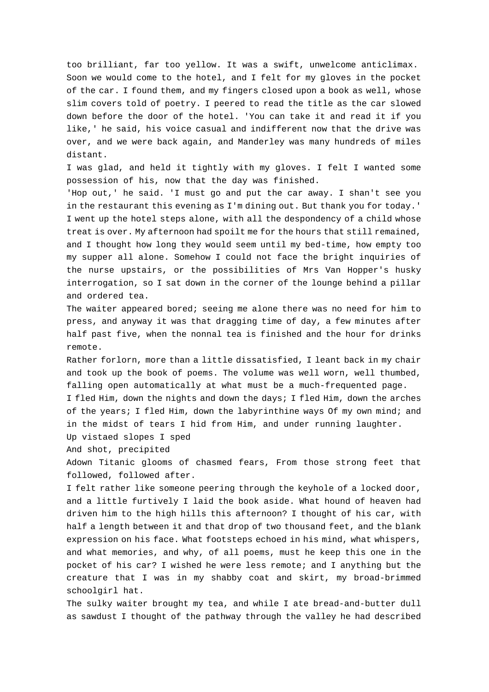too brilliant, far too yellow. It was a swift, unwelcome anticlimax. Soon we would come to the hotel, and I felt for my gloves in the pocket of the car. I found them, and my fingers closed upon a book as well, whose slim covers told of poetry. I peered to read the title as the car slowed down before the door of the hotel. 'You can take it and read it if you like,' he said, his voice casual and indifferent now that the drive was over, and we were back again, and Manderley was many hundreds of miles distant.

I was glad, and held it tightly with my gloves. I felt I wanted some possession of his, now that the day was finished.

'Hop out,' he said. 'I must go and put the car away. I shan't see you in the restaurant this evening as I'm dining out. But thank you for today.' I went up the hotel steps alone, with all the despondency of a child whose treat is over. My afternoon had spoilt me for the hours that still remained, and I thought how long they would seem until my bed-time, how empty too my supper all alone. Somehow I could not face the bright inquiries of the nurse upstairs, or the possibilities of Mrs Van Hopper's husky interrogation, so I sat down in the corner of the lounge behind a pillar and ordered tea.

The waiter appeared bored; seeing me alone there was no need for him to press, and anyway it was that dragging time of day, a few minutes after half past five, when the nonnal tea is finished and the hour for drinks remote.

Rather forlorn, more than a little dissatisfied, I leant back in my chair and took up the book of poems. The volume was well worn, well thumbed, falling open automatically at what must be a much-frequented page.

I fled Him, down the nights and down the days; I fled Him, down the arches of the years; I fled Him, down the labyrinthine ways Of my own mind; and in the midst of tears I hid from Him, and under running laughter.

Up vistaed slopes I sped

And shot, precipited

Adown Titanic glooms of chasmed fears, From those strong feet that followed, followed after.

I felt rather like someone peering through the keyhole of a locked door, and a little furtively I laid the book aside. What hound of heaven had driven him to the high hills this afternoon? I thought of his car, with half a length between it and that drop of two thousand feet, and the blank expression on his face. What footsteps echoed in his mind, what whispers, and what memories, and why, of all poems, must he keep this one in the pocket of his car? I wished he were less remote; and I anything but the creature that I was in my shabby coat and skirt, my broad-brimmed schoolgirl hat.

The sulky waiter brought my tea, and while I ate bread-and-butter dull as sawdust I thought of the pathway through the valley he had described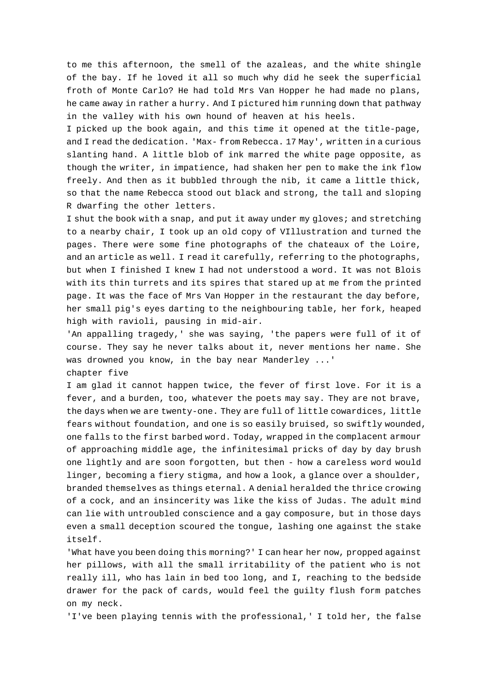to me this afternoon, the smell of the azaleas, and the white shingle of the bay. If he loved it all so much why did he seek the superficial froth of Monte Carlo? He had told Mrs Van Hopper he had made no plans, he came away in rather a hurry. And I pictured him running down that pathway in the valley with his own hound of heaven at his heels.

I picked up the book again, and this time it opened at the title-page, and I read the dedication. 'Max- from Rebecca. 17 May', written in a curious slanting hand. A little blob of ink marred the white page opposite, as though the writer, in impatience, had shaken her pen to make the ink flow freely. And then as it bubbled through the nib, it came a little thick, so that the name Rebecca stood out black and strong, the tall and sloping R dwarfing the other letters.

I shut the book with a snap, and put it away under my gloves; and stretching to a nearby chair, I took up an old copy of VIllustration and turned the pages. There were some fine photographs of the chateaux of the Loire, and an article as well. I read it carefully, referring to the photographs, but when I finished I knew I had not understood a word. It was not Blois with its thin turrets and its spires that stared up at me from the printed page. It was the face of Mrs Van Hopper in the restaurant the day before, her small pig's eyes darting to the neighbouring table, her fork, heaped high with ravioli, pausing in mid-air.

'An appalling tragedy,' she was saying, 'the papers were full of it of course. They say he never talks about it, never mentions her name. She was drowned you know, in the bay near Manderley ...' chapter five

I am glad it cannot happen twice, the fever of first love. For it is a fever, and a burden, too, whatever the poets may say. They are not brave, the days when we are twenty-one. They are full of little cowardices, little fears without foundation, and one is so easily bruised, so swiftly wounded, one falls to the first barbed word. Today, wrapped in the complacent armour of approaching middle age, the infinitesimal pricks of day by day brush one lightly and are soon forgotten, but then - how a careless word would linger, becoming a fiery stigma, and how a look, a glance over a shoulder, branded themselves as things eternal. A denial heralded the thrice crowing of a cock, and an insincerity was like the kiss of Judas. The adult mind can lie with untroubled conscience and a gay composure, but in those days even a small deception scoured the tongue, lashing one against the stake itself.

'What have you been doing this morning?' I can hear her now, propped against her pillows, with all the small irritability of the patient who is not really ill, who has lain in bed too long, and I, reaching to the bedside drawer for the pack of cards, would feel the guilty flush form patches on my neck.

'I've been playing tennis with the professional,' I told her, the false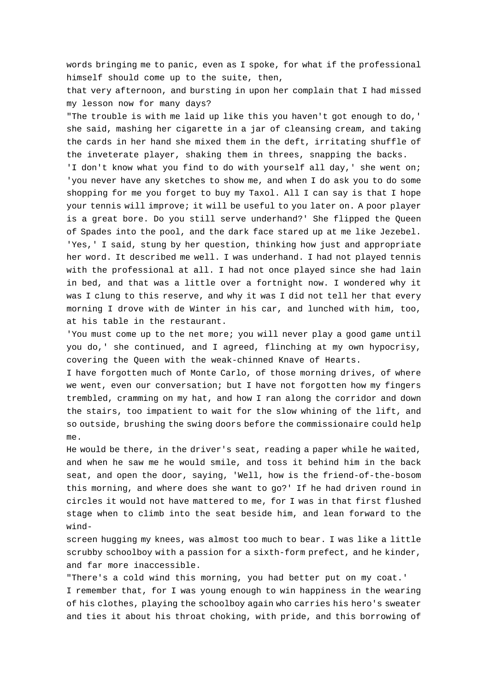words bringing me to panic, even as I spoke, for what if the professional himself should come up to the suite, then,

that very afternoon, and bursting in upon her complain that I had missed my lesson now for many days?

"The trouble is with me laid up like this you haven't got enough to do,' she said, mashing her cigarette in a jar of cleansing cream, and taking the cards in her hand she mixed them in the deft, irritating shuffle of the inveterate player, shaking them in threes, snapping the backs.

'I don't know what you find to do with yourself all day,' she went on; 'you never have any sketches to show me, and when I do ask you to do some shopping for me you forget to buy my Taxol. All I can say is that I hope your tennis will improve; it will be useful to you later on. A poor player is a great bore. Do you still serve underhand?' She flipped the Queen of Spades into the pool, and the dark face stared up at me like Jezebel. 'Yes,' I said, stung by her question, thinking how just and appropriate her word. It described me well. I was underhand. I had not played tennis with the professional at all. I had not once played since she had lain in bed, and that was a little over a fortnight now. I wondered why it was I clung to this reserve, and why it was I did not tell her that every morning I drove with de Winter in his car, and lunched with him, too, at his table in the restaurant.

'You must come up to the net more; you will never play a good game until you do,' she continued, and I agreed, flinching at my own hypocrisy, covering the Queen with the weak-chinned Knave of Hearts.

I have forgotten much of Monte Carlo, of those morning drives, of where we went, even our conversation; but I have not forgotten how my fingers trembled, cramming on my hat, and how I ran along the corridor and down the stairs, too impatient to wait for the slow whining of the lift, and so outside, brushing the swing doors before the commissionaire could help me.

He would be there, in the driver's seat, reading a paper while he waited, and when he saw me he would smile, and toss it behind him in the back seat, and open the door, saying, 'Well, how is the friend-of-the-bosom this morning, and where does she want to go?' If he had driven round in circles it would not have mattered to me, for I was in that first flushed stage when to climb into the seat beside him, and lean forward to the wind-

screen hugging my knees, was almost too much to bear. I was like a little scrubby schoolboy with a passion for a sixth-form prefect, and he kinder, and far more inaccessible.

"There's a cold wind this morning, you had better put on my coat.' I remember that, for I was young enough to win happiness in the wearing of his clothes, playing the schoolboy again who carries his hero's sweater and ties it about his throat choking, with pride, and this borrowing of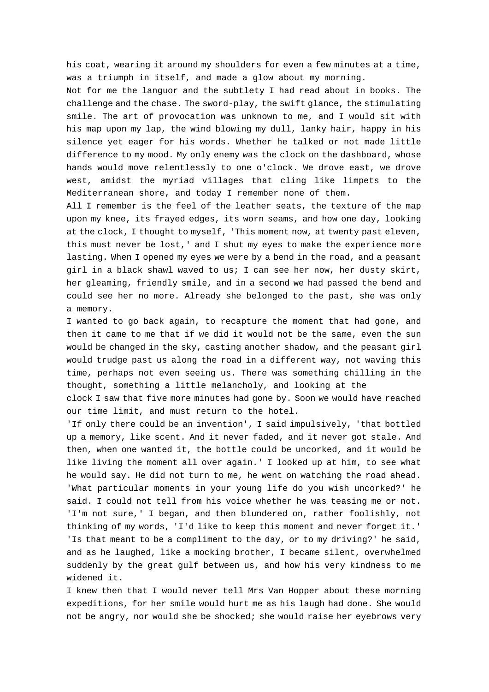his coat, wearing it around my shoulders for even a few minutes at a time, was a triumph in itself, and made a glow about my morning.

Not for me the languor and the subtlety I had read about in books. The challenge and the chase. The sword-play, the swift glance, the stimulating smile. The art of provocation was unknown to me, and I would sit with his map upon my lap, the wind blowing my dull, lanky hair, happy in his silence yet eager for his words. Whether he talked or not made little difference to my mood. My only enemy was the clock on the dashboard, whose hands would move relentlessly to one o'clock. We drove east, we drove west, amidst the myriad villages that cling like limpets to the Mediterranean shore, and today I remember none of them.

All I remember is the feel of the leather seats, the texture of the map upon my knee, its frayed edges, its worn seams, and how one day, looking at the clock, I thought to myself, 'This moment now, at twenty past eleven, this must never be lost,' and I shut my eyes to make the experience more lasting. When I opened my eyes we were by a bend in the road, and a peasant girl in a black shawl waved to us; I can see her now, her dusty skirt, her gleaming, friendly smile, and in a second we had passed the bend and could see her no more. Already she belonged to the past, she was only a memory.

I wanted to go back again, to recapture the moment that had gone, and then it came to me that if we did it would not be the same, even the sun would be changed in the sky, casting another shadow, and the peasant girl would trudge past us along the road in a different way, not waving this time, perhaps not even seeing us. There was something chilling in the thought, something a little melancholy, and looking at the

clock I saw that five more minutes had gone by. Soon we would have reached our time limit, and must return to the hotel.

'If only there could be an invention', I said impulsively, 'that bottled up a memory, like scent. And it never faded, and it never got stale. And then, when one wanted it, the bottle could be uncorked, and it would be like living the moment all over again.' I looked up at him, to see what he would say. He did not turn to me, he went on watching the road ahead. 'What particular moments in your young life do you wish uncorked?' he said. I could not tell from his voice whether he was teasing me or not. 'I'm not sure,' I began, and then blundered on, rather foolishly, not thinking of my words, 'I'd like to keep this moment and never forget it.' 'Is that meant to be a compliment to the day, or to my driving?' he said, and as he laughed, like a mocking brother, I became silent, overwhelmed suddenly by the great gulf between us, and how his very kindness to me widened it.

I knew then that I would never tell Mrs Van Hopper about these morning expeditions, for her smile would hurt me as his laugh had done. She would not be angry, nor would she be shocked; she would raise her eyebrows very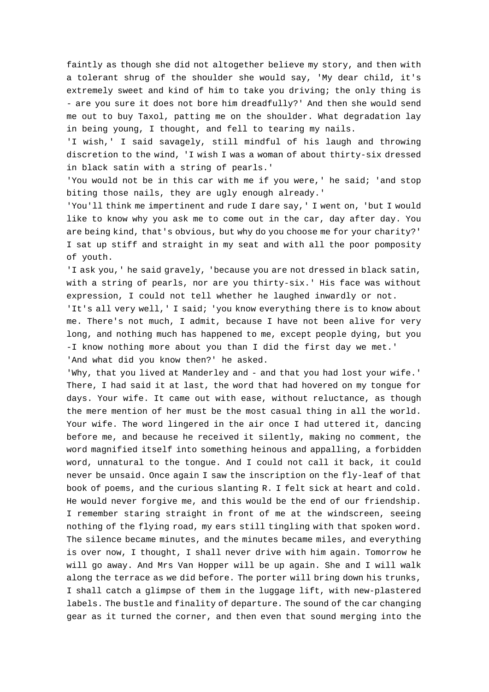faintly as though she did not altogether believe my story, and then with a tolerant shrug of the shoulder she would say, 'My dear child, it's extremely sweet and kind of him to take you driving; the only thing is - are you sure it does not bore him dreadfully?' And then she would send me out to buy Taxol, patting me on the shoulder. What degradation lay in being young, I thought, and fell to tearing my nails.

'I wish,' I said savagely, still mindful of his laugh and throwing discretion to the wind, 'I wish I was a woman of about thirty-six dressed in black satin with a string of pearls.'

'You would not be in this car with me if you were,' he said; 'and stop biting those nails, they are ugly enough already.'

'You'll think me impertinent and rude I dare say,' I went on, 'but I would like to know why you ask me to come out in the car, day after day. You are being kind, that's obvious, but why do you choose me for your charity?' I sat up stiff and straight in my seat and with all the poor pomposity of youth.

'I ask you,' he said gravely, 'because you are not dressed in black satin, with a string of pearls, nor are you thirty-six.' His face was without expression, I could not tell whether he laughed inwardly or not.

'It's all very well,' I said; 'you know everything there is to know about me. There's not much, I admit, because I have not been alive for very long, and nothing much has happened to me, except people dying, but you -I know nothing more about you than I did the first day we met.'

'And what did you know then?' he asked.

'Why, that you lived at Manderley and - and that you had lost your wife.' There, I had said it at last, the word that had hovered on my tongue for days. Your wife. It came out with ease, without reluctance, as though the mere mention of her must be the most casual thing in all the world. Your wife. The word lingered in the air once I had uttered it, dancing before me, and because he received it silently, making no comment, the word magnified itself into something heinous and appalling, a forbidden word, unnatural to the tongue. And I could not call it back, it could never be unsaid. Once again I saw the inscription on the fly-leaf of that book of poems, and the curious slanting R. I felt sick at heart and cold. He would never forgive me, and this would be the end of our friendship. I remember staring straight in front of me at the windscreen, seeing nothing of the flying road, my ears still tingling with that spoken word. The silence became minutes, and the minutes became miles, and everything is over now, I thought, I shall never drive with him again. Tomorrow he will go away. And Mrs Van Hopper will be up again. She and I will walk along the terrace as we did before. The porter will bring down his trunks, I shall catch a glimpse of them in the luggage lift, with new-plastered labels. The bustle and finality of departure. The sound of the car changing gear as it turned the corner, and then even that sound merging into the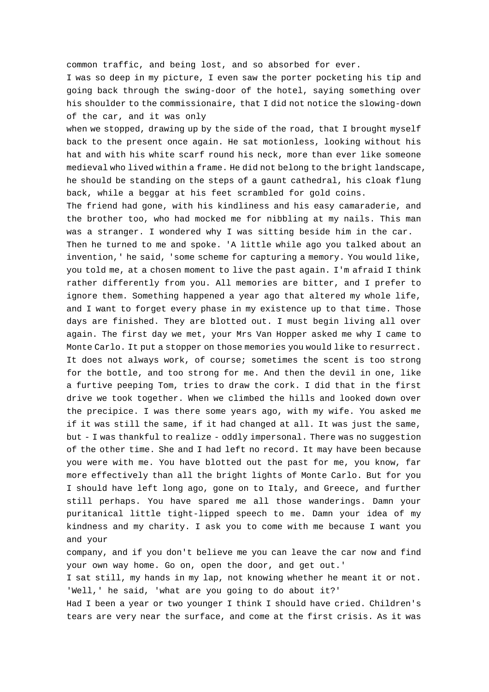common traffic, and being lost, and so absorbed for ever.

I was so deep in my picture, I even saw the porter pocketing his tip and going back through the swing-door of the hotel, saying something over his shoulder to the commissionaire, that I did not notice the slowing-down of the car, and it was only

when we stopped, drawing up by the side of the road, that I brought myself back to the present once again. He sat motionless, looking without his hat and with his white scarf round his neck, more than ever like someone medieval who lived within a frame. He did not belong to the bright landscape, he should be standing on the steps of a gaunt cathedral, his cloak flung back, while a beggar at his feet scrambled for gold coins.

The friend had gone, with his kindliness and his easy camaraderie, and the brother too, who had mocked me for nibbling at my nails. This man was a stranger. I wondered why I was sitting beside him in the car.

Then he turned to me and spoke. 'A little while ago you talked about an invention,' he said, 'some scheme for capturing a memory. You would like, you told me, at a chosen moment to live the past again. I'm afraid I think rather differently from you. All memories are bitter, and I prefer to ignore them. Something happened a year ago that altered my whole life, and I want to forget every phase in my existence up to that time. Those days are finished. They are blotted out. I must begin living all over again. The first day we met, your Mrs Van Hopper asked me why I came to Monte Carlo. It put a stopper on those memories you would like to resurrect. It does not always work, of course; sometimes the scent is too strong for the bottle, and too strong for me. And then the devil in one, like a furtive peeping Tom, tries to draw the cork. I did that in the first drive we took together. When we climbed the hills and looked down over the precipice. I was there some years ago, with my wife. You asked me if it was still the same, if it had changed at all. It was just the same, but - I was thankful to realize - oddly impersonal. There was no suggestion of the other time. She and I had left no record. It may have been because you were with me. You have blotted out the past for me, you know, far more effectively than all the bright lights of Monte Carlo. But for you I should have left long ago, gone on to Italy, and Greece, and further still perhaps. You have spared me all those wanderings. Damn your puritanical little tight-lipped speech to me. Damn your idea of my kindness and my charity. I ask you to come with me because I want you and your

company, and if you don't believe me you can leave the car now and find your own way home. Go on, open the door, and get out.'

I sat still, my hands in my lap, not knowing whether he meant it or not. 'Well,' he said, 'what are you going to do about it?'

Had I been a year or two younger I think I should have cried. Children's tears are very near the surface, and come at the first crisis. As it was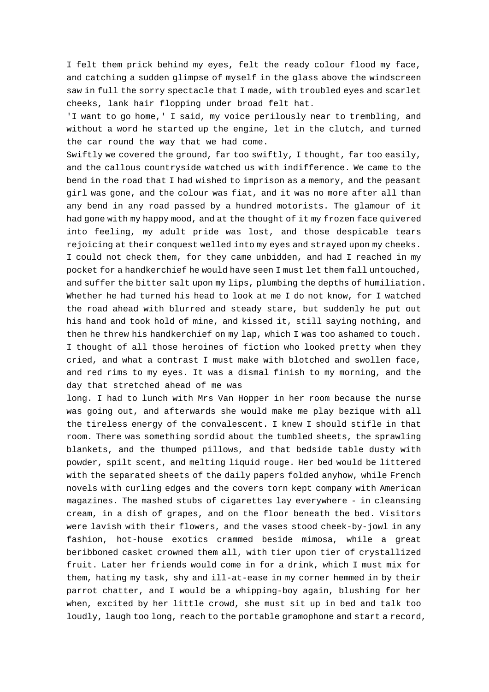I felt them prick behind my eyes, felt the ready colour flood my face, and catching a sudden glimpse of myself in the glass above the windscreen saw in full the sorry spectacle that I made, with troubled eyes and scarlet cheeks, lank hair flopping under broad felt hat.

'I want to go home,' I said, my voice perilously near to trembling, and without a word he started up the engine, let in the clutch, and turned the car round the way that we had come.

Swiftly we covered the ground, far too swiftly, I thought, far too easily, and the callous countryside watched us with indifference. We came to the bend in the road that I had wished to imprison as a memory, and the peasant girl was gone, and the colour was fiat, and it was no more after all than any bend in any road passed by a hundred motorists. The glamour of it had gone with my happy mood, and at the thought of it my frozen face quivered into feeling, my adult pride was lost, and those despicable tears rejoicing at their conquest welled into my eyes and strayed upon my cheeks. I could not check them, for they came unbidden, and had I reached in my pocket for a handkerchief he would have seen I must let them fall untouched, and suffer the bitter salt upon my lips, plumbing the depths of humiliation. Whether he had turned his head to look at me I do not know, for I watched the road ahead with blurred and steady stare, but suddenly he put out his hand and took hold of mine, and kissed it, still saying nothing, and then he threw his handkerchief on my lap, which I was too ashamed to touch. I thought of all those heroines of fiction who looked pretty when they cried, and what a contrast I must make with blotched and swollen face, and red rims to my eyes. It was a dismal finish to my morning, and the day that stretched ahead of me was

long. I had to lunch with Mrs Van Hopper in her room because the nurse was going out, and afterwards she would make me play bezique with all the tireless energy of the convalescent. I knew I should stifle in that room. There was something sordid about the tumbled sheets, the sprawling blankets, and the thumped pillows, and that bedside table dusty with powder, spilt scent, and melting liquid rouge. Her bed would be littered with the separated sheets of the daily papers folded anyhow, while French novels with curling edges and the covers torn kept company with American magazines. The mashed stubs of cigarettes lay everywhere - in cleansing cream, in a dish of grapes, and on the floor beneath the bed. Visitors were lavish with their flowers, and the vases stood cheek-by-jowl in any fashion, hot-house exotics crammed beside mimosa, while a great beribboned casket crowned them all, with tier upon tier of crystallized fruit. Later her friends would come in for a drink, which I must mix for them, hating my task, shy and ill-at-ease in my corner hemmed in by their parrot chatter, and I would be a whipping-boy again, blushing for her when, excited by her little crowd, she must sit up in bed and talk too loudly, laugh too long, reach to the portable gramophone and start a record,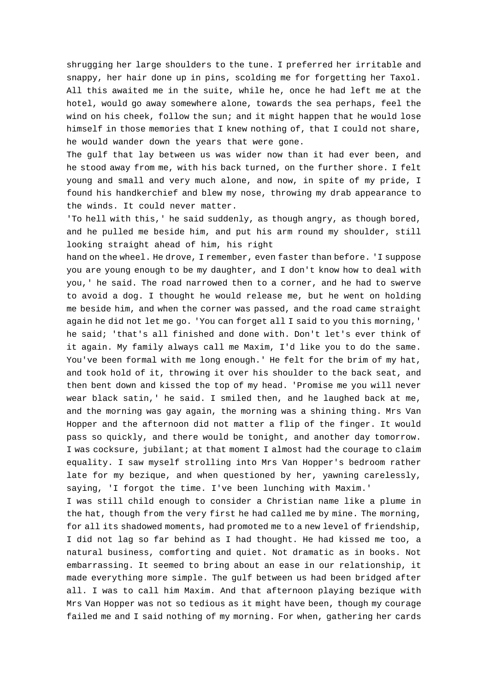shrugging her large shoulders to the tune. I preferred her irritable and snappy, her hair done up in pins, scolding me for forgetting her Taxol. All this awaited me in the suite, while he, once he had left me at the hotel, would go away somewhere alone, towards the sea perhaps, feel the wind on his cheek, follow the sun; and it might happen that he would lose himself in those memories that I knew nothing of, that I could not share, he would wander down the years that were gone.

The gulf that lay between us was wider now than it had ever been, and he stood away from me, with his back turned, on the further shore. I felt young and small and very much alone, and now, in spite of my pride, I found his handkerchief and blew my nose, throwing my drab appearance to the winds. It could never matter.

'To hell with this,' he said suddenly, as though angry, as though bored, and he pulled me beside him, and put his arm round my shoulder, still looking straight ahead of him, his right

hand on the wheel. He drove, I remember, even faster than before. 'I suppose you are young enough to be my daughter, and I don't know how to deal with you,' he said. The road narrowed then to a corner, and he had to swerve to avoid a dog. I thought he would release me, but he went on holding me beside him, and when the corner was passed, and the road came straight again he did not let me go. 'You can forget all I said to you this morning,' he said; 'that's all finished and done with. Don't let's ever think of it again. My family always call me Maxim, I'd like you to do the same. You've been formal with me long enough.' He felt for the brim of my hat, and took hold of it, throwing it over his shoulder to the back seat, and then bent down and kissed the top of my head. 'Promise me you will never wear black satin,' he said. I smiled then, and he laughed back at me, and the morning was gay again, the morning was a shining thing. Mrs Van Hopper and the afternoon did not matter a flip of the finger. It would pass so quickly, and there would be tonight, and another day tomorrow. I was cocksure, jubilant; at that moment I almost had the courage to claim equality. I saw myself strolling into Mrs Van Hopper's bedroom rather late for my bezique, and when questioned by her, yawning carelessly, saying, 'I forgot the time. I've been lunching with Maxim.'

I was still child enough to consider a Christian name like a plume in the hat, though from the very first he had called me by mine. The morning, for all its shadowed moments, had promoted me to a new level of friendship, I did not lag so far behind as I had thought. He had kissed me too, a natural business, comforting and quiet. Not dramatic as in books. Not embarrassing. It seemed to bring about an ease in our relationship, it made everything more simple. The gulf between us had been bridged after all. I was to call him Maxim. And that afternoon playing bezique with Mrs Van Hopper was not so tedious as it might have been, though my courage failed me and I said nothing of my morning. For when, gathering her cards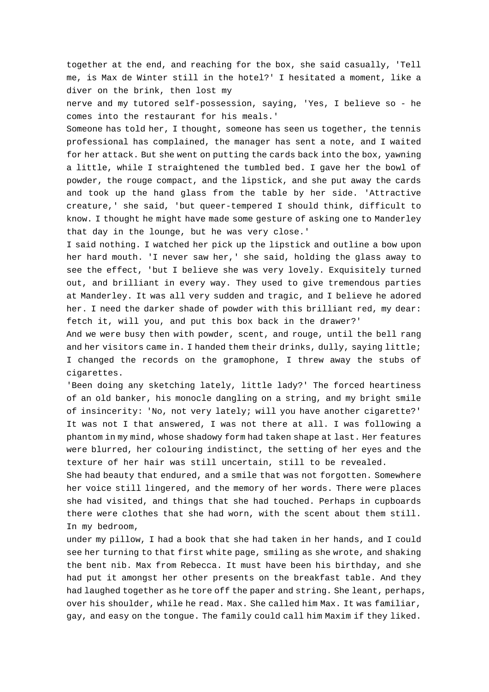together at the end, and reaching for the box, she said casually, 'Tell me, is Max de Winter still in the hotel?' I hesitated a moment, like a diver on the brink, then lost my

nerve and my tutored self-possession, saying, 'Yes, I believe so - he comes into the restaurant for his meals.'

Someone has told her, I thought, someone has seen us together, the tennis professional has complained, the manager has sent a note, and I waited for her attack. But she went on putting the cards back into the box, yawning a little, while I straightened the tumbled bed. I gave her the bowl of powder, the rouge compact, and the lipstick, and she put away the cards and took up the hand glass from the table by her side. 'Attractive creature,' she said, 'but queer-tempered I should think, difficult to know. I thought he might have made some gesture of asking one to Manderley that day in the lounge, but he was very close.'

I said nothing. I watched her pick up the lipstick and outline a bow upon her hard mouth. 'I never saw her,' she said, holding the glass away to see the effect, 'but I believe she was very lovely. Exquisitely turned out, and brilliant in every way. They used to give tremendous parties at Manderley. It was all very sudden and tragic, and I believe he adored her. I need the darker shade of powder with this brilliant red, my dear: fetch it, will you, and put this box back in the drawer?'

And we were busy then with powder, scent, and rouge, until the bell rang and her visitors came in. I handed them their drinks, dully, saying little; I changed the records on the gramophone, I threw away the stubs of cigarettes.

'Been doing any sketching lately, little lady?' The forced heartiness of an old banker, his monocle dangling on a string, and my bright smile of insincerity: 'No, not very lately; will you have another cigarette?' It was not I that answered, I was not there at all. I was following a phantom in my mind, whose shadowy form had taken shape at last. Her features were blurred, her colouring indistinct, the setting of her eyes and the texture of her hair was still uncertain, still to be revealed.

She had beauty that endured, and a smile that was not forgotten. Somewhere her voice still lingered, and the memory of her words. There were places she had visited, and things that she had touched. Perhaps in cupboards there were clothes that she had worn, with the scent about them still. In my bedroom,

under my pillow, I had a book that she had taken in her hands, and I could see her turning to that first white page, smiling as she wrote, and shaking the bent nib. Max from Rebecca. It must have been his birthday, and she had put it amongst her other presents on the breakfast table. And they had laughed together as he tore off the paper and string. She leant, perhaps, over his shoulder, while he read. Max. She called him Max. It was familiar, gay, and easy on the tongue. The family could call him Maxim if they liked.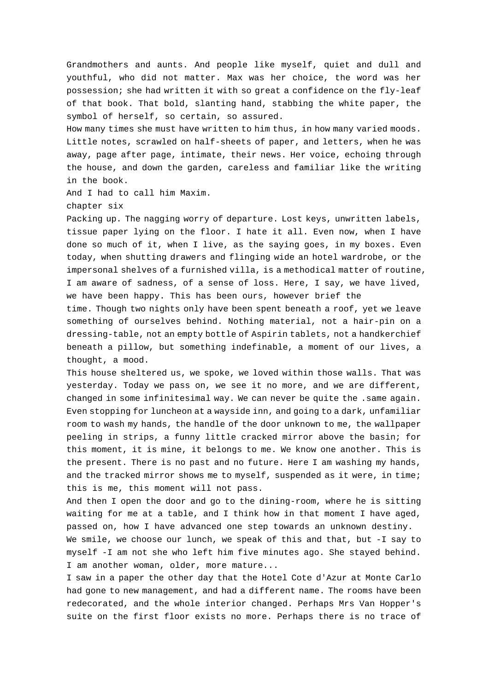Grandmothers and aunts. And people like myself, quiet and dull and youthful, who did not matter. Max was her choice, the word was her possession; she had written it with so great a confidence on the fly-leaf of that book. That bold, slanting hand, stabbing the white paper, the symbol of herself, so certain, so assured.

How many times she must have written to him thus, in how many varied moods. Little notes, scrawled on half-sheets of paper, and letters, when he was away, page after page, intimate, their news. Her voice, echoing through the house, and down the garden, careless and familiar like the writing in the book.

And I had to call him Maxim.

chapter six

Packing up. The nagging worry of departure. Lost keys, unwritten labels, tissue paper lying on the floor. I hate it all. Even now, when I have done so much of it, when I live, as the saying goes, in my boxes. Even today, when shutting drawers and flinging wide an hotel wardrobe, or the impersonal shelves of a furnished villa, is a methodical matter of routine, I am aware of sadness, of a sense of loss. Here, I say, we have lived, we have been happy. This has been ours, however brief the

time. Though two nights only have been spent beneath a roof, yet we leave something of ourselves behind. Nothing material, not a hair-pin on a dressing-table, not an empty bottle of Aspirin tablets, not a handkerchief beneath a pillow, but something indefinable, a moment of our lives, a thought, a mood.

This house sheltered us, we spoke, we loved within those walls. That was yesterday. Today we pass on, we see it no more, and we are different, changed in some infinitesimal way. We can never be quite the .same again. Even stopping for luncheon at a wayside inn, and going to a dark, unfamiliar room to wash my hands, the handle of the door unknown to me, the wallpaper peeling in strips, a funny little cracked mirror above the basin; for this moment, it is mine, it belongs to me. We know one another. This is the present. There is no past and no future. Here I am washing my hands, and the tracked mirror shows me to myself, suspended as it were, in time; this is me, this moment will not pass.

And then I open the door and go to the dining-room, where he is sitting waiting for me at a table, and I think how in that moment I have aged, passed on, how I have advanced one step towards an unknown destiny.

We smile, we choose our lunch, we speak of this and that, but -I say to myself -I am not she who left him five minutes ago. She stayed behind. I am another woman, older, more mature...

I saw in a paper the other day that the Hotel Cote d'Azur at Monte Carlo had gone to new management, and had a different name. The rooms have been redecorated, and the whole interior changed. Perhaps Mrs Van Hopper's suite on the first floor exists no more. Perhaps there is no trace of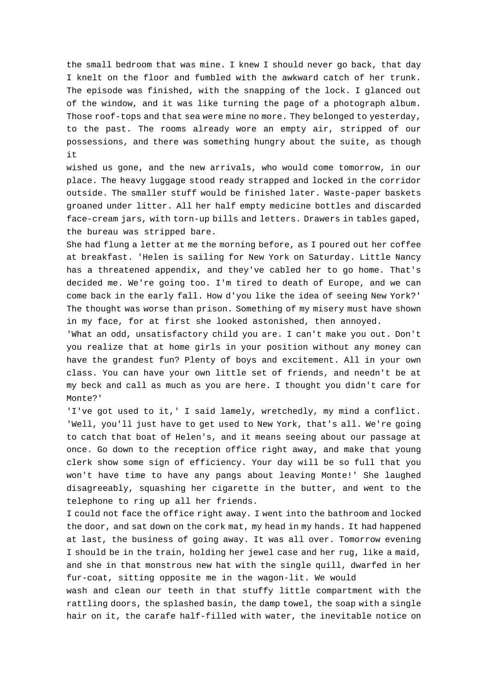the small bedroom that was mine. I knew I should never go back, that day I knelt on the floor and fumbled with the awkward catch of her trunk. The episode was finished, with the snapping of the lock. I glanced out of the window, and it was like turning the page of a photograph album. Those roof-tops and that sea were mine no more. They belonged to yesterday, to the past. The rooms already wore an empty air, stripped of our possessions, and there was something hungry about the suite, as though it

wished us gone, and the new arrivals, who would come tomorrow, in our place. The heavy luggage stood ready strapped and locked in the corridor outside. The smaller stuff would be finished later. Waste-paper baskets groaned under litter. All her half empty medicine bottles and discarded face-cream jars, with torn-up bills and letters. Drawers in tables gaped, the bureau was stripped bare.

She had flung a letter at me the morning before, as I poured out her coffee at breakfast. 'Helen is sailing for New York on Saturday. Little Nancy has a threatened appendix, and they've cabled her to go home. That's decided me. We're going too. I'm tired to death of Europe, and we can come back in the early fall. How d'you like the idea of seeing New York?' The thought was worse than prison. Something of my misery must have shown in my face, for at first she looked astonished, then annoyed.

'What an odd, unsatisfactory child you are. I can't make you out. Don't you realize that at home girls in your position without any money can have the grandest fun? Plenty of boys and excitement. All in your own class. You can have your own little set of friends, and needn't be at my beck and call as much as you are here. I thought you didn't care for Monte?'

'I've got used to it,' I said lamely, wretchedly, my mind a conflict. 'Well, you'll just have to get used to New York, that's all. We're going to catch that boat of Helen's, and it means seeing about our passage at once. Go down to the reception office right away, and make that young clerk show some sign of efficiency. Your day will be so full that you won't have time to have any pangs about leaving Monte!' She laughed disagreeably, squashing her cigarette in the butter, and went to the telephone to ring up all her friends.

I could not face the office right away. I went into the bathroom and locked the door, and sat down on the cork mat, my head in my hands. It had happened at last, the business of going away. It was all over. Tomorrow evening I should be in the train, holding her jewel case and her rug, like a maid, and she in that monstrous new hat with the single quill, dwarfed in her fur-coat, sitting opposite me in the wagon-lit. We would

wash and clean our teeth in that stuffy little compartment with the rattling doors, the splashed basin, the damp towel, the soap with a single hair on it, the carafe half-filled with water, the inevitable notice on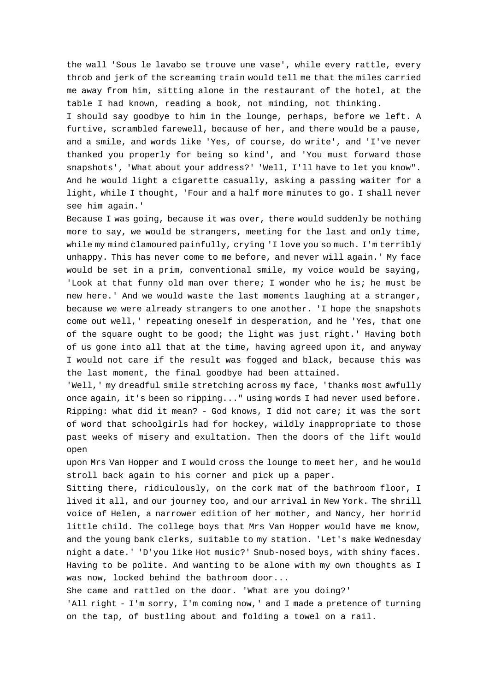the wall 'Sous le lavabo se trouve une vase', while every rattle, every throb and jerk of the screaming train would tell me that the miles carried me away from him, sitting alone in the restaurant of the hotel, at the table I had known, reading a book, not minding, not thinking.

I should say goodbye to him in the lounge, perhaps, before we left. A furtive, scrambled farewell, because of her, and there would be a pause, and a smile, and words like 'Yes, of course, do write', and 'I've never thanked you properly for being so kind', and 'You must forward those snapshots', 'What about your address?' 'Well, I'll have to let you know". And he would light a cigarette casually, asking a passing waiter for a light, while I thought, 'Four and a half more minutes to go. I shall never see him again.'

Because I was going, because it was over, there would suddenly be nothing more to say, we would be strangers, meeting for the last and only time, while my mind clamoured painfully, crying 'I love you so much. I'm terribly unhappy. This has never come to me before, and never will again.' My face would be set in a prim, conventional smile, my voice would be saying, 'Look at that funny old man over there; I wonder who he is; he must be new here.' And we would waste the last moments laughing at a stranger, because we were already strangers to one another. 'I hope the snapshots come out well,' repeating oneself in desperation, and he 'Yes, that one of the square ought to be good; the light was just right.' Having both of us gone into all that at the time, having agreed upon it, and anyway I would not care if the result was fogged and black, because this was the last moment, the final goodbye had been attained.

'Well, ' my dreadful smile stretching across my face, 'thanks most awfully once again, it's been so ripping..." using words I had never used before. Ripping: what did it mean? - God knows, I did not care; it was the sort of word that schoolgirls had for hockey, wildly inappropriate to those past weeks of misery and exultation. Then the doors of the lift would open

upon Mrs Van Hopper and I would cross the lounge to meet her, and he would stroll back again to his corner and pick up a paper.

Sitting there, ridiculously, on the cork mat of the bathroom floor, I lived it all, and our journey too, and our arrival in New York. The shrill voice of Helen, a narrower edition of her mother, and Nancy, her horrid little child. The college boys that Mrs Van Hopper would have me know, and the young bank clerks, suitable to my station. 'Let's make Wednesday night a date.' 'D'you like Hot music?' Snub-nosed boys, with shiny faces. Having to be polite. And wanting to be alone with my own thoughts as I was now, locked behind the bathroom door...

She came and rattled on the door. 'What are you doing?'

'All right - I'm sorry, I'm coming now,' and I made a pretence of turning on the tap, of bustling about and folding a towel on a rail.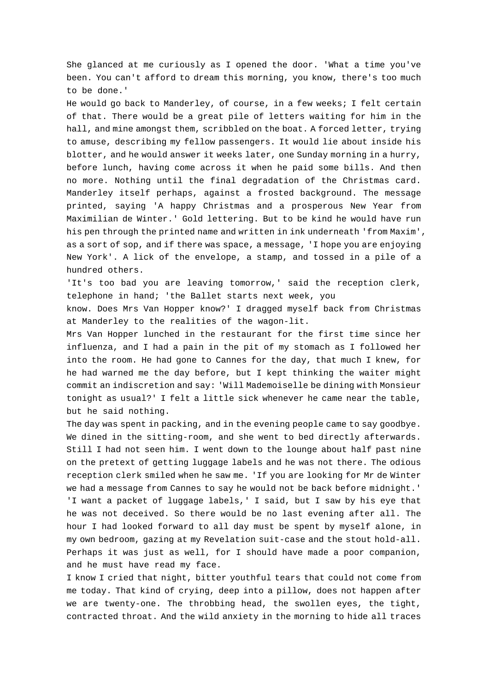She glanced at me curiously as I opened the door. 'What a time you've been. You can't afford to dream this morning, you know, there's too much to be done.'

He would go back to Manderley, of course, in a few weeks; I felt certain of that. There would be a great pile of letters waiting for him in the hall, and mine amongst them, scribbled on the boat. A forced letter, trying to amuse, describing my fellow passengers. It would lie about inside his blotter, and he would answer it weeks later, one Sunday morning in a hurry, before lunch, having come across it when he paid some bills. And then no more. Nothing until the final degradation of the Christmas card. Manderley itself perhaps, against a frosted background. The message printed, saying 'A happy Christmas and a prosperous New Year from Maximilian de Winter.' Gold lettering. But to be kind he would have run his pen through the printed name and written in ink underneath 'from Maxim', as a sort of sop, and if there was space, a message, 'I hope you are enjoying New York'. A lick of the envelope, a stamp, and tossed in a pile of a hundred others.

'It's too bad you are leaving tomorrow,' said the reception clerk, telephone in hand; 'the Ballet starts next week, you

know. Does Mrs Van Hopper know?' I dragged myself back from Christmas at Manderley to the realities of the wagon-lit.

Mrs Van Hopper lunched in the restaurant for the first time since her influenza, and I had a pain in the pit of my stomach as I followed her into the room. He had gone to Cannes for the day, that much I knew, for he had warned me the day before, but I kept thinking the waiter might commit an indiscretion and say: 'Will Mademoiselle be dining with Monsieur tonight as usual?' I felt a little sick whenever he came near the table, but he said nothing.

The day was spent in packing, and in the evening people came to say goodbye. We dined in the sitting-room, and she went to bed directly afterwards. Still I had not seen him. I went down to the lounge about half past nine on the pretext of getting luggage labels and he was not there. The odious reception clerk smiled when he saw me. 'If you are looking for Mr de Winter we had a message from Cannes to say he would not be back before midnight.' 'I want a packet of luggage labels,' I said, but I saw by his eye that he was not deceived. So there would be no last evening after all. The hour I had looked forward to all day must be spent by myself alone, in my own bedroom, gazing at my Revelation suit-case and the stout hold-all. Perhaps it was just as well, for I should have made a poor companion, and he must have read my face.

I know I cried that night, bitter youthful tears that could not come from me today. That kind of crying, deep into a pillow, does not happen after we are twenty-one. The throbbing head, the swollen eyes, the tight, contracted throat. And the wild anxiety in the morning to hide all traces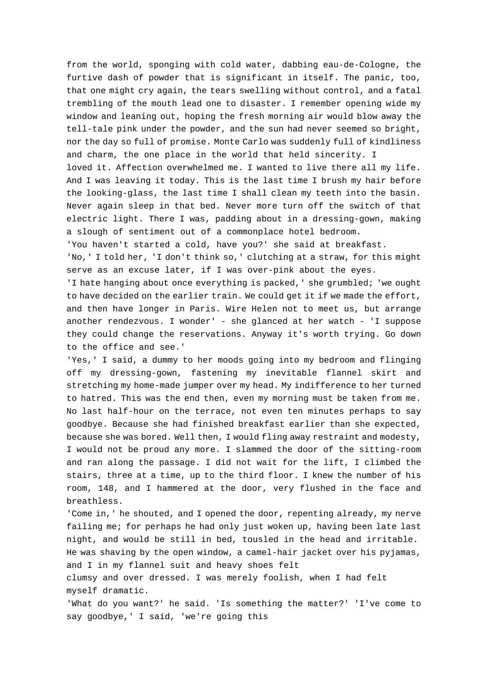from the world, sponging with cold water, dabbing eau-de-Cologne, the furtive dash of powder that is significant in itself. The panic, too, that one might cry again, the tears swelling without control, and a fatal trembling of the mouth lead one to disaster. I remember opening wide my window and leaning out, hoping the fresh morning air would blow away the tell-tale pink under the powder, and the sun had never seemed so bright, nor the day so full of promise. Monte Carlo was suddenly full of kindliness and charm, the one place in the world that held sincerity. I

loved it. Affection overwhelmed me. I wanted to live there all my life. And I was leaving it today. This is the last time I brush my hair before the looking-glass, the last time I shall clean my teeth into the basin. Never again sleep in that bed. Never more turn off the switch of that electric light. There I was, padding about in a dressing-gown, making a slough of sentiment out of a commonplace hotel bedroom.

'You haven't started a cold, have you?' she said at breakfast.

'No,' I told her, 'I don't think so,' clutching at a straw, for this might serve as an excuse later, if I was over-pink about the eyes.

'I hate hanging about once everything is packed, ' she grumbled; 'we ought to have decided on the earlier train. We could get it if we made the effort, and then have longer in Paris. Wire Helen not to meet us, but arrange another rendezvous. I wonder' - she glanced at her watch - 'I suppose they could change the reservations. Anyway it's worth trying. Go down to the office and see.'

'Yes,' I said, a dummy to her moods going into my bedroom and flinging off my dressing-gown, fastening my inevitable flannel skirt and stretching my home-made jumper over my head. My indifference to her turned to hatred. This was the end then, even my morning must be taken from me. No last half-hour on the terrace, not even ten minutes perhaps to say goodbye. Because she had finished breakfast earlier than she expected, because she was bored. Well then, I would fling away restraint and modesty, I would not be proud any more. I slammed the door of the sitting-room and ran along the passage. I did not wait for the lift, I climbed the stairs, three at a time, up to the third floor. I knew the number of his room, 148, and I hammered at the door, very flushed in the face and breathless.

'Come in,' he shouted, and I opened the door, repenting already, my nerve failing me; for perhaps he had only just woken up, having been late last night, and would be still in bed, tousled in the head and irritable. He was shaving by the open window, a camel-hair jacket over his pyjamas, and I in my flannel suit and heavy shoes felt clumsy and over dressed. I was merely foolish, when I had felt myself dramatic.

'What do you want?' he said. 'Is something the matter?' 'I've come to say goodbye,' I said, 'we're going this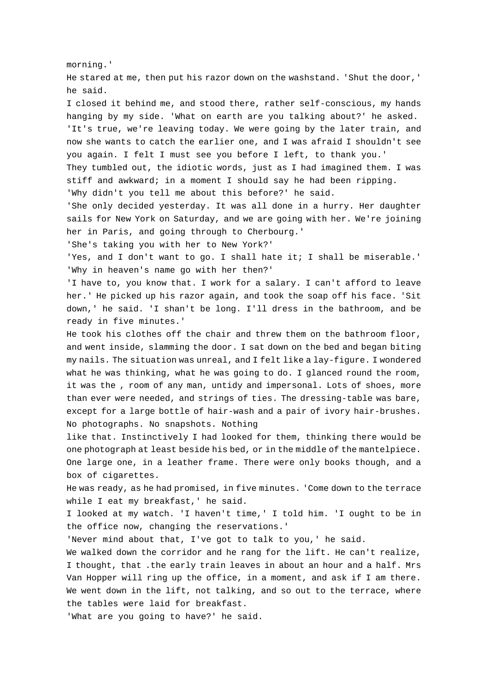morning.'

He stared at me, then put his razor down on the washstand. 'Shut the door,' he said.

I closed it behind me, and stood there, rather self-conscious, my hands hanging by my side. 'What on earth are you talking about?' he asked.

'It's true, we're leaving today. We were going by the later train, and now she wants to catch the earlier one, and I was afraid I shouldn't see you again. I felt I must see you before I left, to thank you.'

They tumbled out, the idiotic words, just as I had imagined them. I was stiff and awkward; in a moment I should say he had been ripping.

'Why didn't you tell me about this before?' he said.

'She only decided yesterday. It was all done in a hurry. Her daughter sails for New York on Saturday, and we are going with her. We're joining her in Paris, and going through to Cherbourg.'

'She's taking you with her to New York?'

'Yes, and I don't want to go. I shall hate it; I shall be miserable.' 'Why in heaven's name go with her then?'

'I have to, you know that. I work for a salary. I can't afford to leave her.' He picked up his razor again, and took the soap off his face. 'Sit down,' he said. 'I shan't be long. I'll dress in the bathroom, and be ready in five minutes.'

He took his clothes off the chair and threw them on the bathroom floor, and went inside, slamming the door. I sat down on the bed and began biting my nails. The situation was unreal, and I felt like a lay-figure. I wondered what he was thinking, what he was going to do. I glanced round the room, it was the , room of any man, untidy and impersonal. Lots of shoes, more than ever were needed, and strings of ties. The dressing-table was bare, except for a large bottle of hair-wash and a pair of ivory hair-brushes. No photographs. No snapshots. Nothing

like that. Instinctively I had looked for them, thinking there would be one photograph at least beside his bed, or in the middle of the mantelpiece. One large one, in a leather frame. There were only books though, and a box of cigarettes.

He was ready, as he had promised, in five minutes. 'Come down to the terrace while I eat my breakfast,' he said.

I looked at my watch. 'I haven't time,' I told him. 'I ought to be in the office now, changing the reservations.'

'Never mind about that, I've got to talk to you,' he said.

We walked down the corridor and he rang for the lift. He can't realize, I thought, that .the early train leaves in about an hour and a half. Mrs Van Hopper will ring up the office, in a moment, and ask if I am there. We went down in the lift, not talking, and so out to the terrace, where the tables were laid for breakfast.

'What are you going to have?' he said.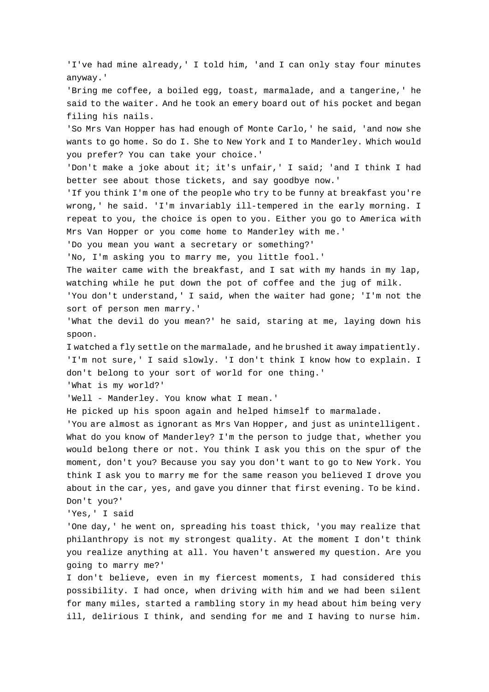'I've had mine already,' I told him, 'and I can only stay four minutes anyway.'

'Bring me coffee, a boiled egg, toast, marmalade, and a tangerine,' he said to the waiter. And he took an emery board out of his pocket and began filing his nails.

'So Mrs Van Hopper has had enough of Monte Carlo,' he said, 'and now she wants to go home. So do I. She to New York and I to Manderley. Which would you prefer? You can take your choice.'

'Don't make a joke about it; it's unfair,' I said; 'and I think I had better see about those tickets, and say goodbye now.'

'If you think I'm one of the people who try to be funny at breakfast you're wrong,' he said. 'I'm invariably ill-tempered in the early morning. I repeat to you, the choice is open to you. Either you go to America with Mrs Van Hopper or you come home to Manderley with me.'

'Do you mean you want a secretary or something?'

'No, I'm asking you to marry me, you little fool.'

The waiter came with the breakfast, and I sat with my hands in my lap, watching while he put down the pot of coffee and the jug of milk.

'You don't understand,' I said, when the waiter had gone; 'I'm not the sort of person men marry.'

'What the devil do you mean?' he said, staring at me, laying down his spoon.

I watched a fly settle on the marmalade, and he brushed it away impatiently. 'I'm not sure,' I said slowly. 'I don't think I know how to explain. I don't belong to your sort of world for one thing.'

'What is my world?'

'Well - Manderley. You know what I mean.'

He picked up his spoon again and helped himself to marmalade.

'You are almost as ignorant as Mrs Van Hopper, and just as unintelligent. What do you know of Manderley? I'm the person to judge that, whether you would belong there or not. You think I ask you this on the spur of the moment, don't you? Because you say you don't want to go to New York. You think I ask you to marry me for the same reason you believed I drove you about in the car, yes, and gave you dinner that first evening. To be kind. Don't you?'

'Yes,' I said

'One day,' he went on, spreading his toast thick, 'you may realize that philanthropy is not my strongest quality. At the moment I don't think you realize anything at all. You haven't answered my question. Are you going to marry me?'

I don't believe, even in my fiercest moments, I had considered this possibility. I had once, when driving with him and we had been silent for many miles, started a rambling story in my head about him being very ill, delirious I think, and sending for me and I having to nurse him.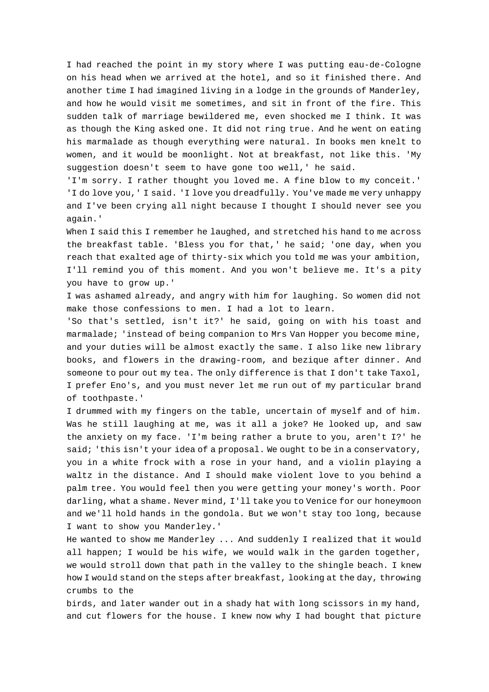I had reached the point in my story where I was putting eau-de-Cologne on his head when we arrived at the hotel, and so it finished there. And another time I had imagined living in a lodge in the grounds of Manderley, and how he would visit me sometimes, and sit in front of the fire. This sudden talk of marriage bewildered me, even shocked me I think. It was as though the King asked one. It did not ring true. And he went on eating his marmalade as though everything were natural. In books men knelt to women, and it would be moonlight. Not at breakfast, not like this. 'My suggestion doesn't seem to have gone too well,' he said.

'I'm sorry. I rather thought you loved me. A fine blow to my conceit.' 'I do love you,' I said. 'I love you dreadfully. You've made me very unhappy and I've been crying all night because I thought I should never see you again.'

When I said this I remember he laughed, and stretched his hand to me across the breakfast table. 'Bless you for that,' he said; 'one day, when you reach that exalted age of thirty-six which you told me was your ambition, I'll remind you of this moment. And you won't believe me. It's a pity you have to grow up.'

I was ashamed already, and angry with him for laughing. So women did not make those confessions to men. I had a lot to learn.

'So that's settled, isn't it?' he said, going on with his toast and marmalade; 'instead of being companion to Mrs Van Hopper you become mine, and your duties will be almost exactly the same. I also like new library books, and flowers in the drawing-room, and bezique after dinner. And someone to pour out my tea. The only difference is that I don't take Taxol, I prefer Eno's, and you must never let me run out of my particular brand of toothpaste.'

I drummed with my fingers on the table, uncertain of myself and of him. Was he still laughing at me, was it all a joke? He looked up, and saw the anxiety on my face. 'I'm being rather a brute to you, aren't I?' he said; 'this isn't your idea of a proposal. We ought to be in a conservatory, you in a white frock with a rose in your hand, and a violin playing a waltz in the distance. And I should make violent love to you behind a palm tree. You would feel then you were getting your money's worth. Poor darling, what a shame. Never mind, I'll take you to Venice for our honeymoon and we'll hold hands in the gondola. But we won't stay too long, because I want to show you Manderley.'

He wanted to show me Manderley ... And suddenly I realized that it would all happen; I would be his wife, we would walk in the garden together, we would stroll down that path in the valley to the shingle beach. I knew how I would stand on the steps after breakfast, looking at the day, throwing crumbs to the

birds, and later wander out in a shady hat with long scissors in my hand, and cut flowers for the house. I knew now why I had bought that picture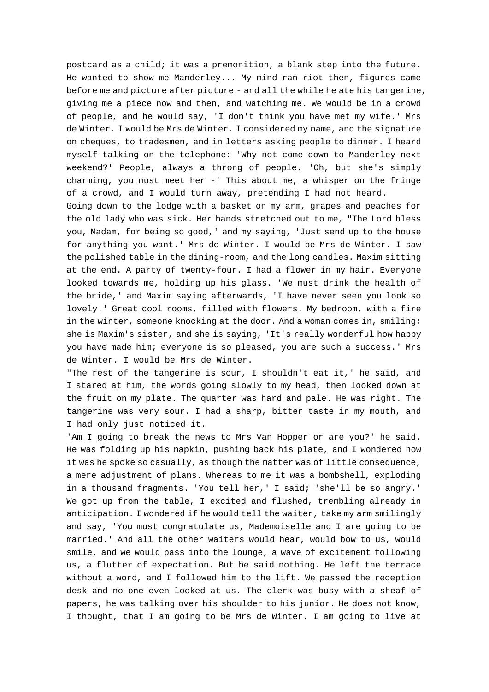postcard as a child; it was a premonition, a blank step into the future. He wanted to show me Manderley... My mind ran riot then, figures came before me and picture after picture - and all the while he ate his tangerine, giving me a piece now and then, and watching me. We would be in a crowd of people, and he would say, 'I don't think you have met my wife.' Mrs de Winter. I would be Mrs de Winter. I considered my name, and the signature on cheques, to tradesmen, and in letters asking people to dinner. I heard myself talking on the telephone: 'Why not come down to Manderley next weekend?' People, always a throng of people. 'Oh, but she's simply charming, you must meet her -' This about me, a whisper on the fringe of a crowd, and I would turn away, pretending I had not heard.

Going down to the lodge with a basket on my arm, grapes and peaches for the old lady who was sick. Her hands stretched out to me, "The Lord bless you, Madam, for being so good,' and my saying, 'Just send up to the house for anything you want.' Mrs de Winter. I would be Mrs de Winter. I saw the polished table in the dining-room, and the long candles. Maxim sitting at the end. A party of twenty-four. I had a flower in my hair. Everyone looked towards me, holding up his glass. 'We must drink the health of the bride,' and Maxim saying afterwards, 'I have never seen you look so lovely.' Great cool rooms, filled with flowers. My bedroom, with a fire in the winter, someone knocking at the door. And a woman comes in, smiling; she is Maxim's sister, and she is saying, 'It's really wonderful how happy you have made him; everyone is so pleased, you are such a success.' Mrs de Winter. I would be Mrs de Winter.

"The rest of the tangerine is sour, I shouldn't eat it,' he said, and I stared at him, the words going slowly to my head, then looked down at the fruit on my plate. The quarter was hard and pale. He was right. The tangerine was very sour. I had a sharp, bitter taste in my mouth, and I had only just noticed it.

'Am I going to break the news to Mrs Van Hopper or are you?' he said. He was folding up his napkin, pushing back his plate, and I wondered how it was he spoke so casually, as though the matter was of little consequence, a mere adjustment of plans. Whereas to me it was a bombshell, exploding in a thousand fragments. 'You tell her,' I said; 'she'll be so angry.' We got up from the table, I excited and flushed, trembling already in anticipation. I wondered if he would tell the waiter, take my arm smilingly and say, 'You must congratulate us, Mademoiselle and I are going to be married.' And all the other waiters would hear, would bow to us, would smile, and we would pass into the lounge, a wave of excitement following us, a flutter of expectation. But he said nothing. He left the terrace without a word, and I followed him to the lift. We passed the reception desk and no one even looked at us. The clerk was busy with a sheaf of papers, he was talking over his shoulder to his junior. He does not know, I thought, that I am going to be Mrs de Winter. I am going to live at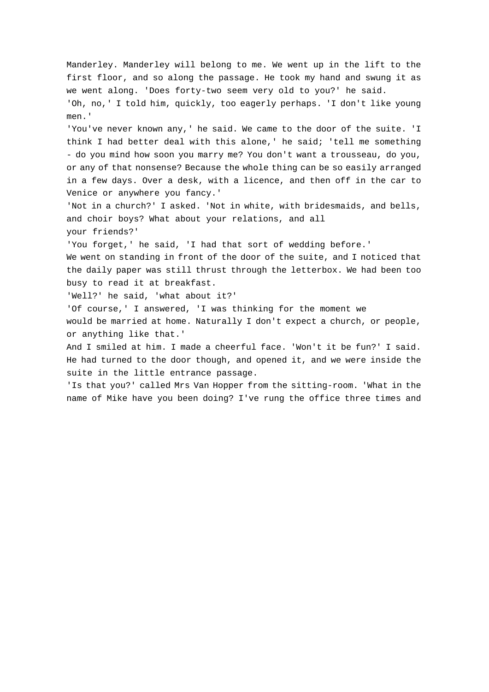Manderley. Manderley will belong to me. We went up in the lift to the first floor, and so along the passage. He took my hand and swung it as we went along. 'Does forty-two seem very old to you?' he said. 'Oh, no,' I told him, quickly, too eagerly perhaps. 'I don't like young men.'

'You've never known any,' he said. We came to the door of the suite. 'I think I had better deal with this alone,' he said; 'tell me something - do you mind how soon you marry me? You don't want a trousseau, do you, or any of that nonsense? Because the whole thing can be so easily arranged in a few days. Over a desk, with a licence, and then off in the car to Venice or anywhere you fancy.'

'Not in a church?' I asked. 'Not in white, with bridesmaids, and bells, and choir boys? What about your relations, and all your friends?'

'You forget,' he said, 'I had that sort of wedding before.'

We went on standing in front of the door of the suite, and I noticed that the daily paper was still thrust through the letterbox. We had been too busy to read it at breakfast.

'Well?' he said, 'what about it?'

'Of course,' I answered, 'I was thinking for the moment we

would be married at home. Naturally I don't expect a church, or people, or anything like that.'

And I smiled at him. I made a cheerful face. 'Won't it be fun?' I said. He had turned to the door though, and opened it, and we were inside the suite in the little entrance passage.

'Is that you?' called Mrs Van Hopper from the sitting-room. 'What in the name of Mike have you been doing? I've rung the office three times and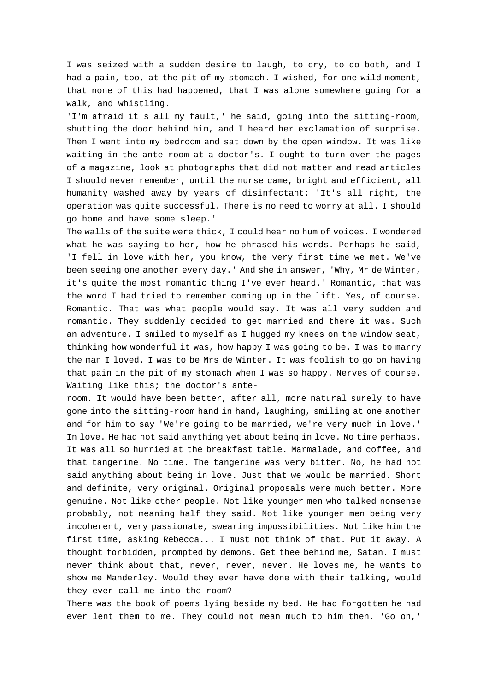I was seized with a sudden desire to laugh, to cry, to do both, and I had a pain, too, at the pit of my stomach. I wished, for one wild moment, that none of this had happened, that I was alone somewhere going for a walk, and whistling.

'I'm afraid it's all my fault,' he said, going into the sitting-room, shutting the door behind him, and I heard her exclamation of surprise. Then I went into my bedroom and sat down by the open window. It was like waiting in the ante-room at a doctor's. I ought to turn over the pages of a magazine, look at photographs that did not matter and read articles I should never remember, until the nurse came, bright and efficient, all humanity washed away by years of disinfectant: 'It's all right, the operation was quite successful. There is no need to worry at all. I should go home and have some sleep.'

The walls of the suite were thick, I could hear no hum of voices. I wondered what he was saying to her, how he phrased his words. Perhaps he said, 'I fell in love with her, you know, the very first time we met. We've been seeing one another every day.' And she in answer, 'Why, Mr de Winter, it's quite the most romantic thing I've ever heard.' Romantic, that was the word I had tried to remember coming up in the lift. Yes, of course. Romantic. That was what people would say. It was all very sudden and romantic. They suddenly decided to get married and there it was. Such an adventure. I smiled to myself as I hugged my knees on the window seat, thinking how wonderful it was, how happy I was going to be. I was to marry the man I loved. I was to be Mrs de Winter. It was foolish to go on having that pain in the pit of my stomach when I was so happy. Nerves of course. Waiting like this; the doctor's ante-

room. It would have been better, after all, more natural surely to have gone into the sitting-room hand in hand, laughing, smiling at one another and for him to say 'We're going to be married, we're very much in love.' In love. He had not said anything yet about being in love. No time perhaps. It was all so hurried at the breakfast table. Marmalade, and coffee, and that tangerine. No time. The tangerine was very bitter. No, he had not said anything about being in love. Just that we would be married. Short and definite, very original. Original proposals were much better. More genuine. Not like other people. Not like younger men who talked nonsense probably, not meaning half they said. Not like younger men being very incoherent, very passionate, swearing impossibilities. Not like him the first time, asking Rebecca... I must not think of that. Put it away. A thought forbidden, prompted by demons. Get thee behind me, Satan. I must never think about that, never, never, never. He loves me, he wants to show me Manderley. Would they ever have done with their talking, would they ever call me into the room?

There was the book of poems lying beside my bed. He had forgotten he had ever lent them to me. They could not mean much to him then. 'Go on,'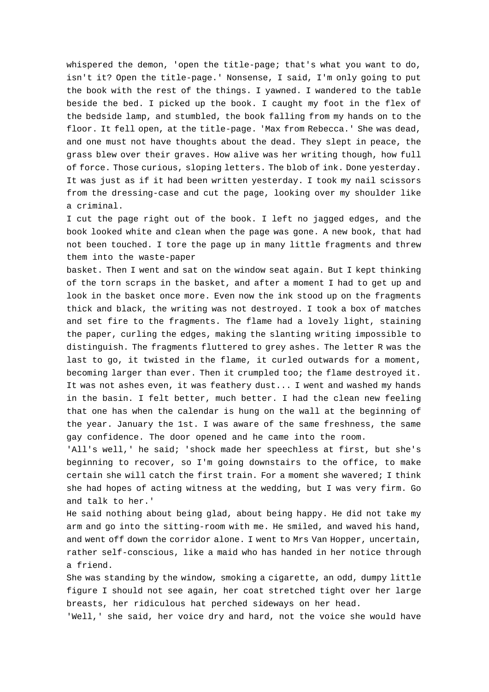whispered the demon, 'open the title-page; that's what you want to do, isn't it? Open the title-page.' Nonsense, I said, I'm only going to put the book with the rest of the things. I yawned. I wandered to the table beside the bed. I picked up the book. I caught my foot in the flex of the bedside lamp, and stumbled, the book falling from my hands on to the floor. It fell open, at the title-page. 'Max from Rebecca.' She was dead, and one must not have thoughts about the dead. They slept in peace, the grass blew over their graves. How alive was her writing though, how full of force. Those curious, sloping letters. The blob of ink. Done yesterday. It was just as if it had been written yesterday. I took my nail scissors from the dressing-case and cut the page, looking over my shoulder like a criminal.

I cut the page right out of the book. I left no jagged edges, and the book looked white and clean when the page was gone. A new book, that had not been touched. I tore the page up in many little fragments and threw them into the waste-paper

basket. Then I went and sat on the window seat again. But I kept thinking of the torn scraps in the basket, and after a moment I had to get up and look in the basket once more. Even now the ink stood up on the fragments thick and black, the writing was not destroyed. I took a box of matches and set fire to the fragments. The flame had a lovely light, staining the paper, curling the edges, making the slanting writing impossible to distinguish. The fragments fluttered to grey ashes. The letter R was the last to go, it twisted in the flame, it curled outwards for a moment, becoming larger than ever. Then it crumpled too; the flame destroyed it. It was not ashes even, it was feathery dust... I went and washed my hands in the basin. I felt better, much better. I had the clean new feeling that one has when the calendar is hung on the wall at the beginning of the year. January the 1st. I was aware of the same freshness, the same gay confidence. The door opened and he came into the room.

'All's well, ' he said; 'shock made her speechless at first, but she's beginning to recover, so I'm going downstairs to the office, to make certain she will catch the first train. For a moment she wavered; I think she had hopes of acting witness at the wedding, but I was very firm. Go and talk to her.'

He said nothing about being glad, about being happy. He did not take my arm and go into the sitting-room with me. He smiled, and waved his hand, and went off down the corridor alone. I went to Mrs Van Hopper, uncertain, rather self-conscious, like a maid who has handed in her notice through a friend.

She was standing by the window, smoking a cigarette, an odd, dumpy little figure I should not see again, her coat stretched tight over her large breasts, her ridiculous hat perched sideways on her head.

'Well,' she said, her voice dry and hard, not the voice she would have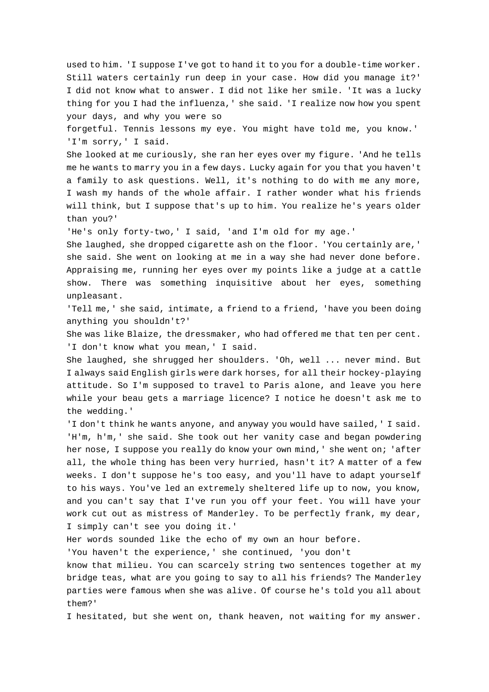used to him. 'I suppose I've got to hand it to you for a double-time worker. Still waters certainly run deep in your case. How did you manage it?' I did not know what to answer. I did not like her smile. 'It was a lucky thing for you I had the influenza,' she said. 'I realize now how you spent your days, and why you were so

forgetful. Tennis lessons my eye. You might have told me, you know.' 'I'm sorry,' I said.

She looked at me curiously, she ran her eyes over my figure. 'And he tells me he wants to marry you in a few days. Lucky again for you that you haven't a family to ask questions. Well, it's nothing to do with me any more, I wash my hands of the whole affair. I rather wonder what his friends will think, but I suppose that's up to him. You realize he's years older than you?'

'He's only forty-two,' I said, 'and I'm old for my age.'

She laughed, she dropped cigarette ash on the floor. 'You certainly are,' she said. She went on looking at me in a way she had never done before. Appraising me, running her eyes over my points like a judge at a cattle show. There was something inquisitive about her eyes, something unpleasant.

'Tell me,' she said, intimate, a friend to a friend, 'have you been doing anything you shouldn't?'

She was like Blaize, the dressmaker, who had offered me that ten per cent. 'I don't know what you mean,' I said.

She laughed, she shrugged her shoulders. 'Oh, well ... never mind. But I always said English girls were dark horses, for all their hockey-playing attitude. So I'm supposed to travel to Paris alone, and leave you here while your beau gets a marriage licence? I notice he doesn't ask me to the wedding.'

'I don't think he wants anyone, and anyway you would have sailed,' I said. 'H'm, h'm, ' she said. She took out her vanity case and began powdering her nose, I suppose you really do know your own mind, ' she went on; 'after all, the whole thing has been very hurried, hasn't it? A matter of a few weeks. I don't suppose he's too easy, and you'll have to adapt yourself to his ways. You've led an extremely sheltered life up to now, you know, and you can't say that I've run you off your feet. You will have your work cut out as mistress of Manderley. To be perfectly frank, my dear, I simply can't see you doing it.'

Her words sounded like the echo of my own an hour before.

'You haven't the experience,' she continued, 'you don't

know that milieu. You can scarcely string two sentences together at my bridge teas, what are you going to say to all his friends? The Manderley parties were famous when she was alive. Of course he's told you all about them?'

I hesitated, but she went on, thank heaven, not waiting for my answer.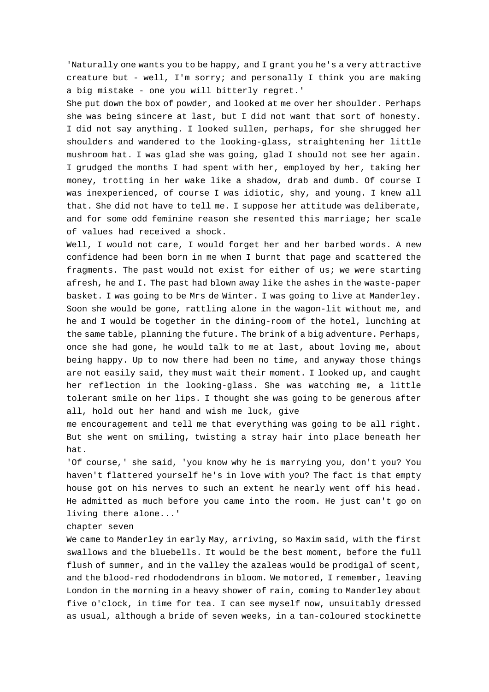'Naturally one wants you to be happy, and I grant you he's a very attractive creature but - well, I'm sorry; and personally I think you are making a big mistake - one you will bitterly regret.'

She put down the box of powder, and looked at me over her shoulder. Perhaps she was being sincere at last, but I did not want that sort of honesty. I did not say anything. I looked sullen, perhaps, for she shrugged her shoulders and wandered to the looking-glass, straightening her little mushroom hat. I was glad she was going, glad I should not see her again. I grudged the months I had spent with her, employed by her, taking her money, trotting in her wake like a shadow, drab and dumb. Of course I was inexperienced, of course I was idiotic, shy, and young. I knew all that. She did not have to tell me. I suppose her attitude was deliberate, and for some odd feminine reason she resented this marriage; her scale of values had received a shock.

Well, I would not care, I would forget her and her barbed words. A new confidence had been born in me when I burnt that page and scattered the fragments. The past would not exist for either of us; we were starting afresh, he and I. The past had blown away like the ashes in the waste-paper basket. I was going to be Mrs de Winter. I was going to live at Manderley. Soon she would be gone, rattling alone in the wagon-lit without me, and he and I would be together in the dining-room of the hotel, lunching at the same table, planning the future. The brink of a big adventure. Perhaps, once she had gone, he would talk to me at last, about loving me, about being happy. Up to now there had been no time, and anyway those things are not easily said, they must wait their moment. I looked up, and caught her reflection in the looking-glass. She was watching me, a little tolerant smile on her lips. I thought she was going to be generous after all, hold out her hand and wish me luck, give

me encouragement and tell me that everything was going to be all right. But she went on smiling, twisting a stray hair into place beneath her hat.

'Of course,' she said, 'you know why he is marrying you, don't you? You haven't flattered yourself he's in love with you? The fact is that empty house got on his nerves to such an extent he nearly went off his head. He admitted as much before you came into the room. He just can't go on living there alone...'

chapter seven

We came to Manderley in early May, arriving, so Maxim said, with the first swallows and the bluebells. It would be the best moment, before the full flush of summer, and in the valley the azaleas would be prodigal of scent, and the blood-red rhododendrons in bloom. We motored, I remember, leaving London in the morning in a heavy shower of rain, coming to Manderley about five o'clock, in time for tea. I can see myself now, unsuitably dressed as usual, although a bride of seven weeks, in a tan-coloured stockinette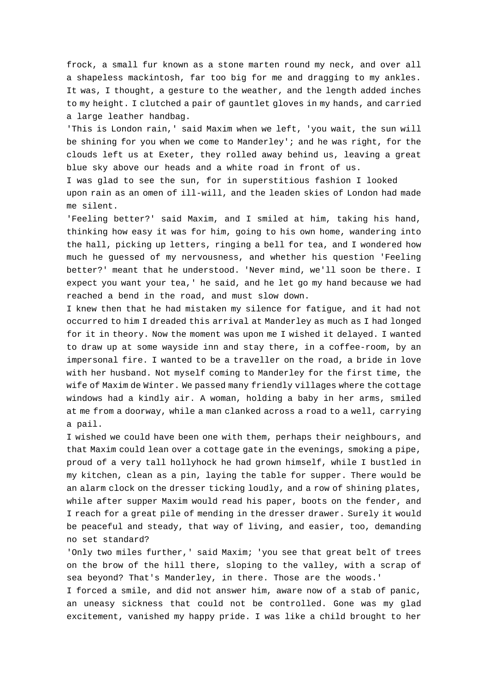frock, a small fur known as a stone marten round my neck, and over all a shapeless mackintosh, far too big for me and dragging to my ankles. It was, I thought, a gesture to the weather, and the length added inches to my height. I clutched a pair of gauntlet gloves in my hands, and carried a large leather handbag.

'This is London rain,' said Maxim when we left, 'you wait, the sun will be shining for you when we come to Manderley'; and he was right, for the clouds left us at Exeter, they rolled away behind us, leaving a great blue sky above our heads and a white road in front of us.

I was glad to see the sun, for in superstitious fashion I looked upon rain as an omen of ill-will, and the leaden skies of London had made me silent.

'Feeling better?' said Maxim, and I smiled at him, taking his hand, thinking how easy it was for him, going to his own home, wandering into the hall, picking up letters, ringing a bell for tea, and I wondered how much he guessed of my nervousness, and whether his question 'Feeling better?' meant that he understood. 'Never mind, we'll soon be there. I expect you want your tea,' he said, and he let go my hand because we had reached a bend in the road, and must slow down.

I knew then that he had mistaken my silence for fatigue, and it had not occurred to him I dreaded this arrival at Manderley as much as I had longed for it in theory. Now the moment was upon me I wished it delayed. I wanted to draw up at some wayside inn and stay there, in a coffee-room, by an impersonal fire. I wanted to be a traveller on the road, a bride in love with her husband. Not myself coming to Manderley for the first time, the wife of Maxim de Winter. We passed many friendly villages where the cottage windows had a kindly air. A woman, holding a baby in her arms, smiled at me from a doorway, while a man clanked across a road to a well, carrying a pail.

I wished we could have been one with them, perhaps their neighbours, and that Maxim could lean over a cottage gate in the evenings, smoking a pipe, proud of a very tall hollyhock he had grown himself, while I bustled in my kitchen, clean as a pin, laying the table for supper. There would be an alarm clock on the dresser ticking loudly, and a row of shining plates, while after supper Maxim would read his paper, boots on the fender, and I reach for a great pile of mending in the dresser drawer. Surely it would be peaceful and steady, that way of living, and easier, too, demanding no set standard?

'Only two miles further,' said Maxim; 'you see that great belt of trees on the brow of the hill there, sloping to the valley, with a scrap of sea beyond? That's Manderley, in there. Those are the woods.'

I forced a smile, and did not answer him, aware now of a stab of panic, an uneasy sickness that could not be controlled. Gone was my glad excitement, vanished my happy pride. I was like a child brought to her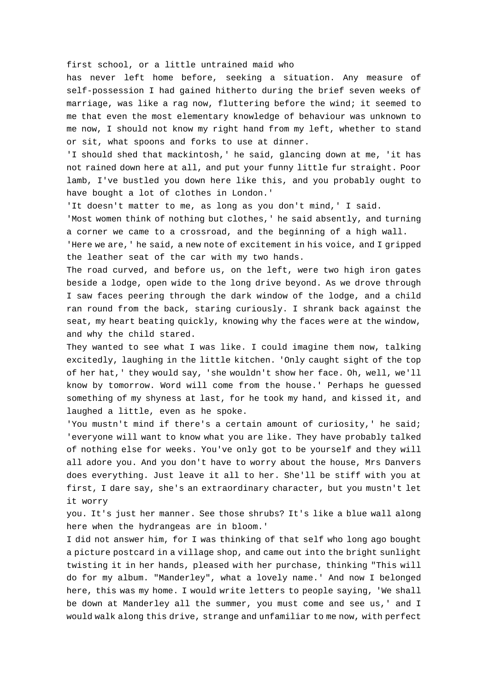first school, or a little untrained maid who

has never left home before, seeking a situation. Any measure of self-possession I had gained hitherto during the brief seven weeks of marriage, was like a rag now, fluttering before the wind; it seemed to me that even the most elementary knowledge of behaviour was unknown to me now, I should not know my right hand from my left, whether to stand or sit, what spoons and forks to use at dinner.

'I should shed that mackintosh,' he said, glancing down at me, 'it has not rained down here at all, and put your funny little fur straight. Poor lamb, I've bustled you down here like this, and you probably ought to have bought a lot of clothes in London.'

'It doesn't matter to me, as long as you don't mind,' I said.

'Most women think of nothing but clothes,' he said absently, and turning a corner we came to a crossroad, and the beginning of a high wall.

'Here we are,' he said, a new note of excitement in his voice, and I gripped the leather seat of the car with my two hands.

The road curved, and before us, on the left, were two high iron gates beside a lodge, open wide to the long drive beyond. As we drove through I saw faces peering through the dark window of the lodge, and a child ran round from the back, staring curiously. I shrank back against the seat, my heart beating quickly, knowing why the faces were at the window, and why the child stared.

They wanted to see what I was like. I could imagine them now, talking excitedly, laughing in the little kitchen. 'Only caught sight of the top of her hat,' they would say, 'she wouldn't show her face. Oh, well, we'll know by tomorrow. Word will come from the house.' Perhaps he guessed something of my shyness at last, for he took my hand, and kissed it, and laughed a little, even as he spoke.

'You mustn't mind if there's a certain amount of curiosity,' he said; 'everyone will want to know what you are like. They have probably talked of nothing else for weeks. You've only got to be yourself and they will all adore you. And you don't have to worry about the house, Mrs Danvers does everything. Just leave it all to her. She'll be stiff with you at first, I dare say, she's an extraordinary character, but you mustn't let it worry

you. It's just her manner. See those shrubs? It's like a blue wall along here when the hydrangeas are in bloom.'

I did not answer him, for I was thinking of that self who long ago bought a picture postcard in a village shop, and came out into the bright sunlight twisting it in her hands, pleased with her purchase, thinking "This will do for my album. "Manderley", what a lovely name.' And now I belonged here, this was my home. I would write letters to people saying, 'We shall be down at Manderley all the summer, you must come and see us,' and I would walk along this drive, strange and unfamiliar to me now, with perfect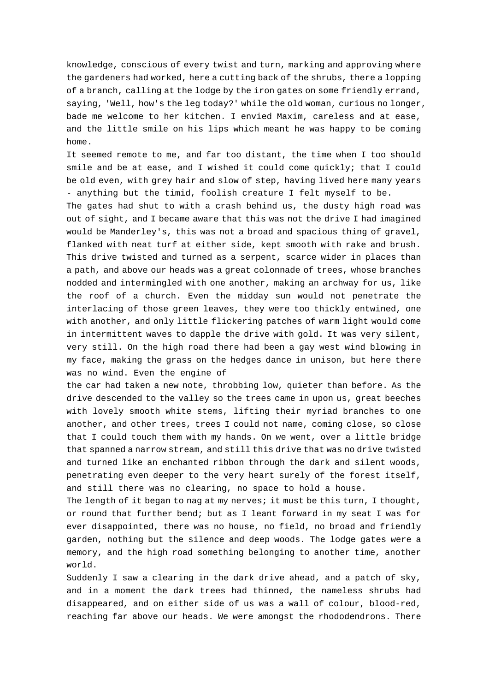knowledge, conscious of every twist and turn, marking and approving where the gardeners had worked, here a cutting back of the shrubs, there a lopping of a branch, calling at the lodge by the iron gates on some friendly errand, saying, 'Well, how's the leg today?' while the old woman, curious no longer, bade me welcome to her kitchen. I envied Maxim, careless and at ease, and the little smile on his lips which meant he was happy to be coming home.

It seemed remote to me, and far too distant, the time when I too should smile and be at ease, and I wished it could come quickly; that I could be old even, with grey hair and slow of step, having lived here many years - anything but the timid, foolish creature I felt myself to be.

The gates had shut to with a crash behind us, the dusty high road was out of sight, and I became aware that this was not the drive I had imagined would be Manderley's, this was not a broad and spacious thing of gravel, flanked with neat turf at either side, kept smooth with rake and brush. This drive twisted and turned as a serpent, scarce wider in places than a path, and above our heads was a great colonnade of trees, whose branches nodded and intermingled with one another, making an archway for us, like the roof of a church. Even the midday sun would not penetrate the interlacing of those green leaves, they were too thickly entwined, one with another, and only little flickering patches of warm light would come in intermittent waves to dapple the drive with gold. It was very silent, very still. On the high road there had been a gay west wind blowing in my face, making the grass on the hedges dance in unison, but here there was no wind. Even the engine of

the car had taken a new note, throbbing low, quieter than before. As the drive descended to the valley so the trees came in upon us, great beeches with lovely smooth white stems, lifting their myriad branches to one another, and other trees, trees I could not name, coming close, so close that I could touch them with my hands. On we went, over a little bridge that spanned a narrow stream, and still this drive that was no drive twisted and turned like an enchanted ribbon through the dark and silent woods, penetrating even deeper to the very heart surely of the forest itself, and still there was no clearing, no space to hold a house.

The length of it began to nag at my nerves; it must be this turn, I thought, or round that further bend; but as I leant forward in my seat I was for ever disappointed, there was no house, no field, no broad and friendly garden, nothing but the silence and deep woods. The lodge gates were a memory, and the high road something belonging to another time, another world.

Suddenly I saw a clearing in the dark drive ahead, and a patch of sky, and in a moment the dark trees had thinned, the nameless shrubs had disappeared, and on either side of us was a wall of colour, blood-red, reaching far above our heads. We were amongst the rhododendrons. There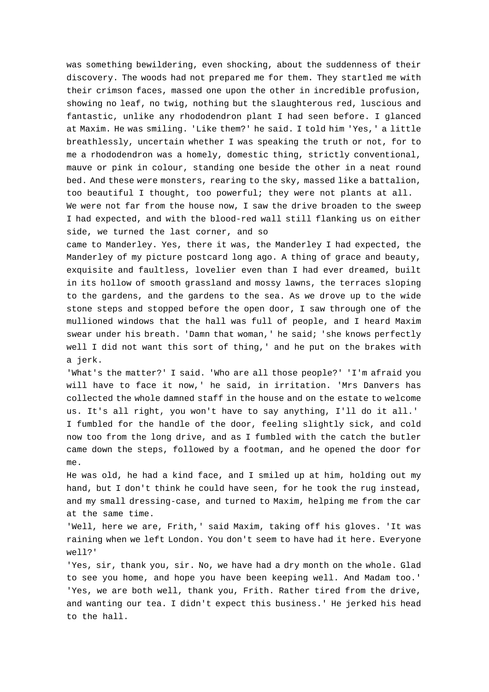was something bewildering, even shocking, about the suddenness of their discovery. The woods had not prepared me for them. They startled me with their crimson faces, massed one upon the other in incredible profusion, showing no leaf, no twig, nothing but the slaughterous red, luscious and fantastic, unlike any rhododendron plant I had seen before. I glanced at Maxim. He was smiling. 'Like them?' he said. I told him 'Yes,' a little breathlessly, uncertain whether I was speaking the truth or not, for to me a rhododendron was a homely, domestic thing, strictly conventional, mauve or pink in colour, standing one beside the other in a neat round bed. And these were monsters, rearing to the sky, massed like a battalion, too beautiful I thought, too powerful; they were not plants at all. We were not far from the house now, I saw the drive broaden to the sweep I had expected, and with the blood-red wall still flanking us on either side, we turned the last corner, and so

came to Manderley. Yes, there it was, the Manderley I had expected, the Manderley of my picture postcard long ago. A thing of grace and beauty, exquisite and faultless, lovelier even than I had ever dreamed, built in its hollow of smooth grassland and mossy lawns, the terraces sloping to the gardens, and the gardens to the sea. As we drove up to the wide stone steps and stopped before the open door, I saw through one of the mullioned windows that the hall was full of people, and I heard Maxim swear under his breath. 'Damn that woman,' he said; 'she knows perfectly well I did not want this sort of thing,' and he put on the brakes with a jerk.

'What's the matter?' I said. 'Who are all those people?' 'I'm afraid you will have to face it now,' he said, in irritation. 'Mrs Danvers has collected the whole damned staff in the house and on the estate to welcome us. It's all right, you won't have to say anything, I'll do it all.' I fumbled for the handle of the door, feeling slightly sick, and cold now too from the long drive, and as I fumbled with the catch the butler came down the steps, followed by a footman, and he opened the door for me.

He was old, he had a kind face, and I smiled up at him, holding out my hand, but I don't think he could have seen, for he took the rug instead, and my small dressing-case, and turned to Maxim, helping me from the car at the same time.

'Well, here we are, Frith,' said Maxim, taking off his gloves. 'It was raining when we left London. You don't seem to have had it here. Everyone well?'

'Yes, sir, thank you, sir. No, we have had a dry month on the whole. Glad to see you home, and hope you have been keeping well. And Madam too.' 'Yes, we are both well, thank you, Frith. Rather tired from the drive, and wanting our tea. I didn't expect this business.' He jerked his head to the hall.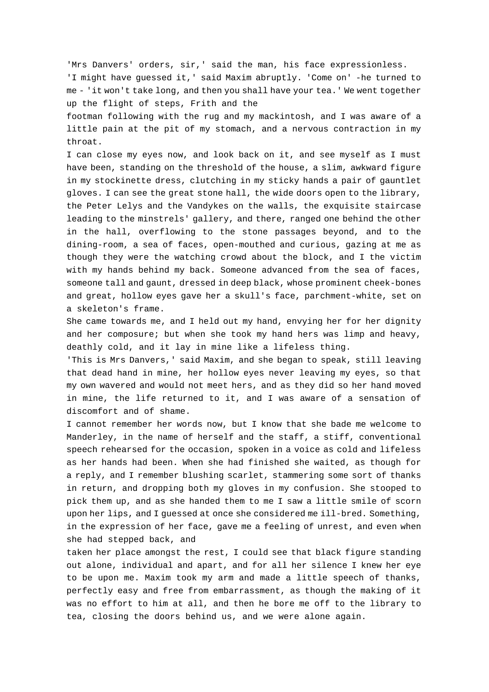'Mrs Danvers' orders, sir,' said the man, his face expressionless. 'I might have guessed it,' said Maxim abruptly. 'Come on' -he turned to me - 'it won't take long, and then you shall have your tea.' We went together up the flight of steps, Frith and the

footman following with the rug and my mackintosh, and I was aware of a little pain at the pit of my stomach, and a nervous contraction in my throat.

I can close my eyes now, and look back on it, and see myself as I must have been, standing on the threshold of the house, a slim, awkward figure in my stockinette dress, clutching in my sticky hands a pair of gauntlet gloves. I can see the great stone hall, the wide doors open to the library, the Peter Lelys and the Vandykes on the walls, the exquisite staircase leading to the minstrels' gallery, and there, ranged one behind the other in the hall, overflowing to the stone passages beyond, and to the dining-room, a sea of faces, open-mouthed and curious, gazing at me as though they were the watching crowd about the block, and I the victim with my hands behind my back. Someone advanced from the sea of faces, someone tall and gaunt, dressed in deep black, whose prominent cheek-bones and great, hollow eyes gave her a skull's face, parchment-white, set on a skeleton's frame.

She came towards me, and I held out my hand, envying her for her dignity and her composure; but when she took my hand hers was limp and heavy, deathly cold, and it lay in mine like a lifeless thing.

'This is Mrs Danvers,' said Maxim, and she began to speak, still leaving that dead hand in mine, her hollow eyes never leaving my eyes, so that my own wavered and would not meet hers, and as they did so her hand moved in mine, the life returned to it, and I was aware of a sensation of discomfort and of shame.

I cannot remember her words now, but I know that she bade me welcome to Manderley, in the name of herself and the staff, a stiff, conventional speech rehearsed for the occasion, spoken in a voice as cold and lifeless as her hands had been. When she had finished she waited, as though for a reply, and I remember blushing scarlet, stammering some sort of thanks in return, and dropping both my gloves in my confusion. She stooped to pick them up, and as she handed them to me I saw a little smile of scorn upon her lips, and I guessed at once she considered me ill-bred. Something, in the expression of her face, gave me a feeling of unrest, and even when she had stepped back, and

taken her place amongst the rest, I could see that black figure standing out alone, individual and apart, and for all her silence I knew her eye to be upon me. Maxim took my arm and made a little speech of thanks, perfectly easy and free from embarrassment, as though the making of it was no effort to him at all, and then he bore me off to the library to tea, closing the doors behind us, and we were alone again.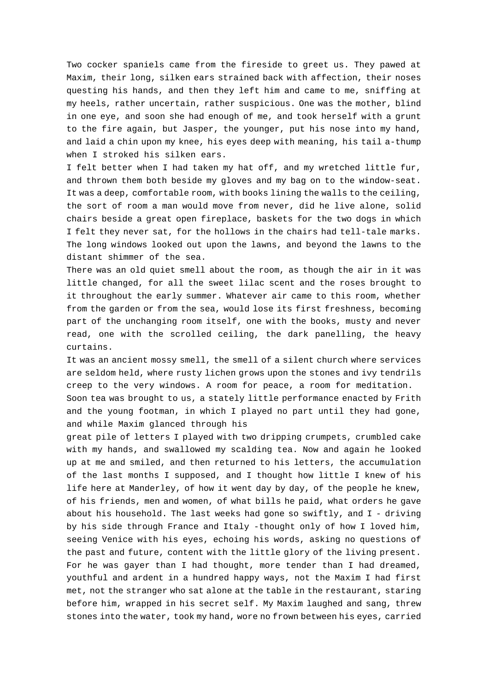Two cocker spaniels came from the fireside to greet us. They pawed at Maxim, their long, silken ears strained back with affection, their noses questing his hands, and then they left him and came to me, sniffing at my heels, rather uncertain, rather suspicious. One was the mother, blind in one eye, and soon she had enough of me, and took herself with a grunt to the fire again, but Jasper, the younger, put his nose into my hand, and laid a chin upon my knee, his eyes deep with meaning, his tail a-thump when I stroked his silken ears.

I felt better when I had taken my hat off, and my wretched little fur, and thrown them both beside my gloves and my bag on to the window-seat. It was a deep, comfortable room, with books lining the walls to the ceiling, the sort of room a man would move from never, did he live alone, solid chairs beside a great open fireplace, baskets for the two dogs in which I felt they never sat, for the hollows in the chairs had tell-tale marks. The long windows looked out upon the lawns, and beyond the lawns to the distant shimmer of the sea.

There was an old quiet smell about the room, as though the air in it was little changed, for all the sweet lilac scent and the roses brought to it throughout the early summer. Whatever air came to this room, whether from the garden or from the sea, would lose its first freshness, becoming part of the unchanging room itself, one with the books, musty and never read, one with the scrolled ceiling, the dark panelling, the heavy curtains.

It was an ancient mossy smell, the smell of a silent church where services are seldom held, where rusty lichen grows upon the stones and ivy tendrils creep to the very windows. A room for peace, a room for meditation. Soon tea was brought to us, a stately little performance enacted by Frith and the young footman, in which I played no part until they had gone, and while Maxim glanced through his

great pile of letters I played with two dripping crumpets, crumbled cake with my hands, and swallowed my scalding tea. Now and again he looked up at me and smiled, and then returned to his letters, the accumulation of the last months I supposed, and I thought how little I knew of his life here at Manderley, of how it went day by day, of the people he knew, of his friends, men and women, of what bills he paid, what orders he gave about his household. The last weeks had gone so swiftly, and I - driving by his side through France and Italy -thought only of how I loved him, seeing Venice with his eyes, echoing his words, asking no questions of the past and future, content with the little glory of the living present. For he was gayer than I had thought, more tender than I had dreamed, youthful and ardent in a hundred happy ways, not the Maxim I had first met, not the stranger who sat alone at the table in the restaurant, staring before him, wrapped in his secret self. My Maxim laughed and sang, threw stones into the water, took my hand, wore no frown between his eyes, carried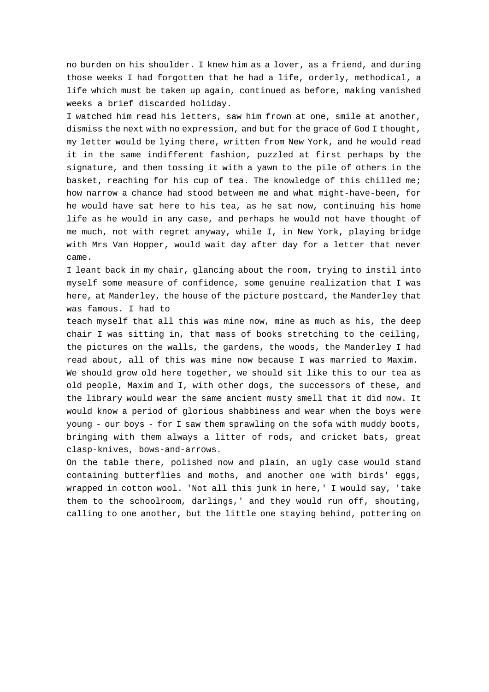no burden on his shoulder. I knew him as a lover, as a friend, and during those weeks I had forgotten that he had a life, orderly, methodical, a life which must be taken up again, continued as before, making vanished weeks a brief discarded holiday.

I watched him read his letters, saw him frown at one, smile at another, dismiss the next with no expression, and but for the grace of God I thought, my letter would be lying there, written from New York, and he would read it in the same indifferent fashion, puzzled at first perhaps by the signature, and then tossing it with a yawn to the pile of others in the basket, reaching for his cup of tea. The knowledge of this chilled me; how narrow a chance had stood between me and what might-have-been, for he would have sat here to his tea, as he sat now, continuing his home life as he would in any case, and perhaps he would not have thought of me much, not with regret anyway, while I, in New York, playing bridge with Mrs Van Hopper, would wait day after day for a letter that never came.

I leant back in my chair, glancing about the room, trying to instil into myself some measure of confidence, some genuine realization that I was here, at Manderley, the house of the picture postcard, the Manderley that was famous. I had to

teach myself that all this was mine now, mine as much as his, the deep chair I was sitting in, that mass of books stretching to the ceiling, the pictures on the walls, the gardens, the woods, the Manderley I had read about, all of this was mine now because I was married to Maxim. We should grow old here together, we should sit like this to our tea as old people, Maxim and I, with other dogs, the successors of these, and the library would wear the same ancient musty smell that it did now. It would know a period of glorious shabbiness and wear when the boys were young - our boys - for I saw them sprawling on the sofa with muddy boots, bringing with them always a litter of rods, and cricket bats, great clasp-knives, bows-and-arrows.

On the table there, polished now and plain, an ugly case would stand containing butterflies and moths, and another one with birds' eggs, wrapped in cotton wool. 'Not all this junk in here,' I would say, 'take them to the schoolroom, darlings,' and they would run off, shouting, calling to one another, but the little one staying behind, pottering on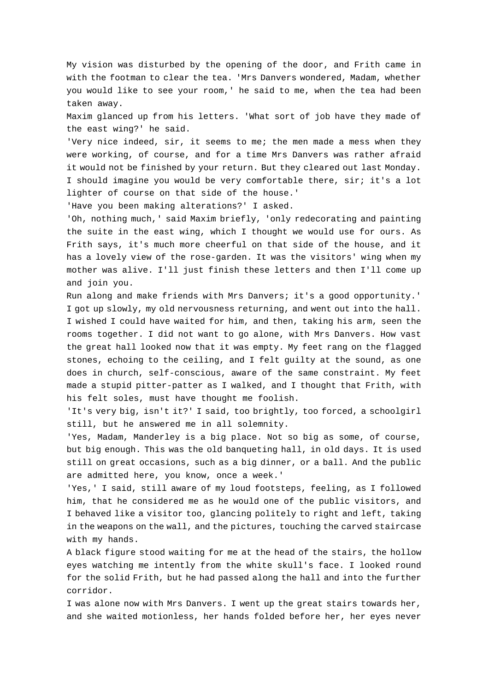My vision was disturbed by the opening of the door, and Frith came in with the footman to clear the tea. 'Mrs Danvers wondered, Madam, whether you would like to see your room,' he said to me, when the tea had been taken away.

Maxim glanced up from his letters. 'What sort of job have they made of the east wing?' he said.

'Very nice indeed, sir, it seems to me; the men made a mess when they were working, of course, and for a time Mrs Danvers was rather afraid it would not be finished by your return. But they cleared out last Monday. I should imagine you would be very comfortable there, sir; it's a lot lighter of course on that side of the house.'

'Have you been making alterations?' I asked.

'Oh, nothing much,' said Maxim briefly, 'only redecorating and painting the suite in the east wing, which I thought we would use for ours. As Frith says, it's much more cheerful on that side of the house, and it has a lovely view of the rose-garden. It was the visitors' wing when my mother was alive. I'll just finish these letters and then I'll come up and join you.

Run along and make friends with Mrs Danvers; it's a good opportunity.' I got up slowly, my old nervousness returning, and went out into the hall. I wished I could have waited for him, and then, taking his arm, seen the rooms together. I did not want to go alone, with Mrs Danvers. How vast the great hall looked now that it was empty. My feet rang on the flagged stones, echoing to the ceiling, and I felt guilty at the sound, as one does in church, self-conscious, aware of the same constraint. My feet made a stupid pitter-patter as I walked, and I thought that Frith, with his felt soles, must have thought me foolish.

'It's very big, isn't it?' I said, too brightly, too forced, a schoolgirl still, but he answered me in all solemnity.

'Yes, Madam, Manderley is a big place. Not so big as some, of course, but big enough. This was the old banqueting hall, in old days. It is used still on great occasions, such as a big dinner, or a ball. And the public are admitted here, you know, once a week.'

'Yes,' I said, still aware of my loud footsteps, feeling, as I followed him, that he considered me as he would one of the public visitors, and I behaved like a visitor too, glancing politely to right and left, taking in the weapons on the wall, and the pictures, touching the carved staircase with my hands.

A black figure stood waiting for me at the head of the stairs, the hollow eyes watching me intently from the white skull's face. I looked round for the solid Frith, but he had passed along the hall and into the further corridor.

I was alone now with Mrs Danvers. I went up the great stairs towards her, and she waited motionless, her hands folded before her, her eyes never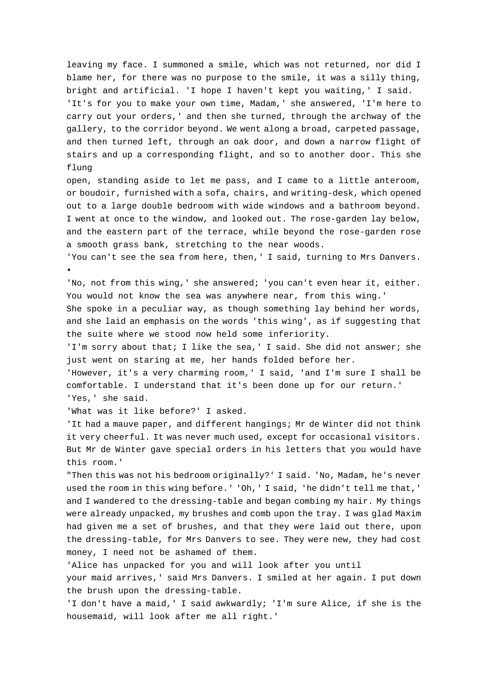leaving my face. I summoned a smile, which was not returned, nor did I blame her, for there was no purpose to the smile, it was a silly thing, bright and artificial. 'I hope I haven't kept you waiting,' I said. 'It's for you to make your own time, Madam,' she answered, 'I'm here to carry out your orders,' and then she turned, through the archway of the gallery, to the corridor beyond. We went along a broad, carpeted passage, and then turned left, through an oak door, and down a narrow flight of stairs and up a corresponding flight, and so to another door. This she flung

open, standing aside to let me pass, and I came to a little anteroom, or boudoir, furnished with a sofa, chairs, and writing-desk, which opened out to a large double bedroom with wide windows and a bathroom beyond. I went at once to the window, and looked out. The rose-garden lay below, and the eastern part of the terrace, while beyond the rose-garden rose a smooth grass bank, stretching to the near woods.

'You can't see the sea from here, then,' I said, turning to Mrs Danvers. •

'No, not from this wing,' she answered; 'you can't even hear it, either. You would not know the sea was anywhere near, from this wing.'

She spoke in a peculiar way, as though something lay behind her words, and she laid an emphasis on the words 'this wing', as if suggesting that the suite where we stood now held some inferiority.

'I'm sorry about that; I like the sea,' I said. She did not answer; she just went on staring at me, her hands folded before her.

'However, it's a very charming room,' I said, 'and I'm sure I shall be comfortable. I understand that it's been done up for our return.' 'Yes,' she said.

'What was it like before?' I asked.

'It had a mauve paper, and different hangings; Mr de Winter did not think it very cheerful. It was never much used, except for occasional visitors. But Mr de Winter gave special orders in his letters that you would have this room.'

"Then this was not his bedroom originally?' I said. 'No, Madam, he's never used the room in this wing before.' 'Oh,' I said, 'he didn't tell me that,' and I wandered to the dressing-table and began combing my hair. My things were already unpacked, my brushes and comb upon the tray. I was glad Maxim had given me a set of brushes, and that they were laid out there, upon the dressing-table, for Mrs Danvers to see. They were new, they had cost money, I need not be ashamed of them.

'Alice has unpacked for you and will look after you until

your maid arrives,' said Mrs Danvers. I smiled at her again. I put down the brush upon the dressing-table.

'I don't have a maid,' I said awkwardly; 'I'm sure Alice, if she is the housemaid, will look after me all right.'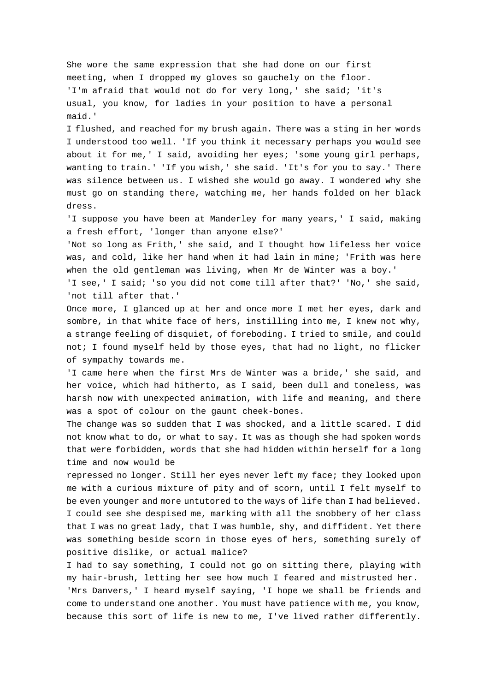She wore the same expression that she had done on our first meeting, when I dropped my gloves so gauchely on the floor. 'I'm afraid that would not do for very long,' she said; 'it's usual, you know, for ladies in your position to have a personal maid.'

I flushed, and reached for my brush again. There was a sting in her words I understood too well. 'If you think it necessary perhaps you would see about it for me,' I said, avoiding her eyes; 'some young girl perhaps, wanting to train.' 'If you wish,' she said. 'It's for you to say.' There was silence between us. I wished she would go away. I wondered why she must go on standing there, watching me, her hands folded on her black dress.

'I suppose you have been at Manderley for many years,' I said, making a fresh effort, 'longer than anyone else?'

'Not so long as Frith,' she said, and I thought how lifeless her voice was, and cold, like her hand when it had lain in mine; 'Frith was here when the old gentleman was living, when Mr de Winter was a boy.'

'I see,' I said; 'so you did not come till after that?' 'No,' she said, 'not till after that.'

Once more, I glanced up at her and once more I met her eyes, dark and sombre, in that white face of hers, instilling into me, I knew not why, a strange feeling of disquiet, of foreboding. I tried to smile, and could not; I found myself held by those eyes, that had no light, no flicker of sympathy towards me.

'I came here when the first Mrs de Winter was a bride,' she said, and her voice, which had hitherto, as I said, been dull and toneless, was harsh now with unexpected animation, with life and meaning, and there was a spot of colour on the gaunt cheek-bones.

The change was so sudden that I was shocked, and a little scared. I did not know what to do, or what to say. It was as though she had spoken words that were forbidden, words that she had hidden within herself for a long time and now would be

repressed no longer. Still her eyes never left my face; they looked upon me with a curious mixture of pity and of scorn, until I felt myself to be even younger and more untutored to the ways of life than I had believed. I could see she despised me, marking with all the snobbery of her class that I was no great lady, that I was humble, shy, and diffident. Yet there was something beside scorn in those eyes of hers, something surely of positive dislike, or actual malice?

I had to say something, I could not go on sitting there, playing with my hair-brush, letting her see how much I feared and mistrusted her. 'Mrs Danvers,' I heard myself saying, 'I hope we shall be friends and come to understand one another. You must have patience with me, you know, because this sort of life is new to me, I've lived rather differently.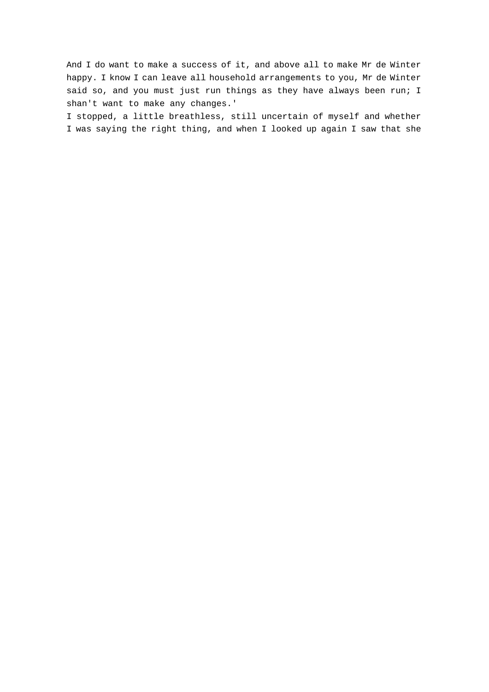And I do want to make a success of it, and above all to make Mr de Winter happy. I know I can leave all household arrangements to you, Mr de Winter said so, and you must just run things as they have always been run; I shan't want to make any changes.'

I stopped, a little breathless, still uncertain of myself and whether I was saying the right thing, and when I looked up again I saw that she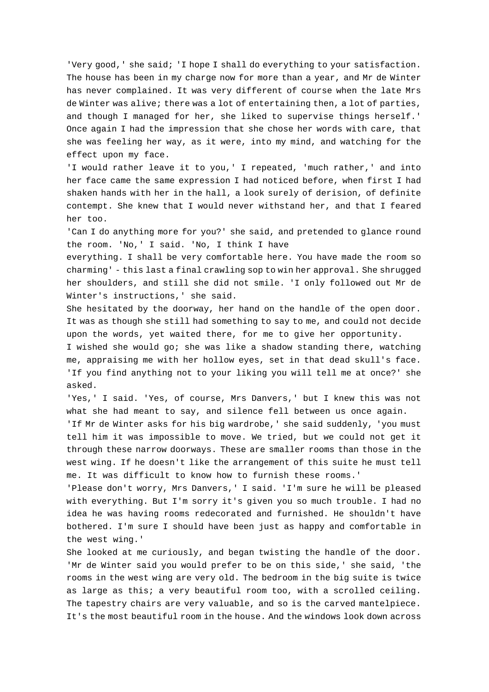'Very good,' she said; 'I hope I shall do everything to your satisfaction. The house has been in my charge now for more than a year, and Mr de Winter has never complained. It was very different of course when the late Mrs de Winter was alive; there was a lot of entertaining then, a lot of parties, and though I managed for her, she liked to supervise things herself.' Once again I had the impression that she chose her words with care, that she was feeling her way, as it were, into my mind, and watching for the effect upon my face.

'I would rather leave it to you,' I repeated, 'much rather,' and into her face came the same expression I had noticed before, when first I had shaken hands with her in the hall, a look surely of derision, of definite contempt. She knew that I would never withstand her, and that I feared her too.

'Can I do anything more for you?' she said, and pretended to glance round the room. 'No,' I said. 'No, I think I have

everything. I shall be very comfortable here. You have made the room so charming' - this last a final crawling sop to win her approval. She shrugged her shoulders, and still she did not smile. 'I only followed out Mr de Winter's instructions,' she said.

She hesitated by the doorway, her hand on the handle of the open door. It was as though she still had something to say to me, and could not decide upon the words, yet waited there, for me to give her opportunity.

I wished she would go; she was like a shadow standing there, watching me, appraising me with her hollow eyes, set in that dead skull's face. 'If you find anything not to your liking you will tell me at once?' she asked.

'Yes,' I said. 'Yes, of course, Mrs Danvers,' but I knew this was not what she had meant to say, and silence fell between us once again.

'If Mr de Winter asks for his big wardrobe,' she said suddenly, 'you must tell him it was impossible to move. We tried, but we could not get it through these narrow doorways. These are smaller rooms than those in the west wing. If he doesn't like the arrangement of this suite he must tell me. It was difficult to know how to furnish these rooms.'

'Please don't worry, Mrs Danvers,' I said. 'I'm sure he will be pleased with everything. But I'm sorry it's given you so much trouble. I had no idea he was having rooms redecorated and furnished. He shouldn't have bothered. I'm sure I should have been just as happy and comfortable in the west wing.'

She looked at me curiously, and began twisting the handle of the door. 'Mr de Winter said you would prefer to be on this side,' she said, 'the rooms in the west wing are very old. The bedroom in the big suite is twice as large as this; a very beautiful room too, with a scrolled ceiling. The tapestry chairs are very valuable, and so is the carved mantelpiece. It's the most beautiful room in the house. And the windows look down across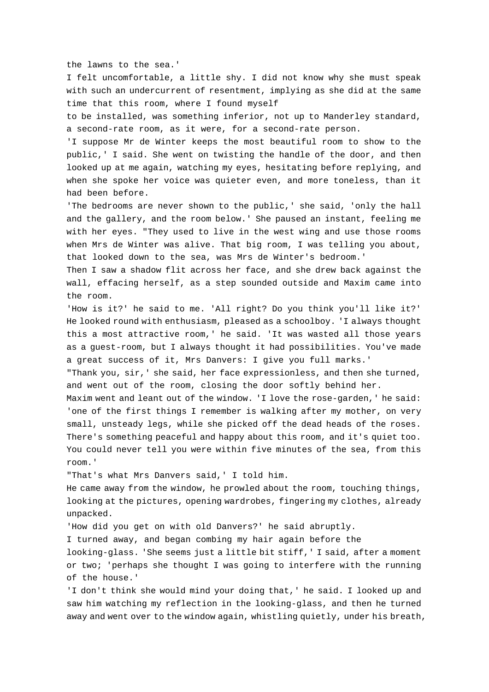the lawns to the sea.'

I felt uncomfortable, a little shy. I did not know why she must speak with such an undercurrent of resentment, implying as she did at the same time that this room, where I found myself

to be installed, was something inferior, not up to Manderley standard, a second-rate room, as it were, for a second-rate person.

'I suppose Mr de Winter keeps the most beautiful room to show to the public,' I said. She went on twisting the handle of the door, and then looked up at me again, watching my eyes, hesitating before replying, and when she spoke her voice was quieter even, and more toneless, than it had been before.

'The bedrooms are never shown to the public,' she said, 'only the hall and the gallery, and the room below.' She paused an instant, feeling me with her eyes. "They used to live in the west wing and use those rooms when Mrs de Winter was alive. That big room, I was telling you about, that looked down to the sea, was Mrs de Winter's bedroom.'

Then I saw a shadow flit across her face, and she drew back against the wall, effacing herself, as a step sounded outside and Maxim came into the room.

'How is it?' he said to me. 'All right? Do you think you'll like it?' He looked round with enthusiasm, pleased as a schoolboy. 'I always thought this a most attractive room,' he said. 'It was wasted all those years as a guest-room, but I always thought it had possibilities. You've made a great success of it, Mrs Danvers: I give you full marks.'

"Thank you, sir,' she said, her face expressionless, and then she turned, and went out of the room, closing the door softly behind her.

Maxim went and leant out of the window. 'I love the rose-garden,' he said: 'one of the first things I remember is walking after my mother, on very small, unsteady legs, while she picked off the dead heads of the roses. There's something peaceful and happy about this room, and it's quiet too. You could never tell you were within five minutes of the sea, from this room.'

"That's what Mrs Danvers said,' I told him.

He came away from the window, he prowled about the room, touching things, looking at the pictures, opening wardrobes, fingering my clothes, already unpacked.

'How did you get on with old Danvers?' he said abruptly.

I turned away, and began combing my hair again before the

looking-glass. 'She seems just a little bit stiff,' I said, after a moment or two; 'perhaps she thought I was going to interfere with the running of the house.'

'I don't think she would mind your doing that,' he said. I looked up and saw him watching my reflection in the looking-glass, and then he turned away and went over to the window again, whistling quietly, under his breath,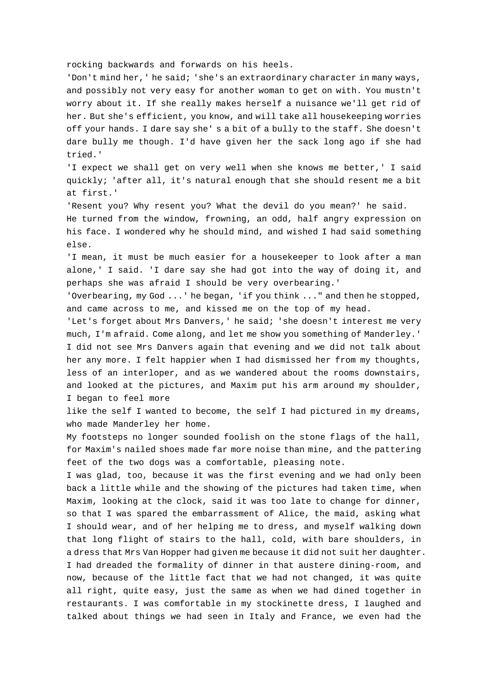rocking backwards and forwards on his heels.

'Don't mind her, ' he said; ' she's an extraordinary character in many ways, and possibly not very easy for another woman to get on with. You mustn't worry about it. If she really makes herself a nuisance we'll get rid of her. But she's efficient, you know, and will take all housekeeping worries off your hands. I dare say she' s a bit of a bully to the staff. She doesn't dare bully me though. I'd have given her the sack long ago if she had tried.'

'I expect we shall get on very well when she knows me better,' I said quickly; 'after all, it's natural enough that she should resent me a bit at first.'

'Resent you? Why resent you? What the devil do you mean?' he said. He turned from the window, frowning, an odd, half angry expression on his face. I wondered why he should mind, and wished I had said something else.

'I mean, it must be much easier for a housekeeper to look after a man alone,' I said. 'I dare say she had got into the way of doing it, and perhaps she was afraid I should be very overbearing.'

'Overbearing, my God ...' he began, 'if you think ..." and then he stopped, and came across to me, and kissed me on the top of my head.

'Let's forget about Mrs Danvers, ' he said; 'she doesn't interest me very much, I'm afraid. Come along, and let me show you something of Manderley.' I did not see Mrs Danvers again that evening and we did not talk about her any more. I felt happier when I had dismissed her from my thoughts, less of an interloper, and as we wandered about the rooms downstairs, and looked at the pictures, and Maxim put his arm around my shoulder, I began to feel more

like the self I wanted to become, the self I had pictured in my dreams, who made Manderley her home.

My footsteps no longer sounded foolish on the stone flags of the hall, for Maxim's nailed shoes made far more noise than mine, and the pattering feet of the two dogs was a comfortable, pleasing note.

I was glad, too, because it was the first evening and we had only been back a little while and the showing of the pictures had taken time, when Maxim, looking at the clock, said it was too late to change for dinner, so that I was spared the embarrassment of Alice, the maid, asking what I should wear, and of her helping me to dress, and myself walking down that long flight of stairs to the hall, cold, with bare shoulders, in a dress that Mrs Van Hopper had given me because it did not suit her daughter. I had dreaded the formality of dinner in that austere dining-room, and now, because of the little fact that we had not changed, it was quite all right, quite easy, just the same as when we had dined together in restaurants. I was comfortable in my stockinette dress, I laughed and talked about things we had seen in Italy and France, we even had the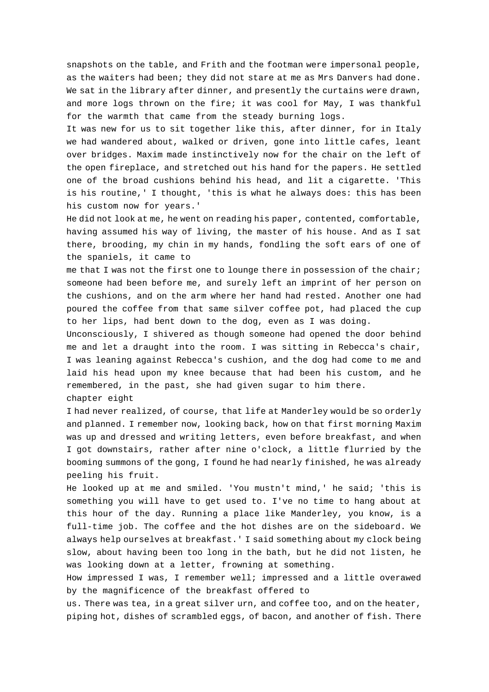snapshots on the table, and Frith and the footman were impersonal people, as the waiters had been; they did not stare at me as Mrs Danvers had done. We sat in the library after dinner, and presently the curtains were drawn, and more logs thrown on the fire; it was cool for May, I was thankful for the warmth that came from the steady burning logs.

It was new for us to sit together like this, after dinner, for in Italy we had wandered about, walked or driven, gone into little cafes, leant over bridges. Maxim made instinctively now for the chair on the left of the open fireplace, and stretched out his hand for the papers. He settled one of the broad cushions behind his head, and lit a cigarette. 'This is his routine,' I thought, 'this is what he always does: this has been his custom now for years.'

He did not look at me, he went on reading his paper, contented, comfortable, having assumed his way of living, the master of his house. And as I sat there, brooding, my chin in my hands, fondling the soft ears of one of the spaniels, it came to

me that I was not the first one to lounge there in possession of the chair; someone had been before me, and surely left an imprint of her person on the cushions, and on the arm where her hand had rested. Another one had poured the coffee from that same silver coffee pot, had placed the cup to her lips, had bent down to the dog, even as I was doing.

Unconsciously, I shivered as though someone had opened the door behind me and let a draught into the room. I was sitting in Rebecca's chair, I was leaning against Rebecca's cushion, and the dog had come to me and laid his head upon my knee because that had been his custom, and he remembered, in the past, she had given sugar to him there. chapter eight

I had never realized, of course, that life at Manderley would be so orderly and planned. I remember now, looking back, how on that first morning Maxim was up and dressed and writing letters, even before breakfast, and when I got downstairs, rather after nine o'clock, a little flurried by the booming summons of the gong, I found he had nearly finished, he was already peeling his fruit.

He looked up at me and smiled. 'You mustn't mind,' he said; 'this is something you will have to get used to. I've no time to hang about at this hour of the day. Running a place like Manderley, you know, is a full-time job. The coffee and the hot dishes are on the sideboard. We always help ourselves at breakfast.' I said something about my clock being slow, about having been too long in the bath, but he did not listen, he was looking down at a letter, frowning at something.

How impressed I was, I remember well; impressed and a little overawed by the magnificence of the breakfast offered to

us. There was tea, in a great silver urn, and coffee too, and on the heater, piping hot, dishes of scrambled eggs, of bacon, and another of fish. There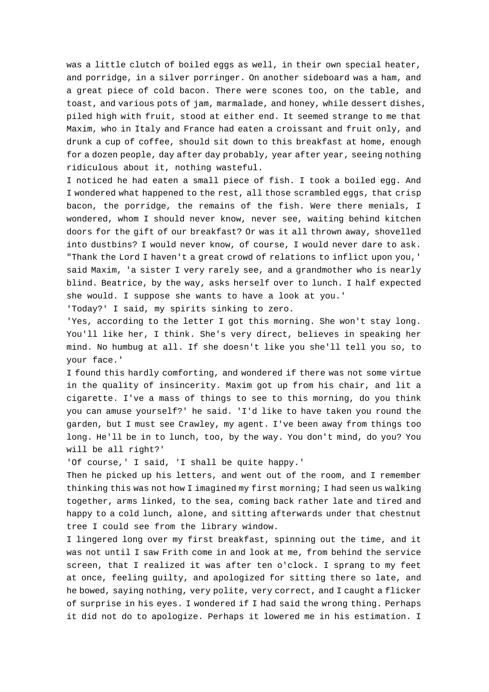was a little clutch of boiled eggs as well, in their own special heater, and porridge, in a silver porringer. On another sideboard was a ham, and a great piece of cold bacon. There were scones too, on the table, and toast, and various pots of jam, marmalade, and honey, while dessert dishes, piled high with fruit, stood at either end. It seemed strange to me that Maxim, who in Italy and France had eaten a croissant and fruit only, and drunk a cup of coffee, should sit down to this breakfast at home, enough for a dozen people, day after day probably, year after year, seeing nothing ridiculous about it, nothing wasteful.

I noticed he had eaten a small piece of fish. I took a boiled egg. And I wondered what happened to the rest, all those scrambled eggs, that crisp bacon, the porridge, the remains of the fish. Were there menials, I wondered, whom I should never know, never see, waiting behind kitchen doors for the gift of our breakfast? Or was it all thrown away, shovelled into dustbins? I would never know, of course, I would never dare to ask. "Thank the Lord I haven't a great crowd of relations to inflict upon you,' said Maxim, 'a sister I very rarely see, and a grandmother who is nearly blind. Beatrice, by the way, asks herself over to lunch. I half expected she would. I suppose she wants to have a look at you.'

'Today?' I said, my spirits sinking to zero.

'Yes, according to the letter I got this morning. She won't stay long. You'll like her, I think. She's very direct, believes in speaking her mind. No humbug at all. If she doesn't like you she'll tell you so, to your face.'

I found this hardly comforting, and wondered if there was not some virtue in the quality of insincerity. Maxim got up from his chair, and lit a cigarette. I've a mass of things to see to this morning, do you think you can amuse yourself?' he said. 'I'd like to have taken you round the garden, but I must see Crawley, my agent. I've been away from things too long. He'll be in to lunch, too, by the way. You don't mind, do you? You will be all right?'

'Of course,' I said, 'I shall be quite happy.'

Then he picked up his letters, and went out of the room, and I remember thinking this was not how I imagined my first morning; I had seen us walking together, arms linked, to the sea, coming back rather late and tired and happy to a cold lunch, alone, and sitting afterwards under that chestnut tree I could see from the library window.

I lingered long over my first breakfast, spinning out the time, and it was not until I saw Frith come in and look at me, from behind the service screen, that I realized it was after ten o'clock. I sprang to my feet at once, feeling guilty, and apologized for sitting there so late, and he bowed, saying nothing, very polite, very correct, and I caught a flicker of surprise in his eyes. I wondered if I had said the wrong thing. Perhaps it did not do to apologize. Perhaps it lowered me in his estimation. I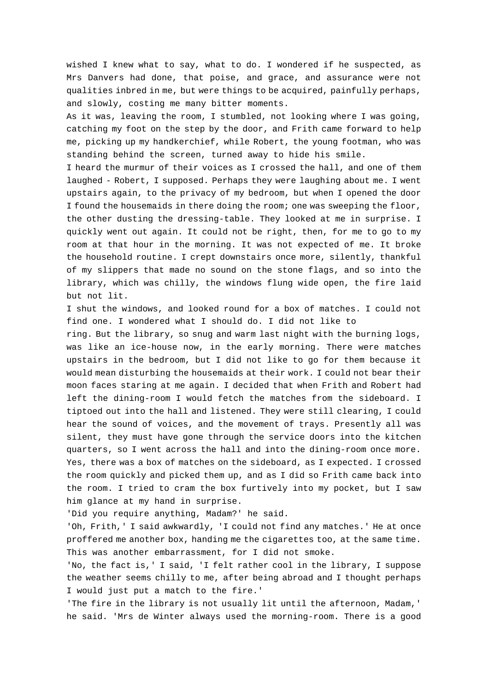wished I knew what to say, what to do. I wondered if he suspected, as Mrs Danvers had done, that poise, and grace, and assurance were not qualities inbred in me, but were things to be acquired, painfully perhaps, and slowly, costing me many bitter moments.

As it was, leaving the room, I stumbled, not looking where I was going, catching my foot on the step by the door, and Frith came forward to help me, picking up my handkerchief, while Robert, the young footman, who was standing behind the screen, turned away to hide his smile.

I heard the murmur of their voices as I crossed the hall, and one of them laughed - Robert, I supposed. Perhaps they were laughing about me. I went upstairs again, to the privacy of my bedroom, but when I opened the door I found the housemaids in there doing the room; one was sweeping the floor, the other dusting the dressing-table. They looked at me in surprise. I quickly went out again. It could not be right, then, for me to go to my room at that hour in the morning. It was not expected of me. It broke the household routine. I crept downstairs once more, silently, thankful of my slippers that made no sound on the stone flags, and so into the library, which was chilly, the windows flung wide open, the fire laid but not lit.

I shut the windows, and looked round for a box of matches. I could not find one. I wondered what I should do. I did not like to

ring. But the library, so snug and warm last night with the burning logs, was like an ice-house now, in the early morning. There were matches upstairs in the bedroom, but I did not like to go for them because it would mean disturbing the housemaids at their work. I could not bear their moon faces staring at me again. I decided that when Frith and Robert had left the dining-room I would fetch the matches from the sideboard. I tiptoed out into the hall and listened. They were still clearing, I could hear the sound of voices, and the movement of trays. Presently all was silent, they must have gone through the service doors into the kitchen quarters, so I went across the hall and into the dining-room once more. Yes, there was a box of matches on the sideboard, as I expected. I crossed the room quickly and picked them up, and as I did so Frith came back into the room. I tried to cram the box furtively into my pocket, but I saw him glance at my hand in surprise.

'Did you require anything, Madam?' he said.

'Oh, Frith, ' I said awkwardly, 'I could not find any matches.' He at once proffered me another box, handing me the cigarettes too, at the same time. This was another embarrassment, for I did not smoke.

'No, the fact is,' I said, 'I felt rather cool in the library, I suppose the weather seems chilly to me, after being abroad and I thought perhaps I would just put a match to the fire.'

'The fire in the library is not usually lit until the afternoon, Madam,' he said. 'Mrs de Winter always used the morning-room. There is a good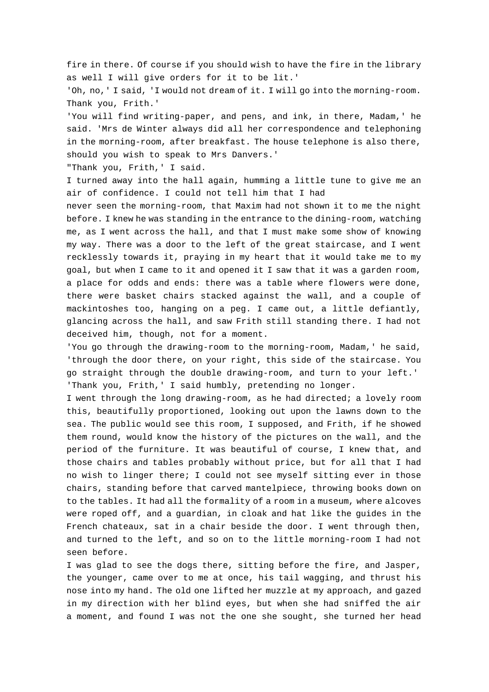fire in there. Of course if you should wish to have the fire in the library as well I will give orders for it to be lit.'

'Oh, no,' I said, 'I would not dream of it. I will go into the morning-room. Thank you, Frith.'

'You will find writing-paper, and pens, and ink, in there, Madam,' he said. 'Mrs de Winter always did all her correspondence and telephoning in the morning-room, after breakfast. The house telephone is also there, should you wish to speak to Mrs Danvers.'

"Thank you, Frith,' I said.

I turned away into the hall again, humming a little tune to give me an air of confidence. I could not tell him that I had

never seen the morning-room, that Maxim had not shown it to me the night before. I knew he was standing in the entrance to the dining-room, watching me, as I went across the hall, and that I must make some show of knowing my way. There was a door to the left of the great staircase, and I went recklessly towards it, praying in my heart that it would take me to my goal, but when I came to it and opened it I saw that it was a garden room, a place for odds and ends: there was a table where flowers were done, there were basket chairs stacked against the wall, and a couple of mackintoshes too, hanging on a peg. I came out, a little defiantly, glancing across the hall, and saw Frith still standing there. I had not deceived him, though, not for a moment.

'You go through the drawing-room to the morning-room, Madam,' he said, 'through the door there, on your right, this side of the staircase. You go straight through the double drawing-room, and turn to your left.' 'Thank you, Frith,' I said humbly, pretending no longer.

I went through the long drawing-room, as he had directed; a lovely room this, beautifully proportioned, looking out upon the lawns down to the sea. The public would see this room, I supposed, and Frith, if he showed them round, would know the history of the pictures on the wall, and the period of the furniture. It was beautiful of course, I knew that, and those chairs and tables probably without price, but for all that I had no wish to linger there; I could not see myself sitting ever in those chairs, standing before that carved mantelpiece, throwing books down on to the tables. It had all the formality of a room in a museum, where alcoves were roped off, and a guardian, in cloak and hat like the guides in the French chateaux, sat in a chair beside the door. I went through then, and turned to the left, and so on to the little morning-room I had not seen before.

I was glad to see the dogs there, sitting before the fire, and Jasper, the younger, came over to me at once, his tail wagging, and thrust his nose into my hand. The old one lifted her muzzle at my approach, and gazed in my direction with her blind eyes, but when she had sniffed the air a moment, and found I was not the one she sought, she turned her head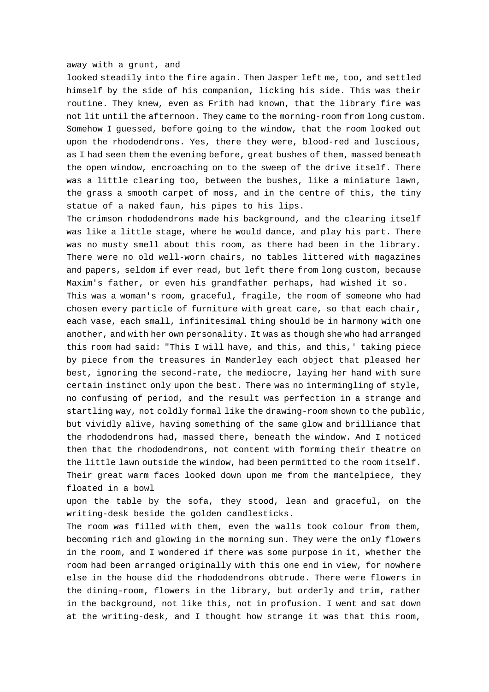## away with a grunt, and

looked steadily into the fire again. Then Jasper left me, too, and settled himself by the side of his companion, licking his side. This was their routine. They knew, even as Frith had known, that the library fire was not lit until the afternoon. They came to the morning-room from long custom. Somehow I guessed, before going to the window, that the room looked out upon the rhododendrons. Yes, there they were, blood-red and luscious, as I had seen them the evening before, great bushes of them, massed beneath the open window, encroaching on to the sweep of the drive itself. There was a little clearing too, between the bushes, like a miniature lawn, the grass a smooth carpet of moss, and in the centre of this, the tiny statue of a naked faun, his pipes to his lips.

The crimson rhododendrons made his background, and the clearing itself was like a little stage, where he would dance, and play his part. There was no musty smell about this room, as there had been in the library. There were no old well-worn chairs, no tables littered with magazines and papers, seldom if ever read, but left there from long custom, because Maxim's father, or even his grandfather perhaps, had wished it so.

This was a woman's room, graceful, fragile, the room of someone who had chosen every particle of furniture with great care, so that each chair, each vase, each small, infinitesimal thing should be in harmony with one another, and with her own personality. It was as though she who had arranged this room had said: "This I will have, and this, and this,' taking piece by piece from the treasures in Manderley each object that pleased her best, ignoring the second-rate, the mediocre, laying her hand with sure certain instinct only upon the best. There was no intermingling of style, no confusing of period, and the result was perfection in a strange and startling way, not coldly formal like the drawing-room shown to the public, but vividly alive, having something of the same glow and brilliance that the rhododendrons had, massed there, beneath the window. And I noticed then that the rhododendrons, not content with forming their theatre on the little lawn outside the window, had been permitted to the room itself. Their great warm faces looked down upon me from the mantelpiece, they floated in a bowl

upon the table by the sofa, they stood, lean and graceful, on the writing-desk beside the golden candlesticks.

The room was filled with them, even the walls took colour from them, becoming rich and glowing in the morning sun. They were the only flowers in the room, and I wondered if there was some purpose in it, whether the room had been arranged originally with this one end in view, for nowhere else in the house did the rhododendrons obtrude. There were flowers in the dining-room, flowers in the library, but orderly and trim, rather in the background, not like this, not in profusion. I went and sat down at the writing-desk, and I thought how strange it was that this room,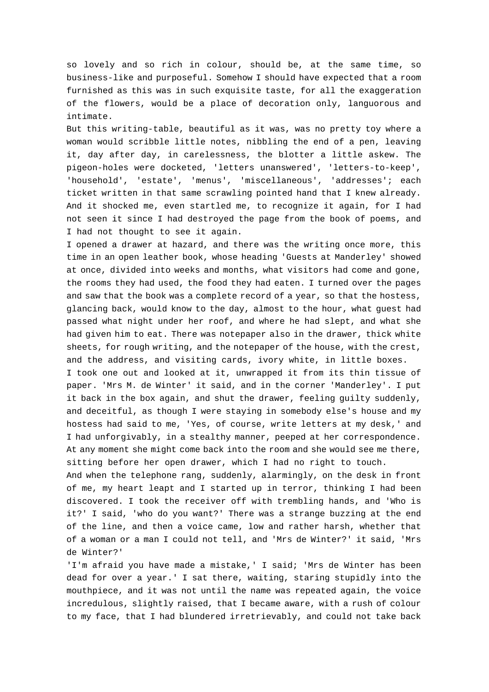so lovely and so rich in colour, should be, at the same time, so business-like and purposeful. Somehow I should have expected that a room furnished as this was in such exquisite taste, for all the exaggeration of the flowers, would be a place of decoration only, languorous and intimate.

But this writing-table, beautiful as it was, was no pretty toy where a woman would scribble little notes, nibbling the end of a pen, leaving it, day after day, in carelessness, the blotter a little askew. The pigeon-holes were docketed, 'letters unanswered', 'letters-to-keep', 'household', 'estate', 'menus', 'miscellaneous', 'addresses'; each ticket written in that same scrawling pointed hand that I knew already. And it shocked me, even startled me, to recognize it again, for I had not seen it since I had destroyed the page from the book of poems, and I had not thought to see it again.

I opened a drawer at hazard, and there was the writing once more, this time in an open leather book, whose heading 'Guests at Manderley' showed at once, divided into weeks and months, what visitors had come and gone, the rooms they had used, the food they had eaten. I turned over the pages and saw that the book was a complete record of a year, so that the hostess, glancing back, would know to the day, almost to the hour, what guest had passed what night under her roof, and where he had slept, and what she had given him to eat. There was notepaper also in the drawer, thick white sheets, for rough writing, and the notepaper of the house, with the crest, and the address, and visiting cards, ivory white, in little boxes.

I took one out and looked at it, unwrapped it from its thin tissue of paper. 'Mrs M. de Winter' it said, and in the corner 'Manderley'. I put it back in the box again, and shut the drawer, feeling guilty suddenly, and deceitful, as though I were staying in somebody else's house and my hostess had said to me, 'Yes, of course, write letters at my desk,' and I had unforgivably, in a stealthy manner, peeped at her correspondence. At any moment she might come back into the room and she would see me there, sitting before her open drawer, which I had no right to touch.

And when the telephone rang, suddenly, alarmingly, on the desk in front of me, my heart leapt and I started up in terror, thinking I had been discovered. I took the receiver off with trembling hands, and 'Who is it?' I said, 'who do you want?' There was a strange buzzing at the end of the line, and then a voice came, low and rather harsh, whether that of a woman or a man I could not tell, and 'Mrs de Winter?' it said, 'Mrs de Winter?'

'I'm afraid you have made a mistake,' I said; 'Mrs de Winter has been dead for over a year.' I sat there, waiting, staring stupidly into the mouthpiece, and it was not until the name was repeated again, the voice incredulous, slightly raised, that I became aware, with a rush of colour to my face, that I had blundered irretrievably, and could not take back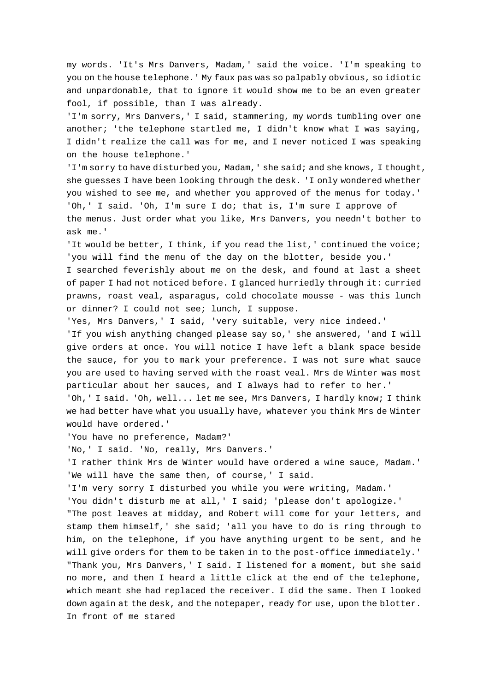my words. 'It's Mrs Danvers, Madam,' said the voice. 'I'm speaking to you on the house telephone.' My faux pas was so palpably obvious, so idiotic and unpardonable, that to ignore it would show me to be an even greater fool, if possible, than I was already.

'I'm sorry, Mrs Danvers,' I said, stammering, my words tumbling over one another; 'the telephone startled me, I didn't know what I was saying, I didn't realize the call was for me, and I never noticed I was speaking on the house telephone.'

'I'm sorry to have disturbed you, Madam,' she said; and she knows, I thought, she guesses I have been looking through the desk. 'I only wondered whether you wished to see me, and whether you approved of the menus for today.' 'Oh,' I said. 'Oh, I'm sure I do; that is, I'm sure I approve of the menus. Just order what you like, Mrs Danvers, you needn't bother to ask me.'

'It would be better, I think, if you read the list,' continued the voice; 'you will find the menu of the day on the blotter, beside you.'

I searched feverishly about me on the desk, and found at last a sheet of paper I had not noticed before. I glanced hurriedly through it: curried prawns, roast veal, asparagus, cold chocolate mousse - was this lunch or dinner? I could not see; lunch, I suppose.

'Yes, Mrs Danvers,' I said, 'very suitable, very nice indeed.'

'If you wish anything changed please say so,' she answered, 'and I will give orders at once. You will notice I have left a blank space beside the sauce, for you to mark your preference. I was not sure what sauce you are used to having served with the roast veal. Mrs de Winter was most particular about her sauces, and I always had to refer to her.'

'Oh, ' I said. 'Oh, well... let me see, Mrs Danvers, I hardly know; I think we had better have what you usually have, whatever you think Mrs de Winter would have ordered.'

'You have no preference, Madam?'

'No,' I said. 'No, really, Mrs Danvers.'

'I rather think Mrs de Winter would have ordered a wine sauce, Madam.' 'We will have the same then, of course,' I said.

'I'm very sorry I disturbed you while you were writing, Madam.'

'You didn't disturb me at all,' I said; 'please don't apologize.'

"The post leaves at midday, and Robert will come for your letters, and stamp them himself,' she said; 'all you have to do is ring through to him, on the telephone, if you have anything urgent to be sent, and he will give orders for them to be taken in to the post-office immediately.' "Thank you, Mrs Danvers,' I said. I listened for a moment, but she said no more, and then I heard a little click at the end of the telephone, which meant she had replaced the receiver. I did the same. Then I looked down again at the desk, and the notepaper, ready for use, upon the blotter. In front of me stared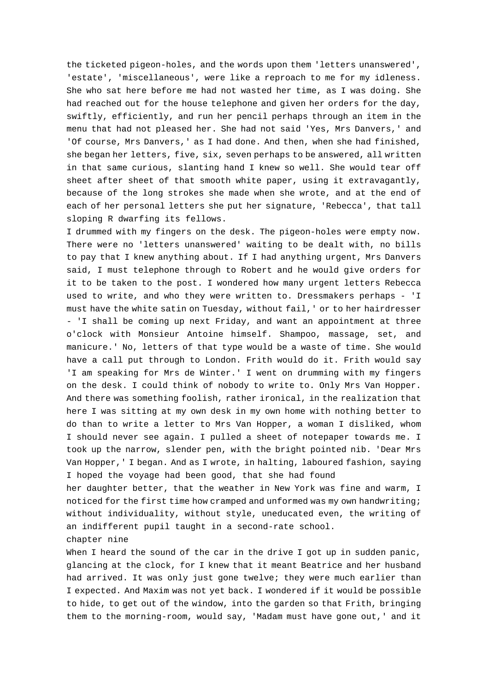the ticketed pigeon-holes, and the words upon them 'letters unanswered', 'estate', 'miscellaneous', were like a reproach to me for my idleness. She who sat here before me had not wasted her time, as I was doing. She had reached out for the house telephone and given her orders for the day, swiftly, efficiently, and run her pencil perhaps through an item in the menu that had not pleased her. She had not said 'Yes, Mrs Danvers,' and 'Of course, Mrs Danvers,' as I had done. And then, when she had finished, she began her letters, five, six, seven perhaps to be answered, all written in that same curious, slanting hand I knew so well. She would tear off sheet after sheet of that smooth white paper, using it extravagantly, because of the long strokes she made when she wrote, and at the end of each of her personal letters she put her signature, 'Rebecca', that tall sloping R dwarfing its fellows.

I drummed with my fingers on the desk. The pigeon-holes were empty now. There were no 'letters unanswered' waiting to be dealt with, no bills to pay that I knew anything about. If I had anything urgent, Mrs Danvers said, I must telephone through to Robert and he would give orders for it to be taken to the post. I wondered how many urgent letters Rebecca used to write, and who they were written to. Dressmakers perhaps - 'I must have the white satin on Tuesday, without fail,' or to her hairdresser - 'I shall be coming up next Friday, and want an appointment at three o'clock with Monsieur Antoine himself. Shampoo, massage, set, and manicure.' No, letters of that type would be a waste of time. She would have a call put through to London. Frith would do it. Frith would say 'I am speaking for Mrs de Winter.' I went on drumming with my fingers on the desk. I could think of nobody to write to. Only Mrs Van Hopper. And there was something foolish, rather ironical, in the realization that here I was sitting at my own desk in my own home with nothing better to do than to write a letter to Mrs Van Hopper, a woman I disliked, whom I should never see again. I pulled a sheet of notepaper towards me. I took up the narrow, slender pen, with the bright pointed nib. 'Dear Mrs Van Hopper,' I began. And as I wrote, in halting, laboured fashion, saying I hoped the voyage had been good, that she had found

her daughter better, that the weather in New York was fine and warm, I noticed for the first time how cramped and unformed was my own handwriting; without individuality, without style, uneducated even, the writing of an indifferent pupil taught in a second-rate school.

chapter nine

When I heard the sound of the car in the drive I got up in sudden panic, glancing at the clock, for I knew that it meant Beatrice and her husband had arrived. It was only just gone twelve; they were much earlier than I expected. And Maxim was not yet back. I wondered if it would be possible to hide, to get out of the window, into the garden so that Frith, bringing them to the morning-room, would say, 'Madam must have gone out,' and it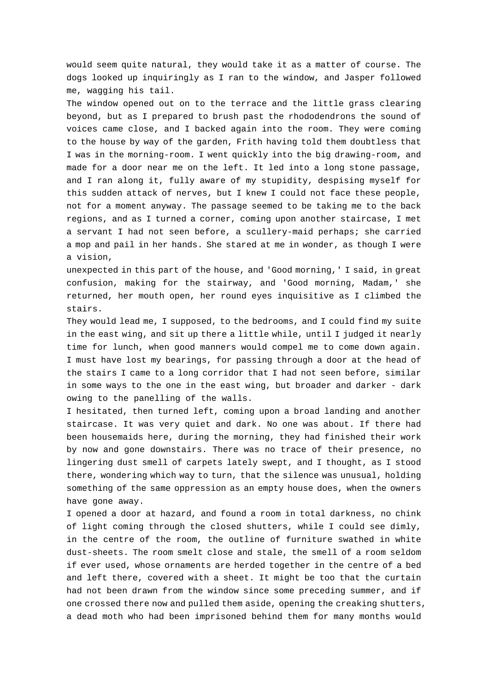would seem quite natural, they would take it as a matter of course. The dogs looked up inquiringly as I ran to the window, and Jasper followed me, wagging his tail.

The window opened out on to the terrace and the little grass clearing beyond, but as I prepared to brush past the rhododendrons the sound of voices came close, and I backed again into the room. They were coming to the house by way of the garden, Frith having told them doubtless that I was in the morning-room. I went quickly into the big drawing-room, and made for a door near me on the left. It led into a long stone passage, and I ran along it, fully aware of my stupidity, despising myself for this sudden attack of nerves, but I knew I could not face these people, not for a moment anyway. The passage seemed to be taking me to the back regions, and as I turned a corner, coming upon another staircase, I met a servant I had not seen before, a scullery-maid perhaps; she carried a mop and pail in her hands. She stared at me in wonder, as though I were a vision,

unexpected in this part of the house, and 'Good morning,' I said, in great confusion, making for the stairway, and 'Good morning, Madam,' she returned, her mouth open, her round eyes inquisitive as I climbed the stairs.

They would lead me, I supposed, to the bedrooms, and I could find my suite in the east wing, and sit up there a little while, until I judged it nearly time for lunch, when good manners would compel me to come down again. I must have lost my bearings, for passing through a door at the head of the stairs I came to a long corridor that I had not seen before, similar in some ways to the one in the east wing, but broader and darker - dark owing to the panelling of the walls.

I hesitated, then turned left, coming upon a broad landing and another staircase. It was very quiet and dark. No one was about. If there had been housemaids here, during the morning, they had finished their work by now and gone downstairs. There was no trace of their presence, no lingering dust smell of carpets lately swept, and I thought, as I stood there, wondering which way to turn, that the silence was unusual, holding something of the same oppression as an empty house does, when the owners have gone away.

I opened a door at hazard, and found a room in total darkness, no chink of light coming through the closed shutters, while I could see dimly, in the centre of the room, the outline of furniture swathed in white dust-sheets. The room smelt close and stale, the smell of a room seldom if ever used, whose ornaments are herded together in the centre of a bed and left there, covered with a sheet. It might be too that the curtain had not been drawn from the window since some preceding summer, and if one crossed there now and pulled them aside, opening the creaking shutters, a dead moth who had been imprisoned behind them for many months would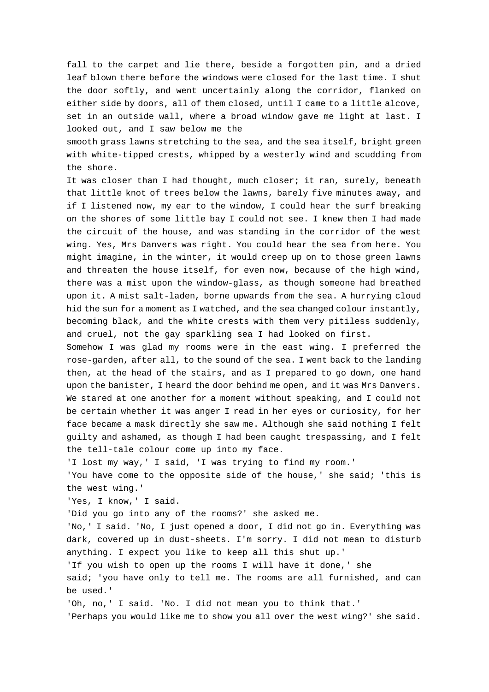fall to the carpet and lie there, beside a forgotten pin, and a dried leaf blown there before the windows were closed for the last time. I shut the door softly, and went uncertainly along the corridor, flanked on either side by doors, all of them closed, until I came to a little alcove, set in an outside wall, where a broad window gave me light at last. I looked out, and I saw below me the

smooth grass lawns stretching to the sea, and the sea itself, bright green with white-tipped crests, whipped by a westerly wind and scudding from the shore.

It was closer than I had thought, much closer; it ran, surely, beneath that little knot of trees below the lawns, barely five minutes away, and if I listened now, my ear to the window, I could hear the surf breaking on the shores of some little bay I could not see. I knew then I had made the circuit of the house, and was standing in the corridor of the west wing. Yes, Mrs Danvers was right. You could hear the sea from here. You might imagine, in the winter, it would creep up on to those green lawns and threaten the house itself, for even now, because of the high wind, there was a mist upon the window-glass, as though someone had breathed upon it. A mist salt-laden, borne upwards from the sea. A hurrying cloud hid the sun for a moment as I watched, and the sea changed colour instantly, becoming black, and the white crests with them very pitiless suddenly, and cruel, not the gay sparkling sea I had looked on first.

Somehow I was glad my rooms were in the east wing. I preferred the rose-garden, after all, to the sound of the sea. I went back to the landing then, at the head of the stairs, and as I prepared to go down, one hand upon the banister, I heard the door behind me open, and it was Mrs Danvers. We stared at one another for a moment without speaking, and I could not be certain whether it was anger I read in her eyes or curiosity, for her face became a mask directly she saw me. Although she said nothing I felt guilty and ashamed, as though I had been caught trespassing, and I felt the tell-tale colour come up into my face.

'I lost my way,' I said, 'I was trying to find my room.'

'You have come to the opposite side of the house,' she said; 'this is the west wing.'

'Yes, I know,' I said.

'Did you go into any of the rooms?' she asked me.

'No,' I said. 'No, I just opened a door, I did not go in. Everything was dark, covered up in dust-sheets. I'm sorry. I did not mean to disturb anything. I expect you like to keep all this shut up.'

'If you wish to open up the rooms I will have it done,' she

said; 'you have only to tell me. The rooms are all furnished, and can be used.'

'Oh, no,' I said. 'No. I did not mean you to think that.'

'Perhaps you would like me to show you all over the west wing?' she said.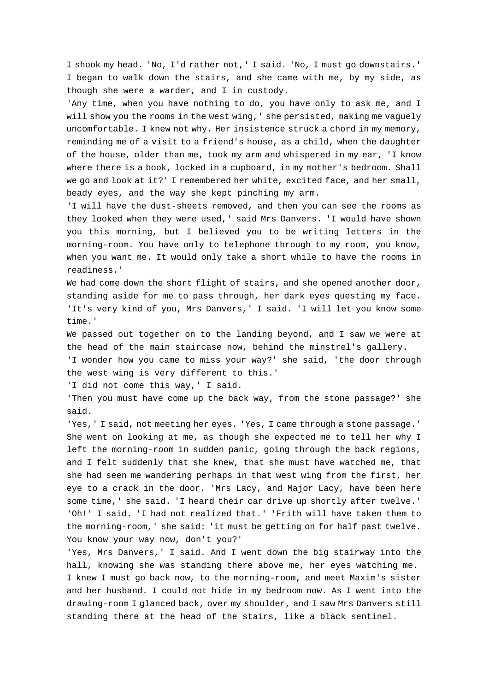I shook my head. 'No, I'd rather not,' I said. 'No, I must go downstairs.' I began to walk down the stairs, and she came with me, by my side, as though she were a warder, and I in custody.

'Any time, when you have nothing to do, you have only to ask me, and I will show you the rooms in the west wing,' she persisted, making me vaguely uncomfortable. I knew not why. Her insistence struck a chord in my memory, reminding me of a visit to a friend's house, as a child, when the daughter of the house, older than me, took my arm and whispered in my ear, 'I know where there is a book, locked in a cupboard, in my mother's bedroom. Shall we go and look at it?' I remembered her white, excited face, and her small, beady eyes, and the way she kept pinching my arm.

'I will have the dust-sheets removed, and then you can see the rooms as they looked when they were used,' said Mrs Danvers. 'I would have shown you this morning, but I believed you to be writing letters in the morning-room. You have only to telephone through to my room, you know, when you want me. It would only take a short while to have the rooms in readiness.'

We had come down the short flight of stairs, and she opened another door, standing aside for me to pass through, her dark eyes questing my face. 'It's very kind of you, Mrs Danvers,' I said. 'I will let you know some time.'

We passed out together on to the landing beyond, and I saw we were at the head of the main staircase now, behind the minstrel's gallery.

'I wonder how you came to miss your way?' she said, 'the door through the west wing is very different to this.'

'I did not come this way,' I said.

'Then you must have come up the back way, from the stone passage?' she said.

'Yes,' I said, not meeting her eyes. 'Yes, I came through a stone passage.' She went on looking at me, as though she expected me to tell her why I left the morning-room in sudden panic, going through the back regions, and I felt suddenly that she knew, that she must have watched me, that she had seen me wandering perhaps in that west wing from the first, her eye to a crack in the door. 'Mrs Lacy, and Major Lacy, have been here some time,' she said. 'I heard their car drive up shortly after twelve.' 'Oh!' I said. 'I had not realized that.' 'Frith will have taken them to the morning-room,' she said: 'it must be getting on for half past twelve. You know your way now, don't you?'

'Yes, Mrs Danvers,' I said. And I went down the big stairway into the hall, knowing she was standing there above me, her eyes watching me. I knew I must go back now, to the morning-room, and meet Maxim's sister and her husband. I could not hide in my bedroom now. As I went into the drawing-room I glanced back, over my shoulder, and I saw Mrs Danvers still standing there at the head of the stairs, like a black sentinel.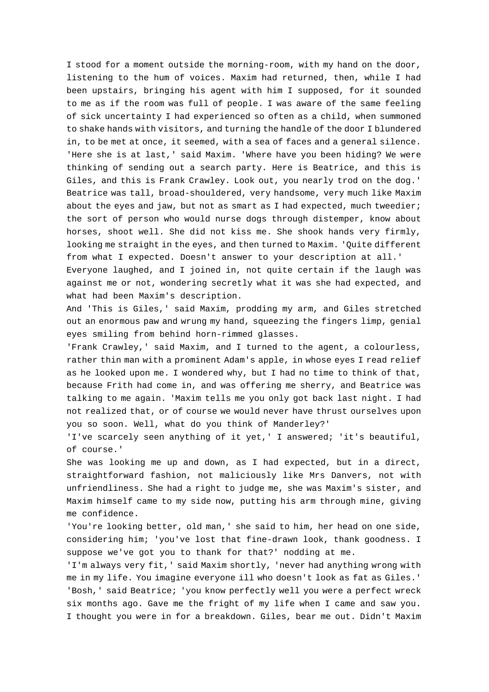I stood for a moment outside the morning-room, with my hand on the door, listening to the hum of voices. Maxim had returned, then, while I had been upstairs, bringing his agent with him I supposed, for it sounded to me as if the room was full of people. I was aware of the same feeling of sick uncertainty I had experienced so often as a child, when summoned to shake hands with visitors, and turning the handle of the door I blundered in, to be met at once, it seemed, with a sea of faces and a general silence. 'Here she is at last,' said Maxim. 'Where have you been hiding? We were thinking of sending out a search party. Here is Beatrice, and this is Giles, and this is Frank Crawley. Look out, you nearly trod on the dog.' Beatrice was tall, broad-shouldered, very handsome, very much like Maxim about the eyes and jaw, but not as smart as I had expected, much tweedier; the sort of person who would nurse dogs through distemper, know about horses, shoot well. She did not kiss me. She shook hands very firmly, looking me straight in the eyes, and then turned to Maxim. 'Quite different from what I expected. Doesn't answer to your description at all.'

Everyone laughed, and I joined in, not quite certain if the laugh was against me or not, wondering secretly what it was she had expected, and what had been Maxim's description.

And 'This is Giles,' said Maxim, prodding my arm, and Giles stretched out an enormous paw and wrung my hand, squeezing the fingers limp, genial eyes smiling from behind horn-rimmed glasses.

'Frank Crawley,' said Maxim, and I turned to the agent, a colourless, rather thin man with a prominent Adam's apple, in whose eyes I read relief as he looked upon me. I wondered why, but I had no time to think of that, because Frith had come in, and was offering me sherry, and Beatrice was talking to me again. 'Maxim tells me you only got back last night. I had not realized that, or of course we would never have thrust ourselves upon you so soon. Well, what do you think of Manderley?'

'I've scarcely seen anything of it yet,' I answered; 'it's beautiful, of course.'

She was looking me up and down, as I had expected, but in a direct, straightforward fashion, not maliciously like Mrs Danvers, not with unfriendliness. She had a right to judge me, she was Maxim's sister, and Maxim himself came to my side now, putting his arm through mine, giving me confidence.

'You're looking better, old man,' she said to him, her head on one side, considering him; 'you've lost that fine-drawn look, thank goodness. I suppose we've got you to thank for that?' nodding at me.

'I'm always very fit,' said Maxim shortly, 'never had anything wrong with me in my life. You imagine everyone ill who doesn't look as fat as Giles.' 'Bosh,' said Beatrice; 'you know perfectly well you were a perfect wreck six months ago. Gave me the fright of my life when I came and saw you. I thought you were in for a breakdown. Giles, bear me out. Didn't Maxim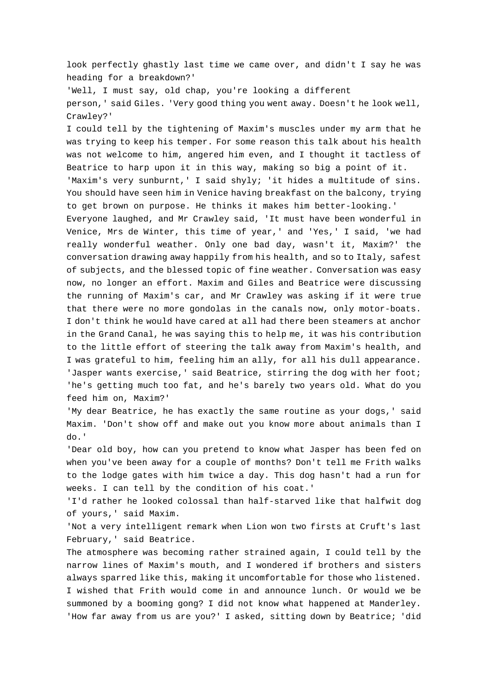look perfectly ghastly last time we came over, and didn't I say he was heading for a breakdown?'

'Well, I must say, old chap, you're looking a different person,' said Giles. 'Very good thing you went away. Doesn't he look well, Crawley?'

I could tell by the tightening of Maxim's muscles under my arm that he was trying to keep his temper. For some reason this talk about his health was not welcome to him, angered him even, and I thought it tactless of Beatrice to harp upon it in this way, making so big a point of it.

'Maxim's very sunburnt,' I said shyly; 'it hides a multitude of sins. You should have seen him in Venice having breakfast on the balcony, trying to get brown on purpose. He thinks it makes him better-looking.'

Everyone laughed, and Mr Crawley said, 'It must have been wonderful in Venice, Mrs de Winter, this time of year,' and 'Yes,' I said, 'we had really wonderful weather. Only one bad day, wasn't it, Maxim?' the conversation drawing away happily from his health, and so to Italy, safest of subjects, and the blessed topic of fine weather. Conversation was easy now, no longer an effort. Maxim and Giles and Beatrice were discussing the running of Maxim's car, and Mr Crawley was asking if it were true that there were no more gondolas in the canals now, only motor-boats. I don't think he would have cared at all had there been steamers at anchor in the Grand Canal, he was saying this to help me, it was his contribution to the little effort of steering the talk away from Maxim's health, and I was grateful to him, feeling him an ally, for all his dull appearance. 'Jasper wants exercise,' said Beatrice, stirring the dog with her foot; 'he's getting much too fat, and he's barely two years old. What do you feed him on, Maxim?'

'My dear Beatrice, he has exactly the same routine as your dogs,' said Maxim. 'Don't show off and make out you know more about animals than I do.'

'Dear old boy, how can you pretend to know what Jasper has been fed on when you've been away for a couple of months? Don't tell me Frith walks to the lodge gates with him twice a day. This dog hasn't had a run for weeks. I can tell by the condition of his coat.'

'I'd rather he looked colossal than half-starved like that halfwit dog of yours,' said Maxim.

'Not a very intelligent remark when Lion won two firsts at Cruft's last February,' said Beatrice.

The atmosphere was becoming rather strained again, I could tell by the narrow lines of Maxim's mouth, and I wondered if brothers and sisters always sparred like this, making it uncomfortable for those who listened. I wished that Frith would come in and announce lunch. Or would we be summoned by a booming gong? I did not know what happened at Manderley. 'How far away from us are you?' I asked, sitting down by Beatrice; 'did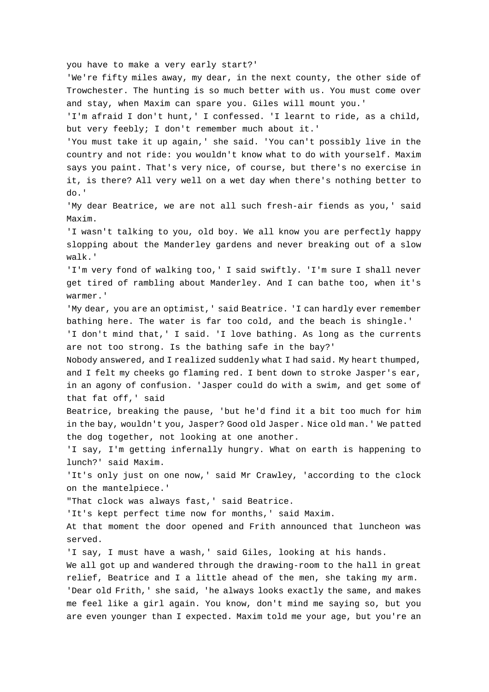you have to make a very early start?'

'We're fifty miles away, my dear, in the next county, the other side of Trowchester. The hunting is so much better with us. You must come over and stay, when Maxim can spare you. Giles will mount you.'

'I'm afraid I don't hunt,' I confessed. 'I learnt to ride, as a child, but very feebly; I don't remember much about it.'

'You must take it up again,' she said. 'You can't possibly live in the country and not ride: you wouldn't know what to do with yourself. Maxim says you paint. That's very nice, of course, but there's no exercise in it, is there? All very well on a wet day when there's nothing better to do.'

'My dear Beatrice, we are not all such fresh-air fiends as you,' said Maxim.

'I wasn't talking to you, old boy. We all know you are perfectly happy slopping about the Manderley gardens and never breaking out of a slow walk.'

'I'm very fond of walking too,' I said swiftly. 'I'm sure I shall never get tired of rambling about Manderley. And I can bathe too, when it's warmer.'

'My dear, you are an optimist,' said Beatrice. 'I can hardly ever remember bathing here. The water is far too cold, and the beach is shingle.'

'I don't mind that,' I said. 'I love bathing. As long as the currents are not too strong. Is the bathing safe in the bay?'

Nobody answered, and I realized suddenly what I had said. My heart thumped, and I felt my cheeks go flaming red. I bent down to stroke Jasper's ear, in an agony of confusion. 'Jasper could do with a swim, and get some of that fat off,' said

Beatrice, breaking the pause, 'but he'd find it a bit too much for him in the bay, wouldn't you, Jasper? Good old Jasper. Nice old man.' We patted the dog together, not looking at one another.

'I say, I'm getting infernally hungry. What on earth is happening to lunch?' said Maxim.

'It's only just on one now,' said Mr Crawley, 'according to the clock on the mantelpiece.'

"That clock was always fast,' said Beatrice.

'It's kept perfect time now for months,' said Maxim.

At that moment the door opened and Frith announced that luncheon was served.

'I say, I must have a wash,' said Giles, looking at his hands.

We all got up and wandered through the drawing-room to the hall in great relief, Beatrice and I a little ahead of the men, she taking my arm.

'Dear old Frith,' she said, 'he always looks exactly the same, and makes me feel like a girl again. You know, don't mind me saying so, but you are even younger than I expected. Maxim told me your age, but you're an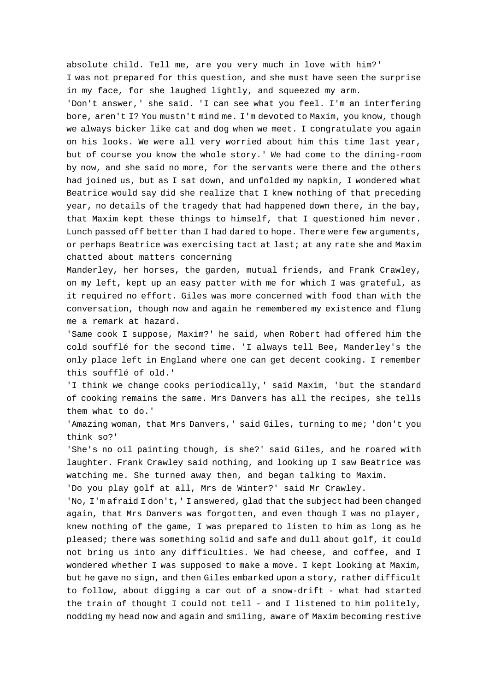absolute child. Tell me, are you very much in love with him?' I was not prepared for this question, and she must have seen the surprise

in my face, for she laughed lightly, and squeezed my arm.

'Don't answer,' she said. 'I can see what you feel. I'm an interfering bore, aren't I? You mustn't mind me. I'm devoted to Maxim, you know, though we always bicker like cat and dog when we meet. I congratulate you again on his looks. We were all very worried about him this time last year, but of course you know the whole story.' We had come to the dining-room by now, and she said no more, for the servants were there and the others had joined us, but as I sat down, and unfolded my napkin, I wondered what Beatrice would say did she realize that I knew nothing of that preceding year, no details of the tragedy that had happened down there, in the bay, that Maxim kept these things to himself, that I questioned him never. Lunch passed off better than I had dared to hope. There were few arguments, or perhaps Beatrice was exercising tact at last; at any rate she and Maxim chatted about matters concerning

Manderley, her horses, the garden, mutual friends, and Frank Crawley, on my left, kept up an easy patter with me for which I was grateful, as it required no effort. Giles was more concerned with food than with the conversation, though now and again he remembered my existence and flung me a remark at hazard.

'Same cook I suppose, Maxim?' he said, when Robert had offered him the cold soufflé for the second time. 'I always tell Bee, Manderley's the only place left in England where one can get decent cooking. I remember this soufflé of old.'

'I think we change cooks periodically,' said Maxim, 'but the standard of cooking remains the same. Mrs Danvers has all the recipes, she tells them what to do.'

'Amazing woman, that Mrs Danvers, ' said Giles, turning to me; 'don't you think so?'

'She's no oil painting though, is she?' said Giles, and he roared with laughter. Frank Crawley said nothing, and looking up I saw Beatrice was watching me. She turned away then, and began talking to Maxim.

'Do you play golf at all, Mrs de Winter?' said Mr Crawley.

'No, I'm afraid I don't,' I answered, glad that the subject had been changed again, that Mrs Danvers was forgotten, and even though I was no player, knew nothing of the game, I was prepared to listen to him as long as he pleased; there was something solid and safe and dull about golf, it could not bring us into any difficulties. We had cheese, and coffee, and I wondered whether I was supposed to make a move. I kept looking at Maxim, but he gave no sign, and then Giles embarked upon a story, rather difficult to follow, about digging a car out of a snow-drift - what had started the train of thought I could not tell - and I listened to him politely, nodding my head now and again and smiling, aware of Maxim becoming restive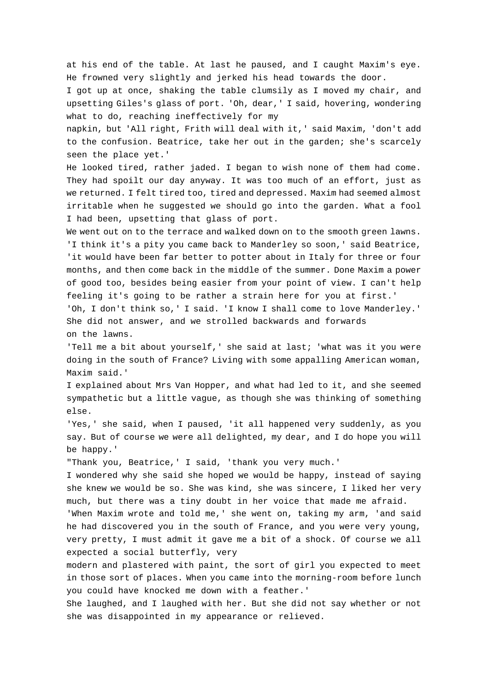at his end of the table. At last he paused, and I caught Maxim's eye. He frowned very slightly and jerked his head towards the door.

I got up at once, shaking the table clumsily as I moved my chair, and upsetting Giles's glass of port. 'Oh, dear,' I said, hovering, wondering what to do, reaching ineffectively for my

napkin, but 'All right, Frith will deal with it,' said Maxim, 'don't add to the confusion. Beatrice, take her out in the garden; she's scarcely seen the place yet.'

He looked tired, rather jaded. I began to wish none of them had come. They had spoilt our day anyway. It was too much of an effort, just as we returned. I felt tired too, tired and depressed. Maxim had seemed almost irritable when he suggested we should go into the garden. What a fool I had been, upsetting that glass of port.

We went out on to the terrace and walked down on to the smooth green lawns. 'I think it's a pity you came back to Manderley so soon,' said Beatrice, 'it would have been far better to potter about in Italy for three or four months, and then come back in the middle of the summer. Done Maxim a power of good too, besides being easier from your point of view. I can't help feeling it's going to be rather a strain here for you at first.' 'Oh, I don't think so,' I said. 'I know I shall come to love Manderley.'

She did not answer, and we strolled backwards and forwards on the lawns.

'Tell me a bit about yourself,' she said at last; 'what was it you were doing in the south of France? Living with some appalling American woman, Maxim said.'

I explained about Mrs Van Hopper, and what had led to it, and she seemed sympathetic but a little vague, as though she was thinking of something else.

'Yes,' she said, when I paused, 'it all happened very suddenly, as you say. But of course we were all delighted, my dear, and I do hope you will be happy.'

"Thank you, Beatrice,' I said, 'thank you very much.'

I wondered why she said she hoped we would be happy, instead of saying she knew we would be so. She was kind, she was sincere, I liked her very much, but there was a tiny doubt in her voice that made me afraid.

'When Maxim wrote and told me,' she went on, taking my arm, 'and said he had discovered you in the south of France, and you were very young, very pretty, I must admit it gave me a bit of a shock. Of course we all expected a social butterfly, very

modern and plastered with paint, the sort of girl you expected to meet in those sort of places. When you came into the morning-room before lunch you could have knocked me down with a feather.'

She laughed, and I laughed with her. But she did not say whether or not she was disappointed in my appearance or relieved.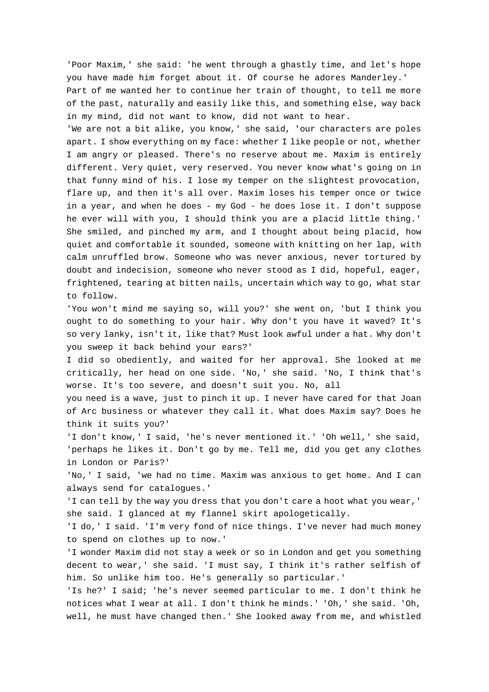'Poor Maxim,' she said: 'he went through a ghastly time, and let's hope you have made him forget about it. Of course he adores Manderley.'

Part of me wanted her to continue her train of thought, to tell me more of the past, naturally and easily like this, and something else, way back in my mind, did not want to know, did not want to hear.

'We are not a bit alike, you know,' she said, 'our characters are poles apart. I show everything on my face: whether I like people or not, whether I am angry or pleased. There's no reserve about me. Maxim is entirely different. Very quiet, very reserved. You never know what's going on in that funny mind of his. I lose my temper on the slightest provocation, flare up, and then it's all over. Maxim loses his temper once or twice in a year, and when he does - my God - he does lose it. I don't suppose he ever will with you, I should think you are a placid little thing.' She smiled, and pinched my arm, and I thought about being placid, how quiet and comfortable it sounded, someone with knitting on her lap, with calm unruffled brow. Someone who was never anxious, never tortured by doubt and indecision, someone who never stood as I did, hopeful, eager, frightened, tearing at bitten nails, uncertain which way to go, what star to follow.

'You won't mind me saying so, will you?' she went on, 'but I think you ought to do something to your hair. Why don't you have it waved? It's so very lanky, isn't it, like that? Must look awful under a hat. Why don't you sweep it back behind your ears?'

I did so obediently, and waited for her approval. She looked at me critically, her head on one side. 'No,' she said. 'No, I think that's worse. It's too severe, and doesn't suit you. No, all

you need is a wave, just to pinch it up. I never have cared for that Joan of Arc business or whatever they call it. What does Maxim say? Does he think it suits you?'

'I don't know,' I said, 'he's never mentioned it.' 'Oh well,' she said, 'perhaps he likes it. Don't go by me. Tell me, did you get any clothes in London or Paris?'

'No,' I said, 'we had no time. Maxim was anxious to get home. And I can always send for catalogues.'

'I can tell by the way you dress that you don't care a hoot what you wear,' she said. I glanced at my flannel skirt apologetically.

'I do, ' I said. 'I'm very fond of nice things. I've never had much money to spend on clothes up to now.'

'I wonder Maxim did not stay a week or so in London and get you something decent to wear,' she said. 'I must say, I think it's rather selfish of him. So unlike him too. He's generally so particular.'

'Is he?' I said; 'he's never seemed particular to me. I don't think he notices what I wear at all. I don't think he minds.' 'Oh,' she said. 'Oh, well, he must have changed then.' She looked away from me, and whistled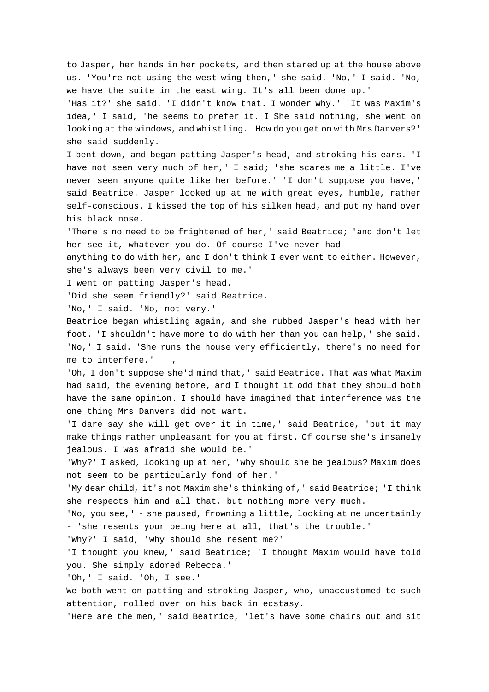to Jasper, her hands in her pockets, and then stared up at the house above us. 'You're not using the west wing then,' she said. 'No,' I said. 'No, we have the suite in the east wing. It's all been done up.'

'Has it?' she said. 'I didn't know that. I wonder why.' 'It was Maxim's idea,' I said, 'he seems to prefer it. I She said nothing, she went on looking at the windows, and whistling. 'How do you get on with Mrs Danvers?' she said suddenly.

I bent down, and began patting Jasper's head, and stroking his ears. 'I have not seen very much of her,' I said; 'she scares me a little. I've never seen anyone quite like her before.' 'I don't suppose you have,' said Beatrice. Jasper looked up at me with great eyes, humble, rather self-conscious. I kissed the top of his silken head, and put my hand over his black nose.

'There's no need to be frightened of her, ' said Beatrice; 'and don't let her see it, whatever you do. Of course I've never had

anything to do with her, and I don't think I ever want to either. However, she's always been very civil to me.'

I went on patting Jasper's head.

'Did she seem friendly?' said Beatrice.

'No,' I said. 'No, not very.'

Beatrice began whistling again, and she rubbed Jasper's head with her foot. 'I shouldn't have more to do with her than you can help,' she said. 'No,' I said. 'She runs the house very efficiently, there's no need for me to interfere.'

'Oh, I don't suppose she'd mind that,' said Beatrice. That was what Maxim had said, the evening before, and I thought it odd that they should both have the same opinion. I should have imagined that interference was the one thing Mrs Danvers did not want.

'I dare say she will get over it in time,' said Beatrice, 'but it may make things rather unpleasant for you at first. Of course she's insanely jealous. I was afraid she would be.'

'Why?' I asked, looking up at her, 'why should she be jealous? Maxim does not seem to be particularly fond of her.'

'My dear child, it's not Maxim she's thinking of,' said Beatrice; 'I think she respects him and all that, but nothing more very much.

'No, you see,' - she paused, frowning a little, looking at me uncertainly - 'she resents your being here at all, that's the trouble.'

'Why?' I said, 'why should she resent me?'

'I thought you knew, ' said Beatrice; 'I thought Maxim would have told you. She simply adored Rebecca.'

'Oh,' I said. 'Oh, I see.'

We both went on patting and stroking Jasper, who, unaccustomed to such attention, rolled over on his back in ecstasy.

'Here are the men,' said Beatrice, 'let's have some chairs out and sit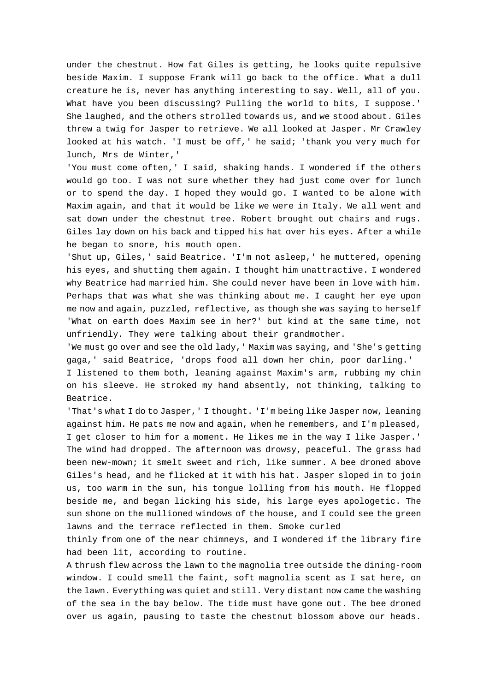under the chestnut. How fat Giles is getting, he looks quite repulsive beside Maxim. I suppose Frank will go back to the office. What a dull creature he is, never has anything interesting to say. Well, all of you. What have you been discussing? Pulling the world to bits, I suppose.' She laughed, and the others strolled towards us, and we stood about. Giles threw a twig for Jasper to retrieve. We all looked at Jasper. Mr Crawley looked at his watch. 'I must be off,' he said; 'thank you very much for lunch, Mrs de Winter,'

'You must come often,' I said, shaking hands. I wondered if the others would go too. I was not sure whether they had just come over for lunch or to spend the day. I hoped they would go. I wanted to be alone with Maxim again, and that it would be like we were in Italy. We all went and sat down under the chestnut tree. Robert brought out chairs and rugs. Giles lay down on his back and tipped his hat over his eyes. After a while he began to snore, his mouth open.

'Shut up, Giles,' said Beatrice. 'I'm not asleep,' he muttered, opening his eyes, and shutting them again. I thought him unattractive. I wondered why Beatrice had married him. She could never have been in love with him. Perhaps that was what she was thinking about me. I caught her eye upon me now and again, puzzled, reflective, as though she was saying to herself 'What on earth does Maxim see in her?' but kind at the same time, not unfriendly. They were talking about their grandmother.

'We must go over and see the old lady,' Maxim was saying, and 'She's getting gaga,' said Beatrice, 'drops food all down her chin, poor darling.'

I listened to them both, leaning against Maxim's arm, rubbing my chin on his sleeve. He stroked my hand absently, not thinking, talking to Beatrice.

'That's what I do to Jasper,' I thought. 'I'm being like Jasper now, leaning against him. He pats me now and again, when he remembers, and I'm pleased, I get closer to him for a moment. He likes me in the way I like Jasper.' The wind had dropped. The afternoon was drowsy, peaceful. The grass had been new-mown; it smelt sweet and rich, like summer. A bee droned above Giles's head, and he flicked at it with his hat. Jasper sloped in to join us, too warm in the sun, his tongue lolling from his mouth. He flopped beside me, and began licking his side, his large eyes apologetic. The sun shone on the mullioned windows of the house, and I could see the green lawns and the terrace reflected in them. Smoke curled

thinly from one of the near chimneys, and I wondered if the library fire had been lit, according to routine.

A thrush flew across the lawn to the magnolia tree outside the dining-room window. I could smell the faint, soft magnolia scent as I sat here, on the lawn. Everything was quiet and still. Very distant now came the washing of the sea in the bay below. The tide must have gone out. The bee droned over us again, pausing to taste the chestnut blossom above our heads.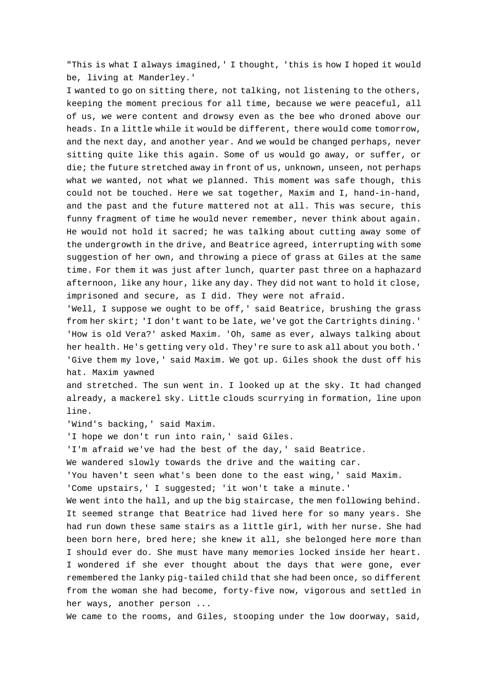"This is what I always imagined,' I thought, 'this is how I hoped it would be, living at Manderley.'

I wanted to go on sitting there, not talking, not listening to the others, keeping the moment precious for all time, because we were peaceful, all of us, we were content and drowsy even as the bee who droned above our heads. In a little while it would be different, there would come tomorrow, and the next day, and another year. And we would be changed perhaps, never sitting quite like this again. Some of us would go away, or suffer, or die; the future stretched away in front of us, unknown, unseen, not perhaps what we wanted, not what we planned. This moment was safe though, this could not be touched. Here we sat together, Maxim and I, hand-in-hand, and the past and the future mattered not at all. This was secure, this funny fragment of time he would never remember, never think about again. He would not hold it sacred; he was talking about cutting away some of the undergrowth in the drive, and Beatrice agreed, interrupting with some suggestion of her own, and throwing a piece of grass at Giles at the same time. For them it was just after lunch, quarter past three on a haphazard afternoon, like any hour, like any day. They did not want to hold it close, imprisoned and secure, as I did. They were not afraid.

'Well, I suppose we ought to be off,' said Beatrice, brushing the grass from her skirt; 'I don't want to be late, we've got the Cartrights dining.' 'How is old Vera?' asked Maxim. 'Oh, same as ever, always talking about her health. He's getting very old. They're sure to ask all about you both.' 'Give them my love,' said Maxim. We got up. Giles shook the dust off his hat. Maxim yawned

and stretched. The sun went in. I looked up at the sky. It had changed already, a mackerel sky. Little clouds scurrying in formation, line upon line.

'Wind's backing,' said Maxim.

'I hope we don't run into rain,' said Giles.

'I'm afraid we've had the best of the day,' said Beatrice.

We wandered slowly towards the drive and the waiting car.

'You haven't seen what's been done to the east wing,' said Maxim. 'Come upstairs,' I suggested; 'it won't take a minute.'

We went into the hall, and up the big staircase, the men following behind. It seemed strange that Beatrice had lived here for so many years. She had run down these same stairs as a little girl, with her nurse. She had been born here, bred here; she knew it all, she belonged here more than I should ever do. She must have many memories locked inside her heart. I wondered if she ever thought about the days that were gone, ever remembered the lanky pig-tailed child that she had been once, so different from the woman she had become, forty-five now, vigorous and settled in her ways, another person ...

We came to the rooms, and Giles, stooping under the low doorway, said,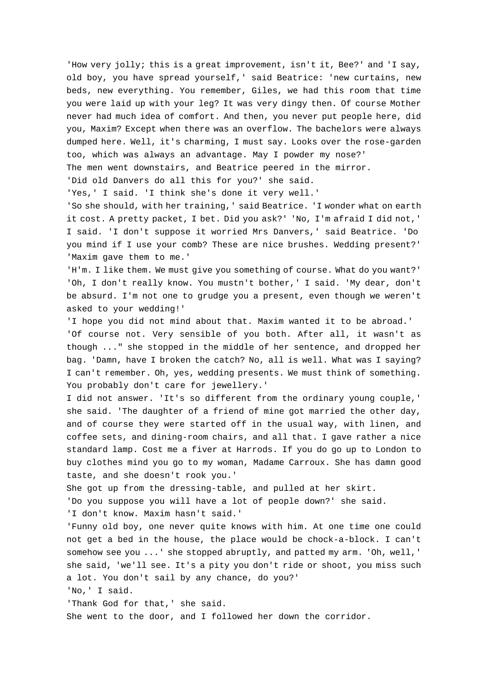'How very jolly; this is a great improvement, isn't it, Bee?' and 'I say, old boy, you have spread yourself,' said Beatrice: 'new curtains, new beds, new everything. You remember, Giles, we had this room that time you were laid up with your leg? It was very dingy then. Of course Mother never had much idea of comfort. And then, you never put people here, did you, Maxim? Except when there was an overflow. The bachelors were always dumped here. Well, it's charming, I must say. Looks over the rose-garden too, which was always an advantage. May I powder my nose?'

The men went downstairs, and Beatrice peered in the mirror.

'Did old Danvers do all this for you?' she said.

'Yes,' I said. 'I think she's done it very well.'

'So she should, with her training,' said Beatrice. 'I wonder what on earth it cost. A pretty packet, I bet. Did you ask?' 'No, I'm afraid I did not,' I said. 'I don't suppose it worried Mrs Danvers,' said Beatrice. 'Do you mind if I use your comb? These are nice brushes. Wedding present?' 'Maxim gave them to me.'

'H'm. I like them. We must give you something of course. What do you want?' 'Oh, I don't really know. You mustn't bother,' I said. 'My dear, don't be absurd. I'm not one to grudge you a present, even though we weren't asked to your wedding!'

'I hope you did not mind about that. Maxim wanted it to be abroad.' 'Of course not. Very sensible of you both. After all, it wasn't as though ..." she stopped in the middle of her sentence, and dropped her bag. 'Damn, have I broken the catch? No, all is well. What was I saying? I can't remember. Oh, yes, wedding presents. We must think of something. You probably don't care for jewellery.'

I did not answer. 'It's so different from the ordinary young couple,' she said. 'The daughter of a friend of mine got married the other day, and of course they were started off in the usual way, with linen, and coffee sets, and dining-room chairs, and all that. I gave rather a nice standard lamp. Cost me a fiver at Harrods. If you do go up to London to buy clothes mind you go to my woman, Madame Carroux. She has damn good taste, and she doesn't rook you.'

She got up from the dressing-table, and pulled at her skirt.

'Do you suppose you will have a lot of people down?' she said.

'I don't know. Maxim hasn't said.'

'Funny old boy, one never quite knows with him. At one time one could not get a bed in the house, the place would be chock-a-block. I can't somehow see you ...' she stopped abruptly, and patted my arm. 'Oh, well,' she said, 'we'll see. It's a pity you don't ride or shoot, you miss such a lot. You don't sail by any chance, do you?'

'No,' I said.

'Thank God for that,' she said. She went to the door, and I followed her down the corridor.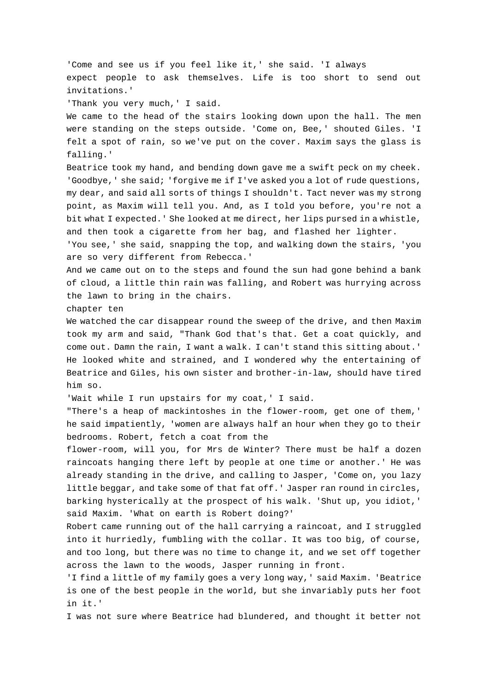'Come and see us if you feel like it,' she said. 'I always expect people to ask themselves. Life is too short to send out invitations.'

'Thank you very much,' I said.

We came to the head of the stairs looking down upon the hall. The men were standing on the steps outside. 'Come on, Bee,' shouted Giles. 'I felt a spot of rain, so we've put on the cover. Maxim says the glass is falling.'

Beatrice took my hand, and bending down gave me a swift peck on my cheek. 'Goodbye,' she said; 'forgive me if I've asked you a lot of rude questions, my dear, and said all sorts of things I shouldn't. Tact never was my strong point, as Maxim will tell you. And, as I told you before, you're not a bit what I expected.' She looked at me direct, her lips pursed in a whistle, and then took a cigarette from her bag, and flashed her lighter.

'You see,' she said, snapping the top, and walking down the stairs, 'you are so very different from Rebecca.'

And we came out on to the steps and found the sun had gone behind a bank of cloud, a little thin rain was falling, and Robert was hurrying across the lawn to bring in the chairs.

chapter ten

We watched the car disappear round the sweep of the drive, and then Maxim took my arm and said, "Thank God that's that. Get a coat quickly, and come out. Damn the rain, I want a walk. I can't stand this sitting about.' He looked white and strained, and I wondered why the entertaining of Beatrice and Giles, his own sister and brother-in-law, should have tired him so.

'Wait while I run upstairs for my coat,' I said.

"There's a heap of mackintoshes in the flower-room, get one of them,' he said impatiently, 'women are always half an hour when they go to their bedrooms. Robert, fetch a coat from the

flower-room, will you, for Mrs de Winter? There must be half a dozen raincoats hanging there left by people at one time or another.' He was already standing in the drive, and calling to Jasper, 'Come on, you lazy little beggar, and take some of that fat off.' Jasper ran round in circles, barking hysterically at the prospect of his walk. 'Shut up, you idiot,' said Maxim. 'What on earth is Robert doing?'

Robert came running out of the hall carrying a raincoat, and I struggled into it hurriedly, fumbling with the collar. It was too big, of course, and too long, but there was no time to change it, and we set off together across the lawn to the woods, Jasper running in front.

'I find a little of my family goes a very long way,' said Maxim. 'Beatrice is one of the best people in the world, but she invariably puts her foot in it.'

I was not sure where Beatrice had blundered, and thought it better not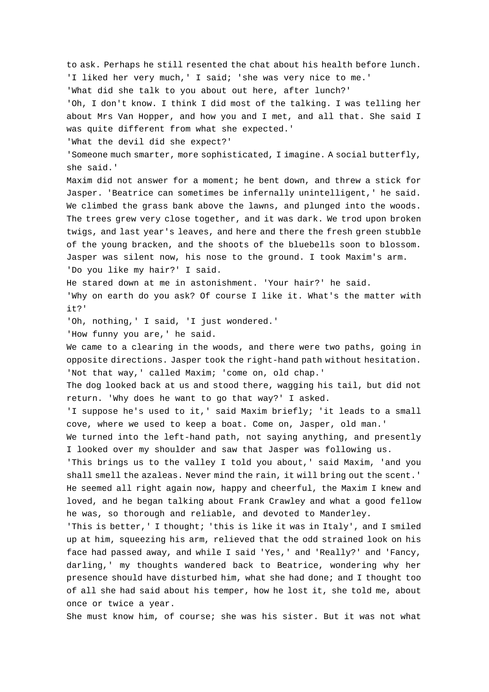to ask. Perhaps he still resented the chat about his health before lunch. 'I liked her very much,' I said; 'she was very nice to me.' 'What did she talk to you about out here, after lunch?' 'Oh, I don't know. I think I did most of the talking. I was telling her about Mrs Van Hopper, and how you and I met, and all that. She said I was quite different from what she expected.' 'What the devil did she expect?' 'Someone much smarter, more sophisticated, I imagine. A social butterfly, she said.' Maxim did not answer for a moment; he bent down, and threw a stick for Jasper. 'Beatrice can sometimes be infernally unintelligent,' he said. We climbed the grass bank above the lawns, and plunged into the woods. The trees grew very close together, and it was dark. We trod upon broken twigs, and last year's leaves, and here and there the fresh green stubble of the young bracken, and the shoots of the bluebells soon to blossom. Jasper was silent now, his nose to the ground. I took Maxim's arm. 'Do you like my hair?' I said. He stared down at me in astonishment. 'Your hair?' he said. 'Why on earth do you ask? Of course I like it. What's the matter with it?' 'Oh, nothing,' I said, 'I just wondered.' 'How funny you are,' he said. We came to a clearing in the woods, and there were two paths, going in opposite directions. Jasper took the right-hand path without hesitation. 'Not that way,' called Maxim; 'come on, old chap.' The dog looked back at us and stood there, wagging his tail, but did not return. 'Why does he want to go that way?' I asked. 'I suppose he's used to it,' said Maxim briefly; 'it leads to a small cove, where we used to keep a boat. Come on, Jasper, old man.' We turned into the left-hand path, not saying anything, and presently I looked over my shoulder and saw that Jasper was following us. 'This brings us to the valley I told you about,' said Maxim, 'and you shall smell the azaleas. Never mind the rain, it will bring out the scent.' He seemed all right again now, happy and cheerful, the Maxim I knew and loved, and he began talking about Frank Crawley and what a good fellow he was, so thorough and reliable, and devoted to Manderley. 'This is better,' I thought; 'this is like it was in Italy', and I smiled up at him, squeezing his arm, relieved that the odd strained look on his face had passed away, and while I said 'Yes,' and 'Really?' and 'Fancy, darling,' my thoughts wandered back to Beatrice, wondering why her presence should have disturbed him, what she had done; and I thought too of all she had said about his temper, how he lost it, she told me, about once or twice a year. She must know him, of course; she was his sister. But it was not what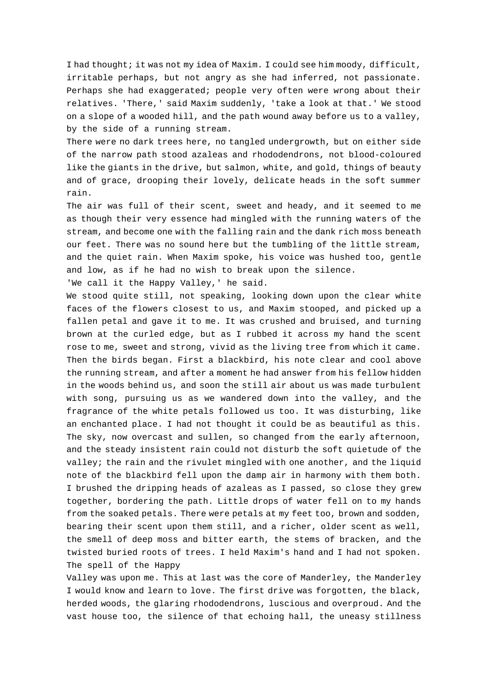I had thought; it was not my idea of Maxim. I could see him moody, difficult, irritable perhaps, but not angry as she had inferred, not passionate. Perhaps she had exaggerated; people very often were wrong about their relatives. 'There,' said Maxim suddenly, 'take a look at that.' We stood on a slope of a wooded hill, and the path wound away before us to a valley, by the side of a running stream.

There were no dark trees here, no tangled undergrowth, but on either side of the narrow path stood azaleas and rhododendrons, not blood-coloured like the giants in the drive, but salmon, white, and gold, things of beauty and of grace, drooping their lovely, delicate heads in the soft summer rain.

The air was full of their scent, sweet and heady, and it seemed to me as though their very essence had mingled with the running waters of the stream, and become one with the falling rain and the dank rich moss beneath our feet. There was no sound here but the tumbling of the little stream, and the quiet rain. When Maxim spoke, his voice was hushed too, gentle and low, as if he had no wish to break upon the silence.

'We call it the Happy Valley,' he said.

We stood quite still, not speaking, looking down upon the clear white faces of the flowers closest to us, and Maxim stooped, and picked up a fallen petal and gave it to me. It was crushed and bruised, and turning brown at the curled edge, but as I rubbed it across my hand the scent rose to me, sweet and strong, vivid as the living tree from which it came. Then the birds began. First a blackbird, his note clear and cool above the running stream, and after a moment he had answer from his fellow hidden in the woods behind us, and soon the still air about us was made turbulent with song, pursuing us as we wandered down into the valley, and the fragrance of the white petals followed us too. It was disturbing, like an enchanted place. I had not thought it could be as beautiful as this. The sky, now overcast and sullen, so changed from the early afternoon, and the steady insistent rain could not disturb the soft quietude of the valley; the rain and the rivulet mingled with one another, and the liquid note of the blackbird fell upon the damp air in harmony with them both. I brushed the dripping heads of azaleas as I passed, so close they grew together, bordering the path. Little drops of water fell on to my hands from the soaked petals. There were petals at my feet too, brown and sodden, bearing their scent upon them still, and a richer, older scent as well, the smell of deep moss and bitter earth, the stems of bracken, and the twisted buried roots of trees. I held Maxim's hand and I had not spoken. The spell of the Happy

Valley was upon me. This at last was the core of Manderley, the Manderley I would know and learn to love. The first drive was forgotten, the black, herded woods, the glaring rhododendrons, luscious and overproud. And the vast house too, the silence of that echoing hall, the uneasy stillness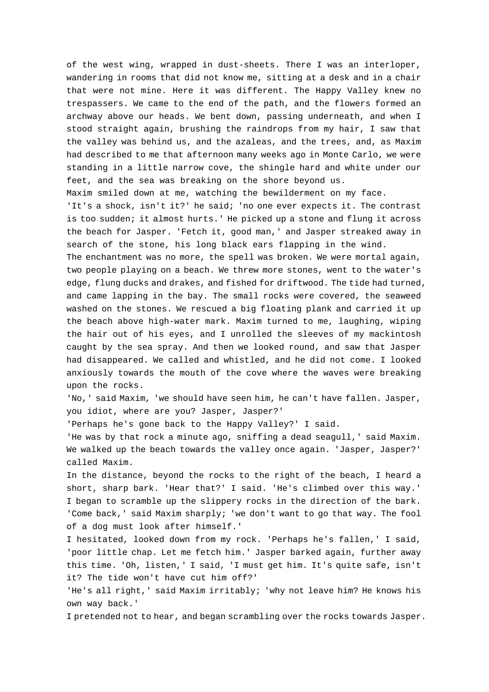of the west wing, wrapped in dust-sheets. There I was an interloper, wandering in rooms that did not know me, sitting at a desk and in a chair that were not mine. Here it was different. The Happy Valley knew no trespassers. We came to the end of the path, and the flowers formed an archway above our heads. We bent down, passing underneath, and when I stood straight again, brushing the raindrops from my hair, I saw that the valley was behind us, and the azaleas, and the trees, and, as Maxim had described to me that afternoon many weeks ago in Monte Carlo, we were standing in a little narrow cove, the shingle hard and white under our feet, and the sea was breaking on the shore beyond us.

Maxim smiled down at me, watching the bewilderment on my face.

'It's a shock, isn't it?' he said; 'no one ever expects it. The contrast is too sudden; it almost hurts.' He picked up a stone and flung it across the beach for Jasper. 'Fetch it, good man,' and Jasper streaked away in search of the stone, his long black ears flapping in the wind.

The enchantment was no more, the spell was broken. We were mortal again, two people playing on a beach. We threw more stones, went to the water's edge, flung ducks and drakes, and fished for driftwood. The tide had turned, and came lapping in the bay. The small rocks were covered, the seaweed washed on the stones. We rescued a big floating plank and carried it up the beach above high-water mark. Maxim turned to me, laughing, wiping the hair out of his eyes, and I unrolled the sleeves of my mackintosh caught by the sea spray. And then we looked round, and saw that Jasper had disappeared. We called and whistled, and he did not come. I looked anxiously towards the mouth of the cove where the waves were breaking upon the rocks.

'No,' said Maxim, 'we should have seen him, he can't have fallen. Jasper, you idiot, where are you? Jasper, Jasper?'

'Perhaps he's gone back to the Happy Valley?' I said.

'He was by that rock a minute ago, sniffing a dead seagull,' said Maxim. We walked up the beach towards the valley once again. 'Jasper, Jasper?' called Maxim.

In the distance, beyond the rocks to the right of the beach, I heard a short, sharp bark. 'Hear that?' I said. 'He's climbed over this way.' I began to scramble up the slippery rocks in the direction of the bark. 'Come back,' said Maxim sharply; 'we don't want to go that way. The fool of a dog must look after himself.'

I hesitated, looked down from my rock. 'Perhaps he's fallen,' I said, 'poor little chap. Let me fetch him.' Jasper barked again, further away this time. 'Oh, listen,' I said, 'I must get him. It's quite safe, isn't it? The tide won't have cut him off?'

'He's all right,' said Maxim irritably; 'why not leave him? He knows his own way back.'

I pretended not to hear, and began scrambling over the rocks towards Jasper.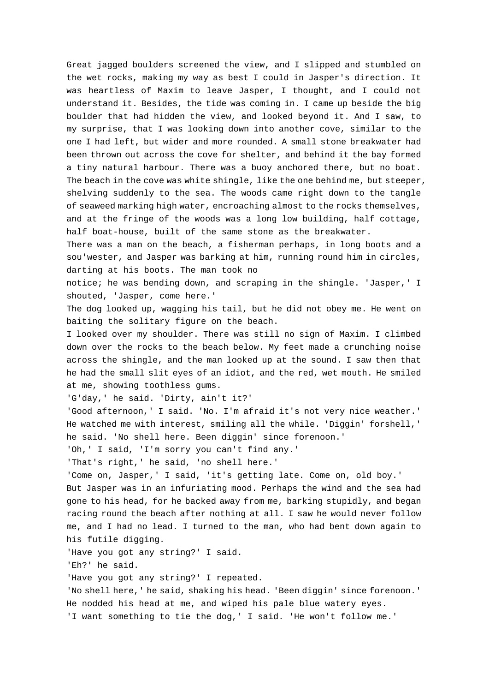Great jagged boulders screened the view, and I slipped and stumbled on the wet rocks, making my way as best I could in Jasper's direction. It was heartless of Maxim to leave Jasper, I thought, and I could not understand it. Besides, the tide was coming in. I came up beside the big boulder that had hidden the view, and looked beyond it. And I saw, to my surprise, that I was looking down into another cove, similar to the one I had left, but wider and more rounded. A small stone breakwater had been thrown out across the cove for shelter, and behind it the bay formed a tiny natural harbour. There was a buoy anchored there, but no boat. The beach in the cove was white shingle, like the one behind me, but steeper, shelving suddenly to the sea. The woods came right down to the tangle of seaweed marking high water, encroaching almost to the rocks themselves, and at the fringe of the woods was a long low building, half cottage, half boat-house, built of the same stone as the breakwater.

There was a man on the beach, a fisherman perhaps, in long boots and a sou'wester, and Jasper was barking at him, running round him in circles, darting at his boots. The man took no

notice; he was bending down, and scraping in the shingle. 'Jasper,' I shouted, 'Jasper, come here.'

The dog looked up, wagging his tail, but he did not obey me. He went on baiting the solitary figure on the beach.

I looked over my shoulder. There was still no sign of Maxim. I climbed down over the rocks to the beach below. My feet made a crunching noise across the shingle, and the man looked up at the sound. I saw then that he had the small slit eyes of an idiot, and the red, wet mouth. He smiled at me, showing toothless gums.

'G'day,' he said. 'Dirty, ain't it?'

'Good afternoon,' I said. 'No. I'm afraid it's not very nice weather.' He watched me with interest, smiling all the while. 'Diggin' forshell,' he said. 'No shell here. Been diggin' since forenoon.'

'Oh,' I said, 'I'm sorry you can't find any.'

'That's right,' he said, 'no shell here.'

'Come on, Jasper,' I said, 'it's getting late. Come on, old boy.'

But Jasper was in an infuriating mood. Perhaps the wind and the sea had gone to his head, for he backed away from me, barking stupidly, and began racing round the beach after nothing at all. I saw he would never follow me, and I had no lead. I turned to the man, who had bent down again to his futile digging.

'Have you got any string?' I said.

'Eh?' he said.

'Have you got any string?' I repeated.

'No shell here,' he said, shaking his head. 'Been diggin' since forenoon.' He nodded his head at me, and wiped his pale blue watery eyes. 'I want something to tie the dog,' I said. 'He won't follow me.'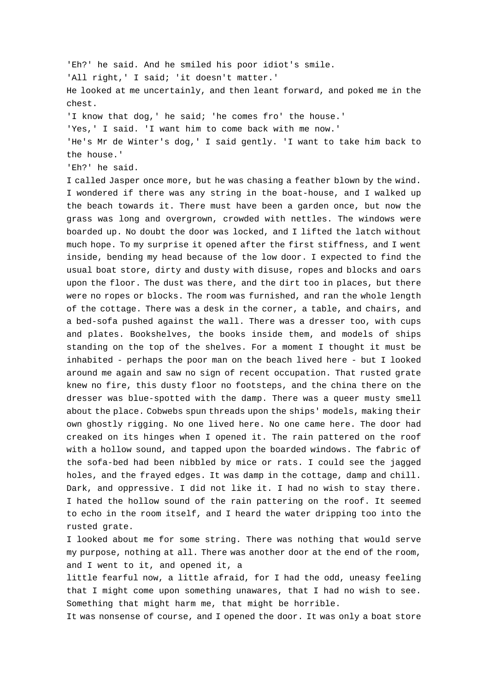'Eh?' he said. And he smiled his poor idiot's smile. 'All right,' I said; 'it doesn't matter.' He looked at me uncertainly, and then leant forward, and poked me in the chest. 'I know that dog,' he said; 'he comes fro' the house.' 'Yes,' I said. 'I want him to come back with me now.' 'He's Mr de Winter's dog,' I said gently. 'I want to take him back to

the house.'

'Eh?' he said.

I called Jasper once more, but he was chasing a feather blown by the wind. I wondered if there was any string in the boat-house, and I walked up the beach towards it. There must have been a garden once, but now the grass was long and overgrown, crowded with nettles. The windows were boarded up. No doubt the door was locked, and I lifted the latch without much hope. To my surprise it opened after the first stiffness, and I went inside, bending my head because of the low door. I expected to find the usual boat store, dirty and dusty with disuse, ropes and blocks and oars upon the floor. The dust was there, and the dirt too in places, but there were no ropes or blocks. The room was furnished, and ran the whole length of the cottage. There was a desk in the corner, a table, and chairs, and a bed-sofa pushed against the wall. There was a dresser too, with cups and plates. Bookshelves, the books inside them, and models of ships standing on the top of the shelves. For a moment I thought it must be inhabited - perhaps the poor man on the beach lived here - but I looked around me again and saw no sign of recent occupation. That rusted grate knew no fire, this dusty floor no footsteps, and the china there on the dresser was blue-spotted with the damp. There was a queer musty smell about the place. Cobwebs spun threads upon the ships' models, making their own ghostly rigging. No one lived here. No one came here. The door had creaked on its hinges when I opened it. The rain pattered on the roof with a hollow sound, and tapped upon the boarded windows. The fabric of the sofa-bed had been nibbled by mice or rats. I could see the jagged holes, and the frayed edges. It was damp in the cottage, damp and chill. Dark, and oppressive. I did not like it. I had no wish to stay there. I hated the hollow sound of the rain pattering on the roof. It seemed to echo in the room itself, and I heard the water dripping too into the rusted grate.

I looked about me for some string. There was nothing that would serve my purpose, nothing at all. There was another door at the end of the room, and I went to it, and opened it, a

little fearful now, a little afraid, for I had the odd, uneasy feeling that I might come upon something unawares, that I had no wish to see. Something that might harm me, that might be horrible.

It was nonsense of course, and I opened the door. It was only a boat store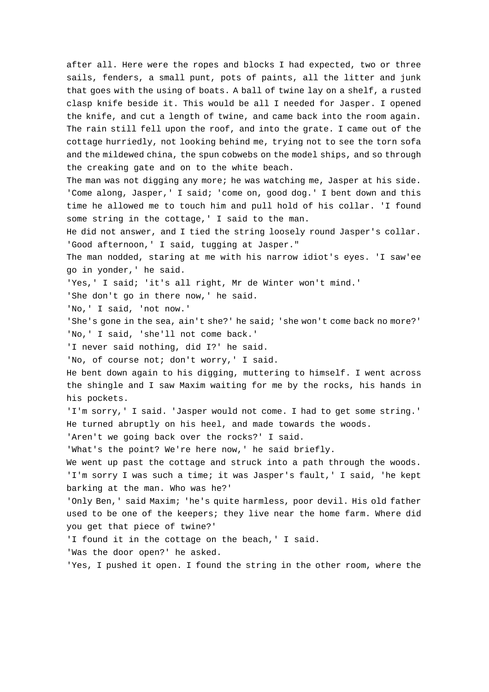after all. Here were the ropes and blocks I had expected, two or three sails, fenders, a small punt, pots of paints, all the litter and junk that goes with the using of boats. A ball of twine lay on a shelf, a rusted clasp knife beside it. This would be all I needed for Jasper. I opened the knife, and cut a length of twine, and came back into the room again. The rain still fell upon the roof, and into the grate. I came out of the cottage hurriedly, not looking behind me, trying not to see the torn sofa and the mildewed china, the spun cobwebs on the model ships, and so through the creaking gate and on to the white beach.

The man was not digging any more; he was watching me, Jasper at his side. 'Come along, Jasper,' I said; 'come on, good dog.' I bent down and this time he allowed me to touch him and pull hold of his collar. 'I found some string in the cottage,' I said to the man.

He did not answer, and I tied the string loosely round Jasper's collar. 'Good afternoon,' I said, tugging at Jasper."

The man nodded, staring at me with his narrow idiot's eyes. 'I saw'ee go in yonder,' he said.

'Yes,' I said; 'it's all right, Mr de Winter won't mind.'

'She don't go in there now,' he said.

'No,' I said, 'not now.'

'She's gone in the sea, ain't she?' he said; 'she won't come back no more?' 'No,' I said, 'she'll not come back.'

'I never said nothing, did I?' he said.

'No, of course not; don't worry,' I said.

He bent down again to his digging, muttering to himself. I went across the shingle and I saw Maxim waiting for me by the rocks, his hands in his pockets.

'I'm sorry,' I said. 'Jasper would not come. I had to get some string.' He turned abruptly on his heel, and made towards the woods.

'Aren't we going back over the rocks?' I said.

'What's the point? We're here now,' he said briefly.

We went up past the cottage and struck into a path through the woods. 'I'm sorry I was such a time; it was Jasper's fault,' I said, 'he kept barking at the man. Who was he?'

'Only Ben,' said Maxim; 'he's quite harmless, poor devil. His old father used to be one of the keepers; they live near the home farm. Where did you get that piece of twine?'

'I found it in the cottage on the beach,' I said.

'Was the door open?' he asked.

'Yes, I pushed it open. I found the string in the other room, where the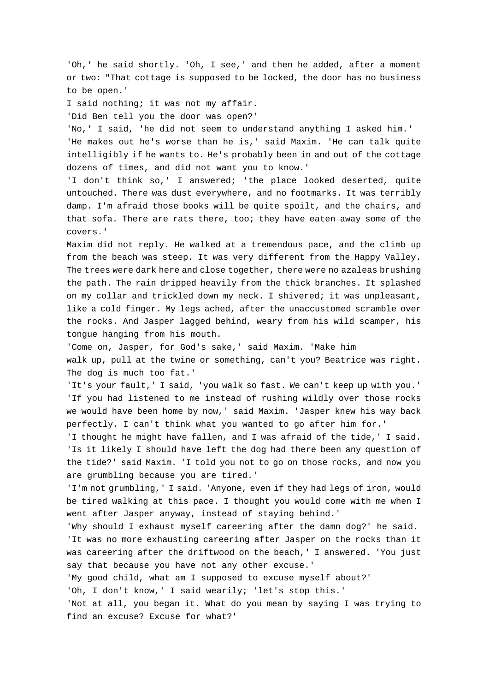'Oh,' he said shortly. 'Oh, I see,' and then he added, after a moment or two: "That cottage is supposed to be locked, the door has no business to be open.'

I said nothing; it was not my affair.

'Did Ben tell you the door was open?'

'No,' I said, 'he did not seem to understand anything I asked him.'

'He makes out he's worse than he is,' said Maxim. 'He can talk quite intelligibly if he wants to. He's probably been in and out of the cottage dozens of times, and did not want you to know.'

'I don't think so,' I answered; 'the place looked deserted, quite untouched. There was dust everywhere, and no footmarks. It was terribly damp. I'm afraid those books will be quite spoilt, and the chairs, and that sofa. There are rats there, too; they have eaten away some of the covers.'

Maxim did not reply. He walked at a tremendous pace, and the climb up from the beach was steep. It was very different from the Happy Valley. The trees were dark here and close together, there were no azaleas brushing the path. The rain dripped heavily from the thick branches. It splashed on my collar and trickled down my neck. I shivered; it was unpleasant, like a cold finger. My legs ached, after the unaccustomed scramble over the rocks. And Jasper lagged behind, weary from his wild scamper, his tongue hanging from his mouth.

'Come on, Jasper, for God's sake,' said Maxim. 'Make him walk up, pull at the twine or something, can't you? Beatrice was right. The dog is much too fat.'

'It's your fault,' I said, 'you walk so fast. We can't keep up with you.' 'If you had listened to me instead of rushing wildly over those rocks we would have been home by now,' said Maxim. 'Jasper knew his way back perfectly. I can't think what you wanted to go after him for.'

'I thought he might have fallen, and I was afraid of the tide,' I said. 'Is it likely I should have left the dog had there been any question of the tide?' said Maxim. 'I told you not to go on those rocks, and now you are grumbling because you are tired.'

'I'm not grumbling,' I said. 'Anyone, even if they had legs of iron, would be tired walking at this pace. I thought you would come with me when I went after Jasper anyway, instead of staying behind.'

'Why should I exhaust myself careering after the damn dog?' he said.

'It was no more exhausting careering after Jasper on the rocks than it was careering after the driftwood on the beach,' I answered. 'You just say that because you have not any other excuse.'

'My good child, what am I supposed to excuse myself about?'

'Oh, I don't know,' I said wearily; 'let's stop this.'

'Not at all, you began it. What do you mean by saying I was trying to find an excuse? Excuse for what?'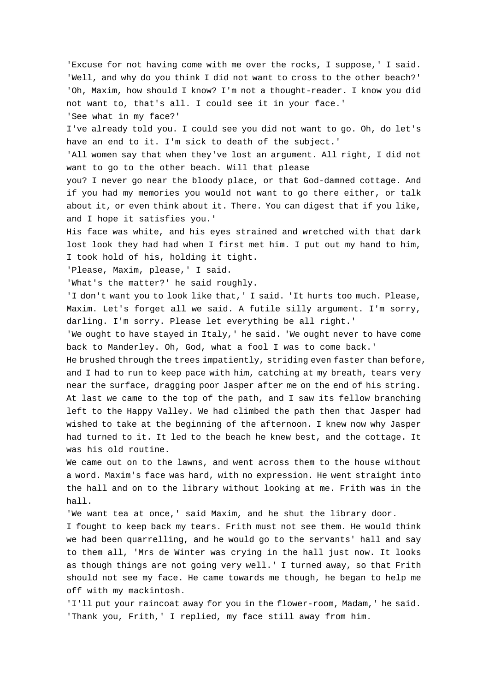'Excuse for not having come with me over the rocks, I suppose,' I said. 'Well, and why do you think I did not want to cross to the other beach?' 'Oh, Maxim, how should I know? I'm not a thought-reader. I know you did not want to, that's all. I could see it in your face.' 'See what in my face?'

I've already told you. I could see you did not want to go. Oh, do let's have an end to it. I'm sick to death of the subject.'

'All women say that when they've lost an argument. All right, I did not want to go to the other beach. Will that please

you? I never go near the bloody place, or that God-damned cottage. And if you had my memories you would not want to go there either, or talk about it, or even think about it. There. You can digest that if you like, and I hope it satisfies you.'

His face was white, and his eyes strained and wretched with that dark lost look they had had when I first met him. I put out my hand to him, I took hold of his, holding it tight.

'Please, Maxim, please,' I said.

'What's the matter?' he said roughly.

'I don't want you to look like that,' I said. 'It hurts too much. Please, Maxim. Let's forget all we said. A futile silly argument. I'm sorry, darling. I'm sorry. Please let everything be all right.'

'We ought to have stayed in Italy,' he said. 'We ought never to have come back to Manderley. Oh, God, what a fool I was to come back.'

He brushed through the trees impatiently, striding even faster than before, and I had to run to keep pace with him, catching at my breath, tears very near the surface, dragging poor Jasper after me on the end of his string. At last we came to the top of the path, and I saw its fellow branching left to the Happy Valley. We had climbed the path then that Jasper had wished to take at the beginning of the afternoon. I knew now why Jasper had turned to it. It led to the beach he knew best, and the cottage. It was his old routine.

We came out on to the lawns, and went across them to the house without a word. Maxim's face was hard, with no expression. He went straight into the hall and on to the library without looking at me. Frith was in the hall.

'We want tea at once,' said Maxim, and he shut the library door.

I fought to keep back my tears. Frith must not see them. He would think we had been quarrelling, and he would go to the servants' hall and say to them all, 'Mrs de Winter was crying in the hall just now. It looks as though things are not going very well.' I turned away, so that Frith should not see my face. He came towards me though, he began to help me off with my mackintosh.

'I'll put your raincoat away for you in the flower-room, Madam,' he said. 'Thank you, Frith,' I replied, my face still away from him.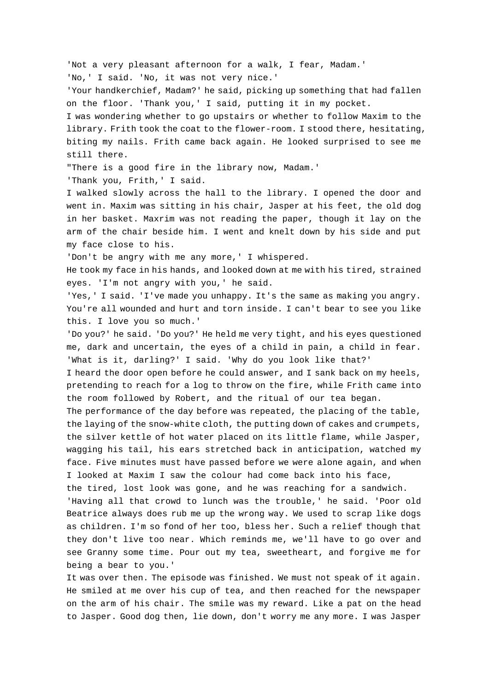'Not a very pleasant afternoon for a walk, I fear, Madam.' 'No,' I said. 'No, it was not very nice.'

'Your handkerchief, Madam?' he said, picking up something that had fallen on the floor. 'Thank you,' I said, putting it in my pocket.

I was wondering whether to go upstairs or whether to follow Maxim to the library. Frith took the coat to the flower-room. I stood there, hesitating, biting my nails. Frith came back again. He looked surprised to see me still there.

"There is a good fire in the library now, Madam.'

'Thank you, Frith,' I said.

I walked slowly across the hall to the library. I opened the door and went in. Maxim was sitting in his chair, Jasper at his feet, the old dog in her basket. Maxrim was not reading the paper, though it lay on the arm of the chair beside him. I went and knelt down by his side and put my face close to his.

'Don't be angry with me any more,' I whispered.

He took my face in his hands, and looked down at me with his tired, strained eyes. 'I'm not angry with you,' he said.

'Yes,' I said. 'I've made you unhappy. It's the same as making you angry. You're all wounded and hurt and torn inside. I can't bear to see you like this. I love you so much.'

'Do you?' he said. 'Do you?' He held me very tight, and his eyes questioned me, dark and uncertain, the eyes of a child in pain, a child in fear. 'What is it, darling?' I said. 'Why do you look like that?'

I heard the door open before he could answer, and I sank back on my heels, pretending to reach for a log to throw on the fire, while Frith came into the room followed by Robert, and the ritual of our tea began.

The performance of the day before was repeated, the placing of the table, the laying of the snow-white cloth, the putting down of cakes and crumpets, the silver kettle of hot water placed on its little flame, while Jasper, wagging his tail, his ears stretched back in anticipation, watched my face. Five minutes must have passed before we were alone again, and when I looked at Maxim I saw the colour had come back into his face,

the tired, lost look was gone, and he was reaching for a sandwich.

'Having all that crowd to lunch was the trouble,' he said. 'Poor old Beatrice always does rub me up the wrong way. We used to scrap like dogs as children. I'm so fond of her too, bless her. Such a relief though that they don't live too near. Which reminds me, we'll have to go over and see Granny some time. Pour out my tea, sweetheart, and forgive me for being a bear to you.'

It was over then. The episode was finished. We must not speak of it again. He smiled at me over his cup of tea, and then reached for the newspaper on the arm of his chair. The smile was my reward. Like a pat on the head to Jasper. Good dog then, lie down, don't worry me any more. I was Jasper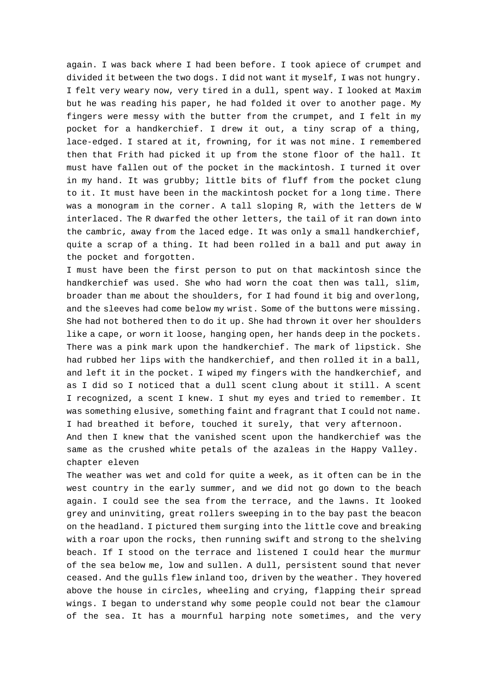again. I was back where I had been before. I took apiece of crumpet and divided it between the two dogs. I did not want it myself, I was not hungry. I felt very weary now, very tired in a dull, spent way. I looked at Maxim but he was reading his paper, he had folded it over to another page. My fingers were messy with the butter from the crumpet, and I felt in my pocket for a handkerchief. I drew it out, a tiny scrap of a thing, lace-edged. I stared at it, frowning, for it was not mine. I remembered then that Frith had picked it up from the stone floor of the hall. It must have fallen out of the pocket in the mackintosh. I turned it over in my hand. It was grubby; little bits of fluff from the pocket clung to it. It must have been in the mackintosh pocket for a long time. There was a monogram in the corner. A tall sloping R, with the letters de W interlaced. The R dwarfed the other letters, the tail of it ran down into the cambric, away from the laced edge. It was only a small handkerchief, quite a scrap of a thing. It had been rolled in a ball and put away in the pocket and forgotten.

I must have been the first person to put on that mackintosh since the handkerchief was used. She who had worn the coat then was tall, slim, broader than me about the shoulders, for I had found it big and overlong, and the sleeves had come below my wrist. Some of the buttons were missing. She had not bothered then to do it up. She had thrown it over her shoulders like a cape, or worn it loose, hanging open, her hands deep in the pockets. There was a pink mark upon the handkerchief. The mark of lipstick. She had rubbed her lips with the handkerchief, and then rolled it in a ball, and left it in the pocket. I wiped my fingers with the handkerchief, and as I did so I noticed that a dull scent clung about it still. A scent I recognized, a scent I knew. I shut my eyes and tried to remember. It was something elusive, something faint and fragrant that I could not name. I had breathed it before, touched it surely, that very afternoon. And then I knew that the vanished scent upon the handkerchief was the same as the crushed white petals of the azaleas in the Happy Valley. chapter eleven

The weather was wet and cold for quite a week, as it often can be in the west country in the early summer, and we did not go down to the beach again. I could see the sea from the terrace, and the lawns. It looked grey and uninviting, great rollers sweeping in to the bay past the beacon on the headland. I pictured them surging into the little cove and breaking with a roar upon the rocks, then running swift and strong to the shelving beach. If I stood on the terrace and listened I could hear the murmur of the sea below me, low and sullen. A dull, persistent sound that never ceased. And the gulls flew inland too, driven by the weather. They hovered above the house in circles, wheeling and crying, flapping their spread wings. I began to understand why some people could not bear the clamour of the sea. It has a mournful harping note sometimes, and the very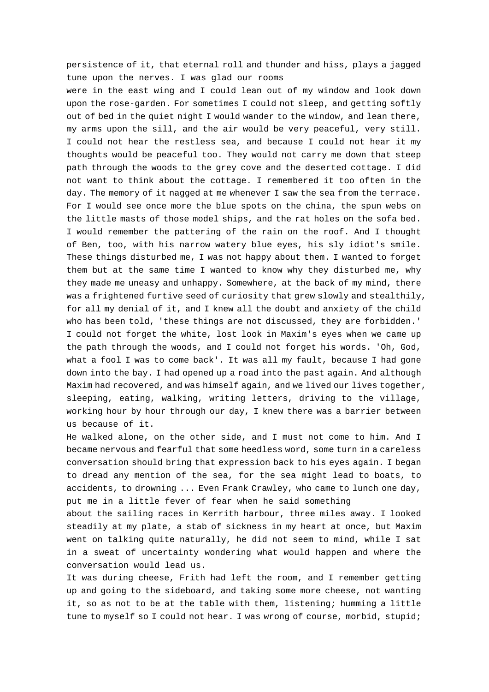persistence of it, that eternal roll and thunder and hiss, plays a jagged tune upon the nerves. I was glad our rooms

were in the east wing and I could lean out of my window and look down upon the rose-garden. For sometimes I could not sleep, and getting softly out of bed in the quiet night I would wander to the window, and lean there, my arms upon the sill, and the air would be very peaceful, very still. I could not hear the restless sea, and because I could not hear it my thoughts would be peaceful too. They would not carry me down that steep path through the woods to the grey cove and the deserted cottage. I did not want to think about the cottage. I remembered it too often in the day. The memory of it nagged at me whenever I saw the sea from the terrace. For I would see once more the blue spots on the china, the spun webs on the little masts of those model ships, and the rat holes on the sofa bed. I would remember the pattering of the rain on the roof. And I thought of Ben, too, with his narrow watery blue eyes, his sly idiot's smile. These things disturbed me, I was not happy about them. I wanted to forget them but at the same time I wanted to know why they disturbed me, why they made me uneasy and unhappy. Somewhere, at the back of my mind, there was a frightened furtive seed of curiosity that grew slowly and stealthily, for all my denial of it, and I knew all the doubt and anxiety of the child who has been told, 'these things are not discussed, they are forbidden.' I could not forget the white, lost look in Maxim's eyes when we came up the path through the woods, and I could not forget his words. 'Oh, God, what a fool I was to come back'. It was all my fault, because I had gone down into the bay. I had opened up a road into the past again. And although Maxim had recovered, and was himself again, and we lived our lives together, sleeping, eating, walking, writing letters, driving to the village, working hour by hour through our day, I knew there was a barrier between us because of it.

He walked alone, on the other side, and I must not come to him. And I became nervous and fearful that some heedless word, some turn in a careless conversation should bring that expression back to his eyes again. I began to dread any mention of the sea, for the sea might lead to boats, to accidents, to drowning ... Even Frank Crawley, who came to lunch one day, put me in a little fever of fear when he said something

about the sailing races in Kerrith harbour, three miles away. I looked steadily at my plate, a stab of sickness in my heart at once, but Maxim went on talking quite naturally, he did not seem to mind, while I sat in a sweat of uncertainty wondering what would happen and where the conversation would lead us.

It was during cheese, Frith had left the room, and I remember getting up and going to the sideboard, and taking some more cheese, not wanting it, so as not to be at the table with them, listening; humming a little tune to myself so I could not hear. I was wrong of course, morbid, stupid;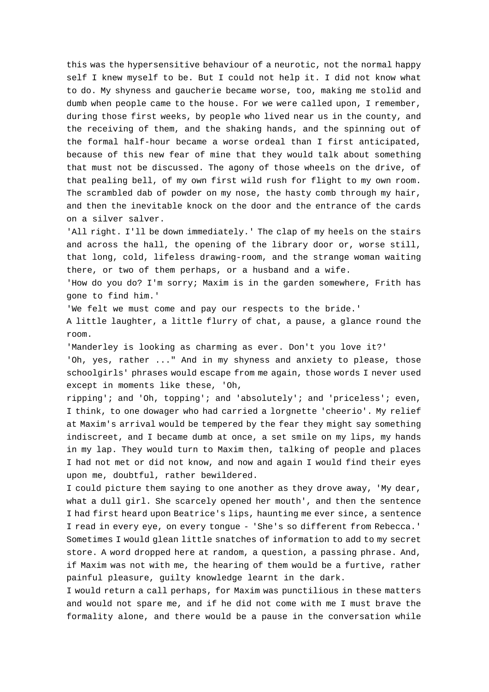this was the hypersensitive behaviour of a neurotic, not the normal happy self I knew myself to be. But I could not help it. I did not know what to do. My shyness and gaucherie became worse, too, making me stolid and dumb when people came to the house. For we were called upon, I remember, during those first weeks, by people who lived near us in the county, and the receiving of them, and the shaking hands, and the spinning out of the formal half-hour became a worse ordeal than I first anticipated, because of this new fear of mine that they would talk about something that must not be discussed. The agony of those wheels on the drive, of that pealing bell, of my own first wild rush for flight to my own room. The scrambled dab of powder on my nose, the hasty comb through my hair, and then the inevitable knock on the door and the entrance of the cards on a silver salver.

'All right. I'll be down immediately.' The clap of my heels on the stairs and across the hall, the opening of the library door or, worse still, that long, cold, lifeless drawing-room, and the strange woman waiting there, or two of them perhaps, or a husband and a wife.

'How do you do? I'm sorry; Maxim is in the garden somewhere, Frith has gone to find him.'

'We felt we must come and pay our respects to the bride.'

A little laughter, a little flurry of chat, a pause, a glance round the room.

'Manderley is looking as charming as ever. Don't you love it?'

'Oh, yes, rather ..." And in my shyness and anxiety to please, those schoolgirls' phrases would escape from me again, those words I never used except in moments like these, 'Oh,

ripping'; and 'Oh, topping'; and 'absolutely'; and 'priceless'; even, I think, to one dowager who had carried a lorgnette 'cheerio'. My relief at Maxim's arrival would be tempered by the fear they might say something indiscreet, and I became dumb at once, a set smile on my lips, my hands in my lap. They would turn to Maxim then, talking of people and places I had not met or did not know, and now and again I would find their eyes upon me, doubtful, rather bewildered.

I could picture them saying to one another as they drove away, 'My dear, what a dull girl. She scarcely opened her mouth', and then the sentence I had first heard upon Beatrice's lips, haunting me ever since, a sentence I read in every eye, on every tongue - 'She's so different from Rebecca.' Sometimes I would glean little snatches of information to add to my secret store. A word dropped here at random, a question, a passing phrase. And, if Maxim was not with me, the hearing of them would be a furtive, rather painful pleasure, guilty knowledge learnt in the dark.

I would return a call perhaps, for Maxim was punctilious in these matters and would not spare me, and if he did not come with me I must brave the formality alone, and there would be a pause in the conversation while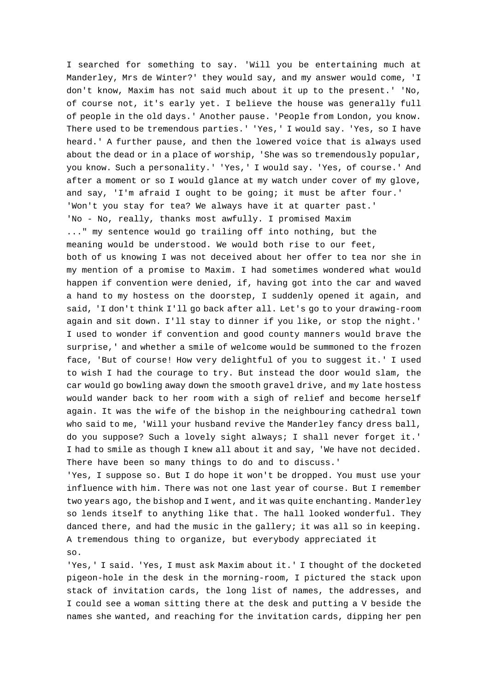I searched for something to say. 'Will you be entertaining much at Manderley, Mrs de Winter?' they would say, and my answer would come, 'I don't know, Maxim has not said much about it up to the present.' 'No, of course not, it's early yet. I believe the house was generally full of people in the old days.' Another pause. 'People from London, you know. There used to be tremendous parties.' 'Yes,' I would say. 'Yes, so I have heard.' A further pause, and then the lowered voice that is always used about the dead or in a place of worship, 'She was so tremendously popular, you know. Such a personality.' 'Yes,' I would say. 'Yes, of course.' And after a moment or so I would glance at my watch under cover of my glove, and say, 'I'm afraid I ought to be going; it must be after four.' 'Won't you stay for tea? We always have it at quarter past.' 'No - No, really, thanks most awfully. I promised Maxim ..." my sentence would go trailing off into nothing, but the meaning would be understood. We would both rise to our feet, both of us knowing I was not deceived about her offer to tea nor she in my mention of a promise to Maxim. I had sometimes wondered what would happen if convention were denied, if, having got into the car and waved a hand to my hostess on the doorstep, I suddenly opened it again, and said, 'I don't think I'll go back after all. Let's go to your drawing-room again and sit down. I'll stay to dinner if you like, or stop the night.' I used to wonder if convention and good county manners would brave the surprise,' and whether a smile of welcome would be summoned to the frozen face, 'But of course! How very delightful of you to suggest it.' I used to wish I had the courage to try. But instead the door would slam, the car would go bowling away down the smooth gravel drive, and my late hostess would wander back to her room with a sigh of relief and become herself again. It was the wife of the bishop in the neighbouring cathedral town who said to me, 'Will your husband revive the Manderley fancy dress ball, do you suppose? Such a lovely sight always; I shall never forget it.' I had to smile as though I knew all about it and say, 'We have not decided. There have been so many things to do and to discuss.'

'Yes, I suppose so. But I do hope it won't be dropped. You must use your influence with him. There was not one last year of course. But I remember two years ago, the bishop and I went, and it was quite enchanting. Manderley so lends itself to anything like that. The hall looked wonderful. They danced there, and had the music in the gallery; it was all so in keeping. A tremendous thing to organize, but everybody appreciated it so.

'Yes,' I said. 'Yes, I must ask Maxim about it.' I thought of the docketed pigeon-hole in the desk in the morning-room, I pictured the stack upon stack of invitation cards, the long list of names, the addresses, and I could see a woman sitting there at the desk and putting a V beside the names she wanted, and reaching for the invitation cards, dipping her pen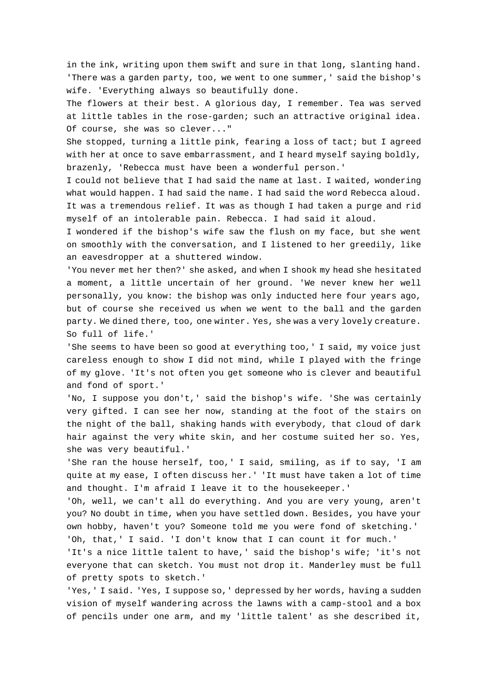in the ink, writing upon them swift and sure in that long, slanting hand. 'There was a garden party, too, we went to one summer,' said the bishop's wife. 'Everything always so beautifully done.

The flowers at their best. A glorious day, I remember. Tea was served at little tables in the rose-garden; such an attractive original idea. Of course, she was so clever..."

She stopped, turning a little pink, fearing a loss of tact; but I agreed with her at once to save embarrassment, and I heard myself saying boldly, brazenly, 'Rebecca must have been a wonderful person.'

I could not believe that I had said the name at last. I waited, wondering what would happen. I had said the name. I had said the word Rebecca aloud. It was a tremendous relief. It was as though I had taken a purge and rid myself of an intolerable pain. Rebecca. I had said it aloud.

I wondered if the bishop's wife saw the flush on my face, but she went on smoothly with the conversation, and I listened to her greedily, like an eavesdropper at a shuttered window.

'You never met her then?' she asked, and when I shook my head she hesitated a moment, a little uncertain of her ground. 'We never knew her well personally, you know: the bishop was only inducted here four years ago, but of course she received us when we went to the ball and the garden party. We dined there, too, one winter. Yes, she was a very lovely creature. So full of life.'

'She seems to have been so good at everything too,' I said, my voice just careless enough to show I did not mind, while I played with the fringe of my glove. 'It's not often you get someone who is clever and beautiful and fond of sport.'

'No, I suppose you don't,' said the bishop's wife. 'She was certainly very gifted. I can see her now, standing at the foot of the stairs on the night of the ball, shaking hands with everybody, that cloud of dark hair against the very white skin, and her costume suited her so. Yes, she was very beautiful.'

'She ran the house herself, too,' I said, smiling, as if to say, 'I am quite at my ease, I often discuss her.' 'It must have taken a lot of time and thought. I'm afraid I leave it to the housekeeper.'

'Oh, well, we can't all do everything. And you are very young, aren't you? No doubt in time, when you have settled down. Besides, you have your own hobby, haven't you? Someone told me you were fond of sketching.' 'Oh, that,' I said. 'I don't know that I can count it for much.'

'It's a nice little talent to have,' said the bishop's wife; 'it's not everyone that can sketch. You must not drop it. Manderley must be full of pretty spots to sketch.'

'Yes, ' I said. 'Yes, I suppose so, ' depressed by her words, having a sudden vision of myself wandering across the lawns with a camp-stool and a box of pencils under one arm, and my 'little talent' as she described it,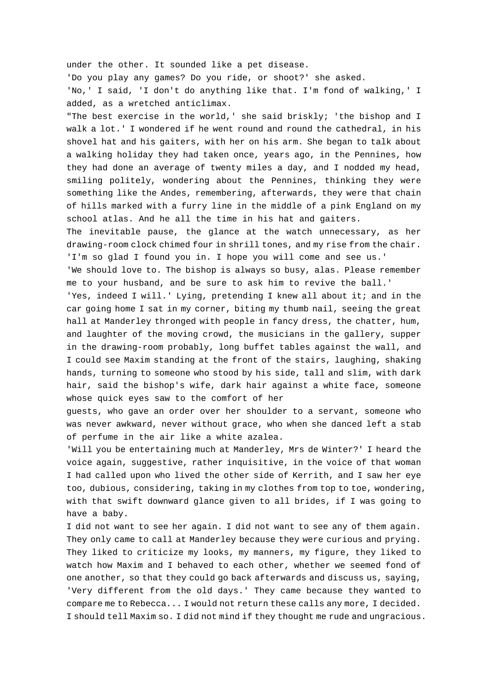under the other. It sounded like a pet disease.

'Do you play any games? Do you ride, or shoot?' she asked.

'No,' I said, 'I don't do anything like that. I'm fond of walking,' I added, as a wretched anticlimax.

"The best exercise in the world,' she said briskly; 'the bishop and I walk a lot.' I wondered if he went round and round the cathedral, in his shovel hat and his gaiters, with her on his arm. She began to talk about a walking holiday they had taken once, years ago, in the Pennines, how they had done an average of twenty miles a day, and I nodded my head, smiling politely, wondering about the Pennines, thinking they were something like the Andes, remembering, afterwards, they were that chain of hills marked with a furry line in the middle of a pink England on my school atlas. And he all the time in his hat and gaiters.

The inevitable pause, the glance at the watch unnecessary, as her drawing-room clock chimed four in shrill tones, and my rise from the chair. 'I'm so glad I found you in. I hope you will come and see us.'

'We should love to. The bishop is always so busy, alas. Please remember me to your husband, and be sure to ask him to revive the ball.'

'Yes, indeed I will.' Lying, pretending I knew all about it; and in the car going home I sat in my corner, biting my thumb nail, seeing the great hall at Manderley thronged with people in fancy dress, the chatter, hum, and laughter of the moving crowd, the musicians in the gallery, supper in the drawing-room probably, long buffet tables against the wall, and I could see Maxim standing at the front of the stairs, laughing, shaking hands, turning to someone who stood by his side, tall and slim, with dark hair, said the bishop's wife, dark hair against a white face, someone whose quick eyes saw to the comfort of her

guests, who gave an order over her shoulder to a servant, someone who was never awkward, never without grace, who when she danced left a stab of perfume in the air like a white azalea.

'Will you be entertaining much at Manderley, Mrs de Winter?' I heard the voice again, suggestive, rather inquisitive, in the voice of that woman I had called upon who lived the other side of Kerrith, and I saw her eye too, dubious, considering, taking in my clothes from top to toe, wondering, with that swift downward glance given to all brides, if I was going to have a baby.

I did not want to see her again. I did not want to see any of them again. They only came to call at Manderley because they were curious and prying. They liked to criticize my looks, my manners, my figure, they liked to watch how Maxim and I behaved to each other, whether we seemed fond of one another, so that they could go back afterwards and discuss us, saying, 'Very different from the old days.' They came because they wanted to compare me to Rebecca... I would not return these calls any more, I decided. I should tell Maxim so. I did not mind if they thought me rude and ungracious.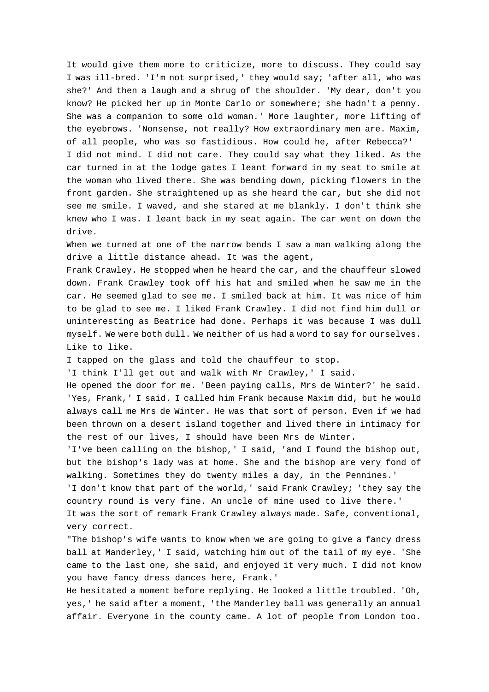It would give them more to criticize, more to discuss. They could say I was ill-bred. 'I'm not surprised,' they would say; 'after all, who was she?' And then a laugh and a shrug of the shoulder. 'My dear, don't you know? He picked her up in Monte Carlo or somewhere; she hadn't a penny. She was a companion to some old woman.' More laughter, more lifting of the eyebrows. 'Nonsense, not really? How extraordinary men are. Maxim, of all people, who was so fastidious. How could he, after Rebecca?'

I did not mind. I did not care. They could say what they liked. As the car turned in at the lodge gates I leant forward in my seat to smile at the woman who lived there. She was bending down, picking flowers in the front garden. She straightened up as she heard the car, but she did not see me smile. I waved, and she stared at me blankly. I don't think she knew who I was. I leant back in my seat again. The car went on down the drive.

When we turned at one of the narrow bends I saw a man walking along the drive a little distance ahead. It was the agent,

Frank Crawley. He stopped when he heard the car, and the chauffeur slowed down. Frank Crawley took off his hat and smiled when he saw me in the car. He seemed glad to see me. I smiled back at him. It was nice of him to be glad to see me. I liked Frank Crawley. I did not find him dull or uninteresting as Beatrice had done. Perhaps it was because I was dull myself. We were both dull. We neither of us had a word to say for ourselves. Like to like.

I tapped on the glass and told the chauffeur to stop.

'I think I'll get out and walk with Mr Crawley,' I said.

He opened the door for me. 'Been paying calls, Mrs de Winter?' he said. 'Yes, Frank,' I said. I called him Frank because Maxim did, but he would always call me Mrs de Winter. He was that sort of person. Even if we had been thrown on a desert island together and lived there in intimacy for the rest of our lives, I should have been Mrs de Winter.

'I've been calling on the bishop,' I said, 'and I found the bishop out, but the bishop's lady was at home. She and the bishop are very fond of walking. Sometimes they do twenty miles a day, in the Pennines.'

'I don't know that part of the world,' said Frank Crawley; 'they say the country round is very fine. An uncle of mine used to live there.'

It was the sort of remark Frank Crawley always made. Safe, conventional, very correct.

"The bishop's wife wants to know when we are going to give a fancy dress ball at Manderley,' I said, watching him out of the tail of my eye. 'She came to the last one, she said, and enjoyed it very much. I did not know you have fancy dress dances here, Frank.'

He hesitated a moment before replying. He looked a little troubled. 'Oh, yes,' he said after a moment, 'the Manderley ball was generally an annual affair. Everyone in the county came. A lot of people from London too.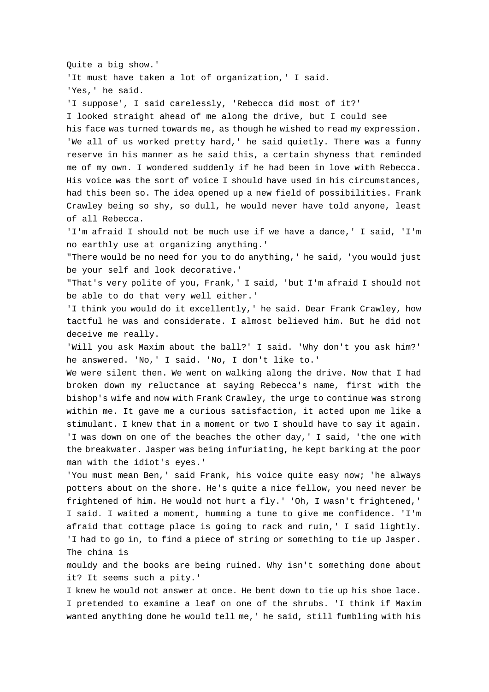Quite a big show.' 'It must have taken a lot of organization,' I said. 'Yes,' he said.

'I suppose', I said carelessly, 'Rebecca did most of it?' I looked straight ahead of me along the drive, but I could see his face was turned towards me, as though he wished to read my expression. 'We all of us worked pretty hard,' he said quietly. There was a funny reserve in his manner as he said this, a certain shyness that reminded me of my own. I wondered suddenly if he had been in love with Rebecca. His voice was the sort of voice I should have used in his circumstances, had this been so. The idea opened up a new field of possibilities. Frank Crawley being so shy, so dull, he would never have told anyone, least of all Rebecca.

'I'm afraid I should not be much use if we have a dance,' I said, 'I'm no earthly use at organizing anything.'

"There would be no need for you to do anything,' he said, 'you would just be your self and look decorative.'

"That's very polite of you, Frank,' I said, 'but I'm afraid I should not be able to do that very well either.'

'I think you would do it excellently,' he said. Dear Frank Crawley, how tactful he was and considerate. I almost believed him. But he did not deceive me really.

'Will you ask Maxim about the ball?' I said. 'Why don't you ask him?' he answered. 'No,' I said. 'No, I don't like to.'

We were silent then. We went on walking along the drive. Now that I had broken down my reluctance at saying Rebecca's name, first with the bishop's wife and now with Frank Crawley, the urge to continue was strong within me. It gave me a curious satisfaction, it acted upon me like a stimulant. I knew that in a moment or two I should have to say it again. 'I was down on one of the beaches the other day,' I said, 'the one with the breakwater. Jasper was being infuriating, he kept barking at the poor man with the idiot's eyes.'

'You must mean Ben,' said Frank, his voice quite easy now; 'he always potters about on the shore. He's quite a nice fellow, you need never be frightened of him. He would not hurt a fly.' 'Oh, I wasn't frightened,' I said. I waited a moment, humming a tune to give me confidence. 'I'm afraid that cottage place is going to rack and ruin,' I said lightly. 'I had to go in, to find a piece of string or something to tie up Jasper. The china is

mouldy and the books are being ruined. Why isn't something done about it? It seems such a pity.'

I knew he would not answer at once. He bent down to tie up his shoe lace. I pretended to examine a leaf on one of the shrubs. 'I think if Maxim wanted anything done he would tell me,' he said, still fumbling with his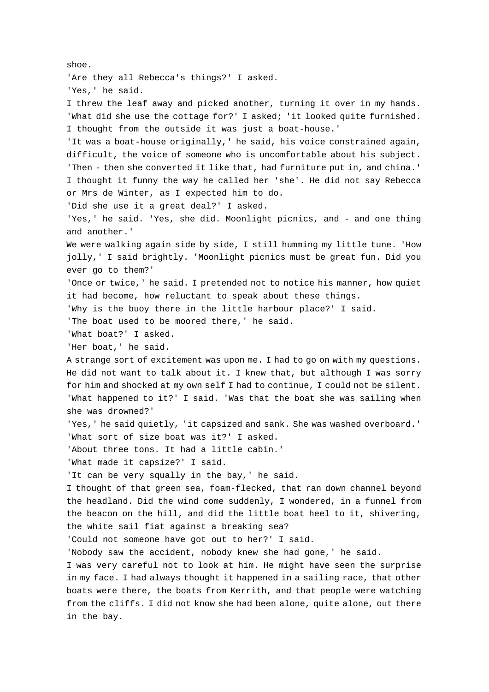shoe. 'Are they all Rebecca's things?' I asked. 'Yes,' he said. I threw the leaf away and picked another, turning it over in my hands. 'What did she use the cottage for?' I asked; 'it looked quite furnished. I thought from the outside it was just a boat-house.' 'It was a boat-house originally,' he said, his voice constrained again, difficult, the voice of someone who is uncomfortable about his subject. 'Then - then she converted it like that, had furniture put in, and china.' I thought it funny the way he called her 'she'. He did not say Rebecca or Mrs de Winter, as I expected him to do. 'Did she use it a great deal?' I asked. 'Yes,' he said. 'Yes, she did. Moonlight picnics, and - and one thing and another.' We were walking again side by side, I still humming my little tune. 'How jolly,' I said brightly. 'Moonlight picnics must be great fun. Did you ever go to them?' 'Once or twice,' he said. I pretended not to notice his manner, how quiet it had become, how reluctant to speak about these things. 'Why is the buoy there in the little harbour place?' I said. 'The boat used to be moored there,' he said. 'What boat?' I asked. 'Her boat,' he said. A strange sort of excitement was upon me. I had to go on with my questions. He did not want to talk about it. I knew that, but although I was sorry for him and shocked at my own self I had to continue, I could not be silent. 'What happened to it?' I said. 'Was that the boat she was sailing when she was drowned?' 'Yes,' he said quietly, 'it capsized and sank. She was washed overboard.' 'What sort of size boat was it?' I asked. 'About three tons. It had a little cabin.' 'What made it capsize?' I said. 'It can be very squally in the bay,' he said. I thought of that green sea, foam-flecked, that ran down channel beyond the headland. Did the wind come suddenly, I wondered, in a funnel from the beacon on the hill, and did the little boat heel to it, shivering, the white sail fiat against a breaking sea? 'Could not someone have got out to her?' I said. 'Nobody saw the accident, nobody knew she had gone,' he said. I was very careful not to look at him. He might have seen the surprise in my face. I had always thought it happened in a sailing race, that other boats were there, the boats from Kerrith, and that people were watching from the cliffs. I did not know she had been alone, quite alone, out there in the bay.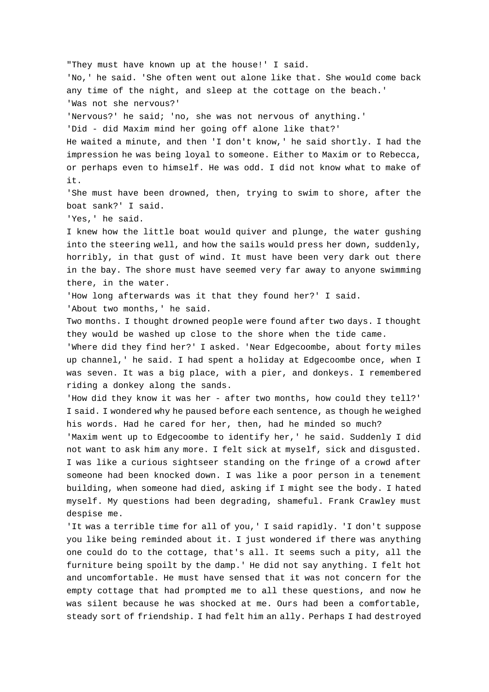"They must have known up at the house!' I said. 'No,' he said. 'She often went out alone like that. She would come back any time of the night, and sleep at the cottage on the beach.' 'Was not she nervous?' 'Nervous?' he said; 'no, she was not nervous of anything.' 'Did - did Maxim mind her going off alone like that?' He waited a minute, and then 'I don't know,' he said shortly. I had the impression he was being loyal to someone. Either to Maxim or to Rebecca, or perhaps even to himself. He was odd. I did not know what to make of it. 'She must have been drowned, then, trying to swim to shore, after the boat sank?' I said. 'Yes,' he said. I knew how the little boat would quiver and plunge, the water gushing into the steering well, and how the sails would press her down, suddenly, horribly, in that gust of wind. It must have been very dark out there in the bay. The shore must have seemed very far away to anyone swimming there, in the water. 'How long afterwards was it that they found her?' I said. 'About two months,' he said. Two months. I thought drowned people were found after two days. I thought they would be washed up close to the shore when the tide came. 'Where did they find her?' I asked. 'Near Edgecoombe, about forty miles up channel,' he said. I had spent a holiday at Edgecoombe once, when I was seven. It was a big place, with a pier, and donkeys. I remembered riding a donkey along the sands. 'How did they know it was her - after two months, how could they tell?' I said. I wondered why he paused before each sentence, as though he weighed his words. Had he cared for her, then, had he minded so much? 'Maxim went up to Edgecoombe to identify her,' he said. Suddenly I did not want to ask him any more. I felt sick at myself, sick and disgusted. I was like a curious sightseer standing on the fringe of a crowd after someone had been knocked down. I was like a poor person in a tenement building, when someone had died, asking if I might see the body. I hated myself. My questions had been degrading, shameful. Frank Crawley must despise me. 'It was a terrible time for all of you,' I said rapidly. 'I don't suppose you like being reminded about it. I just wondered if there was anything one could do to the cottage, that's all. It seems such a pity, all the furniture being spoilt by the damp.' He did not say anything. I felt hot and uncomfortable. He must have sensed that it was not concern for the empty cottage that had prompted me to all these questions, and now he was silent because he was shocked at me. Ours had been a comfortable, steady sort of friendship. I had felt him an ally. Perhaps I had destroyed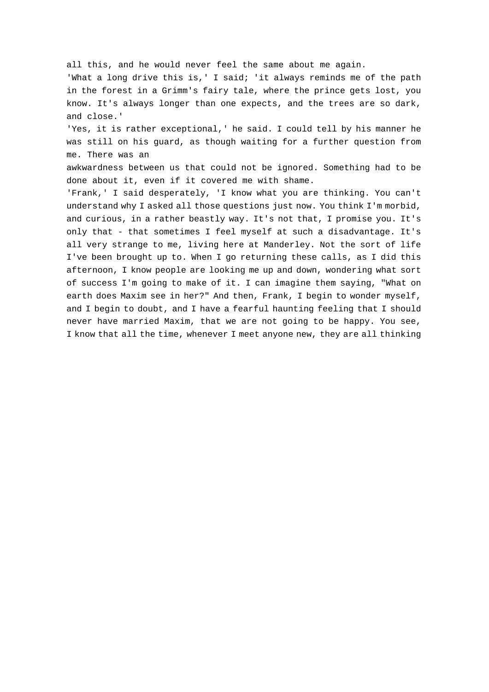all this, and he would never feel the same about me again.

'What a long drive this is,' I said; 'it always reminds me of the path in the forest in a Grimm's fairy tale, where the prince gets lost, you know. It's always longer than one expects, and the trees are so dark, and close.'

'Yes, it is rather exceptional,' he said. I could tell by his manner he was still on his guard, as though waiting for a further question from me. There was an

awkwardness between us that could not be ignored. Something had to be done about it, even if it covered me with shame.

'Frank,' I said desperately, 'I know what you are thinking. You can't understand why I asked all those questions just now. You think I'm morbid, and curious, in a rather beastly way. It's not that, I promise you. It's only that - that sometimes I feel myself at such a disadvantage. It's all very strange to me, living here at Manderley. Not the sort of life I've been brought up to. When I go returning these calls, as I did this afternoon, I know people are looking me up and down, wondering what sort of success I'm going to make of it. I can imagine them saying, "What on earth does Maxim see in her?" And then, Frank, I begin to wonder myself, and I begin to doubt, and I have a fearful haunting feeling that I should never have married Maxim, that we are not going to be happy. You see, I know that all the time, whenever I meet anyone new, they are all thinking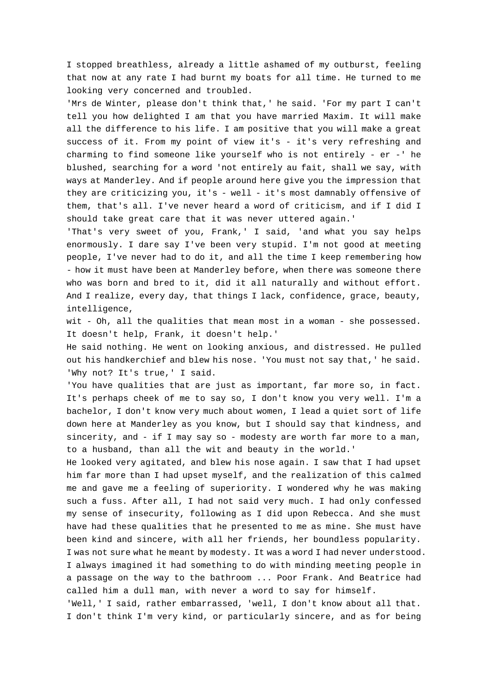I stopped breathless, already a little ashamed of my outburst, feeling that now at any rate I had burnt my boats for all time. He turned to me looking very concerned and troubled.

'Mrs de Winter, please don't think that,' he said. 'For my part I can't tell you how delighted I am that you have married Maxim. It will make all the difference to his life. I am positive that you will make a great success of it. From my point of view it's - it's very refreshing and charming to find someone like yourself who is not entirely - er -' he blushed, searching for a word 'not entirely au fait, shall we say, with ways at Manderley. And if people around here give you the impression that they are criticizing you, it's - well - it's most damnably offensive of them, that's all. I've never heard a word of criticism, and if I did I should take great care that it was never uttered again.'

'That's very sweet of you, Frank,' I said, 'and what you say helps enormously. I dare say I've been very stupid. I'm not good at meeting people, I've never had to do it, and all the time I keep remembering how - how it must have been at Manderley before, when there was someone there who was born and bred to it, did it all naturally and without effort. And I realize, every day, that things I lack, confidence, grace, beauty, intelligence,

wit - Oh, all the qualities that mean most in a woman - she possessed. It doesn't help, Frank, it doesn't help.'

He said nothing. He went on looking anxious, and distressed. He pulled out his handkerchief and blew his nose. 'You must not say that,' he said. 'Why not? It's true,' I said.

'You have qualities that are just as important, far more so, in fact. It's perhaps cheek of me to say so, I don't know you very well. I'm a bachelor, I don't know very much about women, I lead a quiet sort of life down here at Manderley as you know, but I should say that kindness, and sincerity, and - if I may say so - modesty are worth far more to a man, to a husband, than all the wit and beauty in the world.'

He looked very agitated, and blew his nose again. I saw that I had upset him far more than I had upset myself, and the realization of this calmed me and gave me a feeling of superiority. I wondered why he was making such a fuss. After all, I had not said very much. I had only confessed my sense of insecurity, following as I did upon Rebecca. And she must have had these qualities that he presented to me as mine. She must have been kind and sincere, with all her friends, her boundless popularity. I was not sure what he meant by modesty. It was a word I had never understood. I always imagined it had something to do with minding meeting people in a passage on the way to the bathroom ... Poor Frank. And Beatrice had called him a dull man, with never a word to say for himself.

'Well,' I said, rather embarrassed, 'well, I don't know about all that. I don't think I'm very kind, or particularly sincere, and as for being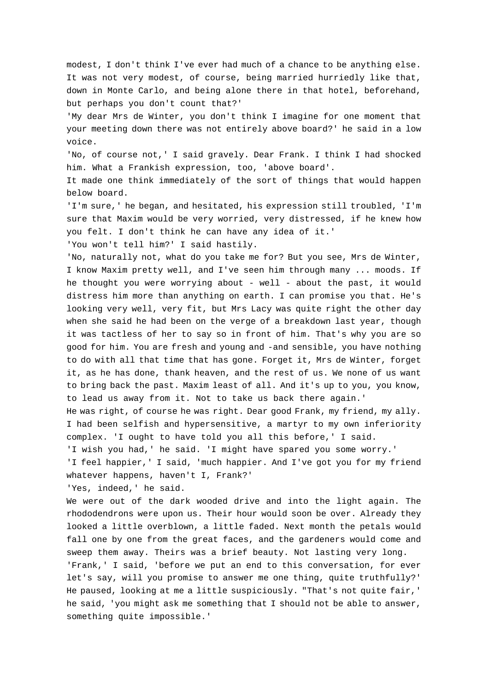modest, I don't think I've ever had much of a chance to be anything else. It was not very modest, of course, being married hurriedly like that, down in Monte Carlo, and being alone there in that hotel, beforehand, but perhaps you don't count that?'

'My dear Mrs de Winter, you don't think I imagine for one moment that your meeting down there was not entirely above board?' he said in a low voice.

'No, of course not,' I said gravely. Dear Frank. I think I had shocked him. What a Frankish expression, too, 'above board'.

It made one think immediately of the sort of things that would happen below board.

'I'm sure,' he began, and hesitated, his expression still troubled, 'I'm sure that Maxim would be very worried, very distressed, if he knew how you felt. I don't think he can have any idea of it.'

'You won't tell him?' I said hastily.

'No, naturally not, what do you take me for? But you see, Mrs de Winter, I know Maxim pretty well, and I've seen him through many ... moods. If he thought you were worrying about - well - about the past, it would distress him more than anything on earth. I can promise you that. He's looking very well, very fit, but Mrs Lacy was quite right the other day when she said he had been on the verge of a breakdown last year, though it was tactless of her to say so in front of him. That's why you are so good for him. You are fresh and young and -and sensible, you have nothing to do with all that time that has gone. Forget it, Mrs de Winter, forget it, as he has done, thank heaven, and the rest of us. We none of us want to bring back the past. Maxim least of all. And it's up to you, you know, to lead us away from it. Not to take us back there again.'

He was right, of course he was right. Dear good Frank, my friend, my ally. I had been selfish and hypersensitive, a martyr to my own inferiority complex. 'I ought to have told you all this before,' I said.

'I wish you had,' he said. 'I might have spared you some worry.'

'I feel happier,' I said, 'much happier. And I've got you for my friend whatever happens, haven't I, Frank?'

'Yes, indeed,' he said.

We were out of the dark wooded drive and into the light again. The rhododendrons were upon us. Their hour would soon be over. Already they looked a little overblown, a little faded. Next month the petals would fall one by one from the great faces, and the gardeners would come and sweep them away. Theirs was a brief beauty. Not lasting very long.

'Frank,' I said, 'before we put an end to this conversation, for ever let's say, will you promise to answer me one thing, quite truthfully?' He paused, looking at me a little suspiciously. "That's not quite fair,' he said, 'you might ask me something that I should not be able to answer, something quite impossible.'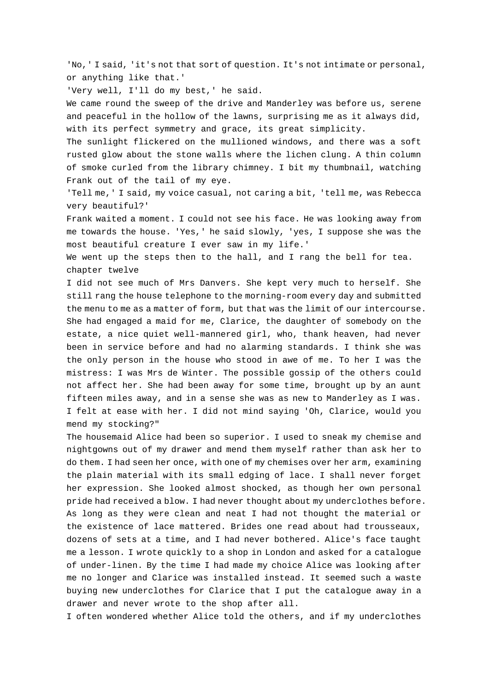'No,' I said, 'it's not that sort of question. It's not intimate or personal, or anything like that.'

'Very well, I'll do my best,' he said.

We came round the sweep of the drive and Manderley was before us, serene and peaceful in the hollow of the lawns, surprising me as it always did, with its perfect symmetry and grace, its great simplicity.

The sunlight flickered on the mullioned windows, and there was a soft rusted glow about the stone walls where the lichen clung. A thin column of smoke curled from the library chimney. I bit my thumbnail, watching Frank out of the tail of my eye.

'Tell me,' I said, my voice casual, not caring a bit, 'tell me, was Rebecca very beautiful?'

Frank waited a moment. I could not see his face. He was looking away from me towards the house. 'Yes,' he said slowly, 'yes, I suppose she was the most beautiful creature I ever saw in my life.'

We went up the steps then to the hall, and I rang the bell for tea. chapter twelve

I did not see much of Mrs Danvers. She kept very much to herself. She still rang the house telephone to the morning-room every day and submitted the menu to me as a matter of form, but that was the limit of our intercourse. She had engaged a maid for me, Clarice, the daughter of somebody on the estate, a nice quiet well-mannered girl, who, thank heaven, had never been in service before and had no alarming standards. I think she was the only person in the house who stood in awe of me. To her I was the mistress: I was Mrs de Winter. The possible gossip of the others could not affect her. She had been away for some time, brought up by an aunt fifteen miles away, and in a sense she was as new to Manderley as I was. I felt at ease with her. I did not mind saying 'Oh, Clarice, would you mend my stocking?"

The housemaid Alice had been so superior. I used to sneak my chemise and nightgowns out of my drawer and mend them myself rather than ask her to do them. I had seen her once, with one of my chemises over her arm, examining the plain material with its small edging of lace. I shall never forget her expression. She looked almost shocked, as though her own personal pride had received a blow. I had never thought about my underclothes before. As long as they were clean and neat I had not thought the material or the existence of lace mattered. Brides one read about had trousseaux, dozens of sets at a time, and I had never bothered. Alice's face taught me a lesson. I wrote quickly to a shop in London and asked for a catalogue of under-linen. By the time I had made my choice Alice was looking after me no longer and Clarice was installed instead. It seemed such a waste buying new underclothes for Clarice that I put the catalogue away in a drawer and never wrote to the shop after all.

I often wondered whether Alice told the others, and if my underclothes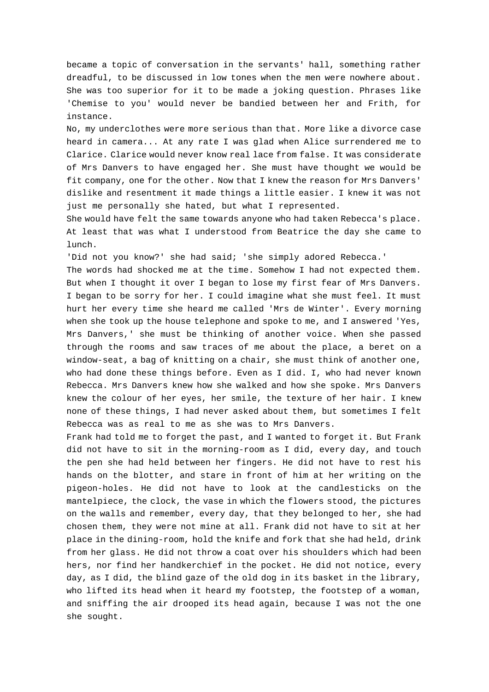became a topic of conversation in the servants' hall, something rather dreadful, to be discussed in low tones when the men were nowhere about. She was too superior for it to be made a joking question. Phrases like 'Chemise to you' would never be bandied between her and Frith, for instance.

No, my underclothes were more serious than that. More like a divorce case heard in camera... At any rate I was glad when Alice surrendered me to Clarice. Clarice would never know real lace from false. It was considerate of Mrs Danvers to have engaged her. She must have thought we would be fit company, one for the other. Now that I knew the reason for Mrs Danvers' dislike and resentment it made things a little easier. I knew it was not just me personally she hated, but what I represented.

She would have felt the same towards anyone who had taken Rebecca's place. At least that was what I understood from Beatrice the day she came to lunch.

'Did not you know?' she had said; 'she simply adored Rebecca.'

The words had shocked me at the time. Somehow I had not expected them. But when I thought it over I began to lose my first fear of Mrs Danvers. I began to be sorry for her. I could imagine what she must feel. It must hurt her every time she heard me called 'Mrs de Winter'. Every morning when she took up the house telephone and spoke to me, and I answered 'Yes, Mrs Danvers,' she must be thinking of another voice. When she passed through the rooms and saw traces of me about the place, a beret on a window-seat, a bag of knitting on a chair, she must think of another one, who had done these things before. Even as I did. I, who had never known Rebecca. Mrs Danvers knew how she walked and how she spoke. Mrs Danvers knew the colour of her eyes, her smile, the texture of her hair. I knew none of these things, I had never asked about them, but sometimes I felt Rebecca was as real to me as she was to Mrs Danvers.

Frank had told me to forget the past, and I wanted to forget it. But Frank did not have to sit in the morning-room as I did, every day, and touch the pen she had held between her fingers. He did not have to rest his hands on the blotter, and stare in front of him at her writing on the pigeon-holes. He did not have to look at the candlesticks on the mantelpiece, the clock, the vase in which the flowers stood, the pictures on the walls and remember, every day, that they belonged to her, she had chosen them, they were not mine at all. Frank did not have to sit at her place in the dining-room, hold the knife and fork that she had held, drink from her glass. He did not throw a coat over his shoulders which had been hers, nor find her handkerchief in the pocket. He did not notice, every day, as I did, the blind gaze of the old dog in its basket in the library, who lifted its head when it heard my footstep, the footstep of a woman, and sniffing the air drooped its head again, because I was not the one she sought.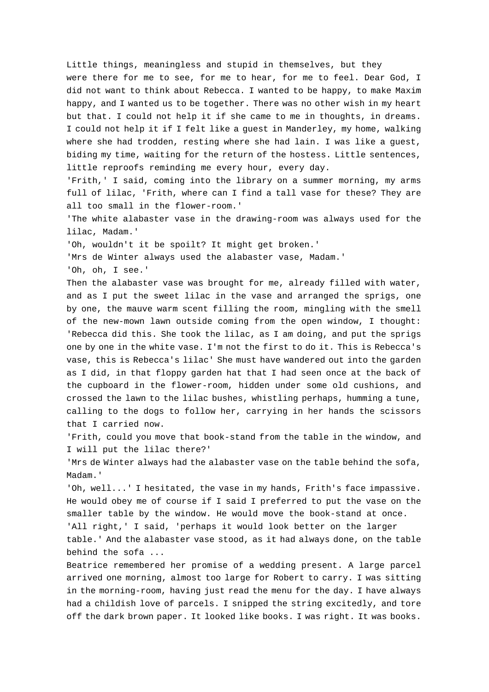Little things, meaningless and stupid in themselves, but they were there for me to see, for me to hear, for me to feel. Dear God, I did not want to think about Rebecca. I wanted to be happy, to make Maxim happy, and I wanted us to be together. There was no other wish in my heart but that. I could not help it if she came to me in thoughts, in dreams. I could not help it if I felt like a guest in Manderley, my home, walking where she had trodden, resting where she had lain. I was like a guest, biding my time, waiting for the return of the hostess. Little sentences, little reproofs reminding me every hour, every day.

'Frith,' I said, coming into the library on a summer morning, my arms full of lilac, 'Frith, where can I find a tall vase for these? They are all too small in the flower-room.'

'The white alabaster vase in the drawing-room was always used for the lilac, Madam.'

'Oh, wouldn't it be spoilt? It might get broken.'

'Mrs de Winter always used the alabaster vase, Madam.'

'Oh, oh, I see.'

Then the alabaster vase was brought for me, already filled with water, and as I put the sweet lilac in the vase and arranged the sprigs, one by one, the mauve warm scent filling the room, mingling with the smell of the new-mown lawn outside coming from the open window, I thought: 'Rebecca did this. She took the lilac, as I am doing, and put the sprigs one by one in the white vase. I'm not the first to do it. This is Rebecca's vase, this is Rebecca's lilac' She must have wandered out into the garden as I did, in that floppy garden hat that I had seen once at the back of the cupboard in the flower-room, hidden under some old cushions, and crossed the lawn to the lilac bushes, whistling perhaps, humming a tune, calling to the dogs to follow her, carrying in her hands the scissors that I carried now.

'Frith, could you move that book-stand from the table in the window, and I will put the lilac there?'

'Mrs de Winter always had the alabaster vase on the table behind the sofa, Madam.'

'Oh, well...' I hesitated, the vase in my hands, Frith's face impassive. He would obey me of course if I said I preferred to put the vase on the smaller table by the window. He would move the book-stand at once.

'All right,' I said, 'perhaps it would look better on the larger

table.' And the alabaster vase stood, as it had always done, on the table behind the sofa ...

Beatrice remembered her promise of a wedding present. A large parcel arrived one morning, almost too large for Robert to carry. I was sitting in the morning-room, having just read the menu for the day. I have always had a childish love of parcels. I snipped the string excitedly, and tore off the dark brown paper. It looked like books. I was right. It was books.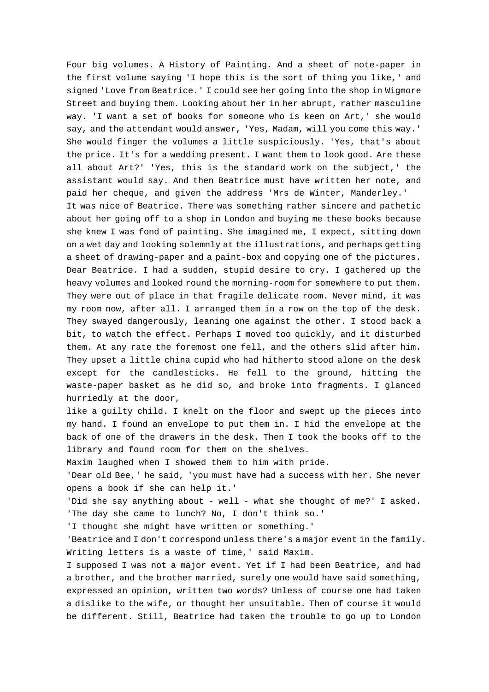Four big volumes. A History of Painting. And a sheet of note-paper in the first volume saying 'I hope this is the sort of thing you like,' and signed 'Love from Beatrice.' I could see her going into the shop in Wigmore Street and buying them. Looking about her in her abrupt, rather masculine way. 'I want a set of books for someone who is keen on Art,' she would say, and the attendant would answer, 'Yes, Madam, will you come this way.' She would finger the volumes a little suspiciously. 'Yes, that's about the price. It's for a wedding present. I want them to look good. Are these all about Art?' 'Yes, this is the standard work on the subject,' the assistant would say. And then Beatrice must have written her note, and paid her cheque, and given the address 'Mrs de Winter, Manderley.'

It was nice of Beatrice. There was something rather sincere and pathetic about her going off to a shop in London and buying me these books because she knew I was fond of painting. She imagined me, I expect, sitting down on a wet day and looking solemnly at the illustrations, and perhaps getting a sheet of drawing-paper and a paint-box and copying one of the pictures. Dear Beatrice. I had a sudden, stupid desire to cry. I gathered up the heavy volumes and looked round the morning-room for somewhere to put them. They were out of place in that fragile delicate room. Never mind, it was my room now, after all. I arranged them in a row on the top of the desk. They swayed dangerously, leaning one against the other. I stood back a bit, to watch the effect. Perhaps I moved too quickly, and it disturbed them. At any rate the foremost one fell, and the others slid after him. They upset a little china cupid who had hitherto stood alone on the desk except for the candlesticks. He fell to the ground, hitting the waste-paper basket as he did so, and broke into fragments. I glanced hurriedly at the door,

like a guilty child. I knelt on the floor and swept up the pieces into my hand. I found an envelope to put them in. I hid the envelope at the back of one of the drawers in the desk. Then I took the books off to the library and found room for them on the shelves.

Maxim laughed when I showed them to him with pride.

'Dear old Bee,' he said, 'you must have had a success with her. She never opens a book if she can help it.'

'Did she say anything about - well - what she thought of me?' I asked. 'The day she came to lunch? No, I don't think so.'

'I thought she might have written or something.'

'Beatrice and I don't correspond unless there's a major event in the family. Writing letters is a waste of time,' said Maxim.

I supposed I was not a major event. Yet if I had been Beatrice, and had a brother, and the brother married, surely one would have said something, expressed an opinion, written two words? Unless of course one had taken a dislike to the wife, or thought her unsuitable. Then of course it would be different. Still, Beatrice had taken the trouble to go up to London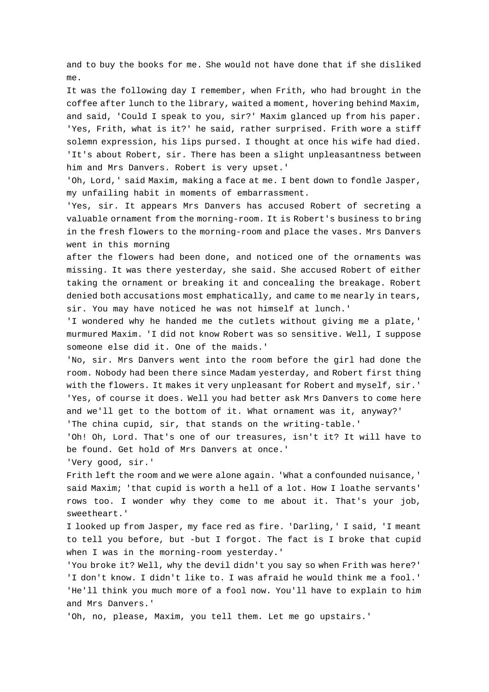and to buy the books for me. She would not have done that if she disliked me.

It was the following day I remember, when Frith, who had brought in the coffee after lunch to the library, waited a moment, hovering behind Maxim, and said, 'Could I speak to you, sir?' Maxim glanced up from his paper. 'Yes, Frith, what is it?' he said, rather surprised. Frith wore a stiff solemn expression, his lips pursed. I thought at once his wife had died. 'It's about Robert, sir. There has been a slight unpleasantness between him and Mrs Danvers. Robert is very upset.'

'Oh, Lord,' said Maxim, making a face at me. I bent down to fondle Jasper, my unfailing habit in moments of embarrassment.

'Yes, sir. It appears Mrs Danvers has accused Robert of secreting a valuable ornament from the morning-room. It is Robert's business to bring in the fresh flowers to the morning-room and place the vases. Mrs Danvers went in this morning

after the flowers had been done, and noticed one of the ornaments was missing. It was there yesterday, she said. She accused Robert of either taking the ornament or breaking it and concealing the breakage. Robert denied both accusations most emphatically, and came to me nearly in tears, sir. You may have noticed he was not himself at lunch.'

'I wondered why he handed me the cutlets without giving me a plate,' murmured Maxim. 'I did not know Robert was so sensitive. Well, I suppose someone else did it. One of the maids.'

'No, sir. Mrs Danvers went into the room before the girl had done the room. Nobody had been there since Madam yesterday, and Robert first thing with the flowers. It makes it very unpleasant for Robert and myself, sir.' 'Yes, of course it does. Well you had better ask Mrs Danvers to come here and we'll get to the bottom of it. What ornament was it, anyway?'

'The china cupid, sir, that stands on the writing-table.'

'Oh! Oh, Lord. That's one of our treasures, isn't it? It will have to be found. Get hold of Mrs Danvers at once.'

'Very good, sir.'

Frith left the room and we were alone again. 'What a confounded nuisance,' said Maxim; 'that cupid is worth a hell of a lot. How I loathe servants' rows too. I wonder why they come to me about it. That's your job, sweetheart.'

I looked up from Jasper, my face red as fire. 'Darling,' I said, 'I meant to tell you before, but -but I forgot. The fact is I broke that cupid when I was in the morning-room yesterday.'

'You broke it? Well, why the devil didn't you say so when Frith was here?' 'I don't know. I didn't like to. I was afraid he would think me a fool.' 'He'll think you much more of a fool now. You'll have to explain to him and Mrs Danvers.'

'Oh, no, please, Maxim, you tell them. Let me go upstairs.'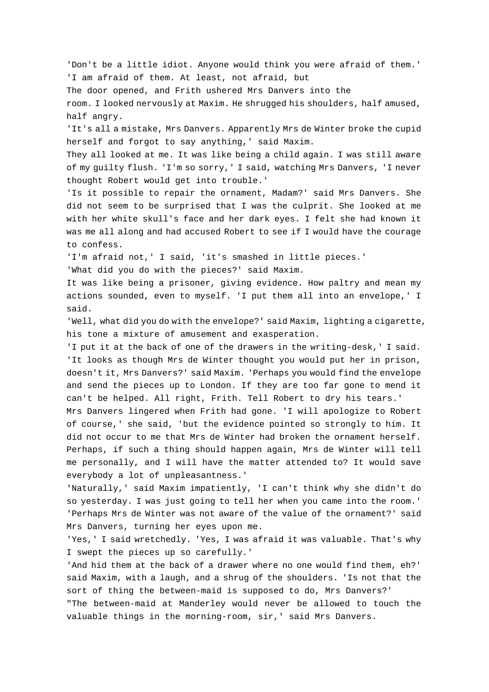'Don't be a little idiot. Anyone would think you were afraid of them.' 'I am afraid of them. At least, not afraid, but

The door opened, and Frith ushered Mrs Danvers into the

room. I looked nervously at Maxim. He shrugged his shoulders, half amused, half angry.

'It's all a mistake, Mrs Danvers. Apparently Mrs de Winter broke the cupid herself and forgot to say anything,' said Maxim.

They all looked at me. It was like being a child again. I was still aware of my guilty flush. 'I'm so sorry,' I said, watching Mrs Danvers, 'I never thought Robert would get into trouble.'

'Is it possible to repair the ornament, Madam?' said Mrs Danvers. She did not seem to be surprised that I was the culprit. She looked at me with her white skull's face and her dark eyes. I felt she had known it was me all along and had accused Robert to see if I would have the courage to confess.

'I'm afraid not,' I said, 'it's smashed in little pieces.'

'What did you do with the pieces?' said Maxim.

It was like being a prisoner, giving evidence. How paltry and mean my actions sounded, even to myself. 'I put them all into an envelope,' I said.

'Well, what did you do with the envelope?' said Maxim, lighting a cigarette, his tone a mixture of amusement and exasperation.

'I put it at the back of one of the drawers in the writing-desk,' I said. 'It looks as though Mrs de Winter thought you would put her in prison, doesn't it, Mrs Danvers?' said Maxim. 'Perhaps you would find the envelope and send the pieces up to London. If they are too far gone to mend it can't be helped. All right, Frith. Tell Robert to dry his tears.'

Mrs Danvers lingered when Frith had gone. 'I will apologize to Robert of course,' she said, 'but the evidence pointed so strongly to him. It did not occur to me that Mrs de Winter had broken the ornament herself. Perhaps, if such a thing should happen again, Mrs de Winter will tell me personally, and I will have the matter attended to? It would save everybody a lot of unpleasantness.'

'Naturally,' said Maxim impatiently, 'I can't think why she didn't do so yesterday. I was just going to tell her when you came into the room.' 'Perhaps Mrs de Winter was not aware of the value of the ornament?' said Mrs Danvers, turning her eyes upon me.

'Yes,' I said wretchedly. 'Yes, I was afraid it was valuable. That's why I swept the pieces up so carefully.'

'And hid them at the back of a drawer where no one would find them, eh?' said Maxim, with a laugh, and a shrug of the shoulders. 'Is not that the sort of thing the between-maid is supposed to do, Mrs Danvers?' "The between-maid at Manderley would never be allowed to touch the valuable things in the morning-room, sir,' said Mrs Danvers.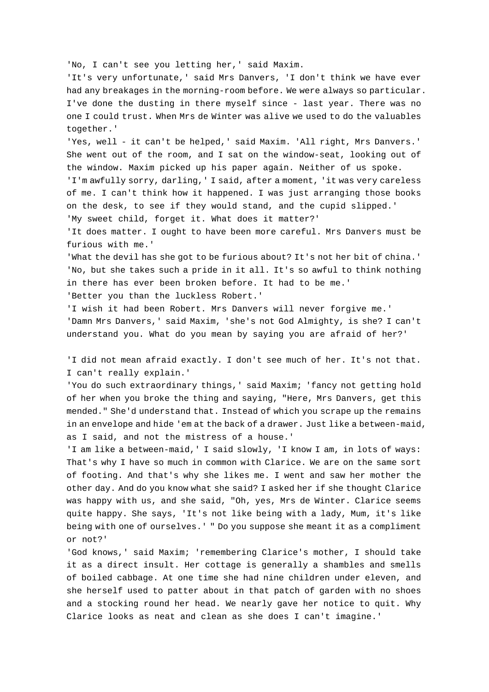'No, I can't see you letting her,' said Maxim.

'It's very unfortunate,' said Mrs Danvers, 'I don't think we have ever had any breakages in the morning-room before. We were always so particular. I've done the dusting in there myself since - last year. There was no one I could trust. When Mrs de Winter was alive we used to do the valuables together.'

'Yes, well - it can't be helped,' said Maxim. 'All right, Mrs Danvers.' She went out of the room, and I sat on the window-seat, looking out of the window. Maxim picked up his paper again. Neither of us spoke.

'I'm awfully sorry, darling,' I said, after a moment, 'it was very careless of me. I can't think how it happened. I was just arranging those books on the desk, to see if they would stand, and the cupid slipped.'

'My sweet child, forget it. What does it matter?'

'It does matter. I ought to have been more careful. Mrs Danvers must be furious with me.'

'What the devil has she got to be furious about? It's not her bit of china.' 'No, but she takes such a pride in it all. It's so awful to think nothing in there has ever been broken before. It had to be me.'

'Better you than the luckless Robert.'

'I wish it had been Robert. Mrs Danvers will never forgive me.'

'Damn Mrs Danvers,' said Maxim, 'she's not God Almighty, is she? I can't understand you. What do you mean by saying you are afraid of her?'

'I did not mean afraid exactly. I don't see much of her. It's not that. I can't really explain.'

'You do such extraordinary things,' said Maxim; 'fancy not getting hold of her when you broke the thing and saying, "Here, Mrs Danvers, get this mended." She'd understand that. Instead of which you scrape up the remains in an envelope and hide 'em at the back of a drawer. Just like a between-maid, as I said, and not the mistress of a house.'

'I am like a between-maid,' I said slowly, 'I know I am, in lots of ways: That's why I have so much in common with Clarice. We are on the same sort of footing. And that's why she likes me. I went and saw her mother the other day. And do you know what she said? I asked her if she thought Clarice was happy with us, and she said, "Oh, yes, Mrs de Winter. Clarice seems quite happy. She says, 'It's not like being with a lady, Mum, it's like being with one of ourselves.' " Do you suppose she meant it as a compliment or not?'

'God knows,' said Maxim; 'remembering Clarice's mother, I should take it as a direct insult. Her cottage is generally a shambles and smells of boiled cabbage. At one time she had nine children under eleven, and she herself used to patter about in that patch of garden with no shoes and a stocking round her head. We nearly gave her notice to quit. Why Clarice looks as neat and clean as she does I can't imagine.'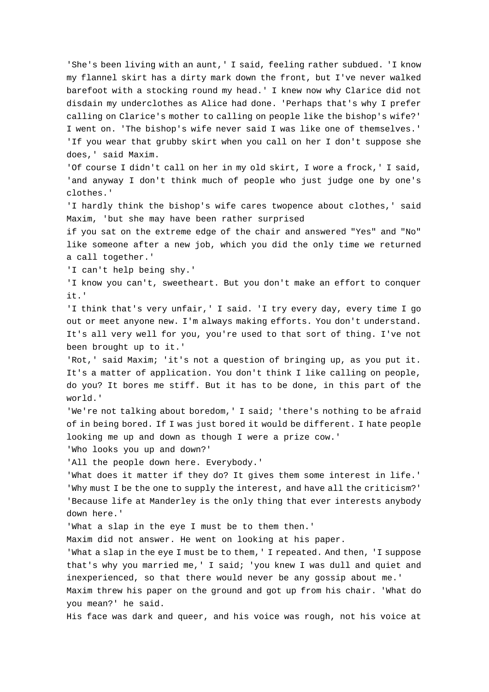'She's been living with an aunt,' I said, feeling rather subdued. 'I know my flannel skirt has a dirty mark down the front, but I've never walked barefoot with a stocking round my head.' I knew now why Clarice did not disdain my underclothes as Alice had done. 'Perhaps that's why I prefer calling on Clarice's mother to calling on people like the bishop's wife?' I went on. 'The bishop's wife never said I was like one of themselves.' 'If you wear that grubby skirt when you call on her I don't suppose she does,' said Maxim.

'Of course I didn't call on her in my old skirt, I wore a frock,' I said, 'and anyway I don't think much of people who just judge one by one's clothes.'

'I hardly think the bishop's wife cares twopence about clothes,' said Maxim, 'but she may have been rather surprised

if you sat on the extreme edge of the chair and answered "Yes" and "No" like someone after a new job, which you did the only time we returned a call together.'

'I can't help being shy.'

'I know you can't, sweetheart. But you don't make an effort to conquer it.'

'I think that's very unfair,' I said. 'I try every day, every time I go out or meet anyone new. I'm always making efforts. You don't understand. It's all very well for you, you're used to that sort of thing. I've not been brought up to it.'

'Rot,' said Maxim; 'it's not a question of bringing up, as you put it. It's a matter of application. You don't think I like calling on people, do you? It bores me stiff. But it has to be done, in this part of the world.'

'We're not talking about boredom, ' I said; 'there's nothing to be afraid of in being bored. If I was just bored it would be different. I hate people looking me up and down as though I were a prize cow.'

'Who looks you up and down?'

'All the people down here. Everybody.'

'What does it matter if they do? It gives them some interest in life.' 'Why must I be the one to supply the interest, and have all the criticism?' 'Because life at Manderley is the only thing that ever interests anybody down here.'

'What a slap in the eye I must be to them then.'

Maxim did not answer. He went on looking at his paper.

'What a slap in the eye I must be to them, ' I repeated. And then, 'I suppose that's why you married me,' I said; 'you knew I was dull and quiet and inexperienced, so that there would never be any gossip about me.'

Maxim threw his paper on the ground and got up from his chair. 'What do you mean?' he said.

His face was dark and queer, and his voice was rough, not his voice at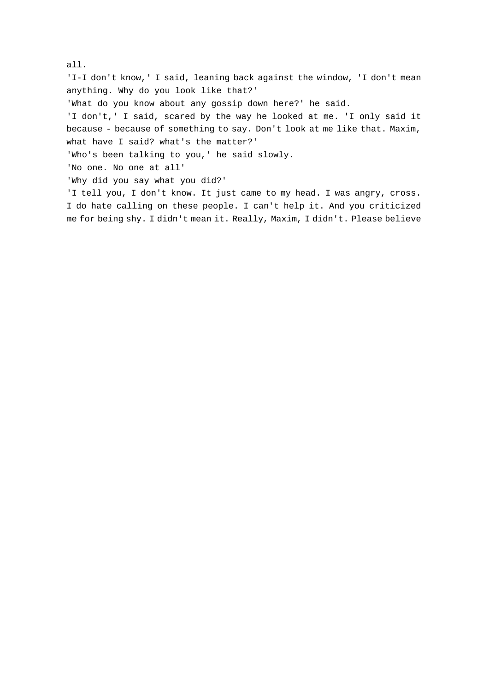all.

'I-I don't know,' I said, leaning back against the window, 'I don't mean anything. Why do you look like that?'

'What do you know about any gossip down here?' he said.

'I don't,' I said, scared by the way he looked at me. 'I only said it because - because of something to say. Don't look at me like that. Maxim, what have I said? what's the matter?'

'Who's been talking to you,' he said slowly.

'No one. No one at all'

'Why did you say what you did?'

'I tell you, I don't know. It just came to my head. I was angry, cross. I do hate calling on these people. I can't help it. And you criticized me for being shy. I didn't mean it. Really, Maxim, I didn't. Please believe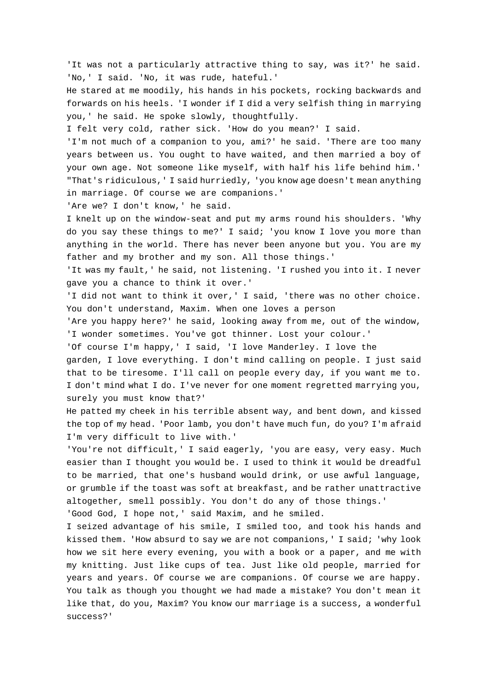'It was not a particularly attractive thing to say, was it?' he said. 'No,' I said. 'No, it was rude, hateful.'

He stared at me moodily, his hands in his pockets, rocking backwards and forwards on his heels. 'I wonder if I did a very selfish thing in marrying you,' he said. He spoke slowly, thoughtfully.

I felt very cold, rather sick. 'How do you mean?' I said.

'I'm not much of a companion to you, ami?' he said. 'There are too many years between us. You ought to have waited, and then married a boy of your own age. Not someone like myself, with half his life behind him.' "That's ridiculous,' I said hurriedly, 'you know age doesn't mean anything in marriage. Of course we are companions.'

'Are we? I don't know,' he said.

I knelt up on the window-seat and put my arms round his shoulders. 'Why do you say these things to me?' I said; 'you know I love you more than anything in the world. There has never been anyone but you. You are my father and my brother and my son. All those things.'

'It was my fault,' he said, not listening. 'I rushed you into it. I never gave you a chance to think it over.'

'I did not want to think it over,' I said, 'there was no other choice. You don't understand, Maxim. When one loves a person

'Are you happy here?' he said, looking away from me, out of the window, 'I wonder sometimes. You've got thinner. Lost your colour.'

'Of course I'm happy,' I said, 'I love Manderley. I love the

garden, I love everything. I don't mind calling on people. I just said that to be tiresome. I'll call on people every day, if you want me to. I don't mind what I do. I've never for one moment regretted marrying you, surely you must know that?'

He patted my cheek in his terrible absent way, and bent down, and kissed the top of my head. 'Poor lamb, you don't have much fun, do you? I'm afraid I'm very difficult to live with.'

'You're not difficult,' I said eagerly, 'you are easy, very easy. Much easier than I thought you would be. I used to think it would be dreadful to be married, that one's husband would drink, or use awful language, or grumble if the toast was soft at breakfast, and be rather unattractive altogether, smell possibly. You don't do any of those things.'

'Good God, I hope not,' said Maxim, and he smiled.

I seized advantage of his smile, I smiled too, and took his hands and kissed them. 'How absurd to say we are not companions,' I said; 'why look how we sit here every evening, you with a book or a paper, and me with my knitting. Just like cups of tea. Just like old people, married for years and years. Of course we are companions. Of course we are happy. You talk as though you thought we had made a mistake? You don't mean it like that, do you, Maxim? You know our marriage is a success, a wonderful success?'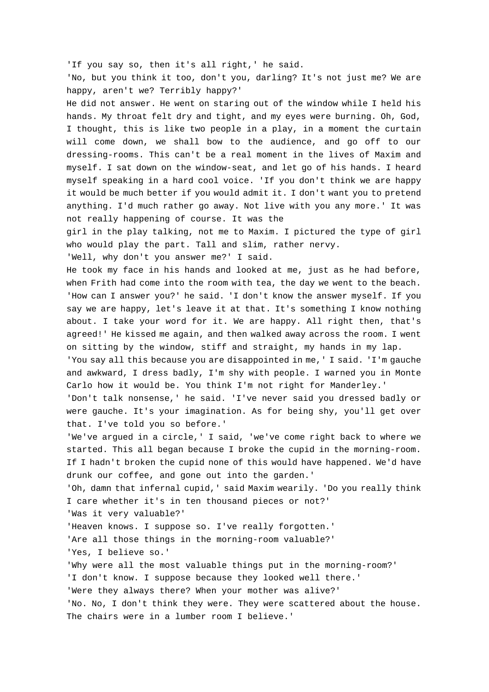'If you say so, then it's all right,' he said.

'No, but you think it too, don't you, darling? It's not just me? We are happy, aren't we? Terribly happy?'

He did not answer. He went on staring out of the window while I held his hands. My throat felt dry and tight, and my eyes were burning. Oh, God, I thought, this is like two people in a play, in a moment the curtain will come down, we shall bow to the audience, and go off to our dressing-rooms. This can't be a real moment in the lives of Maxim and myself. I sat down on the window-seat, and let go of his hands. I heard myself speaking in a hard cool voice. 'If you don't think we are happy it would be much better if you would admit it. I don't want you to pretend anything. I'd much rather go away. Not live with you any more.' It was not really happening of course. It was the

girl in the play talking, not me to Maxim. I pictured the type of girl who would play the part. Tall and slim, rather nervy.

'Well, why don't you answer me?' I said.

He took my face in his hands and looked at me, just as he had before, when Frith had come into the room with tea, the day we went to the beach. 'How can I answer you?' he said. 'I don't know the answer myself. If you say we are happy, let's leave it at that. It's something I know nothing about. I take your word for it. We are happy. All right then, that's agreed!' He kissed me again, and then walked away across the room. I went on sitting by the window, stiff and straight, my hands in my lap.

'You say all this because you are disappointed in me,' I said. 'I'm gauche and awkward, I dress badly, I'm shy with people. I warned you in Monte Carlo how it would be. You think I'm not right for Manderley.'

'Don't talk nonsense,' he said. 'I've never said you dressed badly or were gauche. It's your imagination. As for being shy, you'll get over that. I've told you so before.'

'We've argued in a circle,' I said, 'we've come right back to where we started. This all began because I broke the cupid in the morning-room. If I hadn't broken the cupid none of this would have happened. We'd have drunk our coffee, and gone out into the garden.'

'Oh, damn that infernal cupid,' said Maxim wearily. 'Do you really think I care whether it's in ten thousand pieces or not?'

'Was it very valuable?'

'Heaven knows. I suppose so. I've really forgotten.'

'Are all those things in the morning-room valuable?'

'Yes, I believe so.'

'Why were all the most valuable things put in the morning-room?'

'I don't know. I suppose because they looked well there.'

'Were they always there? When your mother was alive?'

'No. No, I don't think they were. They were scattered about the house. The chairs were in a lumber room I believe.'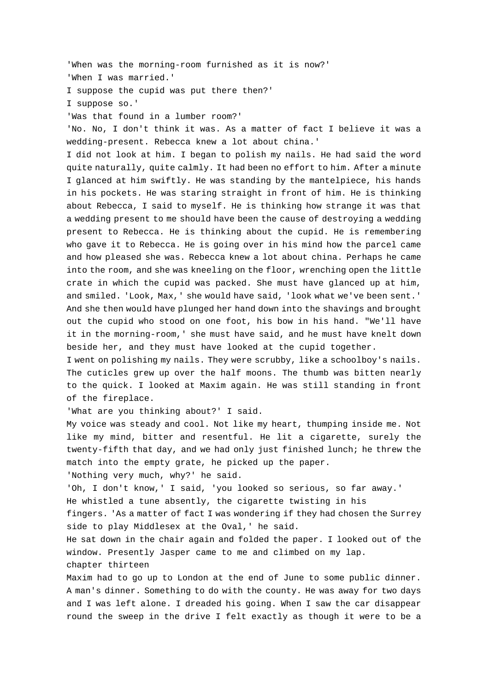'When was the morning-room furnished as it is now?'

'When I was married.'

I suppose the cupid was put there then?'

I suppose so.'

'Was that found in a lumber room?'

'No. No, I don't think it was. As a matter of fact I believe it was a wedding-present. Rebecca knew a lot about china.'

I did not look at him. I began to polish my nails. He had said the word quite naturally, quite calmly. It had been no effort to him. After a minute I glanced at him swiftly. He was standing by the mantelpiece, his hands in his pockets. He was staring straight in front of him. He is thinking about Rebecca, I said to myself. He is thinking how strange it was that a wedding present to me should have been the cause of destroying a wedding present to Rebecca. He is thinking about the cupid. He is remembering who gave it to Rebecca. He is going over in his mind how the parcel came and how pleased she was. Rebecca knew a lot about china. Perhaps he came into the room, and she was kneeling on the floor, wrenching open the little crate in which the cupid was packed. She must have glanced up at him, and smiled. 'Look, Max,' she would have said, 'look what we've been sent.' And she then would have plunged her hand down into the shavings and brought out the cupid who stood on one foot, his bow in his hand. "We'll have it in the morning-room,' she must have said, and he must have knelt down beside her, and they must have looked at the cupid together.

I went on polishing my nails. They were scrubby, like a schoolboy's nails. The cuticles grew up over the half moons. The thumb was bitten nearly to the quick. I looked at Maxim again. He was still standing in front of the fireplace.

'What are you thinking about?' I said.

My voice was steady and cool. Not like my heart, thumping inside me. Not like my mind, bitter and resentful. He lit a cigarette, surely the twenty-fifth that day, and we had only just finished lunch; he threw the match into the empty grate, he picked up the paper.

'Nothing very much, why?' he said.

'Oh, I don't know,' I said, 'you looked so serious, so far away.' He whistled a tune absently, the cigarette twisting in his

fingers. 'As a matter of fact I was wondering if they had chosen the Surrey side to play Middlesex at the Oval,' he said.

He sat down in the chair again and folded the paper. I looked out of the window. Presently Jasper came to me and climbed on my lap. chapter thirteen

Maxim had to go up to London at the end of June to some public dinner. A man's dinner. Something to do with the county. He was away for two days and I was left alone. I dreaded his going. When I saw the car disappear round the sweep in the drive I felt exactly as though it were to be a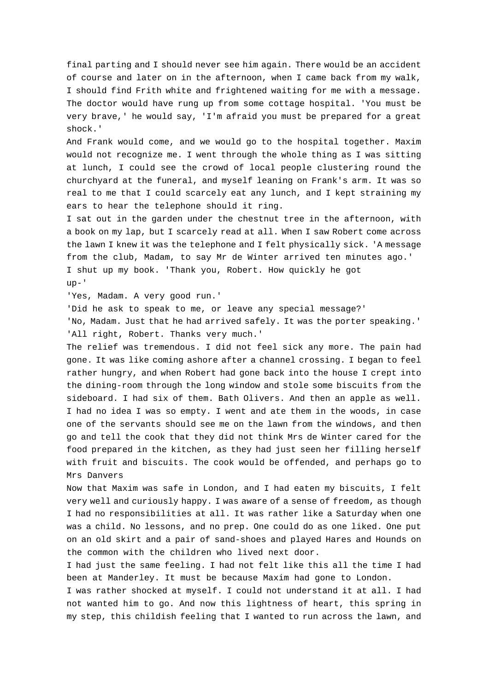final parting and I should never see him again. There would be an accident of course and later on in the afternoon, when I came back from my walk, I should find Frith white and frightened waiting for me with a message. The doctor would have rung up from some cottage hospital. 'You must be very brave,' he would say, 'I'm afraid you must be prepared for a great shock.'

And Frank would come, and we would go to the hospital together. Maxim would not recognize me. I went through the whole thing as I was sitting at lunch, I could see the crowd of local people clustering round the churchyard at the funeral, and myself leaning on Frank's arm. It was so real to me that I could scarcely eat any lunch, and I kept straining my ears to hear the telephone should it ring.

I sat out in the garden under the chestnut tree in the afternoon, with a book on my lap, but I scarcely read at all. When I saw Robert come across the lawn I knew it was the telephone and I felt physically sick. 'A message from the club, Madam, to say Mr de Winter arrived ten minutes ago.' I shut up my book. 'Thank you, Robert. How quickly he got up-'

'Yes, Madam. A very good run.'

'Did he ask to speak to me, or leave any special message?'

'No, Madam. Just that he had arrived safely. It was the porter speaking.' 'All right, Robert. Thanks very much.'

The relief was tremendous. I did not feel sick any more. The pain had gone. It was like coming ashore after a channel crossing. I began to feel rather hungry, and when Robert had gone back into the house I crept into the dining-room through the long window and stole some biscuits from the sideboard. I had six of them. Bath Olivers. And then an apple as well. I had no idea I was so empty. I went and ate them in the woods, in case one of the servants should see me on the lawn from the windows, and then go and tell the cook that they did not think Mrs de Winter cared for the food prepared in the kitchen, as they had just seen her filling herself with fruit and biscuits. The cook would be offended, and perhaps go to Mrs Danvers

Now that Maxim was safe in London, and I had eaten my biscuits, I felt very well and curiously happy. I was aware of a sense of freedom, as though I had no responsibilities at all. It was rather like a Saturday when one was a child. No lessons, and no prep. One could do as one liked. One put on an old skirt and a pair of sand-shoes and played Hares and Hounds on the common with the children who lived next door.

I had just the same feeling. I had not felt like this all the time I had been at Manderley. It must be because Maxim had gone to London.

I was rather shocked at myself. I could not understand it at all. I had not wanted him to go. And now this lightness of heart, this spring in my step, this childish feeling that I wanted to run across the lawn, and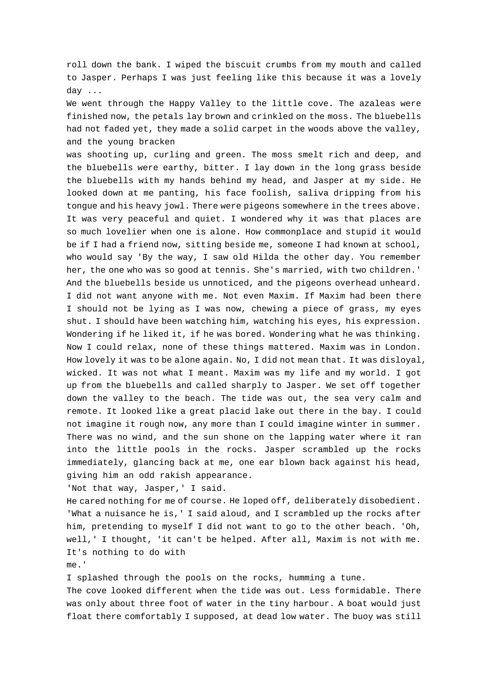roll down the bank. I wiped the biscuit crumbs from my mouth and called to Jasper. Perhaps I was just feeling like this because it was a lovely day ...

We went through the Happy Valley to the little cove. The azaleas were finished now, the petals lay brown and crinkled on the moss. The bluebells had not faded yet, they made a solid carpet in the woods above the valley, and the young bracken

was shooting up, curling and green. The moss smelt rich and deep, and the bluebells were earthy, bitter. I lay down in the long grass beside the bluebells with my hands behind my head, and Jasper at my side. He looked down at me panting, his face foolish, saliva dripping from his tongue and his heavy jowl. There were pigeons somewhere in the trees above. It was very peaceful and quiet. I wondered why it was that places are so much lovelier when one is alone. How commonplace and stupid it would be if I had a friend now, sitting beside me, someone I had known at school, who would say 'By the way, I saw old Hilda the other day. You remember her, the one who was so good at tennis. She's married, with two children.' And the bluebells beside us unnoticed, and the pigeons overhead unheard. I did not want anyone with me. Not even Maxim. If Maxim had been there I should not be lying as I was now, chewing a piece of grass, my eyes shut. I should have been watching him, watching his eyes, his expression. Wondering if he liked it, if he was bored. Wondering what he was thinking. Now I could relax, none of these things mattered. Maxim was in London. How lovely it was to be alone again. No, I did not mean that. It was disloyal, wicked. It was not what I meant. Maxim was my life and my world. I got up from the bluebells and called sharply to Jasper. We set off together down the valley to the beach. The tide was out, the sea very calm and remote. It looked like a great placid lake out there in the bay. I could not imagine it rough now, any more than I could imagine winter in summer. There was no wind, and the sun shone on the lapping water where it ran into the little pools in the rocks. Jasper scrambled up the rocks immediately, glancing back at me, one ear blown back against his head, giving him an odd rakish appearance.

'Not that way, Jasper,' I said.

He cared nothing for me of course. He loped off, deliberately disobedient. 'What a nuisance he is,' I said aloud, and I scrambled up the rocks after him, pretending to myself I did not want to go to the other beach. 'Oh, well,' I thought, 'it can't be helped. After all, Maxim is not with me. It's nothing to do with

 $m \rho$  '

I splashed through the pools on the rocks, humming a tune.

The cove looked different when the tide was out. Less formidable. There was only about three foot of water in the tiny harbour. A boat would just float there comfortably I supposed, at dead low water. The buoy was still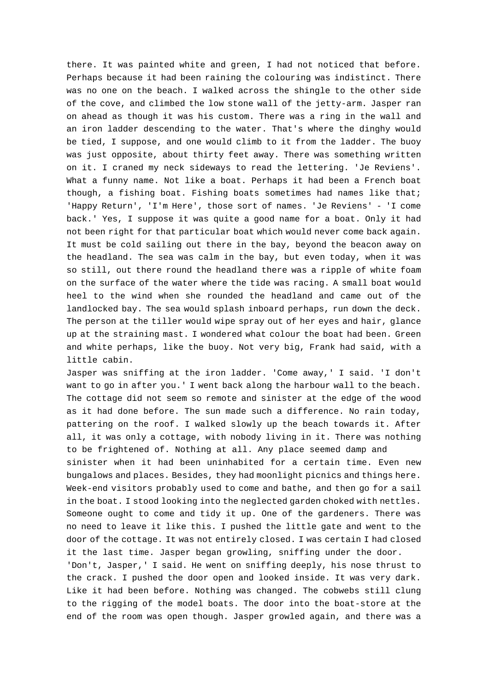there. It was painted white and green, I had not noticed that before. Perhaps because it had been raining the colouring was indistinct. There was no one on the beach. I walked across the shingle to the other side of the cove, and climbed the low stone wall of the jetty-arm. Jasper ran on ahead as though it was his custom. There was a ring in the wall and an iron ladder descending to the water. That's where the dinghy would be tied, I suppose, and one would climb to it from the ladder. The buoy was just opposite, about thirty feet away. There was something written on it. I craned my neck sideways to read the lettering. 'Je Reviens'. What a funny name. Not like a boat. Perhaps it had been a French boat though, a fishing boat. Fishing boats sometimes had names like that; 'Happy Return', 'I'm Here', those sort of names. 'Je Reviens' - 'I come back.' Yes, I suppose it was quite a good name for a boat. Only it had not been right for that particular boat which would never come back again. It must be cold sailing out there in the bay, beyond the beacon away on the headland. The sea was calm in the bay, but even today, when it was so still, out there round the headland there was a ripple of white foam on the surface of the water where the tide was racing. A small boat would heel to the wind when she rounded the headland and came out of the landlocked bay. The sea would splash inboard perhaps, run down the deck. The person at the tiller would wipe spray out of her eyes and hair, glance up at the straining mast. I wondered what colour the boat had been. Green and white perhaps, like the buoy. Not very big, Frank had said, with a little cabin.

Jasper was sniffing at the iron ladder. 'Come away,' I said. 'I don't want to go in after you.' I went back along the harbour wall to the beach. The cottage did not seem so remote and sinister at the edge of the wood as it had done before. The sun made such a difference. No rain today, pattering on the roof. I walked slowly up the beach towards it. After all, it was only a cottage, with nobody living in it. There was nothing to be frightened of. Nothing at all. Any place seemed damp and sinister when it had been uninhabited for a certain time. Even new bungalows and places. Besides, they had moonlight picnics and things here. Week-end visitors probably used to come and bathe, and then go for a sail in the boat. I stood looking into the neglected garden choked with nettles. Someone ought to come and tidy it up. One of the gardeners. There was no need to leave it like this. I pushed the little gate and went to the door of the cottage. It was not entirely closed. I was certain I had closed it the last time. Jasper began growling, sniffing under the door.

'Don't, Jasper,' I said. He went on sniffing deeply, his nose thrust to the crack. I pushed the door open and looked inside. It was very dark. Like it had been before. Nothing was changed. The cobwebs still clung to the rigging of the model boats. The door into the boat-store at the end of the room was open though. Jasper growled again, and there was a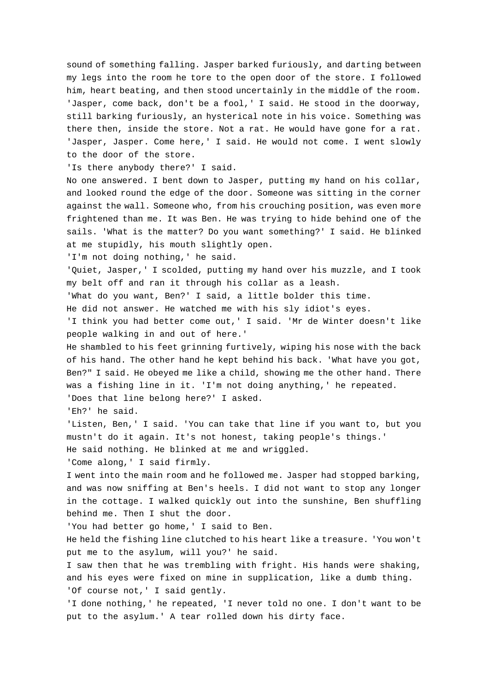sound of something falling. Jasper barked furiously, and darting between my legs into the room he tore to the open door of the store. I followed him, heart beating, and then stood uncertainly in the middle of the room. 'Jasper, come back, don't be a fool,' I said. He stood in the doorway, still barking furiously, an hysterical note in his voice. Something was there then, inside the store. Not a rat. He would have gone for a rat. 'Jasper, Jasper. Come here,' I said. He would not come. I went slowly to the door of the store.

'Is there anybody there?' I said.

No one answered. I bent down to Jasper, putting my hand on his collar, and looked round the edge of the door. Someone was sitting in the corner against the wall. Someone who, from his crouching position, was even more frightened than me. It was Ben. He was trying to hide behind one of the sails. 'What is the matter? Do you want something?' I said. He blinked at me stupidly, his mouth slightly open.

'I'm not doing nothing,' he said.

'Quiet, Jasper,' I scolded, putting my hand over his muzzle, and I took my belt off and ran it through his collar as a leash.

'What do you want, Ben?' I said, a little bolder this time.

He did not answer. He watched me with his sly idiot's eyes.

'I think you had better come out,' I said. 'Mr de Winter doesn't like people walking in and out of here.'

He shambled to his feet grinning furtively, wiping his nose with the back of his hand. The other hand he kept behind his back. 'What have you got, Ben?" I said. He obeyed me like a child, showing me the other hand. There was a fishing line in it. 'I'm not doing anything,' he repeated. 'Does that line belong here?' I asked.

'Eh?' he said.

'Listen, Ben,' I said. 'You can take that line if you want to, but you mustn't do it again. It's not honest, taking people's things.'

He said nothing. He blinked at me and wriggled.

'Come along,' I said firmly.

I went into the main room and he followed me. Jasper had stopped barking, and was now sniffing at Ben's heels. I did not want to stop any longer in the cottage. I walked quickly out into the sunshine, Ben shuffling behind me. Then I shut the door.

'You had better go home,' I said to Ben.

He held the fishing line clutched to his heart like a treasure. 'You won't put me to the asylum, will you?' he said.

I saw then that he was trembling with fright. His hands were shaking, and his eyes were fixed on mine in supplication, like a dumb thing. 'Of course not,' I said gently.

'I done nothing,' he repeated, 'I never told no one. I don't want to be put to the asylum.' A tear rolled down his dirty face.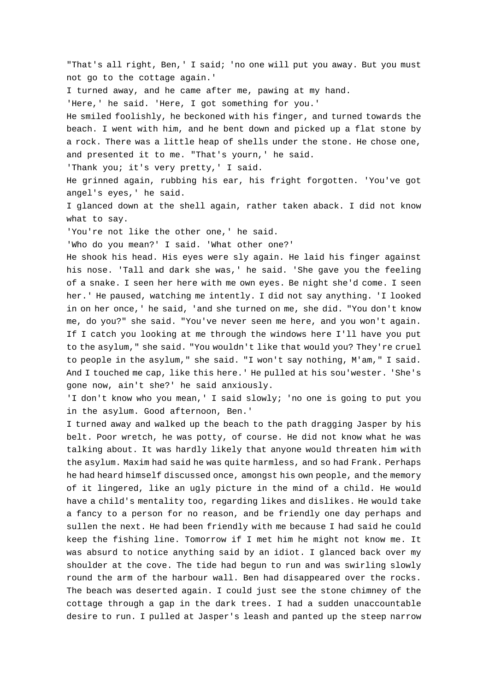"That's all right, Ben,' I said; 'no one will put you away. But you must not go to the cottage again.'

I turned away, and he came after me, pawing at my hand.

'Here,' he said. 'Here, I got something for you.'

He smiled foolishly, he beckoned with his finger, and turned towards the beach. I went with him, and he bent down and picked up a flat stone by a rock. There was a little heap of shells under the stone. He chose one, and presented it to me. "That's yourn,' he said.

'Thank you; it's very pretty,' I said.

He grinned again, rubbing his ear, his fright forgotten. 'You've got angel's eyes,' he said.

I glanced down at the shell again, rather taken aback. I did not know what to say.

'You're not like the other one,' he said.

'Who do you mean?' I said. 'What other one?'

He shook his head. His eyes were sly again. He laid his finger against his nose. 'Tall and dark she was,' he said. 'She gave you the feeling of a snake. I seen her here with me own eyes. Be night she'd come. I seen her.' He paused, watching me intently. I did not say anything. 'I looked in on her once,' he said, 'and she turned on me, she did. "You don't know me, do you?" she said. "You've never seen me here, and you won't again. If I catch you looking at me through the windows here I'll have you put to the asylum," she said. "You wouldn't like that would you? They're cruel to people in the asylum," she said. "I won't say nothing, M'am," I said. And I touched me cap, like this here.' He pulled at his sou'wester. 'She's gone now, ain't she?' he said anxiously.

'I don't know who you mean,' I said slowly; 'no one is going to put you in the asylum. Good afternoon, Ben.'

I turned away and walked up the beach to the path dragging Jasper by his belt. Poor wretch, he was potty, of course. He did not know what he was talking about. It was hardly likely that anyone would threaten him with the asylum. Maxim had said he was quite harmless, and so had Frank. Perhaps he had heard himself discussed once, amongst his own people, and the memory of it lingered, like an ugly picture in the mind of a child. He would have a child's mentality too, regarding likes and dislikes. He would take a fancy to a person for no reason, and be friendly one day perhaps and sullen the next. He had been friendly with me because I had said he could keep the fishing line. Tomorrow if I met him he might not know me. It was absurd to notice anything said by an idiot. I glanced back over my shoulder at the cove. The tide had begun to run and was swirling slowly round the arm of the harbour wall. Ben had disappeared over the rocks. The beach was deserted again. I could just see the stone chimney of the cottage through a gap in the dark trees. I had a sudden unaccountable desire to run. I pulled at Jasper's leash and panted up the steep narrow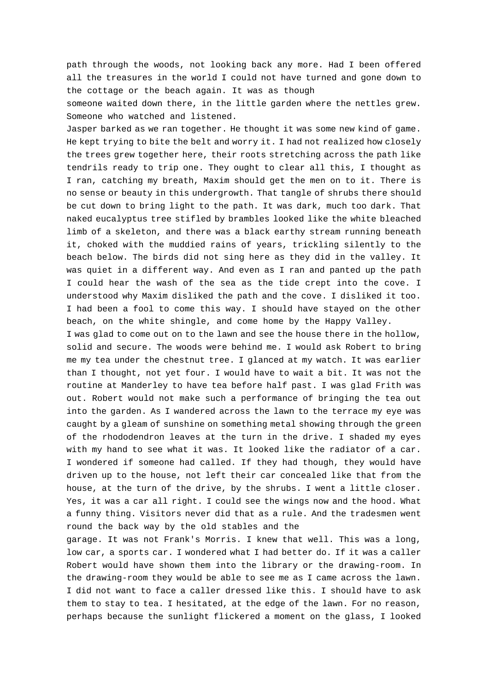path through the woods, not looking back any more. Had I been offered all the treasures in the world I could not have turned and gone down to the cottage or the beach again. It was as though

someone waited down there, in the little garden where the nettles grew. Someone who watched and listened.

Jasper barked as we ran together. He thought it was some new kind of game. He kept trying to bite the belt and worry it. I had not realized how closely the trees grew together here, their roots stretching across the path like tendrils ready to trip one. They ought to clear all this, I thought as I ran, catching my breath, Maxim should get the men on to it. There is no sense or beauty in this undergrowth. That tangle of shrubs there should be cut down to bring light to the path. It was dark, much too dark. That naked eucalyptus tree stifled by brambles looked like the white bleached limb of a skeleton, and there was a black earthy stream running beneath it, choked with the muddied rains of years, trickling silently to the beach below. The birds did not sing here as they did in the valley. It was quiet in a different way. And even as I ran and panted up the path I could hear the wash of the sea as the tide crept into the cove. I understood why Maxim disliked the path and the cove. I disliked it too. I had been a fool to come this way. I should have stayed on the other beach, on the white shingle, and come home by the Happy Valley.

I was glad to come out on to the lawn and see the house there in the hollow, solid and secure. The woods were behind me. I would ask Robert to bring me my tea under the chestnut tree. I glanced at my watch. It was earlier than I thought, not yet four. I would have to wait a bit. It was not the routine at Manderley to have tea before half past. I was glad Frith was out. Robert would not make such a performance of bringing the tea out into the garden. As I wandered across the lawn to the terrace my eye was caught by a gleam of sunshine on something metal showing through the green of the rhododendron leaves at the turn in the drive. I shaded my eyes with my hand to see what it was. It looked like the radiator of a car. I wondered if someone had called. If they had though, they would have driven up to the house, not left their car concealed like that from the house, at the turn of the drive, by the shrubs. I went a little closer. Yes, it was a car all right. I could see the wings now and the hood. What a funny thing. Visitors never did that as a rule. And the tradesmen went round the back way by the old stables and the

garage. It was not Frank's Morris. I knew that well. This was a long, low car, a sports car. I wondered what I had better do. If it was a caller Robert would have shown them into the library or the drawing-room. In the drawing-room they would be able to see me as I came across the lawn. I did not want to face a caller dressed like this. I should have to ask them to stay to tea. I hesitated, at the edge of the lawn. For no reason, perhaps because the sunlight flickered a moment on the glass, I looked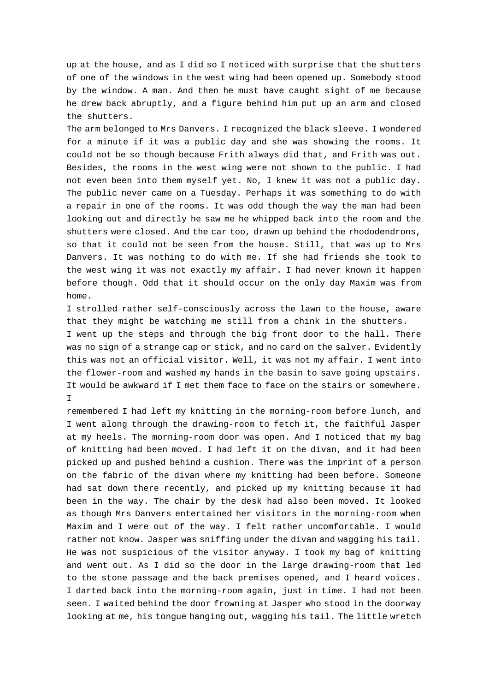up at the house, and as I did so I noticed with surprise that the shutters of one of the windows in the west wing had been opened up. Somebody stood by the window. A man. And then he must have caught sight of me because he drew back abruptly, and a figure behind him put up an arm and closed the shutters.

The arm belonged to Mrs Danvers. I recognized the black sleeve. I wondered for a minute if it was a public day and she was showing the rooms. It could not be so though because Frith always did that, and Frith was out. Besides, the rooms in the west wing were not shown to the public. I had not even been into them myself yet. No, I knew it was not a public day. The public never came on a Tuesday. Perhaps it was something to do with a repair in one of the rooms. It was odd though the way the man had been looking out and directly he saw me he whipped back into the room and the shutters were closed. And the car too, drawn up behind the rhododendrons, so that it could not be seen from the house. Still, that was up to Mrs Danvers. It was nothing to do with me. If she had friends she took to the west wing it was not exactly my affair. I had never known it happen before though. Odd that it should occur on the only day Maxim was from home.

I strolled rather self-consciously across the lawn to the house, aware that they might be watching me still from a chink in the shutters. I went up the steps and through the big front door to the hall. There was no sign of a strange cap or stick, and no card on the salver. Evidently this was not an official visitor. Well, it was not my affair. I went into the flower-room and washed my hands in the basin to save going upstairs. It would be awkward if I met them face to face on the stairs or somewhere. I

remembered I had left my knitting in the morning-room before lunch, and I went along through the drawing-room to fetch it, the faithful Jasper at my heels. The morning-room door was open. And I noticed that my bag of knitting had been moved. I had left it on the divan, and it had been picked up and pushed behind a cushion. There was the imprint of a person on the fabric of the divan where my knitting had been before. Someone had sat down there recently, and picked up my knitting because it had been in the way. The chair by the desk had also been moved. It looked as though Mrs Danvers entertained her visitors in the morning-room when Maxim and I were out of the way. I felt rather uncomfortable. I would rather not know. Jasper was sniffing under the divan and wagging his tail. He was not suspicious of the visitor anyway. I took my bag of knitting and went out. As I did so the door in the large drawing-room that led to the stone passage and the back premises opened, and I heard voices. I darted back into the morning-room again, just in time. I had not been seen. I waited behind the door frowning at Jasper who stood in the doorway looking at me, his tongue hanging out, wagging his tail. The little wretch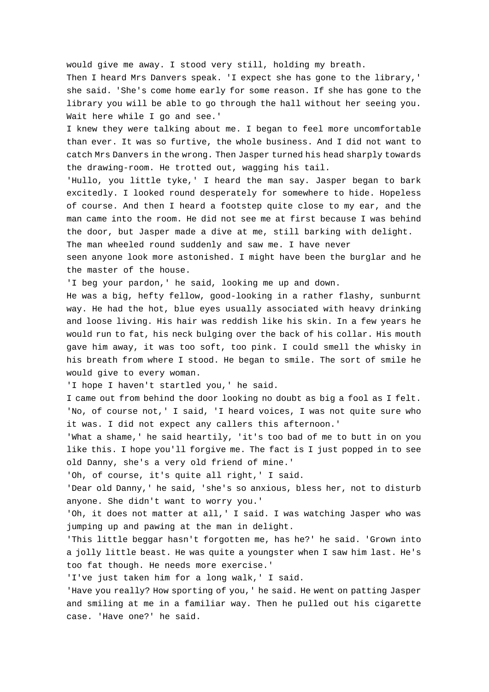would give me away. I stood very still, holding my breath.

Then I heard Mrs Danvers speak. 'I expect she has gone to the library,' she said. 'She's come home early for some reason. If she has gone to the library you will be able to go through the hall without her seeing you. Wait here while I go and see.'

I knew they were talking about me. I began to feel more uncomfortable than ever. It was so furtive, the whole business. And I did not want to catch Mrs Danvers in the wrong. Then Jasper turned his head sharply towards the drawing-room. He trotted out, wagging his tail.

'Hullo, you little tyke,' I heard the man say. Jasper began to bark excitedly. I looked round desperately for somewhere to hide. Hopeless of course. And then I heard a footstep quite close to my ear, and the man came into the room. He did not see me at first because I was behind the door, but Jasper made a dive at me, still barking with delight.

The man wheeled round suddenly and saw me. I have never

seen anyone look more astonished. I might have been the burglar and he the master of the house.

'I beg your pardon,' he said, looking me up and down.

He was a big, hefty fellow, good-looking in a rather flashy, sunburnt way. He had the hot, blue eyes usually associated with heavy drinking and loose living. His hair was reddish like his skin. In a few years he would run to fat, his neck bulging over the back of his collar. His mouth gave him away, it was too soft, too pink. I could smell the whisky in his breath from where I stood. He began to smile. The sort of smile he would give to every woman.

'I hope I haven't startled you,' he said.

I came out from behind the door looking no doubt as big a fool as I felt. 'No, of course not,' I said, 'I heard voices, I was not quite sure who it was. I did not expect any callers this afternoon.'

'What a shame,' he said heartily, 'it's too bad of me to butt in on you like this. I hope you'll forgive me. The fact is I just popped in to see old Danny, she's a very old friend of mine.'

'Oh, of course, it's quite all right,' I said.

'Dear old Danny,' he said, 'she's so anxious, bless her, not to disturb anyone. She didn't want to worry you.'

'Oh, it does not matter at all,' I said. I was watching Jasper who was jumping up and pawing at the man in delight.

'This little beggar hasn't forgotten me, has he?' he said. 'Grown into a jolly little beast. He was quite a youngster when I saw him last. He's too fat though. He needs more exercise.'

'I've just taken him for a long walk,' I said.

'Have you really? How sporting of you,' he said. He went on patting Jasper and smiling at me in a familiar way. Then he pulled out his cigarette case. 'Have one?' he said.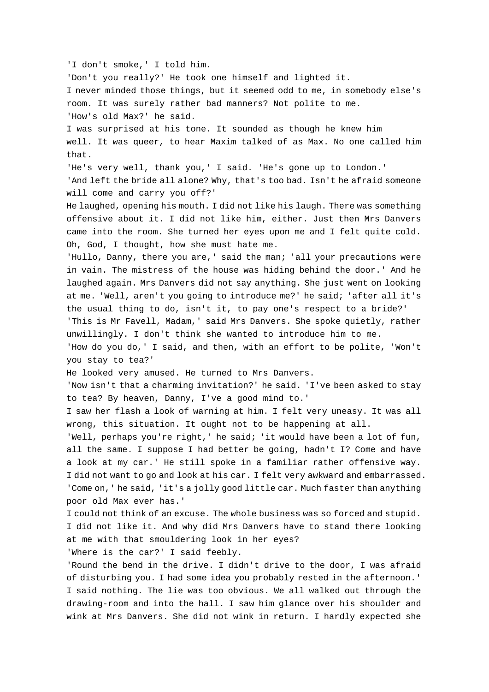'I don't smoke,' I told him.

'Don't you really?' He took one himself and lighted it.

I never minded those things, but it seemed odd to me, in somebody else's room. It was surely rather bad manners? Not polite to me. 'How's old Max?' he said.

I was surprised at his tone. It sounded as though he knew him well. It was queer, to hear Maxim talked of as Max. No one called him that.

'He's very well, thank you,' I said. 'He's gone up to London.' 'And left the bride all alone? Why, that's too bad. Isn't he afraid someone will come and carry you off?'

He laughed, opening his mouth. I did not like his laugh. There was something offensive about it. I did not like him, either. Just then Mrs Danvers came into the room. She turned her eyes upon me and I felt quite cold. Oh, God, I thought, how she must hate me.

'Hullo, Danny, there you are,' said the man; 'all your precautions were in vain. The mistress of the house was hiding behind the door.' And he laughed again. Mrs Danvers did not say anything. She just went on looking at me. 'Well, aren't you going to introduce me?' he said; 'after all it's the usual thing to do, isn't it, to pay one's respect to a bride?'

'This is Mr Favell, Madam,' said Mrs Danvers. She spoke quietly, rather unwillingly. I don't think she wanted to introduce him to me.

'How do you do,' I said, and then, with an effort to be polite, 'Won't you stay to tea?'

He looked very amused. He turned to Mrs Danvers.

'Now isn't that a charming invitation?' he said. 'I've been asked to stay to tea? By heaven, Danny, I've a good mind to.'

I saw her flash a look of warning at him. I felt very uneasy. It was all wrong, this situation. It ought not to be happening at all.

'Well, perhaps you're right,' he said; 'it would have been a lot of fun, all the same. I suppose I had better be going, hadn't I? Come and have a look at my car.' He still spoke in a familiar rather offensive way. I did not want to go and look at his car. I felt very awkward and embarrassed. 'Come on,' he said, 'it's a jolly good little car. Much faster than anything poor old Max ever has.'

I could not think of an excuse. The whole business was so forced and stupid. I did not like it. And why did Mrs Danvers have to stand there looking at me with that smouldering look in her eyes?

'Where is the car?' I said feebly.

'Round the bend in the drive. I didn't drive to the door, I was afraid of disturbing you. I had some idea you probably rested in the afternoon.' I said nothing. The lie was too obvious. We all walked out through the drawing-room and into the hall. I saw him glance over his shoulder and wink at Mrs Danvers. She did not wink in return. I hardly expected she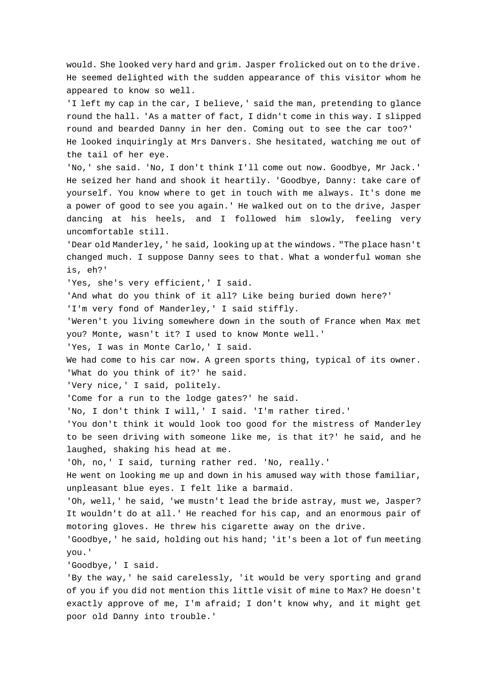would. She looked very hard and grim. Jasper frolicked out on to the drive. He seemed delighted with the sudden appearance of this visitor whom he appeared to know so well.

'I left my cap in the car, I believe,' said the man, pretending to glance round the hall. 'As a matter of fact, I didn't come in this way. I slipped round and bearded Danny in her den. Coming out to see the car too?' He looked inquiringly at Mrs Danvers. She hesitated, watching me out of the tail of her eye.

'No,' she said. 'No, I don't think I'll come out now. Goodbye, Mr Jack.' He seized her hand and shook it heartily. 'Goodbye, Danny: take care of yourself. You know where to get in touch with me always. It's done me a power of good to see you again.' He walked out on to the drive, Jasper dancing at his heels, and I followed him slowly, feeling very uncomfortable still.

'Dear old Manderley,' he said, looking up at the windows. "The place hasn't changed much. I suppose Danny sees to that. What a wonderful woman she is, eh?'

'Yes, she's very efficient,' I said.

'And what do you think of it all? Like being buried down here?'

'I'm very fond of Manderley,' I said stiffly.

'Weren't you living somewhere down in the south of France when Max met you? Monte, wasn't it? I used to know Monte well.'

'Yes, I was in Monte Carlo,' I said.

We had come to his car now. A green sports thing, typical of its owner. 'What do you think of it?' he said.

'Very nice,' I said, politely.

'Come for a run to the lodge gates?' he said.

'No, I don't think I will,' I said. 'I'm rather tired.'

'You don't think it would look too good for the mistress of Manderley to be seen driving with someone like me, is that it?' he said, and he laughed, shaking his head at me.

'Oh, no,' I said, turning rather red. 'No, really.'

He went on looking me up and down in his amused way with those familiar, unpleasant blue eyes. I felt like a barmaid.

'Oh, well, ' he said, 'we mustn't lead the bride astray, must we, Jasper? It wouldn't do at all.' He reached for his cap, and an enormous pair of motoring gloves. He threw his cigarette away on the drive.

'Goodbye,' he said, holding out his hand; 'it's been a lot of fun meeting you.'

'Goodbye,' I said.

'By the way,' he said carelessly, 'it would be very sporting and grand of you if you did not mention this little visit of mine to Max? He doesn't exactly approve of me, I'm afraid; I don't know why, and it might get poor old Danny into trouble.'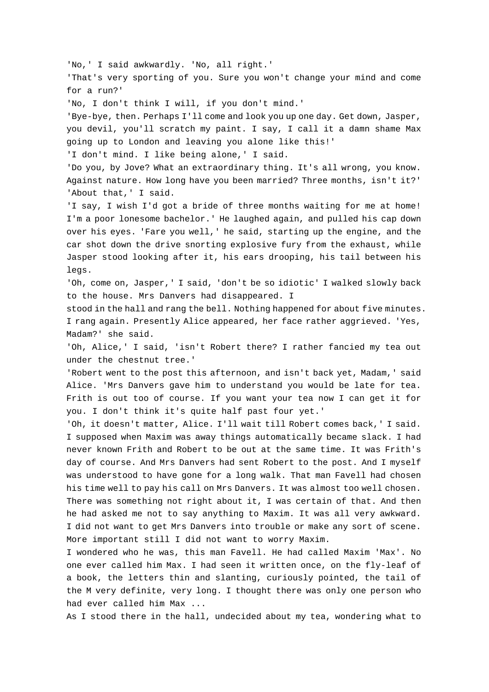'No,' I said awkwardly. 'No, all right.'

'That's very sporting of you. Sure you won't change your mind and come for a run?'

'No, I don't think I will, if you don't mind.'

'Bye-bye, then. Perhaps I'll come and look you up one day. Get down, Jasper, you devil, you'll scratch my paint. I say, I call it a damn shame Max going up to London and leaving you alone like this!'

'I don't mind. I like being alone,' I said.

'Do you, by Jove? What an extraordinary thing. It's all wrong, you know. Against nature. How long have you been married? Three months, isn't it?' 'About that, ' I said.

'I say, I wish I'd got a bride of three months waiting for me at home! I'm a poor lonesome bachelor.' He laughed again, and pulled his cap down over his eyes. 'Fare you well,' he said, starting up the engine, and the car shot down the drive snorting explosive fury from the exhaust, while Jasper stood looking after it, his ears drooping, his tail between his legs.

'Oh, come on, Jasper,' I said, 'don't be so idiotic' I walked slowly back to the house. Mrs Danvers had disappeared. I

stood in the hall and rang the bell. Nothing happened for about five minutes. I rang again. Presently Alice appeared, her face rather aggrieved. 'Yes, Madam?' she said.

'Oh, Alice,' I said, 'isn't Robert there? I rather fancied my tea out under the chestnut tree.'

'Robert went to the post this afternoon, and isn't back yet, Madam,' said Alice. 'Mrs Danvers gave him to understand you would be late for tea. Frith is out too of course. If you want your tea now I can get it for you. I don't think it's quite half past four yet.'

'Oh, it doesn't matter, Alice. I'll wait till Robert comes back,' I said. I supposed when Maxim was away things automatically became slack. I had never known Frith and Robert to be out at the same time. It was Frith's day of course. And Mrs Danvers had sent Robert to the post. And I myself was understood to have gone for a long walk. That man Favell had chosen his time well to pay his call on Mrs Danvers. It was almost too well chosen. There was something not right about it, I was certain of that. And then he had asked me not to say anything to Maxim. It was all very awkward. I did not want to get Mrs Danvers into trouble or make any sort of scene. More important still I did not want to worry Maxim.

I wondered who he was, this man Favell. He had called Maxim 'Max'. No one ever called him Max. I had seen it written once, on the fly-leaf of a book, the letters thin and slanting, curiously pointed, the tail of the M very definite, very long. I thought there was only one person who had ever called him Max ...

As I stood there in the hall, undecided about my tea, wondering what to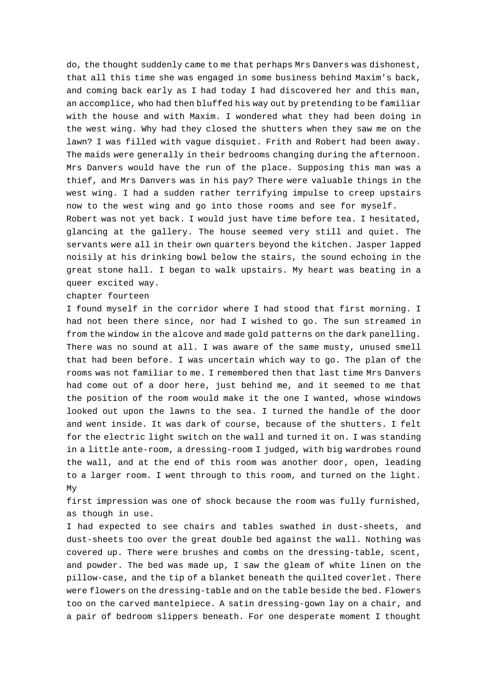do, the thought suddenly came to me that perhaps Mrs Danvers was dishonest, that all this time she was engaged in some business behind Maxim's back, and coming back early as I had today I had discovered her and this man, an accomplice, who had then bluffed his way out by pretending to be familiar with the house and with Maxim. I wondered what they had been doing in the west wing. Why had they closed the shutters when they saw me on the lawn? I was filled with vague disquiet. Frith and Robert had been away. The maids were generally in their bedrooms changing during the afternoon. Mrs Danvers would have the run of the place. Supposing this man was a thief, and Mrs Danvers was in his pay? There were valuable things in the west wing. I had a sudden rather terrifying impulse to creep upstairs now to the west wing and go into those rooms and see for myself. Robert was not yet back. I would just have time before tea. I hesitated, glancing at the gallery. The house seemed very still and quiet. The servants were all in their own quarters beyond the kitchen. Jasper lapped noisily at his drinking bowl below the stairs, the sound echoing in the great stone hall. I began to walk upstairs. My heart was beating in a queer excited way.

chapter fourteen

I found myself in the corridor where I had stood that first morning. I had not been there since, nor had I wished to go. The sun streamed in from the window in the alcove and made gold patterns on the dark panelling. There was no sound at all. I was aware of the same musty, unused smell that had been before. I was uncertain which way to go. The plan of the rooms was not familiar to me. I remembered then that last time Mrs Danvers had come out of a door here, just behind me, and it seemed to me that the position of the room would make it the one I wanted, whose windows looked out upon the lawns to the sea. I turned the handle of the door and went inside. It was dark of course, because of the shutters. I felt for the electric light switch on the wall and turned it on. I was standing in a little ante-room, a dressing-room I judged, with big wardrobes round the wall, and at the end of this room was another door, open, leading to a larger room. I went through to this room, and turned on the light. My

first impression was one of shock because the room was fully furnished, as though in use.

I had expected to see chairs and tables swathed in dust-sheets, and dust-sheets too over the great double bed against the wall. Nothing was covered up. There were brushes and combs on the dressing-table, scent, and powder. The bed was made up, I saw the gleam of white linen on the pillow-case, and the tip of a blanket beneath the quilted coverlet. There were flowers on the dressing-table and on the table beside the bed. Flowers too on the carved mantelpiece. A satin dressing-gown lay on a chair, and a pair of bedroom slippers beneath. For one desperate moment I thought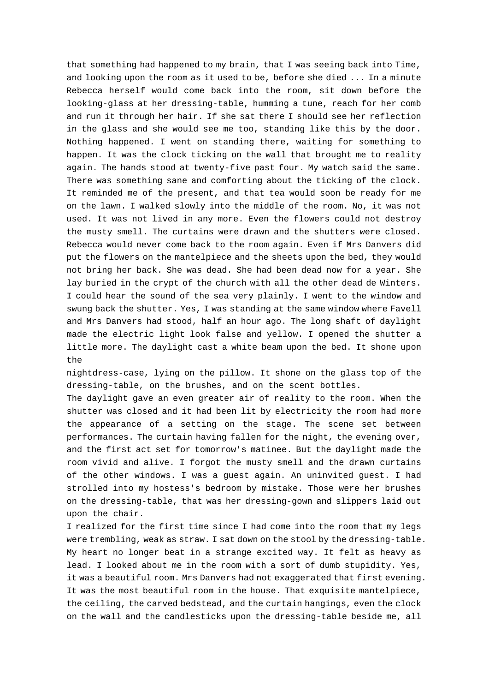that something had happened to my brain, that I was seeing back into Time, and looking upon the room as it used to be, before she died ... In a minute Rebecca herself would come back into the room, sit down before the looking-glass at her dressing-table, humming a tune, reach for her comb and run it through her hair. If she sat there I should see her reflection in the glass and she would see me too, standing like this by the door. Nothing happened. I went on standing there, waiting for something to happen. It was the clock ticking on the wall that brought me to reality again. The hands stood at twenty-five past four. My watch said the same. There was something sane and comforting about the ticking of the clock. It reminded me of the present, and that tea would soon be ready for me on the lawn. I walked slowly into the middle of the room. No, it was not used. It was not lived in any more. Even the flowers could not destroy the musty smell. The curtains were drawn and the shutters were closed. Rebecca would never come back to the room again. Even if Mrs Danvers did put the flowers on the mantelpiece and the sheets upon the bed, they would not bring her back. She was dead. She had been dead now for a year. She lay buried in the crypt of the church with all the other dead de Winters. I could hear the sound of the sea very plainly. I went to the window and swung back the shutter. Yes, I was standing at the same window where Favell and Mrs Danvers had stood, half an hour ago. The long shaft of daylight made the electric light look false and yellow. I opened the shutter a little more. The daylight cast a white beam upon the bed. It shone upon the

nightdress-case, lying on the pillow. It shone on the glass top of the dressing-table, on the brushes, and on the scent bottles.

The daylight gave an even greater air of reality to the room. When the shutter was closed and it had been lit by electricity the room had more the appearance of a setting on the stage. The scene set between performances. The curtain having fallen for the night, the evening over, and the first act set for tomorrow's matinee. But the daylight made the room vivid and alive. I forgot the musty smell and the drawn curtains of the other windows. I was a guest again. An uninvited guest. I had strolled into my hostess's bedroom by mistake. Those were her brushes on the dressing-table, that was her dressing-gown and slippers laid out upon the chair.

I realized for the first time since I had come into the room that my legs were trembling, weak as straw. I sat down on the stool by the dressing-table. My heart no longer beat in a strange excited way. It felt as heavy as lead. I looked about me in the room with a sort of dumb stupidity. Yes, it was a beautiful room. Mrs Danvers had not exaggerated that first evening. It was the most beautiful room in the house. That exquisite mantelpiece, the ceiling, the carved bedstead, and the curtain hangings, even the clock on the wall and the candlesticks upon the dressing-table beside me, all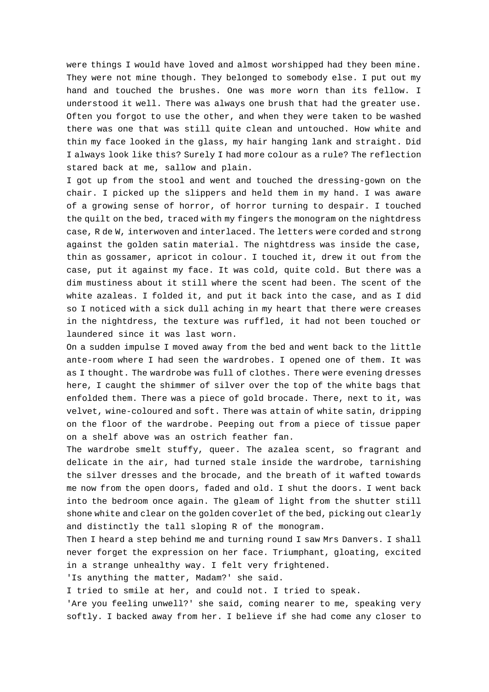were things I would have loved and almost worshipped had they been mine. They were not mine though. They belonged to somebody else. I put out my hand and touched the brushes. One was more worn than its fellow. I understood it well. There was always one brush that had the greater use. Often you forgot to use the other, and when they were taken to be washed there was one that was still quite clean and untouched. How white and thin my face looked in the glass, my hair hanging lank and straight. Did I always look like this? Surely I had more colour as a rule? The reflection stared back at me, sallow and plain.

I got up from the stool and went and touched the dressing-gown on the chair. I picked up the slippers and held them in my hand. I was aware of a growing sense of horror, of horror turning to despair. I touched the quilt on the bed, traced with my fingers the monogram on the nightdress case, R de W, interwoven and interlaced. The letters were corded and strong against the golden satin material. The nightdress was inside the case, thin as gossamer, apricot in colour. I touched it, drew it out from the case, put it against my face. It was cold, quite cold. But there was a dim mustiness about it still where the scent had been. The scent of the white azaleas. I folded it, and put it back into the case, and as I did so I noticed with a sick dull aching in my heart that there were creases in the nightdress, the texture was ruffled, it had not been touched or laundered since it was last worn.

On a sudden impulse I moved away from the bed and went back to the little ante-room where I had seen the wardrobes. I opened one of them. It was as I thought. The wardrobe was full of clothes. There were evening dresses here, I caught the shimmer of silver over the top of the white bags that enfolded them. There was a piece of gold brocade. There, next to it, was velvet, wine-coloured and soft. There was attain of white satin, dripping on the floor of the wardrobe. Peeping out from a piece of tissue paper on a shelf above was an ostrich feather fan.

The wardrobe smelt stuffy, queer. The azalea scent, so fragrant and delicate in the air, had turned stale inside the wardrobe, tarnishing the silver dresses and the brocade, and the breath of it wafted towards me now from the open doors, faded and old. I shut the doors. I went back into the bedroom once again. The gleam of light from the shutter still shone white and clear on the golden coverlet of the bed, picking out clearly and distinctly the tall sloping R of the monogram.

Then I heard a step behind me and turning round I saw Mrs Danvers. I shall never forget the expression on her face. Triumphant, gloating, excited in a strange unhealthy way. I felt very frightened.

'Is anything the matter, Madam?' she said.

I tried to smile at her, and could not. I tried to speak.

'Are you feeling unwell?' she said, coming nearer to me, speaking very softly. I backed away from her. I believe if she had come any closer to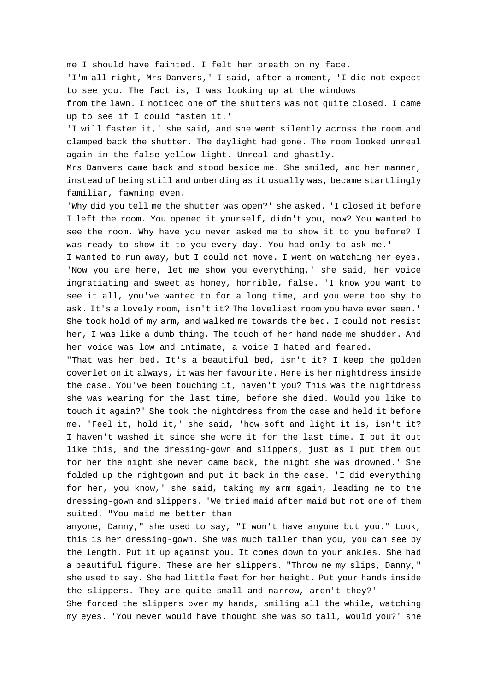me I should have fainted. I felt her breath on my face.

'I'm all right, Mrs Danvers,' I said, after a moment, 'I did not expect to see you. The fact is, I was looking up at the windows

from the lawn. I noticed one of the shutters was not quite closed. I came up to see if I could fasten it.'

'I will fasten it,' she said, and she went silently across the room and clamped back the shutter. The daylight had gone. The room looked unreal again in the false yellow light. Unreal and ghastly.

Mrs Danvers came back and stood beside me. She smiled, and her manner, instead of being still and unbending as it usually was, became startlingly familiar, fawning even.

'Why did you tell me the shutter was open?' she asked. 'I closed it before I left the room. You opened it yourself, didn't you, now? You wanted to see the room. Why have you never asked me to show it to you before? I was ready to show it to you every day. You had only to ask me.'

I wanted to run away, but I could not move. I went on watching her eyes. 'Now you are here, let me show you everything,' she said, her voice ingratiating and sweet as honey, horrible, false. 'I know you want to see it all, you've wanted to for a long time, and you were too shy to ask. It's a lovely room, isn't it? The loveliest room you have ever seen.' She took hold of my arm, and walked me towards the bed. I could not resist her, I was like a dumb thing. The touch of her hand made me shudder. And her voice was low and intimate, a voice I hated and feared.

"That was her bed. It's a beautiful bed, isn't it? I keep the golden coverlet on it always, it was her favourite. Here is her nightdress inside the case. You've been touching it, haven't you? This was the nightdress she was wearing for the last time, before she died. Would you like to touch it again?' She took the nightdress from the case and held it before me. 'Feel it, hold it,' she said, 'how soft and light it is, isn't it? I haven't washed it since she wore it for the last time. I put it out like this, and the dressing-gown and slippers, just as I put them out for her the night she never came back, the night she was drowned.' She folded up the nightgown and put it back in the case. 'I did everything for her, you know,' she said, taking my arm again, leading me to the dressing-gown and slippers. 'We tried maid after maid but not one of them suited. "You maid me better than

anyone, Danny," she used to say, "I won't have anyone but you." Look, this is her dressing-gown. She was much taller than you, you can see by the length. Put it up against you. It comes down to your ankles. She had a beautiful figure. These are her slippers. "Throw me my slips, Danny," she used to say. She had little feet for her height. Put your hands inside the slippers. They are quite small and narrow, aren't they?'

She forced the slippers over my hands, smiling all the while, watching my eyes. 'You never would have thought she was so tall, would you?' she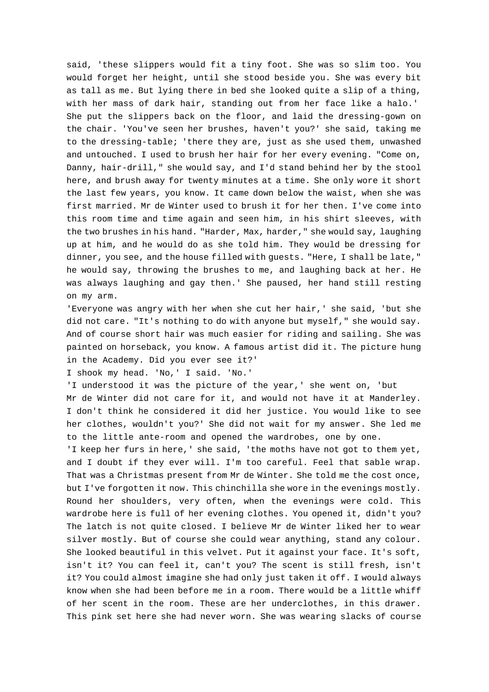said, 'these slippers would fit a tiny foot. She was so slim too. You would forget her height, until she stood beside you. She was every bit as tall as me. But lying there in bed she looked quite a slip of a thing, with her mass of dark hair, standing out from her face like a halo.' She put the slippers back on the floor, and laid the dressing-gown on the chair. 'You've seen her brushes, haven't you?' she said, taking me to the dressing-table; 'there they are, just as she used them, unwashed and untouched. I used to brush her hair for her every evening. "Come on, Danny, hair-drill," she would say, and I'd stand behind her by the stool here, and brush away for twenty minutes at a time. She only wore it short the last few years, you know. It came down below the waist, when she was first married. Mr de Winter used to brush it for her then. I've come into this room time and time again and seen him, in his shirt sleeves, with the two brushes in his hand. "Harder, Max, harder," she would say, laughing up at him, and he would do as she told him. They would be dressing for dinner, you see, and the house filled with guests. "Here, I shall be late," he would say, throwing the brushes to me, and laughing back at her. He was always laughing and gay then.' She paused, her hand still resting on my arm.

'Everyone was angry with her when she cut her hair,' she said, 'but she did not care. "It's nothing to do with anyone but myself," she would say. And of course short hair was much easier for riding and sailing. She was painted on horseback, you know. A famous artist did it. The picture hung in the Academy. Did you ever see it?'

I shook my head. 'No,' I said. 'No.'

'I understood it was the picture of the year,' she went on, 'but Mr de Winter did not care for it, and would not have it at Manderley. I don't think he considered it did her justice. You would like to see her clothes, wouldn't you?' She did not wait for my answer. She led me to the little ante-room and opened the wardrobes, one by one.

'I keep her furs in here,' she said, 'the moths have not got to them yet, and I doubt if they ever will. I'm too careful. Feel that sable wrap. That was a Christmas present from Mr de Winter. She told me the cost once, but I've forgotten it now. This chinchilla she wore in the evenings mostly. Round her shoulders, very often, when the evenings were cold. This wardrobe here is full of her evening clothes. You opened it, didn't you? The latch is not quite closed. I believe Mr de Winter liked her to wear silver mostly. But of course she could wear anything, stand any colour. She looked beautiful in this velvet. Put it against your face. It's soft, isn't it? You can feel it, can't you? The scent is still fresh, isn't it? You could almost imagine she had only just taken it off. I would always know when she had been before me in a room. There would be a little whiff of her scent in the room. These are her underclothes, in this drawer. This pink set here she had never worn. She was wearing slacks of course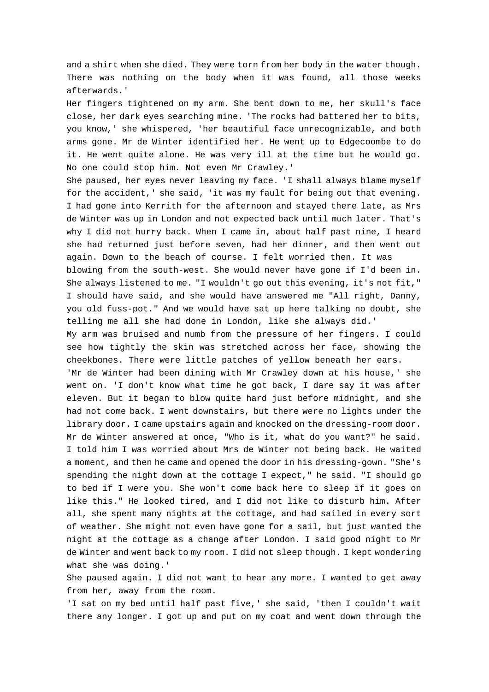and a shirt when she died. They were torn from her body in the water though. There was nothing on the body when it was found, all those weeks afterwards.'

Her fingers tightened on my arm. She bent down to me, her skull's face close, her dark eyes searching mine. 'The rocks had battered her to bits, you know,' she whispered, 'her beautiful face unrecognizable, and both arms gone. Mr de Winter identified her. He went up to Edgecoombe to do it. He went quite alone. He was very ill at the time but he would go. No one could stop him. Not even Mr Crawley.'

She paused, her eyes never leaving my face. 'I shall always blame myself for the accident,' she said, 'it was my fault for being out that evening. I had gone into Kerrith for the afternoon and stayed there late, as Mrs de Winter was up in London and not expected back until much later. That's why I did not hurry back. When I came in, about half past nine, I heard she had returned just before seven, had her dinner, and then went out again. Down to the beach of course. I felt worried then. It was

blowing from the south-west. She would never have gone if I'd been in. She always listened to me. "I wouldn't go out this evening, it's not fit," I should have said, and she would have answered me "All right, Danny, you old fuss-pot." And we would have sat up here talking no doubt, she telling me all she had done in London, like she always did.'

My arm was bruised and numb from the pressure of her fingers. I could see how tightly the skin was stretched across her face, showing the cheekbones. There were little patches of yellow beneath her ears.

'Mr de Winter had been dining with Mr Crawley down at his house,' she went on. 'I don't know what time he got back, I dare say it was after eleven. But it began to blow quite hard just before midnight, and she had not come back. I went downstairs, but there were no lights under the library door. I came upstairs again and knocked on the dressing-room door. Mr de Winter answered at once, "Who is it, what do you want?" he said. I told him I was worried about Mrs de Winter not being back. He waited a moment, and then he came and opened the door in his dressing-gown. "She's spending the night down at the cottage I expect," he said. "I should go to bed if I were you. She won't come back here to sleep if it goes on like this." He looked tired, and I did not like to disturb him. After all, she spent many nights at the cottage, and had sailed in every sort of weather. She might not even have gone for a sail, but just wanted the night at the cottage as a change after London. I said good night to Mr de Winter and went back to my room. I did not sleep though. I kept wondering what she was doing.'

She paused again. I did not want to hear any more. I wanted to get away from her, away from the room.

'I sat on my bed until half past five,' she said, 'then I couldn't wait there any longer. I got up and put on my coat and went down through the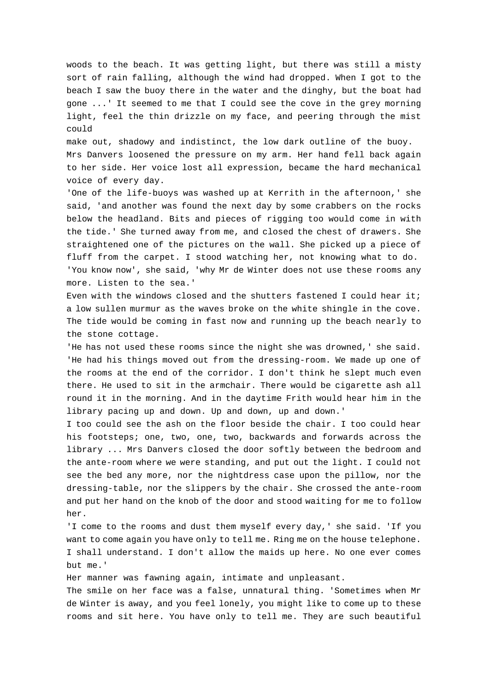woods to the beach. It was getting light, but there was still a misty sort of rain falling, although the wind had dropped. When I got to the beach I saw the buoy there in the water and the dinghy, but the boat had gone ...' It seemed to me that I could see the cove in the grey morning light, feel the thin drizzle on my face, and peering through the mist could

make out, shadowy and indistinct, the low dark outline of the buoy. Mrs Danvers loosened the pressure on my arm. Her hand fell back again to her side. Her voice lost all expression, became the hard mechanical voice of every day.

'One of the life-buoys was washed up at Kerrith in the afternoon,' she said, 'and another was found the next day by some crabbers on the rocks below the headland. Bits and pieces of rigging too would come in with the tide.' She turned away from me, and closed the chest of drawers. She straightened one of the pictures on the wall. She picked up a piece of fluff from the carpet. I stood watching her, not knowing what to do. 'You know now', she said, 'why Mr de Winter does not use these rooms any more. Listen to the sea.'

Even with the windows closed and the shutters fastened I could hear it; a low sullen murmur as the waves broke on the white shingle in the cove. The tide would be coming in fast now and running up the beach nearly to the stone cottage.

'He has not used these rooms since the night she was drowned,' she said. 'He had his things moved out from the dressing-room. We made up one of the rooms at the end of the corridor. I don't think he slept much even there. He used to sit in the armchair. There would be cigarette ash all round it in the morning. And in the daytime Frith would hear him in the library pacing up and down. Up and down, up and down.'

I too could see the ash on the floor beside the chair. I too could hear his footsteps; one, two, one, two, backwards and forwards across the library ... Mrs Danvers closed the door softly between the bedroom and the ante-room where we were standing, and put out the light. I could not see the bed any more, nor the nightdress case upon the pillow, nor the dressing-table, nor the slippers by the chair. She crossed the ante-room and put her hand on the knob of the door and stood waiting for me to follow her.

'I come to the rooms and dust them myself every day,' she said. 'If you want to come again you have only to tell me. Ring me on the house telephone. I shall understand. I don't allow the maids up here. No one ever comes but me.'

Her manner was fawning again, intimate and unpleasant.

The smile on her face was a false, unnatural thing. 'Sometimes when Mr de Winter is away, and you feel lonely, you might like to come up to these rooms and sit here. You have only to tell me. They are such beautiful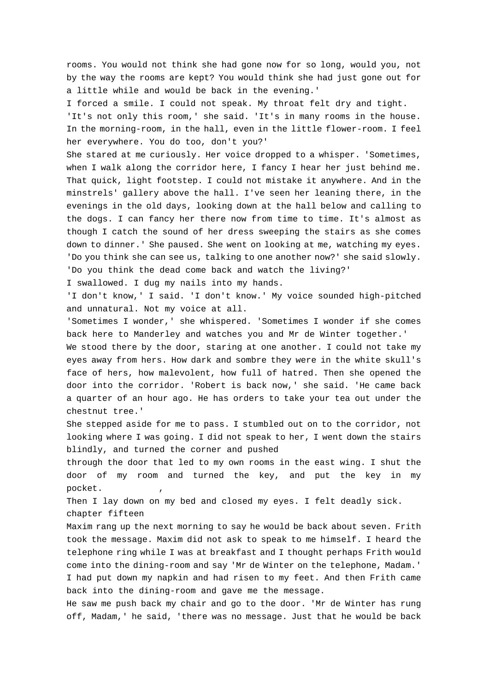rooms. You would not think she had gone now for so long, would you, not by the way the rooms are kept? You would think she had just gone out for a little while and would be back in the evening.'

I forced a smile. I could not speak. My throat felt dry and tight.

'It's not only this room,' she said. 'It's in many rooms in the house. In the morning-room, in the hall, even in the little flower-room. I feel her everywhere. You do too, don't you?'

She stared at me curiously. Her voice dropped to a whisper. 'Sometimes, when I walk along the corridor here, I fancy I hear her just behind me. That quick, light footstep. I could not mistake it anywhere. And in the minstrels' gallery above the hall. I've seen her leaning there, in the evenings in the old days, looking down at the hall below and calling to the dogs. I can fancy her there now from time to time. It's almost as though I catch the sound of her dress sweeping the stairs as she comes down to dinner.' She paused. She went on looking at me, watching my eyes. 'Do you think she can see us, talking to one another now?' she said slowly. 'Do you think the dead come back and watch the living?'

I swallowed. I dug my nails into my hands.

'I don't know,' I said. 'I don't know.' My voice sounded high-pitched and unnatural. Not my voice at all.

'Sometimes I wonder,' she whispered. 'Sometimes I wonder if she comes back here to Manderley and watches you and Mr de Winter together.'

We stood there by the door, staring at one another. I could not take my eyes away from hers. How dark and sombre they were in the white skull's face of hers, how malevolent, how full of hatred. Then she opened the door into the corridor. 'Robert is back now,' she said. 'He came back a quarter of an hour ago. He has orders to take your tea out under the chestnut tree.'

She stepped aside for me to pass. I stumbled out on to the corridor, not looking where I was going. I did not speak to her, I went down the stairs blindly, and turned the corner and pushed

through the door that led to my own rooms in the east wing. I shut the door of my room and turned the key, and put the key in my pocket.

Then I lay down on my bed and closed my eyes. I felt deadly sick. chapter fifteen

Maxim rang up the next morning to say he would be back about seven. Frith took the message. Maxim did not ask to speak to me himself. I heard the telephone ring while I was at breakfast and I thought perhaps Frith would come into the dining-room and say 'Mr de Winter on the telephone, Madam.' I had put down my napkin and had risen to my feet. And then Frith came back into the dining-room and gave me the message.

He saw me push back my chair and go to the door. 'Mr de Winter has rung off, Madam,' he said, 'there was no message. Just that he would be back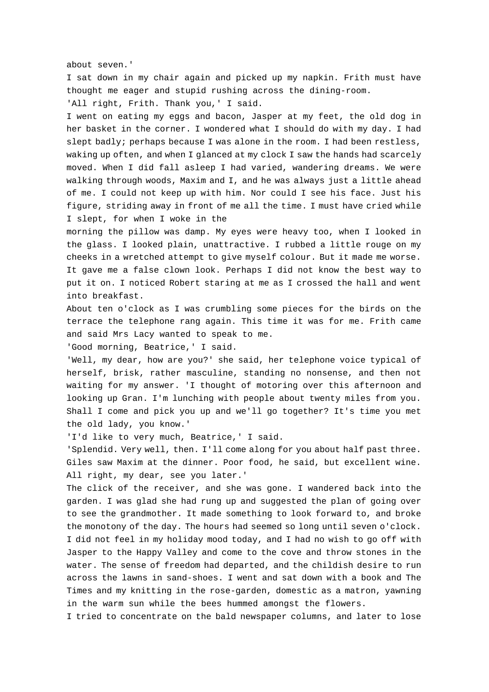about seven.'

I sat down in my chair again and picked up my napkin. Frith must have thought me eager and stupid rushing across the dining-room.

'All right, Frith. Thank you,' I said.

I went on eating my eggs and bacon, Jasper at my feet, the old dog in her basket in the corner. I wondered what I should do with my day. I had slept badly; perhaps because I was alone in the room. I had been restless, waking up often, and when I glanced at my clock I saw the hands had scarcely moved. When I did fall asleep I had varied, wandering dreams. We were walking through woods, Maxim and I, and he was always just a little ahead of me. I could not keep up with him. Nor could I see his face. Just his figure, striding away in front of me all the time. I must have cried while I slept, for when I woke in the

morning the pillow was damp. My eyes were heavy too, when I looked in the glass. I looked plain, unattractive. I rubbed a little rouge on my cheeks in a wretched attempt to give myself colour. But it made me worse. It gave me a false clown look. Perhaps I did not know the best way to put it on. I noticed Robert staring at me as I crossed the hall and went into breakfast.

About ten o'clock as I was crumbling some pieces for the birds on the terrace the telephone rang again. This time it was for me. Frith came and said Mrs Lacy wanted to speak to me.

'Good morning, Beatrice,' I said.

'Well, my dear, how are you?' she said, her telephone voice typical of herself, brisk, rather masculine, standing no nonsense, and then not waiting for my answer. 'I thought of motoring over this afternoon and looking up Gran. I'm lunching with people about twenty miles from you. Shall I come and pick you up and we'll go together? It's time you met the old lady, you know.'

'I'd like to very much, Beatrice,' I said.

'Splendid. Very well, then. I'll come along for you about half past three. Giles saw Maxim at the dinner. Poor food, he said, but excellent wine. All right, my dear, see you later.'

The click of the receiver, and she was gone. I wandered back into the garden. I was glad she had rung up and suggested the plan of going over to see the grandmother. It made something to look forward to, and broke the monotony of the day. The hours had seemed so long until seven o'clock. I did not feel in my holiday mood today, and I had no wish to go off with Jasper to the Happy Valley and come to the cove and throw stones in the water. The sense of freedom had departed, and the childish desire to run across the lawns in sand-shoes. I went and sat down with a book and The Times and my knitting in the rose-garden, domestic as a matron, yawning in the warm sun while the bees hummed amongst the flowers.

I tried to concentrate on the bald newspaper columns, and later to lose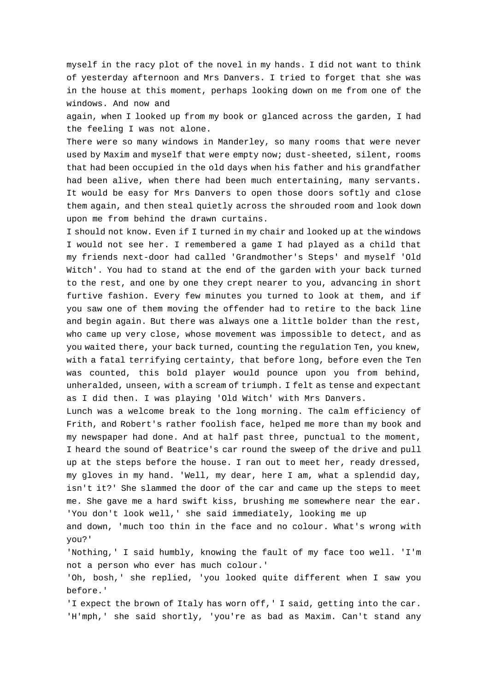myself in the racy plot of the novel in my hands. I did not want to think of yesterday afternoon and Mrs Danvers. I tried to forget that she was in the house at this moment, perhaps looking down on me from one of the windows. And now and

again, when I looked up from my book or glanced across the garden, I had the feeling I was not alone.

There were so many windows in Manderley, so many rooms that were never used by Maxim and myself that were empty now; dust-sheeted, silent, rooms that had been occupied in the old days when his father and his grandfather had been alive, when there had been much entertaining, many servants. It would be easy for Mrs Danvers to open those doors softly and close them again, and then steal quietly across the shrouded room and look down upon me from behind the drawn curtains.

I should not know. Even if I turned in my chair and looked up at the windows I would not see her. I remembered a game I had played as a child that my friends next-door had called 'Grandmother's Steps' and myself 'Old Witch'. You had to stand at the end of the garden with your back turned to the rest, and one by one they crept nearer to you, advancing in short furtive fashion. Every few minutes you turned to look at them, and if you saw one of them moving the offender had to retire to the back line and begin again. But there was always one a little bolder than the rest, who came up very close, whose movement was impossible to detect, and as you waited there, your back turned, counting the regulation Ten, you knew, with a fatal terrifying certainty, that before long, before even the Ten was counted, this bold player would pounce upon you from behind, unheralded, unseen, with a scream of triumph. I felt as tense and expectant as I did then. I was playing 'Old Witch' with Mrs Danvers.

Lunch was a welcome break to the long morning. The calm efficiency of Frith, and Robert's rather foolish face, helped me more than my book and my newspaper had done. And at half past three, punctual to the moment, I heard the sound of Beatrice's car round the sweep of the drive and pull up at the steps before the house. I ran out to meet her, ready dressed, my gloves in my hand. 'Well, my dear, here I am, what a splendid day, isn't it?' She slammed the door of the car and came up the steps to meet me. She gave me a hard swift kiss, brushing me somewhere near the ear. 'You don't look well,' she said immediately, looking me up

and down, 'much too thin in the face and no colour. What's wrong with you?'

'Nothing,' I said humbly, knowing the fault of my face too well. 'I'm not a person who ever has much colour.'

'Oh, bosh,' she replied, 'you looked quite different when I saw you before.'

'I expect the brown of Italy has worn off,' I said, getting into the car. 'H'mph,' she said shortly, 'you're as bad as Maxim. Can't stand any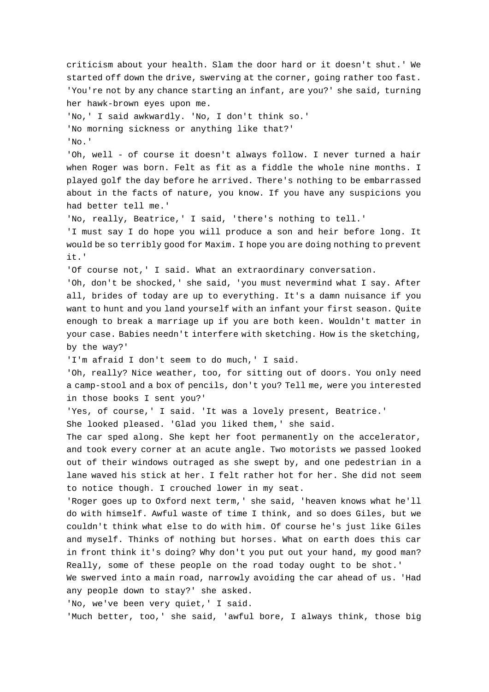criticism about your health. Slam the door hard or it doesn't shut.' We started off down the drive, swerving at the corner, going rather too fast. 'You're not by any chance starting an infant, are you?' she said, turning her hawk-brown eyes upon me.

'No,' I said awkwardly. 'No, I don't think so.' 'No morning sickness or anything like that?'

'No.'

'Oh, well - of course it doesn't always follow. I never turned a hair when Roger was born. Felt as fit as a fiddle the whole nine months. I played golf the day before he arrived. There's nothing to be embarrassed about in the facts of nature, you know. If you have any suspicions you had better tell me.'

'No, really, Beatrice,' I said, 'there's nothing to tell.'

'I must say I do hope you will produce a son and heir before long. It would be so terribly good for Maxim. I hope you are doing nothing to prevent it.'

'Of course not,' I said. What an extraordinary conversation.

'Oh, don't be shocked,' she said, 'you must nevermind what I say. After all, brides of today are up to everything. It's a damn nuisance if you want to hunt and you land yourself with an infant your first season. Quite enough to break a marriage up if you are both keen. Wouldn't matter in your case. Babies needn't interfere with sketching. How is the sketching, by the way?'

'I'm afraid I don't seem to do much,' I said.

'Oh, really? Nice weather, too, for sitting out of doors. You only need a camp-stool and a box of pencils, don't you? Tell me, were you interested in those books I sent you?'

'Yes, of course,' I said. 'It was a lovely present, Beatrice.'

She looked pleased. 'Glad you liked them,' she said.

The car sped along. She kept her foot permanently on the accelerator, and took every corner at an acute angle. Two motorists we passed looked out of their windows outraged as she swept by, and one pedestrian in a lane waved his stick at her. I felt rather hot for her. She did not seem to notice though. I crouched lower in my seat.

'Roger goes up to Oxford next term,' she said, 'heaven knows what he'll do with himself. Awful waste of time I think, and so does Giles, but we couldn't think what else to do with him. Of course he's just like Giles and myself. Thinks of nothing but horses. What on earth does this car in front think it's doing? Why don't you put out your hand, my good man? Really, some of these people on the road today ought to be shot.'

We swerved into a main road, narrowly avoiding the car ahead of us. 'Had any people down to stay?' she asked.

'No, we've been very quiet,' I said.

'Much better, too,' she said, 'awful bore, I always think, those big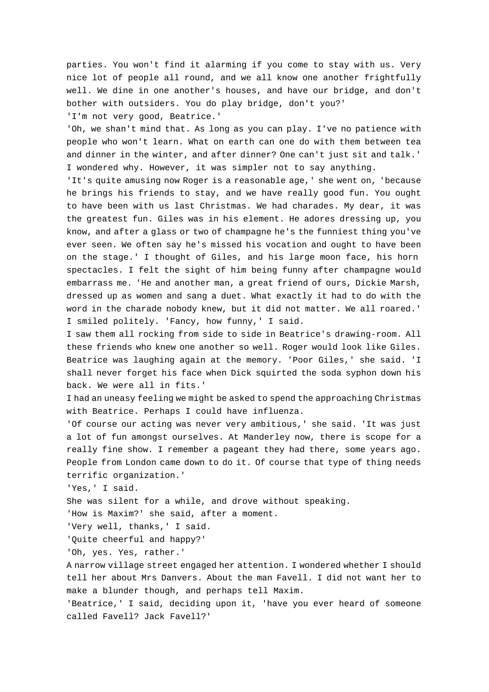parties. You won't find it alarming if you come to stay with us. Very nice lot of people all round, and we all know one another frightfully well. We dine in one another's houses, and have our bridge, and don't bother with outsiders. You do play bridge, don't you?' 'I'm not very good, Beatrice.'

'Oh, we shan't mind that. As long as you can play. I've no patience with people who won't learn. What on earth can one do with them between tea and dinner in the winter, and after dinner? One can't just sit and talk.' I wondered why. However, it was simpler not to say anything.

'It's quite amusing now Roger is a reasonable age,' she went on, 'because he brings his friends to stay, and we have really good fun. You ought to have been with us last Christmas. We had charades. My dear, it was the greatest fun. Giles was in his element. He adores dressing up, you know, and after a glass or two of champagne he's the funniest thing you've ever seen. We often say he's missed his vocation and ought to have been on the stage.' I thought of Giles, and his large moon face, his horn spectacles. I felt the sight of him being funny after champagne would embarrass me. 'He and another man, a great friend of ours, Dickie Marsh, dressed up as women and sang a duet. What exactly it had to do with the word in the charade nobody knew, but it did not matter. We all roared.' I smiled politely. 'Fancy, how funny,' I said.

I saw them all rocking from side to side in Beatrice's drawing-room. All these friends who knew one another so well. Roger would look like Giles. Beatrice was laughing again at the memory. 'Poor Giles,' she said. 'I shall never forget his face when Dick squirted the soda syphon down his back. We were all in fits.'

I had an uneasy feeling we might be asked to spend the approaching Christmas with Beatrice. Perhaps I could have influenza.

'Of course our acting was never very ambitious,' she said. 'It was just a lot of fun amongst ourselves. At Manderley now, there is scope for a really fine show. I remember a pageant they had there, some years ago. People from London came down to do it. Of course that type of thing needs terrific organization.'

'Yes,' I said.

She was silent for a while, and drove without speaking.

'How is Maxim?' she said, after a moment.

'Very well, thanks,' I said.

'Quite cheerful and happy?'

'Oh, yes. Yes, rather.'

A narrow village street engaged her attention. I wondered whether I should tell her about Mrs Danvers. About the man Favell. I did not want her to make a blunder though, and perhaps tell Maxim.

'Beatrice,' I said, deciding upon it, 'have you ever heard of someone called Favell? Jack Favell?'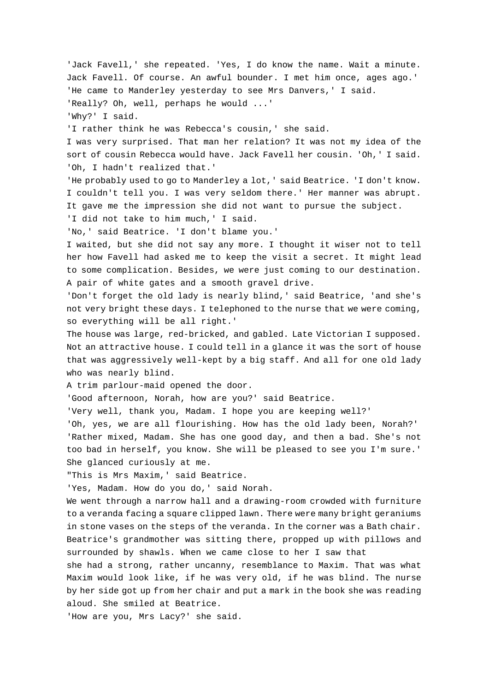'Jack Favell,' she repeated. 'Yes, I do know the name. Wait a minute. Jack Favell. Of course. An awful bounder. I met him once, ages ago.' 'He came to Manderley yesterday to see Mrs Danvers,' I said. 'Really? Oh, well, perhaps he would ...' 'Why?' I said. 'I rather think he was Rebecca's cousin,' she said. I was very surprised. That man her relation? It was not my idea of the sort of cousin Rebecca would have. Jack Favell her cousin. 'Oh,' I said. 'Oh, I hadn't realized that.' 'He probably used to go to Manderley a lot,' said Beatrice. 'I don't know. I couldn't tell you. I was very seldom there.' Her manner was abrupt. It gave me the impression she did not want to pursue the subject. 'I did not take to him much,' I said. 'No,' said Beatrice. 'I don't blame you.' I waited, but she did not say any more. I thought it wiser not to tell her how Favell had asked me to keep the visit a secret. It might lead to some complication. Besides, we were just coming to our destination. A pair of white gates and a smooth gravel drive. 'Don't forget the old lady is nearly blind,' said Beatrice, 'and she's not very bright these days. I telephoned to the nurse that we were coming, so everything will be all right.' The house was large, red-bricked, and gabled. Late Victorian I supposed. Not an attractive house. I could tell in a glance it was the sort of house that was aggressively well-kept by a big staff. And all for one old lady who was nearly blind. A trim parlour-maid opened the door. 'Good afternoon, Norah, how are you?' said Beatrice. 'Very well, thank you, Madam. I hope you are keeping well?' 'Oh, yes, we are all flourishing. How has the old lady been, Norah?' 'Rather mixed, Madam. She has one good day, and then a bad. She's not too bad in herself, you know. She will be pleased to see you I'm sure.' She glanced curiously at me. "This is Mrs Maxim,' said Beatrice. 'Yes, Madam. How do you do,' said Norah. We went through a narrow hall and a drawing-room crowded with furniture to a veranda facing a square clipped lawn. There were many bright geraniums in stone vases on the steps of the veranda. In the corner was a Bath chair. Beatrice's grandmother was sitting there, propped up with pillows and surrounded by shawls. When we came close to her I saw that she had a strong, rather uncanny, resemblance to Maxim. That was what Maxim would look like, if he was very old, if he was blind. The nurse by her side got up from her chair and put a mark in the book she was reading aloud. She smiled at Beatrice. 'How are you, Mrs Lacy?' she said.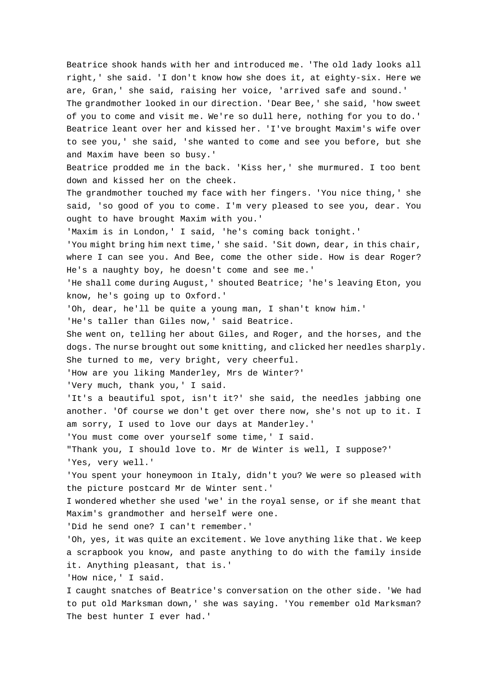Beatrice shook hands with her and introduced me. 'The old lady looks all right,' she said. 'I don't know how she does it, at eighty-six. Here we are, Gran,' she said, raising her voice, 'arrived safe and sound.'

The grandmother looked in our direction. 'Dear Bee,' she said, 'how sweet of you to come and visit me. We're so dull here, nothing for you to do.' Beatrice leant over her and kissed her. 'I've brought Maxim's wife over to see you,' she said, 'she wanted to come and see you before, but she and Maxim have been so busy.'

Beatrice prodded me in the back. 'Kiss her,' she murmured. I too bent down and kissed her on the cheek.

The grandmother touched my face with her fingers. 'You nice thing,' she said, 'so good of you to come. I'm very pleased to see you, dear. You ought to have brought Maxim with you.'

'Maxim is in London,' I said, 'he's coming back tonight.'

'You might bring him next time,' she said. 'Sit down, dear, in this chair, where I can see you. And Bee, come the other side. How is dear Roger? He's a naughty boy, he doesn't come and see me.'

'He shall come during August,' shouted Beatrice; 'he's leaving Eton, you know, he's going up to Oxford.'

'Oh, dear, he'll be quite a young man, I shan't know him.'

'He's taller than Giles now,' said Beatrice.

She went on, telling her about Giles, and Roger, and the horses, and the dogs. The nurse brought out some knitting, and clicked her needles sharply. She turned to me, very bright, very cheerful.

'How are you liking Manderley, Mrs de Winter?'

'Very much, thank you,' I said.

'It's a beautiful spot, isn't it?' she said, the needles jabbing one another. 'Of course we don't get over there now, she's not up to it. I am sorry, I used to love our days at Manderley.'

'You must come over yourself some time,' I said.

"Thank you, I should love to. Mr de Winter is well, I suppose?' 'Yes, very well.'

'You spent your honeymoon in Italy, didn't you? We were so pleased with the picture postcard Mr de Winter sent.'

I wondered whether she used 'we' in the royal sense, or if she meant that Maxim's grandmother and herself were one.

'Did he send one? I can't remember.'

'Oh, yes, it was quite an excitement. We love anything like that. We keep a scrapbook you know, and paste anything to do with the family inside it. Anything pleasant, that is.'

'How nice,' I said.

I caught snatches of Beatrice's conversation on the other side. 'We had to put old Marksman down,' she was saying. 'You remember old Marksman? The best hunter I ever had.'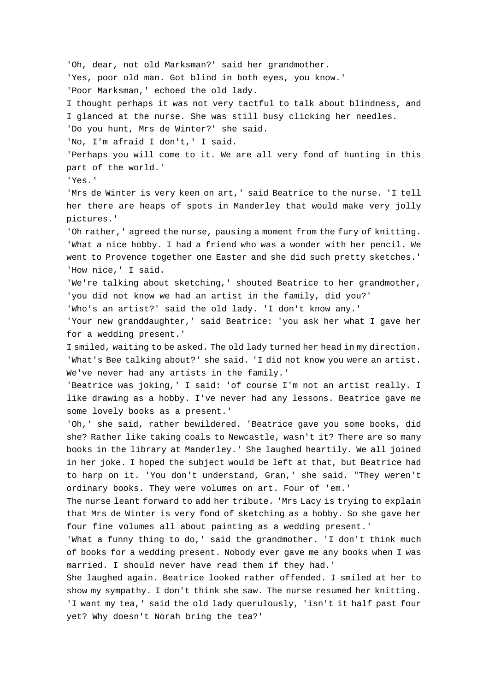'Oh, dear, not old Marksman?' said her grandmother. 'Yes, poor old man. Got blind in both eyes, you know.' 'Poor Marksman,' echoed the old lady. I thought perhaps it was not very tactful to talk about blindness, and I glanced at the nurse. She was still busy clicking her needles. 'Do you hunt, Mrs de Winter?' she said. 'No, I'm afraid I don't,' I said. 'Perhaps you will come to it. We are all very fond of hunting in this part of the world.' 'Yes.' 'Mrs de Winter is very keen on art,' said Beatrice to the nurse. 'I tell her there are heaps of spots in Manderley that would make very jolly pictures.' 'Oh rather,' agreed the nurse, pausing a moment from the fury of knitting. 'What a nice hobby. I had a friend who was a wonder with her pencil. We went to Provence together one Easter and she did such pretty sketches.' 'How nice,' I said. 'We're talking about sketching,' shouted Beatrice to her grandmother, 'you did not know we had an artist in the family, did you?' 'Who's an artist?' said the old lady. 'I don't know any.' 'Your new granddaughter,' said Beatrice: 'you ask her what I gave her for a wedding present.' I smiled, waiting to be asked. The old lady turned her head in my direction. 'What's Bee talking about?' she said. 'I did not know you were an artist. We've never had any artists in the family.' 'Beatrice was joking,' I said: 'of course I'm not an artist really. I like drawing as a hobby. I've never had any lessons. Beatrice gave me some lovely books as a present.' 'Oh,' she said, rather bewildered. 'Beatrice gave you some books, did she? Rather like taking coals to Newcastle, wasn't it? There are so many books in the library at Manderley.' She laughed heartily. We all joined in her joke. I hoped the subject would be left at that, but Beatrice had to harp on it. 'You don't understand, Gran,' she said. "They weren't ordinary books. They were volumes on art. Four of 'em.' The nurse leant forward to add her tribute. 'Mrs Lacy is trying to explain that Mrs de Winter is very fond of sketching as a hobby. So she gave her four fine volumes all about painting as a wedding present.' 'What a funny thing to do,' said the grandmother. 'I don't think much of books for a wedding present. Nobody ever gave me any books when I was married. I should never have read them if they had.' She laughed again. Beatrice looked rather offended. I smiled at her to show my sympathy. I don't think she saw. The nurse resumed her knitting. 'I want my tea,' said the old lady querulously, 'isn't it half past four yet? Why doesn't Norah bring the tea?'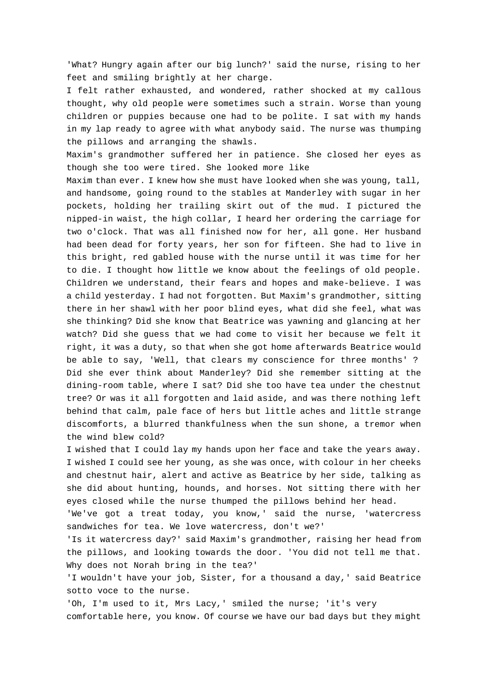'What? Hungry again after our big lunch?' said the nurse, rising to her feet and smiling brightly at her charge.

I felt rather exhausted, and wondered, rather shocked at my callous thought, why old people were sometimes such a strain. Worse than young children or puppies because one had to be polite. I sat with my hands in my lap ready to agree with what anybody said. The nurse was thumping the pillows and arranging the shawls.

Maxim's grandmother suffered her in patience. She closed her eyes as though she too were tired. She looked more like

Maxim than ever. I knew how she must have looked when she was young, tall, and handsome, going round to the stables at Manderley with sugar in her pockets, holding her trailing skirt out of the mud. I pictured the nipped-in waist, the high collar, I heard her ordering the carriage for two o'clock. That was all finished now for her, all gone. Her husband had been dead for forty years, her son for fifteen. She had to live in this bright, red gabled house with the nurse until it was time for her to die. I thought how little we know about the feelings of old people. Children we understand, their fears and hopes and make-believe. I was a child yesterday. I had not forgotten. But Maxim's grandmother, sitting there in her shawl with her poor blind eyes, what did she feel, what was she thinking? Did she know that Beatrice was yawning and glancing at her watch? Did she guess that we had come to visit her because we felt it right, it was a duty, so that when she got home afterwards Beatrice would be able to say, 'Well, that clears my conscience for three months' ? Did she ever think about Manderley? Did she remember sitting at the dining-room table, where I sat? Did she too have tea under the chestnut tree? Or was it all forgotten and laid aside, and was there nothing left behind that calm, pale face of hers but little aches and little strange discomforts, a blurred thankfulness when the sun shone, a tremor when the wind blew cold?

I wished that I could lay my hands upon her face and take the years away. I wished I could see her young, as she was once, with colour in her cheeks and chestnut hair, alert and active as Beatrice by her side, talking as she did about hunting, hounds, and horses. Not sitting there with her eyes closed while the nurse thumped the pillows behind her head.

'We've got a treat today, you know,' said the nurse, 'watercress sandwiches for tea. We love watercress, don't we?'

'Is it watercress day?' said Maxim's grandmother, raising her head from the pillows, and looking towards the door. 'You did not tell me that. Why does not Norah bring in the tea?'

'I wouldn't have your job, Sister, for a thousand a day,' said Beatrice sotto voce to the nurse.

'Oh, I'm used to it, Mrs Lacy,' smiled the nurse; 'it's very comfortable here, you know. Of course we have our bad days but they might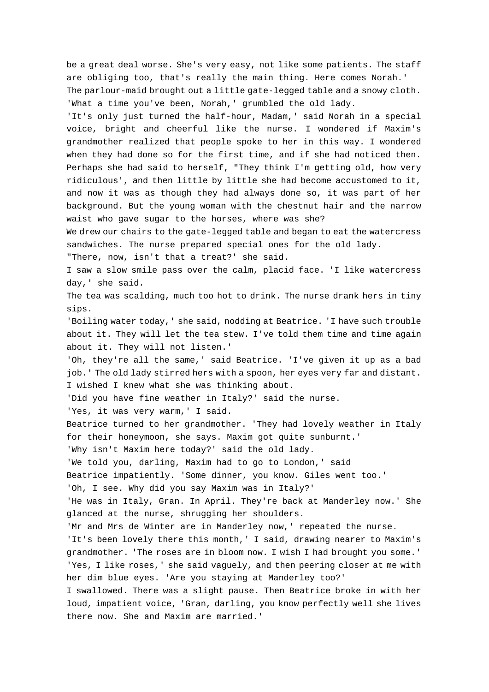be a great deal worse. She's very easy, not like some patients. The staff are obliging too, that's really the main thing. Here comes Norah.' The parlour-maid brought out a little gate-legged table and a snowy cloth. 'What a time you've been, Norah,' grumbled the old lady.

'It's only just turned the half-hour, Madam,' said Norah in a special voice, bright and cheerful like the nurse. I wondered if Maxim's grandmother realized that people spoke to her in this way. I wondered when they had done so for the first time, and if she had noticed then. Perhaps she had said to herself, "They think I'm getting old, how very ridiculous', and then little by little she had become accustomed to it, and now it was as though they had always done so, it was part of her background. But the young woman with the chestnut hair and the narrow waist who gave sugar to the horses, where was she?

We drew our chairs to the gate-legged table and began to eat the watercress sandwiches. The nurse prepared special ones for the old lady.

"There, now, isn't that a treat?' she said.

I saw a slow smile pass over the calm, placid face. 'I like watercress day,' she said.

The tea was scalding, much too hot to drink. The nurse drank hers in tiny sips.

'Boiling water today,' she said, nodding at Beatrice. 'I have such trouble about it. They will let the tea stew. I've told them time and time again about it. They will not listen.'

'Oh, they're all the same,' said Beatrice. 'I've given it up as a bad job.' The old lady stirred hers with a spoon, her eyes very far and distant. I wished I knew what she was thinking about.

'Did you have fine weather in Italy?' said the nurse.

'Yes, it was very warm,' I said.

Beatrice turned to her grandmother. 'They had lovely weather in Italy for their honeymoon, she says. Maxim got quite sunburnt.'

'Why isn't Maxim here today?' said the old lady.

'We told you, darling, Maxim had to go to London,' said

Beatrice impatiently. 'Some dinner, you know. Giles went too.'

'Oh, I see. Why did you say Maxim was in Italy?'

'He was in Italy, Gran. In April. They're back at Manderley now.' She glanced at the nurse, shrugging her shoulders.

'Mr and Mrs de Winter are in Manderley now,' repeated the nurse.

'It's been lovely there this month,' I said, drawing nearer to Maxim's grandmother. 'The roses are in bloom now. I wish I had brought you some.' 'Yes, I like roses,' she said vaguely, and then peering closer at me with her dim blue eyes. 'Are you staying at Manderley too?'

I swallowed. There was a slight pause. Then Beatrice broke in with her loud, impatient voice, 'Gran, darling, you know perfectly well she lives there now. She and Maxim are married.'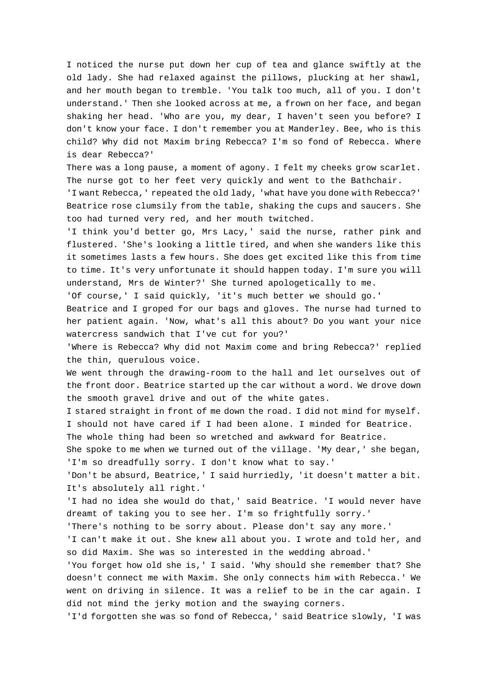I noticed the nurse put down her cup of tea and glance swiftly at the old lady. She had relaxed against the pillows, plucking at her shawl, and her mouth began to tremble. 'You talk too much, all of you. I don't understand.' Then she looked across at me, a frown on her face, and began shaking her head. 'Who are you, my dear, I haven't seen you before? I don't know your face. I don't remember you at Manderley. Bee, who is this child? Why did not Maxim bring Rebecca? I'm so fond of Rebecca. Where is dear Rebecca?'

There was a long pause, a moment of agony. I felt my cheeks grow scarlet. The nurse got to her feet very quickly and went to the Bathchair.

'I want Rebecca,' repeated the old lady, 'what have you done with Rebecca?' Beatrice rose clumsily from the table, shaking the cups and saucers. She too had turned very red, and her mouth twitched.

'I think you'd better go, Mrs Lacy,' said the nurse, rather pink and flustered. 'She's looking a little tired, and when she wanders like this it sometimes lasts a few hours. She does get excited like this from time to time. It's very unfortunate it should happen today. I'm sure you will understand, Mrs de Winter?' She turned apologetically to me.

'Of course,' I said quickly, 'it's much better we should go.'

Beatrice and I groped for our bags and gloves. The nurse had turned to her patient again. 'Now, what's all this about? Do you want your nice watercress sandwich that I've cut for you?'

'Where is Rebecca? Why did not Maxim come and bring Rebecca?' replied the thin, querulous voice.

We went through the drawing-room to the hall and let ourselves out of the front door. Beatrice started up the car without a word. We drove down the smooth gravel drive and out of the white gates.

I stared straight in front of me down the road. I did not mind for myself. I should not have cared if I had been alone. I minded for Beatrice.

The whole thing had been so wretched and awkward for Beatrice.

She spoke to me when we turned out of the village. 'My dear,' she began, 'I'm so dreadfully sorry. I don't know what to say.'

'Don't be absurd, Beatrice,' I said hurriedly, 'it doesn't matter a bit. It's absolutely all right.'

'I had no idea she would do that,' said Beatrice. 'I would never have dreamt of taking you to see her. I'm so frightfully sorry.'

'There's nothing to be sorry about. Please don't say any more.'

'I can't make it out. She knew all about you. I wrote and told her, and so did Maxim. She was so interested in the wedding abroad.'

'You forget how old she is,' I said. 'Why should she remember that? She doesn't connect me with Maxim. She only connects him with Rebecca.' We went on driving in silence. It was a relief to be in the car again. I did not mind the jerky motion and the swaying corners.

'I'd forgotten she was so fond of Rebecca, ' said Beatrice slowly, 'I was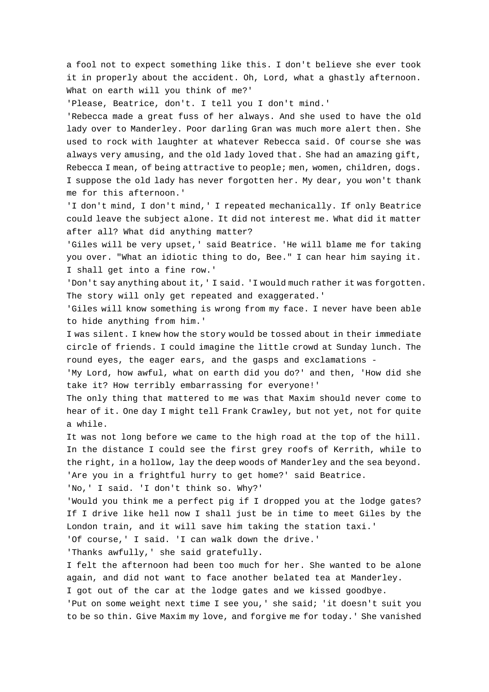a fool not to expect something like this. I don't believe she ever took it in properly about the accident. Oh, Lord, what a ghastly afternoon. What on earth will you think of me?'

'Please, Beatrice, don't. I tell you I don't mind.'

'Rebecca made a great fuss of her always. And she used to have the old lady over to Manderley. Poor darling Gran was much more alert then. She used to rock with laughter at whatever Rebecca said. Of course she was always very amusing, and the old lady loved that. She had an amazing gift, Rebecca I mean, of being attractive to people; men, women, children, dogs. I suppose the old lady has never forgotten her. My dear, you won't thank me for this afternoon.'

'I don't mind, I don't mind,' I repeated mechanically. If only Beatrice could leave the subject alone. It did not interest me. What did it matter after all? What did anything matter?

'Giles will be very upset,' said Beatrice. 'He will blame me for taking you over. "What an idiotic thing to do, Bee." I can hear him saying it. I shall get into a fine row.'

'Don't say anything about it,' I said. 'I would much rather it was forgotten. The story will only get repeated and exaggerated.'

'Giles will know something is wrong from my face. I never have been able to hide anything from him.'

I was silent. I knew how the story would be tossed about in their immediate circle of friends. I could imagine the little crowd at Sunday lunch. The round eyes, the eager ears, and the gasps and exclamations -

'My Lord, how awful, what on earth did you do?' and then, 'How did she take it? How terribly embarrassing for everyone!'

The only thing that mattered to me was that Maxim should never come to hear of it. One day I might tell Frank Crawley, but not yet, not for quite a while.

It was not long before we came to the high road at the top of the hill. In the distance I could see the first grey roofs of Kerrith, while to the right, in a hollow, lay the deep woods of Manderley and the sea beyond. 'Are you in a frightful hurry to get home?' said Beatrice.

'No,' I said. 'I don't think so. Why?'

'Would you think me a perfect pig if I dropped you at the lodge gates? If I drive like hell now I shall just be in time to meet Giles by the London train, and it will save him taking the station taxi.'

'Of course,' I said. 'I can walk down the drive.'

'Thanks awfully,' she said gratefully.

I felt the afternoon had been too much for her. She wanted to be alone again, and did not want to face another belated tea at Manderley.

I got out of the car at the lodge gates and we kissed goodbye.

'Put on some weight next time I see you,' she said; 'it doesn't suit you to be so thin. Give Maxim my love, and forgive me for today.' She vanished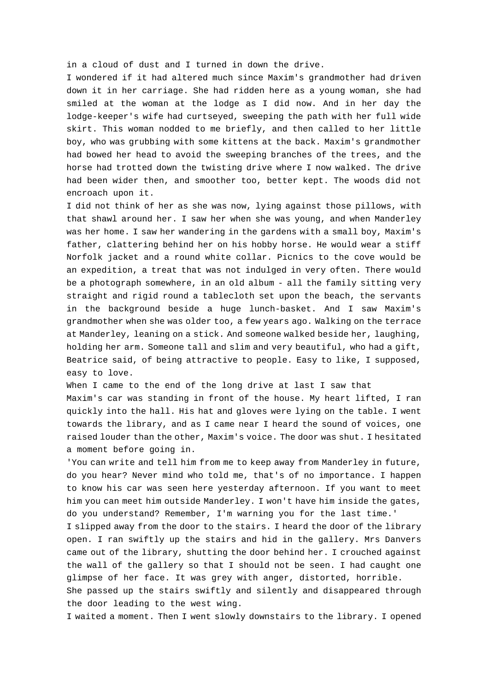in a cloud of dust and I turned in down the drive.

I wondered if it had altered much since Maxim's grandmother had driven down it in her carriage. She had ridden here as a young woman, she had smiled at the woman at the lodge as I did now. And in her day the lodge-keeper's wife had curtseyed, sweeping the path with her full wide skirt. This woman nodded to me briefly, and then called to her little boy, who was grubbing with some kittens at the back. Maxim's grandmother had bowed her head to avoid the sweeping branches of the trees, and the horse had trotted down the twisting drive where I now walked. The drive had been wider then, and smoother too, better kept. The woods did not encroach upon it.

I did not think of her as she was now, lying against those pillows, with that shawl around her. I saw her when she was young, and when Manderley was her home. I saw her wandering in the gardens with a small boy, Maxim's father, clattering behind her on his hobby horse. He would wear a stiff Norfolk jacket and a round white collar. Picnics to the cove would be an expedition, a treat that was not indulged in very often. There would be a photograph somewhere, in an old album - all the family sitting very straight and rigid round a tablecloth set upon the beach, the servants in the background beside a huge lunch-basket. And I saw Maxim's grandmother when she was older too, a few years ago. Walking on the terrace at Manderley, leaning on a stick. And someone walked beside her, laughing, holding her arm. Someone tall and slim and very beautiful, who had a gift, Beatrice said, of being attractive to people. Easy to like, I supposed, easy to love.

When I came to the end of the long drive at last I saw that Maxim's car was standing in front of the house. My heart lifted, I ran quickly into the hall. His hat and gloves were lying on the table. I went towards the library, and as I came near I heard the sound of voices, one raised louder than the other, Maxim's voice. The door was shut. I hesitated a moment before going in.

'You can write and tell him from me to keep away from Manderley in future, do you hear? Never mind who told me, that's of no importance. I happen to know his car was seen here yesterday afternoon. If you want to meet him you can meet him outside Manderley. I won't have him inside the gates, do you understand? Remember, I'm warning you for the last time.'

I slipped away from the door to the stairs. I heard the door of the library open. I ran swiftly up the stairs and hid in the gallery. Mrs Danvers came out of the library, shutting the door behind her. I crouched against the wall of the gallery so that I should not be seen. I had caught one glimpse of her face. It was grey with anger, distorted, horrible.

She passed up the stairs swiftly and silently and disappeared through the door leading to the west wing.

I waited a moment. Then I went slowly downstairs to the library. I opened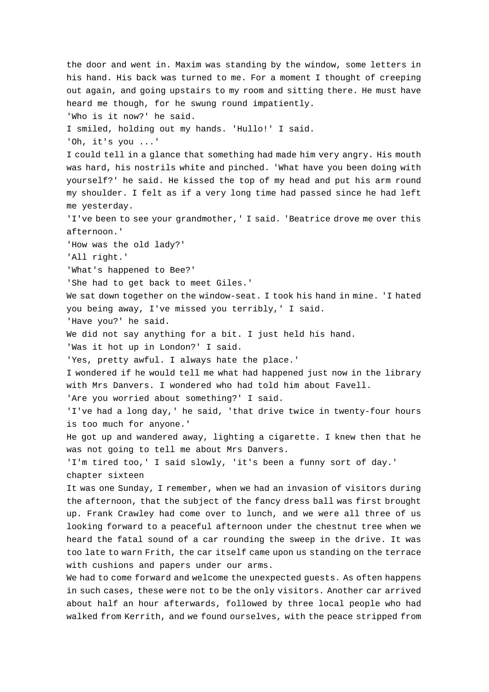the door and went in. Maxim was standing by the window, some letters in his hand. His back was turned to me. For a moment I thought of creeping out again, and going upstairs to my room and sitting there. He must have heard me though, for he swung round impatiently. 'Who is it now?' he said. I smiled, holding out my hands. 'Hullo!' I said. 'Oh, it's you ...' I could tell in a glance that something had made him very angry. His mouth was hard, his nostrils white and pinched. 'What have you been doing with yourself?' he said. He kissed the top of my head and put his arm round my shoulder. I felt as if a very long time had passed since he had left me yesterday. 'I've been to see your grandmother,' I said. 'Beatrice drove me over this afternoon.' 'How was the old lady?' 'All right.' 'What's happened to Bee?' 'She had to get back to meet Giles.' We sat down together on the window-seat. I took his hand in mine. 'I hated you being away, I've missed you terribly,' I said. 'Have you?' he said. We did not say anything for a bit. I just held his hand. 'Was it hot up in London?' I said. 'Yes, pretty awful. I always hate the place.' I wondered if he would tell me what had happened just now in the library with Mrs Danvers. I wondered who had told him about Favell. 'Are you worried about something?' I said. 'I've had a long day,' he said, 'that drive twice in twenty-four hours is too much for anyone.' He got up and wandered away, lighting a cigarette. I knew then that he was not going to tell me about Mrs Danvers. 'I'm tired too,' I said slowly, 'it's been a funny sort of day.' chapter sixteen It was one Sunday, I remember, when we had an invasion of visitors during the afternoon, that the subject of the fancy dress ball was first brought up. Frank Crawley had come over to lunch, and we were all three of us looking forward to a peaceful afternoon under the chestnut tree when we heard the fatal sound of a car rounding the sweep in the drive. It was too late to warn Frith, the car itself came upon us standing on the terrace with cushions and papers under our arms. We had to come forward and welcome the unexpected guests. As often happens in such cases, these were not to be the only visitors. Another car arrived about half an hour afterwards, followed by three local people who had walked from Kerrith, and we found ourselves, with the peace stripped from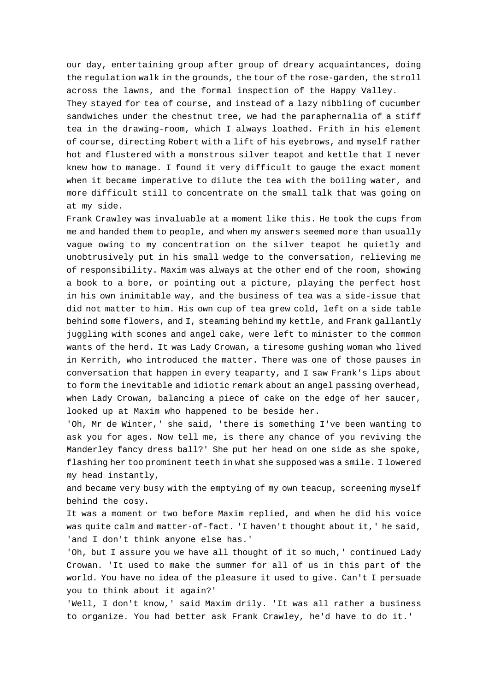our day, entertaining group after group of dreary acquaintances, doing the regulation walk in the grounds, the tour of the rose-garden, the stroll across the lawns, and the formal inspection of the Happy Valley. They stayed for tea of course, and instead of a lazy nibbling of cucumber sandwiches under the chestnut tree, we had the paraphernalia of a stiff tea in the drawing-room, which I always loathed. Frith in his element of course, directing Robert with a lift of his eyebrows, and myself rather hot and flustered with a monstrous silver teapot and kettle that I never knew how to manage. I found it very difficult to gauge the exact moment when it became imperative to dilute the tea with the boiling water, and more difficult still to concentrate on the small talk that was going on at my side.

Frank Crawley was invaluable at a moment like this. He took the cups from me and handed them to people, and when my answers seemed more than usually vague owing to my concentration on the silver teapot he quietly and unobtrusively put in his small wedge to the conversation, relieving me of responsibility. Maxim was always at the other end of the room, showing a book to a bore, or pointing out a picture, playing the perfect host in his own inimitable way, and the business of tea was a side-issue that did not matter to him. His own cup of tea grew cold, left on a side table behind some flowers, and I, steaming behind my kettle, and Frank gallantly juggling with scones and angel cake, were left to minister to the common wants of the herd. It was Lady Crowan, a tiresome gushing woman who lived in Kerrith, who introduced the matter. There was one of those pauses in conversation that happen in every teaparty, and I saw Frank's lips about to form the inevitable and idiotic remark about an angel passing overhead, when Lady Crowan, balancing a piece of cake on the edge of her saucer, looked up at Maxim who happened to be beside her.

'Oh, Mr de Winter,' she said, 'there is something I've been wanting to ask you for ages. Now tell me, is there any chance of you reviving the Manderley fancy dress ball?' She put her head on one side as she spoke, flashing her too prominent teeth in what she supposed was a smile. I lowered my head instantly,

and became very busy with the emptying of my own teacup, screening myself behind the cosy.

It was a moment or two before Maxim replied, and when he did his voice was quite calm and matter-of-fact. 'I haven't thought about it,' he said, 'and I don't think anyone else has.'

'Oh, but I assure you we have all thought of it so much,' continued Lady Crowan. 'It used to make the summer for all of us in this part of the world. You have no idea of the pleasure it used to give. Can't I persuade you to think about it again?'

'Well, I don't know,' said Maxim drily. 'It was all rather a business to organize. You had better ask Frank Crawley, he'd have to do it.'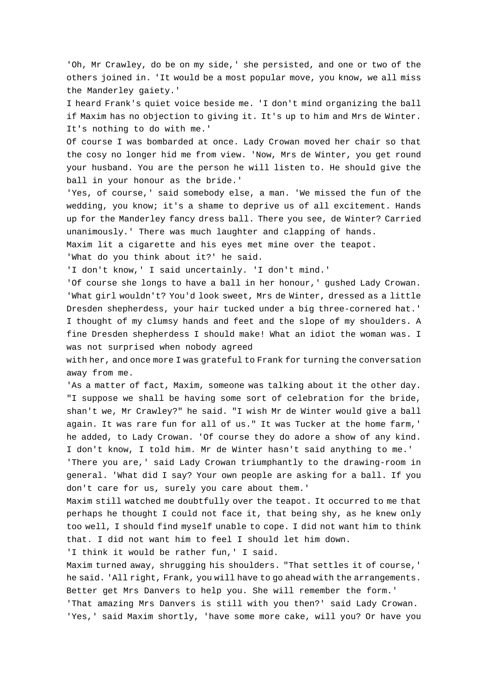'Oh, Mr Crawley, do be on my side,' she persisted, and one or two of the others joined in. 'It would be a most popular move, you know, we all miss the Manderley gaiety.'

I heard Frank's quiet voice beside me. 'I don't mind organizing the ball if Maxim has no objection to giving it. It's up to him and Mrs de Winter. It's nothing to do with me.'

Of course I was bombarded at once. Lady Crowan moved her chair so that the cosy no longer hid me from view. 'Now, Mrs de Winter, you get round your husband. You are the person he will listen to. He should give the ball in your honour as the bride.'

'Yes, of course,' said somebody else, a man. 'We missed the fun of the wedding, you know; it's a shame to deprive us of all excitement. Hands up for the Manderley fancy dress ball. There you see, de Winter? Carried unanimously.' There was much laughter and clapping of hands.

Maxim lit a cigarette and his eyes met mine over the teapot.

'What do you think about it?' he said.

'I don't know,' I said uncertainly. 'I don't mind.'

'Of course she longs to have a ball in her honour,' gushed Lady Crowan. 'What girl wouldn't? You'd look sweet, Mrs de Winter, dressed as a little Dresden shepherdess, your hair tucked under a big three-cornered hat.' I thought of my clumsy hands and feet and the slope of my shoulders. A fine Dresden shepherdess I should make! What an idiot the woman was. I was not surprised when nobody agreed

with her, and once more I was grateful to Frank for turning the conversation away from me.

'As a matter of fact, Maxim, someone was talking about it the other day. "I suppose we shall be having some sort of celebration for the bride, shan't we, Mr Crawley?" he said. "I wish Mr de Winter would give a ball again. It was rare fun for all of us." It was Tucker at the home farm,' he added, to Lady Crowan. 'Of course they do adore a show of any kind. I don't know, I told him. Mr de Winter hasn't said anything to me.'

'There you are,' said Lady Crowan triumphantly to the drawing-room in general. 'What did I say? Your own people are asking for a ball. If you don't care for us, surely you care about them.'

Maxim still watched me doubtfully over the teapot. It occurred to me that perhaps he thought I could not face it, that being shy, as he knew only too well, I should find myself unable to cope. I did not want him to think that. I did not want him to feel I should let him down.

'I think it would be rather fun,' I said.

Maxim turned away, shrugging his shoulders. "That settles it of course,' he said. 'All right, Frank, you will have to go ahead with the arrangements. Better get Mrs Danvers to help you. She will remember the form.'

'That amazing Mrs Danvers is still with you then?' said Lady Crowan. 'Yes,' said Maxim shortly, 'have some more cake, will you? Or have you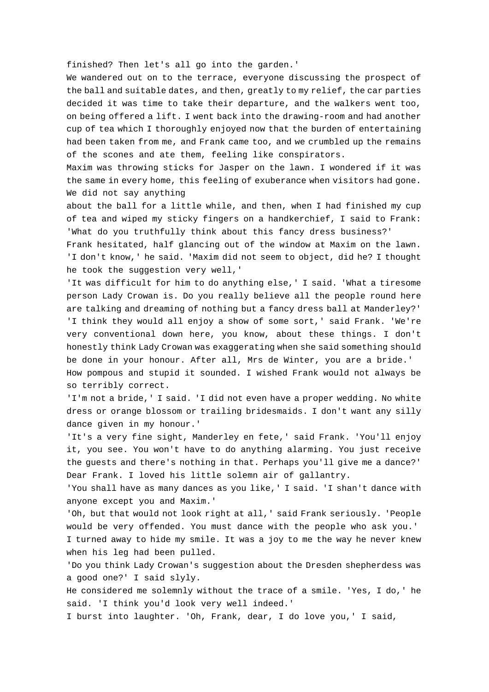finished? Then let's all go into the garden.'

We wandered out on to the terrace, everyone discussing the prospect of the ball and suitable dates, and then, greatly to my relief, the car parties decided it was time to take their departure, and the walkers went too, on being offered a lift. I went back into the drawing-room and had another cup of tea which I thoroughly enjoyed now that the burden of entertaining had been taken from me, and Frank came too, and we crumbled up the remains of the scones and ate them, feeling like conspirators.

Maxim was throwing sticks for Jasper on the lawn. I wondered if it was the same in every home, this feeling of exuberance when visitors had gone. We did not say anything

about the ball for a little while, and then, when I had finished my cup of tea and wiped my sticky fingers on a handkerchief, I said to Frank: 'What do you truthfully think about this fancy dress business?'

Frank hesitated, half glancing out of the window at Maxim on the lawn. 'I don't know,' he said. 'Maxim did not seem to object, did he? I thought he took the suggestion very well,'

'It was difficult for him to do anything else,' I said. 'What a tiresome person Lady Crowan is. Do you really believe all the people round here are talking and dreaming of nothing but a fancy dress ball at Manderley?' 'I think they would all enjoy a show of some sort,' said Frank. 'We're very conventional down here, you know, about these things. I don't honestly think Lady Crowan was exaggerating when she said something should be done in your honour. After all, Mrs de Winter, you are a bride.' How pompous and stupid it sounded. I wished Frank would not always be

so terribly correct.

'I'm not a bride, ' I said. 'I did not even have a proper wedding. No white dress or orange blossom or trailing bridesmaids. I don't want any silly dance given in my honour.'

'It's a very fine sight, Manderley en fete,' said Frank. 'You'll enjoy it, you see. You won't have to do anything alarming. You just receive the guests and there's nothing in that. Perhaps you'll give me a dance?' Dear Frank. I loved his little solemn air of gallantry.

'You shall have as many dances as you like,' I said. 'I shan't dance with anyone except you and Maxim.'

'Oh, but that would not look right at all,' said Frank seriously. 'People would be very offended. You must dance with the people who ask you.'

I turned away to hide my smile. It was a joy to me the way he never knew when his leg had been pulled.

'Do you think Lady Crowan's suggestion about the Dresden shepherdess was a good one?' I said slyly.

He considered me solemnly without the trace of a smile. 'Yes, I do,' he said. 'I think you'd look very well indeed.'

I burst into laughter. 'Oh, Frank, dear, I do love you,' I said,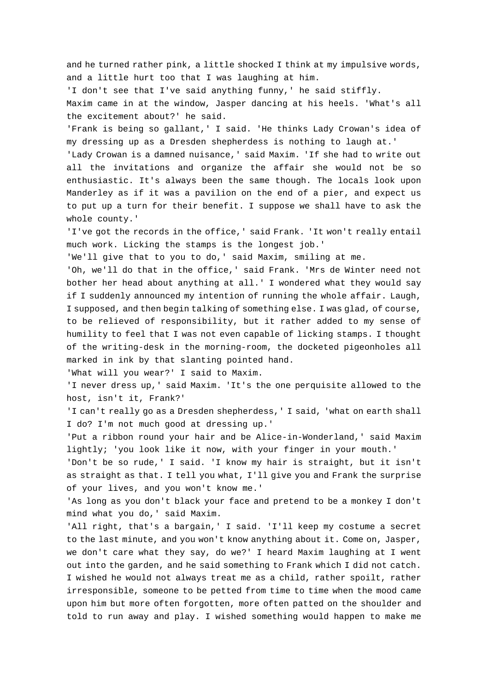and he turned rather pink, a little shocked I think at my impulsive words, and a little hurt too that I was laughing at him.

'I don't see that I've said anything funny,' he said stiffly.

Maxim came in at the window, Jasper dancing at his heels. 'What's all the excitement about?' he said.

'Frank is being so gallant,' I said. 'He thinks Lady Crowan's idea of my dressing up as a Dresden shepherdess is nothing to laugh at.'

'Lady Crowan is a damned nuisance,' said Maxim. 'If she had to write out all the invitations and organize the affair she would not be so enthusiastic. It's always been the same though. The locals look upon Manderley as if it was a pavilion on the end of a pier, and expect us to put up a turn for their benefit. I suppose we shall have to ask the whole county.'

'I've got the records in the office,' said Frank. 'It won't really entail much work. Licking the stamps is the longest job.'

'We'll give that to you to do,' said Maxim, smiling at me.

'Oh, we'll do that in the office,' said Frank. 'Mrs de Winter need not bother her head about anything at all.' I wondered what they would say if I suddenly announced my intention of running the whole affair. Laugh, I supposed, and then begin talking of something else. I was glad, of course, to be relieved of responsibility, but it rather added to my sense of humility to feel that I was not even capable of licking stamps. I thought of the writing-desk in the morning-room, the docketed pigeonholes all marked in ink by that slanting pointed hand.

'What will you wear?' I said to Maxim.

'I never dress up,' said Maxim. 'It's the one perquisite allowed to the host, isn't it, Frank?'

'I can't really go as a Dresden shepherdess,' I said, 'what on earth shall I do? I'm not much good at dressing up.'

'Put a ribbon round your hair and be Alice-in-Wonderland,' said Maxim lightly; 'you look like it now, with your finger in your mouth.'

'Don't be so rude,' I said. 'I know my hair is straight, but it isn't as straight as that. I tell you what, I'll give you and Frank the surprise of your lives, and you won't know me.'

'As long as you don't black your face and pretend to be a monkey I don't mind what you do,' said Maxim.

'All right, that's a bargain,' I said. 'I'll keep my costume a secret to the last minute, and you won't know anything about it. Come on, Jasper, we don't care what they say, do we?' I heard Maxim laughing at I went out into the garden, and he said something to Frank which I did not catch. I wished he would not always treat me as a child, rather spoilt, rather irresponsible, someone to be petted from time to time when the mood came upon him but more often forgotten, more often patted on the shoulder and told to run away and play. I wished something would happen to make me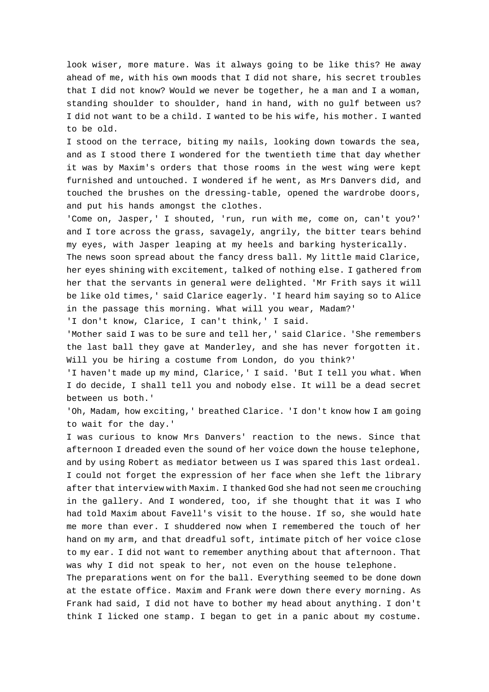look wiser, more mature. Was it always going to be like this? He away ahead of me, with his own moods that I did not share, his secret troubles that I did not know? Would we never be together, he a man and I a woman, standing shoulder to shoulder, hand in hand, with no gulf between us? I did not want to be a child. I wanted to be his wife, his mother. I wanted to be old.

I stood on the terrace, biting my nails, looking down towards the sea, and as I stood there I wondered for the twentieth time that day whether it was by Maxim's orders that those rooms in the west wing were kept furnished and untouched. I wondered if he went, as Mrs Danvers did, and touched the brushes on the dressing-table, opened the wardrobe doors, and put his hands amongst the clothes.

'Come on, Jasper,' I shouted, 'run, run with me, come on, can't you?' and I tore across the grass, savagely, angrily, the bitter tears behind my eyes, with Jasper leaping at my heels and barking hysterically.

The news soon spread about the fancy dress ball. My little maid Clarice, her eyes shining with excitement, talked of nothing else. I gathered from her that the servants in general were delighted. 'Mr Frith says it will be like old times,' said Clarice eagerly. 'I heard him saying so to Alice in the passage this morning. What will you wear, Madam?'

'I don't know, Clarice, I can't think,' I said.

'Mother said I was to be sure and tell her,' said Clarice. 'She remembers the last ball they gave at Manderley, and she has never forgotten it. Will you be hiring a costume from London, do you think?'

'I haven't made up my mind, Clarice,' I said. 'But I tell you what. When I do decide, I shall tell you and nobody else. It will be a dead secret between us both.'

'Oh, Madam, how exciting,' breathed Clarice. 'I don't know how I am going to wait for the day.'

I was curious to know Mrs Danvers' reaction to the news. Since that afternoon I dreaded even the sound of her voice down the house telephone, and by using Robert as mediator between us I was spared this last ordeal. I could not forget the expression of her face when she left the library after that interview with Maxim. I thanked God she had not seen me crouching in the gallery. And I wondered, too, if she thought that it was I who had told Maxim about Favell's visit to the house. If so, she would hate me more than ever. I shuddered now when I remembered the touch of her hand on my arm, and that dreadful soft, intimate pitch of her voice close to my ear. I did not want to remember anything about that afternoon. That was why I did not speak to her, not even on the house telephone.

The preparations went on for the ball. Everything seemed to be done down at the estate office. Maxim and Frank were down there every morning. As Frank had said, I did not have to bother my head about anything. I don't think I licked one stamp. I began to get in a panic about my costume.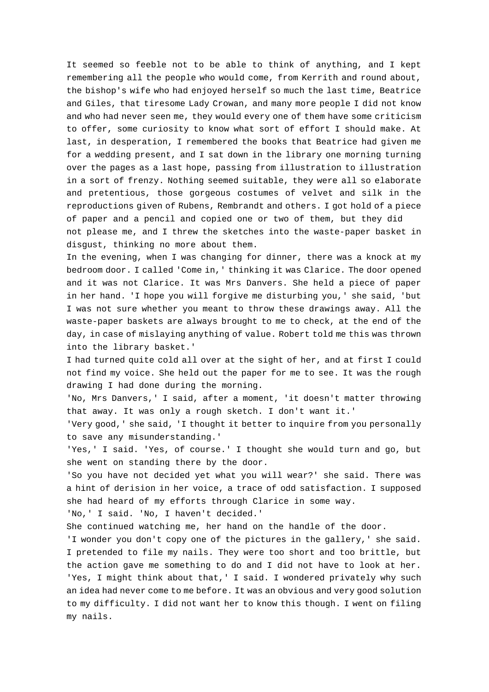It seemed so feeble not to be able to think of anything, and I kept remembering all the people who would come, from Kerrith and round about, the bishop's wife who had enjoyed herself so much the last time, Beatrice and Giles, that tiresome Lady Crowan, and many more people I did not know and who had never seen me, they would every one of them have some criticism to offer, some curiosity to know what sort of effort I should make. At last, in desperation, I remembered the books that Beatrice had given me for a wedding present, and I sat down in the library one morning turning over the pages as a last hope, passing from illustration to illustration in a sort of frenzy. Nothing seemed suitable, they were all so elaborate and pretentious, those gorgeous costumes of velvet and silk in the reproductions given of Rubens, Rembrandt and others. I got hold of a piece of paper and a pencil and copied one or two of them, but they did not please me, and I threw the sketches into the waste-paper basket in disgust, thinking no more about them.

In the evening, when I was changing for dinner, there was a knock at my bedroom door. I called 'Come in,' thinking it was Clarice. The door opened and it was not Clarice. It was Mrs Danvers. She held a piece of paper in her hand. 'I hope you will forgive me disturbing you,' she said, 'but I was not sure whether you meant to throw these drawings away. All the waste-paper baskets are always brought to me to check, at the end of the day, in case of mislaying anything of value. Robert told me this was thrown into the library basket.'

I had turned quite cold all over at the sight of her, and at first I could not find my voice. She held out the paper for me to see. It was the rough drawing I had done during the morning.

'No, Mrs Danvers,' I said, after a moment, 'it doesn't matter throwing that away. It was only a rough sketch. I don't want it.'

'Very good,' she said, 'I thought it better to inquire from you personally to save any misunderstanding.'

'Yes,' I said. 'Yes, of course.' I thought she would turn and go, but she went on standing there by the door.

'So you have not decided yet what you will wear?' she said. There was a hint of derision in her voice, a trace of odd satisfaction. I supposed she had heard of my efforts through Clarice in some way.

'No,' I said. 'No, I haven't decided.'

She continued watching me, her hand on the handle of the door.

'I wonder you don't copy one of the pictures in the gallery,' she said. I pretended to file my nails. They were too short and too brittle, but the action gave me something to do and I did not have to look at her. 'Yes, I might think about that,' I said. I wondered privately why such an idea had never come to me before. It was an obvious and very good solution to my difficulty. I did not want her to know this though. I went on filing my nails.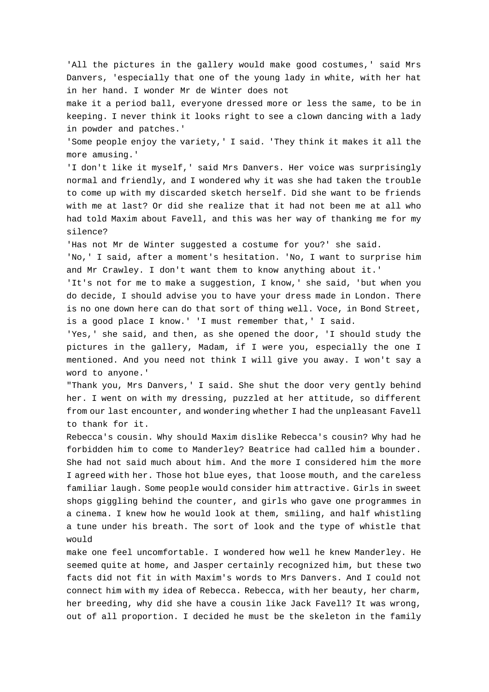'All the pictures in the gallery would make good costumes,' said Mrs Danvers, 'especially that one of the young lady in white, with her hat in her hand. I wonder Mr de Winter does not

make it a period ball, everyone dressed more or less the same, to be in keeping. I never think it looks right to see a clown dancing with a lady in powder and patches.'

'Some people enjoy the variety,' I said. 'They think it makes it all the more amusing.'

'I don't like it myself,' said Mrs Danvers. Her voice was surprisingly normal and friendly, and I wondered why it was she had taken the trouble to come up with my discarded sketch herself. Did she want to be friends with me at last? Or did she realize that it had not been me at all who had told Maxim about Favell, and this was her way of thanking me for my silence?

'Has not Mr de Winter suggested a costume for you?' she said.

'No,' I said, after a moment's hesitation. 'No, I want to surprise him and Mr Crawley. I don't want them to know anything about it.'

'It's not for me to make a suggestion, I know,' she said, 'but when you do decide, I should advise you to have your dress made in London. There is no one down here can do that sort of thing well. Voce, in Bond Street, is a good place I know.' 'I must remember that,' I said.

'Yes,' she said, and then, as she opened the door, 'I should study the pictures in the gallery, Madam, if I were you, especially the one I mentioned. And you need not think I will give you away. I won't say a word to anyone.'

"Thank you, Mrs Danvers,' I said. She shut the door very gently behind her. I went on with my dressing, puzzled at her attitude, so different from our last encounter, and wondering whether I had the unpleasant Favell to thank for it.

Rebecca's cousin. Why should Maxim dislike Rebecca's cousin? Why had he forbidden him to come to Manderley? Beatrice had called him a bounder. She had not said much about him. And the more I considered him the more I agreed with her. Those hot blue eyes, that loose mouth, and the careless familiar laugh. Some people would consider him attractive. Girls in sweet shops giggling behind the counter, and girls who gave one programmes in a cinema. I knew how he would look at them, smiling, and half whistling a tune under his breath. The sort of look and the type of whistle that would

make one feel uncomfortable. I wondered how well he knew Manderley. He seemed quite at home, and Jasper certainly recognized him, but these two facts did not fit in with Maxim's words to Mrs Danvers. And I could not connect him with my idea of Rebecca. Rebecca, with her beauty, her charm, her breeding, why did she have a cousin like Jack Favell? It was wrong, out of all proportion. I decided he must be the skeleton in the family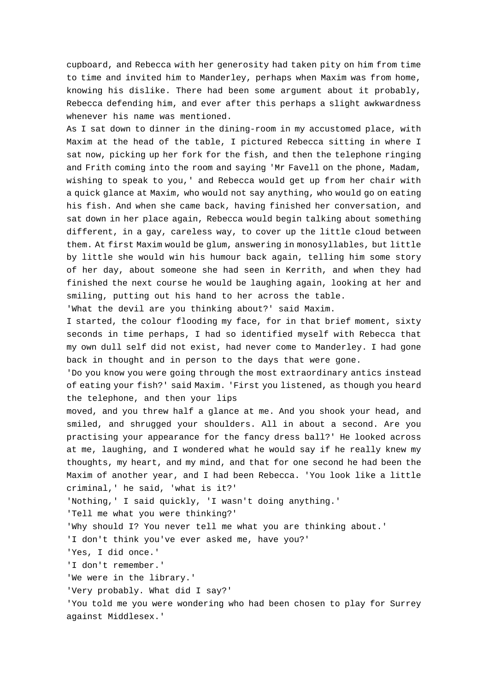cupboard, and Rebecca with her generosity had taken pity on him from time to time and invited him to Manderley, perhaps when Maxim was from home, knowing his dislike. There had been some argument about it probably, Rebecca defending him, and ever after this perhaps a slight awkwardness whenever his name was mentioned.

As I sat down to dinner in the dining-room in my accustomed place, with Maxim at the head of the table, I pictured Rebecca sitting in where I sat now, picking up her fork for the fish, and then the telephone ringing and Frith coming into the room and saying 'Mr Favell on the phone, Madam, wishing to speak to you,' and Rebecca would get up from her chair with a quick glance at Maxim, who would not say anything, who would go on eating his fish. And when she came back, having finished her conversation, and sat down in her place again, Rebecca would begin talking about something different, in a gay, careless way, to cover up the little cloud between them. At first Maxim would be glum, answering in monosyllables, but little by little she would win his humour back again, telling him some story of her day, about someone she had seen in Kerrith, and when they had finished the next course he would be laughing again, looking at her and smiling, putting out his hand to her across the table.

'What the devil are you thinking about?' said Maxim.

I started, the colour flooding my face, for in that brief moment, sixty seconds in time perhaps, I had so identified myself with Rebecca that my own dull self did not exist, had never come to Manderley. I had gone back in thought and in person to the days that were gone.

'Do you know you were going through the most extraordinary antics instead of eating your fish?' said Maxim. 'First you listened, as though you heard the telephone, and then your lips

moved, and you threw half a glance at me. And you shook your head, and smiled, and shrugged your shoulders. All in about a second. Are you practising your appearance for the fancy dress ball?' He looked across at me, laughing, and I wondered what he would say if he really knew my thoughts, my heart, and my mind, and that for one second he had been the Maxim of another year, and I had been Rebecca. 'You look like a little criminal,' he said, 'what is it?'

'Nothing,' I said quickly, 'I wasn't doing anything.'

'Tell me what you were thinking?'

'Why should I? You never tell me what you are thinking about.'

'I don't think you've ever asked me, have you?'

'Yes, I did once.'

'I don't remember.'

'We were in the library.'

'Very probably. What did I say?'

'You told me you were wondering who had been chosen to play for Surrey against Middlesex.'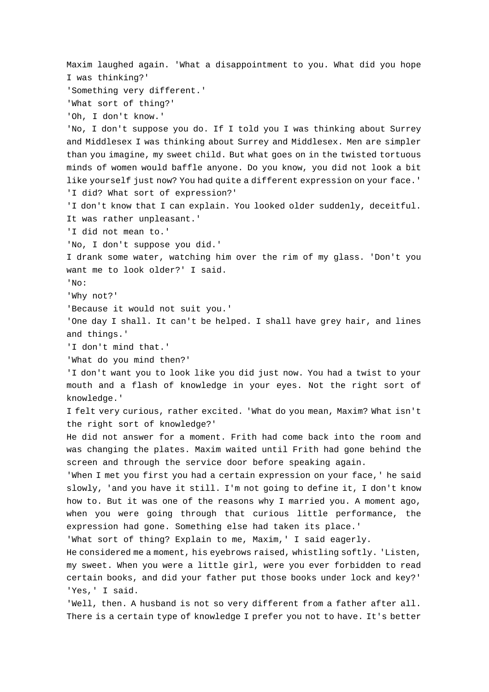Maxim laughed again. 'What a disappointment to you. What did you hope I was thinking?'

'Something very different.'

'What sort of thing?'

'Oh, I don't know.'

'No, I don't suppose you do. If I told you I was thinking about Surrey and Middlesex I was thinking about Surrey and Middlesex. Men are simpler than you imagine, my sweet child. But what goes on in the twisted tortuous minds of women would baffle anyone. Do you know, you did not look a bit like yourself just now? You had quite a different expression on your face.' 'I did? What sort of expression?'

'I don't know that I can explain. You looked older suddenly, deceitful. It was rather unpleasant.'

'I did not mean to.'

'No, I don't suppose you did.'

I drank some water, watching him over the rim of my glass. 'Don't you want me to look older?' I said.

'No:

'Why not?'

'Because it would not suit you.'

'One day I shall. It can't be helped. I shall have grey hair, and lines and things.'

'I don't mind that.'

'What do you mind then?'

'I don't want you to look like you did just now. You had a twist to your mouth and a flash of knowledge in your eyes. Not the right sort of knowledge.'

I felt very curious, rather excited. 'What do you mean, Maxim? What isn't the right sort of knowledge?'

He did not answer for a moment. Frith had come back into the room and was changing the plates. Maxim waited until Frith had gone behind the screen and through the service door before speaking again.

'When I met you first you had a certain expression on your face,' he said slowly, 'and you have it still. I'm not going to define it, I don't know how to. But it was one of the reasons why I married you. A moment ago, when you were going through that curious little performance, the expression had gone. Something else had taken its place.'

'What sort of thing? Explain to me, Maxim,' I said eagerly.

He considered me a moment, his eyebrows raised, whistling softly. 'Listen, my sweet. When you were a little girl, were you ever forbidden to read certain books, and did your father put those books under lock and key?' 'Yes,' I said.

'Well, then. A husband is not so very different from a father after all. There is a certain type of knowledge I prefer you not to have. It's better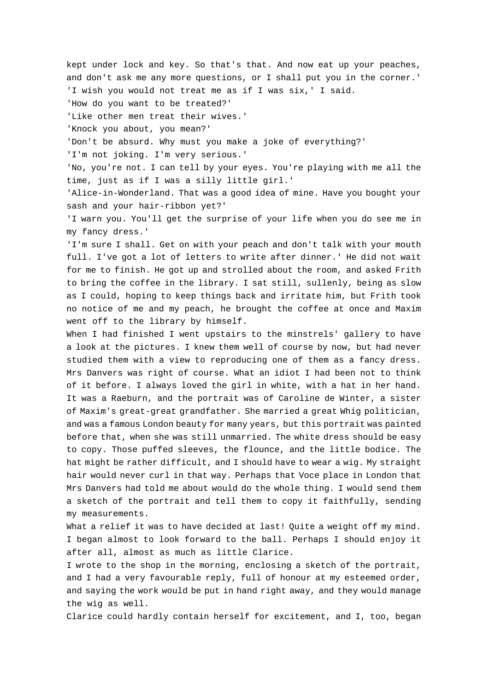kept under lock and key. So that's that. And now eat up your peaches, and don't ask me any more questions, or I shall put you in the corner.' 'I wish you would not treat me as if I was six,' I said.

'How do you want to be treated?'

'Like other men treat their wives.'

'Knock you about, you mean?'

'Don't be absurd. Why must you make a joke of everything?'

'I'm not joking. I'm very serious.'

'No, you're not. I can tell by your eyes. You're playing with me all the time, just as if I was a silly little girl.'

'Alice-in-Wonderland. That was a good idea of mine. Have you bought your sash and your hair-ribbon yet?'

'I warn you. You'll get the surprise of your life when you do see me in my fancy dress.'

'I'm sure I shall. Get on with your peach and don't talk with your mouth full. I've got a lot of letters to write after dinner.' He did not wait for me to finish. He got up and strolled about the room, and asked Frith to bring the coffee in the library. I sat still, sullenly, being as slow as I could, hoping to keep things back and irritate him, but Frith took no notice of me and my peach, he brought the coffee at once and Maxim went off to the library by himself.

When I had finished I went upstairs to the minstrels' gallery to have a look at the pictures. I knew them well of course by now, but had never studied them with a view to reproducing one of them as a fancy dress. Mrs Danvers was right of course. What an idiot I had been not to think of it before. I always loved the girl in white, with a hat in her hand. It was a Raeburn, and the portrait was of Caroline de Winter, a sister of Maxim's great-great grandfather. She married a great Whig politician, and was a famous London beauty for many years, but this portrait was painted before that, when she was still unmarried. The white dress should be easy to copy. Those puffed sleeves, the flounce, and the little bodice. The hat might be rather difficult, and I should have to wear a wig. My straight hair would never curl in that way. Perhaps that Voce place in London that Mrs Danvers had told me about would do the whole thing. I would send them a sketch of the portrait and tell them to copy it faithfully, sending my measurements.

What a relief it was to have decided at last! Quite a weight off my mind. I began almost to look forward to the ball. Perhaps I should enjoy it after all, almost as much as little Clarice.

I wrote to the shop in the morning, enclosing a sketch of the portrait, and I had a very favourable reply, full of honour at my esteemed order, and saying the work would be put in hand right away, and they would manage the wig as well.

Clarice could hardly contain herself for excitement, and I, too, began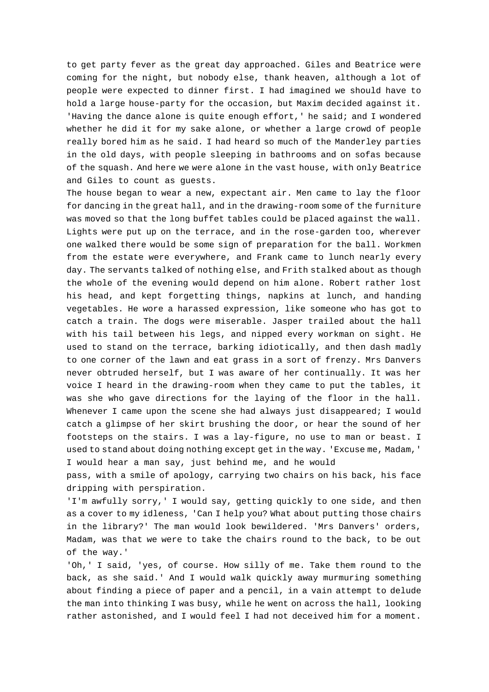to get party fever as the great day approached. Giles and Beatrice were coming for the night, but nobody else, thank heaven, although a lot of people were expected to dinner first. I had imagined we should have to hold a large house-party for the occasion, but Maxim decided against it. 'Having the dance alone is quite enough effort,' he said; and I wondered whether he did it for my sake alone, or whether a large crowd of people really bored him as he said. I had heard so much of the Manderley parties in the old days, with people sleeping in bathrooms and on sofas because of the squash. And here we were alone in the vast house, with only Beatrice and Giles to count as guests.

The house began to wear a new, expectant air. Men came to lay the floor for dancing in the great hall, and in the drawing-room some of the furniture was moved so that the long buffet tables could be placed against the wall. Lights were put up on the terrace, and in the rose-garden too, wherever one walked there would be some sign of preparation for the ball. Workmen from the estate were everywhere, and Frank came to lunch nearly every day. The servants talked of nothing else, and Frith stalked about as though the whole of the evening would depend on him alone. Robert rather lost his head, and kept forgetting things, napkins at lunch, and handing vegetables. He wore a harassed expression, like someone who has got to catch a train. The dogs were miserable. Jasper trailed about the hall with his tail between his legs, and nipped every workman on sight. He used to stand on the terrace, barking idiotically, and then dash madly to one corner of the lawn and eat grass in a sort of frenzy. Mrs Danvers never obtruded herself, but I was aware of her continually. It was her voice I heard in the drawing-room when they came to put the tables, it was she who gave directions for the laying of the floor in the hall. Whenever I came upon the scene she had always just disappeared; I would catch a glimpse of her skirt brushing the door, or hear the sound of her footsteps on the stairs. I was a lay-figure, no use to man or beast. I used to stand about doing nothing except get in the way. 'Excuse me, Madam,' I would hear a man say, just behind me, and he would

pass, with a smile of apology, carrying two chairs on his back, his face dripping with perspiration.

'I'm awfully sorry,' I would say, getting quickly to one side, and then as a cover to my idleness, 'Can I help you? What about putting those chairs in the library?' The man would look bewildered. 'Mrs Danvers' orders, Madam, was that we were to take the chairs round to the back, to be out of the way.'

'Oh,' I said, 'yes, of course. How silly of me. Take them round to the back, as she said.' And I would walk quickly away murmuring something about finding a piece of paper and a pencil, in a vain attempt to delude the man into thinking I was busy, while he went on across the hall, looking rather astonished, and I would feel I had not deceived him for a moment.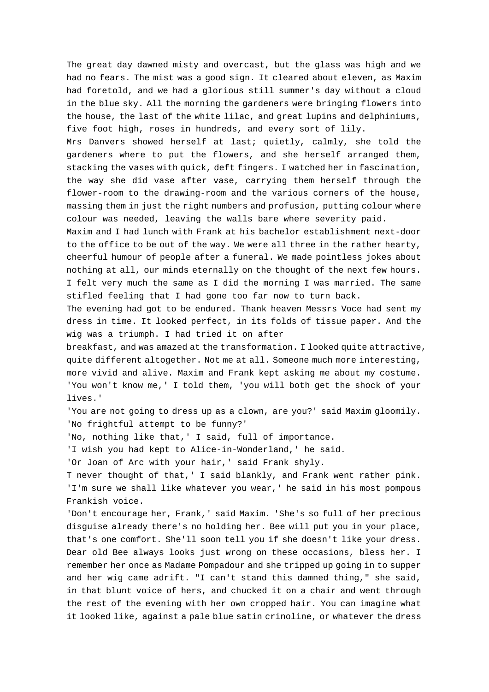The great day dawned misty and overcast, but the glass was high and we had no fears. The mist was a good sign. It cleared about eleven, as Maxim had foretold, and we had a glorious still summer's day without a cloud in the blue sky. All the morning the gardeners were bringing flowers into the house, the last of the white lilac, and great lupins and delphiniums, five foot high, roses in hundreds, and every sort of lily.

Mrs Danvers showed herself at last; quietly, calmly, she told the gardeners where to put the flowers, and she herself arranged them, stacking the vases with quick, deft fingers. I watched her in fascination, the way she did vase after vase, carrying them herself through the flower-room to the drawing-room and the various corners of the house, massing them in just the right numbers and profusion, putting colour where colour was needed, leaving the walls bare where severity paid.

Maxim and I had lunch with Frank at his bachelor establishment next-door to the office to be out of the way. We were all three in the rather hearty, cheerful humour of people after a funeral. We made pointless jokes about nothing at all, our minds eternally on the thought of the next few hours. I felt very much the same as I did the morning I was married. The same stifled feeling that I had gone too far now to turn back.

The evening had got to be endured. Thank heaven Messrs Voce had sent my dress in time. It looked perfect, in its folds of tissue paper. And the wig was a triumph. I had tried it on after

breakfast, and was amazed at the transformation. I looked quite attractive, quite different altogether. Not me at all. Someone much more interesting, more vivid and alive. Maxim and Frank kept asking me about my costume. 'You won't know me,' I told them, 'you will both get the shock of your lives.'

'You are not going to dress up as a clown, are you?' said Maxim gloomily. 'No frightful attempt to be funny?'

'No, nothing like that,' I said, full of importance.

'I wish you had kept to Alice-in-Wonderland,' he said.

'Or Joan of Arc with your hair,' said Frank shyly.

T never thought of that,' I said blankly, and Frank went rather pink. 'I'm sure we shall like whatever you wear,' he said in his most pompous Frankish voice.

'Don't encourage her, Frank,' said Maxim. 'She's so full of her precious disguise already there's no holding her. Bee will put you in your place, that's one comfort. She'll soon tell you if she doesn't like your dress. Dear old Bee always looks just wrong on these occasions, bless her. I remember her once as Madame Pompadour and she tripped up going in to supper and her wig came adrift. "I can't stand this damned thing," she said, in that blunt voice of hers, and chucked it on a chair and went through the rest of the evening with her own cropped hair. You can imagine what it looked like, against a pale blue satin crinoline, or whatever the dress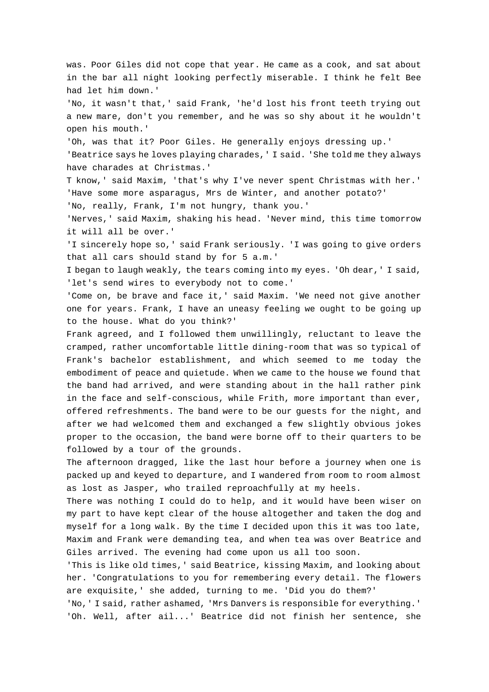was. Poor Giles did not cope that year. He came as a cook, and sat about in the bar all night looking perfectly miserable. I think he felt Bee had let him down.'

'No, it wasn't that,' said Frank, 'he'd lost his front teeth trying out a new mare, don't you remember, and he was so shy about it he wouldn't open his mouth.'

'Oh, was that it? Poor Giles. He generally enjoys dressing up.'

'Beatrice says he loves playing charades, 'I said. 'She told me they always have charades at Christmas.'

T know,' said Maxim, 'that's why I've never spent Christmas with her.' 'Have some more asparagus, Mrs de Winter, and another potato?'

'No, really, Frank, I'm not hungry, thank you.'

'Nerves,' said Maxim, shaking his head. 'Never mind, this time tomorrow it will all be over.'

'I sincerely hope so,' said Frank seriously. 'I was going to give orders that all cars should stand by for 5 a.m.'

I began to laugh weakly, the tears coming into my eyes. 'Oh dear,' I said, 'let's send wires to everybody not to come.'

'Come on, be brave and face it,' said Maxim. 'We need not give another one for years. Frank, I have an uneasy feeling we ought to be going up to the house. What do you think?'

Frank agreed, and I followed them unwillingly, reluctant to leave the cramped, rather uncomfortable little dining-room that was so typical of Frank's bachelor establishment, and which seemed to me today the embodiment of peace and quietude. When we came to the house we found that the band had arrived, and were standing about in the hall rather pink in the face and self-conscious, while Frith, more important than ever, offered refreshments. The band were to be our guests for the night, and after we had welcomed them and exchanged a few slightly obvious jokes proper to the occasion, the band were borne off to their quarters to be followed by a tour of the grounds.

The afternoon dragged, like the last hour before a journey when one is packed up and keyed to departure, and I wandered from room to room almost as lost as Jasper, who trailed reproachfully at my heels.

There was nothing I could do to help, and it would have been wiser on my part to have kept clear of the house altogether and taken the dog and myself for a long walk. By the time I decided upon this it was too late, Maxim and Frank were demanding tea, and when tea was over Beatrice and Giles arrived. The evening had come upon us all too soon.

'This is like old times,' said Beatrice, kissing Maxim, and looking about her. 'Congratulations to you for remembering every detail. The flowers are exquisite,' she added, turning to me. 'Did you do them?'

'No,' I said, rather ashamed, 'Mrs Danvers is responsible for everything.' 'Oh. Well, after ail...' Beatrice did not finish her sentence, she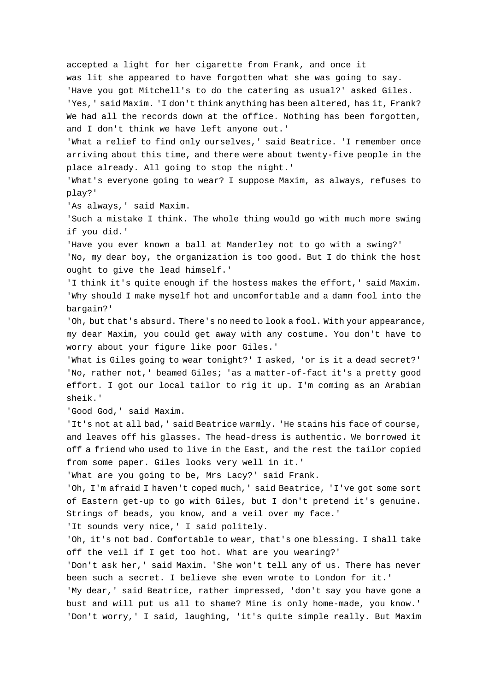accepted a light for her cigarette from Frank, and once it was lit she appeared to have forgotten what she was going to say. 'Have you got Mitchell's to do the catering as usual?' asked Giles. 'Yes,' said Maxim. 'I don't think anything has been altered, has it, Frank? We had all the records down at the office. Nothing has been forgotten, and I don't think we have left anyone out.'

'What a relief to find only ourselves,' said Beatrice. 'I remember once arriving about this time, and there were about twenty-five people in the place already. All going to stop the night.'

'What's everyone going to wear? I suppose Maxim, as always, refuses to play?'

'As always,' said Maxim.

'Such a mistake I think. The whole thing would go with much more swing if you did.'

'Have you ever known a ball at Manderley not to go with a swing?'

'No, my dear boy, the organization is too good. But I do think the host ought to give the lead himself.'

'I think it's quite enough if the hostess makes the effort,' said Maxim. 'Why should I make myself hot and uncomfortable and a damn fool into the bargain?'

'Oh, but that's absurd. There's no need to look a fool. With your appearance, my dear Maxim, you could get away with any costume. You don't have to worry about your figure like poor Giles.'

'What is Giles going to wear tonight?' I asked, 'or is it a dead secret?' 'No, rather not,' beamed Giles; 'as a matter-of-fact it's a pretty good effort. I got our local tailor to rig it up. I'm coming as an Arabian sheik.'

'Good God,' said Maxim.

'It's not at all bad,' said Beatrice warmly. 'He stains his face of course, and leaves off his glasses. The head-dress is authentic. We borrowed it off a friend who used to live in the East, and the rest the tailor copied from some paper. Giles looks very well in it.'

'What are you going to be, Mrs Lacy?' said Frank.

'Oh, I'm afraid I haven't coped much,' said Beatrice, 'I've got some sort of Eastern get-up to go with Giles, but I don't pretend it's genuine. Strings of beads, you know, and a veil over my face.'

'It sounds very nice,' I said politely.

'Oh, it's not bad. Comfortable to wear, that's one blessing. I shall take off the veil if I get too hot. What are you wearing?'

'Don't ask her,' said Maxim. 'She won't tell any of us. There has never been such a secret. I believe she even wrote to London for it.'

'My dear,' said Beatrice, rather impressed, 'don't say you have gone a bust and will put us all to shame? Mine is only home-made, you know.' 'Don't worry,' I said, laughing, 'it's quite simple really. But Maxim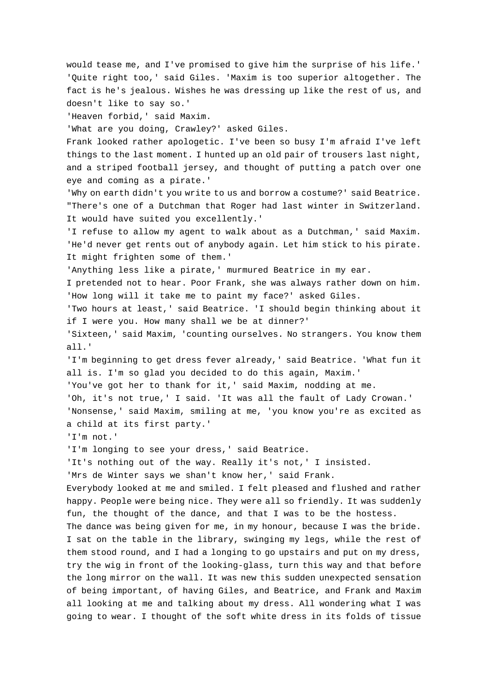would tease me, and I've promised to give him the surprise of his life.' 'Quite right too,' said Giles. 'Maxim is too superior altogether. The fact is he's jealous. Wishes he was dressing up like the rest of us, and doesn't like to say so.'

'Heaven forbid,' said Maxim.

'What are you doing, Crawley?' asked Giles.

Frank looked rather apologetic. I've been so busy I'm afraid I've left things to the last moment. I hunted up an old pair of trousers last night, and a striped football jersey, and thought of putting a patch over one eye and coming as a pirate.'

'Why on earth didn't you write to us and borrow a costume?' said Beatrice. "There's one of a Dutchman that Roger had last winter in Switzerland. It would have suited you excellently.'

'I refuse to allow my agent to walk about as a Dutchman,' said Maxim. 'He'd never get rents out of anybody again. Let him stick to his pirate. It might frighten some of them.'

'Anything less like a pirate,' murmured Beatrice in my ear.

I pretended not to hear. Poor Frank, she was always rather down on him. 'How long will it take me to paint my face?' asked Giles.

'Two hours at least,' said Beatrice. 'I should begin thinking about it if I were you. How many shall we be at dinner?'

'Sixteen,' said Maxim, 'counting ourselves. No strangers. You know them all.'

'I'm beginning to get dress fever already,' said Beatrice. 'What fun it all is. I'm so glad you decided to do this again, Maxim.'

'You've got her to thank for it,' said Maxim, nodding at me.

'Oh, it's not true,' I said. 'It was all the fault of Lady Crowan.'

'Nonsense,' said Maxim, smiling at me, 'you know you're as excited as a child at its first party.'

'I'm not.'

'I'm longing to see your dress,' said Beatrice.

'It's nothing out of the way. Really it's not,' I insisted.

'Mrs de Winter says we shan't know her,' said Frank.

Everybody looked at me and smiled. I felt pleased and flushed and rather happy. People were being nice. They were all so friendly. It was suddenly fun, the thought of the dance, and that I was to be the hostess.

The dance was being given for me, in my honour, because I was the bride. I sat on the table in the library, swinging my legs, while the rest of them stood round, and I had a longing to go upstairs and put on my dress, try the wig in front of the looking-glass, turn this way and that before the long mirror on the wall. It was new this sudden unexpected sensation of being important, of having Giles, and Beatrice, and Frank and Maxim all looking at me and talking about my dress. All wondering what I was going to wear. I thought of the soft white dress in its folds of tissue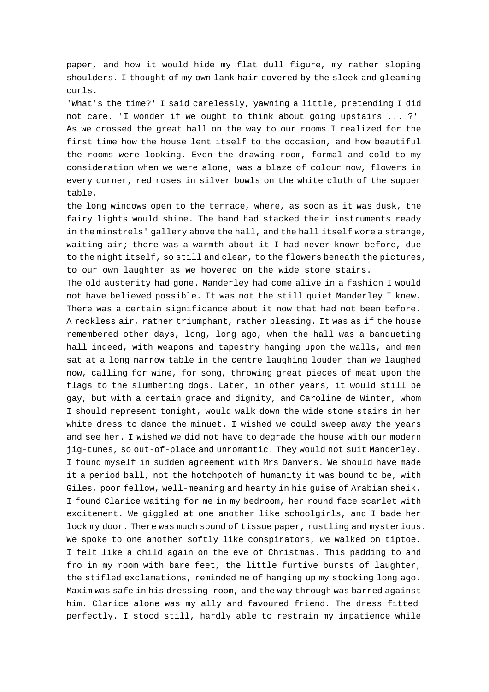paper, and how it would hide my flat dull figure, my rather sloping shoulders. I thought of my own lank hair covered by the sleek and gleaming curls.

'What's the time?' I said carelessly, yawning a little, pretending I did not care. 'I wonder if we ought to think about going upstairs ... ?' As we crossed the great hall on the way to our rooms I realized for the first time how the house lent itself to the occasion, and how beautiful the rooms were looking. Even the drawing-room, formal and cold to my consideration when we were alone, was a blaze of colour now, flowers in every corner, red roses in silver bowls on the white cloth of the supper table,

the long windows open to the terrace, where, as soon as it was dusk, the fairy lights would shine. The band had stacked their instruments ready in the minstrels' gallery above the hall, and the hall itself wore a strange, waiting air; there was a warmth about it I had never known before, due to the night itself, so still and clear, to the flowers beneath the pictures, to our own laughter as we hovered on the wide stone stairs.

The old austerity had gone. Manderley had come alive in a fashion I would not have believed possible. It was not the still quiet Manderley I knew. There was a certain significance about it now that had not been before. A reckless air, rather triumphant, rather pleasing. It was as if the house remembered other days, long, long ago, when the hall was a banqueting hall indeed, with weapons and tapestry hanging upon the walls, and men sat at a long narrow table in the centre laughing louder than we laughed now, calling for wine, for song, throwing great pieces of meat upon the flags to the slumbering dogs. Later, in other years, it would still be gay, but with a certain grace and dignity, and Caroline de Winter, whom I should represent tonight, would walk down the wide stone stairs in her white dress to dance the minuet. I wished we could sweep away the years and see her. I wished we did not have to degrade the house with our modern jig-tunes, so out-of-place and unromantic. They would not suit Manderley. I found myself in sudden agreement with Mrs Danvers. We should have made it a period ball, not the hotchpotch of humanity it was bound to be, with Giles, poor fellow, well-meaning and hearty in his guise of Arabian sheik. I found Clarice waiting for me in my bedroom, her round face scarlet with excitement. We giggled at one another like schoolgirls, and I bade her lock my door. There was much sound of tissue paper, rustling and mysterious. We spoke to one another softly like conspirators, we walked on tiptoe. I felt like a child again on the eve of Christmas. This padding to and fro in my room with bare feet, the little furtive bursts of laughter, the stifled exclamations, reminded me of hanging up my stocking long ago. Maxim was safe in his dressing-room, and the way through was barred against him. Clarice alone was my ally and favoured friend. The dress fitted perfectly. I stood still, hardly able to restrain my impatience while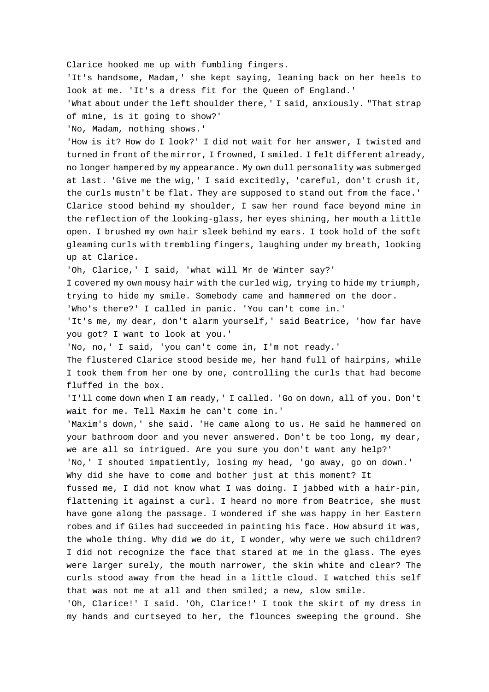Clarice hooked me up with fumbling fingers.

'It's handsome, Madam,' she kept saying, leaning back on her heels to look at me. 'It's a dress fit for the Queen of England.'

'What about under the left shoulder there,' I said, anxiously. "That strap of mine, is it going to show?'

'No, Madam, nothing shows.'

'How is it? How do I look?' I did not wait for her answer, I twisted and turned in front of the mirror, I frowned, I smiled. I felt different already, no longer hampered by my appearance. My own dull personality was submerged at last. 'Give me the wig,' I said excitedly, 'careful, don't crush it, the curls mustn't be flat. They are supposed to stand out from the face.' Clarice stood behind my shoulder, I saw her round face beyond mine in the reflection of the looking-glass, her eyes shining, her mouth a little open. I brushed my own hair sleek behind my ears. I took hold of the soft gleaming curls with trembling fingers, laughing under my breath, looking up at Clarice.

'Oh, Clarice,' I said, 'what will Mr de Winter say?'

I covered my own mousy hair with the curled wig, trying to hide my triumph, trying to hide my smile. Somebody came and hammered on the door.

'Who's there?' I called in panic. 'You can't come in.'

'It's me, my dear, don't alarm yourself,' said Beatrice, 'how far have you got? I want to look at you.'

'No, no,' I said, 'you can't come in, I'm not ready.'

The flustered Clarice stood beside me, her hand full of hairpins, while I took them from her one by one, controlling the curls that had become fluffed in the box.

'I'll come down when I am ready,' I called. 'Go on down, all of you. Don't wait for me. Tell Maxim he can't come in.'

'Maxim's down,' she said. 'He came along to us. He said he hammered on your bathroom door and you never answered. Don't be too long, my dear, we are all so intrigued. Are you sure you don't want any help?'

'No,' I shouted impatiently, losing my head, 'go away, go on down.'

Why did she have to come and bother just at this moment? It

fussed me, I did not know what I was doing. I jabbed with a hair-pin, flattening it against a curl. I heard no more from Beatrice, she must have gone along the passage. I wondered if she was happy in her Eastern robes and if Giles had succeeded in painting his face. How absurd it was, the whole thing. Why did we do it, I wonder, why were we such children? I did not recognize the face that stared at me in the glass. The eyes were larger surely, the mouth narrower, the skin white and clear? The curls stood away from the head in a little cloud. I watched this self that was not me at all and then smiled; a new, slow smile.

'Oh, Clarice!' I said. 'Oh, Clarice!' I took the skirt of my dress in my hands and curtseyed to her, the flounces sweeping the ground. She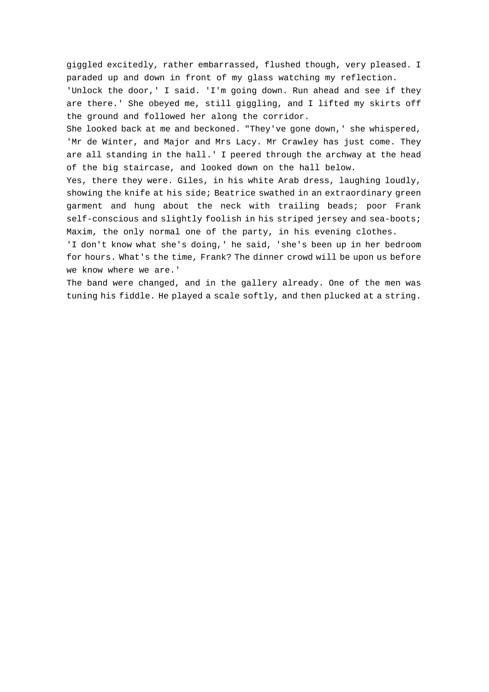giggled excitedly, rather embarrassed, flushed though, very pleased. I paraded up and down in front of my glass watching my reflection.

'Unlock the door,' I said. 'I'm going down. Run ahead and see if they are there.' She obeyed me, still giggling, and I lifted my skirts off the ground and followed her along the corridor.

She looked back at me and beckoned. "They've gone down,' she whispered, 'Mr de Winter, and Major and Mrs Lacy. Mr Crawley has just come. They are all standing in the hall.' I peered through the archway at the head of the big staircase, and looked down on the hall below.

Yes, there they were. Giles, in his white Arab dress, laughing loudly, showing the knife at his side; Beatrice swathed in an extraordinary green garment and hung about the neck with trailing beads; poor Frank self-conscious and slightly foolish in his striped jersey and sea-boots; Maxim, the only normal one of the party, in his evening clothes.

'I don't know what she's doing,' he said, 'she's been up in her bedroom for hours. What's the time, Frank? The dinner crowd will be upon us before we know where we are.'

The band were changed, and in the gallery already. One of the men was tuning his fiddle. He played a scale softly, and then plucked at a string.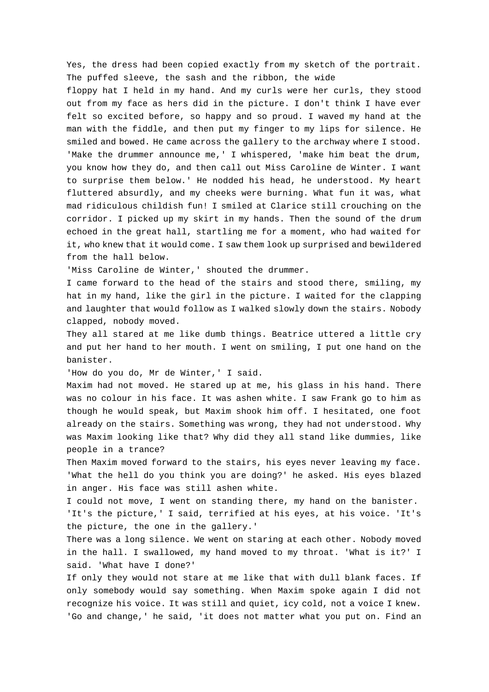Yes, the dress had been copied exactly from my sketch of the portrait. The puffed sleeve, the sash and the ribbon, the wide

floppy hat I held in my hand. And my curls were her curls, they stood out from my face as hers did in the picture. I don't think I have ever felt so excited before, so happy and so proud. I waved my hand at the man with the fiddle, and then put my finger to my lips for silence. He smiled and bowed. He came across the gallery to the archway where I stood. 'Make the drummer announce me,' I whispered, 'make him beat the drum, you know how they do, and then call out Miss Caroline de Winter. I want to surprise them below.' He nodded his head, he understood. My heart fluttered absurdly, and my cheeks were burning. What fun it was, what mad ridiculous childish fun! I smiled at Clarice still crouching on the corridor. I picked up my skirt in my hands. Then the sound of the drum echoed in the great hall, startling me for a moment, who had waited for it, who knew that it would come. I saw them look up surprised and bewildered from the hall below.

'Miss Caroline de Winter,' shouted the drummer.

I came forward to the head of the stairs and stood there, smiling, my hat in my hand, like the girl in the picture. I waited for the clapping and laughter that would follow as I walked slowly down the stairs. Nobody clapped, nobody moved.

They all stared at me like dumb things. Beatrice uttered a little cry and put her hand to her mouth. I went on smiling, I put one hand on the banister.

'How do you do, Mr de Winter,' I said.

Maxim had not moved. He stared up at me, his glass in his hand. There was no colour in his face. It was ashen white. I saw Frank go to him as though he would speak, but Maxim shook him off. I hesitated, one foot already on the stairs. Something was wrong, they had not understood. Why was Maxim looking like that? Why did they all stand like dummies, like people in a trance?

Then Maxim moved forward to the stairs, his eyes never leaving my face. 'What the hell do you think you are doing?' he asked. His eyes blazed in anger. His face was still ashen white.

I could not move, I went on standing there, my hand on the banister. 'It's the picture,' I said, terrified at his eyes, at his voice. 'It's the picture, the one in the gallery.'

There was a long silence. We went on staring at each other. Nobody moved in the hall. I swallowed, my hand moved to my throat. 'What is it?' I said. 'What have I done?'

If only they would not stare at me like that with dull blank faces. If only somebody would say something. When Maxim spoke again I did not recognize his voice. It was still and quiet, icy cold, not a voice I knew. 'Go and change,' he said, 'it does not matter what you put on. Find an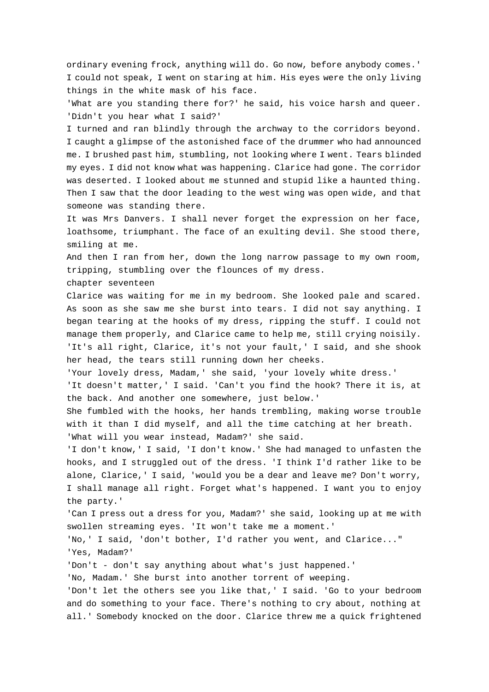ordinary evening frock, anything will do. Go now, before anybody comes.' I could not speak, I went on staring at him. His eyes were the only living things in the white mask of his face.

'What are you standing there for?' he said, his voice harsh and queer. 'Didn't you hear what I said?'

I turned and ran blindly through the archway to the corridors beyond. I caught a glimpse of the astonished face of the drummer who had announced me. I brushed past him, stumbling, not looking where I went. Tears blinded my eyes. I did not know what was happening. Clarice had gone. The corridor was deserted. I looked about me stunned and stupid like a haunted thing. Then I saw that the door leading to the west wing was open wide, and that someone was standing there.

It was Mrs Danvers. I shall never forget the expression on her face, loathsome, triumphant. The face of an exulting devil. She stood there, smiling at me.

And then I ran from her, down the long narrow passage to my own room, tripping, stumbling over the flounces of my dress.

chapter seventeen

Clarice was waiting for me in my bedroom. She looked pale and scared. As soon as she saw me she burst into tears. I did not say anything. I began tearing at the hooks of my dress, ripping the stuff. I could not manage them properly, and Clarice came to help me, still crying noisily. 'It's all right, Clarice, it's not your fault,' I said, and she shook her head, the tears still running down her cheeks.

'Your lovely dress, Madam,' she said, 'your lovely white dress.'

'It doesn't matter,' I said. 'Can't you find the hook? There it is, at the back. And another one somewhere, just below.'

She fumbled with the hooks, her hands trembling, making worse trouble with it than I did myself, and all the time catching at her breath. 'What will you wear instead, Madam?' she said.

'I don't know,' I said, 'I don't know.' She had managed to unfasten the hooks, and I struggled out of the dress. 'I think I'd rather like to be alone, Clarice,' I said, 'would you be a dear and leave me? Don't worry, I shall manage all right. Forget what's happened. I want you to enjoy the party.'

'Can I press out a dress for you, Madam?' she said, looking up at me with swollen streaming eyes. 'It won't take me a moment.'

'No,' I said, 'don't bother, I'd rather you went, and Clarice..." 'Yes, Madam?'

'Don't - don't say anything about what's just happened.'

'No, Madam.' She burst into another torrent of weeping.

'Don't let the others see you like that,' I said. 'Go to your bedroom and do something to your face. There's nothing to cry about, nothing at all.' Somebody knocked on the door. Clarice threw me a quick frightened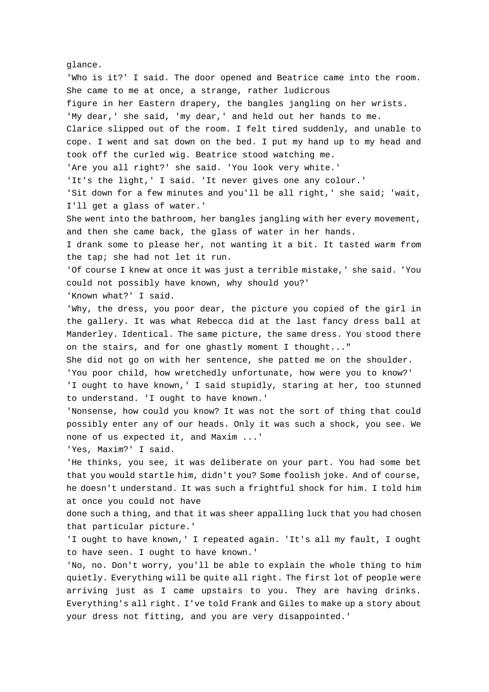glance. 'Who is it?' I said. The door opened and Beatrice came into the room. She came to me at once, a strange, rather ludicrous figure in her Eastern drapery, the bangles jangling on her wrists. 'My dear,' she said, 'my dear,' and held out her hands to me. Clarice slipped out of the room. I felt tired suddenly, and unable to cope. I went and sat down on the bed. I put my hand up to my head and took off the curled wig. Beatrice stood watching me. 'Are you all right?' she said. 'You look very white.' 'It's the light,' I said. 'It never gives one any colour.' 'Sit down for a few minutes and you'll be all right,' she said; 'wait, I'll get a glass of water.' She went into the bathroom, her bangles jangling with her every movement, and then she came back, the glass of water in her hands. I drank some to please her, not wanting it a bit. It tasted warm from the tap; she had not let it run. 'Of course I knew at once it was just a terrible mistake,' she said. 'You could not possibly have known, why should you?' 'Known what?' I said. 'Why, the dress, you poor dear, the picture you copied of the girl in the gallery. It was what Rebecca did at the last fancy dress ball at Manderley. Identical. The same picture, the same dress. You stood there on the stairs, and for one ghastly moment I thought..." She did not go on with her sentence, she patted me on the shoulder. 'You poor child, how wretchedly unfortunate, how were you to know?' 'I ought to have known,' I said stupidly, staring at her, too stunned to understand. 'I ought to have known.' 'Nonsense, how could you know? It was not the sort of thing that could possibly enter any of our heads. Only it was such a shock, you see. We none of us expected it, and Maxim ...' 'Yes, Maxim?' I said. 'He thinks, you see, it was deliberate on your part. You had some bet that you would startle him, didn't you? Some foolish joke. And of course, he doesn't understand. It was such a frightful shock for him. I told him at once you could not have done such a thing, and that it was sheer appalling luck that you had chosen that particular picture.' 'I ought to have known,' I repeated again. 'It's all my fault, I ought to have seen. I ought to have known.' 'No, no. Don't worry, you'll be able to explain the whole thing to him quietly. Everything will be quite all right. The first lot of people were arriving just as I came upstairs to you. They are having drinks. Everything's all right. I've told Frank and Giles to make up a story about your dress not fitting, and you are very disappointed.'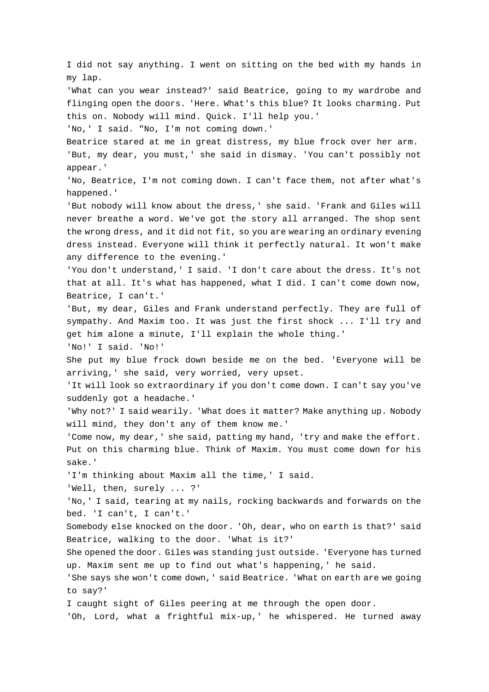I did not say anything. I went on sitting on the bed with my hands in my lap. 'What can you wear instead?' said Beatrice, going to my wardrobe and flinging open the doors. 'Here. What's this blue? It looks charming. Put this on. Nobody will mind. Quick. I'll help you.' 'No,' I said. "No, I'm not coming down.' Beatrice stared at me in great distress, my blue frock over her arm. 'But, my dear, you must,' she said in dismay. 'You can't possibly not appear.' 'No, Beatrice, I'm not coming down. I can't face them, not after what's happened.' 'But nobody will know about the dress,' she said. 'Frank and Giles will never breathe a word. We've got the story all arranged. The shop sent the wrong dress, and it did not fit, so you are wearing an ordinary evening dress instead. Everyone will think it perfectly natural. It won't make any difference to the evening.' 'You don't understand,' I said. 'I don't care about the dress. It's not that at all. It's what has happened, what I did. I can't come down now, Beatrice, I can't.' 'But, my dear, Giles and Frank understand perfectly. They are full of sympathy. And Maxim too. It was just the first shock ... I'll try and get him alone a minute, I'll explain the whole thing.' 'No!' I said. 'No!' She put my blue frock down beside me on the bed. 'Everyone will be arriving,' she said, very worried, very upset. 'It will look so extraordinary if you don't come down. I can't say you've suddenly got a headache.' 'Why not?' I said wearily. 'What does it matter? Make anything up. Nobody will mind, they don't any of them know me.' 'Come now, my dear,' she said, patting my hand, 'try and make the effort. Put on this charming blue. Think of Maxim. You must come down for his sake.' 'I'm thinking about Maxim all the time,' I said. 'Well, then, surely ... ?' 'No,' I said, tearing at my nails, rocking backwards and forwards on the bed. 'I can't, I can't.' Somebody else knocked on the door. 'Oh, dear, who on earth is that?' said Beatrice, walking to the door. 'What is it?' She opened the door. Giles was standing just outside. 'Everyone has turned up. Maxim sent me up to find out what's happening,' he said. 'She says she won't come down,' said Beatrice. 'What on earth are we going to say?' I caught sight of Giles peering at me through the open door. 'Oh, Lord, what a frightful mix-up,' he whispered. He turned away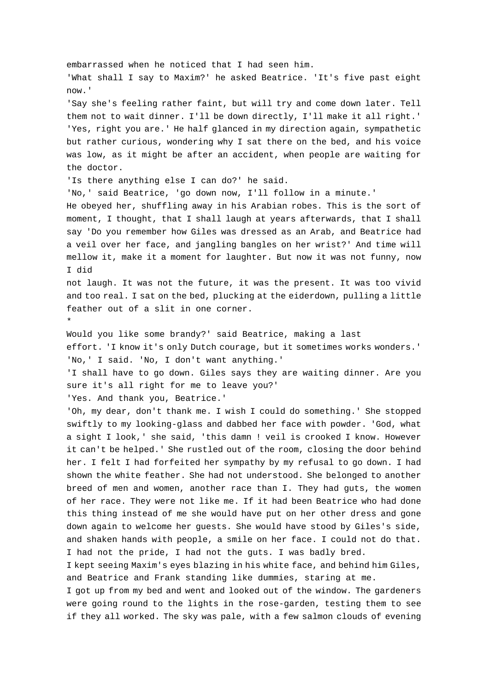embarrassed when he noticed that I had seen him. 'What shall I say to Maxim?' he asked Beatrice. 'It's five past eight now.' 'Say she's feeling rather faint, but will try and come down later. Tell them not to wait dinner. I'll be down directly, I'll make it all right.' 'Yes, right you are.' He half glanced in my direction again, sympathetic but rather curious, wondering why I sat there on the bed, and his voice was low, as it might be after an accident, when people are waiting for the doctor. 'Is there anything else I can do?' he said. 'No,' said Beatrice, 'go down now, I'll follow in a minute.' He obeyed her, shuffling away in his Arabian robes. This is the sort of moment, I thought, that I shall laugh at years afterwards, that I shall say 'Do you remember how Giles was dressed as an Arab, and Beatrice had a veil over her face, and jangling bangles on her wrist?' And time will mellow it, make it a moment for laughter. But now it was not funny, now I did not laugh. It was not the future, it was the present. It was too vivid and too real. I sat on the bed, plucking at the eiderdown, pulling a little feather out of a slit in one corner. \* Would you like some brandy?' said Beatrice, making a last effort. 'I know it's only Dutch courage, but it sometimes works wonders.' 'No,' I said. 'No, I don't want anything.' 'I shall have to go down. Giles says they are waiting dinner. Are you sure it's all right for me to leave you?' 'Yes. And thank you, Beatrice.' 'Oh, my dear, don't thank me. I wish I could do something.' She stopped swiftly to my looking-glass and dabbed her face with powder. 'God, what a sight I look,' she said, 'this damn ! veil is crooked I know. However it can't be helped.' She rustled out of the room, closing the door behind her. I felt I had forfeited her sympathy by my refusal to go down. I had shown the white feather. She had not understood. She belonged to another breed of men and women, another race than I. They had guts, the women of her race. They were not like me. If it had been Beatrice who had done this thing instead of me she would have put on her other dress and gone down again to welcome her guests. She would have stood by Giles's side, and shaken hands with people, a smile on her face. I could not do that. I had not the pride, I had not the guts. I was badly bred. I kept seeing Maxim's eyes blazing in his white face, and behind him Giles, and Beatrice and Frank standing like dummies, staring at me. I got up from my bed and went and looked out of the window. The gardeners

were going round to the lights in the rose-garden, testing them to see if they all worked. The sky was pale, with a few salmon clouds of evening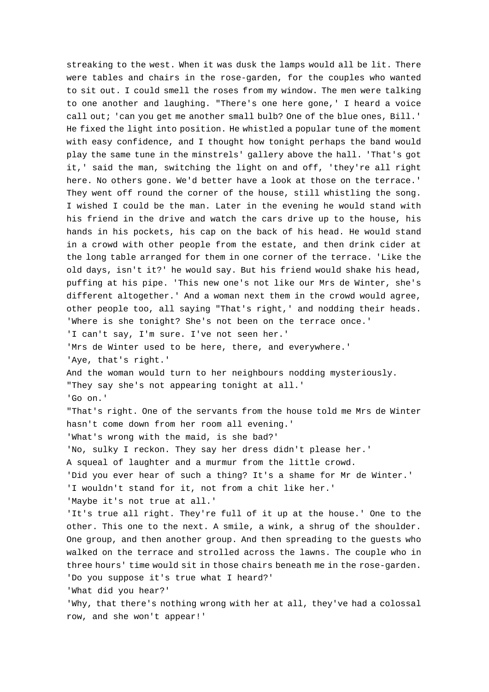streaking to the west. When it was dusk the lamps would all be lit. There were tables and chairs in the rose-garden, for the couples who wanted to sit out. I could smell the roses from my window. The men were talking to one another and laughing. "There's one here gone,' I heard a voice call out; 'can you get me another small bulb? One of the blue ones, Bill.' He fixed the light into position. He whistled a popular tune of the moment with easy confidence, and I thought how tonight perhaps the band would play the same tune in the minstrels' gallery above the hall. 'That's got it,' said the man, switching the light on and off, 'they're all right here. No others gone. We'd better have a look at those on the terrace.' They went off round the corner of the house, still whistling the song. I wished I could be the man. Later in the evening he would stand with his friend in the drive and watch the cars drive up to the house, his hands in his pockets, his cap on the back of his head. He would stand in a crowd with other people from the estate, and then drink cider at the long table arranged for them in one corner of the terrace. 'Like the old days, isn't it?' he would say. But his friend would shake his head, puffing at his pipe. 'This new one's not like our Mrs de Winter, she's different altogether.' And a woman next them in the crowd would agree, other people too, all saying "That's right,' and nodding their heads. 'Where is she tonight? She's not been on the terrace once.' 'I can't say, I'm sure. I've not seen her.' 'Mrs de Winter used to be here, there, and everywhere.' 'Aye, that's right.' And the woman would turn to her neighbours nodding mysteriously. "They say she's not appearing tonight at all.' 'Go on.' "That's right. One of the servants from the house told me Mrs de Winter hasn't come down from her room all evening.' 'What's wrong with the maid, is she bad?' 'No, sulky I reckon. They say her dress didn't please her.' A squeal of laughter and a murmur from the little crowd. 'Did you ever hear of such a thing? It's a shame for Mr de Winter.' 'I wouldn't stand for it, not from a chit like her.' 'Maybe it's not true at all.' 'It's true all right. They're full of it up at the house.' One to the other. This one to the next. A smile, a wink, a shrug of the shoulder. One group, and then another group. And then spreading to the guests who walked on the terrace and strolled across the lawns. The couple who in three hours' time would sit in those chairs beneath me in the rose-garden. 'Do you suppose it's true what I heard?' 'What did you hear?' 'Why, that there's nothing wrong with her at all, they've had a colossal row, and she won't appear!'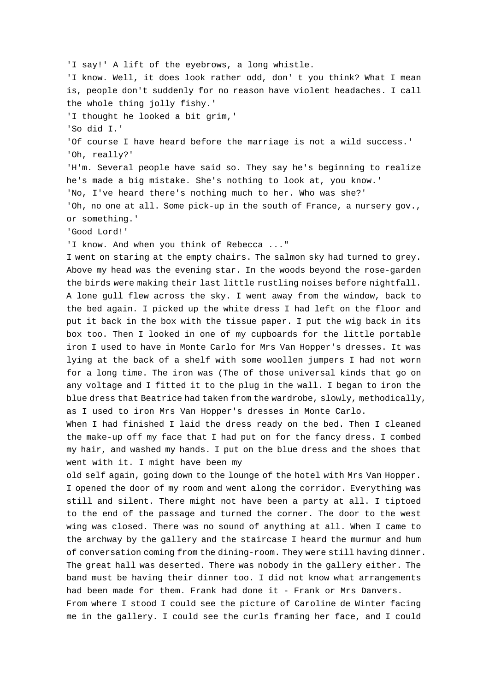'I say!' A lift of the eyebrows, a long whistle. 'I know. Well, it does look rather odd, don' t you think? What I mean is, people don't suddenly for no reason have violent headaches. I call the whole thing jolly fishy.' 'I thought he looked a bit grim,' 'So did I.' 'Of course I have heard before the marriage is not a wild success.' 'Oh, really?' 'H'm. Several people have said so. They say he's beginning to realize he's made a big mistake. She's nothing to look at, you know.' 'No, I've heard there's nothing much to her. Who was she?' 'Oh, no one at all. Some pick-up in the south of France, a nursery gov., or something.' 'Good Lord!' 'I know. And when you think of Rebecca ..." I went on staring at the empty chairs. The salmon sky had turned to grey. Above my head was the evening star. In the woods beyond the rose-garden the birds were making their last little rustling noises before nightfall.

A lone gull flew across the sky. I went away from the window, back to the bed again. I picked up the white dress I had left on the floor and put it back in the box with the tissue paper. I put the wig back in its box too. Then I looked in one of my cupboards for the little portable iron I used to have in Monte Carlo for Mrs Van Hopper's dresses. It was lying at the back of a shelf with some woollen jumpers I had not worn for a long time. The iron was (The of those universal kinds that go on any voltage and I fitted it to the plug in the wall. I began to iron the blue dress that Beatrice had taken from the wardrobe, slowly, methodically, as I used to iron Mrs Van Hopper's dresses in Monte Carlo.

When I had finished I laid the dress ready on the bed. Then I cleaned the make-up off my face that I had put on for the fancy dress. I combed my hair, and washed my hands. I put on the blue dress and the shoes that went with it. I might have been my

old self again, going down to the lounge of the hotel with Mrs Van Hopper. I opened the door of my room and went along the corridor. Everything was still and silent. There might not have been a party at all. I tiptoed to the end of the passage and turned the corner. The door to the west wing was closed. There was no sound of anything at all. When I came to the archway by the gallery and the staircase I heard the murmur and hum of conversation coming from the dining-room. They were still having dinner. The great hall was deserted. There was nobody in the gallery either. The band must be having their dinner too. I did not know what arrangements had been made for them. Frank had done it - Frank or Mrs Danvers. From where I stood I could see the picture of Caroline de Winter facing me in the gallery. I could see the curls framing her face, and I could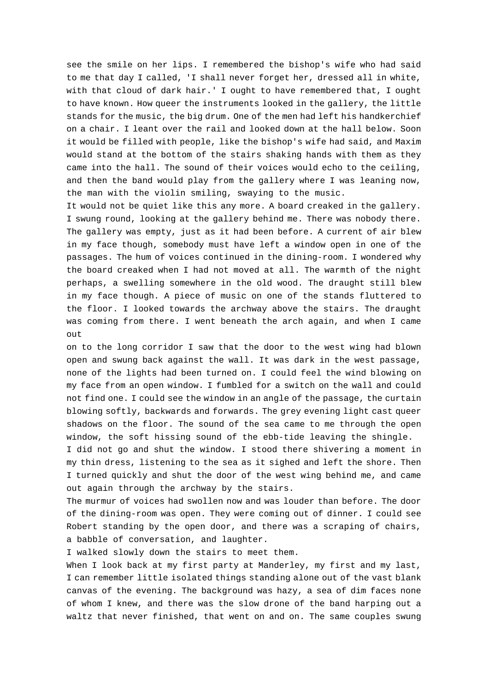see the smile on her lips. I remembered the bishop's wife who had said to me that day I called, 'I shall never forget her, dressed all in white, with that cloud of dark hair.' I ought to have remembered that, I ought to have known. How queer the instruments looked in the gallery, the little stands for the music, the big drum. One of the men had left his handkerchief on a chair. I leant over the rail and looked down at the hall below. Soon it would be filled with people, like the bishop's wife had said, and Maxim would stand at the bottom of the stairs shaking hands with them as they came into the hall. The sound of their voices would echo to the ceiling, and then the band would play from the gallery where I was leaning now, the man with the violin smiling, swaying to the music.

It would not be quiet like this any more. A board creaked in the gallery. I swung round, looking at the gallery behind me. There was nobody there. The gallery was empty, just as it had been before. A current of air blew in my face though, somebody must have left a window open in one of the passages. The hum of voices continued in the dining-room. I wondered why the board creaked when I had not moved at all. The warmth of the night perhaps, a swelling somewhere in the old wood. The draught still blew in my face though. A piece of music on one of the stands fluttered to the floor. I looked towards the archway above the stairs. The draught was coming from there. I went beneath the arch again, and when I came out

on to the long corridor I saw that the door to the west wing had blown open and swung back against the wall. It was dark in the west passage, none of the lights had been turned on. I could feel the wind blowing on my face from an open window. I fumbled for a switch on the wall and could not find one. I could see the window in an angle of the passage, the curtain blowing softly, backwards and forwards. The grey evening light cast queer shadows on the floor. The sound of the sea came to me through the open window, the soft hissing sound of the ebb-tide leaving the shingle.

I did not go and shut the window. I stood there shivering a moment in my thin dress, listening to the sea as it sighed and left the shore. Then I turned quickly and shut the door of the west wing behind me, and came out again through the archway by the stairs.

The murmur of voices had swollen now and was louder than before. The door of the dining-room was open. They were coming out of dinner. I could see Robert standing by the open door, and there was a scraping of chairs, a babble of conversation, and laughter.

I walked slowly down the stairs to meet them.

When I look back at my first party at Manderley, my first and my last, I can remember little isolated things standing alone out of the vast blank canvas of the evening. The background was hazy, a sea of dim faces none of whom I knew, and there was the slow drone of the band harping out a waltz that never finished, that went on and on. The same couples swung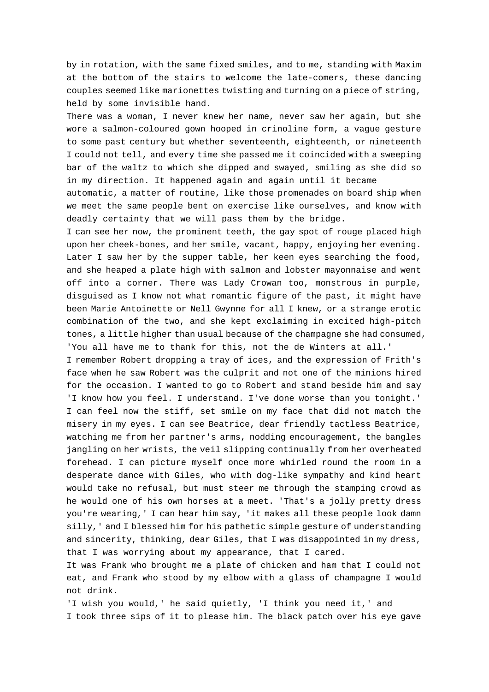by in rotation, with the same fixed smiles, and to me, standing with Maxim at the bottom of the stairs to welcome the late-comers, these dancing couples seemed like marionettes twisting and turning on a piece of string, held by some invisible hand.

There was a woman, I never knew her name, never saw her again, but she wore a salmon-coloured gown hooped in crinoline form, a vague gesture to some past century but whether seventeenth, eighteenth, or nineteenth I could not tell, and every time she passed me it coincided with a sweeping bar of the waltz to which she dipped and swayed, smiling as she did so in my direction. It happened again and again until it became

automatic, a matter of routine, like those promenades on board ship when we meet the same people bent on exercise like ourselves, and know with deadly certainty that we will pass them by the bridge.

I can see her now, the prominent teeth, the gay spot of rouge placed high upon her cheek-bones, and her smile, vacant, happy, enjoying her evening. Later I saw her by the supper table, her keen eyes searching the food, and she heaped a plate high with salmon and lobster mayonnaise and went off into a corner. There was Lady Crowan too, monstrous in purple, disguised as I know not what romantic figure of the past, it might have been Marie Antoinette or Nell Gwynne for all I knew, or a strange erotic combination of the two, and she kept exclaiming in excited high-pitch tones, a little higher than usual because of the champagne she had consumed, 'You all have me to thank for this, not the de Winters at all.'

I remember Robert dropping a tray of ices, and the expression of Frith's face when he saw Robert was the culprit and not one of the minions hired for the occasion. I wanted to go to Robert and stand beside him and say 'I know how you feel. I understand. I've done worse than you tonight.' I can feel now the stiff, set smile on my face that did not match the misery in my eyes. I can see Beatrice, dear friendly tactless Beatrice, watching me from her partner's arms, nodding encouragement, the bangles jangling on her wrists, the veil slipping continually from her overheated forehead. I can picture myself once more whirled round the room in a desperate dance with Giles, who with dog-like sympathy and kind heart would take no refusal, but must steer me through the stamping crowd as he would one of his own horses at a meet. 'That's a jolly pretty dress you're wearing,' I can hear him say, 'it makes all these people look damn silly,' and I blessed him for his pathetic simple gesture of understanding and sincerity, thinking, dear Giles, that I was disappointed in my dress, that I was worrying about my appearance, that I cared.

It was Frank who brought me a plate of chicken and ham that I could not eat, and Frank who stood by my elbow with a glass of champagne I would not drink.

'I wish you would,' he said quietly, 'I think you need it,' and I took three sips of it to please him. The black patch over his eye gave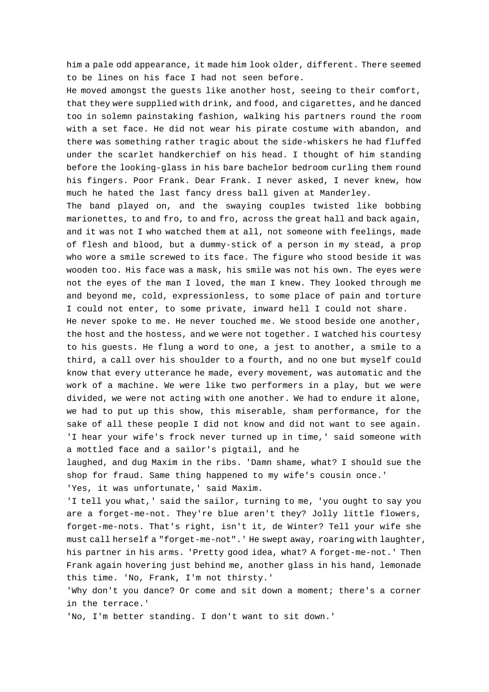him a pale odd appearance, it made him look older, different. There seemed to be lines on his face I had not seen before.

He moved amongst the guests like another host, seeing to their comfort, that they were supplied with drink, and food, and cigarettes, and he danced too in solemn painstaking fashion, walking his partners round the room with a set face. He did not wear his pirate costume with abandon, and there was something rather tragic about the side-whiskers he had fluffed under the scarlet handkerchief on his head. I thought of him standing before the looking-glass in his bare bachelor bedroom curling them round his fingers. Poor Frank. Dear Frank. I never asked, I never knew, how much he hated the last fancy dress ball given at Manderley.

The band played on, and the swaying couples twisted like bobbing marionettes, to and fro, to and fro, across the great hall and back again, and it was not I who watched them at all, not someone with feelings, made of flesh and blood, but a dummy-stick of a person in my stead, a prop who wore a smile screwed to its face. The figure who stood beside it was wooden too. His face was a mask, his smile was not his own. The eyes were not the eyes of the man I loved, the man I knew. They looked through me and beyond me, cold, expressionless, to some place of pain and torture I could not enter, to some private, inward hell I could not share.

He never spoke to me. He never touched me. We stood beside one another, the host and the hostess, and we were not together. I watched his courtesy to his guests. He flung a word to one, a jest to another, a smile to a third, a call over his shoulder to a fourth, and no one but myself could know that every utterance he made, every movement, was automatic and the work of a machine. We were like two performers in a play, but we were divided, we were not acting with one another. We had to endure it alone, we had to put up this show, this miserable, sham performance, for the sake of all these people I did not know and did not want to see again. 'I hear your wife's frock never turned up in time,' said someone with a mottled face and a sailor's pigtail, and he

laughed, and dug Maxim in the ribs. 'Damn shame, what? I should sue the shop for fraud. Same thing happened to my wife's cousin once.' 'Yes, it was unfortunate,' said Maxim.

'I tell you what,' said the sailor, turning to me, 'you ought to say you are a forget-me-not. They're blue aren't they? Jolly little flowers, forget-me-nots. That's right, isn't it, de Winter? Tell your wife she must call herself a "forget-me-not".' He swept away, roaring with laughter, his partner in his arms. 'Pretty good idea, what? A forget-me-not.' Then Frank again hovering just behind me, another glass in his hand, lemonade this time. 'No, Frank, I'm not thirsty.'

'Why don't you dance? Or come and sit down a moment; there's a corner in the terrace.'

'No, I'm better standing. I don't want to sit down.'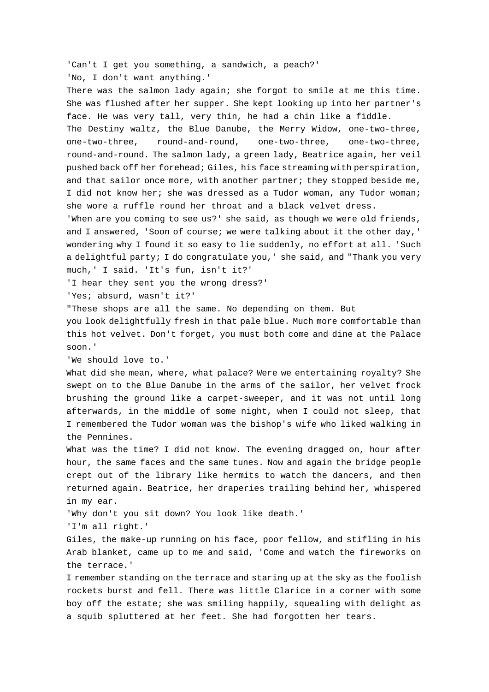'Can't I get you something, a sandwich, a peach?' 'No, I don't want anything.'

There was the salmon lady again; she forgot to smile at me this time. She was flushed after her supper. She kept looking up into her partner's face. He was very tall, very thin, he had a chin like a fiddle.

The Destiny waltz, the Blue Danube, the Merry Widow, one-two-three, one-two-three, round-and-round, one-two-three, one-two-three, round-and-round. The salmon lady, a green lady, Beatrice again, her veil pushed back off her forehead; Giles, his face streaming with perspiration, and that sailor once more, with another partner; they stopped beside me, I did not know her; she was dressed as a Tudor woman, any Tudor woman; she wore a ruffle round her throat and a black velvet dress.

'When are you coming to see us?' she said, as though we were old friends, and I answered, 'Soon of course; we were talking about it the other day,' wondering why I found it so easy to lie suddenly, no effort at all. 'Such a delightful party; I do congratulate you,' she said, and "Thank you very much,' I said. 'It's fun, isn't it?'

'I hear they sent you the wrong dress?'

'Yes; absurd, wasn't it?'

"These shops are all the same. No depending on them. But

you look delightfully fresh in that pale blue. Much more comfortable than this hot velvet. Don't forget, you must both come and dine at the Palace soon.'

'We should love to.'

What did she mean, where, what palace? Were we entertaining royalty? She swept on to the Blue Danube in the arms of the sailor, her velvet frock brushing the ground like a carpet-sweeper, and it was not until long afterwards, in the middle of some night, when I could not sleep, that I remembered the Tudor woman was the bishop's wife who liked walking in the Pennines.

What was the time? I did not know. The evening dragged on, hour after hour, the same faces and the same tunes. Now and again the bridge people crept out of the library like hermits to watch the dancers, and then returned again. Beatrice, her draperies trailing behind her, whispered in my ear.

'Why don't you sit down? You look like death.'

'I'm all right.'

Giles, the make-up running on his face, poor fellow, and stifling in his Arab blanket, came up to me and said, 'Come and watch the fireworks on the terrace.'

I remember standing on the terrace and staring up at the sky as the foolish rockets burst and fell. There was little Clarice in a corner with some boy off the estate; she was smiling happily, squealing with delight as a squib spluttered at her feet. She had forgotten her tears.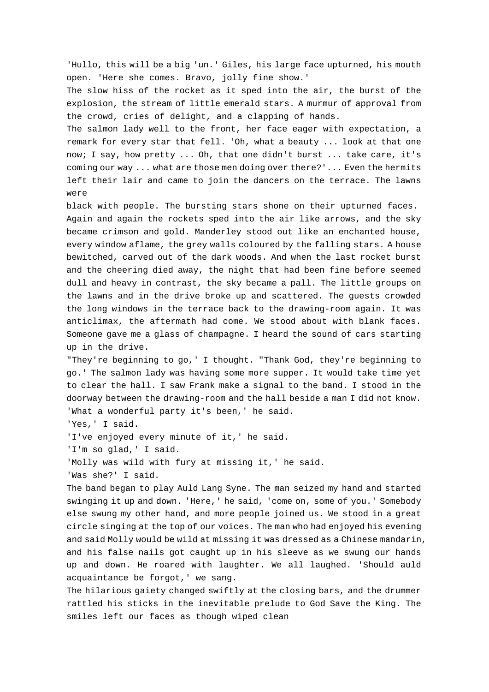'Hullo, this will be a big 'un.' Giles, his large face upturned, his mouth open. 'Here she comes. Bravo, jolly fine show.'

The slow hiss of the rocket as it sped into the air, the burst of the explosion, the stream of little emerald stars. A murmur of approval from the crowd, cries of delight, and a clapping of hands.

The salmon lady well to the front, her face eager with expectation, a remark for every star that fell. 'Oh, what a beauty ... look at that one now; I say, how pretty ... Oh, that one didn't burst ... take care, it's coming our way ... what are those men doing over there?'... Even the hermits left their lair and came to join the dancers on the terrace. The lawns were

black with people. The bursting stars shone on their upturned faces. Again and again the rockets sped into the air like arrows, and the sky became crimson and gold. Manderley stood out like an enchanted house, every window aflame, the grey walls coloured by the falling stars. A house bewitched, carved out of the dark woods. And when the last rocket burst and the cheering died away, the night that had been fine before seemed dull and heavy in contrast, the sky became a pall. The little groups on the lawns and in the drive broke up and scattered. The guests crowded the long windows in the terrace back to the drawing-room again. It was anticlimax, the aftermath had come. We stood about with blank faces. Someone gave me a glass of champagne. I heard the sound of cars starting up in the drive.

"They're beginning to go,' I thought. "Thank God, they're beginning to go.' The salmon lady was having some more supper. It would take time yet to clear the hall. I saw Frank make a signal to the band. I stood in the doorway between the drawing-room and the hall beside a man I did not know. 'What a wonderful party it's been,' he said.

'Yes,' I said.

'I've enjoyed every minute of it,' he said.

'I'm so glad,' I said.

'Molly was wild with fury at missing it,' he said.

'Was she?' I said.

The band began to play Auld Lang Syne. The man seized my hand and started swinging it up and down. 'Here,' he said, 'come on, some of you.' Somebody else swung my other hand, and more people joined us. We stood in a great circle singing at the top of our voices. The man who had enjoyed his evening and said Molly would be wild at missing it was dressed as a Chinese mandarin, and his false nails got caught up in his sleeve as we swung our hands up and down. He roared with laughter. We all laughed. 'Should auld acquaintance be forgot,' we sang.

The hilarious gaiety changed swiftly at the closing bars, and the drummer rattled his sticks in the inevitable prelude to God Save the King. The smiles left our faces as though wiped clean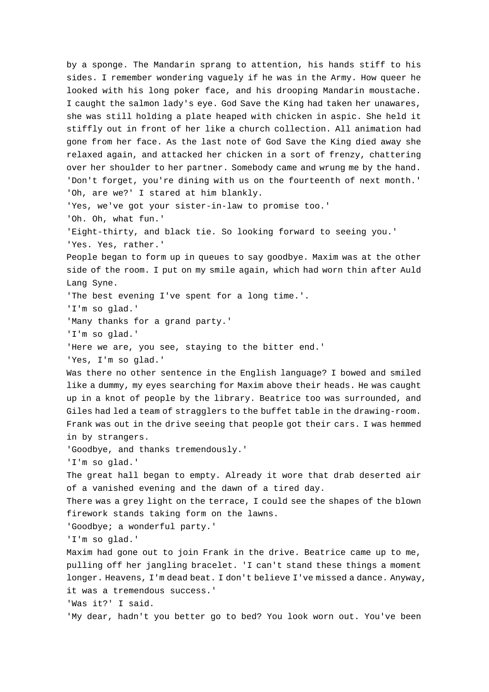by a sponge. The Mandarin sprang to attention, his hands stiff to his sides. I remember wondering vaguely if he was in the Army. How queer he looked with his long poker face, and his drooping Mandarin moustache. I caught the salmon lady's eye. God Save the King had taken her unawares, she was still holding a plate heaped with chicken in aspic. She held it stiffly out in front of her like a church collection. All animation had gone from her face. As the last note of God Save the King died away she relaxed again, and attacked her chicken in a sort of frenzy, chattering over her shoulder to her partner. Somebody came and wrung me by the hand. 'Don't forget, you're dining with us on the fourteenth of next month.' 'Oh, are we?' I stared at him blankly. 'Yes, we've got your sister-in-law to promise too.' 'Oh. Oh, what fun.' 'Eight-thirty, and black tie. So looking forward to seeing you.' 'Yes. Yes, rather.' People began to form up in queues to say goodbye. Maxim was at the other side of the room. I put on my smile again, which had worn thin after Auld Lang Syne. 'The best evening I've spent for a long time.'. 'I'm so glad.' 'Many thanks for a grand party.' 'I'm so glad.' 'Here we are, you see, staying to the bitter end.' 'Yes, I'm so glad.' Was there no other sentence in the English language? I bowed and smiled like a dummy, my eyes searching for Maxim above their heads. He was caught up in a knot of people by the library. Beatrice too was surrounded, and Giles had led a team of stragglers to the buffet table in the drawing-room. Frank was out in the drive seeing that people got their cars. I was hemmed in by strangers. 'Goodbye, and thanks tremendously.' 'I'm so glad.' The great hall began to empty. Already it wore that drab deserted air of a vanished evening and the dawn of a tired day. There was a grey light on the terrace, I could see the shapes of the blown firework stands taking form on the lawns. 'Goodbye; a wonderful party.' 'I'm so glad.' Maxim had gone out to join Frank in the drive. Beatrice came up to me, pulling off her jangling bracelet. 'I can't stand these things a moment longer. Heavens, I'm dead beat. I don't believe I've missed a dance. Anyway, it was a tremendous success.' 'Was it?' I said. 'My dear, hadn't you better go to bed? You look worn out. You've been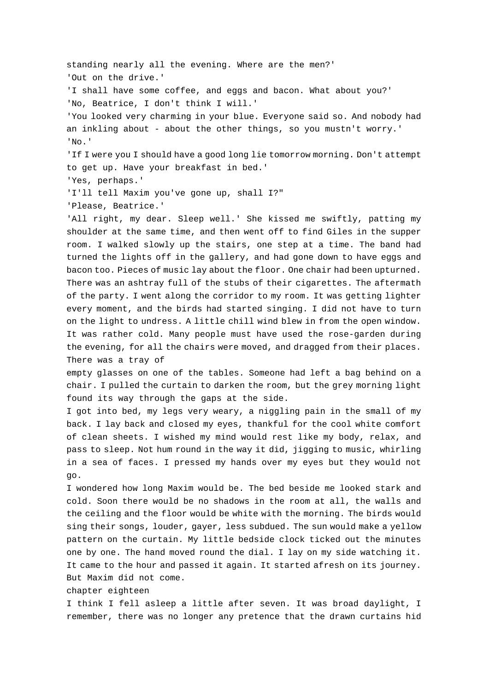standing nearly all the evening. Where are the men?' 'Out on the drive.'

'I shall have some coffee, and eggs and bacon. What about you?' 'No, Beatrice, I don't think I will.'

'You looked very charming in your blue. Everyone said so. And nobody had an inkling about - about the other things, so you mustn't worry.' 'No.'

'If I were you I should have a good long lie tomorrow morning. Don't attempt to get up. Have your breakfast in bed.'

'Yes, perhaps.'

'I'll tell Maxim you've gone up, shall I?"

'Please, Beatrice.'

'All right, my dear. Sleep well.' She kissed me swiftly, patting my shoulder at the same time, and then went off to find Giles in the supper room. I walked slowly up the stairs, one step at a time. The band had turned the lights off in the gallery, and had gone down to have eggs and bacon too. Pieces of music lay about the floor. One chair had been upturned. There was an ashtray full of the stubs of their cigarettes. The aftermath of the party. I went along the corridor to my room. It was getting lighter every moment, and the birds had started singing. I did not have to turn on the light to undress. A little chill wind blew in from the open window. It was rather cold. Many people must have used the rose-garden during the evening, for all the chairs were moved, and dragged from their places. There was a tray of

empty glasses on one of the tables. Someone had left a bag behind on a chair. I pulled the curtain to darken the room, but the grey morning light found its way through the gaps at the side.

I got into bed, my legs very weary, a niggling pain in the small of my back. I lay back and closed my eyes, thankful for the cool white comfort of clean sheets. I wished my mind would rest like my body, relax, and pass to sleep. Not hum round in the way it did, jigging to music, whirling in a sea of faces. I pressed my hands over my eyes but they would not go.

I wondered how long Maxim would be. The bed beside me looked stark and cold. Soon there would be no shadows in the room at all, the walls and the ceiling and the floor would be white with the morning. The birds would sing their songs, louder, gayer, less subdued. The sun would make a yellow pattern on the curtain. My little bedside clock ticked out the minutes one by one. The hand moved round the dial. I lay on my side watching it. It came to the hour and passed it again. It started afresh on its journey. But Maxim did not come.

chapter eighteen

I think I fell asleep a little after seven. It was broad daylight, I remember, there was no longer any pretence that the drawn curtains hid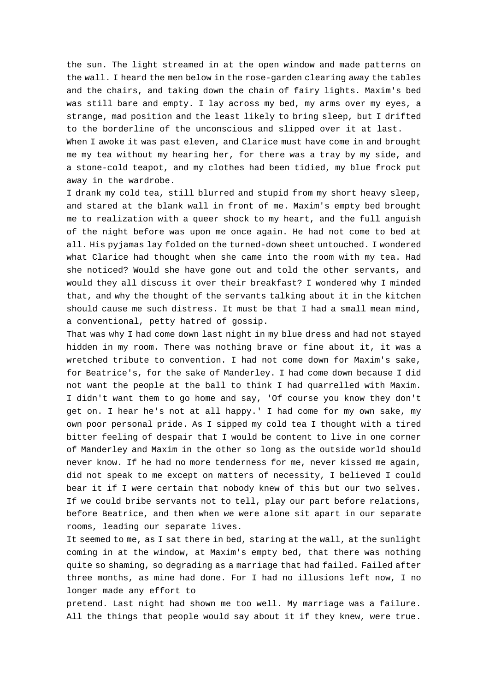the sun. The light streamed in at the open window and made patterns on the wall. I heard the men below in the rose-garden clearing away the tables and the chairs, and taking down the chain of fairy lights. Maxim's bed was still bare and empty. I lay across my bed, my arms over my eyes, a strange, mad position and the least likely to bring sleep, but I drifted to the borderline of the unconscious and slipped over it at last.

When I awoke it was past eleven, and Clarice must have come in and brought me my tea without my hearing her, for there was a tray by my side, and a stone-cold teapot, and my clothes had been tidied, my blue frock put away in the wardrobe.

I drank my cold tea, still blurred and stupid from my short heavy sleep, and stared at the blank wall in front of me. Maxim's empty bed brought me to realization with a queer shock to my heart, and the full anguish of the night before was upon me once again. He had not come to bed at all. His pyjamas lay folded on the turned-down sheet untouched. I wondered what Clarice had thought when she came into the room with my tea. Had she noticed? Would she have gone out and told the other servants, and would they all discuss it over their breakfast? I wondered why I minded that, and why the thought of the servants talking about it in the kitchen should cause me such distress. It must be that I had a small mean mind, a conventional, petty hatred of gossip.

That was why I had come down last night in my blue dress and had not stayed hidden in my room. There was nothing brave or fine about it, it was a wretched tribute to convention. I had not come down for Maxim's sake, for Beatrice's, for the sake of Manderley. I had come down because I did not want the people at the ball to think I had quarrelled with Maxim. I didn't want them to go home and say, 'Of course you know they don't get on. I hear he's not at all happy.' I had come for my own sake, my own poor personal pride. As I sipped my cold tea I thought with a tired bitter feeling of despair that I would be content to live in one corner of Manderley and Maxim in the other so long as the outside world should never know. If he had no more tenderness for me, never kissed me again, did not speak to me except on matters of necessity, I believed I could bear it if I were certain that nobody knew of this but our two selves. If we could bribe servants not to tell, play our part before relations, before Beatrice, and then when we were alone sit apart in our separate rooms, leading our separate lives.

It seemed to me, as I sat there in bed, staring at the wall, at the sunlight coming in at the window, at Maxim's empty bed, that there was nothing quite so shaming, so degrading as a marriage that had failed. Failed after three months, as mine had done. For I had no illusions left now, I no longer made any effort to

pretend. Last night had shown me too well. My marriage was a failure. All the things that people would say about it if they knew, were true.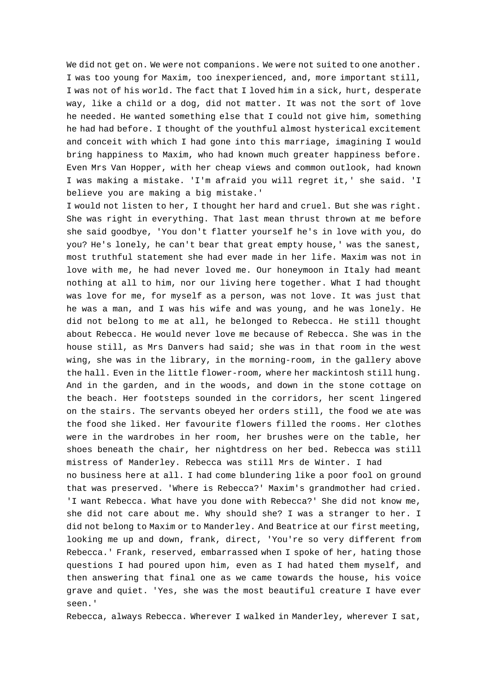We did not get on. We were not companions. We were not suited to one another. I was too young for Maxim, too inexperienced, and, more important still, I was not of his world. The fact that I loved him in a sick, hurt, desperate way, like a child or a dog, did not matter. It was not the sort of love he needed. He wanted something else that I could not give him, something he had had before. I thought of the youthful almost hysterical excitement and conceit with which I had gone into this marriage, imagining I would bring happiness to Maxim, who had known much greater happiness before. Even Mrs Van Hopper, with her cheap views and common outlook, had known I was making a mistake. 'I'm afraid you will regret it,' she said. 'I believe you are making a big mistake.'

I would not listen to her, I thought her hard and cruel. But she was right. She was right in everything. That last mean thrust thrown at me before she said goodbye, 'You don't flatter yourself he's in love with you, do you? He's lonely, he can't bear that great empty house,' was the sanest, most truthful statement she had ever made in her life. Maxim was not in love with me, he had never loved me. Our honeymoon in Italy had meant nothing at all to him, nor our living here together. What I had thought was love for me, for myself as a person, was not love. It was just that he was a man, and I was his wife and was young, and he was lonely. He did not belong to me at all, he belonged to Rebecca. He still thought about Rebecca. He would never love me because of Rebecca. She was in the house still, as Mrs Danvers had said; she was in that room in the west wing, she was in the library, in the morning-room, in the gallery above the hall. Even in the little flower-room, where her mackintosh still hung. And in the garden, and in the woods, and down in the stone cottage on the beach. Her footsteps sounded in the corridors, her scent lingered on the stairs. The servants obeyed her orders still, the food we ate was the food she liked. Her favourite flowers filled the rooms. Her clothes were in the wardrobes in her room, her brushes were on the table, her shoes beneath the chair, her nightdress on her bed. Rebecca was still mistress of Manderley. Rebecca was still Mrs de Winter. I had no business here at all. I had come blundering like a poor fool on ground that was preserved. 'Where is Rebecca?' Maxim's grandmother had cried. 'I want Rebecca. What have you done with Rebecca?' She did not know me, she did not care about me. Why should she? I was a stranger to her. I did not belong to Maxim or to Manderley. And Beatrice at our first meeting, looking me up and down, frank, direct, 'You're so very different from Rebecca.' Frank, reserved, embarrassed when I spoke of her, hating those questions I had poured upon him, even as I had hated them myself, and

then answering that final one as we came towards the house, his voice grave and quiet. 'Yes, she was the most beautiful creature I have ever seen.'

Rebecca, always Rebecca. Wherever I walked in Manderley, wherever I sat,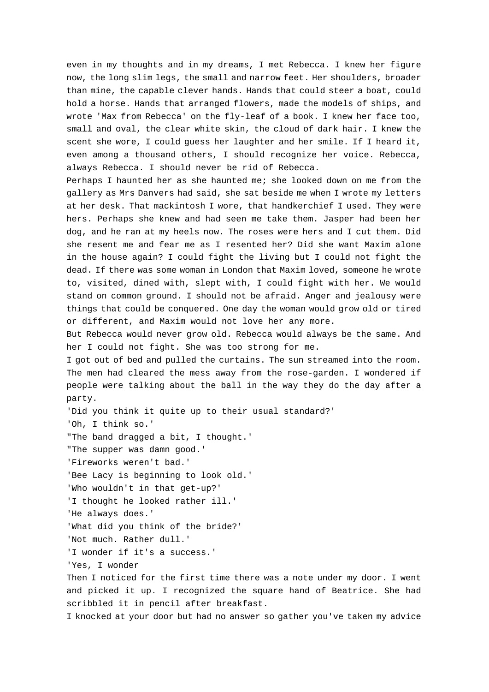even in my thoughts and in my dreams, I met Rebecca. I knew her figure now, the long slim legs, the small and narrow feet. Her shoulders, broader than mine, the capable clever hands. Hands that could steer a boat, could hold a horse. Hands that arranged flowers, made the models of ships, and wrote 'Max from Rebecca' on the fly-leaf of a book. I knew her face too, small and oval, the clear white skin, the cloud of dark hair. I knew the scent she wore, I could guess her laughter and her smile. If I heard it, even among a thousand others, I should recognize her voice. Rebecca, always Rebecca. I should never be rid of Rebecca.

Perhaps I haunted her as she haunted me; she looked down on me from the gallery as Mrs Danvers had said, she sat beside me when I wrote my letters at her desk. That mackintosh I wore, that handkerchief I used. They were hers. Perhaps she knew and had seen me take them. Jasper had been her dog, and he ran at my heels now. The roses were hers and I cut them. Did she resent me and fear me as I resented her? Did she want Maxim alone in the house again? I could fight the living but I could not fight the dead. If there was some woman in London that Maxim loved, someone he wrote to, visited, dined with, slept with, I could fight with her. We would stand on common ground. I should not be afraid. Anger and jealousy were things that could be conquered. One day the woman would grow old or tired or different, and Maxim would not love her any more.

But Rebecca would never grow old. Rebecca would always be the same. And her I could not fight. She was too strong for me.

I got out of bed and pulled the curtains. The sun streamed into the room. The men had cleared the mess away from the rose-garden. I wondered if people were talking about the ball in the way they do the day after a party.

'Did you think it quite up to their usual standard?'

'Oh, I think so.'

"The band dragged a bit, I thought.'

"The supper was damn good.'

'Fireworks weren't bad.'

'Bee Lacy is beginning to look old.'

'Who wouldn't in that get-up?'

'I thought he looked rather ill.'

'He always does.'

'What did you think of the bride?'

'Not much. Rather dull.'

'I wonder if it's a success.'

'Yes, I wonder

Then I noticed for the first time there was a note under my door. I went and picked it up. I recognized the square hand of Beatrice. She had scribbled it in pencil after breakfast.

I knocked at your door but had no answer so gather you've taken my advice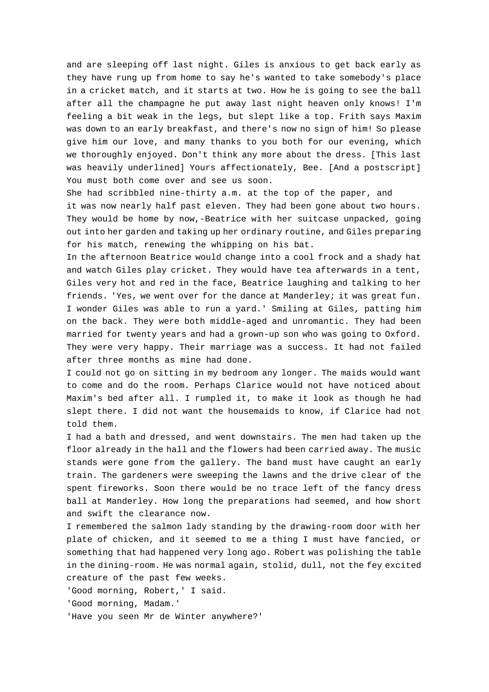and are sleeping off last night. Giles is anxious to get back early as they have rung up from home to say he's wanted to take somebody's place in a cricket match, and it starts at two. How he is going to see the ball after all the champagne he put away last night heaven only knows! I'm feeling a bit weak in the legs, but slept like a top. Frith says Maxim was down to an early breakfast, and there's now no sign of him! So please give him our love, and many thanks to you both for our evening, which we thoroughly enjoyed. Don't think any more about the dress. [This last was heavily underlined] Yours affectionately, Bee. [And a postscript] You must both come over and see us soon.

She had scribbled nine-thirty a.m. at the top of the paper, and it was now nearly half past eleven. They had been gone about two hours. They would be home by now,-Beatrice with her suitcase unpacked, going out into her garden and taking up her ordinary routine, and Giles preparing for his match, renewing the whipping on his bat.

In the afternoon Beatrice would change into a cool frock and a shady hat and watch Giles play cricket. They would have tea afterwards in a tent, Giles very hot and red in the face, Beatrice laughing and talking to her friends. 'Yes, we went over for the dance at Manderley; it was great fun. I wonder Giles was able to run a yard.' Smiling at Giles, patting him on the back. They were both middle-aged and unromantic. They had been married for twenty years and had a grown-up son who was going to Oxford. They were very happy. Their marriage was a success. It had not failed after three months as mine had done.

I could not go on sitting in my bedroom any longer. The maids would want to come and do the room. Perhaps Clarice would not have noticed about Maxim's bed after all. I rumpled it, to make it look as though he had slept there. I did not want the housemaids to know, if Clarice had not told them.

I had a bath and dressed, and went downstairs. The men had taken up the floor already in the hall and the flowers had been carried away. The music stands were gone from the gallery. The band must have caught an early train. The gardeners were sweeping the lawns and the drive clear of the spent fireworks. Soon there would be no trace left of the fancy dress ball at Manderley. How long the preparations had seemed, and how short and swift the clearance now.

I remembered the salmon lady standing by the drawing-room door with her plate of chicken, and it seemed to me a thing I must have fancied, or something that had happened very long ago. Robert was polishing the table in the dining-room. He was normal again, stolid, dull, not the fey excited creature of the past few weeks.

'Good morning, Robert,' I said.

'Good morning, Madam.'

'Have you seen Mr de Winter anywhere?'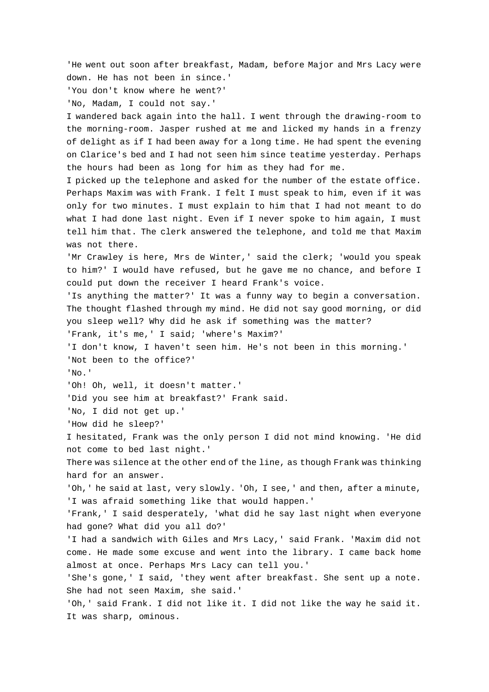'He went out soon after breakfast, Madam, before Major and Mrs Lacy were down. He has not been in since.'

'You don't know where he went?'

'No, Madam, I could not say.'

I wandered back again into the hall. I went through the drawing-room to the morning-room. Jasper rushed at me and licked my hands in a frenzy of delight as if I had been away for a long time. He had spent the evening on Clarice's bed and I had not seen him since teatime yesterday. Perhaps the hours had been as long for him as they had for me.

I picked up the telephone and asked for the number of the estate office. Perhaps Maxim was with Frank. I felt I must speak to him, even if it was only for two minutes. I must explain to him that I had not meant to do what I had done last night. Even if I never spoke to him again, I must tell him that. The clerk answered the telephone, and told me that Maxim was not there.

'Mr Crawley is here, Mrs de Winter,' said the clerk; 'would you speak to him?' I would have refused, but he gave me no chance, and before I could put down the receiver I heard Frank's voice.

'Is anything the matter?' It was a funny way to begin a conversation. The thought flashed through my mind. He did not say good morning, or did you sleep well? Why did he ask if something was the matter?

'Frank, it's me,' I said; 'where's Maxim?'

'I don't know, I haven't seen him. He's not been in this morning.' 'Not been to the office?'

'No.'

'Oh! Oh, well, it doesn't matter.'

'Did you see him at breakfast?' Frank said.

'No, I did not get up.'

'How did he sleep?'

I hesitated, Frank was the only person I did not mind knowing. 'He did not come to bed last night.'

There was silence at the other end of the line, as though Frank was thinking hard for an answer.

'Oh, ' he said at last, very slowly. 'Oh, I see, ' and then, after a minute, 'I was afraid something like that would happen.'

'Frank,' I said desperately, 'what did he say last night when everyone had gone? What did you all do?'

'I had a sandwich with Giles and Mrs Lacy,' said Frank. 'Maxim did not come. He made some excuse and went into the library. I came back home almost at once. Perhaps Mrs Lacy can tell you.'

'She's gone,' I said, 'they went after breakfast. She sent up a note. She had not seen Maxim, she said.'

'Oh,' said Frank. I did not like it. I did not like the way he said it. It was sharp, ominous.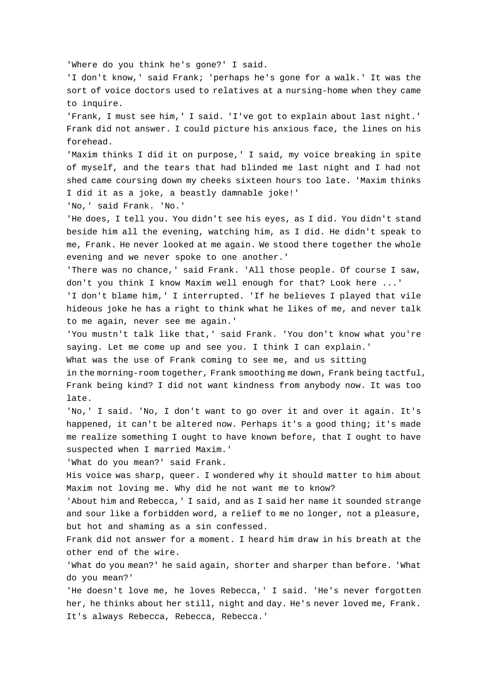'Where do you think he's gone?' I said.

'I don't know,' said Frank; 'perhaps he's gone for a walk.' It was the sort of voice doctors used to relatives at a nursing-home when they came to inquire.

'Frank, I must see him,' I said. 'I've got to explain about last night.' Frank did not answer. I could picture his anxious face, the lines on his forehead.

'Maxim thinks I did it on purpose,' I said, my voice breaking in spite of myself, and the tears that had blinded me last night and I had not shed came coursing down my cheeks sixteen hours too late. 'Maxim thinks I did it as a joke, a beastly damnable joke!'

'No,' said Frank. 'No.'

'He does, I tell you. You didn't see his eyes, as I did. You didn't stand beside him all the evening, watching him, as I did. He didn't speak to me, Frank. He never looked at me again. We stood there together the whole evening and we never spoke to one another.'

'There was no chance,' said Frank. 'All those people. Of course I saw, don't you think I know Maxim well enough for that? Look here ...'

'I don't blame him,' I interrupted. 'If he believes I played that vile hideous joke he has a right to think what he likes of me, and never talk to me again, never see me again.'

'You mustn't talk like that,' said Frank. 'You don't know what you're saying. Let me come up and see you. I think I can explain.'

What was the use of Frank coming to see me, and us sitting

in the morning-room together, Frank smoothing me down, Frank being tactful, Frank being kind? I did not want kindness from anybody now. It was too late.

'No,' I said. 'No, I don't want to go over it and over it again. It's happened, it can't be altered now. Perhaps it's a good thing; it's made me realize something I ought to have known before, that I ought to have suspected when I married Maxim.'

'What do you mean?' said Frank.

His voice was sharp, queer. I wondered why it should matter to him about Maxim not loving me. Why did he not want me to know?

'About him and Rebecca,' I said, and as I said her name it sounded strange and sour like a forbidden word, a relief to me no longer, not a pleasure, but hot and shaming as a sin confessed.

Frank did not answer for a moment. I heard him draw in his breath at the other end of the wire.

'What do you mean?' he said again, shorter and sharper than before. 'What do you mean?'

'He doesn't love me, he loves Rebecca,' I said. 'He's never forgotten her, he thinks about her still, night and day. He's never loved me, Frank. It's always Rebecca, Rebecca, Rebecca.'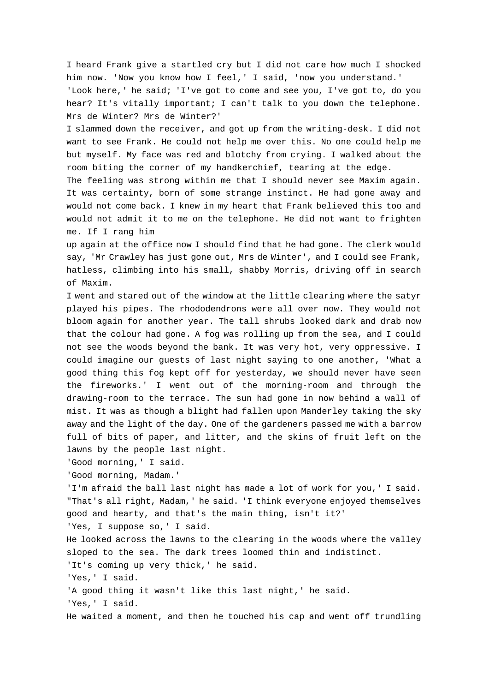I heard Frank give a startled cry but I did not care how much I shocked him now. 'Now you know how I feel,' I said, 'now you understand.' 'Look here,' he said; 'I've got to come and see you, I've got to, do you hear? It's vitally important; I can't talk to you down the telephone. Mrs de Winter? Mrs de Winter?'

I slammed down the receiver, and got up from the writing-desk. I did not want to see Frank. He could not help me over this. No one could help me but myself. My face was red and blotchy from crying. I walked about the room biting the corner of my handkerchief, tearing at the edge.

The feeling was strong within me that I should never see Maxim again. It was certainty, born of some strange instinct. He had gone away and would not come back. I knew in my heart that Frank believed this too and would not admit it to me on the telephone. He did not want to frighten me. If I rang him

up again at the office now I should find that he had gone. The clerk would say, 'Mr Crawley has just gone out, Mrs de Winter', and I could see Frank, hatless, climbing into his small, shabby Morris, driving off in search of Maxim.

I went and stared out of the window at the little clearing where the satyr played his pipes. The rhododendrons were all over now. They would not bloom again for another year. The tall shrubs looked dark and drab now that the colour had gone. A fog was rolling up from the sea, and I could not see the woods beyond the bank. It was very hot, very oppressive. I could imagine our guests of last night saying to one another, 'What a good thing this fog kept off for yesterday, we should never have seen the fireworks.' I went out of the morning-room and through the drawing-room to the terrace. The sun had gone in now behind a wall of mist. It was as though a blight had fallen upon Manderley taking the sky away and the light of the day. One of the gardeners passed me with a barrow full of bits of paper, and litter, and the skins of fruit left on the lawns by the people last night.

'Good morning,' I said.

'Good morning, Madam.'

'I'm afraid the ball last night has made a lot of work for you,' I said. "That's all right, Madam,' he said. 'I think everyone enjoyed themselves good and hearty, and that's the main thing, isn't it?'

'Yes, I suppose so,' I said.

He looked across the lawns to the clearing in the woods where the valley sloped to the sea. The dark trees loomed thin and indistinct.

'It's coming up very thick,' he said.

'Yes,' I said.

'A good thing it wasn't like this last night,' he said.

'Yes,' I said.

He waited a moment, and then he touched his cap and went off trundling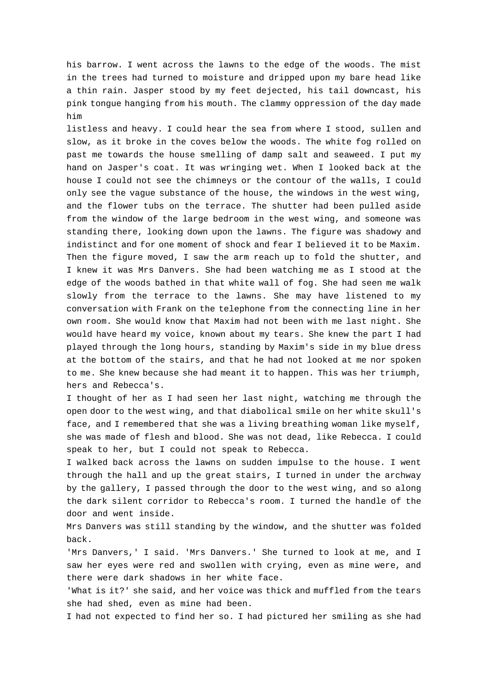his barrow. I went across the lawns to the edge of the woods. The mist in the trees had turned to moisture and dripped upon my bare head like a thin rain. Jasper stood by my feet dejected, his tail downcast, his pink tongue hanging from his mouth. The clammy oppression of the day made him

listless and heavy. I could hear the sea from where I stood, sullen and slow, as it broke in the coves below the woods. The white fog rolled on past me towards the house smelling of damp salt and seaweed. I put my hand on Jasper's coat. It was wringing wet. When I looked back at the house I could not see the chimneys or the contour of the walls, I could only see the vague substance of the house, the windows in the west wing, and the flower tubs on the terrace. The shutter had been pulled aside from the window of the large bedroom in the west wing, and someone was standing there, looking down upon the lawns. The figure was shadowy and indistinct and for one moment of shock and fear I believed it to be Maxim. Then the figure moved, I saw the arm reach up to fold the shutter, and I knew it was Mrs Danvers. She had been watching me as I stood at the edge of the woods bathed in that white wall of fog. She had seen me walk slowly from the terrace to the lawns. She may have listened to my conversation with Frank on the telephone from the connecting line in her own room. She would know that Maxim had not been with me last night. She would have heard my voice, known about my tears. She knew the part I had played through the long hours, standing by Maxim's side in my blue dress at the bottom of the stairs, and that he had not looked at me nor spoken to me. She knew because she had meant it to happen. This was her triumph, hers and Rebecca's.

I thought of her as I had seen her last night, watching me through the open door to the west wing, and that diabolical smile on her white skull's face, and I remembered that she was a living breathing woman like myself, she was made of flesh and blood. She was not dead, like Rebecca. I could speak to her, but I could not speak to Rebecca.

I walked back across the lawns on sudden impulse to the house. I went through the hall and up the great stairs, I turned in under the archway by the gallery, I passed through the door to the west wing, and so along the dark silent corridor to Rebecca's room. I turned the handle of the door and went inside.

Mrs Danvers was still standing by the window, and the shutter was folded back.

'Mrs Danvers,' I said. 'Mrs Danvers.' She turned to look at me, and I saw her eyes were red and swollen with crying, even as mine were, and there were dark shadows in her white face.

'What is it?' she said, and her voice was thick and muffled from the tears she had shed, even as mine had been.

I had not expected to find her so. I had pictured her smiling as she had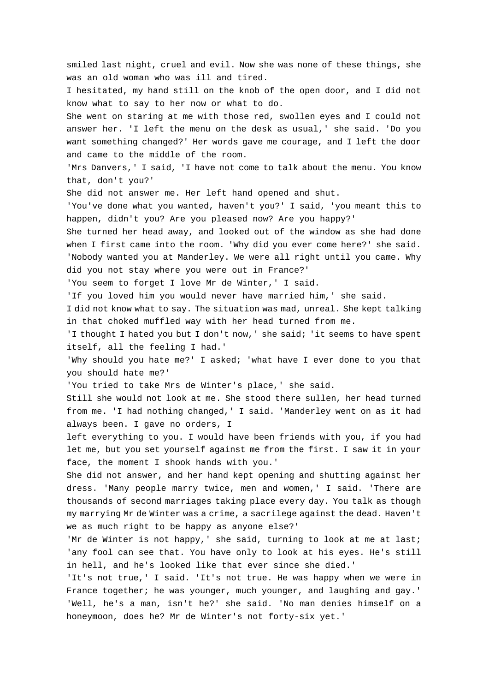smiled last night, cruel and evil. Now she was none of these things, she was an old woman who was ill and tired.

I hesitated, my hand still on the knob of the open door, and I did not know what to say to her now or what to do.

She went on staring at me with those red, swollen eyes and I could not answer her. 'I left the menu on the desk as usual,' she said. 'Do you want something changed?' Her words gave me courage, and I left the door and came to the middle of the room.

'Mrs Danvers,' I said, 'I have not come to talk about the menu. You know that, don't you?'

She did not answer me. Her left hand opened and shut.

'You've done what you wanted, haven't you?' I said, 'you meant this to happen, didn't you? Are you pleased now? Are you happy?'

She turned her head away, and looked out of the window as she had done when I first came into the room. 'Why did you ever come here?' she said. 'Nobody wanted you at Manderley. We were all right until you came. Why did you not stay where you were out in France?'

'You seem to forget I love Mr de Winter,' I said.

'If you loved him you would never have married him,' she said.

I did not know what to say. The situation was mad, unreal. She kept talking in that choked muffled way with her head turned from me.

'I thought I hated you but I don't now, ' she said; 'it seems to have spent itself, all the feeling I had.'

'Why should you hate me?' I asked; 'what have I ever done to you that you should hate me?'

'You tried to take Mrs de Winter's place,' she said.

Still she would not look at me. She stood there sullen, her head turned from me. 'I had nothing changed,' I said. 'Manderley went on as it had always been. I gave no orders, I

left everything to you. I would have been friends with you, if you had let me, but you set yourself against me from the first. I saw it in your face, the moment I shook hands with you.'

She did not answer, and her hand kept opening and shutting against her dress. 'Many people marry twice, men and women,' I said. 'There are thousands of second marriages taking place every day. You talk as though my marrying Mr de Winter was a crime, a sacrilege against the dead. Haven't we as much right to be happy as anyone else?'

'Mr de Winter is not happy,' she said, turning to look at me at last; 'any fool can see that. You have only to look at his eyes. He's still in hell, and he's looked like that ever since she died.'

'It's not true,' I said. 'It's not true. He was happy when we were in France together; he was younger, much younger, and laughing and gay.' 'Well, he's a man, isn't he?' she said. 'No man denies himself on a honeymoon, does he? Mr de Winter's not forty-six yet.'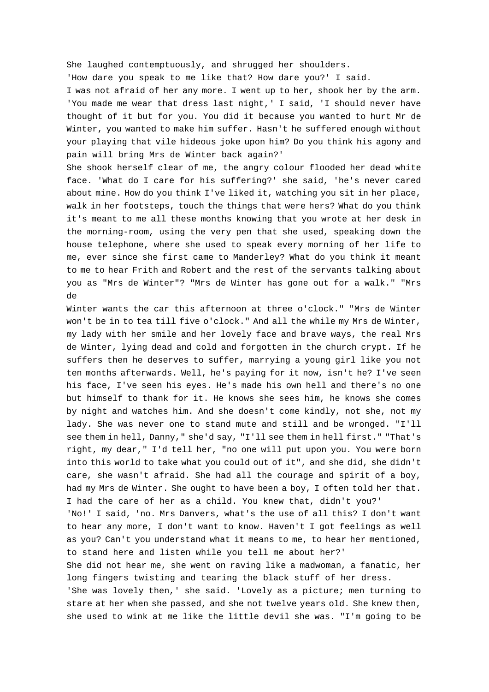She laughed contemptuously, and shrugged her shoulders.

'How dare you speak to me like that? How dare you?' I said.

I was not afraid of her any more. I went up to her, shook her by the arm. 'You made me wear that dress last night,' I said, 'I should never have thought of it but for you. You did it because you wanted to hurt Mr de Winter, you wanted to make him suffer. Hasn't he suffered enough without your playing that vile hideous joke upon him? Do you think his agony and pain will bring Mrs de Winter back again?'

She shook herself clear of me, the angry colour flooded her dead white face. 'What do I care for his suffering?' she said, 'he's never cared about mine. How do you think I've liked it, watching you sit in her place, walk in her footsteps, touch the things that were hers? What do you think it's meant to me all these months knowing that you wrote at her desk in the morning-room, using the very pen that she used, speaking down the house telephone, where she used to speak every morning of her life to me, ever since she first came to Manderley? What do you think it meant to me to hear Frith and Robert and the rest of the servants talking about you as "Mrs de Winter"? "Mrs de Winter has gone out for a walk." "Mrs de

Winter wants the car this afternoon at three o'clock." "Mrs de Winter won't be in to tea till five o'clock." And all the while my Mrs de Winter, my lady with her smile and her lovely face and brave ways, the real Mrs de Winter, lying dead and cold and forgotten in the church crypt. If he suffers then he deserves to suffer, marrying a young girl like you not ten months afterwards. Well, he's paying for it now, isn't he? I've seen his face, I've seen his eyes. He's made his own hell and there's no one but himself to thank for it. He knows she sees him, he knows she comes by night and watches him. And she doesn't come kindly, not she, not my lady. She was never one to stand mute and still and be wronged. "I'll see them in hell, Danny," she'd say, "I'll see them in hell first." "That's right, my dear," I'd tell her, "no one will put upon you. You were born into this world to take what you could out of it", and she did, she didn't care, she wasn't afraid. She had all the courage and spirit of a boy, had my Mrs de Winter. She ought to have been a boy, I often told her that. I had the care of her as a child. You knew that, didn't you?'

'No!' I said, 'no. Mrs Danvers, what's the use of all this? I don't want to hear any more, I don't want to know. Haven't I got feelings as well as you? Can't you understand what it means to me, to hear her mentioned, to stand here and listen while you tell me about her?'

She did not hear me, she went on raving like a madwoman, a fanatic, her long fingers twisting and tearing the black stuff of her dress.

'She was lovely then,' she said. 'Lovely as a picture; men turning to stare at her when she passed, and she not twelve years old. She knew then, she used to wink at me like the little devil she was. "I'm going to be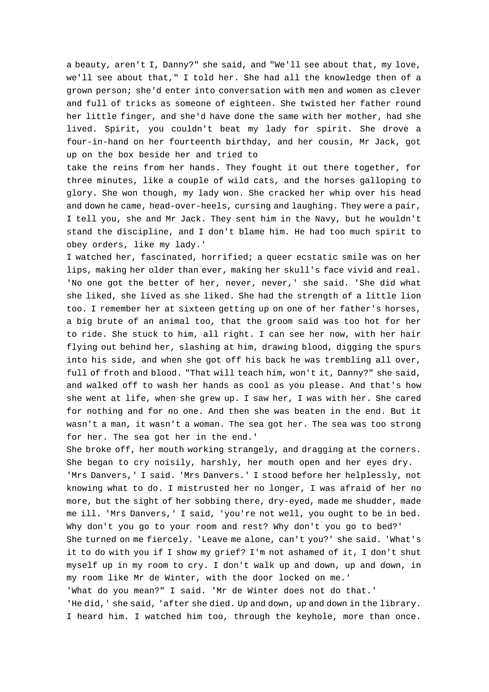a beauty, aren't I, Danny?" she said, and "We'll see about that, my love, we'll see about that," I told her. She had all the knowledge then of a grown person; she'd enter into conversation with men and women as clever and full of tricks as someone of eighteen. She twisted her father round her little finger, and she'd have done the same with her mother, had she lived. Spirit, you couldn't beat my lady for spirit. She drove a four-in-hand on her fourteenth birthday, and her cousin, Mr Jack, got up on the box beside her and tried to

take the reins from her hands. They fought it out there together, for three minutes, like a couple of wild cats, and the horses galloping to glory. She won though, my lady won. She cracked her whip over his head and down he came, head-over-heels, cursing and laughing. They were a pair, I tell you, she and Mr Jack. They sent him in the Navy, but he wouldn't stand the discipline, and I don't blame him. He had too much spirit to obey orders, like my lady.'

I watched her, fascinated, horrified; a queer ecstatic smile was on her lips, making her older than ever, making her skull's face vivid and real. 'No one got the better of her, never, never,' she said. 'She did what she liked, she lived as she liked. She had the strength of a little lion too. I remember her at sixteen getting up on one of her father's horses, a big brute of an animal too, that the groom said was too hot for her to ride. She stuck to him, all right. I can see her now, with her hair flying out behind her, slashing at him, drawing blood, digging the spurs into his side, and when she got off his back he was trembling all over, full of froth and blood. "That will teach him, won't it, Danny?" she said, and walked off to wash her hands as cool as you please. And that's how she went at life, when she grew up. I saw her, I was with her. She cared for nothing and for no one. And then she was beaten in the end. But it wasn't a man, it wasn't a woman. The sea got her. The sea was too strong for her. The sea got her in the end.'

She broke off, her mouth working strangely, and dragging at the corners. She began to cry noisily, harshly, her mouth open and her eyes dry.

'Mrs Danvers,' I said. 'Mrs Danvers.' I stood before her helplessly, not knowing what to do. I mistrusted her no longer, I was afraid of her no more, but the sight of her sobbing there, dry-eyed, made me shudder, made me ill. 'Mrs Danvers,' I said, 'you're not well, you ought to be in bed. Why don't you go to your room and rest? Why don't you go to bed?'

She turned on me fiercely. 'Leave me alone, can't you?' she said. 'What's it to do with you if I show my grief? I'm not ashamed of it, I don't shut myself up in my room to cry. I don't walk up and down, up and down, in my room like Mr de Winter, with the door locked on me.'

'What do you mean?" I said. 'Mr de Winter does not do that.'

'He did,' she said, 'after she died. Up and down, up and down in the library. I heard him. I watched him too, through the keyhole, more than once.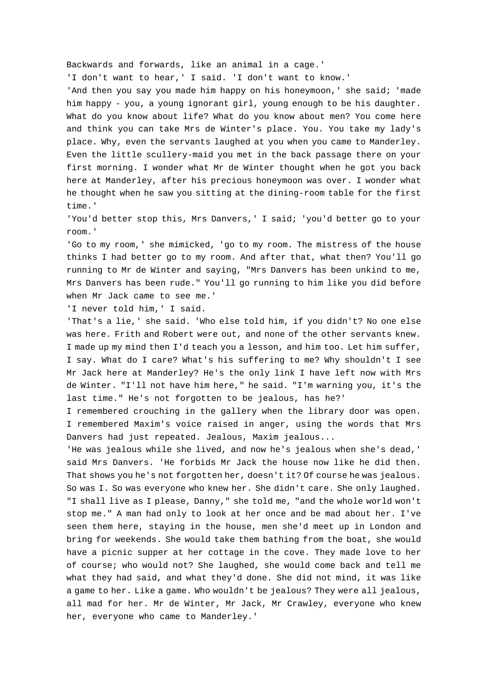Backwards and forwards, like an animal in a cage.'

'I don't want to hear,' I said. 'I don't want to know.'

'And then you say you made him happy on his honeymoon,' she said; 'made him happy - you, a young ignorant girl, young enough to be his daughter. What do you know about life? What do you know about men? You come here and think you can take Mrs de Winter's place. You. You take my lady's place. Why, even the servants laughed at you when you came to Manderley. Even the little scullery-maid you met in the back passage there on your first morning. I wonder what Mr de Winter thought when he got you back here at Manderley, after his precious honeymoon was over. I wonder what he thought when he saw you sitting at the dining-room table for the first time.'

'You'd better stop this, Mrs Danvers,' I said; 'you'd better go to your room.'

'Go to my room,' she mimicked, 'go to my room. The mistress of the house thinks I had better go to my room. And after that, what then? You'll go running to Mr de Winter and saying, "Mrs Danvers has been unkind to me, Mrs Danvers has been rude." You'll go running to him like you did before when Mr Jack came to see me.'

'I never told him,' I said.

'That's a lie,' she said. 'Who else told him, if you didn't? No one else was here. Frith and Robert were out, and none of the other servants knew. I made up my mind then I'd teach you a lesson, and him too. Let him suffer, I say. What do I care? What's his suffering to me? Why shouldn't I see Mr Jack here at Manderley? He's the only link I have left now with Mrs de Winter. "I'll not have him here," he said. "I'm warning you, it's the last time." He's not forgotten to be jealous, has he?'

I remembered crouching in the gallery when the library door was open. I remembered Maxim's voice raised in anger, using the words that Mrs Danvers had just repeated. Jealous, Maxim jealous...

'He was jealous while she lived, and now he's jealous when she's dead,' said Mrs Danvers. 'He forbids Mr Jack the house now like he did then. That shows you he's not forgotten her, doesn't it? Of course he was jealous. So was I. So was everyone who knew her. She didn't care. She only laughed. "I shall live as I please, Danny," she told me, "and the whole world won't stop me." A man had only to look at her once and be mad about her. I've seen them here, staying in the house, men she'd meet up in London and bring for weekends. She would take them bathing from the boat, she would have a picnic supper at her cottage in the cove. They made love to her of course; who would not? She laughed, she would come back and tell me what they had said, and what they'd done. She did not mind, it was like a game to her. Like a game. Who wouldn't be jealous? They were all jealous, all mad for her. Mr de Winter, Mr Jack, Mr Crawley, everyone who knew her, everyone who came to Manderley.'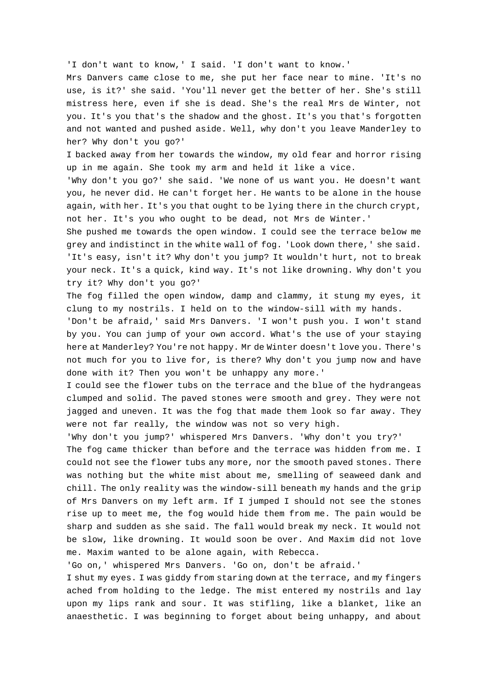'I don't want to know,' I said. 'I don't want to know.'

Mrs Danvers came close to me, she put her face near to mine. 'It's no use, is it?' she said. 'You'll never get the better of her. She's still mistress here, even if she is dead. She's the real Mrs de Winter, not you. It's you that's the shadow and the ghost. It's you that's forgotten and not wanted and pushed aside. Well, why don't you leave Manderley to her? Why don't you go?'

I backed away from her towards the window, my old fear and horror rising up in me again. She took my arm and held it like a vice.

'Why don't you go?' she said. 'We none of us want you. He doesn't want you, he never did. He can't forget her. He wants to be alone in the house again, with her. It's you that ought to be lying there in the church crypt, not her. It's you who ought to be dead, not Mrs de Winter.'

She pushed me towards the open window. I could see the terrace below me grey and indistinct in the white wall of fog. 'Look down there,' she said. 'It's easy, isn't it? Why don't you jump? It wouldn't hurt, not to break your neck. It's a quick, kind way. It's not like drowning. Why don't you try it? Why don't you go?'

The fog filled the open window, damp and clammy, it stung my eyes, it clung to my nostrils. I held on to the window-sill with my hands.

'Don't be afraid,' said Mrs Danvers. 'I won't push you. I won't stand by you. You can jump of your own accord. What's the use of your staying here at Manderley? You're not happy. Mr de Winter doesn't love you. There's not much for you to live for, is there? Why don't you jump now and have done with it? Then you won't be unhappy any more.'

I could see the flower tubs on the terrace and the blue of the hydrangeas clumped and solid. The paved stones were smooth and grey. They were not jagged and uneven. It was the fog that made them look so far away. They were not far really, the window was not so very high.

'Why don't you jump?' whispered Mrs Danvers. 'Why don't you try?'

The fog came thicker than before and the terrace was hidden from me. I could not see the flower tubs any more, nor the smooth paved stones. There was nothing but the white mist about me, smelling of seaweed dank and chill. The only reality was the window-sill beneath my hands and the grip of Mrs Danvers on my left arm. If I jumped I should not see the stones rise up to meet me, the fog would hide them from me. The pain would be sharp and sudden as she said. The fall would break my neck. It would not be slow, like drowning. It would soon be over. And Maxim did not love me. Maxim wanted to be alone again, with Rebecca.

'Go on,' whispered Mrs Danvers. 'Go on, don't be afraid.'

I shut my eyes. I was giddy from staring down at the terrace, and my fingers ached from holding to the ledge. The mist entered my nostrils and lay upon my lips rank and sour. It was stifling, like a blanket, like an anaesthetic. I was beginning to forget about being unhappy, and about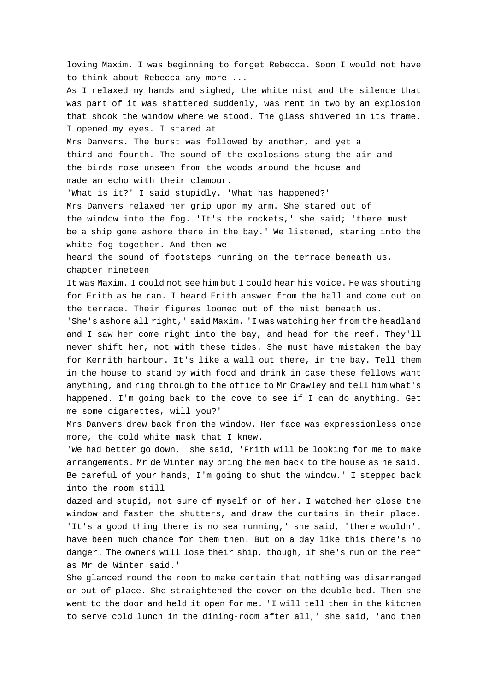loving Maxim. I was beginning to forget Rebecca. Soon I would not have to think about Rebecca any more ...

As I relaxed my hands and sighed, the white mist and the silence that was part of it was shattered suddenly, was rent in two by an explosion that shook the window where we stood. The glass shivered in its frame. I opened my eyes. I stared at

Mrs Danvers. The burst was followed by another, and yet a third and fourth. The sound of the explosions stung the air and the birds rose unseen from the woods around the house and made an echo with their clamour.

'What is it?' I said stupidly. 'What has happened?' Mrs Danvers relaxed her grip upon my arm. She stared out of the window into the fog. 'It's the rockets,' she said; 'there must be a ship gone ashore there in the bay.' We listened, staring into the white fog together. And then we

heard the sound of footsteps running on the terrace beneath us. chapter nineteen

It was Maxim. I could not see him but I could hear his voice. He was shouting for Frith as he ran. I heard Frith answer from the hall and come out on the terrace. Their figures loomed out of the mist beneath us.

'She's ashore all right,' said Maxim. 'I was watching her from the headland and I saw her come right into the bay, and head for the reef. They'll never shift her, not with these tides. She must have mistaken the bay for Kerrith harbour. It's like a wall out there, in the bay. Tell them in the house to stand by with food and drink in case these fellows want anything, and ring through to the office to Mr Crawley and tell him what's happened. I'm going back to the cove to see if I can do anything. Get me some cigarettes, will you?'

Mrs Danvers drew back from the window. Her face was expressionless once more, the cold white mask that I knew.

'We had better go down,' she said, 'Frith will be looking for me to make arrangements. Mr de Winter may bring the men back to the house as he said. Be careful of your hands, I'm going to shut the window.' I stepped back into the room still

dazed and stupid, not sure of myself or of her. I watched her close the window and fasten the shutters, and draw the curtains in their place. 'It's a good thing there is no sea running,' she said, 'there wouldn't have been much chance for them then. But on a day like this there's no danger. The owners will lose their ship, though, if she's run on the reef as Mr de Winter said.'

She glanced round the room to make certain that nothing was disarranged or out of place. She straightened the cover on the double bed. Then she went to the door and held it open for me. 'I will tell them in the kitchen to serve cold lunch in the dining-room after all,' she said, 'and then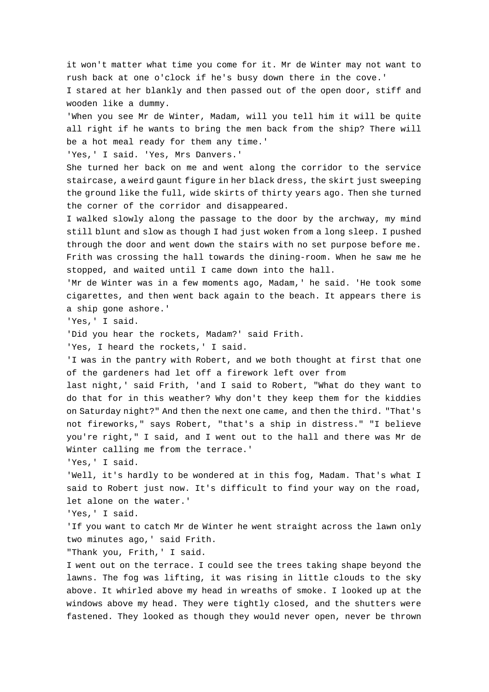it won't matter what time you come for it. Mr de Winter may not want to rush back at one o'clock if he's busy down there in the cove.'

I stared at her blankly and then passed out of the open door, stiff and wooden like a dummy.

'When you see Mr de Winter, Madam, will you tell him it will be quite all right if he wants to bring the men back from the ship? There will be a hot meal ready for them any time.'

'Yes,' I said. 'Yes, Mrs Danvers.'

She turned her back on me and went along the corridor to the service staircase, a weird gaunt figure in her black dress, the skirt just sweeping the ground like the full, wide skirts of thirty years ago. Then she turned the corner of the corridor and disappeared.

I walked slowly along the passage to the door by the archway, my mind still blunt and slow as though I had just woken from a long sleep. I pushed through the door and went down the stairs with no set purpose before me. Frith was crossing the hall towards the dining-room. When he saw me he stopped, and waited until I came down into the hall.

'Mr de Winter was in a few moments ago, Madam,' he said. 'He took some cigarettes, and then went back again to the beach. It appears there is a ship gone ashore.'

'Yes,' I said.

'Did you hear the rockets, Madam?' said Frith.

'Yes, I heard the rockets,' I said.

'I was in the pantry with Robert, and we both thought at first that one of the gardeners had let off a firework left over from

last night,' said Frith, 'and I said to Robert, "What do they want to do that for in this weather? Why don't they keep them for the kiddies on Saturday night?" And then the next one came, and then the third. "That's not fireworks," says Robert, "that's a ship in distress." "I believe you're right," I said, and I went out to the hall and there was Mr de Winter calling me from the terrace.'

'Yes,' I said.

'Well, it's hardly to be wondered at in this fog, Madam. That's what I said to Robert just now. It's difficult to find your way on the road, let alone on the water.'

'Yes,' I said.

'If you want to catch Mr de Winter he went straight across the lawn only two minutes ago,' said Frith.

"Thank you, Frith,' I said.

I went out on the terrace. I could see the trees taking shape beyond the lawns. The fog was lifting, it was rising in little clouds to the sky above. It whirled above my head in wreaths of smoke. I looked up at the windows above my head. They were tightly closed, and the shutters were fastened. They looked as though they would never open, never be thrown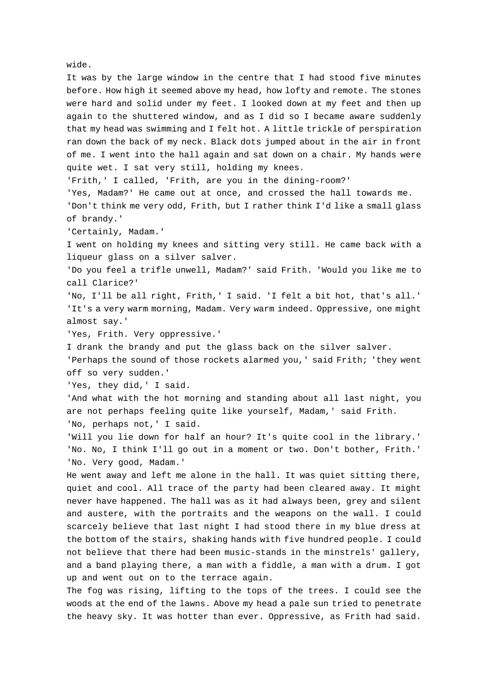wide.

It was by the large window in the centre that I had stood five minutes before. How high it seemed above my head, how lofty and remote. The stones were hard and solid under my feet. I looked down at my feet and then up again to the shuttered window, and as I did so I became aware suddenly that my head was swimming and I felt hot. A little trickle of perspiration ran down the back of my neck. Black dots jumped about in the air in front of me. I went into the hall again and sat down on a chair. My hands were quite wet. I sat very still, holding my knees.

'Frith,' I called, 'Frith, are you in the dining-room?'

'Yes, Madam?' He came out at once, and crossed the hall towards me.

'Don't think me very odd, Frith, but I rather think I'd like a small glass of brandy.'

'Certainly, Madam.'

I went on holding my knees and sitting very still. He came back with a liqueur glass on a silver salver.

'Do you feel a trifle unwell, Madam?' said Frith. 'Would you like me to call Clarice?'

'No, I'll be all right, Frith,' I said. 'I felt a bit hot, that's all.' 'It's a very warm morning, Madam. Very warm indeed. Oppressive, one might almost say.'

'Yes, Frith. Very oppressive.'

I drank the brandy and put the glass back on the silver salver.

'Perhaps the sound of those rockets alarmed you,' said Frith; 'they went off so very sudden.'

'Yes, they did,' I said.

'And what with the hot morning and standing about all last night, you are not perhaps feeling quite like yourself, Madam,' said Frith. 'No, perhaps not,' I said.

'Will you lie down for half an hour? It's quite cool in the library.' 'No. No, I think I'll go out in a moment or two. Don't bother, Frith.' 'No. Very good, Madam.'

He went away and left me alone in the hall. It was quiet sitting there, quiet and cool. All trace of the party had been cleared away. It might never have happened. The hall was as it had always been, grey and silent and austere, with the portraits and the weapons on the wall. I could scarcely believe that last night I had stood there in my blue dress at the bottom of the stairs, shaking hands with five hundred people. I could not believe that there had been music-stands in the minstrels' gallery, and a band playing there, a man with a fiddle, a man with a drum. I got up and went out on to the terrace again.

The fog was rising, lifting to the tops of the trees. I could see the woods at the end of the lawns. Above my head a pale sun tried to penetrate the heavy sky. It was hotter than ever. Oppressive, as Frith had said.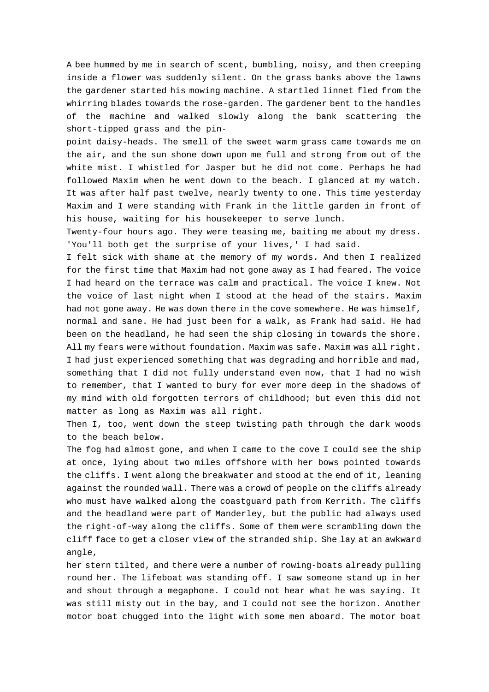A bee hummed by me in search of scent, bumbling, noisy, and then creeping inside a flower was suddenly silent. On the grass banks above the lawns the gardener started his mowing machine. A startled linnet fled from the whirring blades towards the rose-garden. The gardener bent to the handles of the machine and walked slowly along the bank scattering the short-tipped grass and the pin-

point daisy-heads. The smell of the sweet warm grass came towards me on the air, and the sun shone down upon me full and strong from out of the white mist. I whistled for Jasper but he did not come. Perhaps he had followed Maxim when he went down to the beach. I glanced at my watch. It was after half past twelve, nearly twenty to one. This time yesterday Maxim and I were standing with Frank in the little garden in front of his house, waiting for his housekeeper to serve lunch.

Twenty-four hours ago. They were teasing me, baiting me about my dress. 'You'll both get the surprise of your lives,' I had said.

I felt sick with shame at the memory of my words. And then I realized for the first time that Maxim had not gone away as I had feared. The voice I had heard on the terrace was calm and practical. The voice I knew. Not the voice of last night when I stood at the head of the stairs. Maxim had not gone away. He was down there in the cove somewhere. He was himself, normal and sane. He had just been for a walk, as Frank had said. He had been on the headland, he had seen the ship closing in towards the shore. All my fears were without foundation. Maxim was safe. Maxim was all right. I had just experienced something that was degrading and horrible and mad, something that I did not fully understand even now, that I had no wish to remember, that I wanted to bury for ever more deep in the shadows of my mind with old forgotten terrors of childhood; but even this did not matter as long as Maxim was all right.

Then I, too, went down the steep twisting path through the dark woods to the beach below.

The fog had almost gone, and when I came to the cove I could see the ship at once, lying about two miles offshore with her bows pointed towards the cliffs. I went along the breakwater and stood at the end of it, leaning against the rounded wall. There was a crowd of people on the cliffs already who must have walked along the coastguard path from Kerrith. The cliffs and the headland were part of Manderley, but the public had always used the right-of-way along the cliffs. Some of them were scrambling down the cliff face to get a closer view of the stranded ship. She lay at an awkward angle,

her stern tilted, and there were a number of rowing-boats already pulling round her. The lifeboat was standing off. I saw someone stand up in her and shout through a megaphone. I could not hear what he was saying. It was still misty out in the bay, and I could not see the horizon. Another motor boat chugged into the light with some men aboard. The motor boat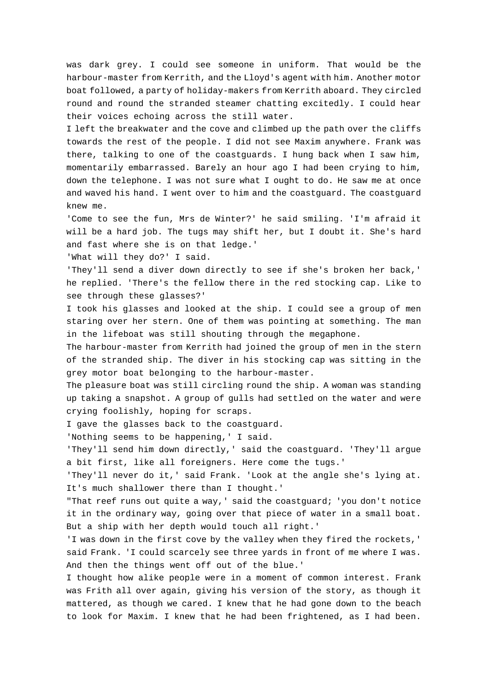was dark grey. I could see someone in uniform. That would be the harbour-master from Kerrith, and the Lloyd's agent with him. Another motor boat followed, a party of holiday-makers from Kerrith aboard. They circled round and round the stranded steamer chatting excitedly. I could hear their voices echoing across the still water.

I left the breakwater and the cove and climbed up the path over the cliffs towards the rest of the people. I did not see Maxim anywhere. Frank was there, talking to one of the coastguards. I hung back when I saw him, momentarily embarrassed. Barely an hour ago I had been crying to him, down the telephone. I was not sure what I ought to do. He saw me at once and waved his hand. I went over to him and the coastguard. The coastguard knew me.

'Come to see the fun, Mrs de Winter?' he said smiling. 'I'm afraid it will be a hard job. The tugs may shift her, but I doubt it. She's hard and fast where she is on that ledge.'

'What will they do?' I said.

'They'll send a diver down directly to see if she's broken her back,' he replied. 'There's the fellow there in the red stocking cap. Like to see through these glasses?'

I took his glasses and looked at the ship. I could see a group of men staring over her stern. One of them was pointing at something. The man in the lifeboat was still shouting through the megaphone.

The harbour-master from Kerrith had joined the group of men in the stern of the stranded ship. The diver in his stocking cap was sitting in the grey motor boat belonging to the harbour-master.

The pleasure boat was still circling round the ship. A woman was standing up taking a snapshot. A group of gulls had settled on the water and were crying foolishly, hoping for scraps.

I gave the glasses back to the coastguard.

'Nothing seems to be happening,' I said.

'They'll send him down directly,' said the coastguard. 'They'll argue a bit first, like all foreigners. Here come the tugs.'

'They'll never do it,' said Frank. 'Look at the angle she's lying at. It's much shallower there than I thought.'

"That reef runs out quite a way,' said the coastguard; 'you don't notice it in the ordinary way, going over that piece of water in a small boat. But a ship with her depth would touch all right.'

'I was down in the first cove by the valley when they fired the rockets,' said Frank. 'I could scarcely see three yards in front of me where I was. And then the things went off out of the blue.'

I thought how alike people were in a moment of common interest. Frank was Frith all over again, giving his version of the story, as though it mattered, as though we cared. I knew that he had gone down to the beach to look for Maxim. I knew that he had been frightened, as I had been.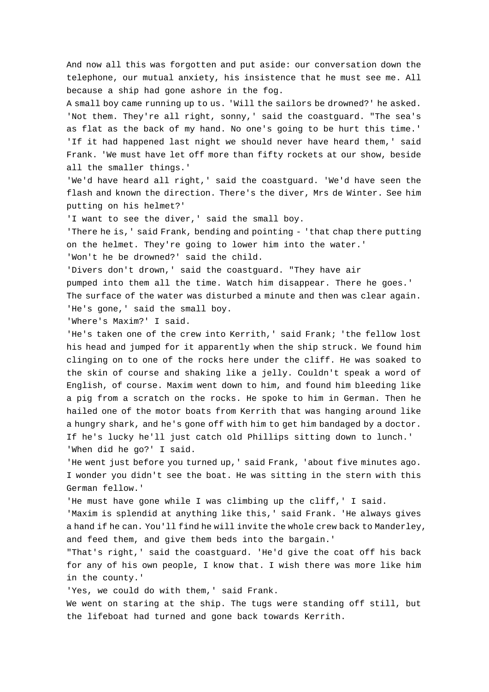And now all this was forgotten and put aside: our conversation down the telephone, our mutual anxiety, his insistence that he must see me. All because a ship had gone ashore in the fog.

A small boy came running up to us. 'Will the sailors be drowned?' he asked. 'Not them. They're all right, sonny,' said the coastguard. "The sea's as flat as the back of my hand. No one's going to be hurt this time.' 'If it had happened last night we should never have heard them,' said Frank. 'We must have let off more than fifty rockets at our show, beside all the smaller things.'

'We'd have heard all right,' said the coastguard. 'We'd have seen the flash and known the direction. There's the diver, Mrs de Winter. See him putting on his helmet?'

'I want to see the diver,' said the small boy.

'There he is,' said Frank, bending and pointing - 'that chap there putting on the helmet. They're going to lower him into the water.' 'Won't he be drowned?' said the child.

'Divers don't drown,' said the coastguard. "They have air pumped into them all the time. Watch him disappear. There he goes.' The surface of the water was disturbed a minute and then was clear again. 'He's gone,' said the small boy.

'Where's Maxim?' I said.

'He's taken one of the crew into Kerrith,' said Frank; 'the fellow lost his head and jumped for it apparently when the ship struck. We found him clinging on to one of the rocks here under the cliff. He was soaked to the skin of course and shaking like a jelly. Couldn't speak a word of English, of course. Maxim went down to him, and found him bleeding like a pig from a scratch on the rocks. He spoke to him in German. Then he hailed one of the motor boats from Kerrith that was hanging around like a hungry shark, and he's gone off with him to get him bandaged by a doctor. If he's lucky he'll just catch old Phillips sitting down to lunch.' 'When did he go?' I said.

'He went just before you turned up,' said Frank, 'about five minutes ago. I wonder you didn't see the boat. He was sitting in the stern with this German fellow.'

'He must have gone while I was climbing up the cliff,' I said.

'Maxim is splendid at anything like this,' said Frank. 'He always gives a hand if he can. You'll find he will invite the whole crew back to Manderley, and feed them, and give them beds into the bargain.'

"That's right,' said the coastguard. 'He'd give the coat off his back for any of his own people, I know that. I wish there was more like him in the county.'

'Yes, we could do with them,' said Frank.

We went on staring at the ship. The tugs were standing off still, but the lifeboat had turned and gone back towards Kerrith.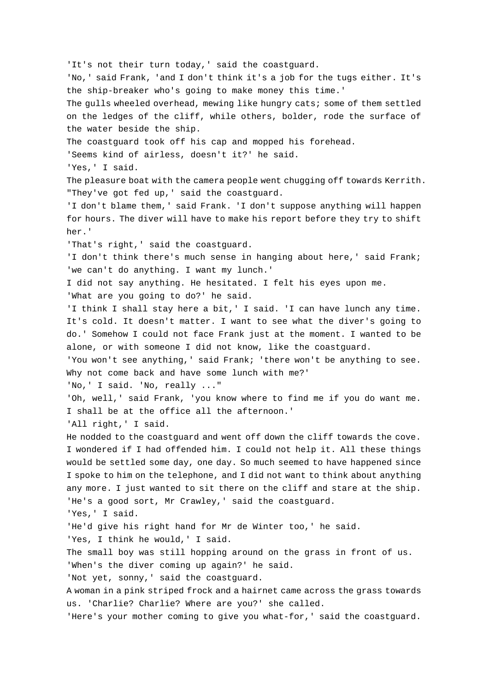'It's not their turn today,' said the coastguard. 'No,' said Frank, 'and I don't think it's a job for the tugs either. It's the ship-breaker who's going to make money this time.' The gulls wheeled overhead, mewing like hungry cats; some of them settled on the ledges of the cliff, while others, bolder, rode the surface of the water beside the ship. The coastguard took off his cap and mopped his forehead. 'Seems kind of airless, doesn't it?' he said. 'Yes,' I said. The pleasure boat with the camera people went chugging off towards Kerrith. "They've got fed up,' said the coastguard. 'I don't blame them,' said Frank. 'I don't suppose anything will happen for hours. The diver will have to make his report before they try to shift her.' 'That's right,' said the coastguard. 'I don't think there's much sense in hanging about here,' said Frank; 'we can't do anything. I want my lunch.' I did not say anything. He hesitated. I felt his eyes upon me. 'What are you going to do?' he said. 'I think I shall stay here a bit,' I said. 'I can have lunch any time. It's cold. It doesn't matter. I want to see what the diver's going to do.' Somehow I could not face Frank just at the moment. I wanted to be alone, or with someone I did not know, like the coastguard. 'You won't see anything,' said Frank; 'there won't be anything to see. Why not come back and have some lunch with me?' 'No,' I said. 'No, really ..." 'Oh, well,' said Frank, 'you know where to find me if you do want me. I shall be at the office all the afternoon.' 'All right, ' I said. He nodded to the coastguard and went off down the cliff towards the cove. I wondered if I had offended him. I could not help it. All these things would be settled some day, one day. So much seemed to have happened since I spoke to him on the telephone, and I did not want to think about anything any more. I just wanted to sit there on the cliff and stare at the ship. 'He's a good sort, Mr Crawley,' said the coastguard. 'Yes,' I said. 'He'd give his right hand for Mr de Winter too,' he said. 'Yes, I think he would,' I said. The small boy was still hopping around on the grass in front of us. 'When's the diver coming up again?' he said. 'Not yet, sonny,' said the coastguard. A woman in a pink striped frock and a hairnet came across the grass towards us. 'Charlie? Charlie? Where are you?' she called. 'Here's your mother coming to give you what-for,' said the coastguard.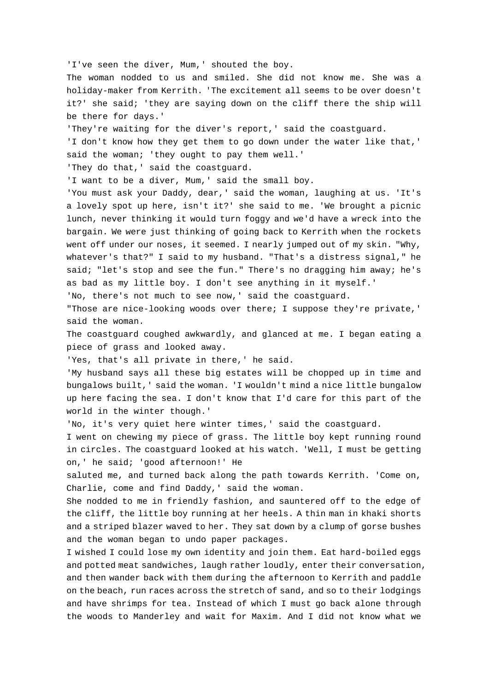'I've seen the diver, Mum,' shouted the boy.

The woman nodded to us and smiled. She did not know me. She was a holiday-maker from Kerrith. 'The excitement all seems to be over doesn't it?' she said; 'they are saying down on the cliff there the ship will be there for days.'

'They're waiting for the diver's report,' said the coastguard.

'I don't know how they get them to go down under the water like that,' said the woman; 'they ought to pay them well.'

'They do that,' said the coastguard.

'I want to be a diver, Mum,' said the small boy.

'You must ask your Daddy, dear,' said the woman, laughing at us. 'It's a lovely spot up here, isn't it?' she said to me. 'We brought a picnic lunch, never thinking it would turn foggy and we'd have a wreck into the bargain. We were just thinking of going back to Kerrith when the rockets went off under our noses, it seemed. I nearly jumped out of my skin. "Why, whatever's that?" I said to my husband. "That's a distress signal," he said; "let's stop and see the fun." There's no dragging him away; he's as bad as my little boy. I don't see anything in it myself.'

'No, there's not much to see now,' said the coastguard.

"Those are nice-looking woods over there; I suppose they're private,' said the woman.

The coastguard coughed awkwardly, and glanced at me. I began eating a piece of grass and looked away.

'Yes, that's all private in there,' he said.

'My husband says all these big estates will be chopped up in time and bungalows built,' said the woman. 'I wouldn't mind a nice little bungalow up here facing the sea. I don't know that I'd care for this part of the world in the winter though.'

'No, it's very quiet here winter times,' said the coastguard.

I went on chewing my piece of grass. The little boy kept running round in circles. The coastguard looked at his watch. 'Well, I must be getting on,' he said; 'good afternoon!' He

saluted me, and turned back along the path towards Kerrith. 'Come on, Charlie, come and find Daddy,' said the woman.

She nodded to me in friendly fashion, and sauntered off to the edge of the cliff, the little boy running at her heels. A thin man in khaki shorts and a striped blazer waved to her. They sat down by a clump of gorse bushes and the woman began to undo paper packages.

I wished I could lose my own identity and join them. Eat hard-boiled eggs and potted meat sandwiches, laugh rather loudly, enter their conversation, and then wander back with them during the afternoon to Kerrith and paddle on the beach, run races across the stretch of sand, and so to their lodgings and have shrimps for tea. Instead of which I must go back alone through the woods to Manderley and wait for Maxim. And I did not know what we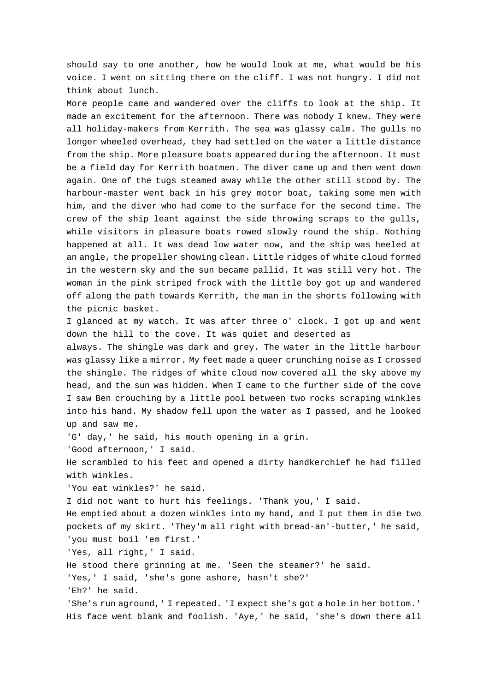should say to one another, how he would look at me, what would be his voice. I went on sitting there on the cliff. I was not hungry. I did not think about lunch.

More people came and wandered over the cliffs to look at the ship. It made an excitement for the afternoon. There was nobody I knew. They were all holiday-makers from Kerrith. The sea was glassy calm. The gulls no longer wheeled overhead, they had settled on the water a little distance from the ship. More pleasure boats appeared during the afternoon. It must be a field day for Kerrith boatmen. The diver came up and then went down again. One of the tugs steamed away while the other still stood by. The harbour-master went back in his grey motor boat, taking some men with him, and the diver who had come to the surface for the second time. The crew of the ship leant against the side throwing scraps to the gulls, while visitors in pleasure boats rowed slowly round the ship. Nothing happened at all. It was dead low water now, and the ship was heeled at an angle, the propeller showing clean. Little ridges of white cloud formed in the western sky and the sun became pallid. It was still very hot. The woman in the pink striped frock with the little boy got up and wandered off along the path towards Kerrith, the man in the shorts following with the picnic basket.

I glanced at my watch. It was after three o' clock. I got up and went down the hill to the cove. It was quiet and deserted as

always. The shingle was dark and grey. The water in the little harbour was glassy like a mirror. My feet made a queer crunching noise as I crossed the shingle. The ridges of white cloud now covered all the sky above my head, and the sun was hidden. When I came to the further side of the cove I saw Ben crouching by a little pool between two rocks scraping winkles into his hand. My shadow fell upon the water as I passed, and he looked up and saw me.

'G' day,' he said, his mouth opening in a grin.

'Good afternoon,' I said.

He scrambled to his feet and opened a dirty handkerchief he had filled with winkles.

'You eat winkles?' he said.

I did not want to hurt his feelings. 'Thank you,' I said.

He emptied about a dozen winkles into my hand, and I put them in die two pockets of my skirt. 'They'm all right with bread-an'-butter,' he said, 'you must boil 'em first.'

'Yes, all right,' I said.

He stood there grinning at me. 'Seen the steamer?' he said.

'Yes,' I said, 'she's gone ashore, hasn't she?'

'Eh?' he said.

'She's run aground,' I repeated. 'I expect she's got a hole in her bottom.' His face went blank and foolish. 'Aye,' he said, 'she's down there all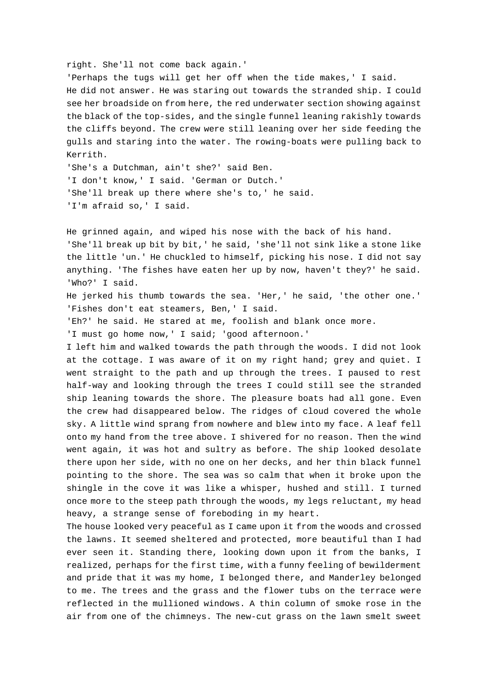right. She'll not come back again.'

'Perhaps the tugs will get her off when the tide makes,' I said. He did not answer. He was staring out towards the stranded ship. I could see her broadside on from here, the red underwater section showing against the black of the top-sides, and the single funnel leaning rakishly towards the cliffs beyond. The crew were still leaning over her side feeding the gulls and staring into the water. The rowing-boats were pulling back to Kerrith.

'She's a Dutchman, ain't she?' said Ben. 'I don't know,' I said. 'German or Dutch.' 'She'll break up there where she's to,' he said. 'I'm afraid so,' I said.

He grinned again, and wiped his nose with the back of his hand. 'She'll break up bit by bit,' he said, 'she'll not sink like a stone like the little 'un.' He chuckled to himself, picking his nose. I did not say anything. 'The fishes have eaten her up by now, haven't they?' he said. 'Who?' I said.

He jerked his thumb towards the sea. 'Her,' he said, 'the other one.' 'Fishes don't eat steamers, Ben,' I said.

'Eh?' he said. He stared at me, foolish and blank once more.

'I must go home now, ' I said; 'good afternoon.'

I left him and walked towards the path through the woods. I did not look at the cottage. I was aware of it on my right hand; grey and quiet. I went straight to the path and up through the trees. I paused to rest half-way and looking through the trees I could still see the stranded ship leaning towards the shore. The pleasure boats had all gone. Even the crew had disappeared below. The ridges of cloud covered the whole sky. A little wind sprang from nowhere and blew into my face. A leaf fell onto my hand from the tree above. I shivered for no reason. Then the wind went again, it was hot and sultry as before. The ship looked desolate there upon her side, with no one on her decks, and her thin black funnel pointing to the shore. The sea was so calm that when it broke upon the shingle in the cove it was like a whisper, hushed and still. I turned once more to the steep path through the woods, my legs reluctant, my head heavy, a strange sense of foreboding in my heart.

The house looked very peaceful as I came upon it from the woods and crossed the lawns. It seemed sheltered and protected, more beautiful than I had ever seen it. Standing there, looking down upon it from the banks, I realized, perhaps for the first time, with a funny feeling of bewilderment and pride that it was my home, I belonged there, and Manderley belonged to me. The trees and the grass and the flower tubs on the terrace were reflected in the mullioned windows. A thin column of smoke rose in the air from one of the chimneys. The new-cut grass on the lawn smelt sweet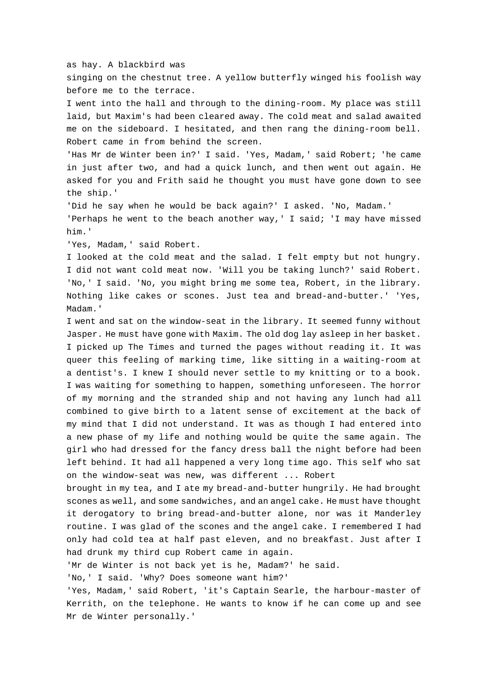as hay. A blackbird was

singing on the chestnut tree. A yellow butterfly winged his foolish way before me to the terrace.

I went into the hall and through to the dining-room. My place was still laid, but Maxim's had been cleared away. The cold meat and salad awaited me on the sideboard. I hesitated, and then rang the dining-room bell. Robert came in from behind the screen.

'Has Mr de Winter been in?' I said. 'Yes, Madam,' said Robert; 'he came in just after two, and had a quick lunch, and then went out again. He asked for you and Frith said he thought you must have gone down to see the ship.'

'Did he say when he would be back again?' I asked. 'No, Madam.' 'Perhaps he went to the beach another way, ' I said; 'I may have missed him.'

'Yes, Madam,' said Robert.

I looked at the cold meat and the salad. I felt empty but not hungry. I did not want cold meat now. 'Will you be taking lunch?' said Robert. 'No,' I said. 'No, you might bring me some tea, Robert, in the library. Nothing like cakes or scones. Just tea and bread-and-butter.' 'Yes, Madam.'

I went and sat on the window-seat in the library. It seemed funny without Jasper. He must have gone with Maxim. The old dog lay asleep in her basket. I picked up The Times and turned the pages without reading it. It was queer this feeling of marking time, like sitting in a waiting-room at a dentist's. I knew I should never settle to my knitting or to a book. I was waiting for something to happen, something unforeseen. The horror of my morning and the stranded ship and not having any lunch had all combined to give birth to a latent sense of excitement at the back of my mind that I did not understand. It was as though I had entered into a new phase of my life and nothing would be quite the same again. The girl who had dressed for the fancy dress ball the night before had been left behind. It had all happened a very long time ago. This self who sat on the window-seat was new, was different ... Robert

brought in my tea, and I ate my bread-and-butter hungrily. He had brought scones as well, and some sandwiches, and an angel cake. He must have thought it derogatory to bring bread-and-butter alone, nor was it Manderley routine. I was glad of the scones and the angel cake. I remembered I had only had cold tea at half past eleven, and no breakfast. Just after I had drunk my third cup Robert came in again.

'Mr de Winter is not back yet is he, Madam?' he said.

'No,' I said. 'Why? Does someone want him?'

'Yes, Madam,' said Robert, 'it's Captain Searle, the harbour-master of Kerrith, on the telephone. He wants to know if he can come up and see Mr de Winter personally.'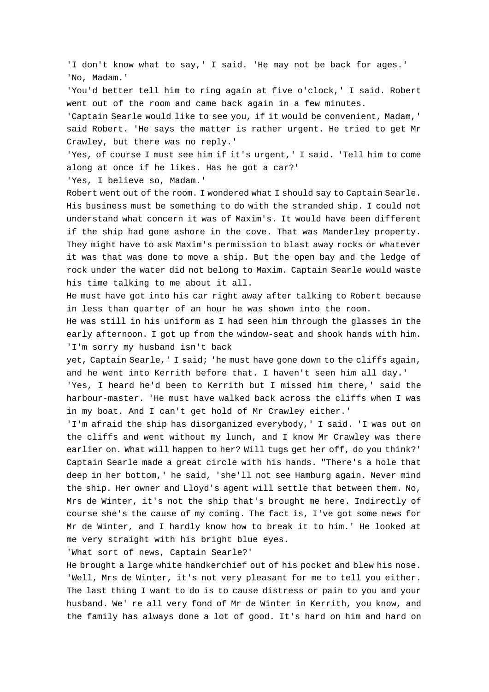'I don't know what to say,' I said. 'He may not be back for ages.' 'No, Madam.'

'You'd better tell him to ring again at five o'clock,' I said. Robert went out of the room and came back again in a few minutes.

'Captain Searle would like to see you, if it would be convenient, Madam,' said Robert. 'He says the matter is rather urgent. He tried to get Mr Crawley, but there was no reply.'

'Yes, of course I must see him if it's urgent,' I said. 'Tell him to come along at once if he likes. Has he got a car?'

'Yes, I believe so, Madam.'

Robert went out of the room. I wondered what I should say to Captain Searle. His business must be something to do with the stranded ship. I could not understand what concern it was of Maxim's. It would have been different if the ship had gone ashore in the cove. That was Manderley property. They might have to ask Maxim's permission to blast away rocks or whatever it was that was done to move a ship. But the open bay and the ledge of rock under the water did not belong to Maxim. Captain Searle would waste his time talking to me about it all.

He must have got into his car right away after talking to Robert because in less than quarter of an hour he was shown into the room.

He was still in his uniform as I had seen him through the glasses in the early afternoon. I got up from the window-seat and shook hands with him. 'I'm sorry my husband isn't back

yet, Captain Searle,' I said; 'he must have gone down to the cliffs again, and he went into Kerrith before that. I haven't seen him all day.'

'Yes, I heard he'd been to Kerrith but I missed him there,' said the harbour-master. 'He must have walked back across the cliffs when I was in my boat. And I can't get hold of Mr Crawley either.'

'I'm afraid the ship has disorganized everybody,' I said. 'I was out on the cliffs and went without my lunch, and I know Mr Crawley was there earlier on. What will happen to her? Will tugs get her off, do you think?' Captain Searle made a great circle with his hands. "There's a hole that deep in her bottom,' he said, 'she'll not see Hamburg again. Never mind the ship. Her owner and Lloyd's agent will settle that between them. No, Mrs de Winter, it's not the ship that's brought me here. Indirectly of course she's the cause of my coming. The fact is, I've got some news for Mr de Winter, and I hardly know how to break it to him.' He looked at me very straight with his bright blue eyes.

'What sort of news, Captain Searle?'

He brought a large white handkerchief out of his pocket and blew his nose. 'Well, Mrs de Winter, it's not very pleasant for me to tell you either. The last thing I want to do is to cause distress or pain to you and your husband. We' re all very fond of Mr de Winter in Kerrith, you know, and the family has always done a lot of good. It's hard on him and hard on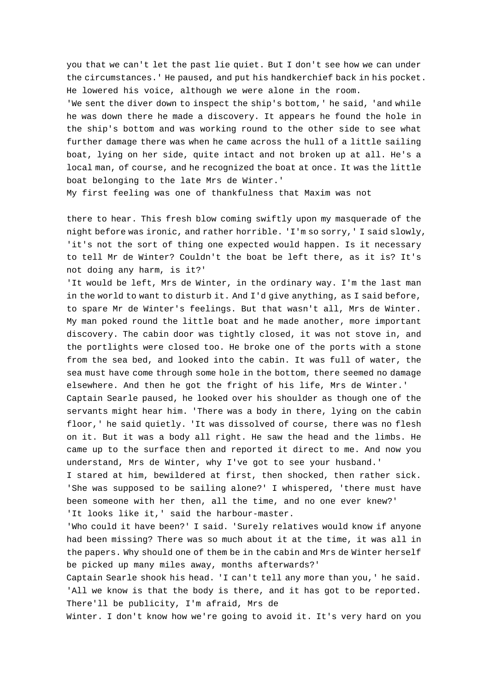you that we can't let the past lie quiet. But I don't see how we can under the circumstances.' He paused, and put his handkerchief back in his pocket. He lowered his voice, although we were alone in the room.

'We sent the diver down to inspect the ship's bottom,' he said, 'and while he was down there he made a discovery. It appears he found the hole in the ship's bottom and was working round to the other side to see what further damage there was when he came across the hull of a little sailing boat, lying on her side, quite intact and not broken up at all. He's a local man, of course, and he recognized the boat at once. It was the little boat belonging to the late Mrs de Winter.'

My first feeling was one of thankfulness that Maxim was not

there to hear. This fresh blow coming swiftly upon my masquerade of the night before was ironic, and rather horrible. 'I'm so sorry,' I said slowly, 'it's not the sort of thing one expected would happen. Is it necessary to tell Mr de Winter? Couldn't the boat be left there, as it is? It's not doing any harm, is it?'

'It would be left, Mrs de Winter, in the ordinary way. I'm the last man in the world to want to disturb it. And I'd give anything, as I said before, to spare Mr de Winter's feelings. But that wasn't all, Mrs de Winter. My man poked round the little boat and he made another, more important discovery. The cabin door was tightly closed, it was not stove in, and the portlights were closed too. He broke one of the ports with a stone from the sea bed, and looked into the cabin. It was full of water, the sea must have come through some hole in the bottom, there seemed no damage elsewhere. And then he got the fright of his life, Mrs de Winter.'

Captain Searle paused, he looked over his shoulder as though one of the servants might hear him. 'There was a body in there, lying on the cabin floor,' he said quietly. 'It was dissolved of course, there was no flesh on it. But it was a body all right. He saw the head and the limbs. He came up to the surface then and reported it direct to me. And now you understand, Mrs de Winter, why I've got to see your husband.'

I stared at him, bewildered at first, then shocked, then rather sick. 'She was supposed to be sailing alone?' I whispered, 'there must have been someone with her then, all the time, and no one ever knew?'

'It looks like it,' said the harbour-master.

'Who could it have been?' I said. 'Surely relatives would know if anyone had been missing? There was so much about it at the time, it was all in the papers. Why should one of them be in the cabin and Mrs de Winter herself be picked up many miles away, months afterwards?'

Captain Searle shook his head. 'I can't tell any more than you,' he said. 'All we know is that the body is there, and it has got to be reported. There'll be publicity, I'm afraid, Mrs de

Winter. I don't know how we're going to avoid it. It's very hard on you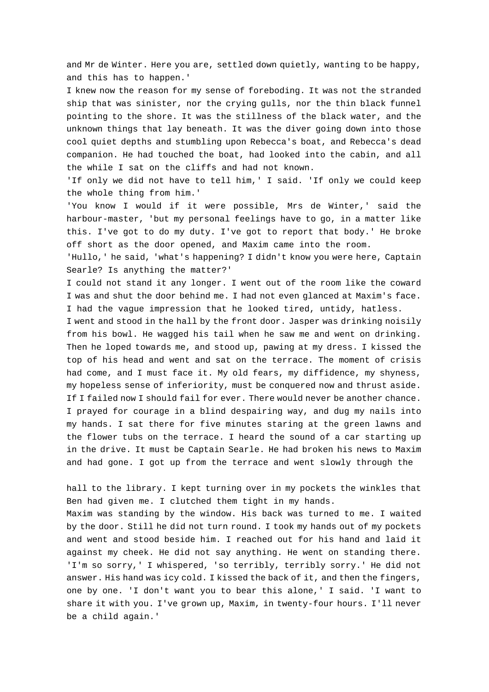and Mr de Winter. Here you are, settled down quietly, wanting to be happy, and this has to happen.'

I knew now the reason for my sense of foreboding. It was not the stranded ship that was sinister, nor the crying gulls, nor the thin black funnel pointing to the shore. It was the stillness of the black water, and the unknown things that lay beneath. It was the diver going down into those cool quiet depths and stumbling upon Rebecca's boat, and Rebecca's dead companion. He had touched the boat, had looked into the cabin, and all the while I sat on the cliffs and had not known.

'If only we did not have to tell him,' I said. 'If only we could keep the whole thing from him.'

'You know I would if it were possible, Mrs de Winter,' said the harbour-master, 'but my personal feelings have to go, in a matter like this. I've got to do my duty. I've got to report that body.' He broke off short as the door opened, and Maxim came into the room.

'Hullo,' he said, 'what's happening? I didn't know you were here, Captain Searle? Is anything the matter?'

I could not stand it any longer. I went out of the room like the coward I was and shut the door behind me. I had not even glanced at Maxim's face. I had the vague impression that he looked tired, untidy, hatless.

I went and stood in the hall by the front door. Jasper was drinking noisily from his bowl. He wagged his tail when he saw me and went on drinking. Then he loped towards me, and stood up, pawing at my dress. I kissed the top of his head and went and sat on the terrace. The moment of crisis had come, and I must face it. My old fears, my diffidence, my shyness, my hopeless sense of inferiority, must be conquered now and thrust aside. If I failed now I should fail for ever. There would never be another chance. I prayed for courage in a blind despairing way, and dug my nails into my hands. I sat there for five minutes staring at the green lawns and the flower tubs on the terrace. I heard the sound of a car starting up in the drive. It must be Captain Searle. He had broken his news to Maxim and had gone. I got up from the terrace and went slowly through the

hall to the library. I kept turning over in my pockets the winkles that Ben had given me. I clutched them tight in my hands.

Maxim was standing by the window. His back was turned to me. I waited by the door. Still he did not turn round. I took my hands out of my pockets and went and stood beside him. I reached out for his hand and laid it against my cheek. He did not say anything. He went on standing there. 'I'm so sorry,' I whispered, 'so terribly, terribly sorry.' He did not answer. His hand was icy cold. I kissed the back of it, and then the fingers, one by one. 'I don't want you to bear this alone,' I said. 'I want to share it with you. I've grown up, Maxim, in twenty-four hours. I'll never be a child again.'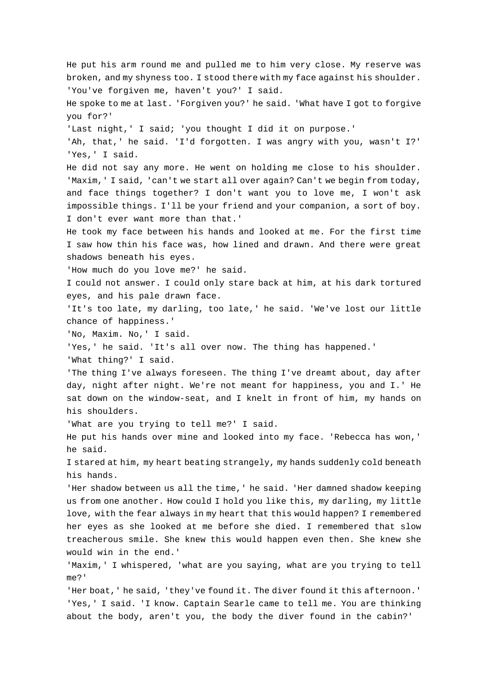He put his arm round me and pulled me to him very close. My reserve was broken, and my shyness too. I stood there with my face against his shoulder. 'You've forgiven me, haven't you?' I said. He spoke to me at last. 'Forgiven you?' he said. 'What have I got to forgive you for?' 'Last night,' I said; 'you thought I did it on purpose.' 'Ah, that,' he said. 'I'd forgotten. I was angry with you, wasn't I?' 'Yes,' I said. He did not say any more. He went on holding me close to his shoulder. 'Maxim,' I said, 'can't we start all over again? Can't we begin from today, and face things together? I don't want you to love me, I won't ask impossible things. I'll be your friend and your companion, a sort of boy. I don't ever want more than that.' He took my face between his hands and looked at me. For the first time I saw how thin his face was, how lined and drawn. And there were great shadows beneath his eyes. 'How much do you love me?' he said. I could not answer. I could only stare back at him, at his dark tortured eyes, and his pale drawn face. 'It's too late, my darling, too late,' he said. 'We've lost our little chance of happiness.' 'No, Maxim. No,' I said. 'Yes,' he said. 'It's all over now. The thing has happened.' 'What thing?' I said. 'The thing I've always foreseen. The thing I've dreamt about, day after day, night after night. We're not meant for happiness, you and I.' He sat down on the window-seat, and I knelt in front of him, my hands on his shoulders. 'What are you trying to tell me?' I said. He put his hands over mine and looked into my face. 'Rebecca has won,' he said. I stared at him, my heart beating strangely, my hands suddenly cold beneath his hands. 'Her shadow between us all the time,' he said. 'Her damned shadow keeping us from one another. How could I hold you like this, my darling, my little love, with the fear always in my heart that this would happen? I remembered her eyes as she looked at me before she died. I remembered that slow treacherous smile. She knew this would happen even then. She knew she would win in the end.' 'Maxim,' I whispered, 'what are you saying, what are you trying to tell me?' 'Her boat, ' he said, 'they've found it. The diver found it this afternoon.' 'Yes,' I said. 'I know. Captain Searle came to tell me. You are thinking about the body, aren't you, the body the diver found in the cabin?'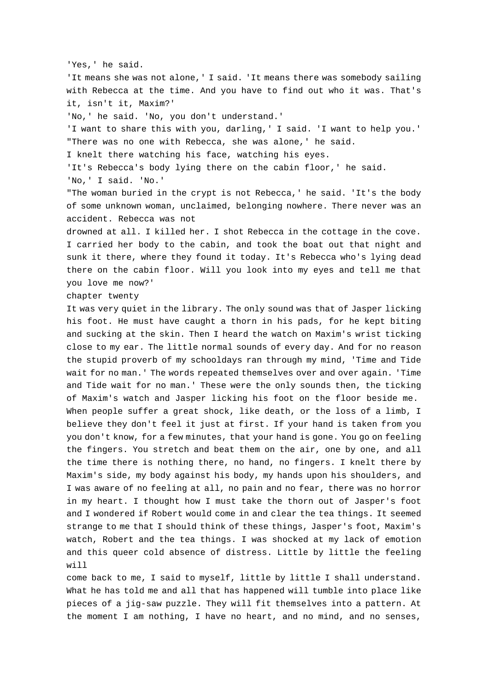'Yes,' he said.

'It means she was not alone,' I said. 'It means there was somebody sailing with Rebecca at the time. And you have to find out who it was. That's it, isn't it, Maxim?'

'No,' he said. 'No, you don't understand.'

'I want to share this with you, darling,' I said. 'I want to help you.' "There was no one with Rebecca, she was alone,' he said.

I knelt there watching his face, watching his eyes.

'It's Rebecca's body lying there on the cabin floor,' he said.

'No,' I said. 'No.'

"The woman buried in the crypt is not Rebecca,' he said. 'It's the body of some unknown woman, unclaimed, belonging nowhere. There never was an accident. Rebecca was not

drowned at all. I killed her. I shot Rebecca in the cottage in the cove. I carried her body to the cabin, and took the boat out that night and sunk it there, where they found it today. It's Rebecca who's lying dead there on the cabin floor. Will you look into my eyes and tell me that you love me now?'

chapter twenty

It was very quiet in the library. The only sound was that of Jasper licking his foot. He must have caught a thorn in his pads, for he kept biting and sucking at the skin. Then I heard the watch on Maxim's wrist ticking close to my ear. The little normal sounds of every day. And for no reason the stupid proverb of my schooldays ran through my mind, 'Time and Tide wait for no man.' The words repeated themselves over and over again. 'Time and Tide wait for no man.' These were the only sounds then, the ticking of Maxim's watch and Jasper licking his foot on the floor beside me. When people suffer a great shock, like death, or the loss of a limb, I believe they don't feel it just at first. If your hand is taken from you you don't know, for a few minutes, that your hand is gone. You go on feeling the fingers. You stretch and beat them on the air, one by one, and all the time there is nothing there, no hand, no fingers. I knelt there by Maxim's side, my body against his body, my hands upon his shoulders, and I was aware of no feeling at all, no pain and no fear, there was no horror in my heart. I thought how I must take the thorn out of Jasper's foot and I wondered if Robert would come in and clear the tea things. It seemed strange to me that I should think of these things, Jasper's foot, Maxim's watch, Robert and the tea things. I was shocked at my lack of emotion and this queer cold absence of distress. Little by little the feeling will

come back to me, I said to myself, little by little I shall understand. What he has told me and all that has happened will tumble into place like pieces of a jig-saw puzzle. They will fit themselves into a pattern. At the moment I am nothing, I have no heart, and no mind, and no senses,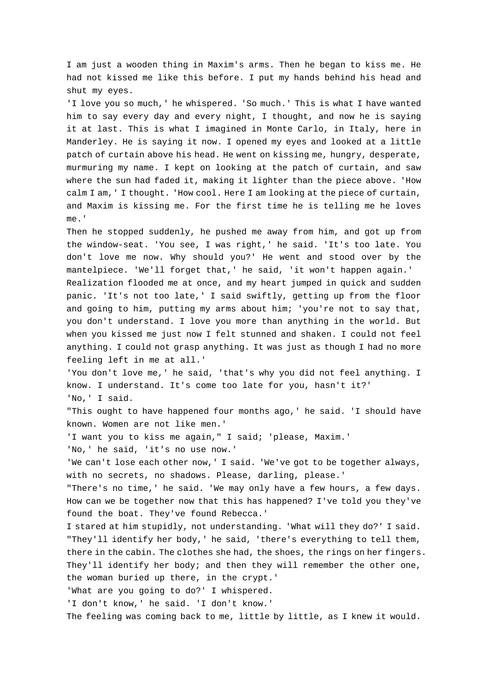I am just a wooden thing in Maxim's arms. Then he began to kiss me. He had not kissed me like this before. I put my hands behind his head and shut my eyes.

'I love you so much,' he whispered. 'So much.' This is what I have wanted him to say every day and every night, I thought, and now he is saying it at last. This is what I imagined in Monte Carlo, in Italy, here in Manderley. He is saying it now. I opened my eyes and looked at a little patch of curtain above his head. He went on kissing me, hungry, desperate, murmuring my name. I kept on looking at the patch of curtain, and saw where the sun had faded it, making it lighter than the piece above. 'How calm I am,' I thought. 'How cool. Here I am looking at the piece of curtain, and Maxim is kissing me. For the first time he is telling me he loves me.'

Then he stopped suddenly, he pushed me away from him, and got up from the window-seat. 'You see, I was right,' he said. 'It's too late. You don't love me now. Why should you?' He went and stood over by the mantelpiece. 'We'll forget that,' he said, 'it won't happen again.' Realization flooded me at once, and my heart jumped in quick and sudden panic. 'It's not too late,' I said swiftly, getting up from the floor and going to him, putting my arms about him; 'you're not to say that, you don't understand. I love you more than anything in the world. But when you kissed me just now I felt stunned and shaken. I could not feel anything. I could not grasp anything. It was just as though I had no more feeling left in me at all.'

'You don't love me,' he said, 'that's why you did not feel anything. I know. I understand. It's come too late for you, hasn't it?' 'No,' I said.

"This ought to have happened four months ago,' he said. 'I should have known. Women are not like men.'

'I want you to kiss me again," I said; 'please, Maxim.'

'No,' he said, 'it's no use now.'

'We can't lose each other now,' I said. 'We've got to be together always, with no secrets, no shadows. Please, darling, please.'

"There's no time,' he said. 'We may only have a few hours, a few days. How can we be together now that this has happened? I've told you they've found the boat. They've found Rebecca.'

I stared at him stupidly, not understanding. 'What will they do?' I said. "They'll identify her body,' he said, 'there's everything to tell them, there in the cabin. The clothes she had, the shoes, the rings on her fingers. They'll identify her body; and then they will remember the other one, the woman buried up there, in the crypt.'

'What are you going to do?' I whispered.

'I don't know,' he said. 'I don't know.'

The feeling was coming back to me, little by little, as I knew it would.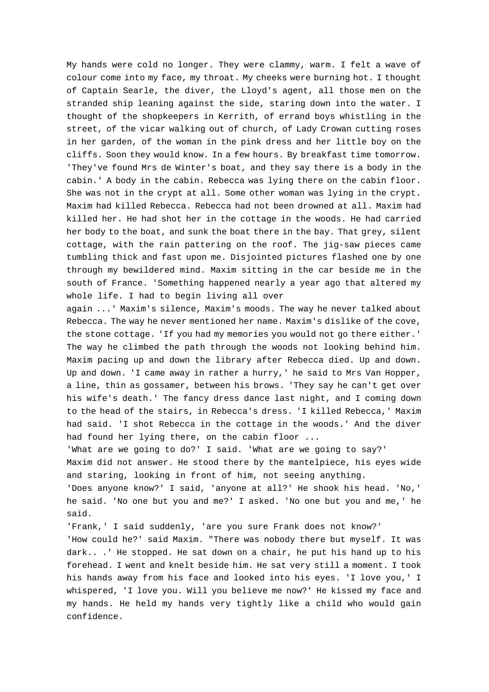My hands were cold no longer. They were clammy, warm. I felt a wave of colour come into my face, my throat. My cheeks were burning hot. I thought of Captain Searle, the diver, the Lloyd's agent, all those men on the stranded ship leaning against the side, staring down into the water. I thought of the shopkeepers in Kerrith, of errand boys whistling in the street, of the vicar walking out of church, of Lady Crowan cutting roses in her garden, of the woman in the pink dress and her little boy on the cliffs. Soon they would know. In a few hours. By breakfast time tomorrow. 'They've found Mrs de Winter's boat, and they say there is a body in the cabin.' A body in the cabin. Rebecca was lying there on the cabin floor. She was not in the crypt at all. Some other woman was lying in the crypt. Maxim had killed Rebecca. Rebecca had not been drowned at all. Maxim had killed her. He had shot her in the cottage in the woods. He had carried her body to the boat, and sunk the boat there in the bay. That grey, silent cottage, with the rain pattering on the roof. The jig-saw pieces came tumbling thick and fast upon me. Disjointed pictures flashed one by one through my bewildered mind. Maxim sitting in the car beside me in the south of France. 'Something happened nearly a year ago that altered my whole life. I had to begin living all over

again ...' Maxim's silence, Maxim's moods. The way he never talked about Rebecca. The way he never mentioned her name. Maxim's dislike of the cove, the stone cottage. 'If you had my memories you would not go there either.' The way he climbed the path through the woods not looking behind him. Maxim pacing up and down the library after Rebecca died. Up and down. Up and down. 'I came away in rather a hurry,' he said to Mrs Van Hopper, a line, thin as gossamer, between his brows. 'They say he can't get over his wife's death.' The fancy dress dance last night, and I coming down to the head of the stairs, in Rebecca's dress. 'I killed Rebecca,' Maxim had said. 'I shot Rebecca in the cottage in the woods.' And the diver had found her lying there, on the cabin floor ...

'What are we going to do?' I said. 'What are we going to say?'

Maxim did not answer. He stood there by the mantelpiece, his eyes wide and staring, looking in front of him, not seeing anything.

'Does anyone know?' I said, 'anyone at all?' He shook his head. 'No,' he said. 'No one but you and me?' I asked. 'No one but you and me,' he said.

'Frank,' I said suddenly, 'are you sure Frank does not know?'

'How could he?' said Maxim. "There was nobody there but myself. It was dark.. .' He stopped. He sat down on a chair, he put his hand up to his forehead. I went and knelt beside him. He sat very still a moment. I took his hands away from his face and looked into his eyes. 'I love you,' I whispered, 'I love you. Will you believe me now?' He kissed my face and my hands. He held my hands very tightly like a child who would gain confidence.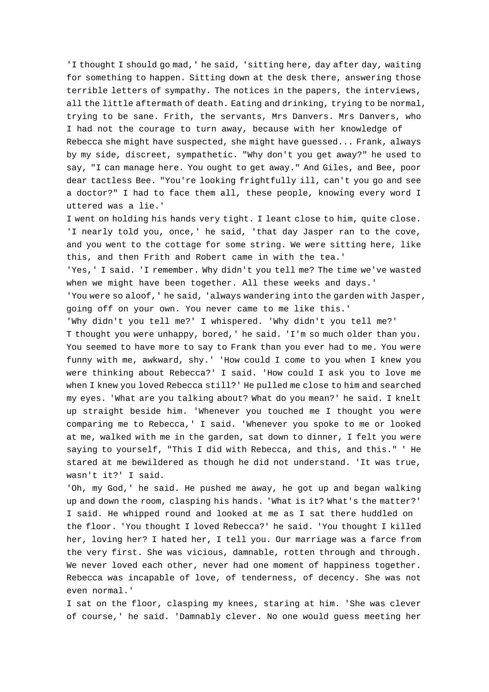'I thought I should go mad, ' he said, ' sitting here, day after day, waiting for something to happen. Sitting down at the desk there, answering those terrible letters of sympathy. The notices in the papers, the interviews, all the little aftermath of death. Eating and drinking, trying to be normal, trying to be sane. Frith, the servants, Mrs Danvers. Mrs Danvers, who I had not the courage to turn away, because with her knowledge of Rebecca she might have suspected, she might have guessed... Frank, always by my side, discreet, sympathetic. "Why don't you get away?" he used to say, "I can manage here. You ought to get away." And Giles, and Bee, poor dear tactless Bee. "You're looking frightfully ill, can't you go and see a doctor?" I had to face them all, these people, knowing every word I uttered was a lie.'

I went on holding his hands very tight. I leant close to him, quite close. 'I nearly told you, once,' he said, 'that day Jasper ran to the cove, and you went to the cottage for some string. We were sitting here, like this, and then Frith and Robert came in with the tea.'

'Yes,' I said. 'I remember. Why didn't you tell me? The time we've wasted when we might have been together. All these weeks and days.'

'You were so aloof,' he said, 'always wandering into the garden with Jasper, going off on your own. You never came to me like this.'

'Why didn't you tell me?' I whispered. 'Why didn't you tell me?'

T thought you were unhappy, bored,' he said. 'I'm so much older than you. You seemed to have more to say to Frank than you ever had to me. You were funny with me, awkward, shy.' 'How could I come to you when I knew you were thinking about Rebecca?' I said. 'How could I ask you to love me when I knew you loved Rebecca still?' He pulled me close to him and searched my eyes. 'What are you talking about? What do you mean?' he said. I knelt up straight beside him. 'Whenever you touched me I thought you were comparing me to Rebecca,' I said. 'Whenever you spoke to me or looked at me, walked with me in the garden, sat down to dinner, I felt you were saying to yourself, "This I did with Rebecca, and this, and this." ' He stared at me bewildered as though he did not understand. 'It was true, wasn't it?' I said.

'Oh, my God,' he said. He pushed me away, he got up and began walking up and down the room, clasping his hands. 'What is it? What's the matter?' I said. He whipped round and looked at me as I sat there huddled on the floor. 'You thought I loved Rebecca?' he said. 'You thought I killed her, loving her? I hated her, I tell you. Our marriage was a farce from the very first. She was vicious, damnable, rotten through and through. We never loved each other, never had one moment of happiness together. Rebecca was incapable of love, of tenderness, of decency. She was not even normal.'

I sat on the floor, clasping my knees, staring at him. 'She was clever of course,' he said. 'Damnably clever. No one would guess meeting her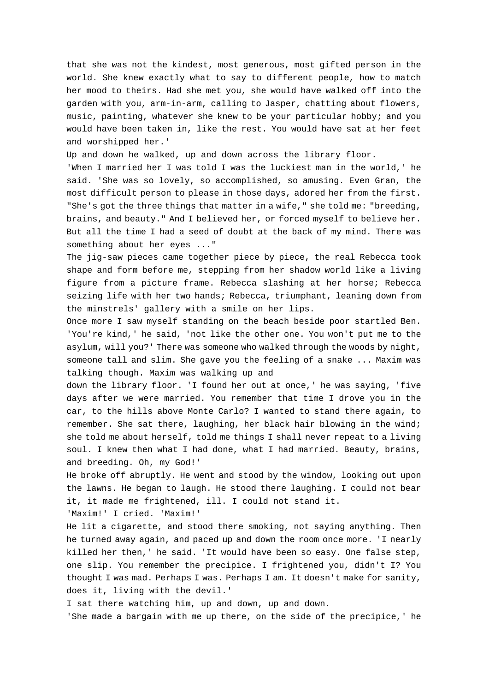that she was not the kindest, most generous, most gifted person in the world. She knew exactly what to say to different people, how to match her mood to theirs. Had she met you, she would have walked off into the garden with you, arm-in-arm, calling to Jasper, chatting about flowers, music, painting, whatever she knew to be your particular hobby; and you would have been taken in, like the rest. You would have sat at her feet and worshipped her.'

Up and down he walked, up and down across the library floor.

'When I married her I was told I was the luckiest man in the world,' he said. 'She was so lovely, so accomplished, so amusing. Even Gran, the most difficult person to please in those days, adored her from the first. "She's got the three things that matter in a wife," she told me: "breeding, brains, and beauty." And I believed her, or forced myself to believe her. But all the time I had a seed of doubt at the back of my mind. There was something about her eyes ..."

The jig-saw pieces came together piece by piece, the real Rebecca took shape and form before me, stepping from her shadow world like a living figure from a picture frame. Rebecca slashing at her horse; Rebecca seizing life with her two hands; Rebecca, triumphant, leaning down from the minstrels' gallery with a smile on her lips.

Once more I saw myself standing on the beach beside poor startled Ben. 'You're kind,' he said, 'not like the other one. You won't put me to the asylum, will you?' There was someone who walked through the woods by night, someone tall and slim. She gave you the feeling of a snake ... Maxim was talking though. Maxim was walking up and

down the library floor. 'I found her out at once,' he was saying, 'five days after we were married. You remember that time I drove you in the car, to the hills above Monte Carlo? I wanted to stand there again, to remember. She sat there, laughing, her black hair blowing in the wind; she told me about herself, told me things I shall never repeat to a living soul. I knew then what I had done, what I had married. Beauty, brains, and breeding. Oh, my God!'

He broke off abruptly. He went and stood by the window, looking out upon the lawns. He began to laugh. He stood there laughing. I could not bear it, it made me frightened, ill. I could not stand it.

'Maxim!' I cried. 'Maxim!'

He lit a cigarette, and stood there smoking, not saying anything. Then he turned away again, and paced up and down the room once more. 'I nearly killed her then,' he said. 'It would have been so easy. One false step, one slip. You remember the precipice. I frightened you, didn't I? You thought I was mad. Perhaps I was. Perhaps I am. It doesn't make for sanity, does it, living with the devil.'

I sat there watching him, up and down, up and down.

'She made a bargain with me up there, on the side of the precipice,' he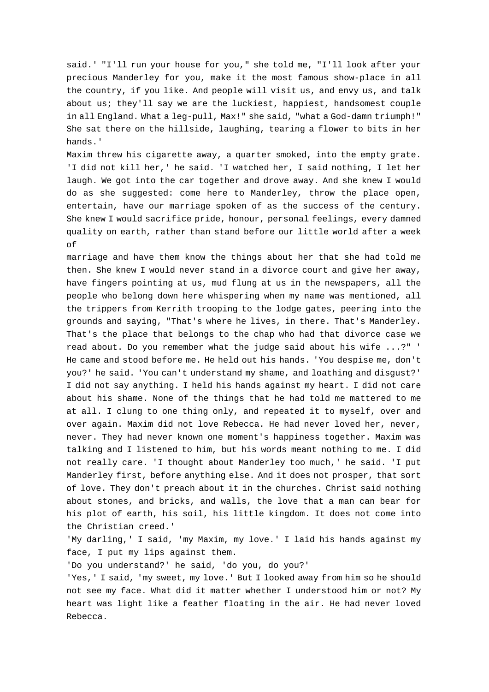said.' "I'll run your house for you," she told me, "I'll look after your precious Manderley for you, make it the most famous show-place in all the country, if you like. And people will visit us, and envy us, and talk about us; they'll say we are the luckiest, happiest, handsomest couple in all England. What a leg-pull, Max!" she said, "what a God-damn triumph!" She sat there on the hillside, laughing, tearing a flower to bits in her hands.'

Maxim threw his cigarette away, a quarter smoked, into the empty grate. 'I did not kill her,' he said. 'I watched her, I said nothing, I let her laugh. We got into the car together and drove away. And she knew I would do as she suggested: come here to Manderley, throw the place open, entertain, have our marriage spoken of as the success of the century. She knew I would sacrifice pride, honour, personal feelings, every damned quality on earth, rather than stand before our little world after a week of

marriage and have them know the things about her that she had told me then. She knew I would never stand in a divorce court and give her away, have fingers pointing at us, mud flung at us in the newspapers, all the people who belong down here whispering when my name was mentioned, all the trippers from Kerrith trooping to the lodge gates, peering into the grounds and saying, "That's where he lives, in there. That's Manderley. That's the place that belongs to the chap who had that divorce case we read about. Do you remember what the judge said about his wife ...?" ' He came and stood before me. He held out his hands. 'You despise me, don't you?' he said. 'You can't understand my shame, and loathing and disgust?' I did not say anything. I held his hands against my heart. I did not care about his shame. None of the things that he had told me mattered to me at all. I clung to one thing only, and repeated it to myself, over and over again. Maxim did not love Rebecca. He had never loved her, never, never. They had never known one moment's happiness together. Maxim was talking and I listened to him, but his words meant nothing to me. I did not really care. 'I thought about Manderley too much,' he said. 'I put Manderley first, before anything else. And it does not prosper, that sort of love. They don't preach about it in the churches. Christ said nothing about stones, and bricks, and walls, the love that a man can bear for his plot of earth, his soil, his little kingdom. It does not come into the Christian creed.'

'My darling,' I said, 'my Maxim, my love.' I laid his hands against my face, I put my lips against them.

'Do you understand?' he said, 'do you, do you?'

'Yes,' I said, 'my sweet, my love.' But I looked away from him so he should not see my face. What did it matter whether I understood him or not? My heart was light like a feather floating in the air. He had never loved Rebecca.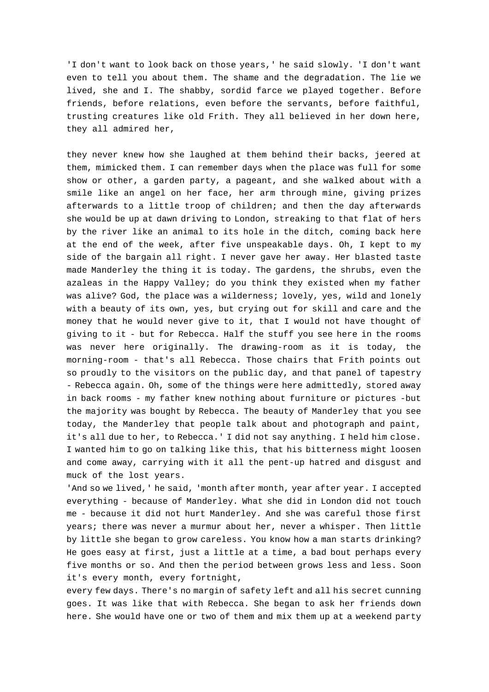'I don't want to look back on those years,' he said slowly. 'I don't want even to tell you about them. The shame and the degradation. The lie we lived, she and I. The shabby, sordid farce we played together. Before friends, before relations, even before the servants, before faithful, trusting creatures like old Frith. They all believed in her down here, they all admired her,

they never knew how she laughed at them behind their backs, jeered at them, mimicked them. I can remember days when the place was full for some show or other, a garden party, a pageant, and she walked about with a smile like an angel on her face, her arm through mine, giving prizes afterwards to a little troop of children; and then the day afterwards she would be up at dawn driving to London, streaking to that flat of hers by the river like an animal to its hole in the ditch, coming back here at the end of the week, after five unspeakable days. Oh, I kept to my side of the bargain all right. I never gave her away. Her blasted taste made Manderley the thing it is today. The gardens, the shrubs, even the azaleas in the Happy Valley; do you think they existed when my father was alive? God, the place was a wilderness; lovely, yes, wild and lonely with a beauty of its own, yes, but crying out for skill and care and the money that he would never give to it, that I would not have thought of giving to it - but for Rebecca. Half the stuff you see here in the rooms was never here originally. The drawing-room as it is today, the morning-room - that's all Rebecca. Those chairs that Frith points out so proudly to the visitors on the public day, and that panel of tapestry - Rebecca again. Oh, some of the things were here admittedly, stored away in back rooms - my father knew nothing about furniture or pictures -but the majority was bought by Rebecca. The beauty of Manderley that you see today, the Manderley that people talk about and photograph and paint, it's all due to her, to Rebecca.' I did not say anything. I held him close. I wanted him to go on talking like this, that his bitterness might loosen and come away, carrying with it all the pent-up hatred and disgust and muck of the lost years.

'And so we lived,' he said, 'month after month, year after year. I accepted everything - because of Manderley. What she did in London did not touch me - because it did not hurt Manderley. And she was careful those first years; there was never a murmur about her, never a whisper. Then little by little she began to grow careless. You know how a man starts drinking? He goes easy at first, just a little at a time, a bad bout perhaps every five months or so. And then the period between grows less and less. Soon it's every month, every fortnight,

every few days. There's no margin of safety left and all his secret cunning goes. It was like that with Rebecca. She began to ask her friends down here. She would have one or two of them and mix them up at a weekend party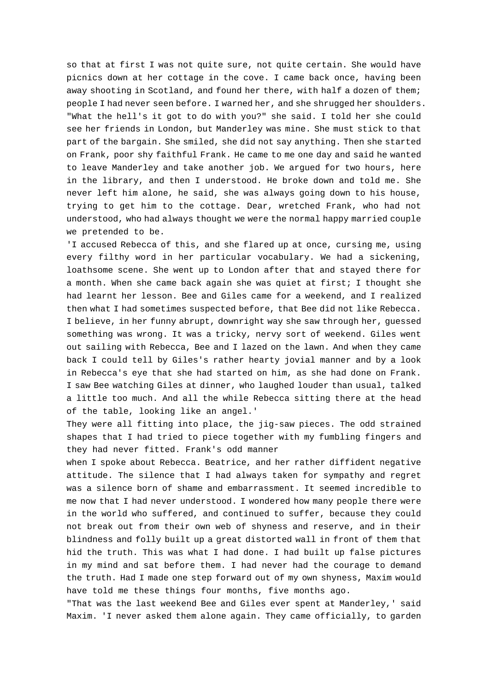so that at first I was not quite sure, not quite certain. She would have picnics down at her cottage in the cove. I came back once, having been away shooting in Scotland, and found her there, with half a dozen of them; people I had never seen before. I warned her, and she shrugged her shoulders. "What the hell's it got to do with you?" she said. I told her she could see her friends in London, but Manderley was mine. She must stick to that part of the bargain. She smiled, she did not say anything. Then she started on Frank, poor shy faithful Frank. He came to me one day and said he wanted to leave Manderley and take another job. We argued for two hours, here in the library, and then I understood. He broke down and told me. She never left him alone, he said, she was always going down to his house, trying to get him to the cottage. Dear, wretched Frank, who had not understood, who had always thought we were the normal happy married couple we pretended to be.

'I accused Rebecca of this, and she flared up at once, cursing me, using every filthy word in her particular vocabulary. We had a sickening, loathsome scene. She went up to London after that and stayed there for a month. When she came back again she was quiet at first; I thought she had learnt her lesson. Bee and Giles came for a weekend, and I realized then what I had sometimes suspected before, that Bee did not like Rebecca. I believe, in her funny abrupt, downright way she saw through her, guessed something was wrong. It was a tricky, nervy sort of weekend. Giles went out sailing with Rebecca, Bee and I lazed on the lawn. And when they came back I could tell by Giles's rather hearty jovial manner and by a look in Rebecca's eye that she had started on him, as she had done on Frank. I saw Bee watching Giles at dinner, who laughed louder than usual, talked a little too much. And all the while Rebecca sitting there at the head of the table, looking like an angel.'

They were all fitting into place, the jig-saw pieces. The odd strained shapes that I had tried to piece together with my fumbling fingers and they had never fitted. Frank's odd manner

when I spoke about Rebecca. Beatrice, and her rather diffident negative attitude. The silence that I had always taken for sympathy and regret was a silence born of shame and embarrassment. It seemed incredible to me now that I had never understood. I wondered how many people there were in the world who suffered, and continued to suffer, because they could not break out from their own web of shyness and reserve, and in their blindness and folly built up a great distorted wall in front of them that hid the truth. This was what I had done. I had built up false pictures in my mind and sat before them. I had never had the courage to demand the truth. Had I made one step forward out of my own shyness, Maxim would have told me these things four months, five months ago.

"That was the last weekend Bee and Giles ever spent at Manderley,' said Maxim. 'I never asked them alone again. They came officially, to garden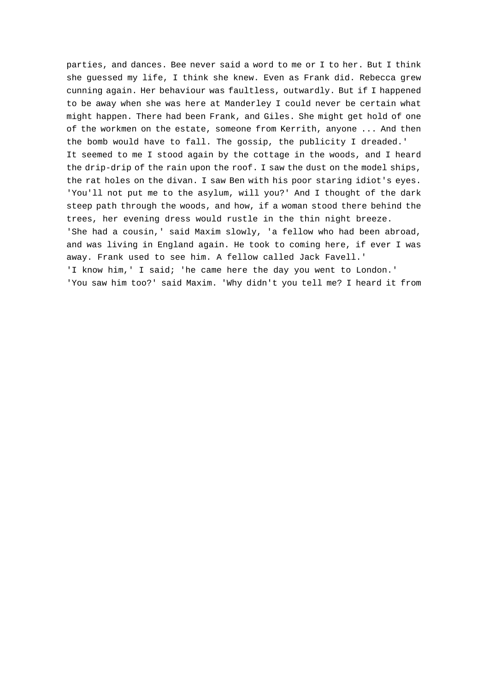parties, and dances. Bee never said a word to me or I to her. But I think she guessed my life, I think she knew. Even as Frank did. Rebecca grew cunning again. Her behaviour was faultless, outwardly. But if I happened to be away when she was here at Manderley I could never be certain what might happen. There had been Frank, and Giles. She might get hold of one of the workmen on the estate, someone from Kerrith, anyone ... And then the bomb would have to fall. The gossip, the publicity I dreaded.' It seemed to me I stood again by the cottage in the woods, and I heard the drip-drip of the rain upon the roof. I saw the dust on the model ships, the rat holes on the divan. I saw Ben with his poor staring idiot's eyes. 'You'll not put me to the asylum, will you?' And I thought of the dark steep path through the woods, and how, if a woman stood there behind the trees, her evening dress would rustle in the thin night breeze. 'She had a cousin,' said Maxim slowly, 'a fellow who had been abroad, and was living in England again. He took to coming here, if ever I was away. Frank used to see him. A fellow called Jack Favell.'

'I know him,' I said; 'he came here the day you went to London.'

'You saw him too?' said Maxim. 'Why didn't you tell me? I heard it from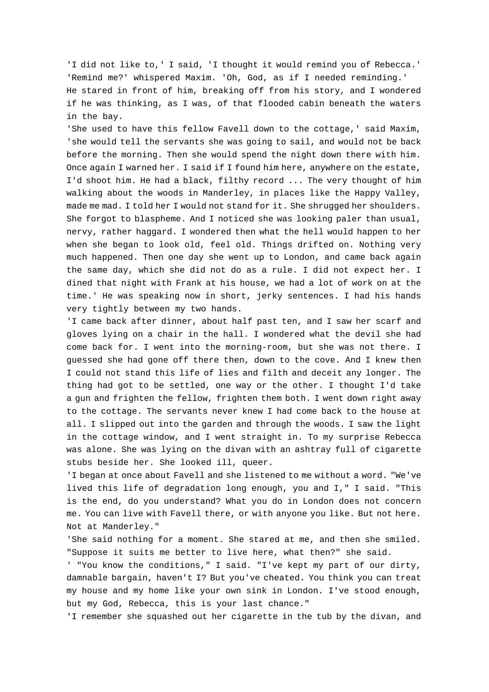'I did not like to,' I said, 'I thought it would remind you of Rebecca.' 'Remind me?' whispered Maxim. 'Oh, God, as if I needed reminding.' He stared in front of him, breaking off from his story, and I wondered if he was thinking, as I was, of that flooded cabin beneath the waters in the bay.

'She used to have this fellow Favell down to the cottage,' said Maxim, 'she would tell the servants she was going to sail, and would not be back before the morning. Then she would spend the night down there with him. Once again I warned her. I said if I found him here, anywhere on the estate, I'd shoot him. He had a black, filthy record ... The very thought of him walking about the woods in Manderley, in places like the Happy Valley, made me mad. I told her I would not stand for it. She shrugged her shoulders. She forgot to blaspheme. And I noticed she was looking paler than usual, nervy, rather haggard. I wondered then what the hell would happen to her when she began to look old, feel old. Things drifted on. Nothing very much happened. Then one day she went up to London, and came back again the same day, which she did not do as a rule. I did not expect her. I dined that night with Frank at his house, we had a lot of work on at the time.' He was speaking now in short, jerky sentences. I had his hands very tightly between my two hands.

'I came back after dinner, about half past ten, and I saw her scarf and gloves lying on a chair in the hall. I wondered what the devil she had come back for. I went into the morning-room, but she was not there. I guessed she had gone off there then, down to the cove. And I knew then I could not stand this life of lies and filth and deceit any longer. The thing had got to be settled, one way or the other. I thought I'd take a gun and frighten the fellow, frighten them both. I went down right away to the cottage. The servants never knew I had come back to the house at all. I slipped out into the garden and through the woods. I saw the light in the cottage window, and I went straight in. To my surprise Rebecca was alone. She was lying on the divan with an ashtray full of cigarette stubs beside her. She looked ill, queer.

'I began at once about Favell and she listened to me without a word. "We've lived this life of degradation long enough, you and I," I said. "This is the end, do you understand? What you do in London does not concern me. You can live with Favell there, or with anyone you like. But not here. Not at Manderley."

'She said nothing for a moment. She stared at me, and then she smiled. "Suppose it suits me better to live here, what then?" she said.

' "You know the conditions," I said. "I've kept my part of our dirty, damnable bargain, haven't I? But you've cheated. You think you can treat my house and my home like your own sink in London. I've stood enough, but my God, Rebecca, this is your last chance."

'I remember she squashed out her cigarette in the tub by the divan, and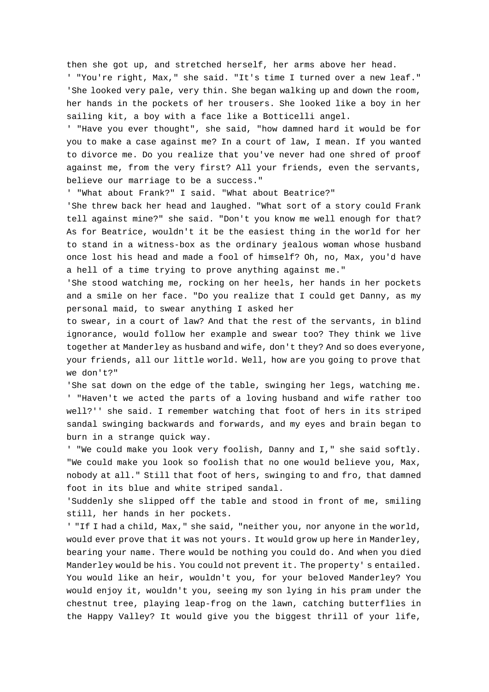then she got up, and stretched herself, her arms above her head.

' "You're right, Max," she said. "It's time I turned over a new leaf." 'She looked very pale, very thin. She began walking up and down the room, her hands in the pockets of her trousers. She looked like a boy in her sailing kit, a boy with a face like a Botticelli angel.

' "Have you ever thought", she said, "how damned hard it would be for you to make a case against me? In a court of law, I mean. If you wanted to divorce me. Do you realize that you've never had one shred of proof against me, from the very first? All your friends, even the servants, believe our marriage to be a success."

' "What about Frank?" I said. "What about Beatrice?"

'She threw back her head and laughed. "What sort of a story could Frank tell against mine?" she said. "Don't you know me well enough for that? As for Beatrice, wouldn't it be the easiest thing in the world for her to stand in a witness-box as the ordinary jealous woman whose husband once lost his head and made a fool of himself? Oh, no, Max, you'd have a hell of a time trying to prove anything against me."

'She stood watching me, rocking on her heels, her hands in her pockets and a smile on her face. "Do you realize that I could get Danny, as my personal maid, to swear anything I asked her

to swear, in a court of law? And that the rest of the servants, in blind ignorance, would follow her example and swear too? They think we live together at Manderley as husband and wife, don't they? And so does everyone, your friends, all our little world. Well, how are you going to prove that we don't?"

'She sat down on the edge of the table, swinging her legs, watching me. ' "Haven't we acted the parts of a loving husband and wife rather too well?'' she said. I remember watching that foot of hers in its striped sandal swinging backwards and forwards, and my eyes and brain began to burn in a strange quick way.

' "We could make you look very foolish, Danny and I," she said softly. "We could make you look so foolish that no one would believe you, Max, nobody at all." Still that foot of hers, swinging to and fro, that damned foot in its blue and white striped sandal.

'Suddenly she slipped off the table and stood in front of me, smiling still, her hands in her pockets.

' "If I had a child, Max," she said, "neither you, nor anyone in the world, would ever prove that it was not yours. It would grow up here in Manderley, bearing your name. There would be nothing you could do. And when you died Manderley would be his. You could not prevent it. The property' s entailed. You would like an heir, wouldn't you, for your beloved Manderley? You would enjoy it, wouldn't you, seeing my son lying in his pram under the chestnut tree, playing leap-frog on the lawn, catching butterflies in the Happy Valley? It would give you the biggest thrill of your life,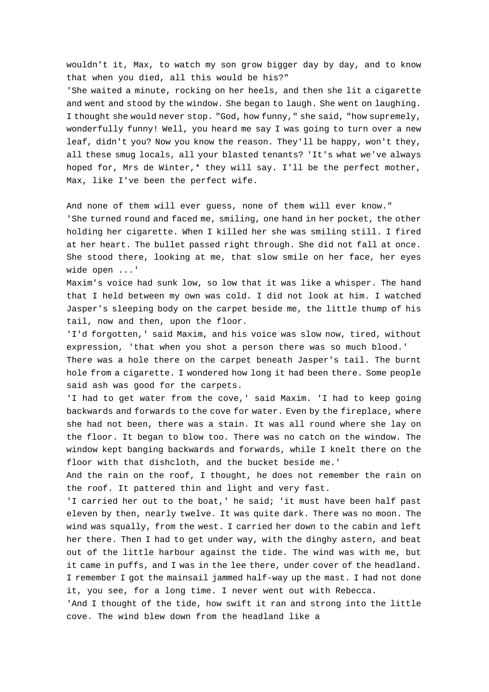wouldn't it, Max, to watch my son grow bigger day by day, and to know that when you died, all this would be his?"

'She waited a minute, rocking on her heels, and then she lit a cigarette and went and stood by the window. She began to laugh. She went on laughing. I thought she would never stop. "God, how funny," she said, "how supremely, wonderfully funny! Well, you heard me say I was going to turn over a new leaf, didn't you? Now you know the reason. They'll be happy, won't they, all these smug locals, all your blasted tenants? 'It's what we've always hoped for, Mrs de Winter,\* they will say. I'll be the perfect mother, Max, like I've been the perfect wife.

And none of them will ever guess, none of them will ever know." 'She turned round and faced me, smiling, one hand in her pocket, the other holding her cigarette. When I killed her she was smiling still. I fired at her heart. The bullet passed right through. She did not fall at once. She stood there, looking at me, that slow smile on her face, her eyes wide open ...'

Maxim's voice had sunk low, so low that it was like a whisper. The hand that I held between my own was cold. I did not look at him. I watched Jasper's sleeping body on the carpet beside me, the little thump of his tail, now and then, upon the floor.

'I'd forgotten,' said Maxim, and his voice was slow now, tired, without expression, 'that when you shot a person there was so much blood.'

There was a hole there on the carpet beneath Jasper's tail. The burnt hole from a cigarette. I wondered how long it had been there. Some people said ash was good for the carpets.

'I had to get water from the cove,' said Maxim. 'I had to keep going backwards and forwards to the cove for water. Even by the fireplace, where she had not been, there was a stain. It was all round where she lay on the floor. It began to blow too. There was no catch on the window. The window kept banging backwards and forwards, while I knelt there on the floor with that dishcloth, and the bucket beside me.'

And the rain on the roof, I thought, he does not remember the rain on the roof. It pattered thin and light and very fast.

'I carried her out to the boat,' he said; 'it must have been half past eleven by then, nearly twelve. It was quite dark. There was no moon. The wind was squally, from the west. I carried her down to the cabin and left her there. Then I had to get under way, with the dinghy astern, and beat out of the little harbour against the tide. The wind was with me, but it came in puffs, and I was in the lee there, under cover of the headland. I remember I got the mainsail jammed half-way up the mast. I had not done it, you see, for a long time. I never went out with Rebecca.

'And I thought of the tide, how swift it ran and strong into the little cove. The wind blew down from the headland like a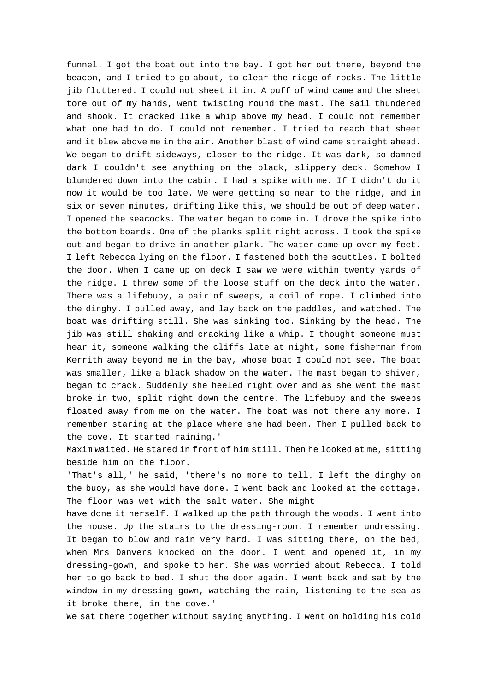funnel. I got the boat out into the bay. I got her out there, beyond the beacon, and I tried to go about, to clear the ridge of rocks. The little jib fluttered. I could not sheet it in. A puff of wind came and the sheet tore out of my hands, went twisting round the mast. The sail thundered and shook. It cracked like a whip above my head. I could not remember what one had to do. I could not remember. I tried to reach that sheet and it blew above me in the air. Another blast of wind came straight ahead. We began to drift sideways, closer to the ridge. It was dark, so damned dark I couldn't see anything on the black, slippery deck. Somehow I blundered down into the cabin. I had a spike with me. If I didn't do it now it would be too late. We were getting so near to the ridge, and in six or seven minutes, drifting like this, we should be out of deep water. I opened the seacocks. The water began to come in. I drove the spike into the bottom boards. One of the planks split right across. I took the spike out and began to drive in another plank. The water came up over my feet. I left Rebecca lying on the floor. I fastened both the scuttles. I bolted the door. When I came up on deck I saw we were within twenty yards of the ridge. I threw some of the loose stuff on the deck into the water. There was a lifebuoy, a pair of sweeps, a coil of rope. I climbed into the dinghy. I pulled away, and lay back on the paddles, and watched. The boat was drifting still. She was sinking too. Sinking by the head. The jib was still shaking and cracking like a whip. I thought someone must hear it, someone walking the cliffs late at night, some fisherman from Kerrith away beyond me in the bay, whose boat I could not see. The boat was smaller, like a black shadow on the water. The mast began to shiver, began to crack. Suddenly she heeled right over and as she went the mast broke in two, split right down the centre. The lifebuoy and the sweeps floated away from me on the water. The boat was not there any more. I remember staring at the place where she had been. Then I pulled back to the cove. It started raining.'

Maxim waited. He stared in front of him still. Then he looked at me, sitting beside him on the floor.

'That's all,' he said, 'there's no more to tell. I left the dinghy on the buoy, as she would have done. I went back and looked at the cottage. The floor was wet with the salt water. She might

have done it herself. I walked up the path through the woods. I went into the house. Up the stairs to the dressing-room. I remember undressing. It began to blow and rain very hard. I was sitting there, on the bed, when Mrs Danvers knocked on the door. I went and opened it, in my dressing-gown, and spoke to her. She was worried about Rebecca. I told her to go back to bed. I shut the door again. I went back and sat by the window in my dressing-gown, watching the rain, listening to the sea as it broke there, in the cove.'

We sat there together without saying anything. I went on holding his cold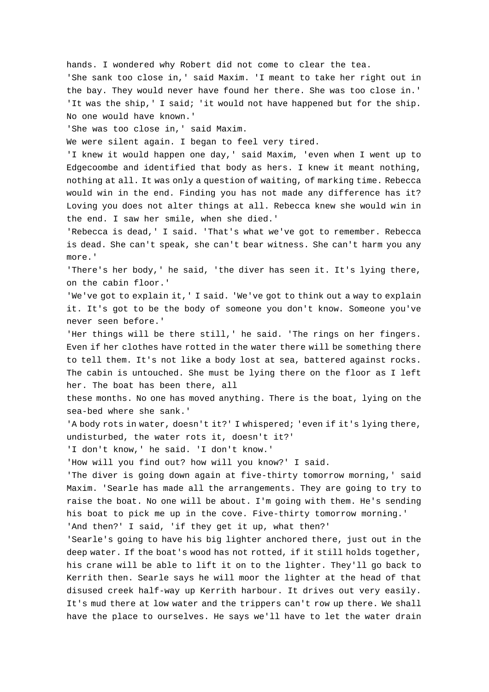hands. I wondered why Robert did not come to clear the tea.

'She sank too close in,' said Maxim. 'I meant to take her right out in the bay. They would never have found her there. She was too close in.' 'It was the ship,' I said; 'it would not have happened but for the ship. No one would have known.'

'She was too close in,' said Maxim.

We were silent again. I began to feel very tired.

'I knew it would happen one day,' said Maxim, 'even when I went up to Edgecoombe and identified that body as hers. I knew it meant nothing, nothing at all. It was only a question of waiting, of marking time. Rebecca would win in the end. Finding you has not made any difference has it? Loving you does not alter things at all. Rebecca knew she would win in the end. I saw her smile, when she died.'

'Rebecca is dead,' I said. 'That's what we've got to remember. Rebecca is dead. She can't speak, she can't bear witness. She can't harm you any more.'

'There's her body,' he said, 'the diver has seen it. It's lying there, on the cabin floor.'

'We've got to explain it,' I said. 'We've got to think out a way to explain it. It's got to be the body of someone you don't know. Someone you've never seen before.'

'Her things will be there still,' he said. 'The rings on her fingers. Even if her clothes have rotted in the water there will be something there to tell them. It's not like a body lost at sea, battered against rocks. The cabin is untouched. She must be lying there on the floor as I left her. The boat has been there, all

these months. No one has moved anything. There is the boat, lying on the sea-bed where she sank.'

'A body rots in water, doesn't it?' I whispered; 'even if it's lying there, undisturbed, the water rots it, doesn't it?'

'I don't know,' he said. 'I don't know.'

'How will you find out? how will you know?' I said.

'The diver is going down again at five-thirty tomorrow morning,' said Maxim. 'Searle has made all the arrangements. They are going to try to raise the boat. No one will be about. I'm going with them. He's sending his boat to pick me up in the cove. Five-thirty tomorrow morning.'

'And then?' I said, 'if they get it up, what then?'

'Searle's going to have his big lighter anchored there, just out in the deep water. If the boat's wood has not rotted, if it still holds together, his crane will be able to lift it on to the lighter. They'll go back to Kerrith then. Searle says he will moor the lighter at the head of that disused creek half-way up Kerrith harbour. It drives out very easily. It's mud there at low water and the trippers can't row up there. We shall have the place to ourselves. He says we'll have to let the water drain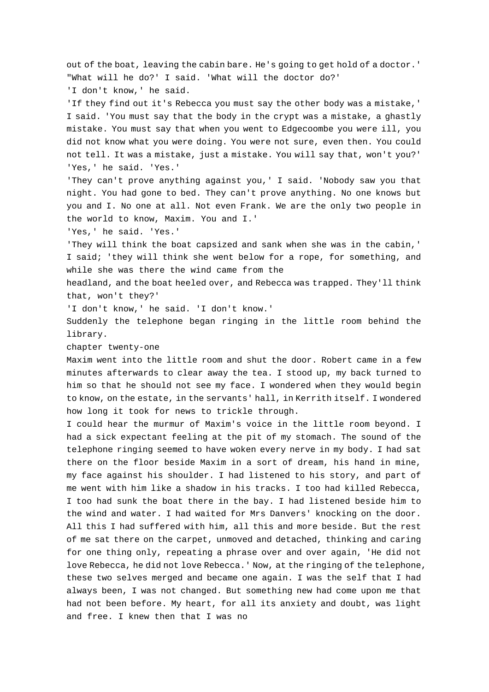out of the boat, leaving the cabin bare. He's going to get hold of a doctor.' "What will he do?' I said. 'What will the doctor do?'

'I don't know,' he said.

'If they find out it's Rebecca you must say the other body was a mistake,' I said. 'You must say that the body in the crypt was a mistake, a ghastly mistake. You must say that when you went to Edgecoombe you were ill, you did not know what you were doing. You were not sure, even then. You could not tell. It was a mistake, just a mistake. You will say that, won't you?' 'Yes,' he said. 'Yes.'

'They can't prove anything against you,' I said. 'Nobody saw you that night. You had gone to bed. They can't prove anything. No one knows but you and I. No one at all. Not even Frank. We are the only two people in the world to know, Maxim. You and I.'

'Yes,' he said. 'Yes.'

'They will think the boat capsized and sank when she was in the cabin,' I said; 'they will think she went below for a rope, for something, and while she was there the wind came from the

headland, and the boat heeled over, and Rebecca was trapped. They'll think that, won't they?'

'I don't know,' he said. 'I don't know.'

Suddenly the telephone began ringing in the little room behind the library.

chapter twenty-one

Maxim went into the little room and shut the door. Robert came in a few minutes afterwards to clear away the tea. I stood up, my back turned to him so that he should not see my face. I wondered when they would begin to know, on the estate, in the servants' hall, in Kerrith itself. I wondered how long it took for news to trickle through.

I could hear the murmur of Maxim's voice in the little room beyond. I had a sick expectant feeling at the pit of my stomach. The sound of the telephone ringing seemed to have woken every nerve in my body. I had sat there on the floor beside Maxim in a sort of dream, his hand in mine, my face against his shoulder. I had listened to his story, and part of me went with him like a shadow in his tracks. I too had killed Rebecca, I too had sunk the boat there in the bay. I had listened beside him to the wind and water. I had waited for Mrs Danvers' knocking on the door. All this I had suffered with him, all this and more beside. But the rest of me sat there on the carpet, unmoved and detached, thinking and caring for one thing only, repeating a phrase over and over again, 'He did not love Rebecca, he did not love Rebecca.' Now, at the ringing of the telephone, these two selves merged and became one again. I was the self that I had always been, I was not changed. But something new had come upon me that had not been before. My heart, for all its anxiety and doubt, was light and free. I knew then that I was no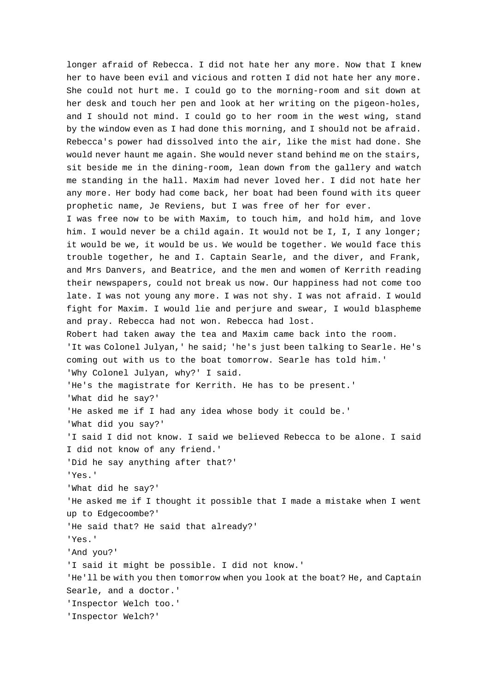longer afraid of Rebecca. I did not hate her any more. Now that I knew her to have been evil and vicious and rotten I did not hate her any more. She could not hurt me. I could go to the morning-room and sit down at her desk and touch her pen and look at her writing on the pigeon-holes, and I should not mind. I could go to her room in the west wing, stand by the window even as I had done this morning, and I should not be afraid. Rebecca's power had dissolved into the air, like the mist had done. She would never haunt me again. She would never stand behind me on the stairs, sit beside me in the dining-room, lean down from the gallery and watch me standing in the hall. Maxim had never loved her. I did not hate her any more. Her body had come back, her boat had been found with its queer prophetic name, Je Reviens, but I was free of her for ever.

I was free now to be with Maxim, to touch him, and hold him, and love him. I would never be a child again. It would not be I, I, I any longer; it would be we, it would be us. We would be together. We would face this trouble together, he and I. Captain Searle, and the diver, and Frank, and Mrs Danvers, and Beatrice, and the men and women of Kerrith reading their newspapers, could not break us now. Our happiness had not come too late. I was not young any more. I was not shy. I was not afraid. I would fight for Maxim. I would lie and perjure and swear, I would blaspheme and pray. Rebecca had not won. Rebecca had lost.

Robert had taken away the tea and Maxim came back into the room.

'It was Colonel Julyan,' he said; 'he's just been talking to Searle. He's coming out with us to the boat tomorrow. Searle has told him.' 'Why Colonel Julyan, why?' I said.

'He's the magistrate for Kerrith. He has to be present.'

'What did he say?'

'He asked me if I had any idea whose body it could be.'

'What did you say?'

'I said I did not know. I said we believed Rebecca to be alone. I said I did not know of any friend.'

'Did he say anything after that?'

'Yes.'

'What did he say?'

'He asked me if I thought it possible that I made a mistake when I went up to Edgecoombe?'

'He said that? He said that already?'

'Yes.'

'And you?'

'I said it might be possible. I did not know.'

'He'll be with you then tomorrow when you look at the boat? He, and Captain Searle, and a doctor.'

'Inspector Welch too.'

'Inspector Welch?'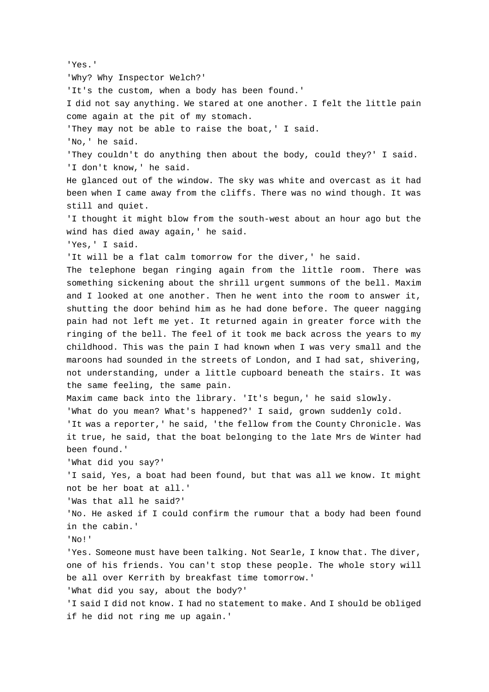'Yes.' 'Why? Why Inspector Welch?' 'It's the custom, when a body has been found.' I did not say anything. We stared at one another. I felt the little pain come again at the pit of my stomach. 'They may not be able to raise the boat,' I said. 'No,' he said. 'They couldn't do anything then about the body, could they?' I said. 'I don't know,' he said. He glanced out of the window. The sky was white and overcast as it had been when I came away from the cliffs. There was no wind though. It was still and quiet. 'I thought it might blow from the south-west about an hour ago but the wind has died away again,' he said. 'Yes,' I said. 'It will be a flat calm tomorrow for the diver,' he said. The telephone began ringing again from the little room. There was something sickening about the shrill urgent summons of the bell. Maxim and I looked at one another. Then he went into the room to answer it, shutting the door behind him as he had done before. The queer nagging pain had not left me yet. It returned again in greater force with the ringing of the bell. The feel of it took me back across the years to my childhood. This was the pain I had known when I was very small and the maroons had sounded in the streets of London, and I had sat, shivering, not understanding, under a little cupboard beneath the stairs. It was the same feeling, the same pain. Maxim came back into the library. 'It's begun,' he said slowly. 'What do you mean? What's happened?' I said, grown suddenly cold. 'It was a reporter,' he said, 'the fellow from the County Chronicle. Was it true, he said, that the boat belonging to the late Mrs de Winter had been found.' 'What did you say?' 'I said, Yes, a boat had been found, but that was all we know. It might not be her boat at all.' 'Was that all he said?' 'No. He asked if I could confirm the rumour that a body had been found in the cabin.' 'No!' 'Yes. Someone must have been talking. Not Searle, I know that. The diver, one of his friends. You can't stop these people. The whole story will be all over Kerrith by breakfast time tomorrow.' 'What did you say, about the body?' 'I said I did not know. I had no statement to make. And I should be obliged if he did not ring me up again.'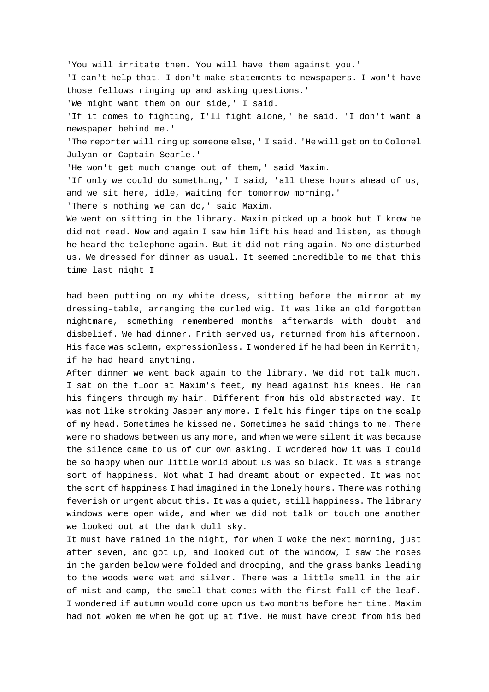'You will irritate them. You will have them against you.'

'I can't help that. I don't make statements to newspapers. I won't have those fellows ringing up and asking questions.'

'We might want them on our side,' I said.

'If it comes to fighting, I'll fight alone,' he said. 'I don't want a newspaper behind me.'

'The reporter will ring up someone else,' I said. 'He will get on to Colonel Julyan or Captain Searle.'

'He won't get much change out of them,' said Maxim.

'If only we could do something,' I said, 'all these hours ahead of us, and we sit here, idle, waiting for tomorrow morning.'

'There's nothing we can do,' said Maxim.

We went on sitting in the library. Maxim picked up a book but I know he did not read. Now and again I saw him lift his head and listen, as though he heard the telephone again. But it did not ring again. No one disturbed us. We dressed for dinner as usual. It seemed incredible to me that this time last night I

had been putting on my white dress, sitting before the mirror at my dressing-table, arranging the curled wig. It was like an old forgotten nightmare, something remembered months afterwards with doubt and disbelief. We had dinner. Frith served us, returned from his afternoon. His face was solemn, expressionless. I wondered if he had been in Kerrith, if he had heard anything.

After dinner we went back again to the library. We did not talk much. I sat on the floor at Maxim's feet, my head against his knees. He ran his fingers through my hair. Different from his old abstracted way. It was not like stroking Jasper any more. I felt his finger tips on the scalp of my head. Sometimes he kissed me. Sometimes he said things to me. There were no shadows between us any more, and when we were silent it was because the silence came to us of our own asking. I wondered how it was I could be so happy when our little world about us was so black. It was a strange sort of happiness. Not what I had dreamt about or expected. It was not the sort of happiness I had imagined in the lonely hours. There was nothing feverish or urgent about this. It was a quiet, still happiness. The library windows were open wide, and when we did not talk or touch one another we looked out at the dark dull sky.

It must have rained in the night, for when I woke the next morning, just after seven, and got up, and looked out of the window, I saw the roses in the garden below were folded and drooping, and the grass banks leading to the woods were wet and silver. There was a little smell in the air of mist and damp, the smell that comes with the first fall of the leaf. I wondered if autumn would come upon us two months before her time. Maxim had not woken me when he got up at five. He must have crept from his bed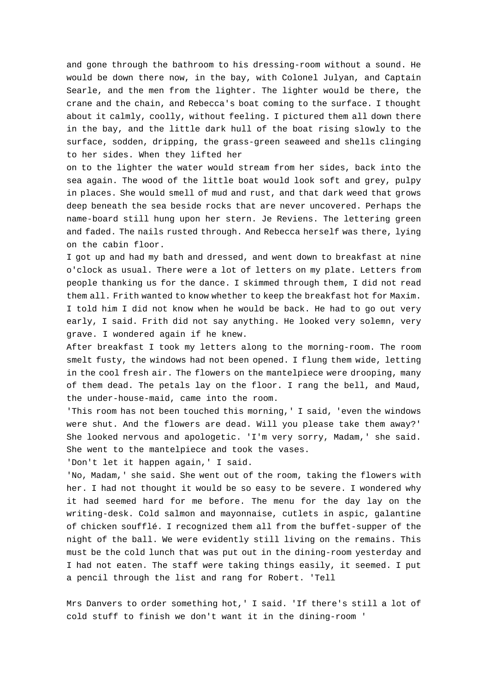and gone through the bathroom to his dressing-room without a sound. He would be down there now, in the bay, with Colonel Julyan, and Captain Searle, and the men from the lighter. The lighter would be there, the crane and the chain, and Rebecca's boat coming to the surface. I thought about it calmly, coolly, without feeling. I pictured them all down there in the bay, and the little dark hull of the boat rising slowly to the surface, sodden, dripping, the grass-green seaweed and shells clinging to her sides. When they lifted her

on to the lighter the water would stream from her sides, back into the sea again. The wood of the little boat would look soft and grey, pulpy in places. She would smell of mud and rust, and that dark weed that grows deep beneath the sea beside rocks that are never uncovered. Perhaps the name-board still hung upon her stern. Je Reviens. The lettering green and faded. The nails rusted through. And Rebecca herself was there, lying on the cabin floor.

I got up and had my bath and dressed, and went down to breakfast at nine o'clock as usual. There were a lot of letters on my plate. Letters from people thanking us for the dance. I skimmed through them, I did not read them all. Frith wanted to know whether to keep the breakfast hot for Maxim. I told him I did not know when he would be back. He had to go out very early, I said. Frith did not say anything. He looked very solemn, very grave. I wondered again if he knew.

After breakfast I took my letters along to the morning-room. The room smelt fusty, the windows had not been opened. I flung them wide, letting in the cool fresh air. The flowers on the mantelpiece were drooping, many of them dead. The petals lay on the floor. I rang the bell, and Maud, the under-house-maid, came into the room.

'This room has not been touched this morning,' I said, 'even the windows were shut. And the flowers are dead. Will you please take them away?' She looked nervous and apologetic. 'I'm very sorry, Madam,' she said. She went to the mantelpiece and took the vases.

'Don't let it happen again,' I said.

'No, Madam,' she said. She went out of the room, taking the flowers with her. I had not thought it would be so easy to be severe. I wondered why it had seemed hard for me before. The menu for the day lay on the writing-desk. Cold salmon and mayonnaise, cutlets in aspic, galantine of chicken soufflé. I recognized them all from the buffet-supper of the night of the ball. We were evidently still living on the remains. This must be the cold lunch that was put out in the dining-room yesterday and I had not eaten. The staff were taking things easily, it seemed. I put a pencil through the list and rang for Robert. 'Tell

Mrs Danvers to order something hot,' I said. 'If there's still a lot of cold stuff to finish we don't want it in the dining-room '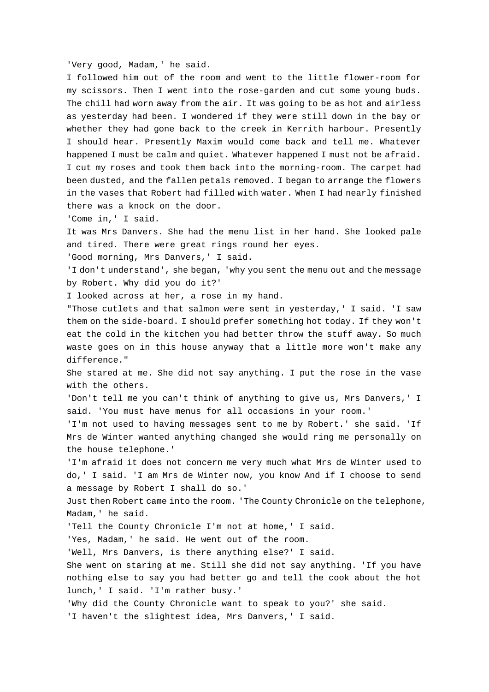'Very good, Madam,' he said.

I followed him out of the room and went to the little flower-room for my scissors. Then I went into the rose-garden and cut some young buds. The chill had worn away from the air. It was going to be as hot and airless as yesterday had been. I wondered if they were still down in the bay or whether they had gone back to the creek in Kerrith harbour. Presently I should hear. Presently Maxim would come back and tell me. Whatever happened I must be calm and quiet. Whatever happened I must not be afraid. I cut my roses and took them back into the morning-room. The carpet had been dusted, and the fallen petals removed. I began to arrange the flowers in the vases that Robert had filled with water. When I had nearly finished there was a knock on the door.

'Come in,' I said.

It was Mrs Danvers. She had the menu list in her hand. She looked pale and tired. There were great rings round her eyes.

'Good morning, Mrs Danvers,' I said.

'I don't understand', she began, 'why you sent the menu out and the message by Robert. Why did you do it?'

I looked across at her, a rose in my hand.

"Those cutlets and that salmon were sent in yesterday,' I said. 'I saw them on the side-board. I should prefer something hot today. If they won't eat the cold in the kitchen you had better throw the stuff away. So much waste goes on in this house anyway that a little more won't make any difference."

She stared at me. She did not say anything. I put the rose in the vase with the others.

'Don't tell me you can't think of anything to give us, Mrs Danvers,' I said. 'You must have menus for all occasions in your room.'

'I'm not used to having messages sent to me by Robert.' she said. 'If Mrs de Winter wanted anything changed she would ring me personally on the house telephone.'

'I'm afraid it does not concern me very much what Mrs de Winter used to do,' I said. 'I am Mrs de Winter now, you know And if I choose to send a message by Robert I shall do so.'

Just then Robert came into the room. 'The County Chronicle on the telephone, Madam,' he said.

'Tell the County Chronicle I'm not at home,' I said.

'Yes, Madam,' he said. He went out of the room.

'Well, Mrs Danvers, is there anything else?' I said.

She went on staring at me. Still she did not say anything. 'If you have nothing else to say you had better go and tell the cook about the hot lunch,' I said. 'I'm rather busy.'

'Why did the County Chronicle want to speak to you?' she said.

'I haven't the slightest idea, Mrs Danvers,' I said.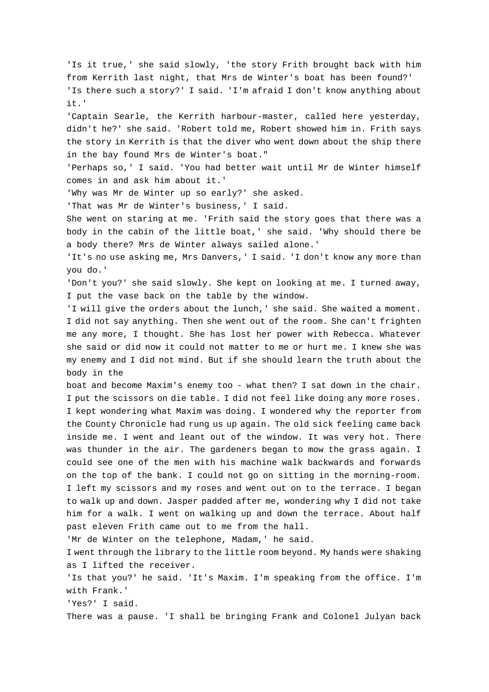'Is it true,' she said slowly, 'the story Frith brought back with him from Kerrith last night, that Mrs de Winter's boat has been found?' 'Is there such a story?' I said. 'I'm afraid I don't know anything about it.'

'Captain Searle, the Kerrith harbour-master, called here yesterday, didn't he?' she said. 'Robert told me, Robert showed him in. Frith says the story in Kerrith is that the diver who went down about the ship there in the bay found Mrs de Winter's boat."

'Perhaps so,' I said. 'You had better wait until Mr de Winter himself comes in and ask him about it.'

'Why was Mr de Winter up so early?' she asked.

'That was Mr de Winter's business,' I said.

She went on staring at me. 'Frith said the story goes that there was a body in the cabin of the little boat,' she said. 'Why should there be a body there? Mrs de Winter always sailed alone.'

'It's no use asking me, Mrs Danvers,' I said. 'I don't know any more than you do.'

'Don't you?' she said slowly. She kept on looking at me. I turned away, I put the vase back on the table by the window.

'I will give the orders about the lunch,' she said. She waited a moment. I did not say anything. Then she went out of the room. She can't frighten me any more, I thought. She has lost her power with Rebecca. Whatever she said or did now it could not matter to me or hurt me. I knew she was my enemy and I did not mind. But if she should learn the truth about the body in the

boat and become Maxim's enemy too - what then? I sat down in the chair. I put the scissors on die table. I did not feel like doing any more roses. I kept wondering what Maxim was doing. I wondered why the reporter from the County Chronicle had rung us up again. The old sick feeling came back inside me. I went and leant out of the window. It was very hot. There was thunder in the air. The gardeners began to mow the grass again. I could see one of the men with his machine walk backwards and forwards on the top of the bank. I could not go on sitting in the morning-room. I left my scissors and my roses and went out on to the terrace. I began to walk up and down. Jasper padded after me, wondering why I did not take him for a walk. I went on walking up and down the terrace. About half past eleven Frith came out to me from the hall.

'Mr de Winter on the telephone, Madam,' he said.

I went through the library to the little room beyond. My hands were shaking as I lifted the receiver.

'Is that you?' he said. 'It's Maxim. I'm speaking from the office. I'm with Frank.'

'Yes?' I said.

There was a pause. 'I shall be bringing Frank and Colonel Julyan back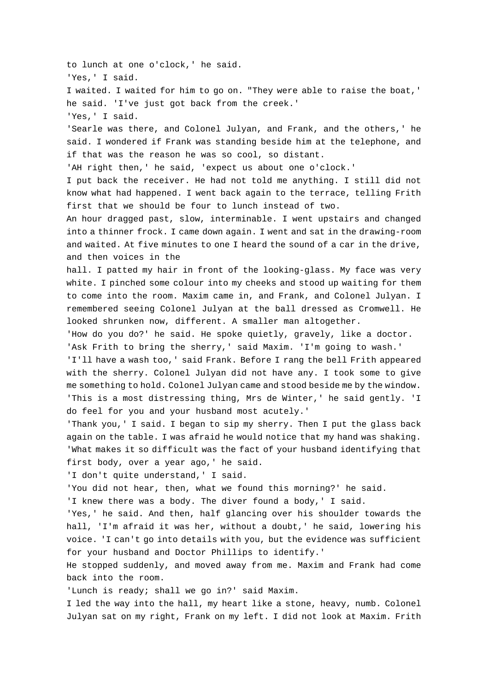to lunch at one o'clock,' he said. 'Yes,' I said. I waited. I waited for him to go on. "They were able to raise the boat,' he said. 'I've just got back from the creek.' 'Yes,' I said. 'Searle was there, and Colonel Julyan, and Frank, and the others,' he said. I wondered if Frank was standing beside him at the telephone, and if that was the reason he was so cool, so distant. 'AH right then,' he said, 'expect us about one o'clock.' I put back the receiver. He had not told me anything. I still did not know what had happened. I went back again to the terrace, telling Frith first that we should be four to lunch instead of two. An hour dragged past, slow, interminable. I went upstairs and changed into a thinner frock. I came down again. I went and sat in the drawing-room and waited. At five minutes to one I heard the sound of a car in the drive, and then voices in the hall. I patted my hair in front of the looking-glass. My face was very white. I pinched some colour into my cheeks and stood up waiting for them to come into the room. Maxim came in, and Frank, and Colonel Julyan. I remembered seeing Colonel Julyan at the ball dressed as Cromwell. He looked shrunken now, different. A smaller man altogether. 'How do you do?' he said. He spoke quietly, gravely, like a doctor. 'Ask Frith to bring the sherry,' said Maxim. 'I'm going to wash.' 'I'll have a wash too,' said Frank. Before I rang the bell Frith appeared with the sherry. Colonel Julyan did not have any. I took some to give me something to hold. Colonel Julyan came and stood beside me by the window. 'This is a most distressing thing, Mrs de Winter,' he said gently. 'I do feel for you and your husband most acutely.' 'Thank you,' I said. I began to sip my sherry. Then I put the glass back again on the table. I was afraid he would notice that my hand was shaking. 'What makes it so difficult was the fact of your husband identifying that first body, over a year ago,' he said. 'I don't quite understand,' I said. 'You did not hear, then, what we found this morning?' he said. 'I knew there was a body. The diver found a body,' I said. 'Yes,' he said. And then, half glancing over his shoulder towards the hall, 'I'm afraid it was her, without a doubt,' he said, lowering his voice. 'I can't go into details with you, but the evidence was sufficient for your husband and Doctor Phillips to identify.' He stopped suddenly, and moved away from me. Maxim and Frank had come back into the room. 'Lunch is ready; shall we go in?' said Maxim. I led the way into the hall, my heart like a stone, heavy, numb. Colonel

Julyan sat on my right, Frank on my left. I did not look at Maxim. Frith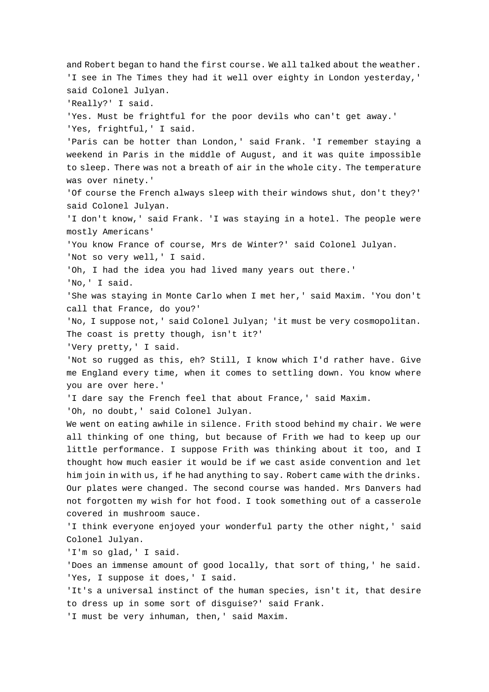and Robert began to hand the first course. We all talked about the weather. 'I see in The Times they had it well over eighty in London yesterday,' said Colonel Julyan. 'Really?' I said. 'Yes. Must be frightful for the poor devils who can't get away.' 'Yes, frightful,' I said. 'Paris can be hotter than London,' said Frank. 'I remember staying a weekend in Paris in the middle of August, and it was quite impossible to sleep. There was not a breath of air in the whole city. The temperature was over ninety.' 'Of course the French always sleep with their windows shut, don't they?' said Colonel Julyan. 'I don't know, ' said Frank. 'I was staying in a hotel. The people were mostly Americans' 'You know France of course, Mrs de Winter?' said Colonel Julyan. 'Not so very well,' I said. 'Oh, I had the idea you had lived many years out there.' 'No,' I said. 'She was staying in Monte Carlo when I met her,' said Maxim. 'You don't call that France, do you?' 'No, I suppose not,' said Colonel Julyan; 'it must be very cosmopolitan. The coast is pretty though, isn't it?' 'Very pretty,' I said. 'Not so rugged as this, eh? Still, I know which I'd rather have. Give me England every time, when it comes to settling down. You know where you are over here.' 'I dare say the French feel that about France,' said Maxim. 'Oh, no doubt,' said Colonel Julyan. We went on eating awhile in silence. Frith stood behind my chair. We were all thinking of one thing, but because of Frith we had to keep up our little performance. I suppose Frith was thinking about it too, and I thought how much easier it would be if we cast aside convention and let him join in with us, if he had anything to say. Robert came with the drinks. Our plates were changed. The second course was handed. Mrs Danvers had not forgotten my wish for hot food. I took something out of a casserole covered in mushroom sauce. 'I think everyone enjoyed your wonderful party the other night,' said Colonel Julyan. 'I'm so glad, ' I said. 'Does an immense amount of good locally, that sort of thing,' he said. 'Yes, I suppose it does,' I said. 'It's a universal instinct of the human species, isn't it, that desire to dress up in some sort of disguise?' said Frank. 'I must be very inhuman, then,' said Maxim.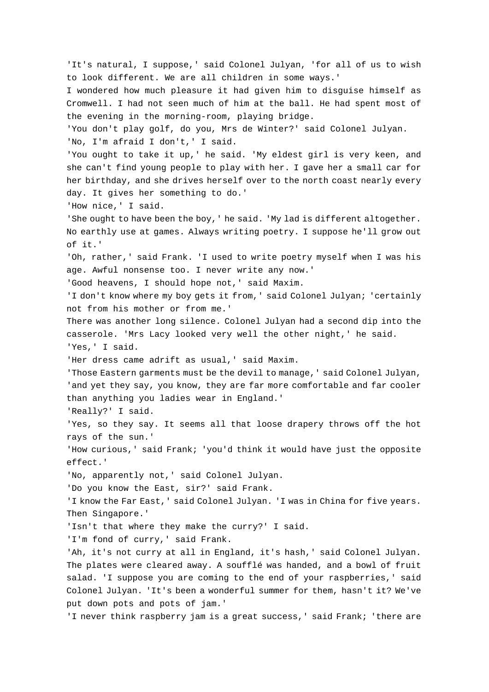'It's natural, I suppose,' said Colonel Julyan, 'for all of us to wish to look different. We are all children in some ways.'

I wondered how much pleasure it had given him to disguise himself as Cromwell. I had not seen much of him at the ball. He had spent most of the evening in the morning-room, playing bridge.

'You don't play golf, do you, Mrs de Winter?' said Colonel Julyan. 'No, I'm afraid I don't,' I said.

'You ought to take it up,' he said. 'My eldest girl is very keen, and she can't find young people to play with her. I gave her a small car for her birthday, and she drives herself over to the north coast nearly every day. It gives her something to do.'

'How nice,' I said.

'She ought to have been the boy, ' he said. 'My lad is different altogether. No earthly use at games. Always writing poetry. I suppose he'll grow out of it.'

'Oh, rather,' said Frank. 'I used to write poetry myself when I was his age. Awful nonsense too. I never write any now.'

'Good heavens, I should hope not,' said Maxim.

'I don't know where my boy gets it from,' said Colonel Julyan; 'certainly not from his mother or from me.'

There was another long silence. Colonel Julyan had a second dip into the casserole. 'Mrs Lacy looked very well the other night,' he said. 'Yes,' I said.

'Her dress came adrift as usual,' said Maxim.

'Those Eastern garments must be the devil to manage,' said Colonel Julyan, 'and yet they say, you know, they are far more comfortable and far cooler than anything you ladies wear in England.'

'Really?' I said.

'Yes, so they say. It seems all that loose drapery throws off the hot rays of the sun.'

'How curious,' said Frank; 'you'd think it would have just the opposite effect.'

'No, apparently not,' said Colonel Julyan.

'Do you know the East, sir?' said Frank.

'I know the Far East,' said Colonel Julyan. 'I was in China for five years. Then Singapore.'

'Isn't that where they make the curry?' I said.

'I'm fond of curry,' said Frank.

'Ah, it's not curry at all in England, it's hash,' said Colonel Julyan. The plates were cleared away. A soufflé was handed, and a bowl of fruit salad. 'I suppose you are coming to the end of your raspberries,' said Colonel Julyan. 'It's been a wonderful summer for them, hasn't it? We've put down pots and pots of jam.'

'I never think raspberry jam is a great success, ' said Frank; 'there are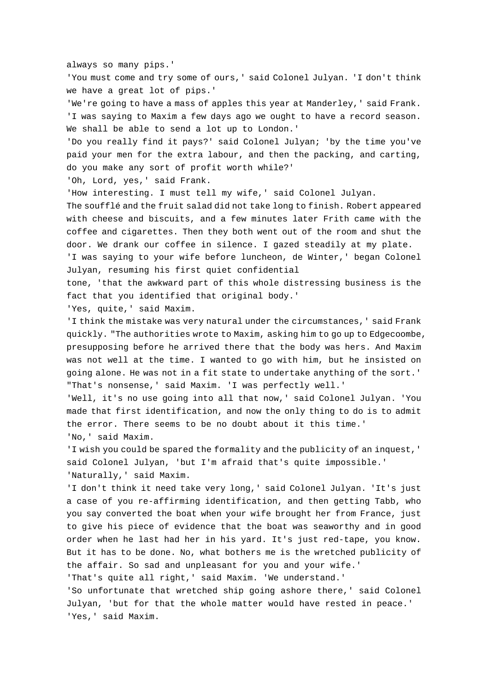always so many pips.'

'You must come and try some of ours,' said Colonel Julyan. 'I don't think we have a great lot of pips.'

'We're going to have a mass of apples this year at Manderley,' said Frank. 'I was saying to Maxim a few days ago we ought to have a record season. We shall be able to send a lot up to London.'

'Do you really find it pays?' said Colonel Julyan; 'by the time you've paid your men for the extra labour, and then the packing, and carting, do you make any sort of profit worth while?'

'Oh, Lord, yes,' said Frank.

'How interesting. I must tell my wife,' said Colonel Julyan.

The soufflé and the fruit salad did not take long to finish. Robert appeared with cheese and biscuits, and a few minutes later Frith came with the coffee and cigarettes. Then they both went out of the room and shut the door. We drank our coffee in silence. I gazed steadily at my plate.

'I was saying to your wife before luncheon, de Winter,' began Colonel Julyan, resuming his first quiet confidential

tone, 'that the awkward part of this whole distressing business is the fact that you identified that original body.'

'Yes, quite,' said Maxim.

'I think the mistake was very natural under the circumstances,' said Frank quickly. "The authorities wrote to Maxim, asking him to go up to Edgecoombe, presupposing before he arrived there that the body was hers. And Maxim was not well at the time. I wanted to go with him, but he insisted on going alone. He was not in a fit state to undertake anything of the sort.' "That's nonsense,' said Maxim. 'I was perfectly well.'

'Well, it's no use going into all that now,' said Colonel Julyan. 'You made that first identification, and now the only thing to do is to admit the error. There seems to be no doubt about it this time.' 'No,' said Maxim.

'I wish you could be spared the formality and the publicity of an inquest,' said Colonel Julyan, 'but I'm afraid that's quite impossible.' 'Naturally,' said Maxim.

'I don't think it need take very long,' said Colonel Julyan. 'It's just a case of you re-affirming identification, and then getting Tabb, who you say converted the boat when your wife brought her from France, just to give his piece of evidence that the boat was seaworthy and in good order when he last had her in his yard. It's just red-tape, you know. But it has to be done. No, what bothers me is the wretched publicity of the affair. So sad and unpleasant for you and your wife.'

'That's quite all right,' said Maxim. 'We understand.'

'So unfortunate that wretched ship going ashore there,' said Colonel Julyan, 'but for that the whole matter would have rested in peace.' 'Yes,' said Maxim.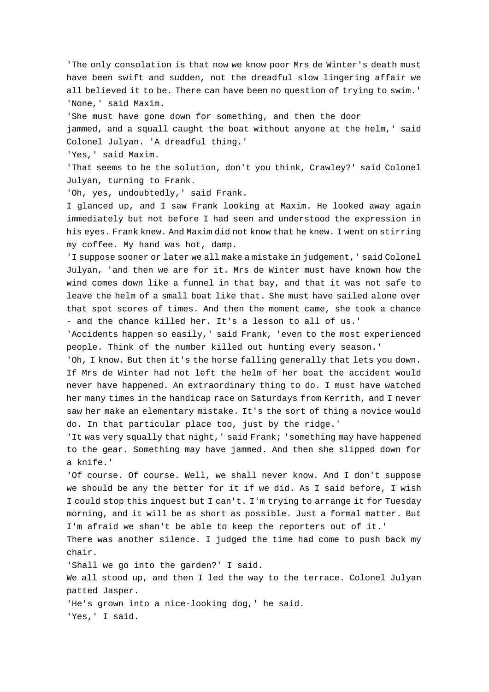'The only consolation is that now we know poor Mrs de Winter's death must have been swift and sudden, not the dreadful slow lingering affair we all believed it to be. There can have been no question of trying to swim.' 'None,' said Maxim.

'She must have gone down for something, and then the door jammed, and a squall caught the boat without anyone at the helm,' said Colonel Julyan. 'A dreadful thing.'

'Yes,' said Maxim.

'That seems to be the solution, don't you think, Crawley?' said Colonel Julyan, turning to Frank.

'Oh, yes, undoubtedly,' said Frank.

I glanced up, and I saw Frank looking at Maxim. He looked away again immediately but not before I had seen and understood the expression in his eyes. Frank knew. And Maxim did not know that he knew. I went on stirring my coffee. My hand was hot, damp.

'I suppose sooner or later we all make a mistake in judgement,' said Colonel Julyan, 'and then we are for it. Mrs de Winter must have known how the wind comes down like a funnel in that bay, and that it was not safe to leave the helm of a small boat like that. She must have sailed alone over that spot scores of times. And then the moment came, she took a chance - and the chance killed her. It's a lesson to all of us.'

'Accidents happen so easily,' said Frank, 'even to the most experienced people. Think of the number killed out hunting every season.'

'Oh, I know. But then it's the horse falling generally that lets you down. If Mrs de Winter had not left the helm of her boat the accident would never have happened. An extraordinary thing to do. I must have watched her many times in the handicap race on Saturdays from Kerrith, and I never saw her make an elementary mistake. It's the sort of thing a novice would do. In that particular place too, just by the ridge.'

'It was very squally that night,' said Frank; 'something may have happened to the gear. Something may have jammed. And then she slipped down for a knife.'

'Of course. Of course. Well, we shall never know. And I don't suppose we should be any the better for it if we did. As I said before, I wish I could stop this inquest but I can't. I'm trying to arrange it for Tuesday morning, and it will be as short as possible. Just a formal matter. But I'm afraid we shan't be able to keep the reporters out of it.'

There was another silence. I judged the time had come to push back my chair.

'Shall we go into the garden?' I said. We all stood up, and then I led the way to the terrace. Colonel Julyan patted Jasper.

'He's grown into a nice-looking dog,' he said. 'Yes,' I said.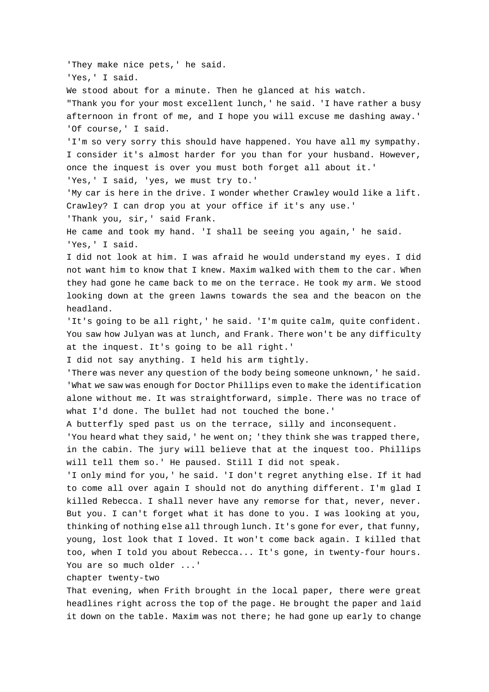'They make nice pets,' he said. 'Yes,' I said. We stood about for a minute. Then he glanced at his watch. "Thank you for your most excellent lunch,' he said. 'I have rather a busy afternoon in front of me, and I hope you will excuse me dashing away.' 'Of course,' I said. 'I'm so very sorry this should have happened. You have all my sympathy. I consider it's almost harder for you than for your husband. However, once the inquest is over you must both forget all about it.' 'Yes,' I said, 'yes, we must try to.' 'My car is here in the drive. I wonder whether Crawley would like a lift. Crawley? I can drop you at your office if it's any use.' 'Thank you, sir,' said Frank. He came and took my hand. 'I shall be seeing you again,' he said. 'Yes,' I said. I did not look at him. I was afraid he would understand my eyes. I did not want him to know that I knew. Maxim walked with them to the car. When they had gone he came back to me on the terrace. He took my arm. We stood looking down at the green lawns towards the sea and the beacon on the headland. 'It's going to be all right,' he said. 'I'm quite calm, quite confident. You saw how Julyan was at lunch, and Frank. There won't be any difficulty at the inquest. It's going to be all right.' I did not say anything. I held his arm tightly. 'There was never any question of the body being someone unknown,' he said. 'What we saw was enough for Doctor Phillips even to make the identification alone without me. It was straightforward, simple. There was no trace of what I'd done. The bullet had not touched the bone.' A butterfly sped past us on the terrace, silly and inconsequent. 'You heard what they said,' he went on; 'they think she was trapped there, in the cabin. The jury will believe that at the inquest too. Phillips will tell them so.' He paused. Still I did not speak. 'I only mind for you,' he said. 'I don't regret anything else. If it had to come all over again I should not do anything different. I'm glad I killed Rebecca. I shall never have any remorse for that, never, never. But you. I can't forget what it has done to you. I was looking at you, thinking of nothing else all through lunch. It's gone for ever, that funny, young, lost look that I loved. It won't come back again. I killed that too, when I told you about Rebecca... It's gone, in twenty-four hours. You are so much older ...' chapter twenty-two That evening, when Frith brought in the local paper, there were great

headlines right across the top of the page. He brought the paper and laid it down on the table. Maxim was not there; he had gone up early to change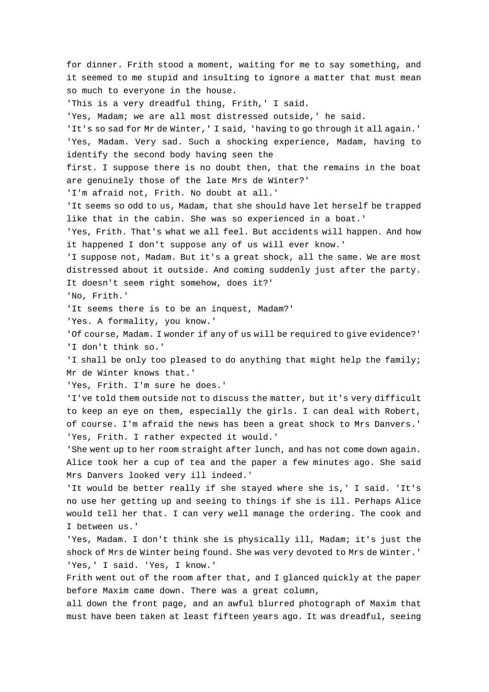for dinner. Frith stood a moment, waiting for me to say something, and it seemed to me stupid and insulting to ignore a matter that must mean so much to everyone in the house. 'This is a very dreadful thing, Frith,' I said. 'Yes, Madam; we are all most distressed outside,' he said. 'It's so sad for Mr de Winter,' I said, 'having to go through it all again.' 'Yes, Madam. Very sad. Such a shocking experience, Madam, having to identify the second body having seen the first. I suppose there is no doubt then, that the remains in the boat are genuinely those of the late Mrs de Winter?' 'I'm afraid not, Frith. No doubt at all.' 'It seems so odd to us, Madam, that she should have let herself be trapped like that in the cabin. She was so experienced in a boat.' 'Yes, Frith. That's what we all feel. But accidents will happen. And how it happened I don't suppose any of us will ever know.' 'I suppose not, Madam. But it's a great shock, all the same. We are most distressed about it outside. And coming suddenly just after the party. It doesn't seem right somehow, does it?' 'No, Frith.' 'It seems there is to be an inquest, Madam?' 'Yes. A formality, you know.' 'Of course, Madam. I wonder if any of us will be required to give evidence?' 'I don't think so.' 'I shall be only too pleased to do anything that might help the family; Mr de Winter knows that.' 'Yes, Frith. I'm sure he does.' 'I've told them outside not to discuss the matter, but it's very difficult to keep an eye on them, especially the girls. I can deal with Robert, of course. I'm afraid the news has been a great shock to Mrs Danvers.' 'Yes, Frith. I rather expected it would.' 'She went up to her room straight after lunch, and has not come down again. Alice took her a cup of tea and the paper a few minutes ago. She said Mrs Danvers looked very ill indeed.' 'It would be better really if she stayed where she is,' I said. 'It's no use her getting up and seeing to things if she is ill. Perhaps Alice would tell her that. I can very well manage the ordering. The cook and I between us.' 'Yes, Madam. I don't think she is physically ill, Madam; it's just the shock of Mrs de Winter being found. She was very devoted to Mrs de Winter.' 'Yes,' I said. 'Yes, I know.' Frith went out of the room after that, and I glanced quickly at the paper before Maxim came down. There was a great column, all down the front page, and an awful blurred photograph of Maxim that must have been taken at least fifteen years ago. It was dreadful, seeing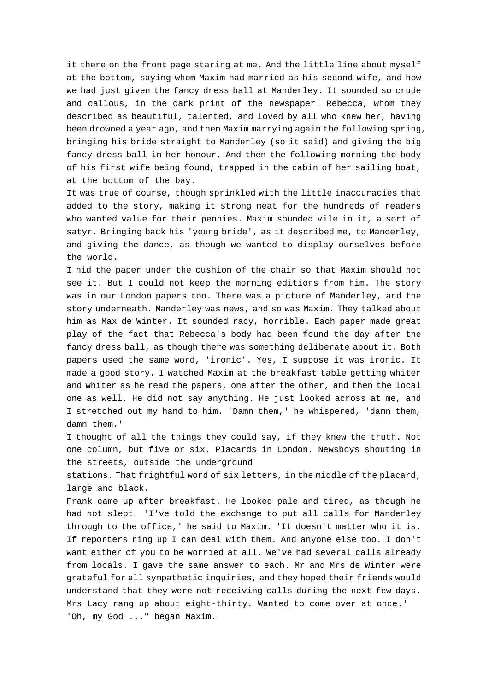it there on the front page staring at me. And the little line about myself at the bottom, saying whom Maxim had married as his second wife, and how we had just given the fancy dress ball at Manderley. It sounded so crude and callous, in the dark print of the newspaper. Rebecca, whom they described as beautiful, talented, and loved by all who knew her, having been drowned a year ago, and then Maxim marrying again the following spring, bringing his bride straight to Manderley (so it said) and giving the big fancy dress ball in her honour. And then the following morning the body of his first wife being found, trapped in the cabin of her sailing boat, at the bottom of the bay.

It was true of course, though sprinkled with the little inaccuracies that added to the story, making it strong meat for the hundreds of readers who wanted value for their pennies. Maxim sounded vile in it, a sort of satyr. Bringing back his 'young bride', as it described me, to Manderley, and giving the dance, as though we wanted to display ourselves before the world.

I hid the paper under the cushion of the chair so that Maxim should not see it. But I could not keep the morning editions from him. The story was in our London papers too. There was a picture of Manderley, and the story underneath. Manderley was news, and so was Maxim. They talked about him as Max de Winter. It sounded racy, horrible. Each paper made great play of the fact that Rebecca's body had been found the day after the fancy dress ball, as though there was something deliberate about it. Both papers used the same word, 'ironic'. Yes, I suppose it was ironic. It made a good story. I watched Maxim at the breakfast table getting whiter and whiter as he read the papers, one after the other, and then the local one as well. He did not say anything. He just looked across at me, and I stretched out my hand to him. 'Damn them,' he whispered, 'damn them, damn them.'

I thought of all the things they could say, if they knew the truth. Not one column, but five or six. Placards in London. Newsboys shouting in the streets, outside the underground

stations. That frightful word of six letters, in the middle of the placard, large and black.

Frank came up after breakfast. He looked pale and tired, as though he had not slept. 'I've told the exchange to put all calls for Manderley through to the office,' he said to Maxim. 'It doesn't matter who it is. If reporters ring up I can deal with them. And anyone else too. I don't want either of you to be worried at all. We've had several calls already from locals. I gave the same answer to each. Mr and Mrs de Winter were grateful for all sympathetic inquiries, and they hoped their friends would understand that they were not receiving calls during the next few days. Mrs Lacy rang up about eight-thirty. Wanted to come over at once.' 'Oh, my God ..." began Maxim.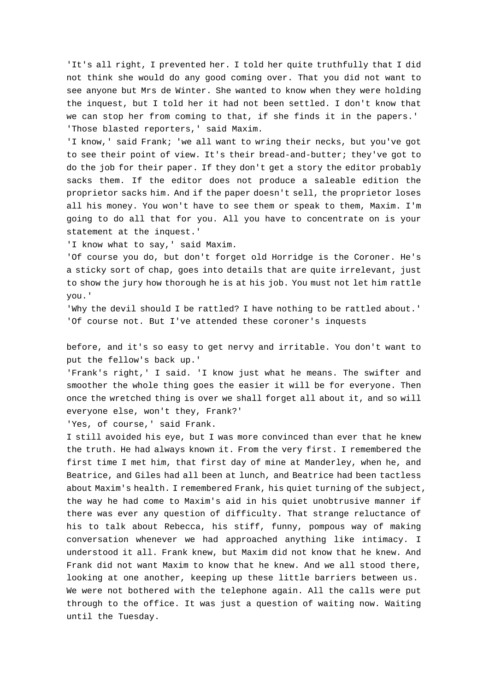'It's all right, I prevented her. I told her quite truthfully that I did not think she would do any good coming over. That you did not want to see anyone but Mrs de Winter. She wanted to know when they were holding the inquest, but I told her it had not been settled. I don't know that we can stop her from coming to that, if she finds it in the papers.' 'Those blasted reporters,' said Maxim.

'I know,' said Frank; 'we all want to wring their necks, but you've got to see their point of view. It's their bread-and-butter; they've got to do the job for their paper. If they don't get a story the editor probably sacks them. If the editor does not produce a saleable edition the proprietor sacks him. And if the paper doesn't sell, the proprietor loses all his money. You won't have to see them or speak to them, Maxim. I'm going to do all that for you. All you have to concentrate on is your statement at the inquest.'

'I know what to say,' said Maxim.

'Of course you do, but don't forget old Horridge is the Coroner. He's a sticky sort of chap, goes into details that are quite irrelevant, just to show the jury how thorough he is at his job. You must not let him rattle you.'

'Why the devil should I be rattled? I have nothing to be rattled about.' 'Of course not. But I've attended these coroner's inquests

before, and it's so easy to get nervy and irritable. You don't want to put the fellow's back up.'

'Frank's right,' I said. 'I know just what he means. The swifter and smoother the whole thing goes the easier it will be for everyone. Then once the wretched thing is over we shall forget all about it, and so will everyone else, won't they, Frank?'

'Yes, of course,' said Frank.

I still avoided his eye, but I was more convinced than ever that he knew the truth. He had always known it. From the very first. I remembered the first time I met him, that first day of mine at Manderley, when he, and Beatrice, and Giles had all been at lunch, and Beatrice had been tactless about Maxim's health. I remembered Frank, his quiet turning of the subject, the way he had come to Maxim's aid in his quiet unobtrusive manner if there was ever any question of difficulty. That strange reluctance of his to talk about Rebecca, his stiff, funny, pompous way of making conversation whenever we had approached anything like intimacy. I understood it all. Frank knew, but Maxim did not know that he knew. And Frank did not want Maxim to know that he knew. And we all stood there, looking at one another, keeping up these little barriers between us. We were not bothered with the telephone again. All the calls were put through to the office. It was just a question of waiting now. Waiting until the Tuesday.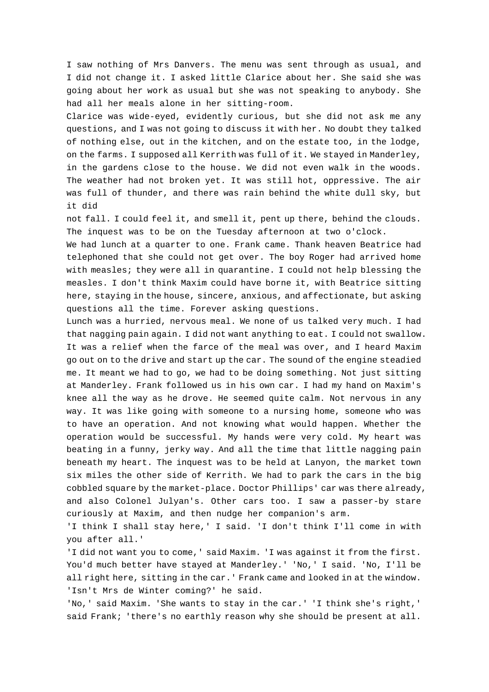I saw nothing of Mrs Danvers. The menu was sent through as usual, and I did not change it. I asked little Clarice about her. She said she was going about her work as usual but she was not speaking to anybody. She had all her meals alone in her sitting-room.

Clarice was wide-eyed, evidently curious, but she did not ask me any questions, and I was not going to discuss it with her. No doubt they talked of nothing else, out in the kitchen, and on the estate too, in the lodge, on the farms. I supposed all Kerrith was full of it. We stayed in Manderley, in the gardens close to the house. We did not even walk in the woods. The weather had not broken yet. It was still hot, oppressive. The air was full of thunder, and there was rain behind the white dull sky, but it did

not fall. I could feel it, and smell it, pent up there, behind the clouds. The inquest was to be on the Tuesday afternoon at two o'clock.

We had lunch at a quarter to one. Frank came. Thank heaven Beatrice had telephoned that she could not get over. The boy Roger had arrived home with measles; they were all in quarantine. I could not help blessing the measles. I don't think Maxim could have borne it, with Beatrice sitting here, staying in the house, sincere, anxious, and affectionate, but asking questions all the time. Forever asking questions.

Lunch was a hurried, nervous meal. We none of us talked very much. I had that nagging pain again. I did not want anything to eat. I could not swallow. It was a relief when the farce of the meal was over, and I heard Maxim go out on to the drive and start up the car. The sound of the engine steadied me. It meant we had to go, we had to be doing something. Not just sitting at Manderley. Frank followed us in his own car. I had my hand on Maxim's knee all the way as he drove. He seemed quite calm. Not nervous in any way. It was like going with someone to a nursing home, someone who was to have an operation. And not knowing what would happen. Whether the operation would be successful. My hands were very cold. My heart was beating in a funny, jerky way. And all the time that little nagging pain beneath my heart. The inquest was to be held at Lanyon, the market town six miles the other side of Kerrith. We had to park the cars in the big cobbled square by the market-place. Doctor Phillips' car was there already, and also Colonel Julyan's. Other cars too. I saw a passer-by stare curiously at Maxim, and then nudge her companion's arm.

'I think I shall stay here,' I said. 'I don't think I'll come in with you after all.'

'I did not want you to come,' said Maxim. 'I was against it from the first. You'd much better have stayed at Manderley.' 'No,' I said. 'No, I'll be all right here, sitting in the car.' Frank came and looked in at the window. 'Isn't Mrs de Winter coming?' he said.

'No,' said Maxim. 'She wants to stay in the car.' 'I think she's right,' said Frank; 'there's no earthly reason why she should be present at all.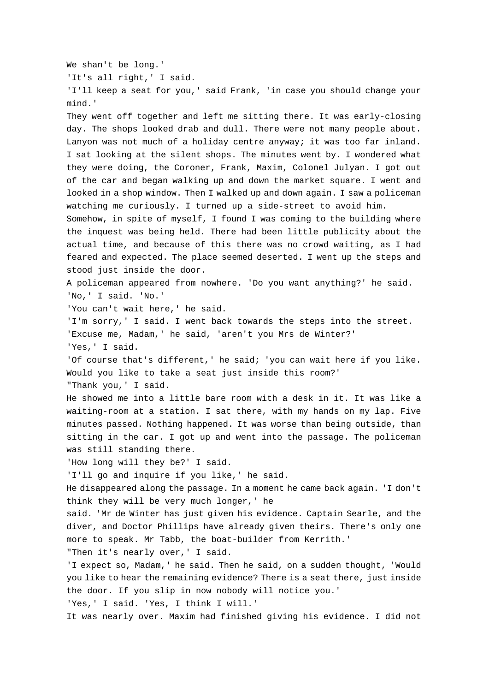We shan't be long.' 'It's all right,' I said. 'I'll keep a seat for you,' said Frank, 'in case you should change your mind.' They went off together and left me sitting there. It was early-closing day. The shops looked drab and dull. There were not many people about. Lanyon was not much of a holiday centre anyway; it was too far inland. I sat looking at the silent shops. The minutes went by. I wondered what they were doing, the Coroner, Frank, Maxim, Colonel Julyan. I got out of the car and began walking up and down the market square. I went and looked in a shop window. Then I walked up and down again. I saw a policeman watching me curiously. I turned up a side-street to avoid him. Somehow, in spite of myself, I found I was coming to the building where the inquest was being held. There had been little publicity about the actual time, and because of this there was no crowd waiting, as I had feared and expected. The place seemed deserted. I went up the steps and stood just inside the door. A policeman appeared from nowhere. 'Do you want anything?' he said. 'No,' I said. 'No.' 'You can't wait here,' he said. 'I'm sorry,' I said. I went back towards the steps into the street. 'Excuse me, Madam,' he said, 'aren't you Mrs de Winter?' 'Yes,' I said. 'Of course that's different,' he said; 'you can wait here if you like. Would you like to take a seat just inside this room?' "Thank you,' I said. He showed me into a little bare room with a desk in it. It was like a waiting-room at a station. I sat there, with my hands on my lap. Five minutes passed. Nothing happened. It was worse than being outside, than sitting in the car. I got up and went into the passage. The policeman was still standing there. 'How long will they be?' I said. 'I'll go and inquire if you like,' he said. He disappeared along the passage. In a moment he came back again. 'I don't think they will be very much longer,' he said. 'Mr de Winter has just given his evidence. Captain Searle, and the diver, and Doctor Phillips have already given theirs. There's only one more to speak. Mr Tabb, the boat-builder from Kerrith.' "Then it's nearly over,' I said. 'I expect so, Madam,' he said. Then he said, on a sudden thought, 'Would you like to hear the remaining evidence? There is a seat there, just inside the door. If you slip in now nobody will notice you.' 'Yes,' I said. 'Yes, I think I will.' It was nearly over. Maxim had finished giving his evidence. I did not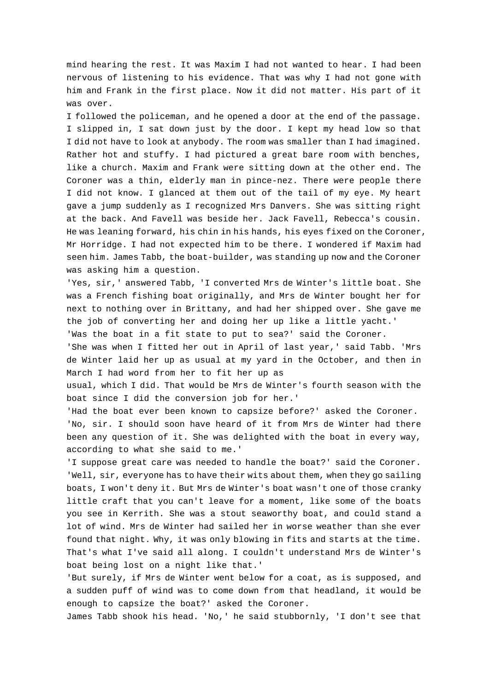mind hearing the rest. It was Maxim I had not wanted to hear. I had been nervous of listening to his evidence. That was why I had not gone with him and Frank in the first place. Now it did not matter. His part of it was over.

I followed the policeman, and he opened a door at the end of the passage. I slipped in, I sat down just by the door. I kept my head low so that I did not have to look at anybody. The room was smaller than I had imagined. Rather hot and stuffy. I had pictured a great bare room with benches, like a church. Maxim and Frank were sitting down at the other end. The Coroner was a thin, elderly man in pince-nez. There were people there I did not know. I glanced at them out of the tail of my eye. My heart gave a jump suddenly as I recognized Mrs Danvers. She was sitting right at the back. And Favell was beside her. Jack Favell, Rebecca's cousin. He was leaning forward, his chin in his hands, his eyes fixed on the Coroner, Mr Horridge. I had not expected him to be there. I wondered if Maxim had seen him. James Tabb, the boat-builder, was standing up now and the Coroner was asking him a question.

'Yes, sir,' answered Tabb, 'I converted Mrs de Winter's little boat. She was a French fishing boat originally, and Mrs de Winter bought her for next to nothing over in Brittany, and had her shipped over. She gave me the job of converting her and doing her up like a little yacht.'

'Was the boat in a fit state to put to sea?' said the Coroner.

'She was when I fitted her out in April of last year,' said Tabb. 'Mrs de Winter laid her up as usual at my yard in the October, and then in March I had word from her to fit her up as

usual, which I did. That would be Mrs de Winter's fourth season with the boat since I did the conversion job for her.'

'Had the boat ever been known to capsize before?' asked the Coroner. 'No, sir. I should soon have heard of it from Mrs de Winter had there been any question of it. She was delighted with the boat in every way, according to what she said to me.'

'I suppose great care was needed to handle the boat?' said the Coroner. 'Well, sir, everyone has to have their wits about them, when they go sailing boats, I won't deny it. But Mrs de Winter's boat wasn't one of those cranky little craft that you can't leave for a moment, like some of the boats you see in Kerrith. She was a stout seaworthy boat, and could stand a lot of wind. Mrs de Winter had sailed her in worse weather than she ever found that night. Why, it was only blowing in fits and starts at the time. That's what I've said all along. I couldn't understand Mrs de Winter's boat being lost on a night like that.'

'But surely, if Mrs de Winter went below for a coat, as is supposed, and a sudden puff of wind was to come down from that headland, it would be enough to capsize the boat?' asked the Coroner.

James Tabb shook his head. 'No,' he said stubbornly, 'I don't see that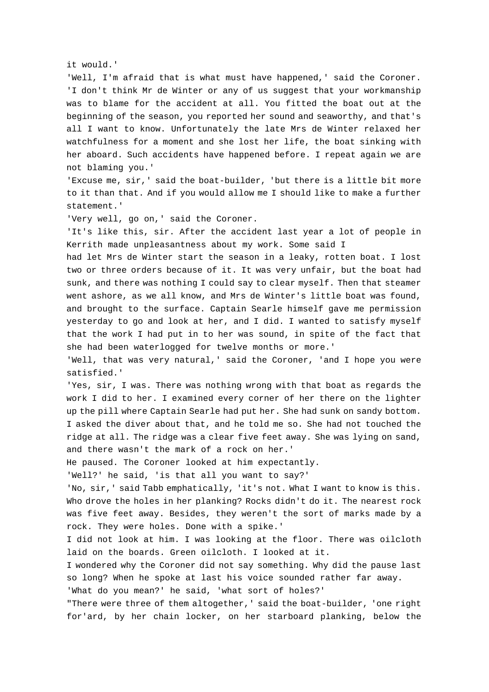it would.'

'Well, I'm afraid that is what must have happened,' said the Coroner. 'I don't think Mr de Winter or any of us suggest that your workmanship was to blame for the accident at all. You fitted the boat out at the beginning of the season, you reported her sound and seaworthy, and that's all I want to know. Unfortunately the late Mrs de Winter relaxed her watchfulness for a moment and she lost her life, the boat sinking with her aboard. Such accidents have happened before. I repeat again we are not blaming you.'

'Excuse me, sir,' said the boat-builder, 'but there is a little bit more to it than that. And if you would allow me I should like to make a further statement.'

'Very well, go on,' said the Coroner.

'It's like this, sir. After the accident last year a lot of people in Kerrith made unpleasantness about my work. Some said I

had let Mrs de Winter start the season in a leaky, rotten boat. I lost two or three orders because of it. It was very unfair, but the boat had sunk, and there was nothing I could say to clear myself. Then that steamer went ashore, as we all know, and Mrs de Winter's little boat was found, and brought to the surface. Captain Searle himself gave me permission yesterday to go and look at her, and I did. I wanted to satisfy myself that the work I had put in to her was sound, in spite of the fact that she had been waterlogged for twelve months or more.'

'Well, that was very natural,' said the Coroner, 'and I hope you were satisfied.'

'Yes, sir, I was. There was nothing wrong with that boat as regards the work I did to her. I examined every corner of her there on the lighter up the pill where Captain Searle had put her. She had sunk on sandy bottom. I asked the diver about that, and he told me so. She had not touched the ridge at all. The ridge was a clear five feet away. She was lying on sand, and there wasn't the mark of a rock on her.'

He paused. The Coroner looked at him expectantly.

'Well?' he said, 'is that all you want to say?'

'No, sir,' said Tabb emphatically, 'it's not. What I want to know is this. Who drove the holes in her planking? Rocks didn't do it. The nearest rock was five feet away. Besides, they weren't the sort of marks made by a rock. They were holes. Done with a spike.'

I did not look at him. I was looking at the floor. There was oilcloth laid on the boards. Green oilcloth. I looked at it.

I wondered why the Coroner did not say something. Why did the pause last so long? When he spoke at last his voice sounded rather far away.

'What do you mean?' he said, 'what sort of holes?'

"There were three of them altogether,' said the boat-builder, 'one right for'ard, by her chain locker, on her starboard planking, below the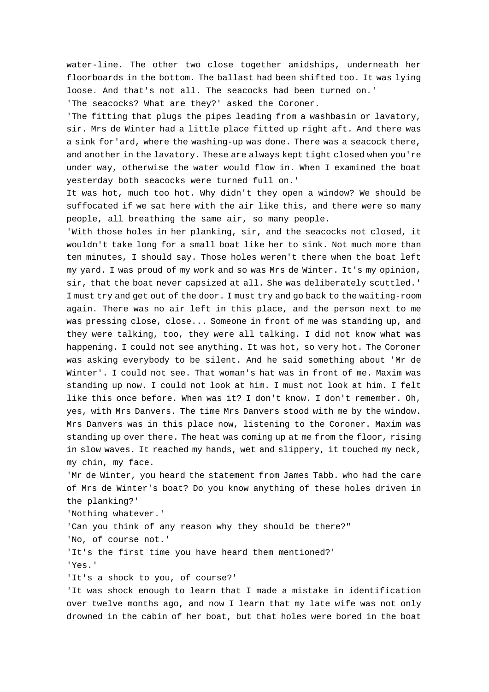water-line. The other two close together amidships, underneath her floorboards in the bottom. The ballast had been shifted too. It was lying loose. And that's not all. The seacocks had been turned on.'

'The seacocks? What are they?' asked the Coroner.

'The fitting that plugs the pipes leading from a washbasin or lavatory, sir. Mrs de Winter had a little place fitted up right aft. And there was a sink for'ard, where the washing-up was done. There was a seacock there, and another in the lavatory. These are always kept tight closed when you're under way, otherwise the water would flow in. When I examined the boat yesterday both seacocks were turned full on.'

It was hot, much too hot. Why didn't they open a window? We should be suffocated if we sat here with the air like this, and there were so many people, all breathing the same air, so many people.

'With those holes in her planking, sir, and the seacocks not closed, it wouldn't take long for a small boat like her to sink. Not much more than ten minutes, I should say. Those holes weren't there when the boat left my yard. I was proud of my work and so was Mrs de Winter. It's my opinion, sir, that the boat never capsized at all. She was deliberately scuttled.' I must try and get out of the door. I must try and go back to the waiting-room again. There was no air left in this place, and the person next to me was pressing close, close... Someone in front of me was standing up, and they were talking, too, they were all talking. I did not know what was happening. I could not see anything. It was hot, so very hot. The Coroner was asking everybody to be silent. And he said something about 'Mr de Winter'. I could not see. That woman's hat was in front of me. Maxim was standing up now. I could not look at him. I must not look at him. I felt like this once before. When was it? I don't know. I don't remember. Oh, yes, with Mrs Danvers. The time Mrs Danvers stood with me by the window. Mrs Danvers was in this place now, listening to the Coroner. Maxim was standing up over there. The heat was coming up at me from the floor, rising in slow waves. It reached my hands, wet and slippery, it touched my neck, my chin, my face.

'Mr de Winter, you heard the statement from James Tabb. who had the care of Mrs de Winter's boat? Do you know anything of these holes driven in the planking?'

'Nothing whatever.'

'Can you think of any reason why they should be there?"

'No, of course not.'

'It's the first time you have heard them mentioned?'

'Yes.'

'It's a shock to you, of course?'

'It was shock enough to learn that I made a mistake in identification over twelve months ago, and now I learn that my late wife was not only drowned in the cabin of her boat, but that holes were bored in the boat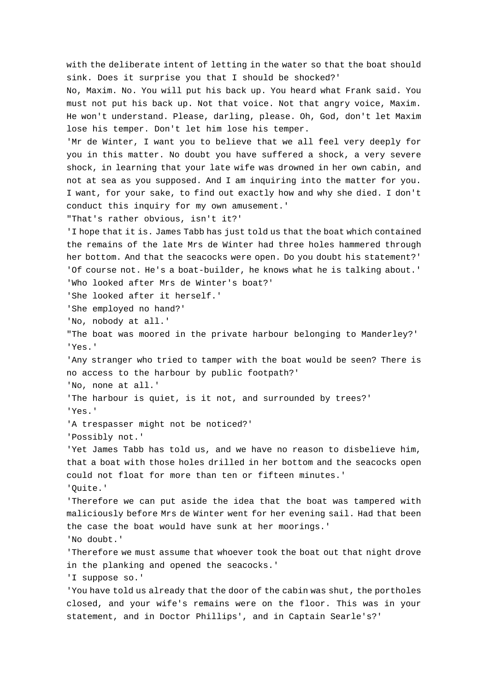with the deliberate intent of letting in the water so that the boat should sink. Does it surprise you that I should be shocked?'

No, Maxim. No. You will put his back up. You heard what Frank said. You must not put his back up. Not that voice. Not that angry voice, Maxim. He won't understand. Please, darling, please. Oh, God, don't let Maxim lose his temper. Don't let him lose his temper.

'Mr de Winter, I want you to believe that we all feel very deeply for you in this matter. No doubt you have suffered a shock, a very severe shock, in learning that your late wife was drowned in her own cabin, and not at sea as you supposed. And I am inquiring into the matter for you. I want, for your sake, to find out exactly how and why she died. I don't conduct this inquiry for my own amusement.'

"That's rather obvious, isn't it?'

'I hope that it is. James Tabb has just told us that the boat which contained the remains of the late Mrs de Winter had three holes hammered through her bottom. And that the seacocks were open. Do you doubt his statement?' 'Of course not. He's a boat-builder, he knows what he is talking about.' 'Who looked after Mrs de Winter's boat?'

'She looked after it herself.'

'She employed no hand?'

'No, nobody at all.'

"The boat was moored in the private harbour belonging to Manderley?' 'Yes.'

'Any stranger who tried to tamper with the boat would be seen? There is no access to the harbour by public footpath?'

'No, none at all.'

'The harbour is quiet, is it not, and surrounded by trees?'

'Yes.'

'A trespasser might not be noticed?'

'Possibly not.'

'Yet James Tabb has told us, and we have no reason to disbelieve him, that a boat with those holes drilled in her bottom and the seacocks open could not float for more than ten or fifteen minutes.' 'Quite.'

'Therefore we can put aside the idea that the boat was tampered with maliciously before Mrs de Winter went for her evening sail. Had that been the case the boat would have sunk at her moorings.' 'No doubt.'

'Therefore we must assume that whoever took the boat out that night drove in the planking and opened the seacocks.'

'I suppose so.'

'You have told us already that the door of the cabin was shut, the portholes closed, and your wife's remains were on the floor. This was in your statement, and in Doctor Phillips', and in Captain Searle's?'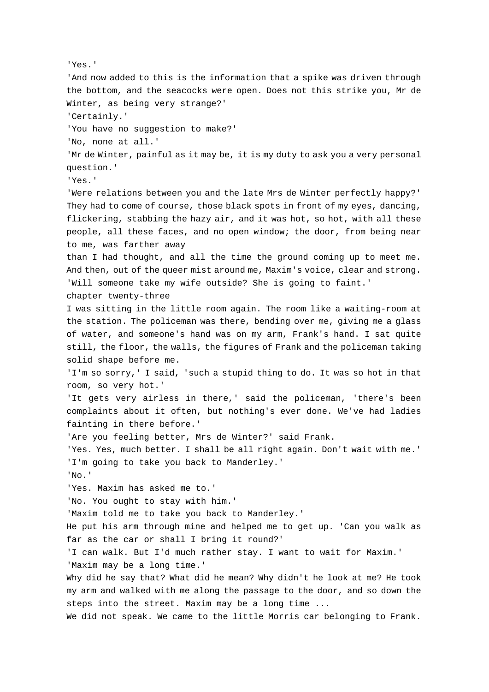'Yes.'

'And now added to this is the information that a spike was driven through the bottom, and the seacocks were open. Does not this strike you, Mr de Winter, as being very strange?'

'Certainly.'

'You have no suggestion to make?'

'No, none at all.'

'Mr de Winter, painful as it may be, it is my duty to ask you a very personal question.'

'Yes.'

'Were relations between you and the late Mrs de Winter perfectly happy?' They had to come of course, those black spots in front of my eyes, dancing, flickering, stabbing the hazy air, and it was hot, so hot, with all these people, all these faces, and no open window; the door, from being near to me, was farther away

than I had thought, and all the time the ground coming up to meet me. And then, out of the queer mist around me, Maxim's voice, clear and strong. 'Will someone take my wife outside? She is going to faint.'

chapter twenty-three

I was sitting in the little room again. The room like a waiting-room at the station. The policeman was there, bending over me, giving me a glass of water, and someone's hand was on my arm, Frank's hand. I sat quite still, the floor, the walls, the figures of Frank and the policeman taking solid shape before me.

'I'm so sorry,' I said, 'such a stupid thing to do. It was so hot in that room, so very hot.'

'It gets very airless in there,' said the policeman, 'there's been complaints about it often, but nothing's ever done. We've had ladies fainting in there before.'

'Are you feeling better, Mrs de Winter?' said Frank.

'Yes. Yes, much better. I shall be all right again. Don't wait with me.' 'I'm going to take you back to Manderley.'

'No.'

'Yes. Maxim has asked me to.'

'No. You ought to stay with him.'

'Maxim told me to take you back to Manderley.'

He put his arm through mine and helped me to get up. 'Can you walk as far as the car or shall I bring it round?'

'I can walk. But I'd much rather stay. I want to wait for Maxim.' 'Maxim may be a long time.'

Why did he say that? What did he mean? Why didn't he look at me? He took my arm and walked with me along the passage to the door, and so down the steps into the street. Maxim may be a long time ...

We did not speak. We came to the little Morris car belonging to Frank.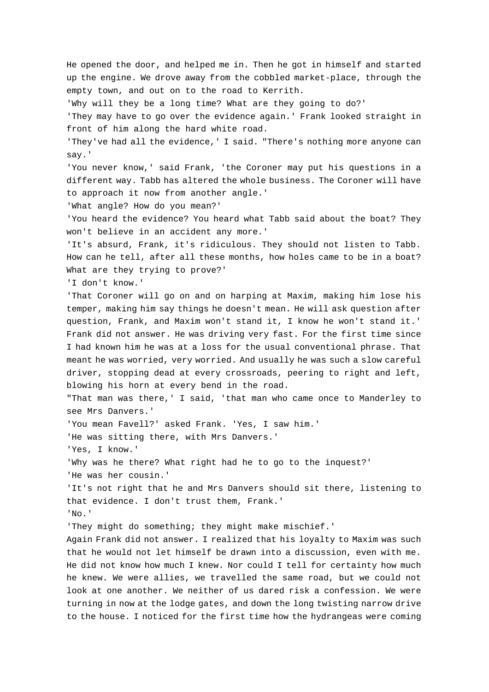He opened the door, and helped me in. Then he got in himself and started up the engine. We drove away from the cobbled market-place, through the empty town, and out on to the road to Kerrith.

'Why will they be a long time? What are they going to do?'

'They may have to go over the evidence again.' Frank looked straight in front of him along the hard white road.

'They've had all the evidence,' I said. "There's nothing more anyone can say.'

'You never know,' said Frank, 'the Coroner may put his questions in a different way. Tabb has altered the whole business. The Coroner will have to approach it now from another angle.'

'What angle? How do you mean?'

'You heard the evidence? You heard what Tabb said about the boat? They won't believe in an accident any more.'

'It's absurd, Frank, it's ridiculous. They should not listen to Tabb. How can he tell, after all these months, how holes came to be in a boat? What are they trying to prove?'

'I don't know.'

'That Coroner will go on and on harping at Maxim, making him lose his temper, making him say things he doesn't mean. He will ask question after question, Frank, and Maxim won't stand it, I know he won't stand it.' Frank did not answer. He was driving very fast. For the first time since I had known him he was at a loss for the usual conventional phrase. That meant he was worried, very worried. And usually he was such a slow careful driver, stopping dead at every crossroads, peering to right and left, blowing his horn at every bend in the road.

"That man was there,' I said, 'that man who came once to Manderley to see Mrs Danvers.'

'You mean Favell?' asked Frank. 'Yes, I saw him.'

'He was sitting there, with Mrs Danvers.'

'Yes, I know.'

'Why was he there? What right had he to go to the inquest?'

'He was her cousin.'

'It's not right that he and Mrs Danvers should sit there, listening to that evidence. I don't trust them, Frank.' 'No.'

'They might do something; they might make mischief.'

Again Frank did not answer. I realized that his loyalty to Maxim was such that he would not let himself be drawn into a discussion, even with me. He did not know how much I knew. Nor could I tell for certainty how much he knew. We were allies, we travelled the same road, but we could not look at one another. We neither of us dared risk a confession. We were turning in now at the lodge gates, and down the long twisting narrow drive to the house. I noticed for the first time how the hydrangeas were coming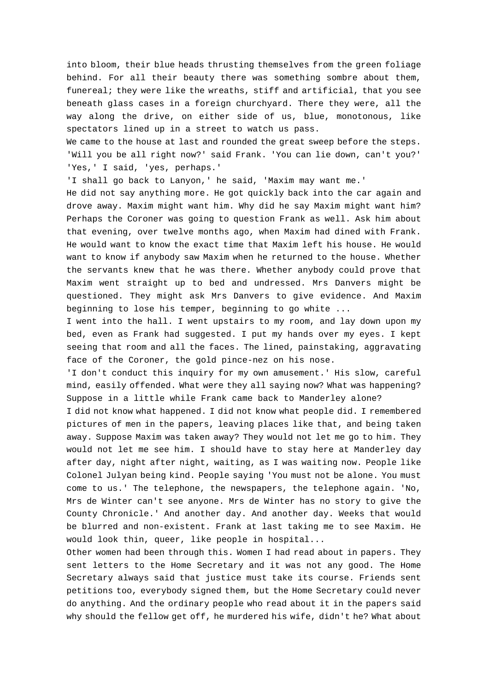into bloom, their blue heads thrusting themselves from the green foliage behind. For all their beauty there was something sombre about them, funereal; they were like the wreaths, stiff and artificial, that you see beneath glass cases in a foreign churchyard. There they were, all the way along the drive, on either side of us, blue, monotonous, like spectators lined up in a street to watch us pass.

We came to the house at last and rounded the great sweep before the steps. 'Will you be all right now?' said Frank. 'You can lie down, can't you?' 'Yes,' I said, 'yes, perhaps.'

'I shall go back to Lanyon,' he said, 'Maxim may want me.'

He did not say anything more. He got quickly back into the car again and drove away. Maxim might want him. Why did he say Maxim might want him? Perhaps the Coroner was going to question Frank as well. Ask him about that evening, over twelve months ago, when Maxim had dined with Frank. He would want to know the exact time that Maxim left his house. He would want to know if anybody saw Maxim when he returned to the house. Whether the servants knew that he was there. Whether anybody could prove that Maxim went straight up to bed and undressed. Mrs Danvers might be questioned. They might ask Mrs Danvers to give evidence. And Maxim beginning to lose his temper, beginning to go white ...

I went into the hall. I went upstairs to my room, and lay down upon my bed, even as Frank had suggested. I put my hands over my eyes. I kept seeing that room and all the faces. The lined, painstaking, aggravating face of the Coroner, the gold pince-nez on his nose.

'I don't conduct this inquiry for my own amusement.' His slow, careful mind, easily offended. What were they all saying now? What was happening? Suppose in a little while Frank came back to Manderley alone?

I did not know what happened. I did not know what people did. I remembered pictures of men in the papers, leaving places like that, and being taken away. Suppose Maxim was taken away? They would not let me go to him. They would not let me see him. I should have to stay here at Manderley day after day, night after night, waiting, as I was waiting now. People like Colonel Julyan being kind. People saying 'You must not be alone. You must come to us.' The telephone, the newspapers, the telephone again. 'No, Mrs de Winter can't see anyone. Mrs de Winter has no story to give the County Chronicle.' And another day. And another day. Weeks that would be blurred and non-existent. Frank at last taking me to see Maxim. He would look thin, queer, like people in hospital...

Other women had been through this. Women I had read about in papers. They sent letters to the Home Secretary and it was not any good. The Home Secretary always said that justice must take its course. Friends sent petitions too, everybody signed them, but the Home Secretary could never do anything. And the ordinary people who read about it in the papers said why should the fellow get off, he murdered his wife, didn't he? What about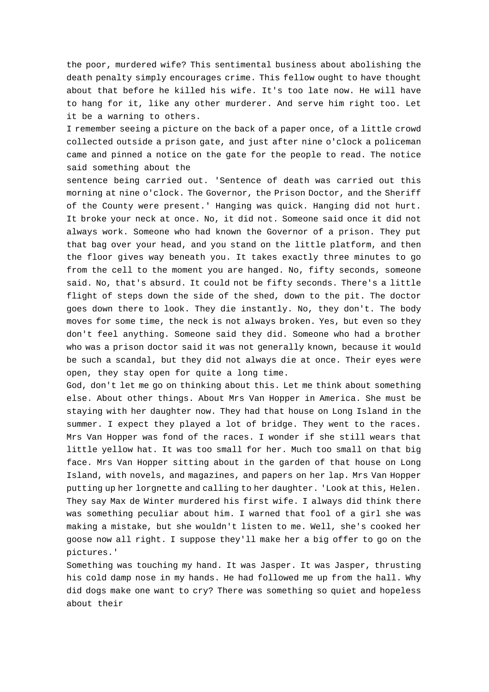the poor, murdered wife? This sentimental business about abolishing the death penalty simply encourages crime. This fellow ought to have thought about that before he killed his wife. It's too late now. He will have to hang for it, like any other murderer. And serve him right too. Let it be a warning to others.

I remember seeing a picture on the back of a paper once, of a little crowd collected outside a prison gate, and just after nine o'clock a policeman came and pinned a notice on the gate for the people to read. The notice said something about the

sentence being carried out. 'Sentence of death was carried out this morning at nine o'clock. The Governor, the Prison Doctor, and the Sheriff of the County were present.' Hanging was quick. Hanging did not hurt. It broke your neck at once. No, it did not. Someone said once it did not always work. Someone who had known the Governor of a prison. They put that bag over your head, and you stand on the little platform, and then the floor gives way beneath you. It takes exactly three minutes to go from the cell to the moment you are hanged. No, fifty seconds, someone said. No, that's absurd. It could not be fifty seconds. There's a little flight of steps down the side of the shed, down to the pit. The doctor goes down there to look. They die instantly. No, they don't. The body moves for some time, the neck is not always broken. Yes, but even so they don't feel anything. Someone said they did. Someone who had a brother who was a prison doctor said it was not generally known, because it would be such a scandal, but they did not always die at once. Their eyes were open, they stay open for quite a long time.

God, don't let me go on thinking about this. Let me think about something else. About other things. About Mrs Van Hopper in America. She must be staying with her daughter now. They had that house on Long Island in the summer. I expect they played a lot of bridge. They went to the races. Mrs Van Hopper was fond of the races. I wonder if she still wears that little yellow hat. It was too small for her. Much too small on that big face. Mrs Van Hopper sitting about in the garden of that house on Long Island, with novels, and magazines, and papers on her lap. Mrs Van Hopper putting up her lorgnette and calling to her daughter. 'Look at this, Helen. They say Max de Winter murdered his first wife. I always did think there was something peculiar about him. I warned that fool of a girl she was making a mistake, but she wouldn't listen to me. Well, she's cooked her goose now all right. I suppose they'll make her a big offer to go on the pictures.'

Something was touching my hand. It was Jasper. It was Jasper, thrusting his cold damp nose in my hands. He had followed me up from the hall. Why did dogs make one want to cry? There was something so quiet and hopeless about their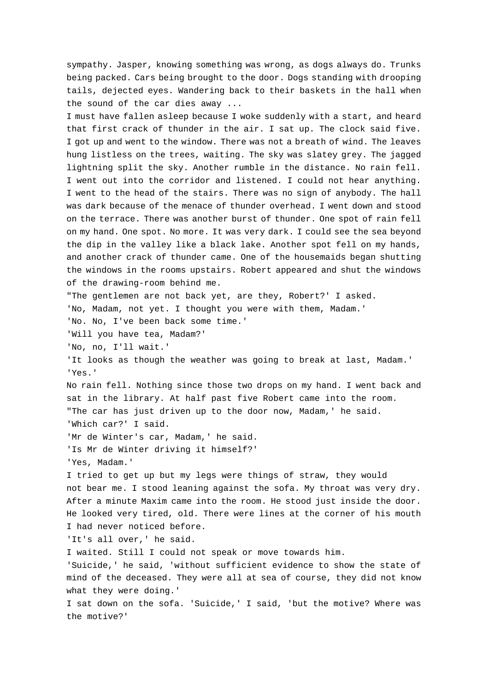sympathy. Jasper, knowing something was wrong, as dogs always do. Trunks being packed. Cars being brought to the door. Dogs standing with drooping tails, dejected eyes. Wandering back to their baskets in the hall when the sound of the car dies away ...

I must have fallen asleep because I woke suddenly with a start, and heard that first crack of thunder in the air. I sat up. The clock said five. I got up and went to the window. There was not a breath of wind. The leaves hung listless on the trees, waiting. The sky was slatey grey. The jagged lightning split the sky. Another rumble in the distance. No rain fell. I went out into the corridor and listened. I could not hear anything. I went to the head of the stairs. There was no sign of anybody. The hall was dark because of the menace of thunder overhead. I went down and stood on the terrace. There was another burst of thunder. One spot of rain fell on my hand. One spot. No more. It was very dark. I could see the sea beyond the dip in the valley like a black lake. Another spot fell on my hands, and another crack of thunder came. One of the housemaids began shutting the windows in the rooms upstairs. Robert appeared and shut the windows of the drawing-room behind me.

"The gentlemen are not back yet, are they, Robert?' I asked.

'No, Madam, not yet. I thought you were with them, Madam.'

'No. No, I've been back some time.'

'Will you have tea, Madam?'

'No, no, I'll wait.'

'It looks as though the weather was going to break at last, Madam.' 'Yes.'

No rain fell. Nothing since those two drops on my hand. I went back and sat in the library. At half past five Robert came into the room. "The car has just driven up to the door now, Madam,' he said. 'Which car?' I said.

'Mr de Winter's car, Madam,' he said.

'Is Mr de Winter driving it himself?'

'Yes, Madam.'

I tried to get up but my legs were things of straw, they would not bear me. I stood leaning against the sofa. My throat was very dry. After a minute Maxim came into the room. He stood just inside the door. He looked very tired, old. There were lines at the corner of his mouth I had never noticed before.

'It's all over,' he said.

I waited. Still I could not speak or move towards him.

'Suicide,' he said, 'without sufficient evidence to show the state of mind of the deceased. They were all at sea of course, they did not know what they were doing.'

I sat down on the sofa. 'Suicide,' I said, 'but the motive? Where was the motive?'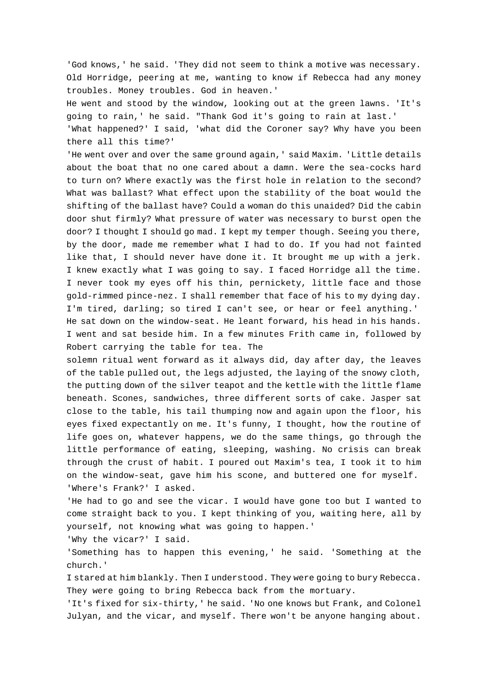'God knows,' he said. 'They did not seem to think a motive was necessary. Old Horridge, peering at me, wanting to know if Rebecca had any money troubles. Money troubles. God in heaven.'

He went and stood by the window, looking out at the green lawns. 'It's going to rain,' he said. "Thank God it's going to rain at last.'

'What happened?' I said, 'what did the Coroner say? Why have you been there all this time?'

'He went over and over the same ground again,' said Maxim. 'Little details about the boat that no one cared about a damn. Were the sea-cocks hard to turn on? Where exactly was the first hole in relation to the second? What was ballast? What effect upon the stability of the boat would the shifting of the ballast have? Could a woman do this unaided? Did the cabin door shut firmly? What pressure of water was necessary to burst open the door? I thought I should go mad. I kept my temper though. Seeing you there, by the door, made me remember what I had to do. If you had not fainted like that, I should never have done it. It brought me up with a jerk. I knew exactly what I was going to say. I faced Horridge all the time. I never took my eyes off his thin, pernickety, little face and those gold-rimmed pince-nez. I shall remember that face of his to my dying day. I'm tired, darling; so tired I can't see, or hear or feel anything.' He sat down on the window-seat. He leant forward, his head in his hands. I went and sat beside him. In a few minutes Frith came in, followed by Robert carrying the table for tea. The

solemn ritual went forward as it always did, day after day, the leaves of the table pulled out, the legs adjusted, the laying of the snowy cloth, the putting down of the silver teapot and the kettle with the little flame beneath. Scones, sandwiches, three different sorts of cake. Jasper sat close to the table, his tail thumping now and again upon the floor, his eyes fixed expectantly on me. It's funny, I thought, how the routine of life goes on, whatever happens, we do the same things, go through the little performance of eating, sleeping, washing. No crisis can break through the crust of habit. I poured out Maxim's tea, I took it to him on the window-seat, gave him his scone, and buttered one for myself. 'Where's Frank?' I asked.

'He had to go and see the vicar. I would have gone too but I wanted to come straight back to you. I kept thinking of you, waiting here, all by yourself, not knowing what was going to happen.'

'Why the vicar?' I said.

'Something has to happen this evening,' he said. 'Something at the church.'

I stared at him blankly. Then I understood. They were going to bury Rebecca. They were going to bring Rebecca back from the mortuary.

'It's fixed for six-thirty,' he said. 'No one knows but Frank, and Colonel Julyan, and the vicar, and myself. There won't be anyone hanging about.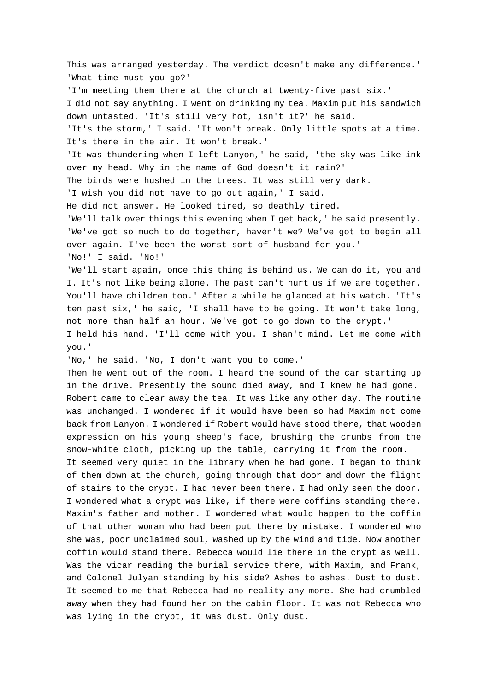This was arranged yesterday. The verdict doesn't make any difference.' 'What time must you go?' 'I'm meeting them there at the church at twenty-five past six.' I did not say anything. I went on drinking my tea. Maxim put his sandwich down untasted. 'It's still very hot, isn't it?' he said. 'It's the storm,' I said. 'It won't break. Only little spots at a time. It's there in the air. It won't break.' 'It was thundering when I left Lanyon,' he said, 'the sky was like ink over my head. Why in the name of God doesn't it rain?' The birds were hushed in the trees. It was still very dark. 'I wish you did not have to go out again,' I said. He did not answer. He looked tired, so deathly tired. 'We'll talk over things this evening when I get back,' he said presently. 'We've got so much to do together, haven't we? We've got to begin all over again. I've been the worst sort of husband for you.' 'No!' I said. 'No!'

'We'll start again, once this thing is behind us. We can do it, you and I. It's not like being alone. The past can't hurt us if we are together. You'll have children too.' After a while he glanced at his watch. 'It's ten past six,' he said, 'I shall have to be going. It won't take long, not more than half an hour. We've got to go down to the crypt.' I held his hand. 'I'll come with you. I shan't mind. Let me come with you.'

'No,' he said. 'No, I don't want you to come.'

Then he went out of the room. I heard the sound of the car starting up in the drive. Presently the sound died away, and I knew he had gone. Robert came to clear away the tea. It was like any other day. The routine was unchanged. I wondered if it would have been so had Maxim not come back from Lanyon. I wondered if Robert would have stood there, that wooden expression on his young sheep's face, brushing the crumbs from the snow-white cloth, picking up the table, carrying it from the room.

It seemed very quiet in the library when he had gone. I began to think of them down at the church, going through that door and down the flight of stairs to the crypt. I had never been there. I had only seen the door. I wondered what a crypt was like, if there were coffins standing there. Maxim's father and mother. I wondered what would happen to the coffin of that other woman who had been put there by mistake. I wondered who she was, poor unclaimed soul, washed up by the wind and tide. Now another coffin would stand there. Rebecca would lie there in the crypt as well. Was the vicar reading the burial service there, with Maxim, and Frank, and Colonel Julyan standing by his side? Ashes to ashes. Dust to dust. It seemed to me that Rebecca had no reality any more. She had crumbled away when they had found her on the cabin floor. It was not Rebecca who was lying in the crypt, it was dust. Only dust.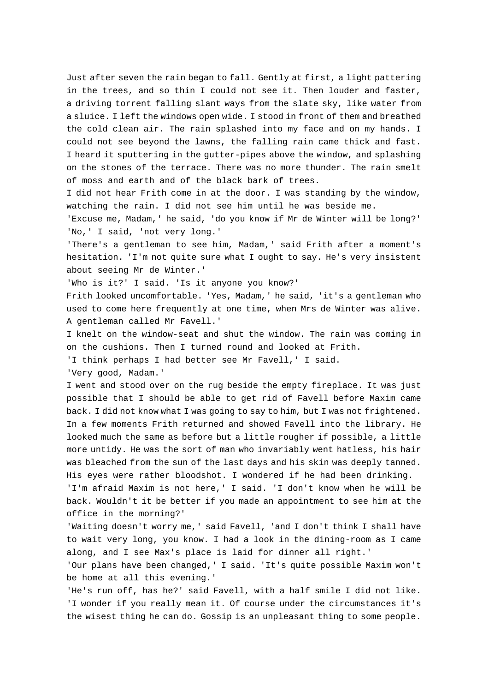Just after seven the rain began to fall. Gently at first, a light pattering in the trees, and so thin I could not see it. Then louder and faster, a driving torrent falling slant ways from the slate sky, like water from a sluice. I left the windows open wide. I stood in front of them and breathed the cold clean air. The rain splashed into my face and on my hands. I could not see beyond the lawns, the falling rain came thick and fast. I heard it sputtering in the gutter-pipes above the window, and splashing on the stones of the terrace. There was no more thunder. The rain smelt of moss and earth and of the black bark of trees.

I did not hear Frith come in at the door. I was standing by the window, watching the rain. I did not see him until he was beside me.

'Excuse me, Madam,' he said, 'do you know if Mr de Winter will be long?' 'No,' I said, 'not very long.'

'There's a gentleman to see him, Madam,' said Frith after a moment's hesitation. 'I'm not quite sure what I ought to say. He's very insistent about seeing Mr de Winter.'

'Who is it?' I said. 'Is it anyone you know?'

Frith looked uncomfortable. 'Yes, Madam,' he said, 'it's a gentleman who used to come here frequently at one time, when Mrs de Winter was alive. A gentleman called Mr Favell.'

I knelt on the window-seat and shut the window. The rain was coming in on the cushions. Then I turned round and looked at Frith.

'I think perhaps I had better see Mr Favell,' I said.

'Very good, Madam.'

I went and stood over on the rug beside the empty fireplace. It was just possible that I should be able to get rid of Favell before Maxim came back. I did not know what I was going to say to him, but I was not frightened. In a few moments Frith returned and showed Favell into the library. He looked much the same as before but a little rougher if possible, a little more untidy. He was the sort of man who invariably went hatless, his hair was bleached from the sun of the last days and his skin was deeply tanned. His eyes were rather bloodshot. I wondered if he had been drinking.

'I'm afraid Maxim is not here,' I said. 'I don't know when he will be back. Wouldn't it be better if you made an appointment to see him at the office in the morning?'

'Waiting doesn't worry me,' said Favell, 'and I don't think I shall have to wait very long, you know. I had a look in the dining-room as I came along, and I see Max's place is laid for dinner all right.'

'Our plans have been changed,' I said. 'It's quite possible Maxim won't be home at all this evening.'

'He's run off, has he?' said Favell, with a half smile I did not like. 'I wonder if you really mean it. Of course under the circumstances it's the wisest thing he can do. Gossip is an unpleasant thing to some people.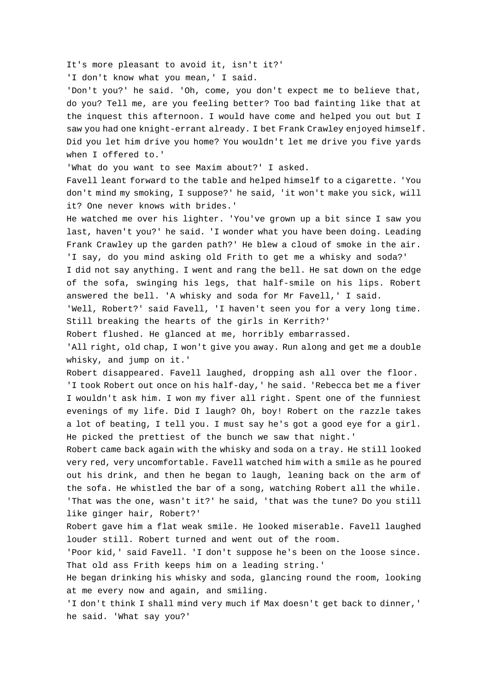It's more pleasant to avoid it, isn't it?'

'I don't know what you mean,' I said.

'Don't you?' he said. 'Oh, come, you don't expect me to believe that, do you? Tell me, are you feeling better? Too bad fainting like that at the inquest this afternoon. I would have come and helped you out but I saw you had one knight-errant already. I bet Frank Crawley enjoyed himself. Did you let him drive you home? You wouldn't let me drive you five yards when I offered to.'

'What do you want to see Maxim about?' I asked.

Favell leant forward to the table and helped himself to a cigarette. 'You don't mind my smoking, I suppose?' he said, 'it won't make you sick, will it? One never knows with brides.'

He watched me over his lighter. 'You've grown up a bit since I saw you last, haven't you?' he said. 'I wonder what you have been doing. Leading Frank Crawley up the garden path?' He blew a cloud of smoke in the air. 'I say, do you mind asking old Frith to get me a whisky and soda?'

I did not say anything. I went and rang the bell. He sat down on the edge of the sofa, swinging his legs, that half-smile on his lips. Robert answered the bell. 'A whisky and soda for Mr Favell,' I said.

'Well, Robert?' said Favell, 'I haven't seen you for a very long time. Still breaking the hearts of the girls in Kerrith?'

Robert flushed. He glanced at me, horribly embarrassed.

'All right, old chap, I won't give you away. Run along and get me a double whisky, and jump on it.'

Robert disappeared. Favell laughed, dropping ash all over the floor. 'I took Robert out once on his half-day,' he said. 'Rebecca bet me a fiver I wouldn't ask him. I won my fiver all right. Spent one of the funniest evenings of my life. Did I laugh? Oh, boy! Robert on the razzle takes a lot of beating, I tell you. I must say he's got a good eye for a girl. He picked the prettiest of the bunch we saw that night.'

Robert came back again with the whisky and soda on a tray. He still looked very red, very uncomfortable. Favell watched him with a smile as he poured out his drink, and then he began to laugh, leaning back on the arm of the sofa. He whistled the bar of a song, watching Robert all the while. 'That was the one, wasn't it?' he said, 'that was the tune? Do you still like ginger hair, Robert?'

Robert gave him a flat weak smile. He looked miserable. Favell laughed louder still. Robert turned and went out of the room.

'Poor kid,' said Favell. 'I don't suppose he's been on the loose since. That old ass Frith keeps him on a leading string.'

He began drinking his whisky and soda, glancing round the room, looking at me every now and again, and smiling.

'I don't think I shall mind very much if Max doesn't get back to dinner,' he said. 'What say you?'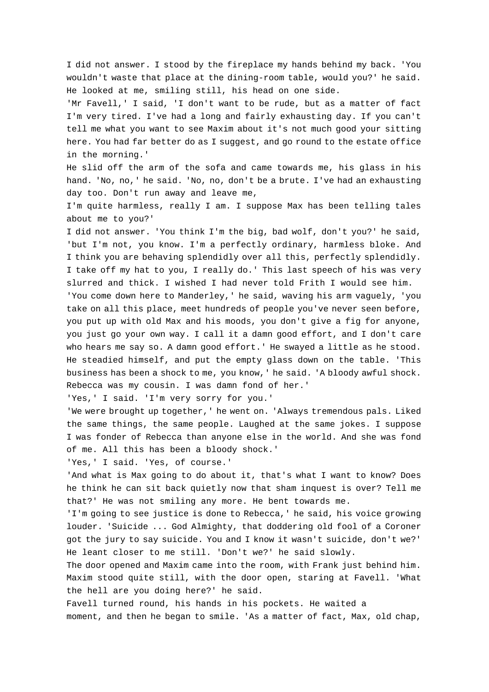I did not answer. I stood by the fireplace my hands behind my back. 'You wouldn't waste that place at the dining-room table, would you?' he said. He looked at me, smiling still, his head on one side.

'Mr Favell,' I said, 'I don't want to be rude, but as a matter of fact I'm very tired. I've had a long and fairly exhausting day. If you can't tell me what you want to see Maxim about it's not much good your sitting here. You had far better do as I suggest, and go round to the estate office in the morning.'

He slid off the arm of the sofa and came towards me, his glass in his hand. 'No, no,' he said. 'No, no, don't be a brute. I've had an exhausting day too. Don't run away and leave me,

I'm quite harmless, really I am. I suppose Max has been telling tales about me to you?'

I did not answer. 'You think I'm the big, bad wolf, don't you?' he said, 'but I'm not, you know. I'm a perfectly ordinary, harmless bloke. And I think you are behaving splendidly over all this, perfectly splendidly. I take off my hat to you, I really do.' This last speech of his was very slurred and thick. I wished I had never told Frith I would see him.

'You come down here to Manderley,' he said, waving his arm vaguely, 'you take on all this place, meet hundreds of people you've never seen before, you put up with old Max and his moods, you don't give a fig for anyone, you just go your own way. I call it a damn good effort, and I don't care who hears me say so. A damn good effort.' He swayed a little as he stood. He steadied himself, and put the empty glass down on the table. 'This business has been a shock to me, you know,' he said. 'A bloody awful shock. Rebecca was my cousin. I was damn fond of her.'

'Yes,' I said. 'I'm very sorry for you.'

'We were brought up together,' he went on. 'Always tremendous pals. Liked the same things, the same people. Laughed at the same jokes. I suppose I was fonder of Rebecca than anyone else in the world. And she was fond of me. All this has been a bloody shock.'

'Yes,' I said. 'Yes, of course.'

'And what is Max going to do about it, that's what I want to know? Does he think he can sit back quietly now that sham inquest is over? Tell me that?' He was not smiling any more. He bent towards me.

'I'm going to see justice is done to Rebecca,' he said, his voice growing louder. 'Suicide ... God Almighty, that doddering old fool of a Coroner got the jury to say suicide. You and I know it wasn't suicide, don't we?' He leant closer to me still. 'Don't we?' he said slowly.

The door opened and Maxim came into the room, with Frank just behind him. Maxim stood quite still, with the door open, staring at Favell. 'What the hell are you doing here?' he said.

Favell turned round, his hands in his pockets. He waited a moment, and then he began to smile. 'As a matter of fact, Max, old chap,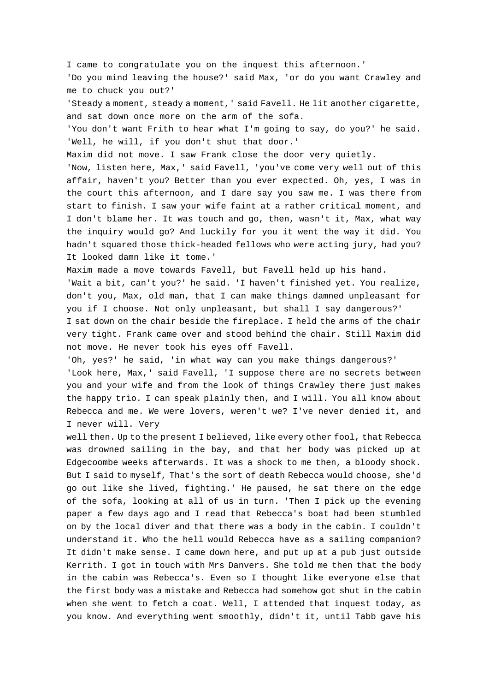I came to congratulate you on the inquest this afternoon.'

'Do you mind leaving the house?' said Max, 'or do you want Crawley and me to chuck you out?'

'Steady a moment, steady a moment,' said Favell. He lit another cigarette, and sat down once more on the arm of the sofa.

'You don't want Frith to hear what I'm going to say, do you?' he said. 'Well, he will, if you don't shut that door.'

Maxim did not move. I saw Frank close the door very quietly.

'Now, listen here, Max,' said Favell, 'you've come very well out of this affair, haven't you? Better than you ever expected. Oh, yes, I was in the court this afternoon, and I dare say you saw me. I was there from start to finish. I saw your wife faint at a rather critical moment, and I don't blame her. It was touch and go, then, wasn't it, Max, what way the inquiry would go? And luckily for you it went the way it did. You hadn't squared those thick-headed fellows who were acting jury, had you? It looked damn like it tome.'

Maxim made a move towards Favell, but Favell held up his hand.

'Wait a bit, can't you?' he said. 'I haven't finished yet. You realize, don't you, Max, old man, that I can make things damned unpleasant for you if I choose. Not only unpleasant, but shall I say dangerous?'

I sat down on the chair beside the fireplace. I held the arms of the chair very tight. Frank came over and stood behind the chair. Still Maxim did not move. He never took his eyes off Favell.

'Oh, yes?' he said, 'in what way can you make things dangerous?' 'Look here, Max,' said Favell, 'I suppose there are no secrets between you and your wife and from the look of things Crawley there just makes the happy trio. I can speak plainly then, and I will. You all know about Rebecca and me. We were lovers, weren't we? I've never denied it, and I never will. Very

well then. Up to the present I believed, like every other fool, that Rebecca was drowned sailing in the bay, and that her body was picked up at Edgecoombe weeks afterwards. It was a shock to me then, a bloody shock. But I said to myself, That's the sort of death Rebecca would choose, she'd go out like she lived, fighting.' He paused, he sat there on the edge of the sofa, looking at all of us in turn. 'Then I pick up the evening paper a few days ago and I read that Rebecca's boat had been stumbled on by the local diver and that there was a body in the cabin. I couldn't understand it. Who the hell would Rebecca have as a sailing companion? It didn't make sense. I came down here, and put up at a pub just outside Kerrith. I got in touch with Mrs Danvers. She told me then that the body in the cabin was Rebecca's. Even so I thought like everyone else that the first body was a mistake and Rebecca had somehow got shut in the cabin when she went to fetch a coat. Well, I attended that inquest today, as you know. And everything went smoothly, didn't it, until Tabb gave his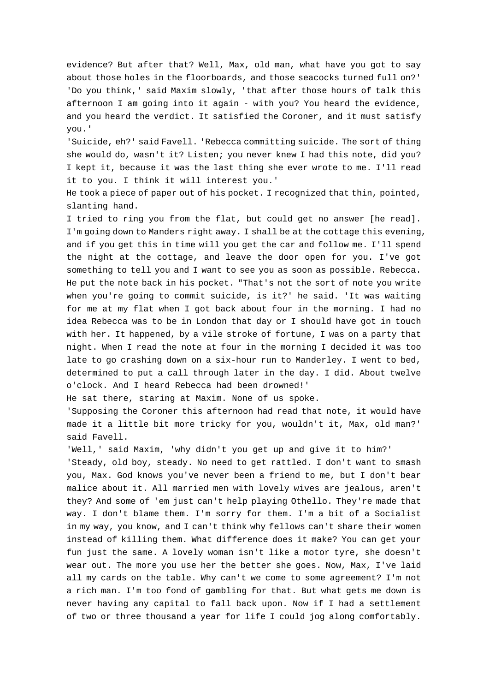evidence? But after that? Well, Max, old man, what have you got to say about those holes in the floorboards, and those seacocks turned full on?' 'Do you think,' said Maxim slowly, 'that after those hours of talk this afternoon I am going into it again - with you? You heard the evidence, and you heard the verdict. It satisfied the Coroner, and it must satisfy you.'

'Suicide, eh?' said Favell. 'Rebecca committing suicide. The sort of thing she would do, wasn't it? Listen; you never knew I had this note, did you? I kept it, because it was the last thing she ever wrote to me. I'll read it to you. I think it will interest you.'

He took a piece of paper out of his pocket. I recognized that thin, pointed, slanting hand.

I tried to ring you from the flat, but could get no answer [he read]. I'm going down to Manders right away. I shall be at the cottage this evening, and if you get this in time will you get the car and follow me. I'll spend the night at the cottage, and leave the door open for you. I've got something to tell you and I want to see you as soon as possible. Rebecca. He put the note back in his pocket. "That's not the sort of note you write when you're going to commit suicide, is it?' he said. 'It was waiting for me at my flat when I got back about four in the morning. I had no idea Rebecca was to be in London that day or I should have got in touch with her. It happened, by a vile stroke of fortune, I was on a party that night. When I read the note at four in the morning I decided it was too late to go crashing down on a six-hour run to Manderley. I went to bed, determined to put a call through later in the day. I did. About twelve o'clock. And I heard Rebecca had been drowned!'

He sat there, staring at Maxim. None of us spoke.

'Supposing the Coroner this afternoon had read that note, it would have made it a little bit more tricky for you, wouldn't it, Max, old man?' said Favell.

'Well,' said Maxim, 'why didn't you get up and give it to him?'

'Steady, old boy, steady. No need to get rattled. I don't want to smash you, Max. God knows you've never been a friend to me, but I don't bear malice about it. All married men with lovely wives are jealous, aren't they? And some of 'em just can't help playing Othello. They're made that way. I don't blame them. I'm sorry for them. I'm a bit of a Socialist in my way, you know, and I can't think why fellows can't share their women instead of killing them. What difference does it make? You can get your fun just the same. A lovely woman isn't like a motor tyre, she doesn't wear out. The more you use her the better she goes. Now, Max, I've laid all my cards on the table. Why can't we come to some agreement? I'm not a rich man. I'm too fond of gambling for that. But what gets me down is never having any capital to fall back upon. Now if I had a settlement of two or three thousand a year for life I could jog along comfortably.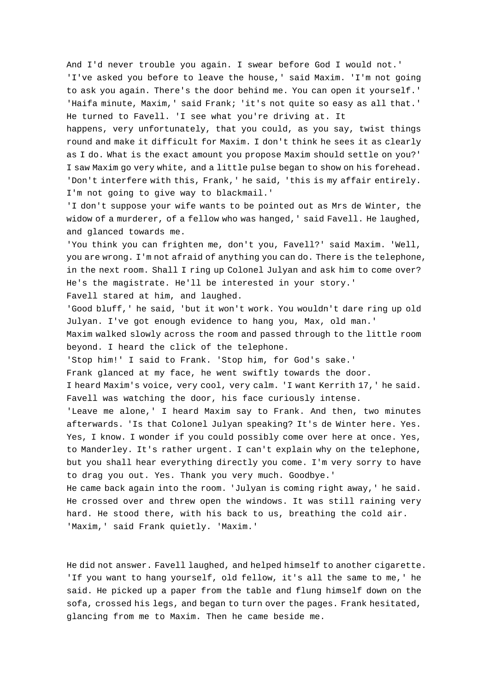And I'd never trouble you again. I swear before God I would not.' 'I've asked you before to leave the house,' said Maxim. 'I'm not going to ask you again. There's the door behind me. You can open it yourself.' 'Haifa minute, Maxim,' said Frank; 'it's not quite so easy as all that.' He turned to Favell. 'I see what you're driving at. It

happens, very unfortunately, that you could, as you say, twist things round and make it difficult for Maxim. I don't think he sees it as clearly as I do. What is the exact amount you propose Maxim should settle on you?' I saw Maxim go very white, and a little pulse began to show on his forehead. 'Don't interfere with this, Frank,' he said, 'this is my affair entirely. I'm not going to give way to blackmail.'

'I don't suppose your wife wants to be pointed out as Mrs de Winter, the widow of a murderer, of a fellow who was hanged,' said Favell. He laughed, and glanced towards me.

'You think you can frighten me, don't you, Favell?' said Maxim. 'Well, you are wrong. I'm not afraid of anything you can do. There is the telephone, in the next room. Shall I ring up Colonel Julyan and ask him to come over? He's the magistrate. He'll be interested in your story.'

Favell stared at him, and laughed.

'Good bluff,' he said, 'but it won't work. You wouldn't dare ring up old Julyan. I've got enough evidence to hang you, Max, old man.'

Maxim walked slowly across the room and passed through to the little room beyond. I heard the click of the telephone.

'Stop him!' I said to Frank. 'Stop him, for God's sake.'

Frank glanced at my face, he went swiftly towards the door.

I heard Maxim's voice, very cool, very calm. 'I want Kerrith 17,' he said. Favell was watching the door, his face curiously intense.

'Leave me alone,' I heard Maxim say to Frank. And then, two minutes afterwards. 'Is that Colonel Julyan speaking? It's de Winter here. Yes. Yes, I know. I wonder if you could possibly come over here at once. Yes, to Manderley. It's rather urgent. I can't explain why on the telephone, but you shall hear everything directly you come. I'm very sorry to have to drag you out. Yes. Thank you very much. Goodbye.'

He came back again into the room. 'Julyan is coming right away,' he said. He crossed over and threw open the windows. It was still raining very hard. He stood there, with his back to us, breathing the cold air. 'Maxim,' said Frank quietly. 'Maxim.'

He did not answer. Favell laughed, and helped himself to another cigarette. 'If you want to hang yourself, old fellow, it's all the same to me,' he said. He picked up a paper from the table and flung himself down on the sofa, crossed his legs, and began to turn over the pages. Frank hesitated, glancing from me to Maxim. Then he came beside me.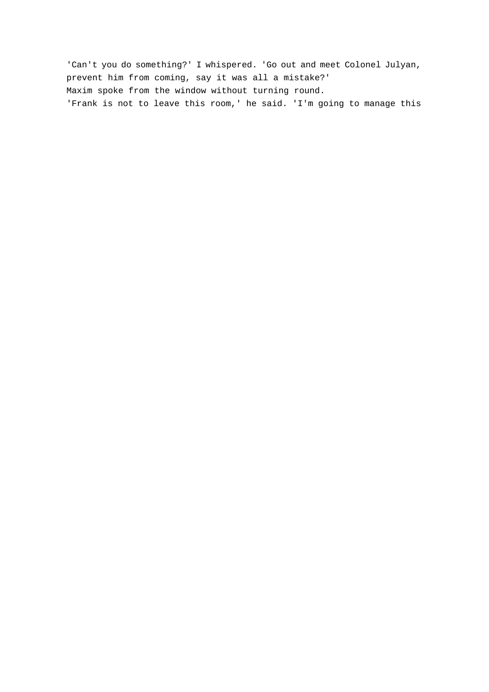'Can't you do something?' I whispered. 'Go out and meet Colonel Julyan, prevent him from coming, say it was all a mistake?' Maxim spoke from the window without turning round. 'Frank is not to leave this room,' he said. 'I'm going to manage this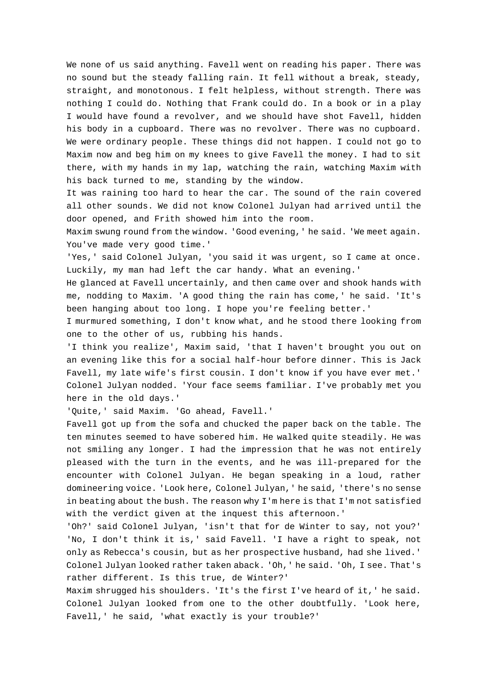We none of us said anything. Favell went on reading his paper. There was no sound but the steady falling rain. It fell without a break, steady, straight, and monotonous. I felt helpless, without strength. There was nothing I could do. Nothing that Frank could do. In a book or in a play I would have found a revolver, and we should have shot Favell, hidden his body in a cupboard. There was no revolver. There was no cupboard. We were ordinary people. These things did not happen. I could not go to Maxim now and beg him on my knees to give Favell the money. I had to sit there, with my hands in my lap, watching the rain, watching Maxim with his back turned to me, standing by the window.

It was raining too hard to hear the car. The sound of the rain covered all other sounds. We did not know Colonel Julyan had arrived until the door opened, and Frith showed him into the room.

Maxim swung round from the window. 'Good evening,' he said. 'We meet again. You've made very good time.'

'Yes,' said Colonel Julyan, 'you said it was urgent, so I came at once. Luckily, my man had left the car handy. What an evening.'

He glanced at Favell uncertainly, and then came over and shook hands with me, nodding to Maxim. 'A good thing the rain has come,' he said. 'It's been hanging about too long. I hope you're feeling better.'

I murmured something, I don't know what, and he stood there looking from one to the other of us, rubbing his hands.

'I think you realize', Maxim said, 'that I haven't brought you out on an evening like this for a social half-hour before dinner. This is Jack Favell, my late wife's first cousin. I don't know if you have ever met.' Colonel Julyan nodded. 'Your face seems familiar. I've probably met you here in the old days.'

'Quite,' said Maxim. 'Go ahead, Favell.'

Favell got up from the sofa and chucked the paper back on the table. The ten minutes seemed to have sobered him. He walked quite steadily. He was not smiling any longer. I had the impression that he was not entirely pleased with the turn in the events, and he was ill-prepared for the encounter with Colonel Julyan. He began speaking in a loud, rather domineering voice. 'Look here, Colonel Julyan,' he said, 'there's no sense in beating about the bush. The reason why I'm here is that I'm not satisfied with the verdict given at the inquest this afternoon.'

'Oh?' said Colonel Julyan, 'isn't that for de Winter to say, not you?' 'No, I don't think it is,' said Favell. 'I have a right to speak, not only as Rebecca's cousin, but as her prospective husband, had she lived.' Colonel Julyan looked rather taken aback. 'Oh,' he said. 'Oh, I see. That's rather different. Is this true, de Winter?'

Maxim shrugged his shoulders. 'It's the first I've heard of it,' he said. Colonel Julyan looked from one to the other doubtfully. 'Look here, Favell,' he said, 'what exactly is your trouble?'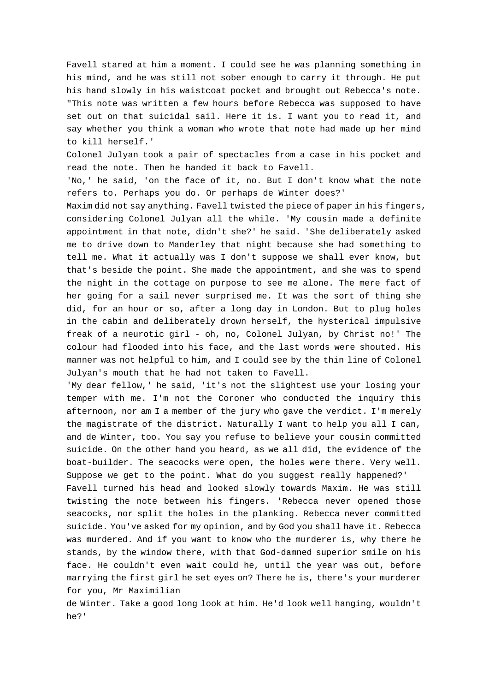Favell stared at him a moment. I could see he was planning something in his mind, and he was still not sober enough to carry it through. He put his hand slowly in his waistcoat pocket and brought out Rebecca's note. "This note was written a few hours before Rebecca was supposed to have set out on that suicidal sail. Here it is. I want you to read it, and say whether you think a woman who wrote that note had made up her mind to kill herself.'

Colonel Julyan took a pair of spectacles from a case in his pocket and read the note. Then he handed it back to Favell.

'No,' he said, 'on the face of it, no. But I don't know what the note refers to. Perhaps you do. Or perhaps de Winter does?'

Maxim did not say anything. Favell twisted the piece of paper in his fingers, considering Colonel Julyan all the while. 'My cousin made a definite appointment in that note, didn't she?' he said. 'She deliberately asked me to drive down to Manderley that night because she had something to tell me. What it actually was I don't suppose we shall ever know, but that's beside the point. She made the appointment, and she was to spend the night in the cottage on purpose to see me alone. The mere fact of her going for a sail never surprised me. It was the sort of thing she did, for an hour or so, after a long day in London. But to plug holes in the cabin and deliberately drown herself, the hysterical impulsive freak of a neurotic girl - oh, no, Colonel Julyan, by Christ no!' The colour had flooded into his face, and the last words were shouted. His manner was not helpful to him, and I could see by the thin line of Colonel Julyan's mouth that he had not taken to Favell.

'My dear fellow,' he said, 'it's not the slightest use your losing your temper with me. I'm not the Coroner who conducted the inquiry this afternoon, nor am I a member of the jury who gave the verdict. I'm merely the magistrate of the district. Naturally I want to help you all I can, and de Winter, too. You say you refuse to believe your cousin committed suicide. On the other hand you heard, as we all did, the evidence of the boat-builder. The seacocks were open, the holes were there. Very well. Suppose we get to the point. What do you suggest really happened?'

Favell turned his head and looked slowly towards Maxim. He was still twisting the note between his fingers. 'Rebecca never opened those seacocks, nor split the holes in the planking. Rebecca never committed suicide. You've asked for my opinion, and by God you shall have it. Rebecca was murdered. And if you want to know who the murderer is, why there he stands, by the window there, with that God-damned superior smile on his face. He couldn't even wait could he, until the year was out, before marrying the first girl he set eyes on? There he is, there's your murderer for you, Mr Maximilian

de Winter. Take a good long look at him. He'd look well hanging, wouldn't he?'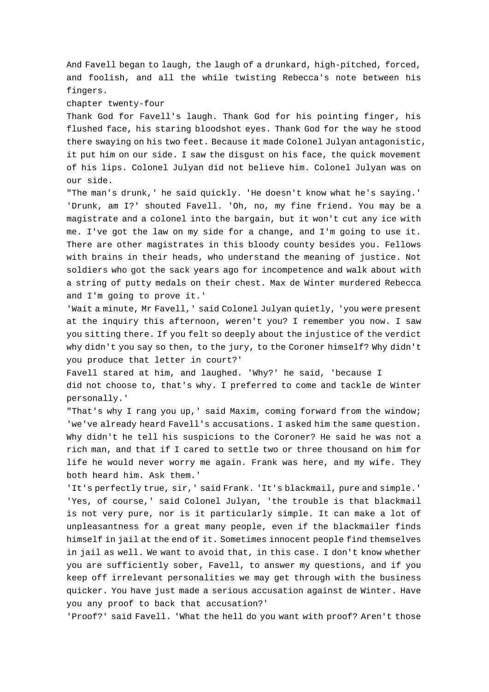And Favell began to laugh, the laugh of a drunkard, high-pitched, forced, and foolish, and all the while twisting Rebecca's note between his fingers.

chapter twenty-four

Thank God for Favell's laugh. Thank God for his pointing finger, his flushed face, his staring bloodshot eyes. Thank God for the way he stood there swaying on his two feet. Because it made Colonel Julyan antagonistic, it put him on our side. I saw the disgust on his face, the quick movement of his lips. Colonel Julyan did not believe him. Colonel Julyan was on our side.

"The man's drunk,' he said quickly. 'He doesn't know what he's saying.' 'Drunk, am I?' shouted Favell. 'Oh, no, my fine friend. You may be a magistrate and a colonel into the bargain, but it won't cut any ice with me. I've got the law on my side for a change, and I'm going to use it. There are other magistrates in this bloody county besides you. Fellows with brains in their heads, who understand the meaning of justice. Not soldiers who got the sack years ago for incompetence and walk about with a string of putty medals on their chest. Max de Winter murdered Rebecca and I'm going to prove it.'

'Wait a minute, Mr Favell,' said Colonel Julyan quietly, 'you were present at the inquiry this afternoon, weren't you? I remember you now. I saw you sitting there. If you felt so deeply about the injustice of the verdict why didn't you say so then, to the jury, to the Coroner himself? Why didn't you produce that letter in court?'

Favell stared at him, and laughed. 'Why?' he said, 'because I did not choose to, that's why. I preferred to come and tackle de Winter personally.'

"That's why I rang you up,' said Maxim, coming forward from the window; 'we've already heard Favell's accusations. I asked him the same question. Why didn't he tell his suspicions to the Coroner? He said he was not a rich man, and that if I cared to settle two or three thousand on him for life he would never worry me again. Frank was here, and my wife. They both heard him. Ask them.'

'It's perfectly true, sir,' said Frank. 'It's blackmail, pure and simple.' 'Yes, of course,' said Colonel Julyan, 'the trouble is that blackmail is not very pure, nor is it particularly simple. It can make a lot of unpleasantness for a great many people, even if the blackmailer finds himself in jail at the end of it. Sometimes innocent people find themselves in jail as well. We want to avoid that, in this case. I don't know whether you are sufficiently sober, Favell, to answer my questions, and if you keep off irrelevant personalities we may get through with the business quicker. You have just made a serious accusation against de Winter. Have you any proof to back that accusation?'

'Proof?' said Favell. 'What the hell do you want with proof? Aren't those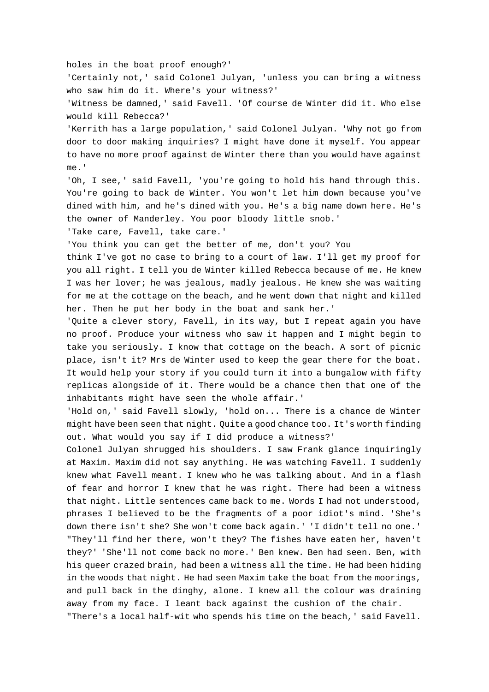holes in the boat proof enough?'

'Certainly not,' said Colonel Julyan, 'unless you can bring a witness who saw him do it. Where's your witness?'

'Witness be damned,' said Favell. 'Of course de Winter did it. Who else would kill Rebecca?'

'Kerrith has a large population,' said Colonel Julyan. 'Why not go from door to door making inquiries? I might have done it myself. You appear to have no more proof against de Winter there than you would have against me.'

'Oh, I see,' said Favell, 'you're going to hold his hand through this. You're going to back de Winter. You won't let him down because you've dined with him, and he's dined with you. He's a big name down here. He's the owner of Manderley. You poor bloody little snob.'

'Take care, Favell, take care.'

'You think you can get the better of me, don't you? You

think I've got no case to bring to a court of law. I'll get my proof for you all right. I tell you de Winter killed Rebecca because of me. He knew I was her lover; he was jealous, madly jealous. He knew she was waiting for me at the cottage on the beach, and he went down that night and killed her. Then he put her body in the boat and sank her.'

'Quite a clever story, Favell, in its way, but I repeat again you have no proof. Produce your witness who saw it happen and I might begin to take you seriously. I know that cottage on the beach. A sort of picnic place, isn't it? Mrs de Winter used to keep the gear there for the boat. It would help your story if you could turn it into a bungalow with fifty replicas alongside of it. There would be a chance then that one of the inhabitants might have seen the whole affair.'

'Hold on,' said Favell slowly, 'hold on... There is a chance de Winter might have been seen that night. Quite a good chance too. It's worth finding out. What would you say if I did produce a witness?'

Colonel Julyan shrugged his shoulders. I saw Frank glance inquiringly at Maxim. Maxim did not say anything. He was watching Favell. I suddenly knew what Favell meant. I knew who he was talking about. And in a flash of fear and horror I knew that he was right. There had been a witness that night. Little sentences came back to me. Words I had not understood, phrases I believed to be the fragments of a poor idiot's mind. 'She's down there isn't she? She won't come back again.' 'I didn't tell no one.' "They'll find her there, won't they? The fishes have eaten her, haven't they?' 'She'll not come back no more.' Ben knew. Ben had seen. Ben, with his queer crazed brain, had been a witness all the time. He had been hiding in the woods that night. He had seen Maxim take the boat from the moorings, and pull back in the dinghy, alone. I knew all the colour was draining away from my face. I leant back against the cushion of the chair. "There's a local half-wit who spends his time on the beach,' said Favell.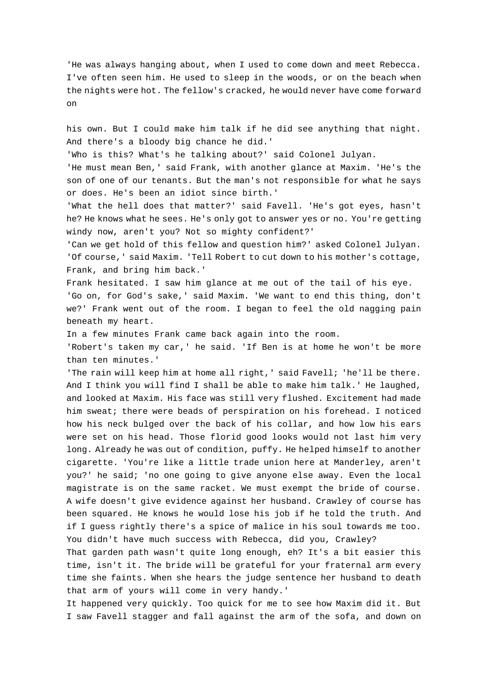'He was always hanging about, when I used to come down and meet Rebecca. I've often seen him. He used to sleep in the woods, or on the beach when the nights were hot. The fellow's cracked, he would never have come forward on

his own. But I could make him talk if he did see anything that night. And there's a bloody big chance he did.'

'Who is this? What's he talking about?' said Colonel Julyan.

'He must mean Ben,' said Frank, with another glance at Maxim. 'He's the son of one of our tenants. But the man's not responsible for what he says or does. He's been an idiot since birth.'

'What the hell does that matter?' said Favell. 'He's got eyes, hasn't he? He knows what he sees. He's only got to answer yes or no. You're getting windy now, aren't you? Not so mighty confident?'

'Can we get hold of this fellow and question him?' asked Colonel Julyan. 'Of course,' said Maxim. 'Tell Robert to cut down to his mother's cottage, Frank, and bring him back.'

Frank hesitated. I saw him glance at me out of the tail of his eye. 'Go on, for God's sake,' said Maxim. 'We want to end this thing, don't we?' Frank went out of the room. I began to feel the old nagging pain beneath my heart.

In a few minutes Frank came back again into the room.

'Robert's taken my car,' he said. 'If Ben is at home he won't be more than ten minutes.'

'The rain will keep him at home all right,' said Favell; 'he'll be there. And I think you will find I shall be able to make him talk.' He laughed, and looked at Maxim. His face was still very flushed. Excitement had made him sweat; there were beads of perspiration on his forehead. I noticed how his neck bulged over the back of his collar, and how low his ears were set on his head. Those florid good looks would not last him very long. Already he was out of condition, puffy. He helped himself to another cigarette. 'You're like a little trade union here at Manderley, aren't you?' he said; 'no one going to give anyone else away. Even the local magistrate is on the same racket. We must exempt the bride of course. A wife doesn't give evidence against her husband. Crawley of course has been squared. He knows he would lose his job if he told the truth. And if I guess rightly there's a spice of malice in his soul towards me too. You didn't have much success with Rebecca, did you, Crawley?

That garden path wasn't quite long enough, eh? It's a bit easier this time, isn't it. The bride will be grateful for your fraternal arm every time she faints. When she hears the judge sentence her husband to death that arm of yours will come in very handy.'

It happened very quickly. Too quick for me to see how Maxim did it. But I saw Favell stagger and fall against the arm of the sofa, and down on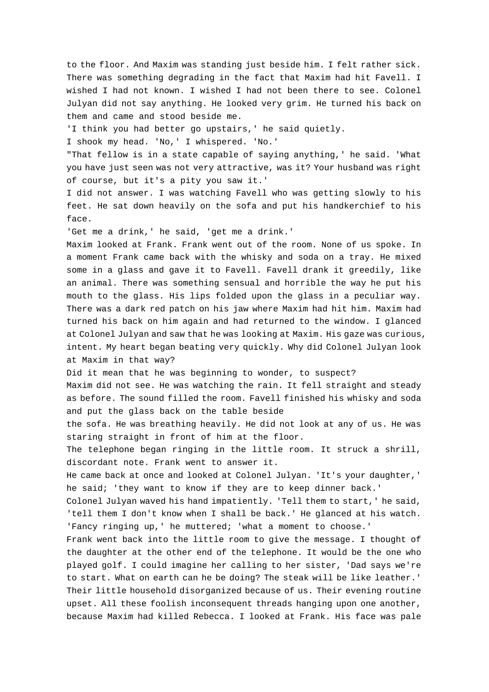to the floor. And Maxim was standing just beside him. I felt rather sick. There was something degrading in the fact that Maxim had hit Favell. I wished I had not known. I wished I had not been there to see. Colonel Julyan did not say anything. He looked very grim. He turned his back on them and came and stood beside me.

'I think you had better go upstairs,' he said quietly.

I shook my head. 'No,' I whispered. 'No.'

"That fellow is in a state capable of saying anything,' he said. 'What you have just seen was not very attractive, was it? Your husband was right of course, but it's a pity you saw it.'

I did not answer. I was watching Favell who was getting slowly to his feet. He sat down heavily on the sofa and put his handkerchief to his face.

'Get me a drink,' he said, 'get me a drink.'

Maxim looked at Frank. Frank went out of the room. None of us spoke. In a moment Frank came back with the whisky and soda on a tray. He mixed some in a glass and gave it to Favell. Favell drank it greedily, like an animal. There was something sensual and horrible the way he put his mouth to the glass. His lips folded upon the glass in a peculiar way. There was a dark red patch on his jaw where Maxim had hit him. Maxim had turned his back on him again and had returned to the window. I glanced at Colonel Julyan and saw that he was looking at Maxim. His gaze was curious, intent. My heart began beating very quickly. Why did Colonel Julyan look at Maxim in that way?

Did it mean that he was beginning to wonder, to suspect?

Maxim did not see. He was watching the rain. It fell straight and steady as before. The sound filled the room. Favell finished his whisky and soda and put the glass back on the table beside

the sofa. He was breathing heavily. He did not look at any of us. He was staring straight in front of him at the floor.

The telephone began ringing in the little room. It struck a shrill, discordant note. Frank went to answer it.

He came back at once and looked at Colonel Julyan. 'It's your daughter,' he said; 'they want to know if they are to keep dinner back.'

Colonel Julyan waved his hand impatiently. 'Tell them to start,' he said, 'tell them I don't know when I shall be back.' He glanced at his watch. 'Fancy ringing up,' he muttered; 'what a moment to choose.'

Frank went back into the little room to give the message. I thought of the daughter at the other end of the telephone. It would be the one who played golf. I could imagine her calling to her sister, 'Dad says we're to start. What on earth can he be doing? The steak will be like leather.' Their little household disorganized because of us. Their evening routine upset. All these foolish inconsequent threads hanging upon one another, because Maxim had killed Rebecca. I looked at Frank. His face was pale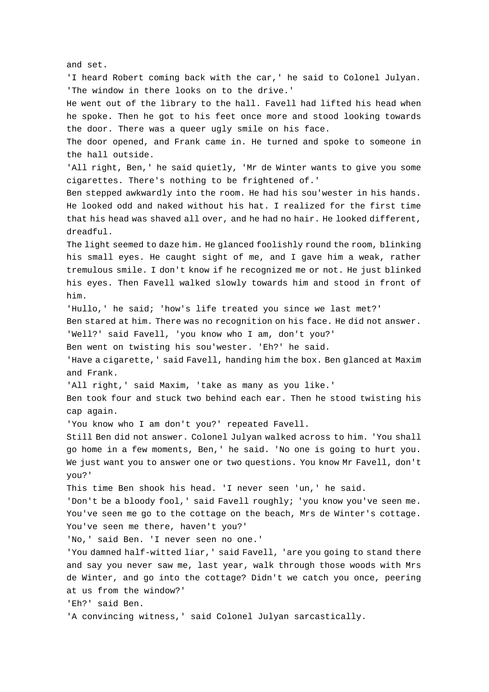and set. 'I heard Robert coming back with the car,' he said to Colonel Julyan. 'The window in there looks on to the drive.' He went out of the library to the hall. Favell had lifted his head when he spoke. Then he got to his feet once more and stood looking towards the door. There was a queer ugly smile on his face. The door opened, and Frank came in. He turned and spoke to someone in the hall outside. 'All right, Ben,' he said quietly, 'Mr de Winter wants to give you some cigarettes. There's nothing to be frightened of.' Ben stepped awkwardly into the room. He had his sou'wester in his hands. He looked odd and naked without his hat. I realized for the first time that his head was shaved all over, and he had no hair. He looked different, dreadful. The light seemed to daze him. He glanced foolishly round the room, blinking his small eyes. He caught sight of me, and I gave him a weak, rather tremulous smile. I don't know if he recognized me or not. He just blinked his eyes. Then Favell walked slowly towards him and stood in front of him. 'Hullo,' he said; 'how's life treated you since we last met?' Ben stared at him. There was no recognition on his face. He did not answer. 'Well?' said Favell, 'you know who I am, don't you?' Ben went on twisting his sou'wester. 'Eh?' he said. 'Have a cigarette,' said Favell, handing him the box. Ben glanced at Maxim and Frank. 'All right,' said Maxim, 'take as many as you like.' Ben took four and stuck two behind each ear. Then he stood twisting his cap again. 'You know who I am don't you?' repeated Favell. Still Ben did not answer. Colonel Julyan walked across to him. 'You shall go home in a few moments, Ben,' he said. 'No one is going to hurt you. We just want you to answer one or two questions. You know Mr Favell, don't you?' This time Ben shook his head. 'I never seen 'un,' he said. 'Don't be a bloody fool,' said Favell roughly; 'you know you've seen me. You've seen me go to the cottage on the beach, Mrs de Winter's cottage. You've seen me there, haven't you?' 'No,' said Ben. 'I never seen no one.' 'You damned half-witted liar,' said Favell, 'are you going to stand there and say you never saw me, last year, walk through those woods with Mrs de Winter, and go into the cottage? Didn't we catch you once, peering at us from the window?' 'Eh?' said Ben. 'A convincing witness,' said Colonel Julyan sarcastically.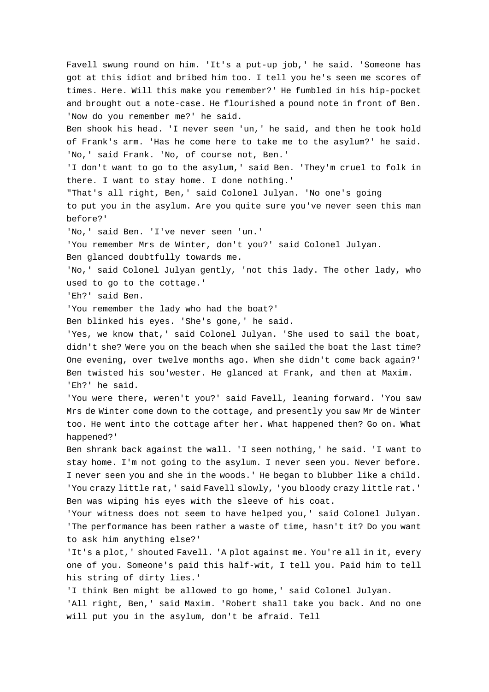Favell swung round on him. 'It's a put-up job,' he said. 'Someone has got at this idiot and bribed him too. I tell you he's seen me scores of times. Here. Will this make you remember?' He fumbled in his hip-pocket and brought out a note-case. He flourished a pound note in front of Ben. 'Now do you remember me?' he said. Ben shook his head. 'I never seen 'un,' he said, and then he took hold of Frank's arm. 'Has he come here to take me to the asylum?' he said. 'No,' said Frank. 'No, of course not, Ben.' 'I don't want to go to the asylum,' said Ben. 'They'm cruel to folk in there. I want to stay home. I done nothing.' "That's all right, Ben,' said Colonel Julyan. 'No one's going to put you in the asylum. Are you quite sure you've never seen this man before?' 'No,' said Ben. 'I've never seen 'un.' 'You remember Mrs de Winter, don't you?' said Colonel Julyan. Ben glanced doubtfully towards me. 'No,' said Colonel Julyan gently, 'not this lady. The other lady, who used to go to the cottage.' 'Eh?' said Ben. 'You remember the lady who had the boat?' Ben blinked his eyes. 'She's gone,' he said. 'Yes, we know that,' said Colonel Julyan. 'She used to sail the boat, didn't she? Were you on the beach when she sailed the boat the last time? One evening, over twelve months ago. When she didn't come back again?' Ben twisted his sou'wester. He glanced at Frank, and then at Maxim. 'Eh?' he said. 'You were there, weren't you?' said Favell, leaning forward. 'You saw Mrs de Winter come down to the cottage, and presently you saw Mr de Winter too. He went into the cottage after her. What happened then? Go on. What happened?' Ben shrank back against the wall. 'I seen nothing,' he said. 'I want to stay home. I'm not going to the asylum. I never seen you. Never before. I never seen you and she in the woods.' He began to blubber like a child. 'You crazy little rat,' said Favell slowly, 'you bloody crazy little rat.' Ben was wiping his eyes with the sleeve of his coat. 'Your witness does not seem to have helped you,' said Colonel Julyan. 'The performance has been rather a waste of time, hasn't it? Do you want to ask him anything else?' 'It's a plot, ' shouted Favell. 'A plot against me. You're all in it, every one of you. Someone's paid this half-wit, I tell you. Paid him to tell his string of dirty lies.' 'I think Ben might be allowed to go home,' said Colonel Julyan. 'All right, Ben,' said Maxim. 'Robert shall take you back. And no one will put you in the asylum, don't be afraid. Tell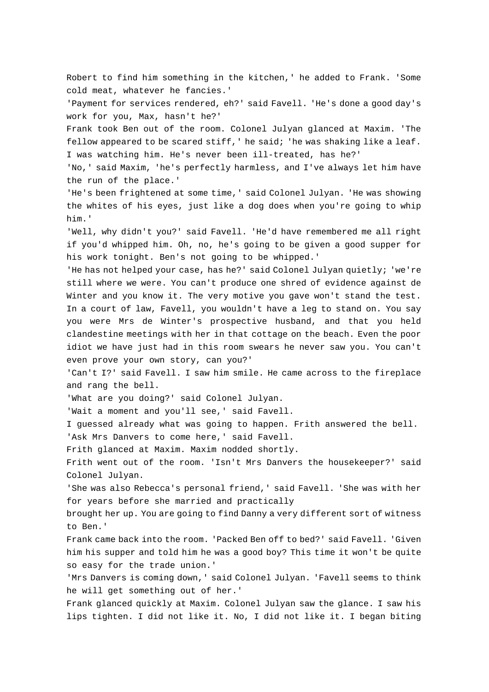Robert to find him something in the kitchen,' he added to Frank. 'Some cold meat, whatever he fancies.'

'Payment for services rendered, eh?' said Favell. 'He's done a good day's work for you, Max, hasn't he?'

Frank took Ben out of the room. Colonel Julyan glanced at Maxim. 'The fellow appeared to be scared stiff,' he said; 'he was shaking like a leaf. I was watching him. He's never been ill-treated, has he?'

'No,' said Maxim, 'he's perfectly harmless, and I've always let him have the run of the place.'

'He's been frightened at some time,' said Colonel Julyan. 'He was showing the whites of his eyes, just like a dog does when you're going to whip him.'

'Well, why didn't you?' said Favell. 'He'd have remembered me all right if you'd whipped him. Oh, no, he's going to be given a good supper for his work tonight. Ben's not going to be whipped.'

'He has not helped your case, has he?' said Colonel Julyan quietly; 'we're still where we were. You can't produce one shred of evidence against de Winter and you know it. The very motive you gave won't stand the test. In a court of law, Favell, you wouldn't have a leg to stand on. You say you were Mrs de Winter's prospective husband, and that you held clandestine meetings with her in that cottage on the beach. Even the poor idiot we have just had in this room swears he never saw you. You can't even prove your own story, can you?'

'Can't I?' said Favell. I saw him smile. He came across to the fireplace and rang the bell.

'What are you doing?' said Colonel Julyan.

'Wait a moment and you'll see,' said Favell.

I guessed already what was going to happen. Frith answered the bell. 'Ask Mrs Danvers to come here,' said Favell.

Frith glanced at Maxim. Maxim nodded shortly.

Frith went out of the room. 'Isn't Mrs Danvers the housekeeper?' said Colonel Julyan.

'She was also Rebecca's personal friend,' said Favell. 'She was with her for years before she married and practically

brought her up. You are going to find Danny a very different sort of witness to Ben.'

Frank came back into the room. 'Packed Ben off to bed?' said Favell. 'Given him his supper and told him he was a good boy? This time it won't be quite so easy for the trade union.'

'Mrs Danvers is coming down,' said Colonel Julyan. 'Favell seems to think he will get something out of her.'

Frank glanced quickly at Maxim. Colonel Julyan saw the glance. I saw his lips tighten. I did not like it. No, I did not like it. I began biting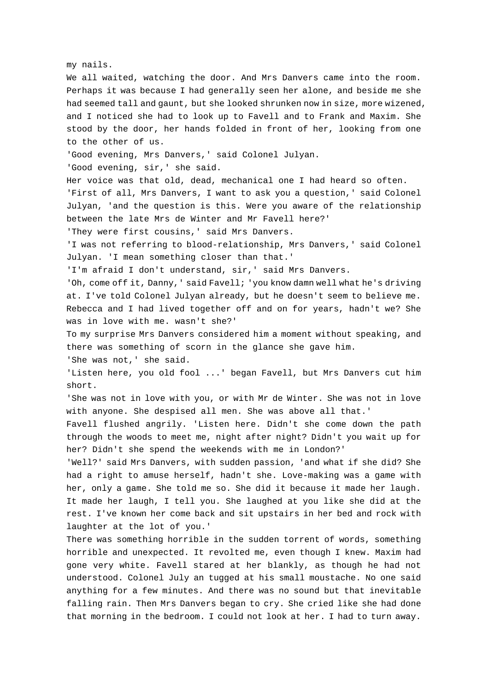## my nails.

We all waited, watching the door. And Mrs Danvers came into the room. Perhaps it was because I had generally seen her alone, and beside me she had seemed tall and gaunt, but she looked shrunken now in size, more wizened, and I noticed she had to look up to Favell and to Frank and Maxim. She stood by the door, her hands folded in front of her, looking from one to the other of us.

'Good evening, Mrs Danvers,' said Colonel Julyan.

'Good evening, sir,' she said.

Her voice was that old, dead, mechanical one I had heard so often.

'First of all, Mrs Danvers, I want to ask you a question,' said Colonel Julyan, 'and the question is this. Were you aware of the relationship between the late Mrs de Winter and Mr Favell here?'

'They were first cousins,' said Mrs Danvers.

'I was not referring to blood-relationship, Mrs Danvers,' said Colonel Julyan. 'I mean something closer than that.'

'I'm afraid I don't understand, sir,' said Mrs Danvers.

'Oh, come off it, Danny,' said Favell; 'you know damn well what he's driving at. I've told Colonel Julyan already, but he doesn't seem to believe me. Rebecca and I had lived together off and on for years, hadn't we? She was in love with me. wasn't she?'

To my surprise Mrs Danvers considered him a moment without speaking, and there was something of scorn in the glance she gave him.

'She was not,' she said.

'Listen here, you old fool ...' began Favell, but Mrs Danvers cut him short.

'She was not in love with you, or with Mr de Winter. She was not in love with anyone. She despised all men. She was above all that.'

Favell flushed angrily. 'Listen here. Didn't she come down the path through the woods to meet me, night after night? Didn't you wait up for her? Didn't she spend the weekends with me in London?'

'Well?' said Mrs Danvers, with sudden passion, 'and what if she did? She had a right to amuse herself, hadn't she. Love-making was a game with her, only a game. She told me so. She did it because it made her laugh. It made her laugh, I tell you. She laughed at you like she did at the rest. I've known her come back and sit upstairs in her bed and rock with laughter at the lot of you.'

There was something horrible in the sudden torrent of words, something horrible and unexpected. It revolted me, even though I knew. Maxim had gone very white. Favell stared at her blankly, as though he had not understood. Colonel July an tugged at his small moustache. No one said anything for a few minutes. And there was no sound but that inevitable falling rain. Then Mrs Danvers began to cry. She cried like she had done that morning in the bedroom. I could not look at her. I had to turn away.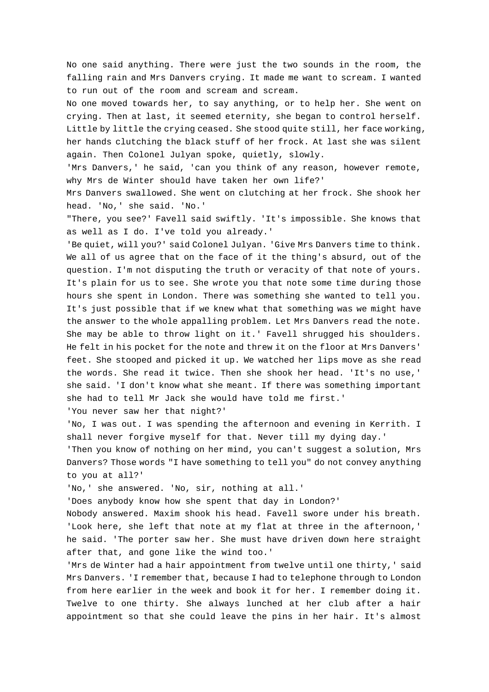No one said anything. There were just the two sounds in the room, the falling rain and Mrs Danvers crying. It made me want to scream. I wanted to run out of the room and scream and scream.

No one moved towards her, to say anything, or to help her. She went on crying. Then at last, it seemed eternity, she began to control herself. Little by little the crying ceased. She stood quite still, her face working, her hands clutching the black stuff of her frock. At last she was silent again. Then Colonel Julyan spoke, quietly, slowly.

'Mrs Danvers,' he said, 'can you think of any reason, however remote, why Mrs de Winter should have taken her own life?'

Mrs Danvers swallowed. She went on clutching at her frock. She shook her head. 'No,' she said. 'No.'

"There, you see?' Favell said swiftly. 'It's impossible. She knows that as well as I do. I've told you already.'

'Be quiet, will you?' said Colonel Julyan. 'Give Mrs Danvers time to think. We all of us agree that on the face of it the thing's absurd, out of the question. I'm not disputing the truth or veracity of that note of yours. It's plain for us to see. She wrote you that note some time during those hours she spent in London. There was something she wanted to tell you. It's just possible that if we knew what that something was we might have the answer to the whole appalling problem. Let Mrs Danvers read the note. She may be able to throw light on it.' Favell shrugged his shoulders. He felt in his pocket for the note and threw it on the floor at Mrs Danvers' feet. She stooped and picked it up. We watched her lips move as she read the words. She read it twice. Then she shook her head. 'It's no use,' she said. 'I don't know what she meant. If there was something important she had to tell Mr Jack she would have told me first.'

'You never saw her that night?'

'No, I was out. I was spending the afternoon and evening in Kerrith. I shall never forgive myself for that. Never till my dying day.'

'Then you know of nothing on her mind, you can't suggest a solution, Mrs Danvers? Those words "I have something to tell you" do not convey anything to you at all?'

'No,' she answered. 'No, sir, nothing at all.'

'Does anybody know how she spent that day in London?'

Nobody answered. Maxim shook his head. Favell swore under his breath. 'Look here, she left that note at my flat at three in the afternoon,' he said. 'The porter saw her. She must have driven down here straight after that, and gone like the wind too.'

'Mrs de Winter had a hair appointment from twelve until one thirty,' said Mrs Danvers. 'I remember that, because I had to telephone through to London from here earlier in the week and book it for her. I remember doing it. Twelve to one thirty. She always lunched at her club after a hair appointment so that she could leave the pins in her hair. It's almost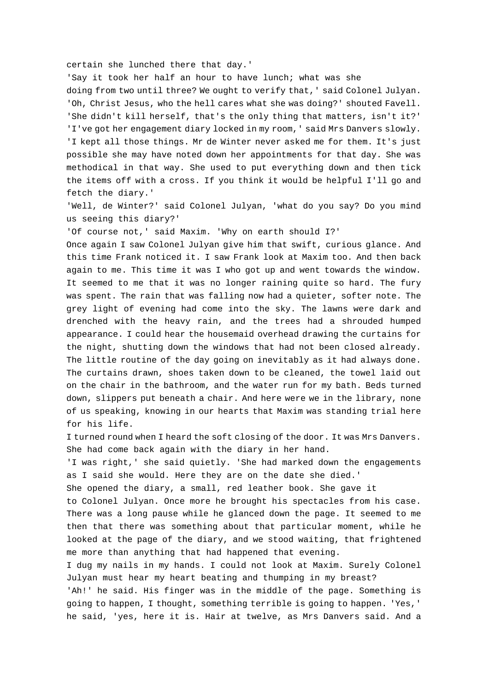certain she lunched there that day.'

'Say it took her half an hour to have lunch; what was she doing from two until three? We ought to verify that,' said Colonel Julyan. 'Oh, Christ Jesus, who the hell cares what she was doing?' shouted Favell. 'She didn't kill herself, that's the only thing that matters, isn't it?' 'I've got her engagement diary locked in my room,' said Mrs Danvers slowly. 'I kept all those things. Mr de Winter never asked me for them. It's just possible she may have noted down her appointments for that day. She was methodical in that way. She used to put everything down and then tick the items off with a cross. If you think it would be helpful I'll go and fetch the diary.'

'Well, de Winter?' said Colonel Julyan, 'what do you say? Do you mind us seeing this diary?'

'Of course not,' said Maxim. 'Why on earth should I?'

Once again I saw Colonel Julyan give him that swift, curious glance. And this time Frank noticed it. I saw Frank look at Maxim too. And then back again to me. This time it was I who got up and went towards the window. It seemed to me that it was no longer raining quite so hard. The fury was spent. The rain that was falling now had a quieter, softer note. The grey light of evening had come into the sky. The lawns were dark and drenched with the heavy rain, and the trees had a shrouded humped appearance. I could hear the housemaid overhead drawing the curtains for the night, shutting down the windows that had not been closed already. The little routine of the day going on inevitably as it had always done. The curtains drawn, shoes taken down to be cleaned, the towel laid out on the chair in the bathroom, and the water run for my bath. Beds turned down, slippers put beneath a chair. And here were we in the library, none of us speaking, knowing in our hearts that Maxim was standing trial here for his life.

I turned round when I heard the soft closing of the door. It was Mrs Danvers. She had come back again with the diary in her hand.

'I was right,' she said quietly. 'She had marked down the engagements as I said she would. Here they are on the date she died.'

She opened the diary, a small, red leather book. She gave it

to Colonel Julyan. Once more he brought his spectacles from his case. There was a long pause while he glanced down the page. It seemed to me then that there was something about that particular moment, while he looked at the page of the diary, and we stood waiting, that frightened me more than anything that had happened that evening.

I dug my nails in my hands. I could not look at Maxim. Surely Colonel Julyan must hear my heart beating and thumping in my breast?

'Ah!' he said. His finger was in the middle of the page. Something is going to happen, I thought, something terrible is going to happen. 'Yes,' he said, 'yes, here it is. Hair at twelve, as Mrs Danvers said. And a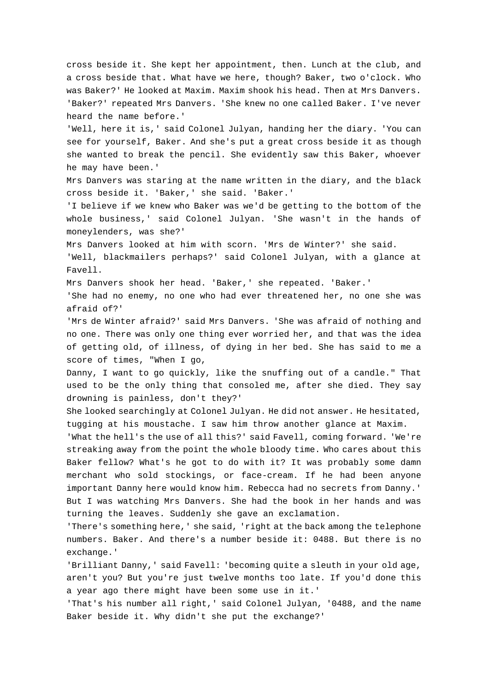cross beside it. She kept her appointment, then. Lunch at the club, and a cross beside that. What have we here, though? Baker, two o'clock. Who was Baker?' He looked at Maxim. Maxim shook his head. Then at Mrs Danvers. 'Baker?' repeated Mrs Danvers. 'She knew no one called Baker. I've never heard the name before.'

'Well, here it is,' said Colonel Julyan, handing her the diary. 'You can see for yourself, Baker. And she's put a great cross beside it as though she wanted to break the pencil. She evidently saw this Baker, whoever he may have been.'

Mrs Danvers was staring at the name written in the diary, and the black cross beside it. 'Baker,' she said. 'Baker.'

'I believe if we knew who Baker was we'd be getting to the bottom of the whole business,' said Colonel Julyan. 'She wasn't in the hands of moneylenders, was she?'

Mrs Danvers looked at him with scorn. 'Mrs de Winter?' she said.

'Well, blackmailers perhaps?' said Colonel Julyan, with a glance at Favell.

Mrs Danvers shook her head. 'Baker,' she repeated. 'Baker.'

'She had no enemy, no one who had ever threatened her, no one she was afraid of?'

'Mrs de Winter afraid?' said Mrs Danvers. 'She was afraid of nothing and no one. There was only one thing ever worried her, and that was the idea of getting old, of illness, of dying in her bed. She has said to me a score of times, "When I go,

Danny, I want to go quickly, like the snuffing out of a candle." That used to be the only thing that consoled me, after she died. They say drowning is painless, don't they?'

She looked searchingly at Colonel Julyan. He did not answer. He hesitated, tugging at his moustache. I saw him throw another glance at Maxim.

'What the hell's the use of all this?' said Favell, coming forward. 'We're streaking away from the point the whole bloody time. Who cares about this Baker fellow? What's he got to do with it? It was probably some damn merchant who sold stockings, or face-cream. If he had been anyone important Danny here would know him. Rebecca had no secrets from Danny.' But I was watching Mrs Danvers. She had the book in her hands and was turning the leaves. Suddenly she gave an exclamation.

'There's something here,' she said, 'right at the back among the telephone numbers. Baker. And there's a number beside it: 0488. But there is no exchange.'

'Brilliant Danny,' said Favell: 'becoming quite a sleuth in your old age, aren't you? But you're just twelve months too late. If you'd done this a year ago there might have been some use in it.'

'That's his number all right,' said Colonel Julyan, '0488, and the name Baker beside it. Why didn't she put the exchange?'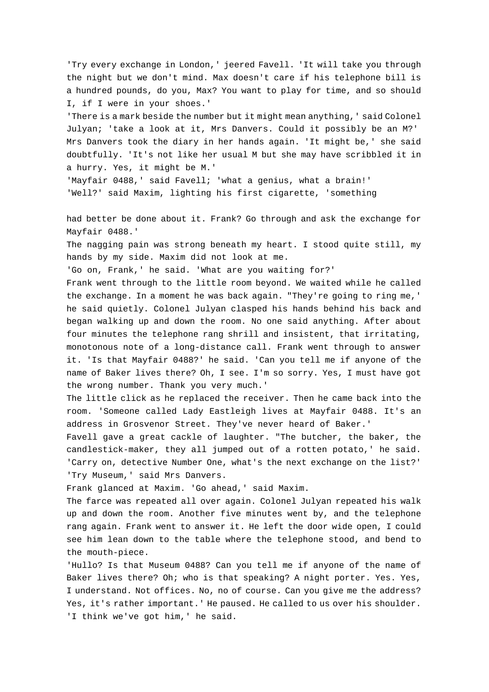'Try every exchange in London,' jeered Favell. 'It will take you through the night but we don't mind. Max doesn't care if his telephone bill is a hundred pounds, do you, Max? You want to play for time, and so should I, if I were in your shoes.'

'There is a mark beside the number but it might mean anything,' said Colonel Julyan; 'take a look at it, Mrs Danvers. Could it possibly be an M?' Mrs Danvers took the diary in her hands again. 'It might be,' she said doubtfully. 'It's not like her usual M but she may have scribbled it in a hurry. Yes, it might be M.'

'Mayfair 0488,' said Favell; 'what a genius, what a brain!' 'Well?' said Maxim, lighting his first cigarette, 'something

had better be done about it. Frank? Go through and ask the exchange for Mayfair 0488.'

The nagging pain was strong beneath my heart. I stood quite still, my hands by my side. Maxim did not look at me.

'Go on, Frank,' he said. 'What are you waiting for?'

Frank went through to the little room beyond. We waited while he called the exchange. In a moment he was back again. "They're going to ring me,' he said quietly. Colonel Julyan clasped his hands behind his back and began walking up and down the room. No one said anything. After about four minutes the telephone rang shrill and insistent, that irritating, monotonous note of a long-distance call. Frank went through to answer it. 'Is that Mayfair 0488?' he said. 'Can you tell me if anyone of the name of Baker lives there? Oh, I see. I'm so sorry. Yes, I must have got the wrong number. Thank you very much.'

The little click as he replaced the receiver. Then he came back into the room. 'Someone called Lady Eastleigh lives at Mayfair 0488. It's an address in Grosvenor Street. They've never heard of Baker.'

Favell gave a great cackle of laughter. "The butcher, the baker, the candlestick-maker, they all jumped out of a rotten potato,' he said. 'Carry on, detective Number One, what's the next exchange on the list?' 'Try Museum,' said Mrs Danvers.

Frank glanced at Maxim. 'Go ahead,' said Maxim.

The farce was repeated all over again. Colonel Julyan repeated his walk up and down the room. Another five minutes went by, and the telephone rang again. Frank went to answer it. He left the door wide open, I could see him lean down to the table where the telephone stood, and bend to the mouth-piece.

'Hullo? Is that Museum 0488? Can you tell me if anyone of the name of Baker lives there? Oh; who is that speaking? A night porter. Yes. Yes, I understand. Not offices. No, no of course. Can you give me the address? Yes, it's rather important.' He paused. He called to us over his shoulder. 'I think we've got him,' he said.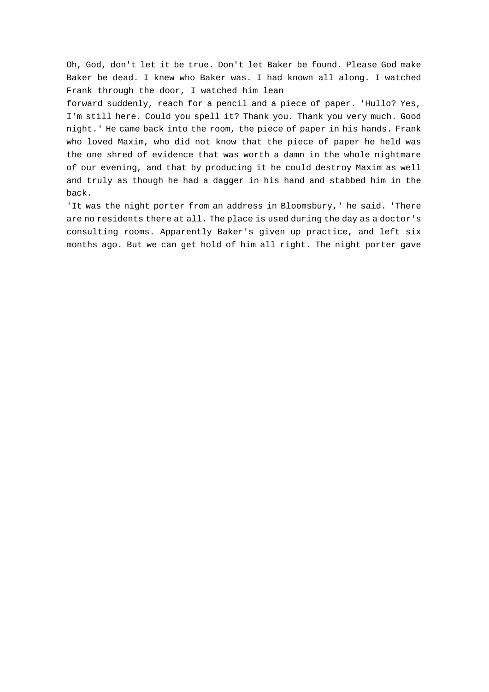Oh, God, don't let it be true. Don't let Baker be found. Please God make Baker be dead. I knew who Baker was. I had known all along. I watched Frank through the door, I watched him lean

forward suddenly, reach for a pencil and a piece of paper. 'Hullo? Yes, I'm still here. Could you spell it? Thank you. Thank you very much. Good night.' He came back into the room, the piece of paper in his hands. Frank who loved Maxim, who did not know that the piece of paper he held was the one shred of evidence that was worth a damn in the whole nightmare of our evening, and that by producing it he could destroy Maxim as well and truly as though he had a dagger in his hand and stabbed him in the back.

'It was the night porter from an address in Bloomsbury,' he said. 'There are no residents there at all. The place is used during the day as a doctor's consulting rooms. Apparently Baker's given up practice, and left six months ago. But we can get hold of him all right. The night porter gave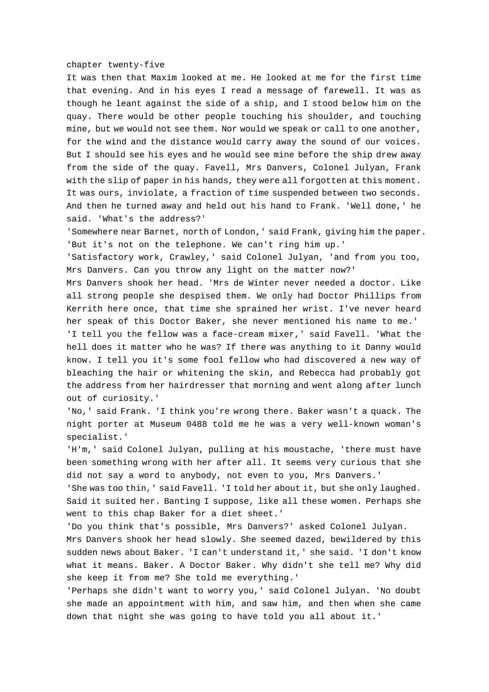chapter twenty-five

It was then that Maxim looked at me. He looked at me for the first time that evening. And in his eyes I read a message of farewell. It was as though he leant against the side of a ship, and I stood below him on the quay. There would be other people touching his shoulder, and touching mine, but we would not see them. Nor would we speak or call to one another, for the wind and the distance would carry away the sound of our voices. But I should see his eyes and he would see mine before the ship drew away from the side of the quay. Favell, Mrs Danvers, Colonel Julyan, Frank with the slip of paper in his hands, they were all forgotten at this moment. It was ours, inviolate, a fraction of time suspended between two seconds. And then he turned away and held out his hand to Frank. 'Well done,' he said. 'What's the address?'

'Somewhere near Barnet, north of London,' said Frank, giving him the paper. 'But it's not on the telephone. We can't ring him up.'

'Satisfactory work, Crawley,' said Colonel Julyan, 'and from you too, Mrs Danvers. Can you throw any light on the matter now?'

Mrs Danvers shook her head. 'Mrs de Winter never needed a doctor. Like all strong people she despised them. We only had Doctor Phillips from Kerrith here once, that time she sprained her wrist. I've never heard her speak of this Doctor Baker, she never mentioned his name to me.' 'I tell you the fellow was a face-cream mixer,' said Favell. 'What the hell does it matter who he was? If there was anything to it Danny would know. I tell you it's some fool fellow who had discovered a new way of bleaching the hair or whitening the skin, and Rebecca had probably got the address from her hairdresser that morning and went along after lunch out of curiosity.'

'No,' said Frank. 'I think you're wrong there. Baker wasn't a quack. The night porter at Museum 0488 told me he was a very well-known woman's specialist.'

'H'm,' said Colonel Julyan, pulling at his moustache, 'there must have been something wrong with her after all. It seems very curious that she did not say a word to anybody, not even to you, Mrs Danvers.'

'She was too thin,' said Favell. 'I told her about it, but she only laughed. Said it suited her. Banting I suppose, like all these women. Perhaps she went to this chap Baker for a diet sheet.'

'Do you think that's possible, Mrs Danvers?' asked Colonel Julyan.

Mrs Danvers shook her head slowly. She seemed dazed, bewildered by this sudden news about Baker. 'I can't understand it,' she said. 'I don't know what it means. Baker. A Doctor Baker. Why didn't she tell me? Why did she keep it from me? She told me everything.'

'Perhaps she didn't want to worry you,' said Colonel Julyan. 'No doubt she made an appointment with him, and saw him, and then when she came down that night she was going to have told you all about it.'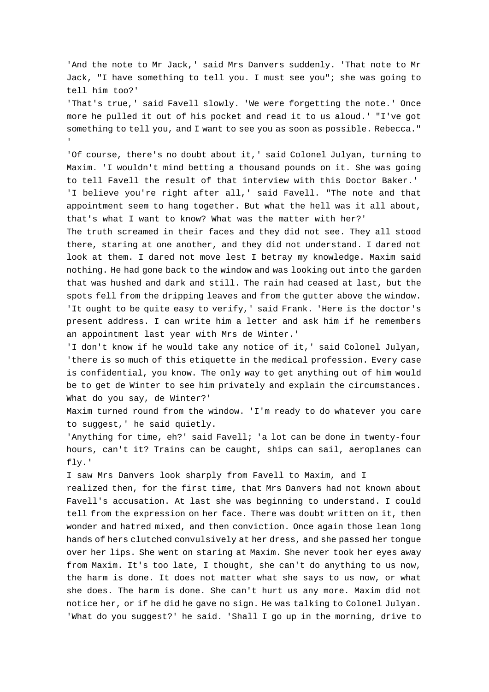'And the note to Mr Jack,' said Mrs Danvers suddenly. 'That note to Mr Jack, "I have something to tell you. I must see you"; she was going to tell him too?'

'That's true,' said Favell slowly. 'We were forgetting the note.' Once more he pulled it out of his pocket and read it to us aloud.' "I've got something to tell you, and I want to see you as soon as possible. Rebecca." '

'Of course, there's no doubt about it,' said Colonel Julyan, turning to Maxim. 'I wouldn't mind betting a thousand pounds on it. She was going to tell Favell the result of that interview with this Doctor Baker.' 'I believe you're right after all,' said Favell. "The note and that appointment seem to hang together. But what the hell was it all about, that's what I want to know? What was the matter with her?'

The truth screamed in their faces and they did not see. They all stood there, staring at one another, and they did not understand. I dared not look at them. I dared not move lest I betray my knowledge. Maxim said nothing. He had gone back to the window and was looking out into the garden that was hushed and dark and still. The rain had ceased at last, but the spots fell from the dripping leaves and from the gutter above the window. 'It ought to be quite easy to verify,' said Frank. 'Here is the doctor's present address. I can write him a letter and ask him if he remembers an appointment last year with Mrs de Winter.'

'I don't know if he would take any notice of it,' said Colonel Julyan, 'there is so much of this etiquette in the medical profession. Every case is confidential, you know. The only way to get anything out of him would be to get de Winter to see him privately and explain the circumstances. What do you say, de Winter?'

Maxim turned round from the window. 'I'm ready to do whatever you care to suggest,' he said quietly.

'Anything for time, eh?' said Favell; 'a lot can be done in twenty-four hours, can't it? Trains can be caught, ships can sail, aeroplanes can fly.'

I saw Mrs Danvers look sharply from Favell to Maxim, and I

realized then, for the first time, that Mrs Danvers had not known about Favell's accusation. At last she was beginning to understand. I could tell from the expression on her face. There was doubt written on it, then wonder and hatred mixed, and then conviction. Once again those lean long hands of hers clutched convulsively at her dress, and she passed her tongue over her lips. She went on staring at Maxim. She never took her eyes away from Maxim. It's too late, I thought, she can't do anything to us now, the harm is done. It does not matter what she says to us now, or what she does. The harm is done. She can't hurt us any more. Maxim did not notice her, or if he did he gave no sign. He was talking to Colonel Julyan. 'What do you suggest?' he said. 'Shall I go up in the morning, drive to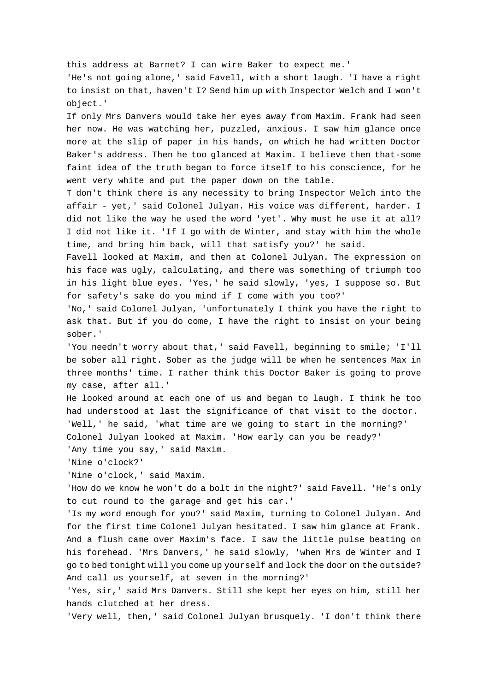this address at Barnet? I can wire Baker to expect me.'

'He's not going alone,' said Favell, with a short laugh. 'I have a right to insist on that, haven't I? Send him up with Inspector Welch and I won't object.'

If only Mrs Danvers would take her eyes away from Maxim. Frank had seen her now. He was watching her, puzzled, anxious. I saw him glance once more at the slip of paper in his hands, on which he had written Doctor Baker's address. Then he too glanced at Maxim. I believe then that-some faint idea of the truth began to force itself to his conscience, for he went very white and put the paper down on the table.

T don't think there is any necessity to bring Inspector Welch into the affair - yet,' said Colonel Julyan. His voice was different, harder. I did not like the way he used the word 'yet'. Why must he use it at all? I did not like it. 'If I go with de Winter, and stay with him the whole time, and bring him back, will that satisfy you?' he said.

Favell looked at Maxim, and then at Colonel Julyan. The expression on his face was ugly, calculating, and there was something of triumph too in his light blue eyes. 'Yes,' he said slowly, 'yes, I suppose so. But for safety's sake do you mind if I come with you too?'

'No,' said Colonel Julyan, 'unfortunately I think you have the right to ask that. But if you do come, I have the right to insist on your being sober.'

'You needn't worry about that,' said Favell, beginning to smile; 'I'll be sober all right. Sober as the judge will be when he sentences Max in three months' time. I rather think this Doctor Baker is going to prove my case, after all.'

He looked around at each one of us and began to laugh. I think he too had understood at last the significance of that visit to the doctor. 'Well,' he said, 'what time are we going to start in the morning?' Colonel Julyan looked at Maxim. 'How early can you be ready?' 'Any time you say,' said Maxim.

'Nine o'clock?'

'Nine o'clock,' said Maxim.

'How do we know he won't do a bolt in the night?' said Favell. 'He's only to cut round to the garage and get his car.'

'Is my word enough for you?' said Maxim, turning to Colonel Julyan. And for the first time Colonel Julyan hesitated. I saw him glance at Frank. And a flush came over Maxim's face. I saw the little pulse beating on his forehead. 'Mrs Danvers,' he said slowly, 'when Mrs de Winter and I go to bed tonight will you come up yourself and lock the door on the outside? And call us yourself, at seven in the morning?'

'Yes, sir,' said Mrs Danvers. Still she kept her eyes on him, still her hands clutched at her dress.

'Very well, then,' said Colonel Julyan brusquely. 'I don't think there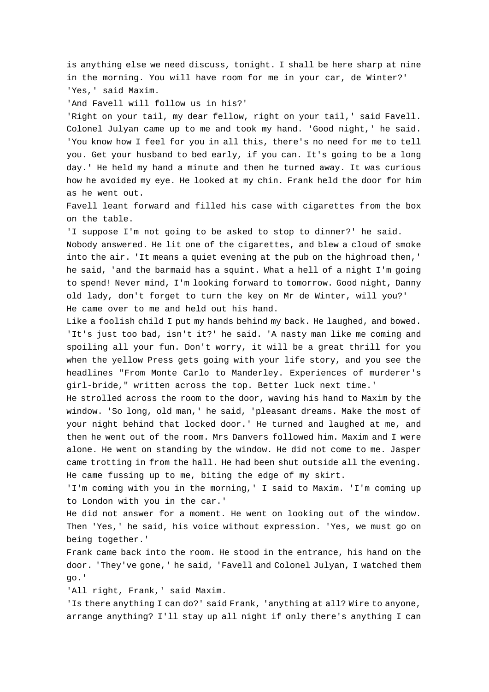is anything else we need discuss, tonight. I shall be here sharp at nine in the morning. You will have room for me in your car, de Winter?' 'Yes,' said Maxim.

'And Favell will follow us in his?'

'Right on your tail, my dear fellow, right on your tail,' said Favell. Colonel Julyan came up to me and took my hand. 'Good night,' he said. 'You know how I feel for you in all this, there's no need for me to tell you. Get your husband to bed early, if you can. It's going to be a long day.' He held my hand a minute and then he turned away. It was curious how he avoided my eye. He looked at my chin. Frank held the door for him as he went out.

Favell leant forward and filled his case with cigarettes from the box on the table.

'I suppose I'm not going to be asked to stop to dinner?' he said. Nobody answered. He lit one of the cigarettes, and blew a cloud of smoke into the air. 'It means a quiet evening at the pub on the highroad then,' he said, 'and the barmaid has a squint. What a hell of a night I'm going to spend! Never mind, I'm looking forward to tomorrow. Good night, Danny old lady, don't forget to turn the key on Mr de Winter, will you?' He came over to me and held out his hand.

Like a foolish child I put my hands behind my back. He laughed, and bowed. 'It's just too bad, isn't it?' he said. 'A nasty man like me coming and spoiling all your fun. Don't worry, it will be a great thrill for you when the yellow Press gets going with your life story, and you see the headlines "From Monte Carlo to Manderley. Experiences of murderer's girl-bride," written across the top. Better luck next time.'

He strolled across the room to the door, waving his hand to Maxim by the window. 'So long, old man,' he said, 'pleasant dreams. Make the most of your night behind that locked door.' He turned and laughed at me, and then he went out of the room. Mrs Danvers followed him. Maxim and I were alone. He went on standing by the window. He did not come to me. Jasper came trotting in from the hall. He had been shut outside all the evening. He came fussing up to me, biting the edge of my skirt.

'I'm coming with you in the morning,' I said to Maxim. 'I'm coming up to London with you in the car.'

He did not answer for a moment. He went on looking out of the window. Then 'Yes,' he said, his voice without expression. 'Yes, we must go on being together.'

Frank came back into the room. He stood in the entrance, his hand on the door. 'They've gone,' he said, 'Favell and Colonel Julyan, I watched them go.'

'All right, Frank,' said Maxim.

'Is there anything I can do?' said Frank, 'anything at all? Wire to anyone, arrange anything? I'll stay up all night if only there's anything I can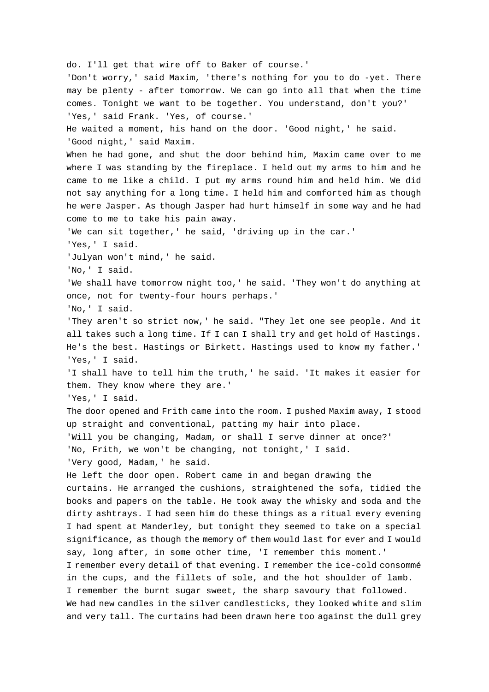do. I'll get that wire off to Baker of course.' 'Don't worry,' said Maxim, 'there's nothing for you to do -yet. There may be plenty - after tomorrow. We can go into all that when the time comes. Tonight we want to be together. You understand, don't you?' 'Yes,' said Frank. 'Yes, of course.' He waited a moment, his hand on the door. 'Good night,' he said. 'Good night,' said Maxim. When he had gone, and shut the door behind him, Maxim came over to me where I was standing by the fireplace. I held out my arms to him and he came to me like a child. I put my arms round him and held him. We did not say anything for a long time. I held him and comforted him as though he were Jasper. As though Jasper had hurt himself in some way and he had come to me to take his pain away. 'We can sit together,' he said, 'driving up in the car.' 'Yes,' I said. 'Julyan won't mind,' he said. 'No,' I said. 'We shall have tomorrow night too,' he said. 'They won't do anything at once, not for twenty-four hours perhaps.' 'No,' I said. 'They aren't so strict now,' he said. "They let one see people. And it all takes such a long time. If I can I shall try and get hold of Hastings. He's the best. Hastings or Birkett. Hastings used to know my father.' 'Yes,' I said. 'I shall have to tell him the truth,' he said. 'It makes it easier for them. They know where they are.' 'Yes,' I said. The door opened and Frith came into the room. I pushed Maxim away, I stood up straight and conventional, patting my hair into place. 'Will you be changing, Madam, or shall I serve dinner at once?' 'No, Frith, we won't be changing, not tonight,' I said. 'Very good, Madam,' he said. He left the door open. Robert came in and began drawing the curtains. He arranged the cushions, straightened the sofa, tidied the books and papers on the table. He took away the whisky and soda and the dirty ashtrays. I had seen him do these things as a ritual every evening I had spent at Manderley, but tonight they seemed to take on a special significance, as though the memory of them would last for ever and I would say, long after, in some other time, 'I remember this moment.' I remember every detail of that evening. I remember the ice-cold consommé in the cups, and the fillets of sole, and the hot shoulder of lamb. I remember the burnt sugar sweet, the sharp savoury that followed. We had new candles in the silver candlesticks, they looked white and slim and very tall. The curtains had been drawn here too against the dull grey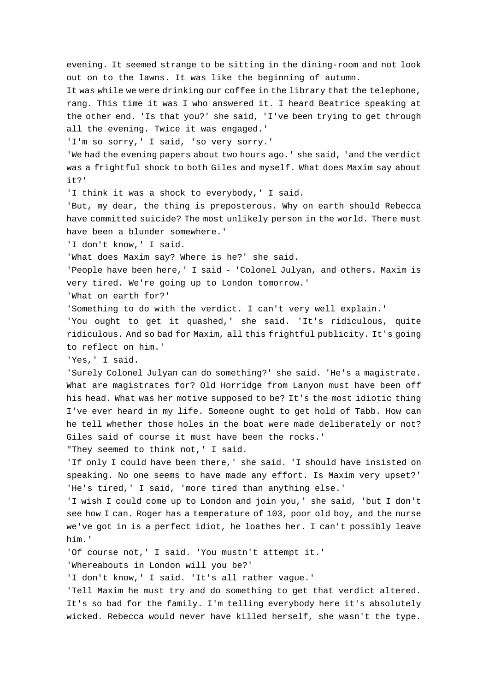evening. It seemed strange to be sitting in the dining-room and not look out on to the lawns. It was like the beginning of autumn.

It was while we were drinking our coffee in the library that the telephone, rang. This time it was I who answered it. I heard Beatrice speaking at the other end. 'Is that you?' she said, 'I've been trying to get through all the evening. Twice it was engaged.'

'I'm so sorry,' I said, 'so very sorry.'

'We had the evening papers about two hours ago.' she said, 'and the verdict was a frightful shock to both Giles and myself. What does Maxim say about it?'

'I think it was a shock to everybody,' I said.

'But, my dear, the thing is preposterous. Why on earth should Rebecca have committed suicide? The most unlikely person in the world. There must have been a blunder somewhere.'

'I don't know,' I said.

'What does Maxim say? Where is he?' she said.

'People have been here,' I said - 'Colonel Julyan, and others. Maxim is very tired. We're going up to London tomorrow.'

'What on earth for?'

'Something to do with the verdict. I can't very well explain.'

'You ought to get it quashed,' she said. 'It's ridiculous, quite ridiculous. And so bad for Maxim, all this frightful publicity. It's going to reflect on him.'

'Yes,' I said.

'Surely Colonel Julyan can do something?' she said. 'He's a magistrate. What are magistrates for? Old Horridge from Lanyon must have been off his head. What was her motive supposed to be? It's the most idiotic thing I've ever heard in my life. Someone ought to get hold of Tabb. How can he tell whether those holes in the boat were made deliberately or not? Giles said of course it must have been the rocks.'

"They seemed to think not,' I said.

'If only I could have been there,' she said. 'I should have insisted on speaking. No one seems to have made any effort. Is Maxim very upset?' 'He's tired,' I said, 'more tired than anything else.'

'I wish I could come up to London and join you,' she said, 'but I don't see how I can. Roger has a temperature of 103, poor old boy, and the nurse we've got in is a perfect idiot, he loathes her. I can't possibly leave him.'

'Of course not,' I said. 'You mustn't attempt it.'

'Whereabouts in London will you be?'

'I don't know,' I said. 'It's all rather vague.'

'Tell Maxim he must try and do something to get that verdict altered. It's so bad for the family. I'm telling everybody here it's absolutely wicked. Rebecca would never have killed herself, she wasn't the type.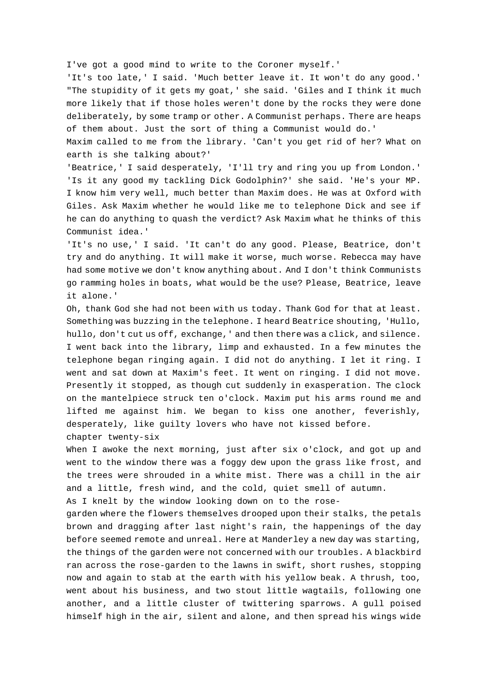I've got a good mind to write to the Coroner myself.'

'It's too late,' I said. 'Much better leave it. It won't do any good.' "The stupidity of it gets my goat,' she said. 'Giles and I think it much more likely that if those holes weren't done by the rocks they were done deliberately, by some tramp or other. A Communist perhaps. There are heaps of them about. Just the sort of thing a Communist would do.'

Maxim called to me from the library. 'Can't you get rid of her? What on earth is she talking about?'

'Beatrice,' I said desperately, 'I'll try and ring you up from London.' 'Is it any good my tackling Dick Godolphin?' she said. 'He's your MP. I know him very well, much better than Maxim does. He was at Oxford with Giles. Ask Maxim whether he would like me to telephone Dick and see if he can do anything to quash the verdict? Ask Maxim what he thinks of this Communist idea.'

'It's no use,' I said. 'It can't do any good. Please, Beatrice, don't try and do anything. It will make it worse, much worse. Rebecca may have had some motive we don't know anything about. And I don't think Communists go ramming holes in boats, what would be the use? Please, Beatrice, leave it alone.'

Oh, thank God she had not been with us today. Thank God for that at least. Something was buzzing in the telephone. I heard Beatrice shouting, 'Hullo, hullo, don't cut us off, exchange,' and then there was a click, and silence. I went back into the library, limp and exhausted. In a few minutes the telephone began ringing again. I did not do anything. I let it ring. I went and sat down at Maxim's feet. It went on ringing. I did not move. Presently it stopped, as though cut suddenly in exasperation. The clock on the mantelpiece struck ten o'clock. Maxim put his arms round me and lifted me against him. We began to kiss one another, feverishly, desperately, like guilty lovers who have not kissed before. chapter twenty-six

When I awoke the next morning, just after six o'clock, and got up and went to the window there was a foggy dew upon the grass like frost, and the trees were shrouded in a white mist. There was a chill in the air and a little, fresh wind, and the cold, quiet smell of autumn.

As I knelt by the window looking down on to the rose-

garden where the flowers themselves drooped upon their stalks, the petals brown and dragging after last night's rain, the happenings of the day before seemed remote and unreal. Here at Manderley a new day was starting, the things of the garden were not concerned with our troubles. A blackbird ran across the rose-garden to the lawns in swift, short rushes, stopping now and again to stab at the earth with his yellow beak. A thrush, too, went about his business, and two stout little wagtails, following one another, and a little cluster of twittering sparrows. A gull poised himself high in the air, silent and alone, and then spread his wings wide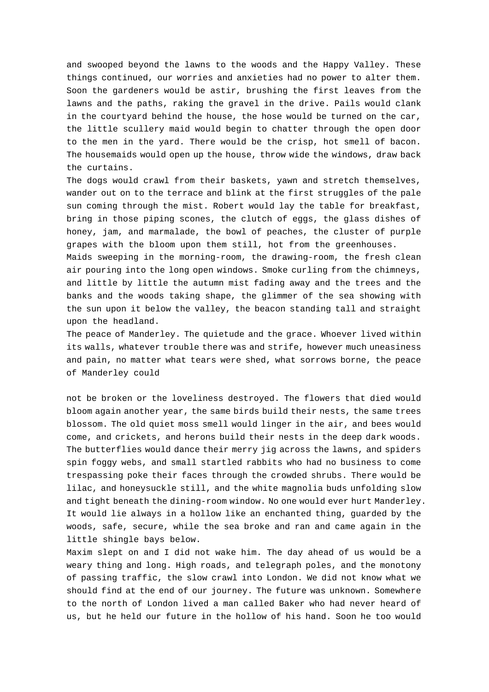and swooped beyond the lawns to the woods and the Happy Valley. These things continued, our worries and anxieties had no power to alter them. Soon the gardeners would be astir, brushing the first leaves from the lawns and the paths, raking the gravel in the drive. Pails would clank in the courtyard behind the house, the hose would be turned on the car, the little scullery maid would begin to chatter through the open door to the men in the yard. There would be the crisp, hot smell of bacon. The housemaids would open up the house, throw wide the windows, draw back the curtains.

The dogs would crawl from their baskets, yawn and stretch themselves, wander out on to the terrace and blink at the first struggles of the pale sun coming through the mist. Robert would lay the table for breakfast, bring in those piping scones, the clutch of eggs, the glass dishes of honey, jam, and marmalade, the bowl of peaches, the cluster of purple grapes with the bloom upon them still, hot from the greenhouses.

Maids sweeping in the morning-room, the drawing-room, the fresh clean air pouring into the long open windows. Smoke curling from the chimneys, and little by little the autumn mist fading away and the trees and the banks and the woods taking shape, the glimmer of the sea showing with the sun upon it below the valley, the beacon standing tall and straight upon the headland.

The peace of Manderley. The quietude and the grace. Whoever lived within its walls, whatever trouble there was and strife, however much uneasiness and pain, no matter what tears were shed, what sorrows borne, the peace of Manderley could

not be broken or the loveliness destroyed. The flowers that died would bloom again another year, the same birds build their nests, the same trees blossom. The old quiet moss smell would linger in the air, and bees would come, and crickets, and herons build their nests in the deep dark woods. The butterflies would dance their merry jig across the lawns, and spiders spin foggy webs, and small startled rabbits who had no business to come trespassing poke their faces through the crowded shrubs. There would be lilac, and honeysuckle still, and the white magnolia buds unfolding slow and tight beneath the dining-room window. No one would ever hurt Manderley. It would lie always in a hollow like an enchanted thing, guarded by the woods, safe, secure, while the sea broke and ran and came again in the little shingle bays below.

Maxim slept on and I did not wake him. The day ahead of us would be a weary thing and long. High roads, and telegraph poles, and the monotony of passing traffic, the slow crawl into London. We did not know what we should find at the end of our journey. The future was unknown. Somewhere to the north of London lived a man called Baker who had never heard of us, but he held our future in the hollow of his hand. Soon he too would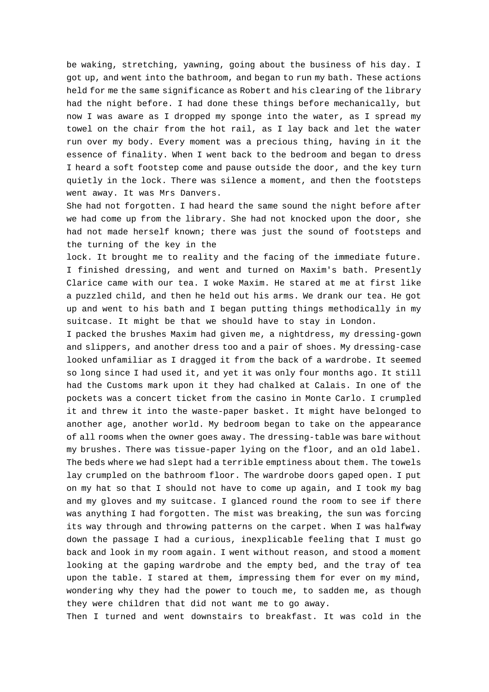be waking, stretching, yawning, going about the business of his day. I got up, and went into the bathroom, and began to run my bath. These actions held for me the same significance as Robert and his clearing of the library had the night before. I had done these things before mechanically, but now I was aware as I dropped my sponge into the water, as I spread my towel on the chair from the hot rail, as I lay back and let the water run over my body. Every moment was a precious thing, having in it the essence of finality. When I went back to the bedroom and began to dress I heard a soft footstep come and pause outside the door, and the key turn quietly in the lock. There was silence a moment, and then the footsteps went away. It was Mrs Danvers.

She had not forgotten. I had heard the same sound the night before after we had come up from the library. She had not knocked upon the door, she had not made herself known; there was just the sound of footsteps and the turning of the key in the

lock. It brought me to reality and the facing of the immediate future. I finished dressing, and went and turned on Maxim's bath. Presently Clarice came with our tea. I woke Maxim. He stared at me at first like a puzzled child, and then he held out his arms. We drank our tea. He got up and went to his bath and I began putting things methodically in my suitcase. It might be that we should have to stay in London.

I packed the brushes Maxim had given me, a nightdress, my dressing-gown and slippers, and another dress too and a pair of shoes. My dressing-case looked unfamiliar as I dragged it from the back of a wardrobe. It seemed so long since I had used it, and yet it was only four months ago. It still had the Customs mark upon it they had chalked at Calais. In one of the pockets was a concert ticket from the casino in Monte Carlo. I crumpled it and threw it into the waste-paper basket. It might have belonged to another age, another world. My bedroom began to take on the appearance of all rooms when the owner goes away. The dressing-table was bare without my brushes. There was tissue-paper lying on the floor, and an old label. The beds where we had slept had a terrible emptiness about them. The towels lay crumpled on the bathroom floor. The wardrobe doors gaped open. I put on my hat so that I should not have to come up again, and I took my bag and my gloves and my suitcase. I glanced round the room to see if there was anything I had forgotten. The mist was breaking, the sun was forcing its way through and throwing patterns on the carpet. When I was halfway down the passage I had a curious, inexplicable feeling that I must go back and look in my room again. I went without reason, and stood a moment looking at the gaping wardrobe and the empty bed, and the tray of tea upon the table. I stared at them, impressing them for ever on my mind, wondering why they had the power to touch me, to sadden me, as though they were children that did not want me to go away.

Then I turned and went downstairs to breakfast. It was cold in the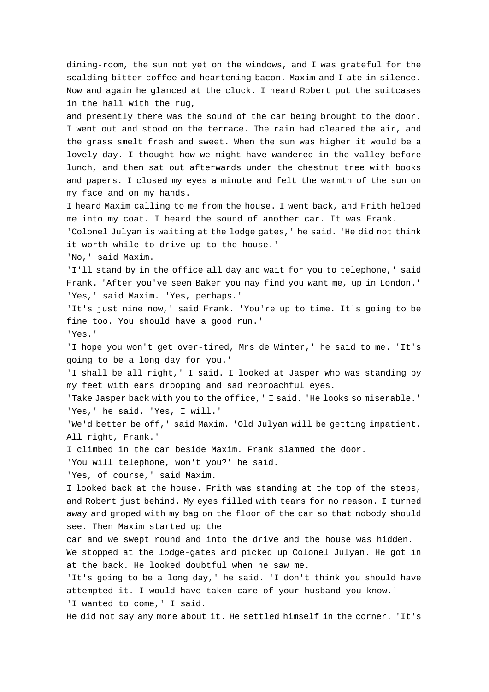dining-room, the sun not yet on the windows, and I was grateful for the scalding bitter coffee and heartening bacon. Maxim and I ate in silence. Now and again he glanced at the clock. I heard Robert put the suitcases in the hall with the rug,

and presently there was the sound of the car being brought to the door. I went out and stood on the terrace. The rain had cleared the air, and the grass smelt fresh and sweet. When the sun was higher it would be a lovely day. I thought how we might have wandered in the valley before lunch, and then sat out afterwards under the chestnut tree with books and papers. I closed my eyes a minute and felt the warmth of the sun on my face and on my hands.

I heard Maxim calling to me from the house. I went back, and Frith helped me into my coat. I heard the sound of another car. It was Frank.

'Colonel Julyan is waiting at the lodge gates, ' he said. 'He did not think it worth while to drive up to the house.'

'No,' said Maxim.

'I'll stand by in the office all day and wait for you to telephone,' said Frank. 'After you've seen Baker you may find you want me, up in London.' 'Yes,' said Maxim. 'Yes, perhaps.'

'It's just nine now,' said Frank. 'You're up to time. It's going to be fine too. You should have a good run.'

'Yes.'

'I hope you won't get over-tired, Mrs de Winter,' he said to me. 'It's going to be a long day for you.'

'I shall be all right,' I said. I looked at Jasper who was standing by my feet with ears drooping and sad reproachful eyes.

'Take Jasper back with you to the office,' I said. 'He looks so miserable.' 'Yes,' he said. 'Yes, I will.'

'We'd better be off,' said Maxim. 'Old Julyan will be getting impatient. All right, Frank.'

I climbed in the car beside Maxim. Frank slammed the door.

'You will telephone, won't you?' he said.

'Yes, of course,' said Maxim.

I looked back at the house. Frith was standing at the top of the steps, and Robert just behind. My eyes filled with tears for no reason. I turned away and groped with my bag on the floor of the car so that nobody should see. Then Maxim started up the

car and we swept round and into the drive and the house was hidden.

We stopped at the lodge-gates and picked up Colonel Julyan. He got in at the back. He looked doubtful when he saw me.

'It's going to be a long day,' he said. 'I don't think you should have attempted it. I would have taken care of your husband you know.' 'I wanted to come,' I said.

He did not say any more about it. He settled himself in the corner. 'It's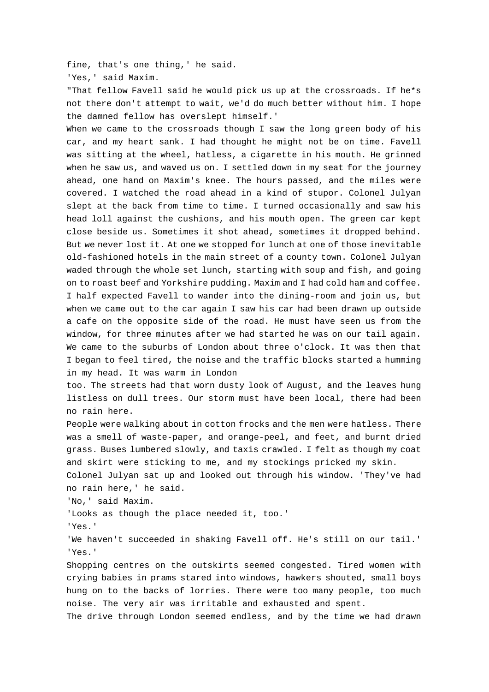fine, that's one thing,' he said.

'Yes,' said Maxim.

"That fellow Favell said he would pick us up at the crossroads. If he\*s not there don't attempt to wait, we'd do much better without him. I hope the damned fellow has overslept himself.'

When we came to the crossroads though I saw the long green body of his car, and my heart sank. I had thought he might not be on time. Favell was sitting at the wheel, hatless, a cigarette in his mouth. He grinned when he saw us, and waved us on. I settled down in my seat for the journey ahead, one hand on Maxim's knee. The hours passed, and the miles were covered. I watched the road ahead in a kind of stupor. Colonel Julyan slept at the back from time to time. I turned occasionally and saw his head loll against the cushions, and his mouth open. The green car kept close beside us. Sometimes it shot ahead, sometimes it dropped behind. But we never lost it. At one we stopped for lunch at one of those inevitable old-fashioned hotels in the main street of a county town. Colonel Julyan waded through the whole set lunch, starting with soup and fish, and going on to roast beef and Yorkshire pudding. Maxim and I had cold ham and coffee. I half expected Favell to wander into the dining-room and join us, but when we came out to the car again I saw his car had been drawn up outside a cafe on the opposite side of the road. He must have seen us from the window, for three minutes after we had started he was on our tail again. We came to the suburbs of London about three o'clock. It was then that I began to feel tired, the noise and the traffic blocks started a humming in my head. It was warm in London

too. The streets had that worn dusty look of August, and the leaves hung listless on dull trees. Our storm must have been local, there had been no rain here.

People were walking about in cotton frocks and the men were hatless. There was a smell of waste-paper, and orange-peel, and feet, and burnt dried grass. Buses lumbered slowly, and taxis crawled. I felt as though my coat and skirt were sticking to me, and my stockings pricked my skin.

Colonel Julyan sat up and looked out through his window. 'They've had no rain here,' he said.

'No,' said Maxim.

'Looks as though the place needed it, too.'

'Yes.'

'We haven't succeeded in shaking Favell off. He's still on our tail.' 'Yes.'

Shopping centres on the outskirts seemed congested. Tired women with crying babies in prams stared into windows, hawkers shouted, small boys hung on to the backs of lorries. There were too many people, too much noise. The very air was irritable and exhausted and spent.

The drive through London seemed endless, and by the time we had drawn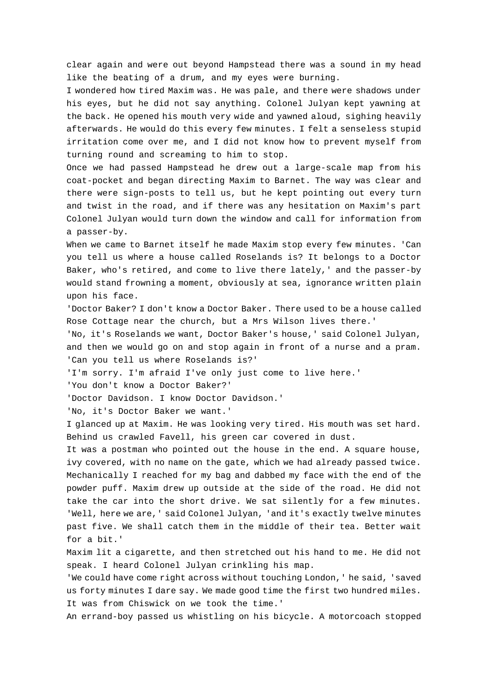clear again and were out beyond Hampstead there was a sound in my head like the beating of a drum, and my eyes were burning.

I wondered how tired Maxim was. He was pale, and there were shadows under his eyes, but he did not say anything. Colonel Julyan kept yawning at the back. He opened his mouth very wide and yawned aloud, sighing heavily afterwards. He would do this every few minutes. I felt a senseless stupid irritation come over me, and I did not know how to prevent myself from turning round and screaming to him to stop.

Once we had passed Hampstead he drew out a large-scale map from his coat-pocket and began directing Maxim to Barnet. The way was clear and there were sign-posts to tell us, but he kept pointing out every turn and twist in the road, and if there was any hesitation on Maxim's part Colonel Julyan would turn down the window and call for information from a passer-by.

When we came to Barnet itself he made Maxim stop every few minutes. 'Can you tell us where a house called Roselands is? It belongs to a Doctor Baker, who's retired, and come to live there lately,' and the passer-by would stand frowning a moment, obviously at sea, ignorance written plain upon his face.

'Doctor Baker? I don't know a Doctor Baker. There used to be a house called Rose Cottage near the church, but a Mrs Wilson lives there.'

'No, it's Roselands we want, Doctor Baker's house,' said Colonel Julyan, and then we would go on and stop again in front of a nurse and a pram. 'Can you tell us where Roselands is?'

'I'm sorry. I'm afraid I've only just come to live here.'

'You don't know a Doctor Baker?'

'Doctor Davidson. I know Doctor Davidson.'

'No, it's Doctor Baker we want.'

I glanced up at Maxim. He was looking very tired. His mouth was set hard. Behind us crawled Favell, his green car covered in dust.

It was a postman who pointed out the house in the end. A square house, ivy covered, with no name on the gate, which we had already passed twice. Mechanically I reached for my bag and dabbed my face with the end of the powder puff. Maxim drew up outside at the side of the road. He did not take the car into the short drive. We sat silently for a few minutes. 'Well, here we are,' said Colonel Julyan, 'and it's exactly twelve minutes past five. We shall catch them in the middle of their tea. Better wait for a bit.'

Maxim lit a cigarette, and then stretched out his hand to me. He did not speak. I heard Colonel Julyan crinkling his map.

'We could have come right across without touching London,' he said, 'saved us forty minutes I dare say. We made good time the first two hundred miles. It was from Chiswick on we took the time.'

An errand-boy passed us whistling on his bicycle. A motorcoach stopped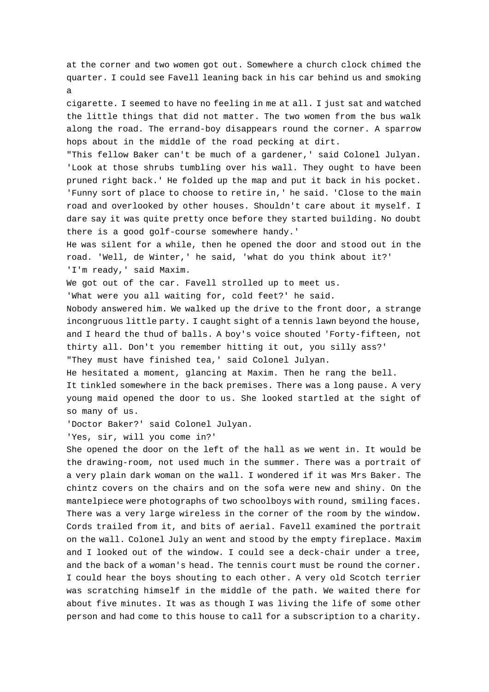at the corner and two women got out. Somewhere a church clock chimed the quarter. I could see Favell leaning back in his car behind us and smoking a

cigarette. I seemed to have no feeling in me at all. I just sat and watched the little things that did not matter. The two women from the bus walk along the road. The errand-boy disappears round the corner. A sparrow hops about in the middle of the road pecking at dirt.

"This fellow Baker can't be much of a gardener,' said Colonel Julyan. 'Look at those shrubs tumbling over his wall. They ought to have been pruned right back.' He folded up the map and put it back in his pocket. 'Funny sort of place to choose to retire in,' he said. 'Close to the main road and overlooked by other houses. Shouldn't care about it myself. I dare say it was quite pretty once before they started building. No doubt there is a good golf-course somewhere handy.'

He was silent for a while, then he opened the door and stood out in the road. 'Well, de Winter,' he said, 'what do you think about it?' 'I'm ready,' said Maxim.

We got out of the car. Favell strolled up to meet us.

'What were you all waiting for, cold feet?' he said.

Nobody answered him. We walked up the drive to the front door, a strange incongruous little party. I caught sight of a tennis lawn beyond the house, and I heard the thud of balls. A boy's voice shouted 'Forty-fifteen, not thirty all. Don't you remember hitting it out, you silly ass?' "They must have finished tea,' said Colonel Julyan.

He hesitated a moment, glancing at Maxim. Then he rang the bell.

It tinkled somewhere in the back premises. There was a long pause. A very young maid opened the door to us. She looked startled at the sight of so many of us.

'Doctor Baker?' said Colonel Julyan.

'Yes, sir, will you come in?'

She opened the door on the left of the hall as we went in. It would be the drawing-room, not used much in the summer. There was a portrait of a very plain dark woman on the wall. I wondered if it was Mrs Baker. The chintz covers on the chairs and on the sofa were new and shiny. On the mantelpiece were photographs of two schoolboys with round, smiling faces. There was a very large wireless in the corner of the room by the window. Cords trailed from it, and bits of aerial. Favell examined the portrait on the wall. Colonel July an went and stood by the empty fireplace. Maxim and I looked out of the window. I could see a deck-chair under a tree, and the back of a woman's head. The tennis court must be round the corner. I could hear the boys shouting to each other. A very old Scotch terrier was scratching himself in the middle of the path. We waited there for about five minutes. It was as though I was living the life of some other person and had come to this house to call for a subscription to a charity.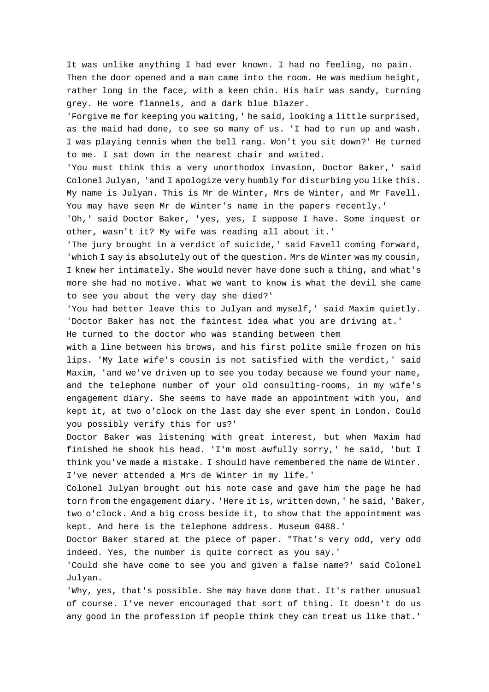It was unlike anything I had ever known. I had no feeling, no pain. Then the door opened and a man came into the room. He was medium height, rather long in the face, with a keen chin. His hair was sandy, turning grey. He wore flannels, and a dark blue blazer.

'Forgive me for keeping you waiting,' he said, looking a little surprised, as the maid had done, to see so many of us. 'I had to run up and wash. I was playing tennis when the bell rang. Won't you sit down?' He turned to me. I sat down in the nearest chair and waited.

'You must think this a very unorthodox invasion, Doctor Baker,' said Colonel Julyan, 'and I apologize very humbly for disturbing you like this. My name is Julyan. This is Mr de Winter, Mrs de Winter, and Mr Favell. You may have seen Mr de Winter's name in the papers recently.'

'Oh,' said Doctor Baker, 'yes, yes, I suppose I have. Some inquest or other, wasn't it? My wife was reading all about it.'

'The jury brought in a verdict of suicide,' said Favell coming forward, 'which I say is absolutely out of the question. Mrs de Winter was my cousin, I knew her intimately. She would never have done such a thing, and what's more she had no motive. What we want to know is what the devil she came to see you about the very day she died?'

'You had better leave this to Julyan and myself,' said Maxim quietly. 'Doctor Baker has not the faintest idea what you are driving at.'

He turned to the doctor who was standing between them

with a line between his brows, and his first polite smile frozen on his lips. 'My late wife's cousin is not satisfied with the verdict,' said Maxim, 'and we've driven up to see you today because we found your name, and the telephone number of your old consulting-rooms, in my wife's engagement diary. She seems to have made an appointment with you, and kept it, at two o'clock on the last day she ever spent in London. Could you possibly verify this for us?'

Doctor Baker was listening with great interest, but when Maxim had finished he shook his head. 'I'm most awfully sorry,' he said, 'but I think you've made a mistake. I should have remembered the name de Winter. I've never attended a Mrs de Winter in my life.'

Colonel Julyan brought out his note case and gave him the page he had torn from the engagement diary. 'Here it is, written down,' he said, 'Baker, two o'clock. And a big cross beside it, to show that the appointment was kept. And here is the telephone address. Museum 0488.'

Doctor Baker stared at the piece of paper. "That's very odd, very odd indeed. Yes, the number is quite correct as you say.'

'Could she have come to see you and given a false name?' said Colonel Julyan.

'Why, yes, that's possible. She may have done that. It's rather unusual of course. I've never encouraged that sort of thing. It doesn't do us any good in the profession if people think they can treat us like that.'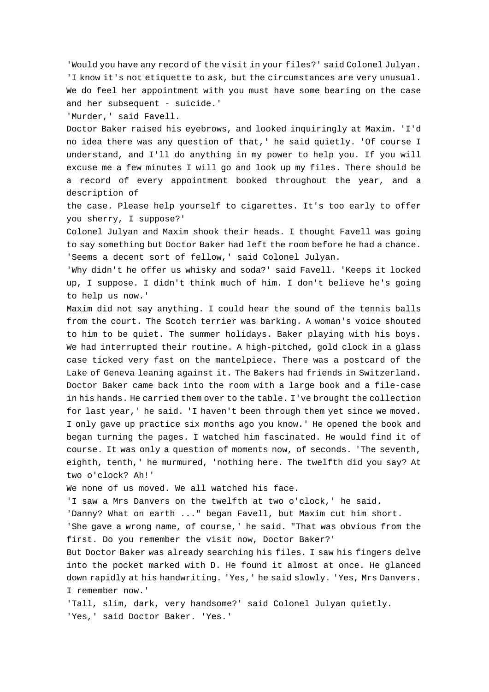'Would you have any record of the visit in your files?' said Colonel Julyan. 'I know it's not etiquette to ask, but the circumstances are very unusual. We do feel her appointment with you must have some bearing on the case and her subsequent - suicide.'

'Murder,' said Favell.

Doctor Baker raised his eyebrows, and looked inquiringly at Maxim. 'I'd no idea there was any question of that,' he said quietly. 'Of course I understand, and I'll do anything in my power to help you. If you will excuse me a few minutes I will go and look up my files. There should be a record of every appointment booked throughout the year, and a description of

the case. Please help yourself to cigarettes. It's too early to offer you sherry, I suppose?'

Colonel Julyan and Maxim shook their heads. I thought Favell was going to say something but Doctor Baker had left the room before he had a chance. 'Seems a decent sort of fellow,' said Colonel Julyan.

'Why didn't he offer us whisky and soda?' said Favell. 'Keeps it locked up, I suppose. I didn't think much of him. I don't believe he's going to help us now.'

Maxim did not say anything. I could hear the sound of the tennis balls from the court. The Scotch terrier was barking. A woman's voice shouted to him to be quiet. The summer holidays. Baker playing with his boys. We had interrupted their routine. A high-pitched, gold clock in a glass case ticked very fast on the mantelpiece. There was a postcard of the Lake of Geneva leaning against it. The Bakers had friends in Switzerland. Doctor Baker came back into the room with a large book and a file-case in his hands. He carried them over to the table. I've brought the collection for last year,' he said. 'I haven't been through them yet since we moved. I only gave up practice six months ago you know.' He opened the book and began turning the pages. I watched him fascinated. He would find it of course. It was only a question of moments now, of seconds. 'The seventh, eighth, tenth,' he murmured, 'nothing here. The twelfth did you say? At two o'clock? Ah!'

We none of us moved. We all watched his face.

'I saw a Mrs Danvers on the twelfth at two o'clock,' he said.

'Danny? What on earth ..." began Favell, but Maxim cut him short.

'She gave a wrong name, of course,' he said. "That was obvious from the first. Do you remember the visit now, Doctor Baker?'

But Doctor Baker was already searching his files. I saw his fingers delve into the pocket marked with D. He found it almost at once. He glanced down rapidly at his handwriting. 'Yes,' he said slowly. 'Yes, Mrs Danvers. I remember now.'

'Tall, slim, dark, very handsome?' said Colonel Julyan quietly. 'Yes,' said Doctor Baker. 'Yes.'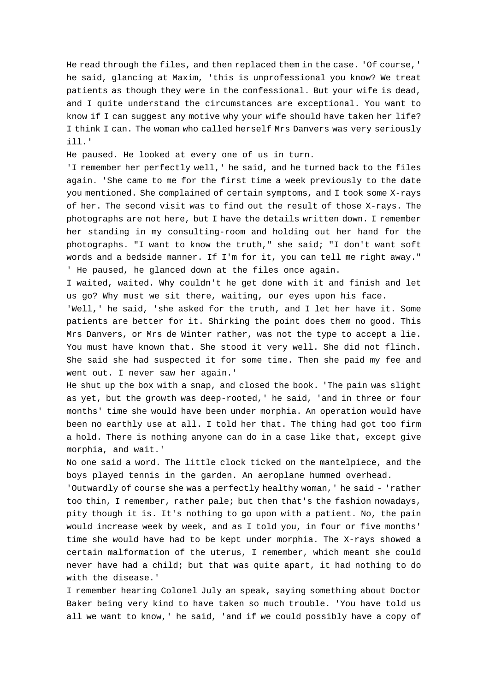He read through the files, and then replaced them in the case. 'Of course,' he said, glancing at Maxim, 'this is unprofessional you know? We treat patients as though they were in the confessional. But your wife is dead, and I quite understand the circumstances are exceptional. You want to know if I can suggest any motive why your wife should have taken her life? I think I can. The woman who called herself Mrs Danvers was very seriously ill.'

He paused. He looked at every one of us in turn.

'I remember her perfectly well,' he said, and he turned back to the files again. 'She came to me for the first time a week previously to the date you mentioned. She complained of certain symptoms, and I took some X-rays of her. The second visit was to find out the result of those X-rays. The photographs are not here, but I have the details written down. I remember her standing in my consulting-room and holding out her hand for the photographs. "I want to know the truth," she said; "I don't want soft words and a bedside manner. If I'm for it, you can tell me right away." ' He paused, he glanced down at the files once again.

I waited, waited. Why couldn't he get done with it and finish and let us go? Why must we sit there, waiting, our eyes upon his face.

'Well,' he said, 'she asked for the truth, and I let her have it. Some patients are better for it. Shirking the point does them no good. This Mrs Danvers, or Mrs de Winter rather, was not the type to accept a lie. You must have known that. She stood it very well. She did not flinch. She said she had suspected it for some time. Then she paid my fee and went out. I never saw her again.'

He shut up the box with a snap, and closed the book. 'The pain was slight as yet, but the growth was deep-rooted,' he said, 'and in three or four months' time she would have been under morphia. An operation would have been no earthly use at all. I told her that. The thing had got too firm a hold. There is nothing anyone can do in a case like that, except give morphia, and wait.'

No one said a word. The little clock ticked on the mantelpiece, and the boys played tennis in the garden. An aeroplane hummed overhead.

'Outwardly of course she was a perfectly healthy woman,' he said - 'rather too thin, I remember, rather pale; but then that's the fashion nowadays, pity though it is. It's nothing to go upon with a patient. No, the pain would increase week by week, and as I told you, in four or five months' time she would have had to be kept under morphia. The X-rays showed a certain malformation of the uterus, I remember, which meant she could never have had a child; but that was quite apart, it had nothing to do with the disease.'

I remember hearing Colonel July an speak, saying something about Doctor Baker being very kind to have taken so much trouble. 'You have told us all we want to know,' he said, 'and if we could possibly have a copy of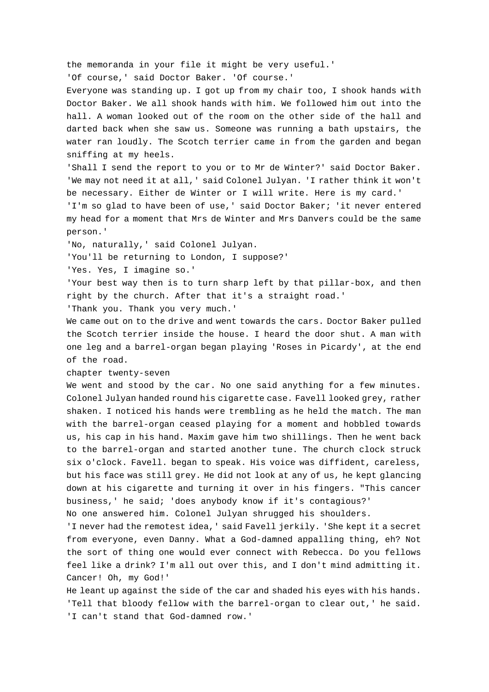the memoranda in your file it might be very useful.'

'Of course,' said Doctor Baker. 'Of course.'

Everyone was standing up. I got up from my chair too, I shook hands with Doctor Baker. We all shook hands with him. We followed him out into the hall. A woman looked out of the room on the other side of the hall and darted back when she saw us. Someone was running a bath upstairs, the water ran loudly. The Scotch terrier came in from the garden and began sniffing at my heels.

'Shall I send the report to you or to Mr de Winter?' said Doctor Baker. 'We may not need it at all,' said Colonel Julyan. 'I rather think it won't be necessary. Either de Winter or I will write. Here is my card.'

'I'm so glad to have been of use, ' said Doctor Baker; 'it never entered my head for a moment that Mrs de Winter and Mrs Danvers could be the same person.'

'No, naturally,' said Colonel Julyan.

'You'll be returning to London, I suppose?'

'Yes. Yes, I imagine so.'

'Your best way then is to turn sharp left by that pillar-box, and then right by the church. After that it's a straight road.'

'Thank you. Thank you very much.'

We came out on to the drive and went towards the cars. Doctor Baker pulled the Scotch terrier inside the house. I heard the door shut. A man with one leg and a barrel-organ began playing 'Roses in Picardy', at the end of the road.

chapter twenty-seven

We went and stood by the car. No one said anything for a few minutes. Colonel Julyan handed round his cigarette case. Favell looked grey, rather shaken. I noticed his hands were trembling as he held the match. The man with the barrel-organ ceased playing for a moment and hobbled towards us, his cap in his hand. Maxim gave him two shillings. Then he went back to the barrel-organ and started another tune. The church clock struck six o'clock. Favell. began to speak. His voice was diffident, careless, but his face was still grey. He did not look at any of us, he kept glancing down at his cigarette and turning it over in his fingers. "This cancer business,' he said; 'does anybody know if it's contagious?'

No one answered him. Colonel Julyan shrugged his shoulders.

'I never had the remotest idea,' said Favell jerkily. 'She kept it a secret from everyone, even Danny. What a God-damned appalling thing, eh? Not the sort of thing one would ever connect with Rebecca. Do you fellows feel like a drink? I'm all out over this, and I don't mind admitting it. Cancer! Oh, my God!'

He leant up against the side of the car and shaded his eyes with his hands. 'Tell that bloody fellow with the barrel-organ to clear out,' he said. 'I can't stand that God-damned row.'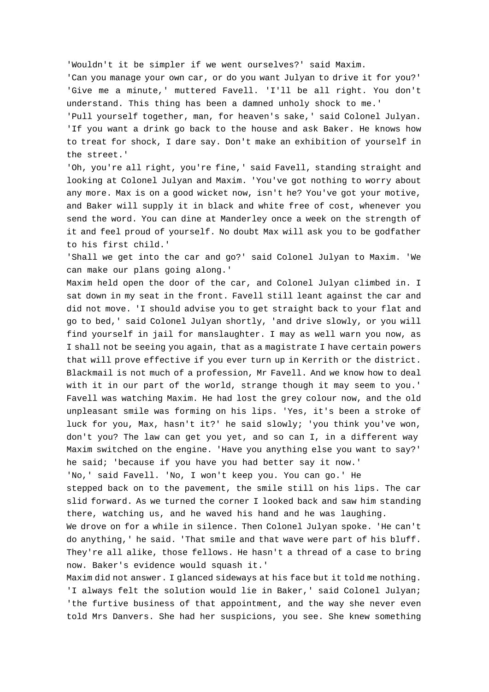'Wouldn't it be simpler if we went ourselves?' said Maxim.

'Can you manage your own car, or do you want Julyan to drive it for you?' 'Give me a minute,' muttered Favell. 'I'll be all right. You don't understand. This thing has been a damned unholy shock to me.'

'Pull yourself together, man, for heaven's sake,' said Colonel Julyan. 'If you want a drink go back to the house and ask Baker. He knows how to treat for shock, I dare say. Don't make an exhibition of yourself in the street.'

'Oh, you're all right, you're fine,' said Favell, standing straight and looking at Colonel Julyan and Maxim. 'You've got nothing to worry about any more. Max is on a good wicket now, isn't he? You've got your motive, and Baker will supply it in black and white free of cost, whenever you send the word. You can dine at Manderley once a week on the strength of it and feel proud of yourself. No doubt Max will ask you to be godfather to his first child.'

'Shall we get into the car and go?' said Colonel Julyan to Maxim. 'We can make our plans going along.'

Maxim held open the door of the car, and Colonel Julyan climbed in. I sat down in my seat in the front. Favell still leant against the car and did not move. 'I should advise you to get straight back to your flat and go to bed,' said Colonel Julyan shortly, 'and drive slowly, or you will find yourself in jail for manslaughter. I may as well warn you now, as I shall not be seeing you again, that as a magistrate I have certain powers that will prove effective if you ever turn up in Kerrith or the district. Blackmail is not much of a profession, Mr Favell. And we know how to deal with it in our part of the world, strange though it may seem to you.' Favell was watching Maxim. He had lost the grey colour now, and the old unpleasant smile was forming on his lips. 'Yes, it's been a stroke of luck for you, Max, hasn't it?' he said slowly; 'you think you've won, don't you? The law can get you yet, and so can I, in a different way Maxim switched on the engine. 'Have you anything else you want to say?' he said; 'because if you have you had better say it now.'

'No,' said Favell. 'No, I won't keep you. You can go.' He

stepped back on to the pavement, the smile still on his lips. The car slid forward. As we turned the corner I looked back and saw him standing there, watching us, and he waved his hand and he was laughing.

We drove on for a while in silence. Then Colonel Julyan spoke. 'He can't do anything,' he said. 'That smile and that wave were part of his bluff. They're all alike, those fellows. He hasn't a thread of a case to bring now. Baker's evidence would squash it.'

Maxim did not answer. I glanced sideways at his face but it told me nothing. 'I always felt the solution would lie in Baker,' said Colonel Julyan; 'the furtive business of that appointment, and the way she never even told Mrs Danvers. She had her suspicions, you see. She knew something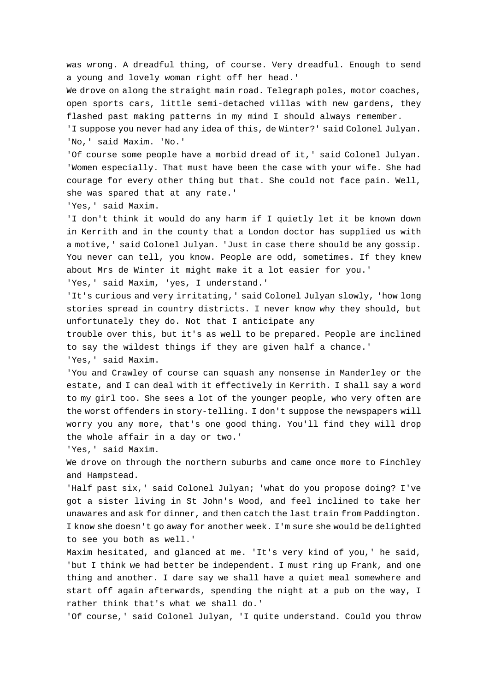was wrong. A dreadful thing, of course. Very dreadful. Enough to send a young and lovely woman right off her head.'

We drove on along the straight main road. Telegraph poles, motor coaches, open sports cars, little semi-detached villas with new gardens, they flashed past making patterns in my mind I should always remember.

'I suppose you never had any idea of this, de Winter?' said Colonel Julyan. 'No,' said Maxim. 'No.'

'Of course some people have a morbid dread of it,' said Colonel Julyan. 'Women especially. That must have been the case with your wife. She had courage for every other thing but that. She could not face pain. Well, she was spared that at any rate.'

'Yes,' said Maxim.

'I don't think it would do any harm if I quietly let it be known down in Kerrith and in the county that a London doctor has supplied us with a motive,' said Colonel Julyan. 'Just in case there should be any gossip. You never can tell, you know. People are odd, sometimes. If they knew about Mrs de Winter it might make it a lot easier for you.'

'Yes,' said Maxim, 'yes, I understand.'

'It's curious and very irritating,' said Colonel Julyan slowly, 'how long stories spread in country districts. I never know why they should, but unfortunately they do. Not that I anticipate any

trouble over this, but it's as well to be prepared. People are inclined to say the wildest things if they are given half a chance.'

'Yes,' said Maxim.

'You and Crawley of course can squash any nonsense in Manderley or the estate, and I can deal with it effectively in Kerrith. I shall say a word to my girl too. She sees a lot of the younger people, who very often are the worst offenders in story-telling. I don't suppose the newspapers will worry you any more, that's one good thing. You'll find they will drop the whole affair in a day or two.'

'Yes,' said Maxim.

We drove on through the northern suburbs and came once more to Finchley and Hampstead.

'Half past six,' said Colonel Julyan; 'what do you propose doing? I've got a sister living in St John's Wood, and feel inclined to take her unawares and ask for dinner, and then catch the last train from Paddington. I know she doesn't go away for another week. I'm sure she would be delighted to see you both as well.'

Maxim hesitated, and glanced at me. 'It's very kind of you,' he said, 'but I think we had better be independent. I must ring up Frank, and one thing and another. I dare say we shall have a quiet meal somewhere and start off again afterwards, spending the night at a pub on the way, I rather think that's what we shall do.'

'Of course,' said Colonel Julyan, 'I quite understand. Could you throw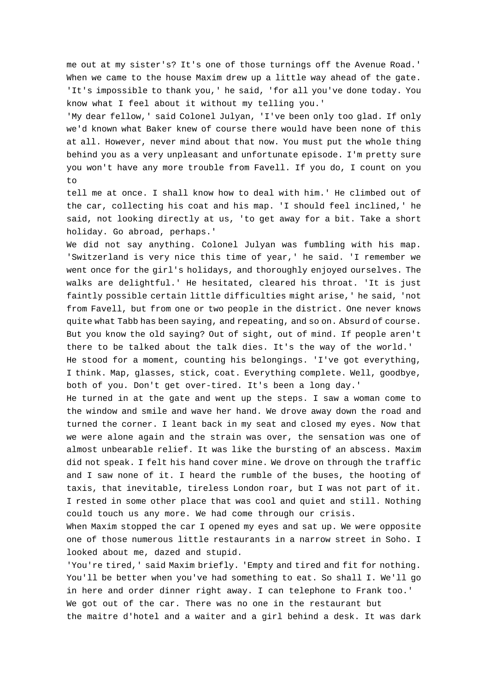me out at my sister's? It's one of those turnings off the Avenue Road.' When we came to the house Maxim drew up a little way ahead of the gate. 'It's impossible to thank you,' he said, 'for all you've done today. You know what I feel about it without my telling you.'

'My dear fellow,' said Colonel Julyan, 'I've been only too glad. If only we'd known what Baker knew of course there would have been none of this at all. However, never mind about that now. You must put the whole thing behind you as a very unpleasant and unfortunate episode. I'm pretty sure you won't have any more trouble from Favell. If you do, I count on you  $t \cap$ 

tell me at once. I shall know how to deal with him.' He climbed out of the car, collecting his coat and his map. 'I should feel inclined,' he said, not looking directly at us, 'to get away for a bit. Take a short holiday. Go abroad, perhaps.'

We did not say anything. Colonel Julyan was fumbling with his map. 'Switzerland is very nice this time of year,' he said. 'I remember we went once for the girl's holidays, and thoroughly enjoyed ourselves. The walks are delightful.' He hesitated, cleared his throat. 'It is just faintly possible certain little difficulties might arise,' he said, 'not from Favell, but from one or two people in the district. One never knows quite what Tabb has been saying, and repeating, and so on. Absurd of course. But you know the old saying? Out of sight, out of mind. If people aren't there to be talked about the talk dies. It's the way of the world.' He stood for a moment, counting his belongings. 'I've got everything, I think. Map, glasses, stick, coat. Everything complete. Well, goodbye,

both of you. Don't get over-tired. It's been a long day.'

He turned in at the gate and went up the steps. I saw a woman come to the window and smile and wave her hand. We drove away down the road and turned the corner. I leant back in my seat and closed my eyes. Now that we were alone again and the strain was over, the sensation was one of almost unbearable relief. It was like the bursting of an abscess. Maxim did not speak. I felt his hand cover mine. We drove on through the traffic and I saw none of it. I heard the rumble of the buses, the hooting of taxis, that inevitable, tireless London roar, but I was not part of it. I rested in some other place that was cool and quiet and still. Nothing could touch us any more. We had come through our crisis.

When Maxim stopped the car I opened my eyes and sat up. We were opposite one of those numerous little restaurants in a narrow street in Soho. I looked about me, dazed and stupid.

'You're tired,' said Maxim briefly. 'Empty and tired and fit for nothing. You'll be better when you've had something to eat. So shall I. We'll go in here and order dinner right away. I can telephone to Frank too.' We got out of the car. There was no one in the restaurant but the maitre d'hotel and a waiter and a girl behind a desk. It was dark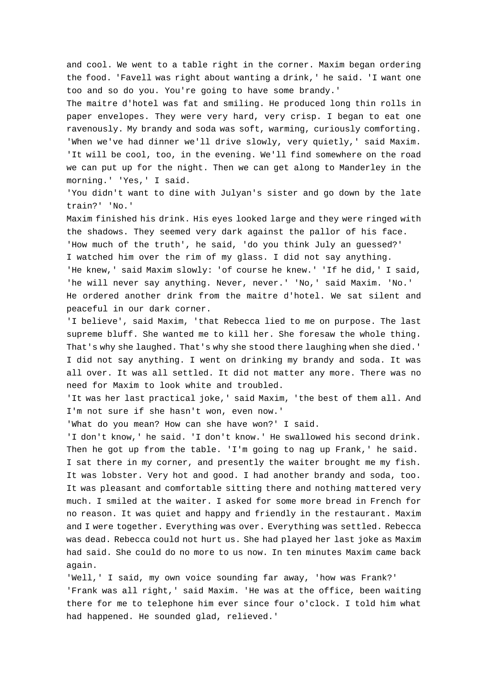and cool. We went to a table right in the corner. Maxim began ordering the food. 'Favell was right about wanting a drink,' he said. 'I want one too and so do you. You're going to have some brandy.'

The maitre d'hotel was fat and smiling. He produced long thin rolls in paper envelopes. They were very hard, very crisp. I began to eat one ravenously. My brandy and soda was soft, warming, curiously comforting. 'When we've had dinner we'll drive slowly, very quietly,' said Maxim. 'It will be cool, too, in the evening. We'll find somewhere on the road we can put up for the night. Then we can get along to Manderley in the morning.' 'Yes,' I said.

'You didn't want to dine with Julyan's sister and go down by the late train?' 'No.'

Maxim finished his drink. His eyes looked large and they were ringed with the shadows. They seemed very dark against the pallor of his face. 'How much of the truth', he said, 'do you think July an guessed?' I watched him over the rim of my glass. I did not say anything. 'He knew,' said Maxim slowly: 'of course he knew.' 'If he did,' I said, 'he will never say anything. Never, never.' 'No,' said Maxim. 'No.' He ordered another drink from the maitre d'hotel. We sat silent and peaceful in our dark corner.

'I believe', said Maxim, 'that Rebecca lied to me on purpose. The last supreme bluff. She wanted me to kill her. She foresaw the whole thing. That's why she laughed. That's why she stood there laughing when she died.' I did not say anything. I went on drinking my brandy and soda. It was all over. It was all settled. It did not matter any more. There was no need for Maxim to look white and troubled.

'It was her last practical joke,' said Maxim, 'the best of them all. And I'm not sure if she hasn't won, even now.'

'What do you mean? How can she have won?' I said.

'I don't know,' he said. 'I don't know.' He swallowed his second drink. Then he got up from the table. 'I'm going to nag up Frank,' he said. I sat there in my corner, and presently the waiter brought me my fish. It was lobster. Very hot and good. I had another brandy and soda, too. It was pleasant and comfortable sitting there and nothing mattered very much. I smiled at the waiter. I asked for some more bread in French for no reason. It was quiet and happy and friendly in the restaurant. Maxim and I were together. Everything was over. Everything was settled. Rebecca was dead. Rebecca could not hurt us. She had played her last joke as Maxim had said. She could do no more to us now. In ten minutes Maxim came back again.

'Well,' I said, my own voice sounding far away, 'how was Frank?' 'Frank was all right,' said Maxim. 'He was at the office, been waiting there for me to telephone him ever since four o'clock. I told him what had happened. He sounded glad, relieved.'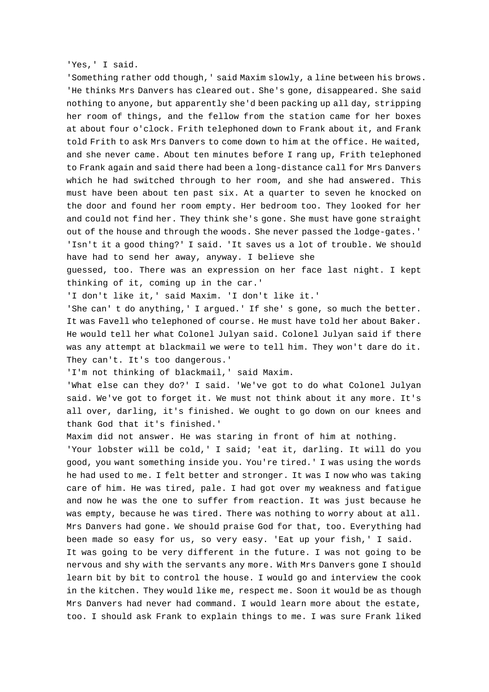'Yes,' I said.

'Something rather odd though,' said Maxim slowly, a line between his brows. 'He thinks Mrs Danvers has cleared out. She's gone, disappeared. She said nothing to anyone, but apparently she'd been packing up all day, stripping her room of things, and the fellow from the station came for her boxes at about four o'clock. Frith telephoned down to Frank about it, and Frank told Frith to ask Mrs Danvers to come down to him at the office. He waited, and she never came. About ten minutes before I rang up, Frith telephoned to Frank again and said there had been a long-distance call for Mrs Danvers which he had switched through to her room, and she had answered. This must have been about ten past six. At a quarter to seven he knocked on the door and found her room empty. Her bedroom too. They looked for her and could not find her. They think she's gone. She must have gone straight out of the house and through the woods. She never passed the lodge-gates.' 'Isn't it a good thing?' I said. 'It saves us a lot of trouble. We should have had to send her away, anyway. I believe she

guessed, too. There was an expression on her face last night. I kept thinking of it, coming up in the car.'

'I don't like it,' said Maxim. 'I don't like it.'

'She can' t do anything,' I argued.' If she' s gone, so much the better. It was Favell who telephoned of course. He must have told her about Baker. He would tell her what Colonel Julyan said. Colonel Julyan said if there was any attempt at blackmail we were to tell him. They won't dare do it. They can't. It's too dangerous.'

'I'm not thinking of blackmail,' said Maxim.

'What else can they do?' I said. 'We've got to do what Colonel Julyan said. We've got to forget it. We must not think about it any more. It's all over, darling, it's finished. We ought to go down on our knees and thank God that it's finished.'

Maxim did not answer. He was staring in front of him at nothing.

'Your lobster will be cold,' I said; 'eat it, darling. It will do you good, you want something inside you. You're tired.' I was using the words he had used to me. I felt better and stronger. It was I now who was taking care of him. He was tired, pale. I had got over my weakness and fatigue and now he was the one to suffer from reaction. It was just because he was empty, because he was tired. There was nothing to worry about at all. Mrs Danvers had gone. We should praise God for that, too. Everything had been made so easy for us, so very easy. 'Eat up your fish,' I said.

It was going to be very different in the future. I was not going to be nervous and shy with the servants any more. With Mrs Danvers gone I should learn bit by bit to control the house. I would go and interview the cook in the kitchen. They would like me, respect me. Soon it would be as though Mrs Danvers had never had command. I would learn more about the estate, too. I should ask Frank to explain things to me. I was sure Frank liked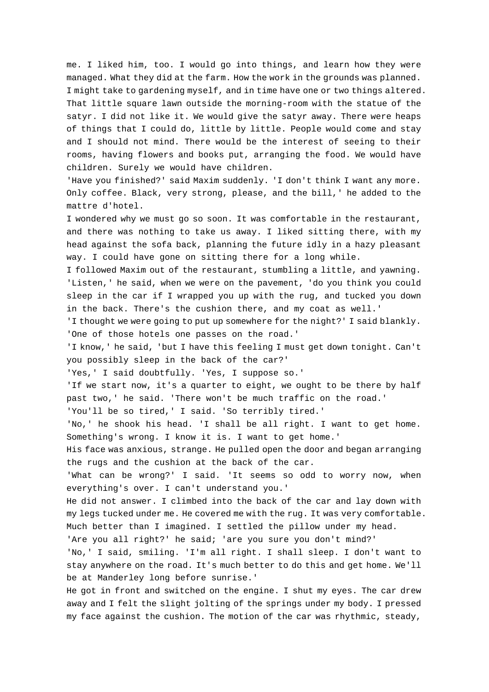me. I liked him, too. I would go into things, and learn how they were managed. What they did at the farm. How the work in the grounds was planned. I might take to gardening myself, and in time have one or two things altered. That little square lawn outside the morning-room with the statue of the satyr. I did not like it. We would give the satyr away. There were heaps of things that I could do, little by little. People would come and stay and I should not mind. There would be the interest of seeing to their rooms, having flowers and books put, arranging the food. We would have children. Surely we would have children.

'Have you finished?' said Maxim suddenly. 'I don't think I want any more. Only coffee. Black, very strong, please, and the bill,' he added to the mattre d'hotel.

I wondered why we must go so soon. It was comfortable in the restaurant, and there was nothing to take us away. I liked sitting there, with my head against the sofa back, planning the future idly in a hazy pleasant way. I could have gone on sitting there for a long while.

I followed Maxim out of the restaurant, stumbling a little, and yawning. 'Listen,' he said, when we were on the pavement, 'do you think you could sleep in the car if I wrapped you up with the rug, and tucked you down in the back. There's the cushion there, and my coat as well.'

'I thought we were going to put up somewhere for the night?' I said blankly. 'One of those hotels one passes on the road.'

'I know,' he said, 'but I have this feeling I must get down tonight. Can't you possibly sleep in the back of the car?'

'Yes,' I said doubtfully. 'Yes, I suppose so.'

'If we start now, it's a quarter to eight, we ought to be there by half past two,' he said. 'There won't be much traffic on the road.'

'You'll be so tired,' I said. 'So terribly tired.'

'No,' he shook his head. 'I shall be all right. I want to get home. Something's wrong. I know it is. I want to get home.'

His face was anxious, strange. He pulled open the door and began arranging the rugs and the cushion at the back of the car.

'What can be wrong?' I said. 'It seems so odd to worry now, when everything's over. I can't understand you.'

He did not answer. I climbed into the back of the car and lay down with my legs tucked under me. He covered me with the rug. It was very comfortable. Much better than I imagined. I settled the pillow under my head.

'Are you all right?' he said; 'are you sure you don't mind?'

'No,' I said, smiling. 'I'm all right. I shall sleep. I don't want to stay anywhere on the road. It's much better to do this and get home. We'll be at Manderley long before sunrise.'

He got in front and switched on the engine. I shut my eyes. The car drew away and I felt the slight jolting of the springs under my body. I pressed my face against the cushion. The motion of the car was rhythmic, steady,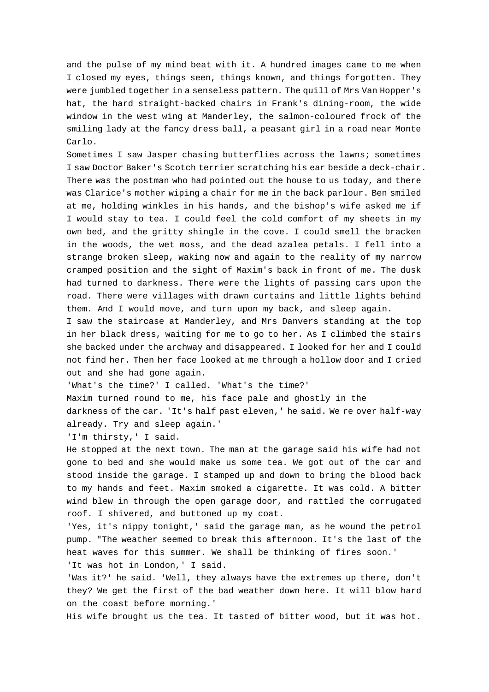and the pulse of my mind beat with it. A hundred images came to me when I closed my eyes, things seen, things known, and things forgotten. They were jumbled together in a senseless pattern. The quill of Mrs Van Hopper's hat, the hard straight-backed chairs in Frank's dining-room, the wide window in the west wing at Manderley, the salmon-coloured frock of the smiling lady at the fancy dress ball, a peasant girl in a road near Monte Carlo.

Sometimes I saw Jasper chasing butterflies across the lawns; sometimes I saw Doctor Baker's Scotch terrier scratching his ear beside a deck-chair. There was the postman who had pointed out the house to us today, and there was Clarice's mother wiping a chair for me in the back parlour. Ben smiled at me, holding winkles in his hands, and the bishop's wife asked me if I would stay to tea. I could feel the cold comfort of my sheets in my own bed, and the gritty shingle in the cove. I could smell the bracken in the woods, the wet moss, and the dead azalea petals. I fell into a strange broken sleep, waking now and again to the reality of my narrow cramped position and the sight of Maxim's back in front of me. The dusk had turned to darkness. There were the lights of passing cars upon the road. There were villages with drawn curtains and little lights behind them. And I would move, and turn upon my back, and sleep again.

I saw the staircase at Manderley, and Mrs Danvers standing at the top in her black dress, waiting for me to go to her. As I climbed the stairs she backed under the archway and disappeared. I looked for her and I could not find her. Then her face looked at me through a hollow door and I cried out and she had gone again.

'What's the time?' I called. 'What's the time?'

Maxim turned round to me, his face pale and ghostly in the darkness of the car. 'It's half past eleven,' he said. We re over half-way already. Try and sleep again.'

'I'm thirsty,' I said.

He stopped at the next town. The man at the garage said his wife had not gone to bed and she would make us some tea. We got out of the car and stood inside the garage. I stamped up and down to bring the blood back to my hands and feet. Maxim smoked a cigarette. It was cold. A bitter wind blew in through the open garage door, and rattled the corrugated roof. I shivered, and buttoned up my coat.

'Yes, it's nippy tonight,' said the garage man, as he wound the petrol pump. "The weather seemed to break this afternoon. It's the last of the heat waves for this summer. We shall be thinking of fires soon.'

'It was hot in London,' I said.

'Was it?' he said. 'Well, they always have the extremes up there, don't they? We get the first of the bad weather down here. It will blow hard on the coast before morning.'

His wife brought us the tea. It tasted of bitter wood, but it was hot.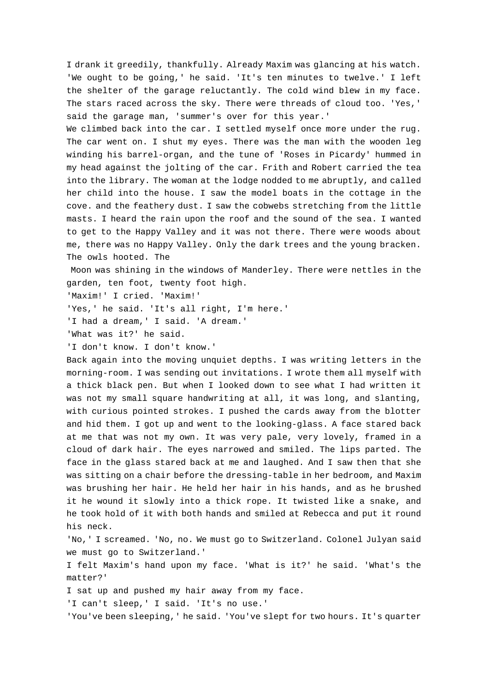I drank it greedily, thankfully. Already Maxim was glancing at his watch. 'We ought to be going,' he said. 'It's ten minutes to twelve.' I left the shelter of the garage reluctantly. The cold wind blew in my face. The stars raced across the sky. There were threads of cloud too. 'Yes,' said the garage man, 'summer's over for this year.'

We climbed back into the car. I settled myself once more under the rug. The car went on. I shut my eyes. There was the man with the wooden leg winding his barrel-organ, and the tune of 'Roses in Picardy' hummed in my head against the jolting of the car. Frith and Robert carried the tea into the library. The woman at the lodge nodded to me abruptly, and called her child into the house. I saw the model boats in the cottage in the cove. and the feathery dust. I saw the cobwebs stretching from the little masts. I heard the rain upon the roof and the sound of the sea. I wanted to get to the Happy Valley and it was not there. There were woods about me, there was no Happy Valley. Only the dark trees and the young bracken. The owls hooted. The

 Moon was shining in the windows of Manderley. There were nettles in the garden, ten foot, twenty foot high.

'Maxim!' I cried. 'Maxim!'

'Yes,' he said. 'It's all right, I'm here.'

'I had a dream, ' I said. 'A dream.'

'What was it?' he said.

'I don't know. I don't know.'

Back again into the moving unquiet depths. I was writing letters in the morning-room. I was sending out invitations. I wrote them all myself with a thick black pen. But when I looked down to see what I had written it was not my small square handwriting at all, it was long, and slanting, with curious pointed strokes. I pushed the cards away from the blotter and hid them. I got up and went to the looking-glass. A face stared back at me that was not my own. It was very pale, very lovely, framed in a cloud of dark hair. The eyes narrowed and smiled. The lips parted. The face in the glass stared back at me and laughed. And I saw then that she was sitting on a chair before the dressing-table in her bedroom, and Maxim was brushing her hair. He held her hair in his hands, and as he brushed it he wound it slowly into a thick rope. It twisted like a snake, and he took hold of it with both hands and smiled at Rebecca and put it round his neck.

'No,' I screamed. 'No, no. We must go to Switzerland. Colonel Julyan said we must go to Switzerland.'

I felt Maxim's hand upon my face. 'What is it?' he said. 'What's the matter?'

I sat up and pushed my hair away from my face.

'I can't sleep, ' I said. 'It's no use.'

'You've been sleeping, ' he said. 'You've slept for two hours. It's quarter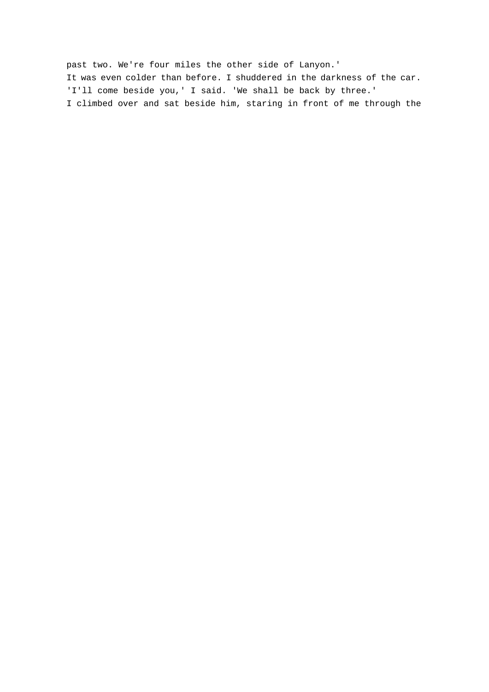past two. We're four miles the other side of Lanyon.' It was even colder than before. I shuddered in the darkness of the car. 'I'll come beside you,' I said. 'We shall be back by three.' I climbed over and sat beside him, staring in front of me through the